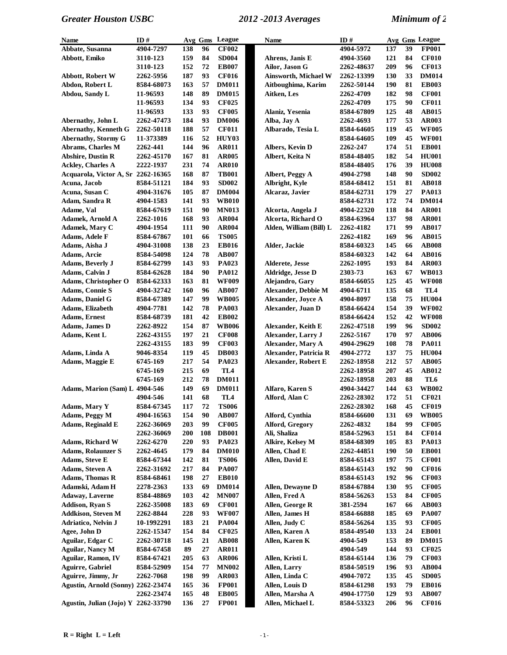| Name                                | ID#               | Avg Gms    |     | League          | <b>Name</b>                             | ID#        |     |    | Avg Gms League  |
|-------------------------------------|-------------------|------------|-----|-----------------|-----------------------------------------|------------|-----|----|-----------------|
| Abbate, Susanna                     | 4904-7297         | 138        | 96  | <b>CF002</b>    |                                         | 4904-5972  | 137 | 39 | <b>FP001</b>    |
| Abbott, Emiko                       | 3110-123          | 159        | 84  | <b>SD004</b>    | Ahrens, Janis E                         | 4904-3560  | 121 | 84 | <b>CF010</b>    |
|                                     | 3110-123          | 152        | 72  | <b>EB007</b>    | Ailor, Jason G                          | 2262-48637 | 209 | 96 | <b>CF013</b>    |
| <b>Abbott, Robert W</b>             | 2262-5956         | 187        | 93  | <b>CF016</b>    | Ainsworth, Michael W                    | 2262-13399 | 130 | 33 | <b>DM014</b>    |
| Abdon, Robert L                     | 8584-68073        | 163        | 57  | <b>DM011</b>    | Aitboughima, Karim                      | 2262-50144 | 190 | 81 | <b>EB003</b>    |
| Abdou, Sandy L                      | 11-96593          | 148        | 89  | <b>DM015</b>    | Aitken, Les                             | 2262-4709  | 182 | 98 | <b>CF001</b>    |
|                                     | 11-96593          | 134        | 93  | <b>CF025</b>    |                                         | 2262-4709  | 175 | 90 | <b>CF011</b>    |
|                                     | 11-96593          | 133        | 93  | <b>CF005</b>    | Alaniz, Yesenia                         | 8584-67809 | 125 | 48 | <b>AB015</b>    |
| Abernathy, John L                   | 2262-47473        | 184        | 93  | <b>DM006</b>    | Alba, Jay A                             | 2262-4693  | 177 | 53 | <b>AR003</b>    |
| <b>Abernathy, Kenneth G</b>         | 2262-50118        | 188        | 57  | <b>CF011</b>    | Albarado, Tesia L                       | 8584-64605 | 119 | 45 | <b>WF005</b>    |
| <b>Abernathy, Stormy G</b>          | 11-373389         | 116        | 52  | HUY03           |                                         | 8584-64605 | 109 | 45 | <b>WF001</b>    |
| Abrams, Charles M                   | 2262-441          | 144        | 96  | <b>AR011</b>    | Albers, Kevin D                         | 2262-247   | 174 | 51 | <b>EB001</b>    |
| <b>Abshire, Dustin R</b>            | 2262-45170        | 167        | 81  | <b>AR005</b>    | Albert, Keita N                         | 8584-48405 | 182 | 54 | <b>HU001</b>    |
| <b>Ackley, Charles A</b>            | 2222-1937         | 231        | 74  | <b>AR010</b>    |                                         | 8584-48405 | 176 | 39 | <b>HU008</b>    |
| Acquarola, Victor A, Sr 2262-16365  |                   | 168        | 87  | <b>TB001</b>    | Albert, Peggy A                         | 4904-2798  | 148 | 90 | <b>SD002</b>    |
| Acuna, Jacob                        | 8584-51121        | 184        | 93  | <b>SD002</b>    | Albright, Kyle                          | 8584-68412 | 151 | 81 | <b>AB018</b>    |
| Acuna, Susan C                      | 4904-31676        | 105        | 87  | <b>DM004</b>    | Alcaraz, Javier                         | 8584-62731 | 179 | 27 | PA013           |
| Adam, Sandra R                      | 4904-1583         | 141        | 93  | <b>WB010</b>    |                                         | 8584-62731 | 172 | 74 | <b>DM014</b>    |
| Adame, Val                          |                   | 151        | 90  | <b>MN013</b>    |                                         | 4904-22320 | 118 | 84 | <b>AR001</b>    |
|                                     | 8584-67619        |            |     |                 | Alcorta, Angela J<br>Alcorta, Richard O |            |     | 98 |                 |
| <b>Adamek, Arnold A</b>             | 2262-1016         | 168        | 93  | <b>AR004</b>    |                                         | 8584-63964 | 137 |    | <b>AR001</b>    |
| Adamek, Mary C                      | 4904-1954         | 111        | 90  | <b>AR004</b>    | Alden, William (Bill) L                 | 2262-4182  | 171 | 99 | <b>AB017</b>    |
| Adams, Adele F                      | 8584-67867        | 101        | 66  | <b>TS005</b>    |                                         | 2262-4182  | 169 | 96 | <b>AB015</b>    |
| Adams, Aisha J                      | 4904-31008        | 138        | 23  | <b>EB016</b>    | Alder, Jackie                           | 8584-60323 | 145 | 66 | <b>AB008</b>    |
| Adams, Arcie                        | 8584-54098        | 124        | 78  | <b>AB007</b>    |                                         | 8584-60323 | 142 | 64 | <b>AB016</b>    |
| Adams, Beverly J                    | 8584-62799        | 143        | 93  | PA023           | Alderete, Jesse                         | 2262-1095  | 193 | 84 | <b>AR003</b>    |
| Adams, Calvin J                     | 8584-62628        | 184        | 90  | <b>PA012</b>    | Aldridge, Jesse D                       | 2303-73    | 163 | 67 | <b>WB013</b>    |
| Adams, Christopher O                | 8584-62333        | 163        | 81  | <b>WF009</b>    | Alejandro, Gary                         | 8584-66055 | 125 | 45 | <b>WF008</b>    |
| <b>Adams, Connie S</b>              | 4904-32742        | 160        | 96  | <b>AB007</b>    | Alexander, Debbie M                     | 4904-6711  | 135 | 68 | TL4             |
| Adams, Daniel G                     | 8584-67389        | 147        | 99  | <b>WB005</b>    | Alexander, Joyce A                      | 4904-8097  | 158 | 75 | <b>HU004</b>    |
| Adams, Elizabeth                    | 4904-7781         | 142        | 78  | <b>PA003</b>    | Alexander, Juan D                       | 8584-66424 | 154 | 39 | <b>WF002</b>    |
| <b>Adams</b> , Ernest               | 8584-68739        | 181        | 42  | <b>EB002</b>    |                                         | 8584-66424 | 152 | 42 | <b>WF008</b>    |
| Adams, James D                      | 2262-8922         | 154        | 87  | <b>WB006</b>    | <b>Alexander, Keith E</b>               | 2262-47518 | 199 | 96 | <b>SD002</b>    |
| Adams, Kent L                       | 2262-43155        | 197        | 21  | <b>CF008</b>    | Alexander, Larry J                      | 2262-5167  | 170 | 97 | <b>AB006</b>    |
|                                     | 2262-43155        | 183        | 99  | <b>CF003</b>    | Alexander, Mary A                       | 4904-29629 | 108 | 78 | <b>PA011</b>    |
| Adams, Linda A                      | 9046-8354         | 119        | 45  | <b>DB003</b>    | Alexander, Patricia R                   | 4904-2772  | 137 | 75 | <b>HU004</b>    |
| Adams, Maggie E                     | 6745-169          | 217        | 54  | PA023           | <b>Alexander, Robert E</b>              | 2262-18958 | 212 | 57 | <b>AB005</b>    |
|                                     | 6745-169          | 215        | 69  | TL <sub>4</sub> |                                         | 2262-18958 | 207 | 45 | AB012           |
|                                     | 6745-169          | 212        | 78  | <b>DM011</b>    |                                         | 2262-18958 | 203 | 88 | TL <sub>6</sub> |
| Adams, Marion (Sam) L 4904-546      |                   | 149        | 69  | <b>DM011</b>    | Alfaro, Karen S                         | 4904-34427 | 144 | 63 | <b>WB002</b>    |
|                                     | 4904-546          | 141        | 68  | TL4             | Alford, Alan C                          | 2262-28302 | 172 | 51 | <b>CF021</b>    |
| Adams, Mary Y                       | 8584-67345        | 117        | 72  | <b>TS006</b>    |                                         | 2262-28302 | 168 | 45 | <b>CF019</b>    |
| Adams, Peggy M                      | 4904-16563        | 154        | 90  | <b>AB007</b>    | Alford, Cynthia                         | 8584-66600 | 131 | 69 | <b>WB005</b>    |
| Adams, Reginald E                   | 2262-36069        | 203        | 99  | <b>CF005</b>    | Alford, Gregory                         | 2262-4832  | 184 | 99 | <b>CF005</b>    |
|                                     | 2262-36069        | <b>200</b> | 108 | <b>DB001</b>    | Ali, Shaliza                            | 8584-52963 | 151 | 84 | <b>CF014</b>    |
| Adams, Richard W                    | 2262-6270         | 220        | 93  | PA023           | Alkire, Kelsey M                        | 8584-68309 | 105 | 83 | <b>PA013</b>    |
| <b>Adams, Rolaunzer S</b>           | 2262-4645         | 179        | 84  | <b>DM010</b>    | Allen, Chad E                           | 2262-44851 | 190 | 50 | <b>EB001</b>    |
| Adams, Steve E                      | 8584-67344        | 142        | 81  | <b>TS006</b>    | Allen, David E                          | 8584-65143 | 197 | 75 | <b>CF001</b>    |
| Adams, Steven A                     | 2262-31692        | 217        | 84  | <b>PA007</b>    |                                         | 8584-65143 | 192 | 90 | <b>CF016</b>    |
| <b>Adams, Thomas R</b>              | 8584-68461        | 198        | 27  | <b>EB010</b>    |                                         | 8584-65143 | 192 | 96 | <b>CF003</b>    |
| Adamski, Adam H                     | 2278-2363         | 133        | 69  | <b>DM014</b>    | Allen, Dewayne D                        | 8584-67884 | 130 | 95 | <b>CF005</b>    |
| <b>Adaway, Laverne</b>              | 8584-48869        | 103        | 42  | <b>MN007</b>    | Allen, Fred A                           | 8584-56263 | 153 | 84 | <b>CF005</b>    |
| <b>Addison, Ryan S</b>              | <b>2262-35008</b> | 183        | 69  | <b>CF001</b>    | Allen, George R                         | 381-2594   | 167 | 66 | <b>AB003</b>    |
| <b>Addkison, Steven M</b>           |                   | 228        | 93  | <b>WF007</b>    | Allen, James H                          |            | 185 | 69 | <b>PA007</b>    |
|                                     | 2262-8844         |            |     |                 |                                         | 8584-66888 |     |    |                 |
| Adriatico, Nelvin J                 | 10-1992291        | 183<br>154 | 21  | <b>PA004</b>    | Allen, Judy C                           | 8584-56264 | 135 | 93 | <b>CF005</b>    |
| Agee, John D                        | 2262-15347        |            | 84  | <b>CF025</b>    | Allen, Karen A                          | 8584-49540 | 133 | 24 | <b>EB001</b>    |
| Aguilar, Edgar C                    | 2262-30718        | 145        | 21  | <b>AB008</b>    | Allen, Karen K                          | 4904-549   | 153 | 89 | <b>DM015</b>    |
| <b>Aguilar, Nancy M</b>             | 8584-67458        | 89         | 27  | <b>AR011</b>    |                                         | 4904-549   | 144 | 93 | <b>CF025</b>    |
| Aguilar, Ramon, IV                  | 8584-67421        | 205        | 63  | <b>AR006</b>    | Allen, Kristi L                         | 8584-65144 | 136 | 79 | <b>CF003</b>    |
| <b>Aguirre, Gabriel</b>             | 8584-52909        | 154        | 77  | <b>MN002</b>    | Allen, Larry                            | 8584-50519 | 196 | 93 | <b>AB004</b>    |
| Aguirre, Jimmy, Jr                  | 2262-7068         | 198        | 99  | <b>AR003</b>    | Allen, Linda C                          | 4904-7072  | 135 | 45 | <b>SD005</b>    |
| <b>Agustin, Arnold (Sonny)</b>      | 2262-23474        | 165        | 36  | <b>FP001</b>    | Allen, Louis D                          | 8584-61298 | 193 | 79 | <b>EB016</b>    |
|                                     | 2262-23474        | 165        | 48  | <b>EB005</b>    | Allen, Marsha A                         | 4904-17750 | 129 | 93 | <b>AB007</b>    |
| Agustin, Julian (Jojo) Y 2262-33790 |                   | 136        | 27  | <b>FP001</b>    | Allen, Michael L                        | 8584-53323 | 206 | 96 | <b>CF016</b>    |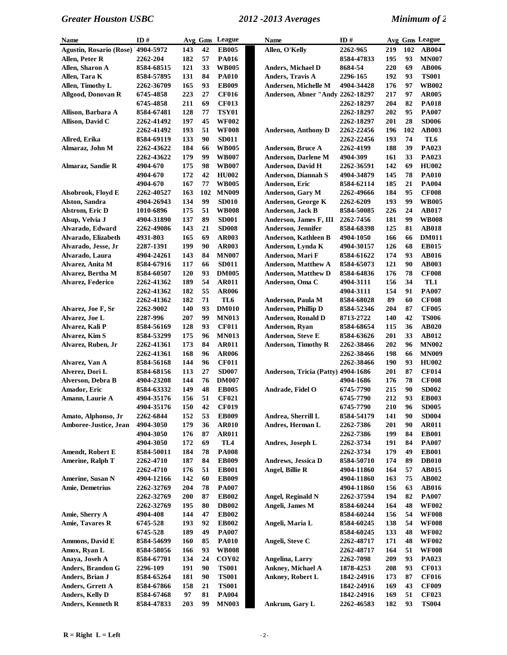| Name                               | ID#        |     |     | Avg Gms League    | <b>Name</b>                        | ID#        |     |     | Avg Gms League |
|------------------------------------|------------|-----|-----|-------------------|------------------------------------|------------|-----|-----|----------------|
| Agustin, Rosario (Rose) '4904-5972 |            | 143 | 42  | <b>EB005</b>      | Allen, O'Kelly                     | 2262-965   | 219 | 102 | <b>AB004</b>   |
| Allen, Peter R                     | 2262-204   | 182 | 57  | <b>PA016</b>      |                                    | 8584-47833 | 195 | 93  | <b>MN007</b>   |
| Allen, Sharon A                    | 8584-68515 | 121 | 33  | <b>WB005</b>      | <b>Anders, Michael D</b>           | 8684-54    | 220 | 69  | <b>AB006</b>   |
| Allen, Tara K                      | 8584-57895 | 131 | 84  | <b>PA010</b>      | <b>Anders, Travis A</b>            | 2296-165   | 192 | 93  | <b>TS001</b>   |
| Allen, Timothy L                   | 2262-36709 | 165 | 93  | <b>EB009</b>      | Andersen, Michelle M               | 4904-34428 | 176 | 97  | <b>WB002</b>   |
| <b>Allgood, Donovan R</b>          | 6745-4858  | 223 | 27  | <b>CF016</b>      | Anderson, Abner "Andy 2262-18297   |            | 217 | 97  | <b>AR005</b>   |
|                                    | 6745-4858  | 211 | 69  | <b>CF013</b>      |                                    | 2262-18297 | 204 | 82  | <b>PA018</b>   |
| Allison, Barbara A                 | 8584-67481 | 128 | 77  | <b>TSY01</b>      |                                    | 2262-18297 | 202 | 95  | <b>PA007</b>   |
| Allison, David C                   | 2262-41492 | 197 | 45  | <b>WF002</b>      |                                    | 2262-18297 | 201 | 28  | <b>SD006</b>   |
|                                    | 2262-41492 | 193 | 51  | <b>WF008</b>      | <b>Anderson, Anthony D</b>         | 2262-22456 | 196 | 102 | AB003          |
| Allred, Erika                      | 8584-69119 | 133 | 90  | <b>SD011</b>      |                                    | 2262-22456 | 193 | 74  | TL6            |
| Almaraz, John M                    | 2262-43622 | 184 | 66  | <b>WB005</b>      | <b>Anderson, Bruce A</b>           | 2262-4199  | 188 | 39  | PA023          |
|                                    | 2262-43622 | 179 | 99  | <b>WB007</b>      | <b>Anderson, Darlene M</b>         | 4904-309   | 161 | 33  | PA023          |
| Almaraz, Sandie R                  | 4904-670   | 175 | 98  | <b>WB007</b>      | <b>Anderson, David H</b>           | 2262-36591 | 142 | 69  | <b>HU002</b>   |
|                                    | 4904-670   | 172 | 42  | <b>HU002</b>      | <b>Anderson, Diannah S</b>         | 4904-34879 | 145 | 78  | <b>PA010</b>   |
|                                    | 4904-670   | 167 | 77  | <b>WB005</b>      | Anderson, Eric                     | 8584-62114 | 185 | 21  | <b>PA004</b>   |
| Alsobrook, Floyd E                 | 2262-40527 | 163 | 102 | <b>MN009</b>      | <b>Anderson, Gary M</b>            | 2262-49666 | 184 | 95  | <b>CF008</b>   |
| Alston, Sandra                     | 4904-26943 | 134 | 99  | SD010             | Anderson, George K                 | 2262-6209  | 193 | 99  | <b>WB005</b>   |
| <b>Alstrom, Eric D</b>             | 1010-6896  | 175 | 51  | <b>WB008</b>      | <b>Anderson, Jack B</b>            | 8584-50085 | 226 | 24  | <b>AB017</b>   |
| Alsup, Velvia J                    | 4904-31890 | 137 | 89  | <b>SD001</b>      | Anderson, James F, III             | 2262-7456  | 181 | 99  | <b>WB008</b>   |
| Alvarado, Edward                   | 2262-49086 | 143 | 21  | <b>SD008</b>      | <b>Anderson, Jennifer</b>          | 8584-68398 | 125 | 81  | <b>AB018</b>   |
| Alvarado, Elizabeth                | 4931-803   | 165 | 69  | <b>AR003</b>      | Anderson, Kathleen B               | 4904-1050  | 166 | 66  | <b>DM011</b>   |
| Alvarado, Jesse, Jr                | 2287-1391  | 199 | 90  | <b>AR003</b>      | Anderson, Lynda K                  | 4904-30157 | 126 | 68  | <b>EB015</b>   |
| Alvarado, Laura                    | 4904-24261 | 143 | 84  | <b>MN007</b>      | Anderson, Mari F                   | 8584-61622 | 174 | 93  | <b>AB016</b>   |
| Alvarez, Anita M                   | 8584-67916 | 117 | 66  | <b>SD011</b>      | <b>Anderson, Matthew A</b>         | 8584-65073 | 121 | 90  | <b>AB003</b>   |
| Alvarez, Bertha M                  | 8584-60507 | 120 | 93  | <b>DM005</b>      | <b>Anderson, Matthew D</b>         | 8584-64836 | 176 | 78  | <b>CF008</b>   |
| Alvarez, Federico                  | 2262-41362 | 189 | 54  | <b>AR011</b>      | Anderson, Oma C                    | 4904-3111  | 156 | 34  | TL1            |
|                                    | 2262-41362 | 182 | 55  | <b>AR006</b>      |                                    | 4904-3111  | 154 | 91  | <b>PA007</b>   |
|                                    | 2262-41362 | 182 | 71  | TL6               | Anderson, Paula M                  | 8584-68028 | 89  | 60  | <b>CF008</b>   |
| Alvarez, Joe F, Sr                 | 2262-9002  | 140 | 93  | <b>DM010</b>      | <b>Anderson, Phillip D</b>         | 8584-52346 | 204 | 87  | <b>CF005</b>   |
| Alvarez, Joe L                     | 2287-996   | 207 | 99  | <b>MN013</b>      | <b>Anderson, Ronald D</b>          | 8713-2722  | 140 | 42  | <b>TS006</b>   |
| Alvarez, Kali P                    | 8584-56169 | 128 | 93  | <b>CF011</b>      | Anderson, Ryan                     | 8584-68654 | 115 | 36  | <b>AB020</b>   |
| Alvarez, Kim S                     | 8584-53299 | 175 | 96  | <b>MN013</b>      | Anderson, Steve E                  | 8584-63626 | 201 | 33  | <b>AB012</b>   |
| Alvarez, Ruben, Jr                 | 2262-41361 | 173 | 84  | <b>AR011</b>      | <b>Anderson, Timothy R</b>         | 2262-38466 | 202 | 96  | <b>MN002</b>   |
|                                    | 2262-41361 | 168 | 96  | <b>AR006</b>      |                                    | 2262-38466 | 198 | 66  | <b>MN009</b>   |
| Alvarez, Van A                     | 8584-56168 | 144 | 96  | <b>CF011</b>      |                                    | 2262-38466 | 190 | 93  | <b>HU002</b>   |
| Alverez, Dori L                    | 8584-68156 | 113 | 27  | <b>SD007</b>      | Anderson, Tricia (Patty) 4904-1686 |            | 201 | 87  | <b>CF014</b>   |
| Alverson, Debra B                  | 4904-23208 | 144 | 76  | <b>DM007</b>      |                                    | 4904-1686  | 176 | 78  | <b>CF008</b>   |
| Amador, Eric                       | 8584-63332 | 149 | 48  | <b>EB005</b>      | Andrade, Fidel O                   | 6745-7790  | 215 | 90  | <b>SD002</b>   |
| Amann, Laurie A                    | 4904-35176 | 156 | 51  | <b>CF021</b>      |                                    | 6745-7790  | 212 | 93  | <b>EB003</b>   |
|                                    | 4904-35176 | 150 | 42  | <b>CF019</b>      |                                    | 6745-7790  | 210 | 96  | <b>SD005</b>   |
| Amato, Alphonso, Jr                | 2262-6844  | 152 | 53  | <b>EB009</b>      | Andrea, Sherrill L                 | 8584-54179 | 141 | 90  | <b>SD004</b>   |
| Amboree-Justice, Jean              | 4904-3050  | 179 | 36  | <b>AR010</b>      | Andres, Herman L                   | 2262-7386  | 201 | 90  | <b>AR011</b>   |
|                                    | 4904-3050  | 176 | 87  | <b>AR011</b>      |                                    | 2262-7386  | 199 | 84  | <b>EB001</b>   |
|                                    | 4904-3050  | 172 | 69  | TL4               | Andres, Joseph L                   | 2262-3734  | 191 | 84  | <b>PA007</b>   |
| <b>Amendt, Robert E</b>            | 8584-50011 | 184 | 78  | <b>PA008</b>      |                                    | 2262-3734  | 179 | 49  | <b>EB001</b>   |
| <b>Amerine, Ralph T</b>            | 2262-4710  | 187 | 84  | <b>EB009</b>      | <b>Andrews</b> , Jessica D         | 8584-50710 | 174 | 89  | <b>DB010</b>   |
|                                    | 2262-4710  | 176 | 51  | <b>EB001</b>      | Angel, Billie R                    | 4904-11860 | 164 | 57  | AB015          |
| <b>Amerine, Susan N</b>            | 4904-12166 | 142 | 60  | <b>EB009</b>      |                                    | 4904-11860 | 163 | 75  | AB002          |
| <b>Amie, Demetrius</b>             | 2262-32769 | 204 | 78  | <b>PA007</b>      |                                    | 4904-11860 | 156 | 63  | <b>AB016</b>   |
|                                    | 2262-32769 | 200 | 87  | <b>EB002</b>      | Angel, Reginald N                  | 2262-37594 | 194 | 82  | <b>PA007</b>   |
|                                    | 2262-32769 | 195 | 80  | <b>DB002</b>      | Angeli, James M                    | 8584-60244 | 164 | 48  | <b>WF002</b>   |
| Amie, Sherry A                     | 4904-408   | 144 | 47  | <b>EB002</b>      |                                    | 8584-60244 | 156 | 54  | <b>WF008</b>   |
| Amie, Tavares R                    | 6745-528   | 193 | 92  | <b>EB002</b>      | Angeli, Maria L                    | 8584-60245 | 138 | 54  | <b>WF008</b>   |
|                                    | 6745-528   | 189 | 49  | <b>PA007</b>      |                                    | 8584-60245 | 133 | 48  | <b>WF002</b>   |
| Ammons, David E                    | 8584-54699 | 160 | 85  | <b>PA010</b>      | Angeli, Steve C                    | 2262-48717 | 171 | 48  | <b>WF002</b>   |
| Amox, Ryan L                       | 8584-58056 | 166 | 93  | <b>WB008</b>      |                                    | 2262-48717 | 164 | 51  | <b>WF008</b>   |
| Anaya, Joseh A                     | 8584-67701 | 134 | 24  | COY <sub>02</sub> | Angelina, Larry                    | 2262-7098  | 209 | 93  | PA023          |
| Anders, Brandon G                  | 2296-109   | 191 | 90  | <b>TS001</b>      | Ankney, Michael A                  | 1878-4253  | 208 | 93  | <b>CF013</b>   |
| Anders, Brian J                    | 8584-65264 | 181 | 90  | <b>TS001</b>      | Ankney, Robert L                   | 1842-24916 | 173 | 87  | <b>CF016</b>   |
| Anders, Grrett A                   | 8584-67866 | 158 | 21  | <b>TS001</b>      |                                    | 1842-24916 | 169 | 43  | <b>CF009</b>   |
| Anders, Kelly D                    | 8584-67468 | 97  | 81  | <b>PA004</b>      |                                    | 1842-24916 | 169 | 51  | <b>CF023</b>   |
| Anders, Kenneth R                  | 8584-47833 | 203 | 99  | <b>MN003</b>      | Ankrum, Gary L                     | 2262-46583 | 182 | 93  | <b>TS004</b>   |
|                                    |            |     |     |                   |                                    |            |     |     |                |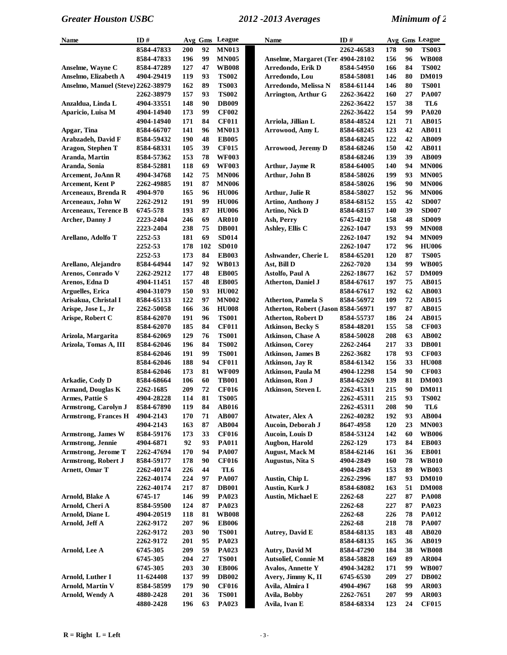| Name                               | ID#        |     |     | Avg Gms League | Name                               | ID#        |     |    | Avg Gms League |
|------------------------------------|------------|-----|-----|----------------|------------------------------------|------------|-----|----|----------------|
|                                    | 8584-47833 | 200 | 92  | <b>MN013</b>   |                                    | 2262-46583 | 178 | 90 | <b>TS003</b>   |
|                                    | 8584-47833 | 196 | 99  | <b>MN005</b>   | Anselme, Margaret (Terl 4904-28102 |            | 156 | 96 | <b>WB008</b>   |
| Anselme, Wayne C                   | 8584-47289 | 127 | 47  | <b>WB008</b>   | Arredondo, Erik D                  | 8584-54950 | 166 | 84 | <b>TS002</b>   |
| Anselmo, Elizabeth A               | 4904-29419 | 119 | 93  | <b>TS002</b>   | Arredondo, Lou                     | 8584-58081 | 146 | 80 | <b>DM019</b>   |
| Anselmo, Manuel (Steve) 2262-38979 |            | 162 | 89  | <b>TS003</b>   | Arredondo, Melissa N               | 8584-61144 | 146 | 80 | <b>TS001</b>   |
|                                    | 2262-38979 | 157 | 93  | <b>TS002</b>   | <b>Arrington, Arthur G</b>         | 2262-36422 | 160 | 27 | <b>PA007</b>   |
| Anzaldua, Linda L                  | 4904-33551 | 148 | 90  | <b>DB009</b>   |                                    | 2262-36422 | 157 | 38 | TL6            |
| Aparicio, Luisa M                  | 4904-14940 | 173 | 99  | <b>CF002</b>   |                                    | 2262-36422 | 154 | 99 | <b>PA020</b>   |
|                                    | 4904-14940 | 171 | 84  | <b>CF011</b>   | Arriola, Jillian L                 | 8584-48524 | 121 | 71 | AB015          |
| Apgar, Tina                        | 8584-66707 | 141 | 96  | <b>MN013</b>   | Arrowood, Amy L                    | 8584-68245 | 123 | 42 | AB011          |
| Arabzadeh, David F                 | 8584-59432 | 190 | 48  | <b>EB005</b>   |                                    | 8584-68245 | 122 | 42 | <b>AB009</b>   |
| Aragon, Stephen T                  | 8584-68331 | 105 | 39  | <b>CF015</b>   | <b>Arrowood, Jeremy D</b>          | 8584-68246 | 150 | 42 | <b>AB011</b>   |
| Aranda, Martin                     | 8584-57362 | 153 | 78  | <b>WF003</b>   |                                    | 8584-68246 | 139 | 39 | <b>AB009</b>   |
| Aranda, Sonia                      | 8584-52881 | 118 | 69  | <b>WF003</b>   | Arthur, Jayme R                    | 8584-64005 | 140 | 94 | <b>MN006</b>   |
| <b>Arcement, JoAnn R</b>           | 4904-34768 | 142 | 75  | <b>MN006</b>   | Arthur, John B                     | 8584-58026 | 199 | 93 | <b>MN005</b>   |
| <b>Arcement, Kent P</b>            | 2262-49885 | 191 | 87  | <b>MN006</b>   |                                    | 8584-58026 | 196 | 90 | <b>MN006</b>   |
| Arceneaux, Brenda R                | 4904-970   | 165 | 96  | <b>HU006</b>   | Arthur, Julie R                    | 8584-58027 | 152 | 96 | <b>MN006</b>   |
| Arceneaux, John W                  | 2262-2912  | 191 | 99  | <b>HU006</b>   | Artino, Anthony J                  | 8584-68152 | 155 | 42 | <b>SD007</b>   |
|                                    | 6745-578   | 193 | 87  | <b>HU006</b>   | Artino, Nick D                     |            | 140 | 39 | <b>SD007</b>   |
| <b>Arceneaux, Terence B</b>        |            | 246 | 69  | <b>AR010</b>   | Ash, Perry                         | 8584-68157 | 158 | 48 | <b>SD009</b>   |
| Archer, Danny J                    | 2223-2404  |     | 75  |                |                                    | 6745-4210  |     | 99 |                |
|                                    | 2223-2404  | 238 | 69  | <b>DB001</b>   | Ashley, Ellis C                    | 2262-1047  | 193 | 94 | <b>MN008</b>   |
| Arellano, Adolfo T                 | 2252-53    | 181 |     | <b>SD014</b>   |                                    | 2262-1047  | 192 |    | <b>MN009</b>   |
|                                    | 2252-53    | 178 | 102 | <b>SD010</b>   |                                    | 2262-1047  | 172 | 96 | <b>HU006</b>   |
|                                    | 2252-53    | 173 | 84  | <b>EB003</b>   | Ashwander, Cherie L                | 8584-65201 | 120 | 87 | <b>TS005</b>   |
| Arellano, Alejandro                | 8584-64944 | 147 | 92  | <b>WB013</b>   | Ast, Bill D                        | 2262-7020  | 134 | 99 | <b>WB005</b>   |
| Arenos, Conrado V                  | 2262-29212 | 177 | 48  | <b>EB005</b>   | <b>Astolfo, Paul A</b>             | 2262-18677 | 162 | 57 | <b>DM009</b>   |
| Arenos, Edna D                     | 4904-11451 | 157 | 48  | <b>EB005</b>   | <b>Atherton, Daniel J</b>          | 8584-67617 | 197 | 75 | <b>AB015</b>   |
| Arguelles, Erica                   | 4904-31079 | 150 | 93  | <b>HU002</b>   |                                    | 8584-67617 | 192 | 62 | <b>AB003</b>   |
| Arisakua, Christal I               | 8584-65133 | 122 | 97  | <b>MN002</b>   | <b>Atherton, Pamela S</b>          | 8584-56972 | 109 | 72 | <b>AB015</b>   |
| Arispe, Jose L, Jr                 | 2262-50058 | 166 | 36  | <b>HU008</b>   | Atherton, Robert (Jason 8584-56971 |            | 197 | 87 | AB015          |
| Arispe, Robert C                   | 8584-62070 | 191 | 96  | <b>TS001</b>   | <b>Atherton, Robert D</b>          | 8584-55737 | 186 | 24 | <b>AB015</b>   |
|                                    | 8584-62070 | 185 | 84  | <b>CF011</b>   | <b>Atkinson, Becky S</b>           | 8584-48201 | 155 | 58 | <b>CF003</b>   |
| Arizola, Margarita                 | 8584-62069 | 129 | 76  | <b>TS001</b>   | Atkinson, Chase A                  | 8584-50028 | 208 | 63 | AB002          |
| Arizola, Tomas A, III              | 8584-62046 | 196 | 84  | <b>TS002</b>   | <b>Atkinson, Corey</b>             | 2262-2464  | 217 | 33 | <b>DB001</b>   |
|                                    | 8584-62046 | 191 | 99  | <b>TS001</b>   | <b>Atkinson, James B</b>           | 2262-3682  | 178 | 93 | <b>CF003</b>   |
|                                    | 8584-62046 | 188 | 94  | <b>CF011</b>   | <b>Atkinson</b> , Jay R            | 8584-61342 | 156 | 33 | <b>HU008</b>   |
|                                    | 8584-62046 | 173 | 81  | <b>WF009</b>   | Atkinson, Paula M                  | 4904-12298 | 154 | 90 | <b>CF003</b>   |
| Arkadie, Cody D                    | 8584-68664 | 106 | 60  | <b>TB001</b>   | Atkinson, Ron J                    | 8584-62269 | 139 | 81 | <b>DM003</b>   |
| <b>Armand, Douglas K</b>           | 2262-1685  | 209 | 72  | <b>CF016</b>   | Atkinson, Steven L                 | 2262-45311 | 215 | 90 | <b>DM011</b>   |
| <b>Armes, Pattie S</b>             | 4904-28228 | 114 | 81  | <b>TS005</b>   |                                    | 2262-45311 | 215 | 93 | <b>TS002</b>   |
| Armstrong, Carolyn J               | 8584-67890 | 119 | 84  | <b>AB016</b>   |                                    | 2262-45311 | 208 | 90 | TL6            |
| <b>Armstrong, Frances H</b>        | 4904-2143  | 170 | 71  | <b>AB007</b>   | Atwater, Alex A                    | 2262-40282 | 192 | 93 | <b>AB004</b>   |
|                                    | 4904-2143  | 163 | 87  | <b>AB004</b>   | Aucoin, Deborah J                  | 8647-4958  | 120 | 23 | <b>MN003</b>   |
| <b>Armstrong, James W</b>          | 8584-59176 | 173 | 33  | <b>CF016</b>   | Aucoin, Louis D                    | 8584-53124 | 142 | 60 | <b>WB006</b>   |
| Armstrong, Jennie                  | 4904-6871  | 92  | 93  | <b>PA011</b>   | Augbon, Harold                     | 2262-129   | 173 | 84 | <b>EB003</b>   |
| <b>Armstrong, Jerome T</b>         | 2262-47694 | 170 | 94  | <b>PA007</b>   | <b>August, Mack M</b>              | 8584-62146 | 161 | 36 | <b>EB001</b>   |
| <b>Armstrong, Robert J</b>         | 8584-59177 | 178 | 90  | <b>CF016</b>   | Augustus, Nita S                   | 4904-2849  | 160 | 78 | <b>WB010</b>   |
| Arnett, Omar T                     | 2262-40174 | 226 | 44  | TL6            |                                    | 4904-2849  | 153 | 89 | <b>WB003</b>   |
|                                    | 2262-40174 | 224 | 97  | <b>PA007</b>   | Austin, Chip L                     | 2262-2996  | 187 | 93 | <b>DM010</b>   |
|                                    | 2262-40174 | 217 | 87  | <b>DB001</b>   | Austin, Kurk J                     | 8584-68082 | 163 | 51 | <b>DM008</b>   |
| Arnold, Blake A                    | 6745-17    | 146 | 99  | <b>PA023</b>   | <b>Austin, Michael E</b>           | 2262-68    | 227 | 87 | <b>PA008</b>   |
| Arnold, Cheri A                    | 8584-59500 | 124 | 87  | PA023          |                                    | 2262-68    | 227 | 87 | PA023          |
| Arnold, Diane L                    | 4904-20519 | 118 | 81  | <b>WB008</b>   |                                    | 2262-68    | 226 | 78 | <b>PA012</b>   |
| Arnold, Jeff A                     | 2262-9172  | 207 | 96  | <b>EB006</b>   |                                    | 2262-68    | 218 | 78 | <b>PA007</b>   |
|                                    | 2262-9172  | 203 | 90  | <b>TS001</b>   | <b>Autrey, David E</b>             | 8584-68135 | 183 | 48 | <b>AB020</b>   |
|                                    | 2262-9172  | 201 | 95  | <b>PA023</b>   |                                    | 8584-68135 | 165 | 36 | <b>AB019</b>   |
| Arnold, Lee A                      | 6745-305   | 209 | 59  | PA023          | Autry, David M                     | 8584-47290 | 184 | 38 | <b>WB008</b>   |
|                                    | 6745-305   | 204 | 27  | <b>TS001</b>   | <b>Autsolief, Connie M</b>         | 8584-58828 | 169 | 89 | <b>AR004</b>   |
|                                    | 6745-305   | 203 | 30  | <b>EB006</b>   | <b>Avalos, Annette Y</b>           | 4904-34282 | 171 | 99 | <b>WB007</b>   |
| Arnold, Luther I                   | 11-624408  | 137 | 99  | <b>DB002</b>   | Avery, Jimmy K, II                 | 6745-6530  | 209 | 27 | <b>DB002</b>   |
| <b>Arnold, Martin V</b>            | 8584-58599 | 179 | 90  | <b>CF016</b>   | Avila, Almira I                    | 4904-4967  | 168 | 99 | <b>AR003</b>   |
| Arnold, Wendy A                    | 4880-2428  | 201 | 36  | <b>TS001</b>   | Avila, Bobby                       | 2262-7651  | 207 | 99 | <b>AR003</b>   |
|                                    | 4880-2428  | 196 | 63  | PA023          | Avila, Ivan E                      | 8584-68334 | 123 | 24 | <b>CF015</b>   |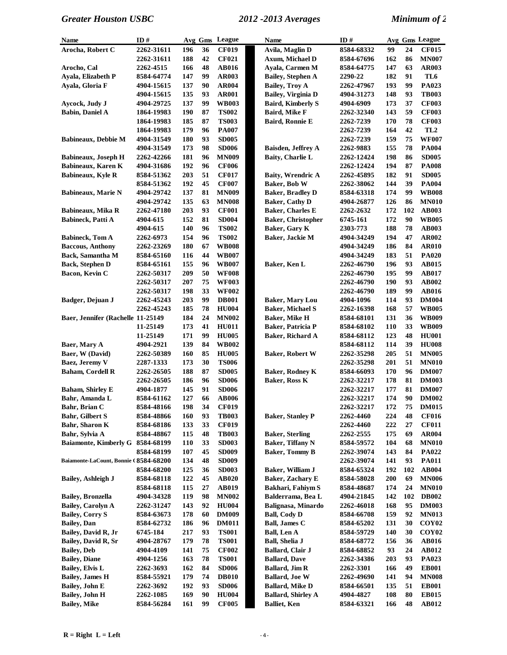| <b>Name</b>                                | ID#                     | Avg Gms    |          | League                       | Name                                           | ID#                     |            |          | Avg Gms League                         |
|--------------------------------------------|-------------------------|------------|----------|------------------------------|------------------------------------------------|-------------------------|------------|----------|----------------------------------------|
| Arocha, Robert C                           | 2262-31611              | 196        | 36       | <b>CF019</b>                 | Avila, Maglin D                                | 8584-68332              | 99         | 24       | <b>CF015</b>                           |
|                                            | 2262-31611              | 188        | 42       | <b>CF021</b>                 | Axum, Michael D                                | 8584-67696              | 162        | 86       | <b>MN007</b>                           |
| Arocho, Cal                                | 2262-4515               | 166        | 48       | <b>AB016</b>                 | Ayala, Carmen M                                | 8584-64775              | 147        | 63       | <b>AR003</b>                           |
| Ayala, Elizabeth P                         | 8584-64774              | 147        | 99       | <b>AR003</b>                 | <b>Bailey, Stephen A</b>                       | 2290-22                 | 182        | 91       | TL6                                    |
| Avala, Gloria F                            | 4904-15615              | 137        | 90       | <b>AR004</b>                 | <b>Bailey, Troy A</b>                          | 2262-47967              | 193        | 99       | PA023                                  |
|                                            | 4904-15615              | 135        | 93       | <b>AR001</b>                 | Bailey, Virginia D                             | 4904-31273              | 148        | 93       | <b>TB003</b>                           |
| Aycock, Judy J                             | 4904-29725              | 137        | 99       | <b>WB003</b>                 | <b>Baird, Kimberly S</b>                       | 4904-6909               | 173        | 37       | <b>CF003</b>                           |
| <b>Babin, Daniel A</b>                     | 1864-19983              | 190        | 87       | <b>TS002</b>                 | Baird, Mike F                                  | <b>2262-32340</b>       | 143        | 59       | <b>CF003</b>                           |
|                                            | 1864-19983              | 185        | 87       | <b>TS003</b>                 | Baird, Ronnie E                                | 2262-7239               | 170        | 78       | <b>CF003</b>                           |
|                                            | 1864-19983              | 179        | 96       | <b>PA007</b>                 |                                                | 2262-7239               | 164        | 42       | TL <sub>2</sub>                        |
| <b>Babineaux, Debbie M</b>                 | 4904-31549              | 180        | 93       | <b>SD005</b>                 |                                                | 2262-7239               | 159        | 75       | <b>WF007</b>                           |
|                                            | 4904-31549              | 173        | 98       | <b>SD006</b>                 | Baisden, Jeffrey A                             | 2262-9883               | 155        | 78       | <b>PA004</b>                           |
| <b>Babineaux, Joseph H</b>                 | 2262-42266              | 181        | 96       | <b>MN009</b>                 | Baity, Charlie L                               | 2262-12424              | 198        | 86       | <b>SD005</b>                           |
| Babineaux, Karen K                         | 4904-31686              | 192        | 96       | <b>CF006</b>                 |                                                | 2262-12424              | 194        | 87       | <b>PA008</b>                           |
| <b>Babineaux, Kyle R</b>                   | 8584-51362              | 203        | 51       | <b>CF017</b>                 | <b>Baity, Wrendric A</b>                       | 2262-45895              | 182        | 91       | <b>SD005</b>                           |
|                                            | 8584-51362              | 192        | 45       | <b>CF007</b>                 | Baker, Bob W                                   | 2262-38062              | 144        | 39       | <b>PA004</b>                           |
| <b>Babineaux, Marie N</b>                  | 4904-29742              | 137        | 81       | <b>MN009</b>                 | <b>Baker, Bradley D</b>                        | 8584-63318              | 174        | 99       | <b>WB008</b>                           |
|                                            | 4904-29742              | 135        | 63       | <b>MN008</b>                 | <b>Baker, Cathy D</b>                          | 4904-26877              | 126        | 86       | <b>MN010</b>                           |
| Babineaux, Mika R                          | 2262-47180              | 203        | 93       | <b>CF001</b>                 | <b>Baker, Charles E</b>                        | 2262-2632               | 172        | 102      | <b>AB003</b>                           |
| <b>Babineck</b> , Patti A                  | 4904-615                | 152        | 81       | <b>SD004</b>                 | <b>Baker, Christopher</b>                      | 6745-161                | 172        | 90       | <b>WB005</b>                           |
|                                            | 4904-615                | 140        | 96       | <b>TS002</b>                 | Baker, Gary K                                  | 2303-773                | 188        | 78       | <b>AB003</b>                           |
| <b>Babineck, Tom A</b>                     | 2262-6973               | 154        | 96       | <b>TS002</b>                 | Baker, Jackie M                                | 4904-34249              | 194        | 47       | <b>AR002</b>                           |
| <b>Baccous, Anthony</b>                    | 2262-23269              | 180        | 67       | <b>WB008</b>                 |                                                | 4904-34249              | 186        | 84       | <b>AR010</b>                           |
| Back, Samantha M                           | 8584-65160              | 116        | 44       | <b>WB007</b>                 |                                                | 4904-34249              | 183        | 51       | <b>PA020</b>                           |
| <b>Back, Stephen D</b>                     | 8584-65161              | 155        | 96       | <b>WB007</b>                 | Baker, Ken L                                   | 2262-46790              | 196        | 93       | <b>AB015</b>                           |
| Bacon, Kevin C                             | 2262-50317              | 209        | 50       | <b>WF008</b>                 |                                                | <b>2262-46790</b>       | 195        | 99       | <b>AB017</b>                           |
|                                            | 2262-50317              | 207        | 75       | <b>WF003</b>                 |                                                | <b>2262-46790</b>       | 190        | 93       | <b>AB002</b>                           |
|                                            | 2262-50317              | 198        | 33       | <b>WF002</b>                 |                                                | <b>2262-46790</b>       | 189        | 99       | <b>AB016</b>                           |
| Badger, Dejuan J                           | 2262-45243              | 203        | 99       | <b>DB001</b>                 | <b>Baker, Mary Lou</b>                         | 4904-1096               | 114        | 93       | <b>DM004</b>                           |
|                                            | 2262-45243              | 185        | 78       | <b>HU004</b>                 | <b>Baker, Michael S</b>                        | 2262-16398              | 168        | 57       | <b>WB005</b>                           |
| Baer, Jennifer (Rachelle 11-25149          |                         | 184        | 24       | <b>MN002</b>                 | <b>Baker</b> , Mike H                          | 8584-68101              | 131        | 36       | <b>WB009</b>                           |
|                                            | 11-25149                | 173        | 41       | <b>HU011</b>                 | Baker, Patricia P                              | 8584-68102              | 110        | 33       | <b>WB009</b>                           |
|                                            | 11-25149                | 171        | 99       | <b>HU005</b>                 | Baker, Richard A                               | 8584-68112              | 123        | 48       | <b>HU001</b>                           |
| Baer, Mary A                               | 4904-2921               | 139        | 84       | <b>WB002</b>                 |                                                | 8584-68112              | 114        | 39       | <b>HU008</b>                           |
| Baer, W (David)                            | 2262-50389              | 160        | 85       | <b>HU005</b>                 | <b>Baker, Robert W</b>                         | 2262-35298              | 205        | 51       | <b>MN005</b>                           |
| Baez, Jeremy V                             | 2287-1333               | 173        | 30       | <b>TS006</b>                 |                                                | 2262-35298              | 201        | 51       | <b>MN010</b>                           |
| <b>Baham, Cordell R</b>                    | 2262-26505              | 188        | 87       | <b>SD005</b>                 | <b>Baker, Rodney K</b>                         | 8584-66093              | 170        | 96       | <b>DM007</b>                           |
|                                            | 2262-26505              | 186        | 96       | <b>SD006</b>                 | Baker, Ross K                                  | 2262-32217              | 178        | 81       | <b>DM003</b>                           |
| <b>Baham, Shirley E</b>                    | 4904-1877               | 145        | 91       | <b>SD006</b>                 |                                                | 2262-32217              | 177        | 81       | <b>DM007</b>                           |
| Bahr, Amanda L                             | 8584-61162              | 127        | 66       | <b>AB006</b>                 |                                                | 2262-32217              | 174        | 90       | <b>DM002</b>                           |
| Bahr, Brian C                              | 8584-48166              | 198        | 34       | <b>CF019</b>                 |                                                | 2262-32217              | 172        | 75       | <b>DM015</b>                           |
| <b>Bahr, Gilbert S</b>                     | 8584-48866              | 160        | 93       | <b>TB003</b>                 | <b>Baker, Stanley P</b>                        | 2262-4460               | 224        | 48       | <b>CF016</b>                           |
| Bahr, Sharon K                             | 8584-68186              | 133        | 33       | <b>CF019</b>                 |                                                | 2262-4460               | 222        | 27       | <b>CF011</b>                           |
| Bahr, Sylvia A                             | 8584-48867              | 115        | 48       | <b>TB003</b>                 | <b>Baker, Sterling</b>                         | 2262-2555               | 175        | 69       | <b>AR004</b>                           |
| <b>Baiamonte, Kimberly G</b>               | 8584-68199              | 110        | 33       | <b>SD003</b>                 | Baker, Tiffany N                               | 8584-59572              | 104        | 68       | <b>MN010</b>                           |
|                                            | 8584-68199              | 107        | 45       | <b>SD009</b>                 | <b>Baker, Tommy B</b>                          | 2262-39074              | 143        | 84       | <b>PA022</b>                           |
| Baiamonte-LaCount, Bonnie (8584-68200      |                         | 134        | 48       | <b>SD009</b>                 |                                                | 2262-39074              | 141        | 93       | <b>PA011</b>                           |
|                                            | 8584-68200              | 125        | 36       | <b>SD003</b>                 | Baker, William J                               | 8584-65324              | 192        | 102      | <b>AB004</b>                           |
| <b>Bailey, Ashleigh J</b>                  | 8584-68118              | 122        | 45       | <b>AB020</b>                 | Baker, Zachary E                               | 8584-58028              | 200        | 69       | <b>MN006</b><br><b>MN010</b>           |
|                                            | 8584-68118              | 115        | 27       | <b>AB019</b>                 | Bakhari, Fahiym S                              | 8584-48687              | 174        | 24       |                                        |
| <b>Bailey, Bronzella</b>                   | 4904-34328              | 119        | 98       | <b>MN002</b>                 | Balderrama, Bea L<br>Balignasa, Minardo        | 4904-21845              | 142        | 102      | <b>DB002</b><br><b>DM003</b>           |
| Bailey, Carolyn A                          | 2262-31247              | 143        | 92<br>60 | <b>HU004</b>                 |                                                | <b>2262-46018</b>       | 168<br>159 | 95<br>92 | <b>MN013</b>                           |
| <b>Bailey, Corry S</b>                     | 8584-63673              | 178        |          | <b>DM009</b>                 | <b>Ball, Cody D</b>                            | 8584-66708              |            |          |                                        |
| <b>Bailey</b> , Dan<br>Bailey, David R, Jr | 8584-62732              | 186<br>217 | 96<br>93 | <b>DM011</b><br><b>TS001</b> | Ball, James C<br>Ball, Len A                   | 8584-65202              | 131<br>140 | 30<br>30 | COY <sub>02</sub><br>COY <sub>02</sub> |
|                                            | 6745-184                |            |          |                              |                                                | 8584-59729              |            |          |                                        |
| Bailey, David R, Sr                        | 4904-28767              | 179        | 78       | <b>TS001</b>                 | Ball, Shelia J                                 | 8584-68772              | 156<br>93  | 36<br>24 | <b>AB016</b><br>AB012                  |
| <b>Bailey, Deb</b>                         | 4904-4109               | 141<br>163 | 75<br>78 | <b>CF002</b>                 | Ballard, Clair J                               | 8584-68852              | 203        | 93       | PA023                                  |
| <b>Bailey, Diane</b>                       | 4904-1256               | 162        | 84       | <b>TS001</b>                 | <b>Ballard, Dave</b>                           | 2262-34386              | 166        | 49       | <b>EB001</b>                           |
| Bailey, Elvis L<br><b>Bailey, James H</b>  | 2262-3693<br>8584-55921 | 179        | 74       | <b>SD006</b><br><b>DB010</b> | <b>Ballard, Jim R</b><br><b>Ballard, Joe W</b> | 2262-3301<br>2262-49690 | 141        | 94       | <b>MN008</b>                           |
| <b>Bailey, John E</b>                      | 2262-3692               | 192        | 93       | <b>SD006</b>                 | <b>Ballard, Mike D</b>                         | 8584-66501              | 135        | 51       | <b>EB001</b>                           |
| Bailey, John H                             | 2262-1085               | 169        | 90       | <b>HU004</b>                 | <b>Ballard, Shirley A</b>                      | 4904-4827               | 108        | 80       | <b>EB015</b>                           |
| <b>Bailey, Mike</b>                        | 8584-56284              | 161        | 99       | <b>CF005</b>                 | <b>Balliet</b> , Ken                           | 8584-63321              | 166        | 48       | <b>AB012</b>                           |
|                                            |                         |            |          |                              |                                                |                         |            |          |                                        |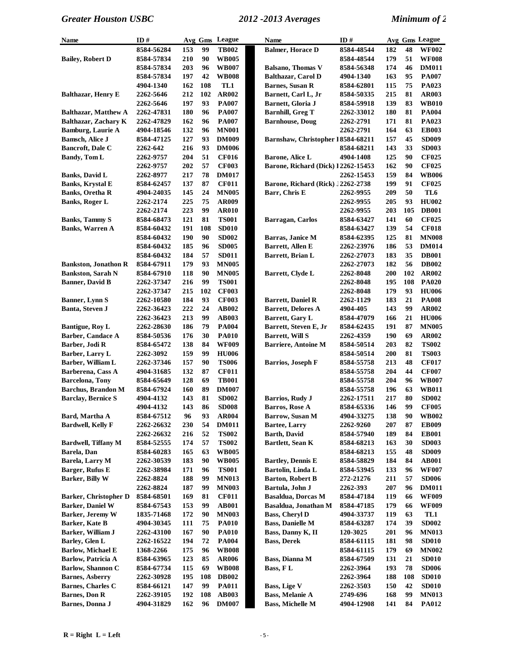| Name                         | ID#        |     |     | Avg Gms League | <b>Name</b>                        | ID#        |     |     | Avg Gms League |
|------------------------------|------------|-----|-----|----------------|------------------------------------|------------|-----|-----|----------------|
|                              | 8584-56284 | 153 | 99  | <b>TB002</b>   | <b>Balmer</b> , Horace D           | 8584-48544 | 182 | 48  | <b>WF002</b>   |
| <b>Bailey, Robert D</b>      | 8584-57834 | 210 | 90  | <b>WB005</b>   |                                    | 8584-48544 | 179 | 51  | <b>WF008</b>   |
|                              | 8584-57834 | 203 | 96  | <b>WB007</b>   | <b>Balsano, Thomas V</b>           | 8584-56348 | 174 | 46  | <b>DM011</b>   |
|                              | 8584-57834 | 197 | 42  | <b>WB008</b>   | <b>Balthazar, Carol D</b>          | 4904-1340  | 163 | 95  | <b>PA007</b>   |
|                              | 4904-1340  | 162 | 108 | TL1            | <b>Barnes, Susan R</b>             | 8584-62801 | 115 | 75  | PA023          |
| Balthazar, Henry E           | 2262-5646  | 212 | 102 | AR002          | Barnett, Carl L, Jr                | 8584-50335 | 215 | 81  | AR003          |
|                              | 2262-5646  | 197 | 93  | <b>PA007</b>   | Barnett, Gloria J                  | 8584-59918 | 139 | 83  | <b>WB010</b>   |
| <b>Balthazar, Matthew A</b>  | 2262-47831 | 180 | 96  | <b>PA007</b>   | <b>Barnhill, Greg T</b>            | 2262-33012 | 180 | 81  | <b>PA004</b>   |
| Balthazar, Zachary K         | 2262-47829 | 162 | 96  | <b>PA007</b>   | <b>Barnhouse, Doug</b>             | 2262-2791  | 171 | 81  | PA023          |
| <b>Bamburg, Laurie A</b>     | 4904-18546 | 132 | 96  | <b>MN001</b>   |                                    | 2262-2791  | 164 | 63  | <b>EB003</b>   |
| <b>Bamsch, Alice J</b>       | 8584-47125 | 127 | 93  | <b>DM009</b>   | Barnshaw, Christopher 18584-68211  |            | 157 | 45  | <b>SD009</b>   |
| Bancroft, Dale C             | 2262-642   | 216 | 93  | <b>DM006</b>   |                                    | 8584-68211 | 143 | 33  | <b>SD003</b>   |
| <b>Bandy, Tom L</b>          | 2262-9757  | 204 | 51  | <b>CF016</b>   | Barone, Alice L                    | 4904-1408  | 125 | 90  | <b>CF025</b>   |
|                              | 2262-9757  | 202 | 57  | <b>CF003</b>   | Barone, Richard (Dick) 12262-15453 |            | 162 | 90  | <b>CF025</b>   |
| <b>Banks, David L</b>        | 2262-8977  | 217 | 78  | <b>DM017</b>   |                                    | 2262-15453 | 159 | 84  | <b>WB006</b>   |
| <b>Banks, Krystal E</b>      | 8584-62457 | 137 | 87  | <b>CF011</b>   | Barone, Richard (Rick) J2262-2738  |            | 199 | 91  | <b>CF025</b>   |
| <b>Banks, Oretha R</b>       | 4904-24035 | 145 | 24  | <b>MN005</b>   | Barr, Chris E                      | 2262-9955  | 209 | 50  | TL6            |
| <b>Banks, Roger L</b>        | 2262-2174  | 225 | 75  | AR009          |                                    | 2262-9955  | 205 | 93  | <b>HU002</b>   |
|                              | 2262-2174  | 223 | 99  | <b>AR010</b>   |                                    | 2262-9955  | 203 | 105 | <b>DB001</b>   |
| <b>Banks, Tammy S</b>        | 8584-68473 | 121 | 81  | <b>TS001</b>   | Barragan, Carlos                   | 8584-63427 | 141 | 60  | <b>CF025</b>   |
| <b>Banks</b> , Warren A      | 8584-60432 | 191 | 108 | <b>SD010</b>   |                                    | 8584-63427 | 139 | 54  | <b>CF018</b>   |
|                              | 8584-60432 | 190 | 90  | <b>SD002</b>   | Barras, Janice M                   | 8584-62395 | 125 | 81  | <b>MN008</b>   |
|                              |            | 185 | 96  | <b>SD005</b>   | Barrett, Allen E                   |            | 186 | 53  | <b>DM014</b>   |
|                              | 8584-60432 |     |     |                |                                    | 2262-23976 |     | 35  |                |
|                              | 8584-60432 | 184 | 57  | <b>SD011</b>   | Barrett, Brian L                   | 2262-27073 | 183 |     | <b>DB001</b>   |
| <b>Bankston, Jonathon R</b>  | 8584-67911 | 179 | 93  | <b>MN005</b>   |                                    | 2262-27073 | 182 | 56  | <b>DB002</b>   |
| <b>Bankston, Sarah N</b>     | 8584-67910 | 118 | 90  | <b>MN005</b>   | Barrett, Clyde L                   | 2262-8048  | 200 | 102 | <b>AR002</b>   |
| <b>Banner</b> , David B      | 2262-37347 | 216 | 99  | <b>TS001</b>   |                                    | 2262-8048  | 195 | 108 | <b>PA020</b>   |
|                              | 2262-37347 | 215 | 102 | <b>CF003</b>   |                                    | 2262-8048  | 179 | 93  | <b>HU006</b>   |
| <b>Banner</b> , Lynn S       | 2262-10580 | 184 | 93  | <b>CF003</b>   | <b>Barrett, Daniel R</b>           | 2262-1129  | 183 | 21  | <b>PA008</b>   |
| Banta, Steven J              | 2262-36423 | 222 | 24  | <b>AB002</b>   | <b>Barrett, Delores A</b>          | 4904-405   | 143 | 99  | <b>AR002</b>   |
|                              | 2262-36423 | 213 | 99  | <b>AB003</b>   | Barrett, Gary L                    | 8584-47079 | 166 | 21  | <b>HU006</b>   |
| Bantigue, Roy L              | 2262-28630 | 186 | 79  | <b>PA004</b>   | Barrett, Steven E, Jr              | 8584-62435 | 191 | 87  | <b>MN005</b>   |
| Barber, Candace A            | 8584-50536 | 176 | 30  | <b>PA010</b>   | <b>Barrett, Will S</b>             | 2262-4359  | 190 | 69  | <b>AR002</b>   |
| Barber, Jodi R               | 8584-65472 | 138 | 84  | <b>WF009</b>   | <b>Barriere, Antoine M</b>         | 8584-50514 | 203 | 82  | <b>TS002</b>   |
| Barber, Larry L              | 2262-3092  | 159 | 99  | <b>HU006</b>   |                                    | 8584-50514 | 200 | 81  | <b>TS003</b>   |
| Barber, William L            | 2262-37346 | 157 | 90  | <b>TS006</b>   | <b>Barrios</b> , Joseph F          | 8584-55758 | 213 | 48  | <b>CF017</b>   |
| Barberena, Cass A            | 4904-31685 | 132 | 87  | <b>CF011</b>   |                                    | 8584-55758 | 204 | 44  | <b>CF007</b>   |
| <b>Barcelona</b> , Tony      | 8584-65649 | 128 | 69  | <b>TB001</b>   |                                    | 8584-55758 | 204 | 96  | <b>WB007</b>   |
| <b>Barchus, Brandon M</b>    | 8584-67924 | 160 | 89  | <b>DM007</b>   |                                    | 8584-55758 | 196 | 63  | <b>WB011</b>   |
| <b>Barclay, Bernice S</b>    | 4904-4132  | 143 | 81  | <b>SD002</b>   | <b>Barrios, Rudy J</b>             | 2262-17511 | 217 | 80  | <b>SD002</b>   |
|                              | 4904-4132  | 143 | 86  | <b>SD008</b>   | Barros, Rose A                     | 8584-65336 | 146 | 99  | <b>CF005</b>   |
| Bard, Martha A               | 8584-67512 | 96  | 93  | <b>AR004</b>   | Barrow, Susan M                    | 4904-33275 | 138 | 90  | <b>WB002</b>   |
| <b>Bardwell, Kelly F</b>     | 2262-26632 | 230 | 54  | <b>DM011</b>   | <b>Bartee, Larry</b>               | 2262-9260  | 207 | 87  | <b>EB009</b>   |
|                              | 2262-26632 | 216 | 52  | <b>TS002</b>   | <b>Barth, David</b>                | 8584-57940 | 189 | 84  | <b>EB001</b>   |
| <b>Bardwell, Tiffany M</b>   | 8584-52555 | 174 | 57  | <b>TS002</b>   | Bartlett, Sean K                   | 8584-68213 | 163 | 30  | <b>SD003</b>   |
| Barela, Dan                  | 8584-60283 | 165 | 63  | <b>WB005</b>   |                                    | 8584-68213 | 155 | 48  | <b>SD009</b>   |
| Barela, Larry M              | 2262-30539 | 183 | 90  | <b>WB005</b>   | <b>Bartley, Dennis E</b>           | 8584-58829 | 184 | 84  | <b>AB001</b>   |
| Barger, Rufus E              | 2262-38984 | 171 | 96  | <b>TS001</b>   | Bartolin, Linda L                  | 8584-53945 | 133 | 96  | <b>WF007</b>   |
| Barker, Billy W              | 2262-8824  | 188 | 99  | <b>MN013</b>   | <b>Barton, Robert B</b>            | 272-21276  | 211 | 57  | <b>SD006</b>   |
|                              | 2262-8824  | 187 | 99  | <b>MN003</b>   | Bartula, John J                    | 2262-393   | 207 | 96  | <b>DM011</b>   |
| <b>Barker, Christopher D</b> | 8584-68501 | 169 | 81  | <b>CF011</b>   | <b>Basaldua, Dorcas M</b>          | 8584-47184 | 119 | 66  | <b>WF009</b>   |
| <b>Barker, Daniel W</b>      | 8584-67543 | 153 | 99  | <b>AB001</b>   | Basaldua, Jonathan M               | 8584-47185 | 179 | 66  | <b>WF009</b>   |
| Barker, Jeremy W             | 1835-71468 | 172 | 90  | <b>MN003</b>   | <b>Bass, Cheryl D</b>              | 4904-33737 | 119 | 63  | TL1            |
| Barker, Kate B               | 4904-30345 | 111 | 75  | <b>PA010</b>   | <b>Bass, Danielle M</b>            | 8584-63287 | 174 | 39  | <b>SD002</b>   |
| Barker, William J            | 2262-43100 | 167 | 90  | <b>PA010</b>   | Bass, Danny K, II                  | 120-3025   | 201 | 96  | <b>MN013</b>   |
| Barley, Glen L               | 2262-16522 | 194 | 72  | <b>PA004</b>   | <b>Bass, Derek</b>                 | 8584-61115 | 181 | 98  | <b>SD010</b>   |
| <b>Barlow, Michael E</b>     | 1368-2266  | 175 | 96  | <b>WB008</b>   |                                    | 8584-61115 | 179 | 69  | <b>MN002</b>   |
| Barlow, Patricia A           | 8584-63965 | 123 | 85  | <b>AR006</b>   | Bass, Dianna M                     | 8584-67509 | 131 | 21  | <b>SD010</b>   |
| Barlow, Shannon C            | 8584-67734 | 115 | 69  | <b>WB008</b>   | Bass, FL                           | 2262-3964  | 193 | 78  | <b>SD006</b>   |
| <b>Barnes, Asberry</b>       | 2262-30928 | 195 | 108 | <b>DB002</b>   |                                    | 2262-3964  | 188 | 108 | <b>SD010</b>   |
| <b>Barnes, Charles C</b>     | 8584-66121 | 147 | 99  | <b>PA011</b>   | <b>Bass, Lige V</b>                | 2262-3503  | 150 | 42  | <b>SD010</b>   |
| <b>Barnes, Don R</b>         | 2262-39105 | 192 | 108 | <b>AB003</b>   | <b>Bass, Melanie A</b>             | 2749-696   | 168 | 99  | <b>MN013</b>   |
| Barnes, Donna J              | 4904-31829 | 162 | 96  | <b>DM007</b>   | <b>Bass, Michelle M</b>            | 4904-12908 | 141 | 84  | <b>PA012</b>   |
|                              |            |     |     |                |                                    |            |     |     |                |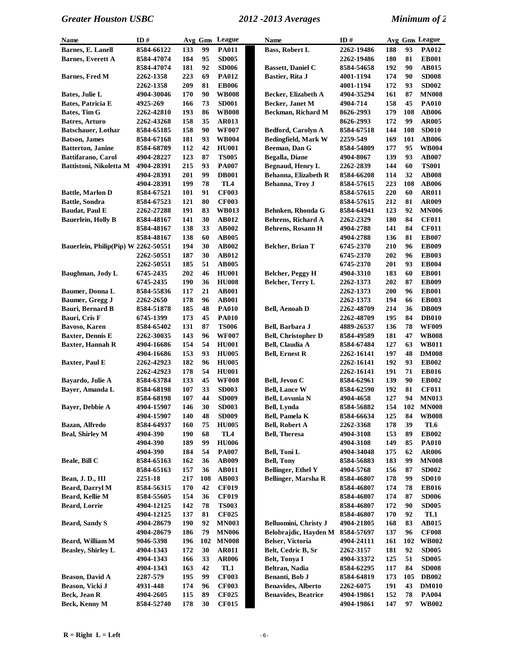| Name                                | ID#                    | Avg Gms    |          | League              | Name                            | ID#                      |            |          | Avg Gms League               |
|-------------------------------------|------------------------|------------|----------|---------------------|---------------------------------|--------------------------|------------|----------|------------------------------|
| Barnes, E. Lanell                   | 8584-66122             | 133        | 99       | PA011               | <b>Bass, Robert L</b>           | 2262-19486               | 188        | 93       | PA012                        |
| <b>Barnes, Everett A</b>            | 8584-47074             | 184        | 95       | <b>SD005</b>        |                                 | 2262-19486               | 180        | 81       | <b>EB001</b>                 |
|                                     | 8584-47074             | 181        | 92       | <b>SD006</b>        | <b>Bassett, Daniel C</b>        | 8584-54658               | 192        | 90       | <b>AB015</b>                 |
| <b>Barnes, Fred M</b>               | 2262-1358              | 223        | 69       | <b>PA012</b>        | Bastier, Rita J                 | 4001-1194                | 174        | 90       | <b>SD008</b>                 |
|                                     | 2262-1358              | 209        | 81       | <b>EB006</b>        |                                 | 4001-1194                | 172        | 93       | <b>SD002</b>                 |
| Bates, Julie L                      | 4904-30046             | 170        | 90       | <b>WB008</b>        | Becker, Elizabeth A             | 4904-35294               | 161        | 87       | <b>MN008</b>                 |
| Bates, Patricia E                   | 4925-269               | 166        | 73       | <b>SD001</b>        | Becker, Janet M                 | 4904-714                 | 158        | 45       | <b>PA010</b>                 |
| Bates, Tim G                        | <b>2262-42810</b>      | 193        | 86       | <b>WB008</b>        | Beckman, Richard M              | 8626-2993                | 179        | 108      | <b>AB006</b>                 |
| Batres, Arturo                      | 2262-43268             | 158        | 35       | <b>AR013</b>        |                                 | 8626-2993                | 172        | 99       | <b>AR005</b>                 |
| <b>Batschauer</b> , Lothar          | 8584-65185             | 158        | 90       | <b>WF007</b>        | <b>Bedford, Carolyn A</b>       | 8584-67518               | 144        | 108      | <b>SD010</b>                 |
| <b>Batson, James</b>                | 8584-67168             | 181        | 93       | <b>WB004</b>        | <b>Bedingfield, Mark W</b>      | 2259-549                 | 169        | 101      | <b>AB006</b>                 |
| <b>Batterton</b> , Janine           | 8584-68789             | 112        | 42       | <b>HU001</b>        | Beeman, Dan G                   | 8584-54809               | 177        | 95       | <b>WB004</b>                 |
| Battifarano, Carol                  | 4904-28227             | 123        | 87       | <b>TS005</b>        | Begalla, Diane                  | 4904-8067                | 139        | 93       | <b>AB007</b>                 |
| Battistoni, Nikoletta M             | 4904-28391             | 215        | 93       | <b>PA007</b>        | <b>Begnaud, Henry L</b>         | 2262-2839                | 144        | 60       | <b>TS001</b>                 |
|                                     | 4904-28391             | 201        | 99       | <b>DB001</b>        | Behanna, Elizabeth R            | 8584-66208               | 114        | 32       | <b>AB008</b>                 |
|                                     | 4904-28391             | 199        | 78       | TL <sub>4</sub>     | Behanna, Troy J                 | 8584-57615               | 223        | 108      | <b>AB006</b>                 |
| <b>Battle, Marlon D</b>             | 8584-67521             | 101        | 91       | <b>CF003</b>        |                                 | 8584-57615               | 220        | 60       | <b>AR011</b>                 |
| <b>Battle, Sondra</b>               | 8584-67523             | 121        | 80       | <b>CF003</b>        |                                 | 8584-57615               | 212        | 81       | <b>AR009</b>                 |
| <b>Baudat</b> , Paul E              | 2262-27288             | 191        | 83       | <b>WB013</b>        | Behnken, Rhonda G               | 8584-64941               | 123        | 92       | <b>MN006</b>                 |
| <b>Bauerlein, Holly B</b>           | 8584-48167             | 141        | 30       | <b>AB012</b>        | <b>Behrens, Richard A</b>       | 2262-2329                | 180        | 84       | <b>CF011</b>                 |
|                                     | 8584-48167             | 138        | 33       | <b>AB002</b>        | <b>Behrens, Rosann H</b>        | 4904-2788                | 141        | 84       | <b>CF011</b>                 |
|                                     | 8584-48167             | 138        | 60       | <b>AB005</b>        |                                 | 4904-2788                | 136        | 81       | <b>EB007</b>                 |
| Bauerlein, Philip(Pip) W 2262-50551 |                        | 194        | 30       | <b>AB002</b>        | Belcher, Brian T                | 6745-2370                | 210        | 96       | <b>EB009</b>                 |
|                                     | 2262-50551             | 187        | 30       | <b>AB012</b>        |                                 | 6745-2370                | 202        | 96       | <b>EB003</b>                 |
|                                     | 2262-50551             | 185        | 51       | <b>AB005</b>        |                                 | 6745-2370                | 201        | 93       | <b>EB004</b>                 |
| Baughman, Jody L                    | 6745-2435              | 202        | 46       | <b>HU001</b>        | Belcher, Peggy H                | 4904-3310                | 183        | 60       | <b>EB001</b>                 |
|                                     | 6745-2435              | 190        | 36       | <b>HU008</b>        | Belcher, Terry L                | 2262-1373                | 202        | 87       | <b>EB009</b>                 |
| Baumer, Donna L                     | 8584-55836             | 117        | 21       | <b>AB001</b>        |                                 | 2262-1373                | 200        | 96       | <b>EB001</b>                 |
| Baumer, Gregg J                     | 2262-2650              | 178        | 96       | <b>AB001</b>        |                                 | 2262-1373                | 194        | 66       | <b>EB003</b>                 |
| Bauri, Bernard B                    | 8584-51878             | 185        | 48       | <b>PA010</b>        | <b>Bell, Aenoah D</b>           | 2262-48709               | 214        | 36       | <b>DB009</b>                 |
| Bauri, Cris F                       | 6745-1399              | 173        | 45       | <b>PA010</b>        |                                 | 2262-48709               | 195        | 84       | <b>DB010</b>                 |
| Bavoso, Karen                       | 8584-65402             | 131        | 87       | <b>TS006</b>        | Bell, Barbara J                 | 4889-26537               | 136        | 78       | <b>WF009</b>                 |
| <b>Baxter, Dennis E</b>             | 2262-30035             | 143        | 96       | <b>WF007</b>        | <b>Bell, Christopher D</b>      | 8584-49589               | 181        | 47       | <b>WB008</b>                 |
| <b>Baxter, Hannah R</b>             | 4904-16686             | 154        | 54       | <b>HU001</b>        | <b>Bell, Claudia A</b>          | 8584-67484               | 127        | 63       | <b>WB011</b>                 |
|                                     | 4904-16686             | 153        | 93       | <b>HU005</b>        | <b>Bell, Ernest R</b>           | 2262-16141               | 197        | 48       | <b>DM008</b>                 |
| Baxter, Paul E                      | 2262-42923             | 182        | 96       | <b>HU005</b>        |                                 | 2262-16141               | 192        | 93       | <b>EB002</b>                 |
|                                     | 2262-42923             | 178        | 54       | <b>HU001</b>        |                                 | 2262-16141               | 191        | 71       | <b>EB016</b>                 |
| Bayardo, Julie A                    | 8584-63784             | 133        | 45       | <b>WF008</b>        | Bell, Jevon C                   | 8584-62961               | 139        | 90       | <b>EB002</b>                 |
| Bayer, Amanda L                     | 8584-68198             | 107        | 33       | <b>SD003</b>        | <b>Bell, Lance W</b>            | 8584-62590               | 192        | 81       | <b>CF011</b>                 |
|                                     | 8584-68198             | 107        | 44       | <b>SD009</b>        | <b>Bell, Lovunia N</b>          | 4904-4658                | 127        | 94       | <b>MN013</b>                 |
| Bayer, Debbie A                     | 4904-15907             | 146        | 30       | <b>SD003</b>        | Bell, Lynda                     | 8584-56882               | 154        |          | 102 MN008                    |
|                                     | 4904-15907             | 140        | 48       | <b>SD009</b>        | <b>Bell, Pamela K</b>           | 8584-66634               | 125        | 84       | <b>WB008</b>                 |
| Bazan, Alfredo                      | 8584-64937             | 160        | 75       | <b>HU005</b>        | <b>Bell, Robert A</b>           | 2262-3368                | 178        | 39       | TL6                          |
| <b>Beal, Shirley M</b>              | 4904-390               | 190        | 68       | TL4                 | <b>Bell, Theresa</b>            | 4904-3108                | 153        | 89       | <b>EB002</b>                 |
|                                     | 4904-390               | 189        | 99       | <b>HU006</b>        |                                 | 4904-3108                | 149        | 85       | <b>PA010</b>                 |
|                                     | 4904-390               | 184        | 54       | <b>PA007</b>        | Bell, Toni L                    | 4904-34048               | 175        | 62       | <b>AR006</b>                 |
| Beale, Bill C                       | 8584-65163             | 162        | 36       | AB009               | <b>Bell, Tony</b>               | 8584-56883               | 183        | 99       | <b>MN008</b>                 |
|                                     | 8584-65163             | 157        | 36       | <b>AB011</b>        | <b>Bellinger, Ethel Y</b>       | 4904-5768                | 156        | 87       | <b>SD002</b>                 |
| Bean, J. D., III                    | 2251-18                | 217        | 108      | <b>AB003</b>        | <b>Bellinger, Marsha R</b>      | 8584-46807               | 178        | 99       | <b>SD010</b>                 |
| Beard, Darryl M                     | 8584-56315             | 170        | 42       | <b>CF019</b>        |                                 | 8584-46807               | 174        | 78       | <b>EB016</b>                 |
| Beard, Kellie M                     | 8584-55605             | 154        | 36       | <b>CF019</b>        |                                 | 8584-46807               | 174        | 87       | <b>SD006</b>                 |
| Beard, Lorrie                       | 4904-12125             | 142        | 78       | <b>TS003</b>        |                                 | 8584-46807               | 172        | 90       | <b>SD005</b>                 |
|                                     | 4904-12125             | 137        | 81       | <b>CF025</b>        |                                 | 8584-46807               | 170        | 92       | TL1                          |
| <b>Beard, Sandy S</b>               | 4904-28679             | 190        | 92       | <b>MN003</b>        | Belluomini, Christy J           | 4904-21805               | 168        | 83       | AB015                        |
|                                     | 4904-28679             | 186        | 79       | <b>MN006</b>        | Belobrajdic, Hayden M           | 8584-57697               | 137        | 96       | <b>CF008</b>                 |
| Beard, William M                    | 9046-5398              | 196        | 102      | <b>MN008</b>        | Belser, Victoria                | 4904-24111               | 161        | 102      | <b>WB002</b>                 |
| <b>Beasley, Shirley L</b>           | 4904-1343              | 172        | 30       | <b>AR011</b>        | Belt, Cedric B, Sr              | 2262-3157                | 181        | 92<br>51 | <b>SD005</b>                 |
|                                     | 4904-1343<br>4904-1343 | 166<br>163 | 33<br>42 | <b>AR006</b><br>TL1 | Belt, Tonya I<br>Beltran, Nadia | 4904-33372<br>8584-62295 | 125<br>117 | 84       | <b>SD005</b><br><b>SD008</b> |
| Beason, David A                     | 2287-579               | 195        | 99       | <b>CF003</b>        | Benanti, Bob J                  | 8584-64819               | 173        | 105      | <b>DB002</b>                 |
| Beason, Vicki J                     | 4931-448               | 174        | 96       | <b>CF003</b>        | <b>Benavides, Alberto</b>       | 2262-6075                | 191        | 43       | <b>DM010</b>                 |
| Beck, Jean R                        | 4904-2605              | 115        | 89       | <b>CF025</b>        | <b>Benavides, Beatrice</b>      | 4904-19861               | 152        | 78       | <b>PA004</b>                 |
| Beck, Kenny M                       | 8584-52740             | 178        | 30       | <b>CF015</b>        |                                 | 4904-19861               | 147        | 97       | <b>WB002</b>                 |
|                                     |                        |            |          |                     |                                 |                          |            |          |                              |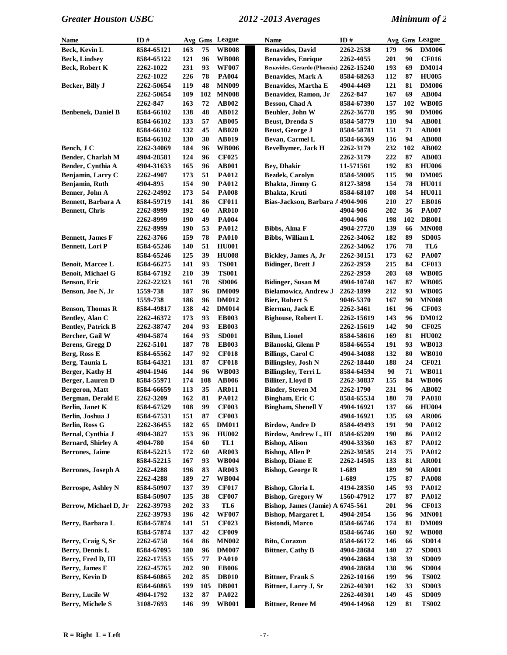| Name                      | ID#        |     |     | Avg Gms League | <b>Name</b>                             | ID#               |     |     | Avg Gms League |
|---------------------------|------------|-----|-----|----------------|-----------------------------------------|-------------------|-----|-----|----------------|
| Beck, Kevin L             | 8584-65121 | 163 | 75  | <b>WB008</b>   | <b>Benavides, David</b>                 | 2262-2538         | 179 | 96  | <b>DM006</b>   |
| <b>Beck, Lindsey</b>      | 8584-65122 | 121 | 96  | <b>WB008</b>   | <b>Benavides, Enrique</b>               | 2262-4055         | 201 | 90  | <b>CF016</b>   |
| Beck, Robert K            | 2262-1022  | 231 | 93  | <b>WF007</b>   | Benavides, Gerardo (Phoenix) 2262-15240 |                   | 193 | 69  | <b>DM014</b>   |
|                           | 2262-1022  | 226 | 78  | <b>PA004</b>   | <b>Benavides, Mark A</b>                | 8584-68263        | 112 | 87  | <b>HU005</b>   |
| Becker, Billy J           | 2262-50654 | 119 | 48  | <b>MN009</b>   | <b>Benavides, Martha E</b>              | 4904-4469         | 121 | 81  | <b>DM006</b>   |
|                           | 2262-50654 | 109 | 102 | <b>MN008</b>   | Benavidez, Ramon, Jr                    | 2262-847          | 167 | 69  | <b>AB004</b>   |
|                           | 2262-847   | 163 | 72  | <b>AB002</b>   | Besson, Chad A                          | 8584-67390        | 157 | 102 | <b>WB005</b>   |
| <b>Benbenek, Daniel B</b> | 8584-66102 | 138 | 48  | <b>AB012</b>   | Beuhler, John W                         | 2262-36778        | 195 | 90  | <b>DM006</b>   |
|                           | 8584-66102 | 133 | 57  | <b>AB005</b>   | <b>Beust, Drenda S</b>                  | 8584-58779        | 110 | 94  | <b>AB001</b>   |
|                           | 8584-66102 | 132 | 45  | <b>AB020</b>   | Beust, George J                         | 8584-58781        | 151 | 71  | <b>AB001</b>   |
|                           | 8584-66102 | 130 | 30  | <b>AB019</b>   | Bevan, Carmel L                         | 8584-66369        | 116 | 94  | <b>AB008</b>   |
| Bench, J C                | 2262-34069 | 184 | 96  | <b>WB006</b>   | Bevelhymer, Jack H                      | 2262-3179         | 232 | 102 | <b>AB002</b>   |
| Bender, Charlah M         | 4904-28581 | 124 | 96  | <b>CF025</b>   |                                         | 2262-3179         | 222 | 87  | AB003          |
| Bender, Cynthia A         | 4904-31633 | 165 | 96  | <b>AB001</b>   | <b>Bey, Dhakir</b>                      | 11-571561         | 192 | 83  | <b>HU006</b>   |
| Benjamin, Larry C         | 2262-4907  | 173 | 51  | <b>PA012</b>   | Bezdek, Carolyn                         | 8584-59005        | 115 | 90  | <b>DM005</b>   |
| Benjamin, Ruth            | 4904-895   | 154 | 90  | <b>PA012</b>   | Bhakta, Jimmy G                         | 8127-3898         | 154 | 78  | <b>HU011</b>   |
| Benner, John A            | 2262-24992 | 173 | 54  | <b>PA008</b>   | Bhakta, Kruti                           | 8584-68107        | 108 | 54  | <b>HU011</b>   |
| Bennett, Barbara A        | 8584-59719 | 141 | 86  | <b>CF011</b>   | Bias-Jackson, Barbara A4904-906         |                   | 210 | 27  | <b>EB016</b>   |
| <b>Bennett, Chris</b>     | 2262-8999  | 192 | 60  | <b>AR010</b>   |                                         | 4904-906          | 202 | 36  | <b>PA007</b>   |
|                           | 2262-8999  | 190 | 49  | <b>PA004</b>   |                                         | 4904-906          | 198 | 102 | <b>DB001</b>   |
|                           | 2262-8999  | 190 | 53  | <b>PA012</b>   | Bibbs, Alma F                           | 4904-27720        | 139 | 66  | <b>MN008</b>   |
| <b>Bennett, James F</b>   | 2262-3766  | 159 | 78  | <b>PA010</b>   | <b>Bibbs, William L</b>                 | 2262-34062        | 182 | 89  | <b>SD005</b>   |
| <b>Bennett, Lori P</b>    | 8584-65246 | 140 | 51  | <b>HU001</b>   |                                         | 2262-34062        | 176 | 78  | TL6            |
|                           | 8584-65246 | 125 | 39  | <b>HU008</b>   | Bickley, James A, Jr                    | <b>2262-30151</b> | 173 | 62  | <b>PA007</b>   |
| Benoit, Marcee L          | 8584-66275 | 141 | 93  | <b>TS001</b>   | <b>Bidinger, Brett J</b>                | 2262-2959         | 215 | 84  | <b>CF013</b>   |
| <b>Benoit, Michael G</b>  | 8584-67192 | 210 | 39  | <b>TS001</b>   |                                         | 2262-2959         | 203 | 69  | <b>WB005</b>   |
| Benson, Eric              | 2262-22323 | 161 | 78  | <b>SD006</b>   | <b>Bidinger, Susan M</b>                | 4904-10748        | 167 | 87  | <b>WB005</b>   |
| Benson, Joe N, Jr         | 1559-738   | 187 | 96  | <b>DM009</b>   | <b>Bielamowicz, Andrew J</b>            | 2262-1899         | 212 | 93  | <b>WB005</b>   |
|                           | 1559-738   | 186 | 96  | <b>DM012</b>   | <b>Bier, Robert S</b>                   | 9046-5370         | 167 | 90  | <b>MN008</b>   |
| <b>Benson, Thomas R</b>   | 8584-49817 | 138 | 42  | <b>DM014</b>   | Bierman, Jack E                         | 2262-3461         | 161 | 96  | <b>CF003</b>   |
| Bentley, Alan C           | 2262-46372 | 173 | 93  | <b>EB003</b>   | <b>Bighouse, Robert L</b>               | 2262-15619        | 143 | 96  | <b>DM012</b>   |
| <b>Bentley, Patrick B</b> | 2262-38747 | 204 | 93  | <b>EB003</b>   |                                         | 2262-15619        | 142 | 90  | <b>CF025</b>   |
| Bercher, Gail W           | 4904-5874  | 164 | 93  | <b>SD001</b>   | <b>Bihm, Lionel</b>                     | 8584-58616        | 169 | 81  | <b>HU002</b>   |
| Berens, Gregg D           | 2262-5101  | 187 | 78  | <b>EB003</b>   | Bilanoski, Glenn P                      | 8584-66554        | 191 | 93  | <b>WB013</b>   |
| Berg, Ross E              | 8584-65562 | 147 | 92  | <b>CF018</b>   | <b>Billings, Carol C</b>                | 4904-34088        | 132 | 80  | <b>WB010</b>   |
| Berg, Taunia L            | 8584-64321 | 131 | 87  | <b>CF018</b>   | <b>Billingslev, Josh N</b>              | 2262-18440        | 188 | 24  | <b>CF021</b>   |
| Berger, Kathy H           | 4904-1946  | 144 | 96  | <b>WB003</b>   | Billingsley, Terri L                    | 8584-64594        | 90  | 71  | <b>WB011</b>   |
| Berger, Lauren D          | 8584-55971 | 174 | 108 | <b>AB006</b>   | <b>Billiter, Lloyd B</b>                | 2262-30837        | 155 | 84  | <b>WB006</b>   |
| Bergeron, Matt            | 8584-66659 | 113 | 35  | <b>AR011</b>   | <b>Binder, Steven M</b>                 | <b>2262-1790</b>  | 231 | 96  | AB002          |
| Bergman, Derald E         | 2262-3209  | 162 | 81  | <b>PA012</b>   | Bingham, Eric C                         | 8584-65534        | 180 | 78  | <b>PA018</b>   |
| Berlin, Janet K           | 8584-67529 | 108 | 99  | <b>CF003</b>   | <b>Bingham, Shenell Y</b>               | 4904-16921        | 137 | 66  | <b>HU004</b>   |
| Berlin, Joshua J          | 8584-67531 | 151 | 87  | <b>CF003</b>   |                                         | 4904-16921        | 135 | 69  | <b>AR006</b>   |
| Berlin, Ross G            | 2262-36455 | 182 | 65  | <b>DM011</b>   | <b>Birdow, Andre D</b>                  | 8584-49493        | 191 | 90  | <b>PA012</b>   |
| Bernal, Cynthia J         | 4904-3827  | 153 | 96  | <b>HU002</b>   | Birdow, Andrew L, III                   | 8584-65209        | 190 | 86  | <b>PA012</b>   |
| <b>Bernard, Shirley A</b> | 4904-780   | 154 | 60  | TL1            | <b>Bishop, Alison</b>                   | 4904-33360        | 163 | 87  | <b>PA012</b>   |
| <b>Berrones</b> , Jaime   | 8584-52215 | 172 | 60  | <b>AR003</b>   | <b>Bishop, Allen P</b>                  | 2262-30585        | 214 | 75  | <b>PA012</b>   |
|                           | 8584-52215 | 167 | 93  | <b>WB004</b>   | <b>Bishop, Diane E</b>                  | 2262-14505        | 133 | 81  | <b>AR001</b>   |
| <b>Berrones, Joseph A</b> | 2262-4288  | 196 | 83  | <b>AR003</b>   | <b>Bishop, George R</b>                 | 1-689             | 189 | 90  | <b>AR001</b>   |
|                           | 2262-4288  | 189 | 27  | <b>WB004</b>   |                                         | 1-689             | 175 | 87  | <b>PA008</b>   |
| <b>Berrospe, Ashley N</b> | 8584-50907 | 137 | 39  | <b>CF017</b>   | Bishop, Gloria L                        | 4194-28350        | 145 | 93  | PA012          |
|                           | 8584-50907 | 135 | 38  | <b>CF007</b>   | <b>Bishop, Gregory W</b>                | 1560-47912        | 177 | 87  | <b>PA012</b>   |
| Berrow, Michael D, Jr     | 2262-39793 | 202 | 33  | TL6            | Bishop, James (Jamie) A 6745-561        |                   | 201 | 96  | <b>CF013</b>   |
|                           | 2262-39793 | 196 | 42  | <b>WF007</b>   | <b>Bishop, Margaret L</b>               | 4904-2054         | 156 | 96  | <b>MN001</b>   |
| Berry, Barbara L          | 8584-57874 | 141 | 51  | <b>CF023</b>   | <b>Bistondi</b> , Marco                 | 8584-66746        | 174 | 81  | <b>DM009</b>   |
|                           | 8584-57874 | 137 | 42  | <b>CF009</b>   |                                         | 8584-66746        | 160 | 92  | <b>WB008</b>   |
| Berry, Craig S, Sr        | 2262-6758  | 164 | 86  | <b>MN002</b>   | <b>Bito, Corazon</b>                    | 8584-66172        | 146 | 66  | <b>SD014</b>   |
| Berry, Dennis L           | 8584-67095 | 180 | 96  | <b>DM007</b>   | <b>Bittner, Cathy B</b>                 | 4904-28684        | 140 | 27  | <b>SD003</b>   |
| Berry, Fred D, III        | 2262-17553 | 155 | 77  | <b>PA010</b>   |                                         | 4904-28684        | 138 | 39  | <b>SD009</b>   |
| Berry, James E            | 2262-45765 | 202 | 90  | <b>EB006</b>   |                                         | 4904-28684        | 138 | 96  | <b>SD004</b>   |
| Berry, Kevin D            | 8584-60865 | 202 | 85  | <b>DB010</b>   | <b>Bittner, Frank S</b>                 | <b>2262-10166</b> | 199 | 96  | <b>TS002</b>   |
|                           | 8584-60865 | 199 | 105 | <b>DB001</b>   | Bittner, Larry J, Sr                    | 2262-40301        | 162 | 33  | <b>SD003</b>   |
| Berry, Lucile W           | 4904-1792  | 132 | 87  | PA022          |                                         | 2262-40301        | 149 | 45  | <b>SD009</b>   |
| <b>Berry, Michele S</b>   | 3108-7693  | 146 | 99  | <b>WB001</b>   | <b>Bittner, Renee M</b>                 | 4904-14968        | 129 | 81  | <b>TS002</b>   |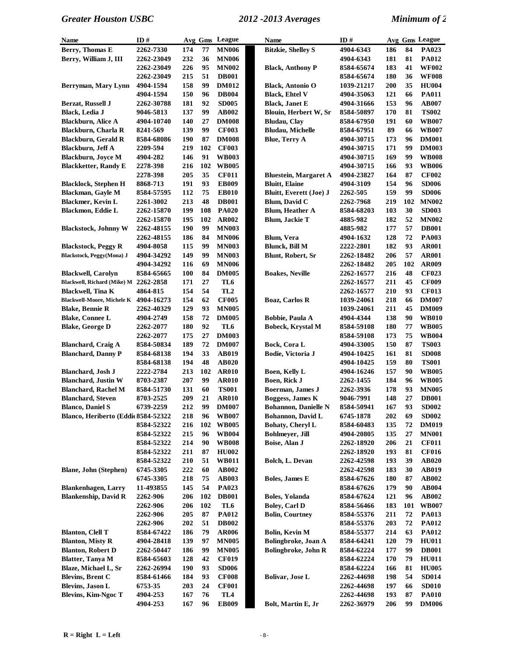| Name                                  | ID#                  |            |           | Avg Gms League  | Name                                   | ID#        |     |        | Avg Gms League               |
|---------------------------------------|----------------------|------------|-----------|-----------------|----------------------------------------|------------|-----|--------|------------------------------|
| Berry, Thomas E                       | 2262-7330            | 174        | 77        | <b>MN006</b>    | <b>Bitzkie, Shelley S</b>              | 4904-6343  | 186 | 84     | PA023                        |
| Berry, William J, III                 | 2262-23049           | 232        | 36        | <b>MN006</b>    |                                        | 4904-6343  | 181 | 81     | <b>PA012</b>                 |
|                                       | 2262-23049           | 226        | 95        | <b>MN002</b>    | <b>Black, Anthony P</b>                | 8584-65674 | 183 | 41     | <b>WF002</b>                 |
|                                       | 2262-23049           | 215        | 51        | <b>DB001</b>    |                                        | 8584-65674 | 180 | 36     | <b>WF008</b>                 |
| <b>Berryman, Mary Lynn</b>            | 4904-1594            | 158        | 99        | <b>DM012</b>    | <b>Black, Antonio O</b>                | 1039-21217 | 200 | 35     | <b>HU004</b>                 |
|                                       | 4904-1594            | 150        | 96        | <b>DB004</b>    | <b>Black, Ehtel V</b>                  | 4904-35063 | 121 | 66     | <b>PA011</b>                 |
| Berzat, Russell J                     | 2262-30788           | 181        | 92        | <b>SD005</b>    | <b>Black, Janet E</b>                  | 4904-31666 | 153 | 96     | <b>AB007</b>                 |
| <b>Black, Ledia J</b>                 | 9046-5813            | 137        | 99        | <b>AB002</b>    | Blouin, Herbert W, Sr                  | 8584-50897 | 170 | 81     | <b>TS002</b>                 |
| <b>Blackburn, Alice A</b>             | 4904-10740           | 140        | 27        | <b>DM008</b>    | <b>Bludau</b> , Clay                   | 8584-67950 | 191 | 60     | <b>WB007</b>                 |
| <b>Blackburn, Charla R</b>            | 8241-569             | 139        | 99        | <b>CF003</b>    | <b>Bludau, Michelle</b>                | 8584-67951 | 89  | 66     | <b>WB007</b>                 |
| <b>Blackburn, Gerald R</b>            | 8584-68086           | 190        | 87        | <b>DM008</b>    | <b>Blue, Terry A</b>                   | 4904-30715 | 173 | 96     | <b>DM001</b>                 |
| Blackburn, Jeff A                     | 2209-594             | 219        | 102       | <b>CF003</b>    |                                        | 4904-30715 | 171 | 99     | <b>DM003</b>                 |
| <b>Blackburn, Joyce M</b>             | 4904-282             | 146        | 91        | <b>WB003</b>    |                                        | 4904-30715 | 169 | 99     | <b>WB008</b>                 |
|                                       |                      | 216        | 102       | <b>WB005</b>    |                                        | 4904-30715 | 166 | 93     | <b>WB006</b>                 |
| <b>Blackketter, Randy E</b>           | 2278-398             |            | 35        |                 |                                        |            |     |        |                              |
|                                       | 2278-398             | 205        |           | <b>CF011</b>    | <b>Bluestein, Margaret A</b>           | 4904-23827 | 164 | 87     | <b>CF002</b>                 |
| <b>Blacklock, Stephen H</b>           | 8868-713             | 191        | 93        | <b>EB009</b>    | <b>Bluitt</b> , Elaine                 | 4904-3109  | 154 | 96     | <b>SD006</b>                 |
| Blackman, Gayle M                     | 8584-57595           | 112        | 75        | <b>EB010</b>    | Bluitt, Everett (Joe) J                | 2262-505   | 159 | 99     | <b>SD006</b>                 |
| <b>Blackmer</b> , Kevin L             | 2261-3002            | 213        | 48        | <b>DB001</b>    | Blum, David C                          | 2262-7968  | 219 | 102    | <b>MN002</b>                 |
| Blackmon, Eddie L                     | 2262-15870           | 199        | 108       | <b>PA020</b>    | <b>Blum, Heather A</b>                 | 8584-68203 | 103 | 30     | <b>SD003</b>                 |
|                                       | 2262-15870           | 195        | 102       | <b>AR002</b>    | Blum, Jackie T                         | 4885-982   | 182 | 52     | <b>MN002</b>                 |
| <b>Blackstock, Johnny W</b>           | 2262-48155           | 190        | 99        | <b>MN003</b>    |                                        | 4885-982   | 177 | 57     | <b>DB001</b>                 |
|                                       | 2262-48155           | 186        | 84        | <b>MN006</b>    | Blum, Vera                             | 4904-1632  | 128 | 72     | PA003                        |
| <b>Blackstock, Peggy R</b>            | 4904-8058            | 115        | 99        | <b>MN003</b>    | <b>Blunck, Bill M</b>                  | 2222-2801  | 182 | 93     | <b>AR001</b>                 |
| <b>Blackstock, Peggy(Mona) J</b>      | 4904-34292           | 149        | 99        | <b>MN003</b>    | Blunt, Robert, Sr                      | 2262-18482 | 206 | 57     | <b>AR001</b>                 |
|                                       | 4904-34292           | 116        | 69        | <b>MN006</b>    |                                        | 2262-18482 | 205 | 102    | AR009                        |
| <b>Blackwell, Carolyn</b>             | 8584-65665           | 100        | 84        | <b>DM005</b>    | <b>Boakes, Neville</b>                 | 2262-16577 | 216 | 48     | <b>CF023</b>                 |
| Blackwell, Richard (Mike) M 2262-2858 |                      | 171        | 27        | TL6             |                                        | 2262-16577 | 211 | 45     | <b>CF009</b>                 |
| Blackwell, Tina K                     | 4864-815             | 154        | 54        | TL <sub>2</sub> |                                        | 2262-16577 | 210 | 93     | <b>CF013</b>                 |
| <b>Blackwell-Moore, Michele K</b>     | 4904-16273           | 154        | 62        | <b>CF005</b>    | Boaz, Carlos R                         | 1039-24061 | 218 | 66     | <b>DM007</b>                 |
| <b>Blake, Bennie R</b>                | 2262-40329           | 129        | 93        | <b>MN005</b>    |                                        | 1039-24061 | 211 | 45     | <b>DM009</b>                 |
| <b>Blake, Connee L</b>                | 4904-2749            | 158        | 72        | <b>DM005</b>    | Bobbie, Paula A                        | 4904-4344  | 138 | 90     | <b>WB010</b>                 |
| <b>Blake, George D</b>                | 2262-2077            | 180        | 92        | TL6             | <b>Bobeck, Krystal M</b>               | 8584-59108 | 180 | $77\,$ | <b>WB005</b>                 |
|                                       | 2262-2077            | 175        | 27        | <b>DM003</b>    |                                        | 8584-59108 | 173 | 75     | <b>WB004</b>                 |
| <b>Blanchard, Craig A</b>             | 8584-50834           | 189        | 72        | <b>DM007</b>    | Bock, Cora L                           | 4904-33005 | 150 | 87     | <b>TS003</b>                 |
| <b>Blanchard, Danny P</b>             | 8584-68138           | 194        | 33        | <b>AB019</b>    | Bodie, Victoria J                      | 4904-10425 | 161 | 81     | <b>SD008</b>                 |
|                                       | 8584-68138           | 194        | 48        | <b>AB020</b>    |                                        | 4904-10425 | 159 | 80     | <b>TS001</b>                 |
| <b>Blanchard</b> , Josh J             | 2222-2784            | 213        | 102       | <b>AR010</b>    | Boen, Kelly L                          | 4904-16246 | 157 | 90     | <b>WB005</b>                 |
| <b>Blanchard, Justin W</b>            | 8703-2387            | 207        | 99        | <b>AR010</b>    | <b>Boen, Rick J</b>                    | 2262-1455  | 184 | 96     | <b>WB005</b>                 |
| <b>Blanchard, Rachel M</b>            | 8584-51730           | 131        | 60        | <b>TS001</b>    | Boerman, James J                       | 2262-3936  | 178 | 93     | <b>MN005</b>                 |
| <b>Blanchard, Steven</b>              | 8703-2525            | 209        | 21        | <b>AR010</b>    | Boggess, James K                       | 9046-7991  | 148 | 27     | <b>DB001</b>                 |
| <b>Blanco, Daniel S</b>               | 6739-2259            | 212        | 99        | <b>DM007</b>    | Bohannon, Danielle N                   | 8584-50941 | 167 | 93     | <b>SD002</b>                 |
| Blanco, Heriberto (Eddie 8584-52322   |                      | 218        | 96        | <b>WB007</b>    | Bohannon, David L                      | 6745-1878  | 202 | 69     | <b>SD002</b>                 |
|                                       | 8584-52322           | 216        | 102       | <b>WB005</b>    | Bohaty, Cheryl L                       | 8584-60483 | 135 | 72     | <b>DM019</b>                 |
|                                       | 8584-52322           | 215        | 96        | <b>WB004</b>    | Bohlmeyer, Jill                        | 4904-20805 | 135 | 27     | <b>MN001</b>                 |
|                                       | 8584-52322           | 214        | 90        | <b>WB008</b>    | Boise, Alan J                          | 2262-18920 | 206 | 21     | <b>CF011</b>                 |
|                                       | 8584-52322           | 211        | 87        | <b>HU002</b>    |                                        | 2262-18920 | 193 | 81     | <b>CF016</b>                 |
|                                       | 8584-52322           | 210        | 51        | <b>WB011</b>    | Bolch, L. Devan                        | 2262-42598 | 193 | 39     | AB020                        |
| <b>Blane, John (Stephen)</b>          | 6745-3305            | 222        | 60        | AB002           |                                        | 2262-42598 | 183 | 30     | <b>AB019</b>                 |
|                                       | 6745-3305            | 218        | 75        | <b>AB003</b>    | <b>Boles, James E</b>                  | 8584-67626 | 180 | 87     | AB002                        |
| <b>Blankenhagen</b> , Larry           | 11-493855            | 145        | 54        | <b>PA023</b>    |                                        | 8584-67626 | 179 | 90     | AB004                        |
| <b>Blankenship, David R</b>           |                      | 206        |           |                 |                                        |            |     | 96     | <b>AB002</b>                 |
|                                       | 2262-906<br>2262-906 |            | 102       | <b>DB001</b>    | Boles, Yolanda<br><b>Bolev, Carl D</b> | 8584-67624 | 121 |        |                              |
|                                       |                      | 206<br>205 | 102<br>87 | TL6             | <b>Bolin, Courtney</b>                 | 8584-56466 | 183 | 101    | <b>WB007</b><br><b>PA013</b> |
|                                       | 2262-906             |            |           | <b>PA012</b>    |                                        | 8584-55376 | 211 | 72     |                              |
|                                       | 2262-906             | 202        | 51        | <b>DB002</b>    |                                        | 8584-55376 | 203 | 72     | <b>PA012</b>                 |
| <b>Blanton, Clell T</b>               | 8584-67422           | 186        | 79        | <b>AR006</b>    | <b>Bolin, Kevin M</b>                  | 8584-55377 | 214 | 63     | <b>PA012</b>                 |
| <b>Blanton, Misty R</b>               | 4904-28418           | 139        | 97        | <b>MN005</b>    | Bolingbroke, Joan A                    | 8584-64241 | 120 | 79     | <b>HU011</b>                 |
| <b>Blanton, Robert D</b>              | 2262-50447           | 186        | 99        | <b>MN005</b>    | <b>Bolingbroke, John R</b>             | 8584-62224 | 177 | 99     | <b>DB001</b>                 |
| <b>Blatter, Tanya M</b>               | 8584-65603           | 128        | 42        | <b>CF019</b>    |                                        | 8584-62224 | 170 | 79     | <b>HU011</b>                 |
| Blaze, Michael L, Sr                  | 2262-26994           | 190        | 93        | <b>SD006</b>    |                                        | 8584-62224 | 166 | 81     | <b>HU005</b>                 |
| <b>Blevins, Brent C</b>               | 8584-61466           | 184        | 93        | <b>CF008</b>    | Bolivar, Jose L                        | 2262-44698 | 198 | 54     | <b>SD014</b>                 |
| <b>Blevins, Jason L</b>               | 6753-35              | 203        | 24        | <b>CF001</b>    |                                        | 2262-44698 | 197 | 66     | <b>SD010</b>                 |
| <b>Blevins, Kim-Ngoc T</b>            | 4904-253             | 167        | 76        | TL <sub>4</sub> |                                        | 2262-44698 | 193 | 87     | <b>PA010</b>                 |
|                                       | 4904-253             | 167        | 96        | <b>EB009</b>    | Bolt, Martin E, Jr                     | 2262-36979 | 206 | 99     | <b>DM006</b>                 |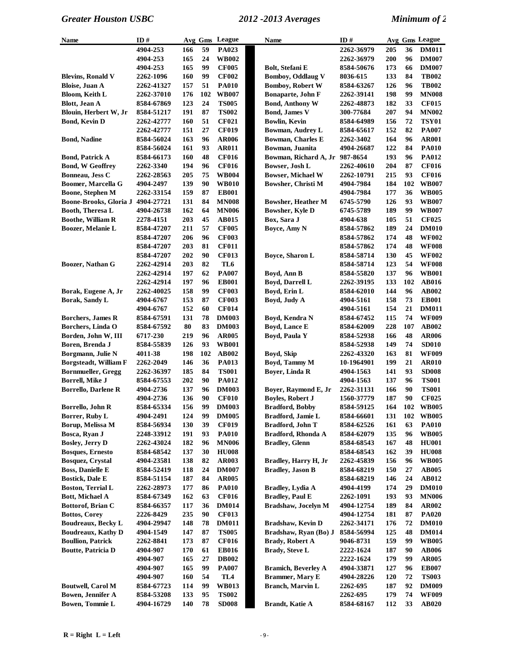| Name                         | ID#        |     |     | Avg Gms League | Name                           | ID#        |     |     | Avg Gms League            |
|------------------------------|------------|-----|-----|----------------|--------------------------------|------------|-----|-----|---------------------------|
|                              | 4904-253   | 166 | 59  | PA023          |                                | 2262-36979 | 205 | 36  | <b>DM011</b>              |
|                              | 4904-253   | 165 | 24  | <b>WB002</b>   |                                | 2262-36979 | 200 | 96  | <b>DM007</b>              |
|                              | 4904-253   | 165 | 99  | <b>CF005</b>   | Bolt, Stefani E                | 8584-50676 | 173 | 66  | <b>DM007</b>              |
| <b>Blevins, Ronald V</b>     | 2262-1096  | 160 | 99  | <b>CF002</b>   | <b>Bomboy, Oddlaug V</b>       | 8036-615   | 133 | 84  | <b>TB002</b>              |
| <b>Bloise</b> , Juan A       | 2262-41327 | 157 | 51  | <b>PA010</b>   | <b>Bomboy, Robert W</b>        | 8584-63267 | 126 | 96  | <b>TB002</b>              |
| <b>Bloom, Keith L</b>        | 2262-37010 | 176 | 102 | <b>WB007</b>   | Bonaparte, John F              | 2262-39141 | 198 | 99  | <b>MN008</b>              |
| <b>Blott</b> , Jean A        | 8584-67869 | 123 | 24  | <b>TS005</b>   | <b>Bond, Anthony W</b>         | 2262-48873 | 182 | 33  | <b>CF015</b>              |
| Blouin, Herbert W, Jr        | 8584-51217 | 191 | 87  | <b>TS002</b>   | <b>Bond, James V</b>           | 300-77684  | 207 | 94  | <b>MN002</b>              |
| <b>Bond, Kevin D</b>         | 2262-42777 | 160 | 51  | <b>CF021</b>   | <b>Bowlin, Kevin</b>           | 8584-64989 | 156 | 72  | <b>TSY01</b>              |
|                              | 2262-42777 | 151 | 27  | <b>CF019</b>   | <b>Bowman, Audrey L</b>        | 8584-65617 | 152 | 82  | <b>PA007</b>              |
| <b>Bond, Nadine</b>          | 8584-56024 | 163 | 96  | <b>AR006</b>   | <b>Bowman, Charles E</b>       | 2262-3402  | 164 | 96  | <b>AR001</b>              |
|                              | 8584-56024 | 161 | 93  | <b>AR011</b>   | Bowman, Juanita                | 4904-26687 | 122 | 84  | <b>PA010</b>              |
| <b>Bond, Patrick A</b>       | 8584-66173 | 160 | 48  | <b>CF016</b>   | Bowman, Richard A, Jr 987-8654 |            | 193 | 96  | PA012                     |
| <b>Bond, W Geoffrey</b>      | 2262-3340  | 194 | 96  | <b>CF016</b>   | Bowser, Josh L                 | 2262-40610 | 204 | 87  | <b>CF016</b>              |
| Bonneau, Jess C              | 2262-28563 | 205 | 75  | <b>WB004</b>   | <b>Bowser, Michael W</b>       | 2262-10791 | 215 | 93  | <b>CF016</b>              |
| Boomer, Marcella G           | 4904-2497  | 139 | 90  | <b>WB010</b>   | Bowsher, Christi M             | 4904-7984  | 184 | 102 | $\mathbf{W}\mathbf{B007}$ |
| <b>Boone, Stephen M</b>      | 2262-33154 | 159 | 87  | <b>EB001</b>   |                                | 4904-7984  | 177 | 36  | <b>WB005</b>              |
| Boone-Brooks, Gloria J       | 4904-27721 | 131 | 84  | <b>MN008</b>   | <b>Bowsher, Heather M</b>      | 6745-5790  | 126 | 93  | <b>WB007</b>              |
| Booth, Theresa L             | 4904-26738 | 162 | 64  | <b>MN006</b>   | Bowsher, Kyle D                | 6745-5789  | 189 | 99  | <b>WB007</b>              |
| <b>Boothe, William R</b>     | 2278-4151  | 203 | 45  | AB015          | Box, Sara J                    | 4904-638   | 105 | 51  | <b>CF025</b>              |
| Boozer, Melanie L            | 8584-47207 | 211 | 57  | <b>CF005</b>   | Boyce, Amy N                   | 8584-57862 | 189 | 24  | <b>DM010</b>              |
|                              | 8584-47207 | 206 | 96  | <b>CF003</b>   |                                | 8584-57862 | 174 | 48  | <b>WF002</b>              |
|                              | 8584-47207 | 203 | 81  | <b>CF011</b>   |                                | 8584-57862 | 174 | 48  | <b>WF008</b>              |
|                              | 8584-47207 | 202 | 90  | <b>CF013</b>   | Boyce, Sharon L                | 8584-58714 | 130 | 45  | <b>WF002</b>              |
| Boozer, Nathan G             | 2262-42914 | 203 | 82  | TL6            |                                | 8584-58714 | 123 | 54  | <b>WF008</b>              |
|                              | 2262-42914 | 197 | 62  | <b>PA007</b>   | Boyd, Ann B                    | 8584-55820 | 137 | 96  | <b>WB001</b>              |
|                              | 2262-42914 | 197 | 96  | <b>EB001</b>   | Boyd, Darrell L                | 2262-39195 | 133 | 102 | <b>AB016</b>              |
| Borak, Eugene A, Jr          | 2262-40025 | 158 | 99  | <b>CF003</b>   | Boyd, Erin L                   | 8584-62010 | 144 | 96  | <b>AB002</b>              |
| Borak, Sandy L               | 4904-6767  | 153 | 87  | <b>CF003</b>   | Boyd, Judy A                   | 4904-5161  | 158 | 73  | <b>EB001</b>              |
|                              | 4904-6767  | 152 | 60  | <b>CF014</b>   |                                | 4904-5161  | 154 | 21  | <b>DM011</b>              |
| <b>Borchers, James R</b>     | 8584-67591 | 131 | 78  | <b>DM003</b>   | Boyd, Kendra N                 | 8584-67452 | 115 | 74  | <b>WF009</b>              |
| Borchers, Linda O            | 8584-67592 | 80  | 83  | <b>DM003</b>   | Boyd, Lance E                  | 8584-62009 | 228 | 107 | <b>AB002</b>              |
| Borden, John W, III          | 6717-230   | 219 | 96  | <b>AR005</b>   | Boyd, Paula Y                  | 8584-52938 | 166 | 48  | <b>AR006</b>              |
| Boren, Brenda J              | 8584-55839 | 126 | 93  | <b>WB001</b>   |                                | 8584-52938 | 149 | 74  | <b>SD010</b>              |
| Borgmann, Julie N            | 4011-38    | 198 | 102 | <b>AB002</b>   | Boyd, Skip                     | 2262-43320 | 163 | 81  | <b>WF009</b>              |
| <b>Borgsteadt, William F</b> | 2262-2049  | 146 | 36  | <b>PA013</b>   | Boyd, Tammy M                  | 10-1964901 | 199 | 21  | <b>AR010</b>              |
| <b>Bornmueller, Gregg</b>    | 2262-36397 | 185 | 84  | <b>TS001</b>   | Boyer, Linda R                 | 4904-1563  | 141 | 93  | <b>SD008</b>              |
| Borrell, Mike J              | 8584-67553 | 202 | 90  | <b>PA012</b>   |                                | 4904-1563  | 137 | 96  | <b>TS001</b>              |
| <b>Borrello, Darlene R</b>   | 4904-2736  | 137 | 96  | <b>DM003</b>   | Boyer, Raymond E, Jr           | 2262-31131 | 166 | 90  | <b>TS001</b>              |
|                              | 4904-2736  | 136 | 90  | <b>CF010</b>   | <b>Boyles, Robert J</b>        | 1560-37779 | 187 | 90  | <b>CF025</b>              |
| Borrello, John R             | 8584-65334 | 156 | 99  | <b>DM003</b>   | <b>Bradford, Bobby</b>         | 8584-59125 | 164 | 102 | <b>WB005</b>              |
| Borrer, Ruby L               | 4904-2491  | 124 | 99  | <b>DM005</b>   | Bradford, Jamie L              | 8584-66601 | 131 | 102 | <b>WB005</b>              |
| Borup, Melissa M             | 8584-56934 | 130 | 39  | <b>CF019</b>   | Bradford, John T               | 8584-62526 | 161 | 63  | <b>PA010</b>              |
| Bosca, Ryan J                | 2248-33912 | 191 | 93  | <b>PA010</b>   | Bradford, Rhonda A             | 8584-62079 | 135 | 96  | <b>WB005</b>              |
| <b>Bosley, Jerry D</b>       | 2262-43024 | 182 | 96  | <b>MN006</b>   | <b>Bradley, Glenn</b>          | 8584-68543 | 167 | 48  | <b>HU001</b>              |
| <b>Bosques, Ernesto</b>      | 8584-68542 | 137 | 30  | <b>HU008</b>   |                                | 8584-68543 | 162 | 39  | <b>HU008</b>              |
| <b>Bosquez, Crystal</b>      | 4904-23581 | 138 | 82  | <b>AR003</b>   | Bradley, Harry H, Jr           | 2262-45839 | 156 | 96  | <b>WB005</b>              |
| <b>Boss, Danielle E</b>      | 8584-52419 | 118 | 24  | <b>DM007</b>   | <b>Bradley, Jason B</b>        | 8584-68219 | 150 | 27  | <b>AB005</b>              |
| <b>Bostick, Dale E</b>       | 8584-51154 | 187 | 84  | <b>AR005</b>   |                                | 8584-68219 | 146 | 24  | AB012                     |
| <b>Boston, Terrial L</b>     | 2262-28973 | 177 | 86  | <b>PA010</b>   | Bradley, Lydia A               | 4904-4199  | 174 | 29  | <b>DM010</b>              |
| Bott, Michael A              | 8584-67349 | 162 | 63  | <b>CF016</b>   | <b>Bradley, Paul E</b>         | 2262-1091  | 193 | 93  | <b>MN006</b>              |
| Bottorof, Brian C            | 8584-66357 | 117 | 36  | <b>DM014</b>   | Bradshaw, Jocelyn M            | 4904-12754 | 189 | 84  | <b>AR002</b>              |
| <b>Bottos, Corey</b>         | 2226-8429  | 235 | 90  | <b>CF013</b>   |                                | 4904-12754 | 181 | 87  | <b>PA020</b>              |
| Boudreaux, Becky L           | 4904-29947 | 148 | 78  | <b>DM011</b>   | Bradshaw, Kevin D              | 2262-34171 | 176 | 72  | <b>DM010</b>              |
| <b>Boudreaux, Kathy D</b>    | 4904-1549  | 147 | 87  | <b>TS005</b>   | Bradshaw, Ryan (Bo) J          | 8584-56994 | 125 | 48  | <b>DM014</b>              |
| <b>Boullion, Patrick</b>     | 2262-8841  | 173 | 87  | <b>CF016</b>   | <b>Brady, Robert A</b>         | 9046-8731  | 159 | 99  | <b>WB005</b>              |
| <b>Boutte, Patricia D</b>    | 4904-907   | 170 | 61  | <b>EB016</b>   | <b>Brady, Steve L</b>          | 2222-1624  | 187 | 90  | <b>AB006</b>              |
|                              | 4904-907   | 165 | 27  | <b>DB002</b>   |                                | 2222-1624  | 179 | 99  | <b>AR005</b>              |
|                              | 4904-907   | 165 | 99  | <b>PA007</b>   | <b>Bramich, Beverley A</b>     | 4904-33871 | 127 | 96  | <b>EB007</b>              |
|                              | 4904-907   | 160 | 54  | TL4            | <b>Brammer, Mary E</b>         | 4904-28226 | 120 | 72  | <b>TS003</b>              |
| <b>Boutwell, Carol M</b>     | 8584-67723 | 114 | 99  | <b>WB013</b>   | Branch, Marvin L               | 2262-695   | 187 | 92  | <b>DM009</b>              |
| <b>Bowen, Jennifer A</b>     | 8584-53208 | 133 | 95  | <b>TS002</b>   |                                | 2262-695   | 179 | 74  | <b>WF009</b>              |
| Bowen, Tommie L              | 4904-16729 | 140 | 78  | <b>SD008</b>   | <b>Brandt</b> , Katie A        | 8584-68167 | 112 | 33  | <b>AB020</b>              |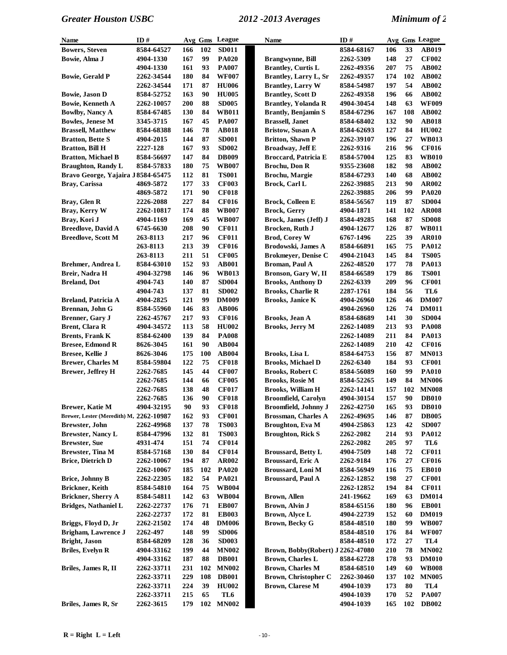| Name                                    | ID#        |     |     | Avg Gms League  | <b>Name</b>                       | ID#               |     |     | Avg Gms League  |
|-----------------------------------------|------------|-----|-----|-----------------|-----------------------------------|-------------------|-----|-----|-----------------|
| <b>Bowers, Steven</b>                   | 8584-64527 | 166 | 102 | <b>SD011</b>    |                                   | 8584-68167        | 106 | 33  | AB019           |
| Bowie, Alma J                           | 4904-1330  | 167 | 99  | <b>PA020</b>    | <b>Brangwynne</b> , Bill          | 2262-5309         | 148 | 27  | <b>CF002</b>    |
|                                         | 4904-1330  | 161 | 93  | <b>PA007</b>    | <b>Brantley, Curtis L</b>         | 2262-49356        | 207 | 75  | AB002           |
| <b>Bowie, Gerald P</b>                  | 2262-34544 | 180 | 84  | <b>WF007</b>    | <b>Brantley, Larry L, Sr</b>      | 2262-49357        | 174 | 102 | AB002           |
|                                         | 2262-34544 | 171 | 87  | <b>HU006</b>    | <b>Brantley, Larry W</b>          | 8584-54987        | 197 | 54  | AB002           |
| <b>Bowie, Jason D</b>                   | 8584-52752 | 163 | 90  | <b>HU005</b>    | <b>Brantley, Scott D</b>          | 2262-49358        | 196 | 66  | AB002           |
| <b>Bowie, Kenneth A</b>                 | 2262-10057 | 200 | 88  | <b>SD005</b>    | <b>Brantley, Yolanda R</b>        | 4904-30454        | 148 | 63  | <b>WF009</b>    |
| <b>Bowlby, Nancy A</b>                  | 8584-67485 | 130 | 84  | <b>WB011</b>    | <b>Brantly, Benjamin S</b>        | 8584-67296        | 167 | 108 | <b>AB002</b>    |
| <b>Bowles, Jenese M</b>                 | 3345-3715  | 167 | 45  | <b>PA007</b>    | <b>Brassell</b> , Janet           | 8584-68402        | 132 | 90  | <b>AB018</b>    |
| <b>Brassell, Matthew</b>                | 8584-68388 | 146 | 78  | <b>AB018</b>    | <b>Bristow</b> , Susan A          | 8584-62693        | 127 | 84  | <b>HU002</b>    |
| <b>Bratton, Bette S</b>                 | 4904-2015  | 144 | 87  | <b>SD001</b>    | <b>Britton, Shawn P</b>           | <b>2262-39107</b> | 196 | 27  | <b>WB013</b>    |
| <b>Bratton, Bill H</b>                  | 2227-128   | 167 | 93  | <b>SD002</b>    | <b>Broadway, Jeff E</b>           | 2262-9316         | 216 | 96  | <b>CF016</b>    |
| <b>Bratton, Michael B</b>               | 8584-56697 | 147 | 84  | <b>DB009</b>    | <b>Broccard, Patricia E</b>       | 8584-57004        | 125 | 83  | <b>WB010</b>    |
| <b>Braughton, Randy L</b>               | 8584-57833 | 180 | 75  | <b>WB007</b>    | Brochu, Don R                     | 9355-23608        | 182 | 98  | AB002           |
| Bravo George, Yajaira J 8584-65475      |            | 112 | 81  | <b>TS001</b>    | Brochu, Margie                    | 8584-67293        | 140 | 68  | AB002           |
| Bray, Carissa                           | 4869-5872  | 177 | 33  | <b>CF003</b>    | Brock, Carl L                     | 2262-39885        | 213 | 90  | AR002           |
|                                         | 4869-5872  | 171 | 90  | <b>CF018</b>    |                                   | 2262-39885        | 206 | 99  | <b>PA020</b>    |
| Bray, Glen R                            | 2226-2088  | 227 | 84  | <b>CF016</b>    | <b>Brock, Colleen E</b>           | 8584-56567        | 119 | 87  | <b>SD004</b>    |
| Bray, Kerry W                           | 2262-10817 | 174 | 88  | <b>WB007</b>    | <b>Brock, Gerry</b>               | 4904-1871         | 141 | 102 | <b>AR008</b>    |
| Bray, Kori J                            | 4904-1169  | 169 | 45  | <b>WB007</b>    | Brock, James (Jeff) J             | 8584-49285        | 168 | 87  | <b>SD008</b>    |
| <b>Breedlove, David A</b>               | 6745-6630  | 208 | 90  | <b>CF011</b>    | Brocken, Ruth J                   | 4904-12677        | 126 | 87  | <b>WB011</b>    |
| <b>Breedlove, Scott M</b>               | 263-8113   | 217 | 96  | <b>CF011</b>    | <b>Brod, Corey W</b>              | 6767-1496         | 225 | 39  | <b>AR010</b>    |
|                                         | 263-8113   | 213 | 39  | <b>CF016</b>    | Brodowski, James A                | 8584-66891        | 165 | 75  | PA012           |
|                                         | 263-8113   | 211 | 51  | <b>CF005</b>    | <b>Brokmeyer, Denise C</b>        | 4904-21043        | 145 | 84  | <b>TS005</b>    |
| Brehmer, Andrea L                       | 8584-63010 | 152 | 93  | <b>AB001</b>    | Broman, Paul A                    | 2262-48520        | 177 | 78  | PA013           |
| Breir, Nadra H                          | 4904-32798 | 146 | 96  | <b>WB013</b>    | Bronson, Gary W, II               | 8584-66589        | 179 | 86  | <b>TS001</b>    |
| <b>Breland, Dot</b>                     | 4904-743   | 140 | 87  | <b>SD004</b>    | <b>Brooks, Anthony D</b>          | 2262-6339         | 209 | 96  | <b>CF001</b>    |
|                                         | 4904-743   | 137 | 81  | <b>SD002</b>    | <b>Brooks, Charlie R</b>          | 2287-1761         | 184 | 56  | TL6             |
| <b>Breland, Patricia A</b>              | 4904-2825  | 121 | 99  | <b>DM009</b>    | <b>Brooks, Janice K</b>           | 4904-26960        | 126 | 46  | <b>DM007</b>    |
| Brennan, John G                         | 8584-55960 | 146 | 83  | <b>AB006</b>    |                                   | 4904-26960        | 126 | 74  | <b>DM011</b>    |
| Brenner, Gary J                         | 2262-45767 | 217 | 93  | <b>CF016</b>    | Brooks, Jean A                    | 8584-68689        | 141 | 30  | <b>SD004</b>    |
| Brent, Clara R                          | 4904-34572 | 113 | 58  | <b>HU002</b>    | <b>Brooks, Jerry M</b>            | 2262-14089        | 213 | 93  | <b>PA008</b>    |
| <b>Brents, Frank K</b>                  | 8584-62400 | 139 | 84  | <b>PA008</b>    |                                   | 2262-14089        | 211 | 84  | <b>PA013</b>    |
| <b>Bresee, Edmond R</b>                 | 8626-3045  | 161 | 90  | <b>AB004</b>    |                                   | 2262-14089        | 210 | 42  | <b>CF016</b>    |
| Bresee, Kellie J                        | 8626-3046  | 175 | 100 | AB004           | Brooks, Lisa L                    | 8584-64753        | 156 | 87  | <b>MN013</b>    |
| <b>Brewer, Charles M</b>                | 8584-59804 | 122 | 75  | <b>CF018</b>    | <b>Brooks, Michael D</b>          | 2262-6340         | 184 | 93  | <b>CF001</b>    |
| <b>Brewer, Jeffrey H</b>                | 2262-7685  | 145 | 44  | <b>CF007</b>    | <b>Brooks, Robert C</b>           | 8584-56089        | 160 | 99  | <b>PA010</b>    |
|                                         | 2262-7685  | 144 | 66  | <b>CF005</b>    | <b>Brooks, Rosie M</b>            | 8584-52265        | 149 | 84  | <b>MN006</b>    |
|                                         | 2262-7685  | 138 | 48  | <b>CF017</b>    | <b>Brooks, William H</b>          | 2262-14141        | 157 | 102 | <b>MN008</b>    |
|                                         | 2262-7685  | 136 | 90  | <b>CF018</b>    | <b>Broomfield, Carolyn</b>        | 4904-30154        | 157 | 90  | <b>DB010</b>    |
| <b>Brewer, Katie M</b>                  | 4904-32195 | 90  | 93  | <b>CF018</b>    | <b>Broomfield, Johnny J</b>       | 2262-42750        | 165 | 93  | <b>DB010</b>    |
| Brewer, Lester (Meredith) M, 2262-10987 |            | 162 | 93  | <b>CF001</b>    | <b>Brossman, Charles A</b>        | 2262-49695        | 146 | 87  | <b>DB005</b>    |
| <b>Brewster, John</b>                   | 2262-49968 | 137 | 78  | <b>TS003</b>    | Broughton, Eva M                  | 4904-25863        | 123 | 42  | <b>SD007</b>    |
| <b>Brewster, Nancy L</b>                | 8584-47996 | 132 | 81  | <b>TS003</b>    | <b>Broughton, Rick S</b>          | 2262-2082         | 214 | 93  | <b>PA012</b>    |
| <b>Brewster, Sue</b>                    | 4931-474   | 151 | 74  | <b>CF014</b>    |                                   | 2262-2082         | 205 | 97  | TL6             |
| <b>Brewster, Tina M</b>                 | 8584-57168 | 130 | 84  | <b>CF014</b>    | <b>Broussard, Betty L</b>         | 4904-7509         | 148 | 72  | <b>CF011</b>    |
| <b>Brice, Dietrich D</b>                | 2262-10067 | 194 | 87  | <b>AR002</b>    | <b>Broussard, Eric A</b>          | 2262-9184         | 176 | 27  | <b>CF016</b>    |
|                                         | 2262-10067 | 185 | 102 | <b>PA020</b>    | Broussard, Loni M                 | 8584-56949        | 116 | 75  | <b>EB010</b>    |
| <b>Brice, Johnny B</b>                  | 2262-22305 | 182 | 54  | <b>PA021</b>    | <b>Broussard, Paul A</b>          | 2262-12852        | 198 | 27  | <b>CF001</b>    |
| <b>Brickner</b> , Keith                 | 8584-54810 | 164 | 75  | <b>WB004</b>    |                                   | 2262-12852        | 194 | 84  | <b>CF011</b>    |
| Brickner, Sherry A                      | 8584-54811 | 142 | 63  | <b>WB004</b>    | Brown, Allen                      | 241-19662         | 169 | 63  | <b>DM014</b>    |
| <b>Bridges, Nathaniel L</b>             | 2262-22737 | 176 | 71  | <b>EB007</b>    | Brown, Alvin J                    | 8584-65156        | 180 | 96  | <b>EB001</b>    |
|                                         | 2262-22737 | 172 | 81  | <b>EB003</b>    | Brown, Alyce L                    | 4904-22739        | 152 | 60  | <b>DM019</b>    |
| Briggs, Floyd D, Jr                     | 2262-21502 | 174 | 48  | <b>DM006</b>    | Brown, Becky G                    | 8584-48510        | 180 | 99  | <b>WB007</b>    |
| Brigham, Lawrence J                     | 2262-497   | 148 | 99  | <b>SD006</b>    |                                   | 8584-48510        | 176 | 84  | <b>WF007</b>    |
| <b>Bright</b> , Jason                   | 8584-68209 | 128 | 36  | <b>SD003</b>    |                                   | 8584-48510        | 172 | 27  | TL <sub>4</sub> |
| <b>Briles, Evelyn R</b>                 | 4904-33162 | 199 | 44  | <b>MN002</b>    | Brown, Bobby(Robert) J 2262-47080 |                   | 210 | 78  | <b>MN002</b>    |
|                                         | 4904-33162 | 187 | 88  | <b>DB001</b>    | Brown, Charles L                  | 8584-62728        | 178 | 93  | <b>DM010</b>    |
| Briles, James R, II                     | 2262-33711 | 231 | 102 | <b>MN002</b>    | <b>Brown, Charles M</b>           | 8584-68510        | 149 | 60  | <b>WB008</b>    |
|                                         | 2262-33711 | 229 | 108 | <b>DB001</b>    | Brown, Christopher C              | 2262-30460        | 137 | 102 | <b>MN005</b>    |
|                                         | 2262-33711 | 224 | 39  | <b>HU002</b>    | <b>Brown, Clarese M</b>           | 4904-1039         | 173 | 80  | TL <sub>4</sub> |
|                                         | 2262-33711 | 215 | 65  | TL <sub>6</sub> |                                   | 4904-1039         | 170 | 52  | <b>PA007</b>    |
| Briles, James R, Sr                     | 2262-3615  | 179 | 102 | <b>MN002</b>    |                                   | 4904-1039         | 165 | 102 | <b>DB002</b>    |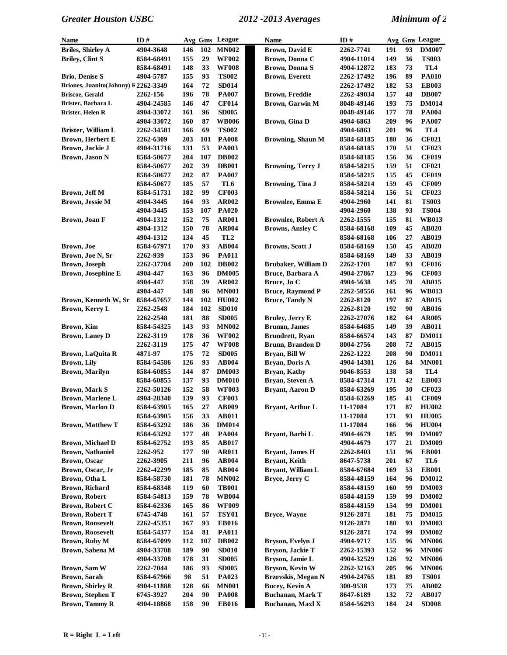| <b>Name</b>                          | ID#               |     |          | Avg Gms League  | <b>Name</b>               | ID#        |     |    | Avg Gms League  |
|--------------------------------------|-------------------|-----|----------|-----------------|---------------------------|------------|-----|----|-----------------|
| <b>Briles, Shirley A</b>             | 4904-3648         | 146 | 102      | <b>MN002</b>    | <b>Brown, David E</b>     | 2262-7741  | 191 | 93 | <b>DM007</b>    |
| <b>Briley, Clint S</b>               | 8584-68491        | 155 | 29       | <b>WF002</b>    | Brown, Donna C            | 4904-11014 | 149 | 36 | <b>TS003</b>    |
|                                      | 8584-68491        | 148 | 33       | <b>WF008</b>    | Brown, Donna S            | 4904-12872 | 183 | 73 | TL <sub>4</sub> |
| <b>Brio, Denise S</b>                | 4904-5787         | 155 | 93       | <b>TS002</b>    | <b>Brown, Everett</b>     | 2262-17492 | 196 | 89 | <b>PA010</b>    |
| Briones, Juanito(Johnny) F 2262-3349 |                   | 164 | 72       | <b>SD014</b>    |                           | 2262-17492 | 182 | 53 | <b>EB003</b>    |
| <b>Briscoe, Gerald</b>               | 2262-156          | 196 | 78       | <b>PA007</b>    | <b>Brown, Freddie</b>     | 2262-49034 | 157 | 48 | <b>DB007</b>    |
| Brister, Barbara L                   | 4904-24585        | 146 | 47       | <b>CF014</b>    | <b>Brown, Garwin M</b>    | 8048-49146 | 193 | 75 | <b>DM014</b>    |
| Brister, Helen R                     | 4904-33072        | 161 | 96       | <b>SD005</b>    |                           | 8048-49146 | 177 | 78 | <b>PA004</b>    |
|                                      | 4904-33072        | 160 | 87       | <b>WB006</b>    | Brown, Gina D             | 4904-6863  | 209 | 96 | <b>PA007</b>    |
| Brister, William L                   | 2262-34581        | 166 | 69       | <b>TS002</b>    |                           | 4904-6863  | 201 | 96 | TL <sub>4</sub> |
| <b>Brown, Herbert E</b>              | 2262-6309         | 203 | 101      | <b>PA008</b>    | <b>Browning, Shaun M</b>  | 8584-68185 | 180 | 36 | <b>CF021</b>    |
| Brown, Jackie J                      | 4904-31716        | 131 | 53       | <b>PA003</b>    |                           | 8584-68185 | 170 | 51 | <b>CF023</b>    |
| <b>Brown, Jason N</b>                | 8584-50677        | 204 | 107      | <b>DB002</b>    |                           | 8584-68185 | 156 | 36 | <b>CF019</b>    |
|                                      | 8584-50677        | 202 | 39       | <b>DB001</b>    | <b>Browning, Terry J</b>  | 8584-58215 | 159 | 51 | <b>CF021</b>    |
|                                      | 8584-50677        | 202 | 87       | <b>PA007</b>    |                           | 8584-58215 | 155 | 45 | <b>CF019</b>    |
|                                      | 8584-50677        | 185 | 57       | TL6             | Browning, Tina J          | 8584-58214 | 159 | 45 | <b>CF009</b>    |
| Brown, Jeff M                        | 8584-51731        | 182 | 99       | <b>CF003</b>    |                           | 8584-58214 | 156 | 51 | <b>CF023</b>    |
| Brown, Jessie M                      | 4904-3445         | 164 | 93       | <b>AR002</b>    | <b>Brownlee, Emma E</b>   | 4904-2960  | 141 | 81 | <b>TS003</b>    |
|                                      | 4904-3445         | 153 | 107      | <b>PA020</b>    |                           | 4904-2960  | 138 | 93 | <b>TS004</b>    |
| Brown, Joan F                        | 4904-1312         | 152 | 75       | <b>AR001</b>    | <b>Brownlee, Robert A</b> | 2262-1555  | 155 | 81 | <b>WB013</b>    |
|                                      | 4904-1312         | 150 | 78       | <b>AR004</b>    | <b>Browns, Ansley C</b>   | 8584-68168 | 109 | 45 | AB020           |
|                                      | 4904-1312         | 134 | 45       | TL <sub>2</sub> |                           | 8584-68168 | 106 | 27 | <b>AB019</b>    |
| Brown, Joe                           | 8584-67971        | 170 | 93       | <b>AB004</b>    | <b>Browns, Scott J</b>    | 8584-68169 | 150 | 45 | AB020           |
| Brown, Joe N, Sr                     | 2262-939          | 153 | 96       | <b>PA011</b>    |                           | 8584-68169 | 149 | 33 | <b>AB019</b>    |
| <b>Brown</b> , Joseph                | 2262-37704        | 200 | 102      | <b>DB002</b>    | Brubaker, William D       | 2262-1701  | 187 | 93 | <b>CF016</b>    |
| <b>Brown, Josephine E</b>            | 4904-447          | 163 | 96       | <b>DM005</b>    | Bruce, Barbara A          | 4904-27867 | 123 | 96 | <b>CF003</b>    |
|                                      | 4904-447          | 158 | 39       | <b>AR002</b>    | Bruce, Jo C               | 4904-5638  | 145 | 70 | <b>AB015</b>    |
|                                      | 4904-447          | 148 | 96       | <b>MN001</b>    | <b>Bruce, Raymond P</b>   | 2262-50556 | 161 | 96 | <b>WB013</b>    |
| Brown, Kenneth W, Sr                 | 8584-67657        | 144 | 102      | <b>HU002</b>    | <b>Bruce, Tandy N</b>     | 2262-8120  | 197 | 87 | <b>AB015</b>    |
| Brown, Kerry L                       | 2262-2548         | 184 | 102      | <b>SD010</b>    |                           | 2262-8120  | 192 | 90 | AB016           |
|                                      | 2262-2548         | 181 | 88       | <b>SD005</b>    | Bruley, Jerry E           | 2262-27076 | 182 | 64 | <b>AR005</b>    |
| Brown, Kim                           | 8584-54325        | 143 | 93       | <b>MN002</b>    | <b>Brumm, James</b>       | 8584-64685 | 149 | 39 | <b>AB011</b>    |
| <b>Brown, Laney D</b>                | 2262-3119         | 178 | 36       | <b>WF002</b>    | <b>Brundrett</b> , Ryan   | 8584-66574 | 143 | 87 | <b>DM011</b>    |
|                                      | 2262-3119         | 175 | 47       | <b>WF008</b>    | <b>Brunn, Brandon D</b>   | 8004-2756  | 208 | 72 | <b>AB015</b>    |
| Brown, LaQuita R                     | 4871-97           | 175 | 72       | <b>SD005</b>    | Bryan, Bill W             | 2262-1222  | 208 | 90 | <b>DM011</b>    |
| <b>Brown, Lily</b>                   | 8584-54586        | 126 | 93       | <b>AB004</b>    | Bryan, Doris A            | 4904-14301 | 126 | 84 | <b>MN001</b>    |
| <b>Brown, Marilyn</b>                | 8584-60855        | 144 | 87       | <b>DM003</b>    | Bryan, Kathy              | 9046-8553  | 138 | 58 | TL <sub>4</sub> |
|                                      | 8584-60855        | 137 | 93       | <b>DM010</b>    | Bryan, Steven A           | 8584-47314 | 171 | 42 | <b>EB003</b>    |
| <b>Brown, Mark S</b>                 | <b>2262-50126</b> | 152 | 58       | <b>WF003</b>    | Bryant, Aaron D           | 8584-63269 | 195 | 30 | <b>CF023</b>    |
| <b>Brown, Marlene L</b>              | 4904-28340        | 139 | 93       | <b>CF003</b>    |                           | 8584-63269 | 185 | 41 | <b>CF009</b>    |
| <b>Brown, Marlon D</b>               | 8584-63905        | 165 | $\bf 27$ | AB009           | Bryant, Arthur L          | 11-17084   | 171 | 87 | <b>HU002</b>    |
|                                      | 8584-63905        | 156 | 33       | <b>AB011</b>    |                           | 11-17084   | 171 | 93 | <b>HU005</b>    |
| <b>Brown, Matthew T</b>              | 8584-63292        | 186 | 36       | <b>DM014</b>    |                           | 11-17084   | 166 | 96 | <b>HU004</b>    |
|                                      | 8584-63292        | 177 | 48       | <b>PA004</b>    | Bryant, Barbi L           | 4904-4679  | 185 | 99 | <b>DM007</b>    |
| Brown, Michael D                     | 8584-62752        | 193 | 85       | AB017           |                           | 4904-4679  | 177 | 21 | <b>DM009</b>    |
| <b>Brown, Nathaniel</b>              | 2262-952          | 177 | 90       | <b>AR011</b>    | <b>Bryant, James H</b>    | 2262-8403  | 151 | 96 | <b>EB001</b>    |
| <b>Brown</b> , Oscar                 | 2262-3905         | 211 | 96       | <b>AB004</b>    | Bryant, Keith             | 8647-5738  | 201 | 67 | TL6             |
| Brown, Oscar, Jr                     | 2262-42299        | 185 | 85       | <b>AB004</b>    | Bryant, William L         | 8584-67684 | 169 | 53 | <b>EB001</b>    |
| Brown, Otha L                        | 8584-58730        | 181 | 78       | <b>MN002</b>    | Bryce, Jerry C            | 8584-48159 | 164 | 96 | <b>DM012</b>    |
| <b>Brown, Richard</b>                | 8584-68348        | 119 | 60       | <b>TB001</b>    |                           | 8584-48159 | 160 | 99 | <b>DM003</b>    |
| <b>Brown, Robert</b>                 | 8584-54813        | 159 | 78       | <b>WB004</b>    |                           | 8584-48159 | 159 | 99 | <b>DM002</b>    |
| Brown, Robert C                      | 8584-62336        | 165 | 86       | <b>WF009</b>    |                           | 8584-48159 | 154 | 99 | <b>DM001</b>    |
| <b>Brown, Robert T</b>               | 6745-4748         | 161 | 57       | <b>TSY01</b>    | Bryce, Wayne              | 9126-2871  | 181 | 75 | <b>DM015</b>    |
| <b>Brown, Roosevelt</b>              | 2262-45351        | 167 | 93       | <b>EB016</b>    |                           | 9126-2871  | 180 | 93 | <b>DM003</b>    |
| <b>Brown, Roosevelt</b>              | 8584-54377        | 154 | 81       | <b>PA011</b>    |                           | 9126-2871  | 174 | 99 | <b>DM002</b>    |
| Brown, Ruby M                        | 8584-67099        | 112 | 107      | <b>DB002</b>    | Bryson, Evelyn J          | 4904-9717  | 155 | 96 | <b>MN006</b>    |
| Brown, Sabena M                      | 4904-33708        | 189 | 90       | <b>SD010</b>    | Bryson, Jackie T          | 2262-15393 | 152 | 96 | <b>MN006</b>    |
|                                      | 4904-33708        | 178 | 31       | <b>SD005</b>    | Bryson, Jamie L           | 4904-32529 | 126 | 92 | <b>MN006</b>    |
| Brown, Sam W                         | 2262-7044         | 186 | 93       | <b>SD005</b>    | Bryson, Kevin W           | 2262-32163 | 205 | 96 | <b>MN006</b>    |
| Brown, Sarah                         | 8584-67966        | 98  | 51       | PA023           | Brzovskis, Megan N        | 4904-24765 | 181 | 89 | <b>TS001</b>    |
| <b>Brown, Shirley R</b>              | 4904-11888        | 128 | 66       | <b>MN001</b>    | <b>Bucey, Kevin A</b>     | 300-9538   | 173 | 75 | <b>AB002</b>    |
| <b>Brown, Stephen T</b>              | 6745-3927         | 204 | 90       | <b>PA008</b>    | <b>Buchanan, Mark T</b>   | 8647-6189  | 132 | 72 | <b>AB017</b>    |
| <b>Brown, Tammy R</b>                | 4904-18868        | 158 | 90       | <b>EB016</b>    | Buchanan, Maxl X          | 8584-56293 | 184 | 24 | <b>SD008</b>    |
|                                      |                   |     |          |                 |                           |            |     |    |                 |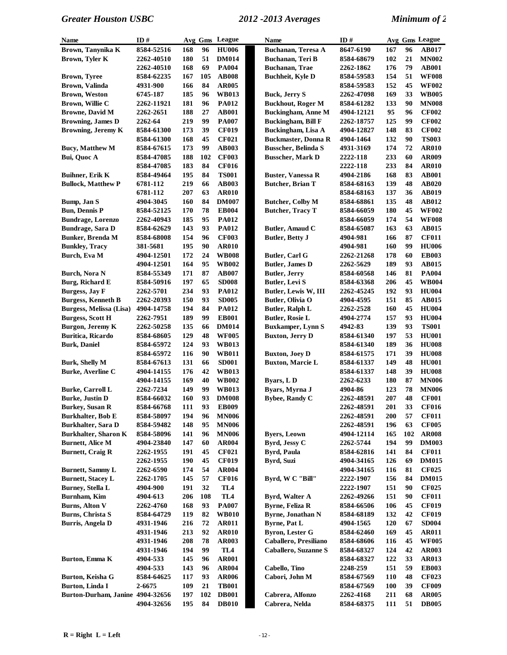| Name                             | ID#        |     |     | Avg Gms League  | Name                       | ID#        |            |     | Avg Gms League |
|----------------------------------|------------|-----|-----|-----------------|----------------------------|------------|------------|-----|----------------|
| Brown, Tanynika K                | 8584-52516 | 168 | 96  | <b>HU006</b>    | <b>Buchanan, Teresa A</b>  | 8647-6190  | 167        | 96  | <b>AB017</b>   |
| Brown, Tyler K                   | 2262-40510 | 180 | 51  | <b>DM014</b>    | Buchanan, Teri B           | 8584-68679 | 102        | 21  | <b>MN002</b>   |
|                                  | 2262-40510 | 168 | 69  | <b>PA004</b>    | <b>Buchanan</b> , Trae     | 2262-1862  | 176        | 79  | <b>AB001</b>   |
| <b>Brown, Tyree</b>              | 8584-62235 | 167 | 105 | <b>AB008</b>    | <b>Buchheit</b> , Kyle D   | 8584-59583 | 154        | 51  | <b>WF008</b>   |
| Brown, Valinda                   | 4931-900   | 166 | 84  | <b>AR005</b>    |                            | 8584-59583 | 152        | 45  | <b>WF002</b>   |
| <b>Brown, Weston</b>             | 6745-187   | 185 | 96  | <b>WB013</b>    | <b>Buck, Jerry S</b>       | 2262-47098 | 169        | 33  | <b>WB005</b>   |
| Brown, Willie C                  | 2262-11921 | 181 | 96  | <b>PA012</b>    | <b>Buckhout, Roger M</b>   | 8584-61282 | 133        | 90  | <b>MN008</b>   |
| <b>Browne, David M</b>           | 2262-2651  | 188 | 27  | <b>AB001</b>    | <b>Buckingham, Anne M</b>  | 4904-12121 | 95         | 96  | <b>CF002</b>   |
| <b>Browning, James D</b>         | 2262-64    | 219 | 99  | <b>PA007</b>    | <b>Buckingham, Bill F</b>  | 2262-18757 | 125        | 99  | <b>CF002</b>   |
| <b>Browning, Jeremy K</b>        | 8584-61300 | 173 | 39  | <b>CF019</b>    | <b>Buckingham</b> , Lisa A | 4904-12827 | 148        | 83  | <b>CF002</b>   |
|                                  | 8584-61300 | 168 | 45  | <b>CF021</b>    | <b>Buckmaster, Donna R</b> | 4904-1464  | 132        | 90  | <b>TS003</b>   |
| <b>Bucy, Matthew M</b>           | 8584-67615 | 173 | 99  | <b>AB003</b>    | <b>Busscher, Belinda S</b> | 4931-3169  | 174        | 72  | <b>AR010</b>   |
| Bui, Quoc A                      | 8584-47085 | 188 | 102 | <b>CF003</b>    | <b>Busscher, Mark D</b>    | 2222-118   | 233        | 60  | AR009          |
|                                  | 8584-47085 | 183 | 84  | <b>CF016</b>    |                            | 2222-118   | 233        | 84  | <b>AR010</b>   |
| <b>Buihner, Erik K</b>           | 8584-49464 | 195 | 84  | <b>TS001</b>    | <b>Buster, Vanessa R</b>   | 4904-2186  | 168        | 83  | <b>AB001</b>   |
| <b>Bullock, Matthew P</b>        | 6781-112   | 219 | 66  | <b>AB003</b>    | <b>Butcher, Brian T</b>    | 8584-68163 | 139        | 48  | <b>AB020</b>   |
|                                  | 6781-112   | 207 | 63  | <b>AR010</b>    |                            | 8584-68163 | 137        | 36  | <b>AB019</b>   |
| Bump, Jan S                      | 4904-3045  | 160 | 84  | <b>DM007</b>    | <b>Butcher, Colby M</b>    | 8584-68861 | 135        | 48  | AB012          |
| <b>Bun, Dennis P</b>             | 8584-52125 | 170 | 78  | <b>EB004</b>    | <b>Butcher, Tracy T</b>    | 8584-66059 | 180        | 45  | <b>WF002</b>   |
| <b>Bundrage, Lorenzo</b>         | 2262-40943 | 185 | 95  | <b>PA012</b>    |                            | 8584-66059 | 174        | 54  | <b>WF008</b>   |
| <b>Bundrage, Sara D</b>          | 8584-62629 | 143 | 93  | <b>PA012</b>    | Butler, Amaud C            | 8584-65087 | 163        | 63  | <b>AB015</b>   |
| <b>Bunker</b> , Brenda M         | 8584-68008 | 154 | 96  | <b>CF003</b>    | <b>Butler, Betty J</b>     | 4904-981   | 166        | 87  | <b>CF011</b>   |
| <b>Bunkley, Tracy</b>            | 381-5681   | 195 | 90  | <b>AR010</b>    |                            | 4904-981   | 160        | 99  | <b>HU006</b>   |
| Burch, Eva M                     | 4904-12501 | 172 | 24  | <b>WB008</b>    | Butler, Carl G             | 2262-21268 | 178        | 60  | <b>EB003</b>   |
|                                  | 4904-12501 | 164 | 95  | <b>WB002</b>    | <b>Butler</b> , James D    | 2262-5629  | 189        | 93  | <b>AB015</b>   |
| <b>Burch, Nora N</b>             | 8584-55349 | 171 | 87  | <b>AB007</b>    | <b>Butler, Jerry</b>       | 8584-60568 | 146        | 81  | <b>PA004</b>   |
| <b>Burg, Richard E</b>           | 8584-50916 | 197 | 65  | <b>SD008</b>    | Butler, Levi S             | 8584-63368 | 206        | 45  | <b>WB004</b>   |
| <b>Burgess, Jay F</b>            | 2262-5701  | 234 | 93  | <b>PA012</b>    | Butler, Lewis W, III       | 2262-45245 | 192        | 93  | <b>HU004</b>   |
| <b>Burgess, Kenneth B</b>        | 2262-20393 | 150 | 93  | <b>SD005</b>    | Butler, Olivia O           | 4904-4595  | 151        | 85  | AB015          |
| Burgess, Melissa (Lisa)          | 4904-14758 | 194 | 84  | <b>PA012</b>    | <b>Butler, Ralph L</b>     | 2262-2528  | 160        | 45  | <b>HU004</b>   |
| <b>Burgess, Scott H</b>          | 2262-7951  | 189 | 99  | <b>EB001</b>    | <b>Butler, Rosie L</b>     | 4904-2774  | 157        | 93  | <b>HU004</b>   |
| <b>Burgon, Jeremy K</b>          | 2262-50258 | 135 | 66  | <b>DM014</b>    | <b>Buxkamper, Lynn S</b>   | 4942-83    | 139        | 93  | <b>TS001</b>   |
| Buritica, Ricardo                | 8584-68605 | 129 | 48  | <b>WF005</b>    | <b>Buxton, Jerry D</b>     | 8584-61340 | 197        | 53  | <b>HU001</b>   |
| <b>Burk, Daniel</b>              | 8584-65972 | 124 | 93  | <b>WB013</b>    |                            | 8584-61340 | 189        | 36  | <b>HU008</b>   |
|                                  | 8584-65972 | 116 | 90  | <b>WB011</b>    | <b>Buxton, Joey D</b>      | 8584-61575 | 171        | 39  | <b>HU008</b>   |
| <b>Burk, Shelly M</b>            | 8584-67613 | 131 | 66  | <b>SD001</b>    | <b>Buxton, Marcie L</b>    | 8584-61337 | 149        | 48  | <b>HU001</b>   |
| <b>Burke, Averline C</b>         | 4904-14155 | 176 | 42  | <b>WB013</b>    |                            | 8584-61337 | 148        | 39  | <b>HU008</b>   |
|                                  | 4904-14155 | 169 | 40  | <b>WB002</b>    | Byars, LD                  | 2262-6233  | 180        | 87  | <b>MN006</b>   |
| <b>Burke, Carroll L</b>          | 2262-7234  | 149 | 99  | <b>WB013</b>    | Byars, Myrna J             | 4904-86    | 123        | 78  | <b>MN006</b>   |
| <b>Burke</b> , Justin D          | 8584-66032 | 160 | 93  | <b>DM008</b>    | <b>Bybee, Randy C</b>      | 2262-48591 | 207        | 48  | <b>CF001</b>   |
| <b>Burkey, Susan R</b>           | 8584-66768 | 111 | 93  | <b>EB009</b>    |                            | 2262-48591 | 201        | 33  | <b>CF016</b>   |
| Burkhalter, Bob E                | 8584-58097 | 194 | 96  | <b>MN006</b>    |                            | 2262-48591 | 200        | 57  | <b>CF011</b>   |
| Burkhalter, Sara D               | 8584-59482 | 148 | 95  | <b>MN006</b>    |                            | 2262-48591 | 196        | 63  | <b>CF005</b>   |
| <b>Burkhalter, Sharon K</b>      | 8584-58096 | 141 | 96  | <b>MN006</b>    | <b>Byers, Leown</b>        | 4904-12114 | 165        | 102 | <b>AR008</b>   |
| <b>Burnett, Alice M</b>          | 4904-23840 | 147 | 60  | <b>AR004</b>    | Byrd, Jessy C              | 2262-5744  | 194        | 99  | <b>DM003</b>   |
| <b>Burnett, Craig R</b>          | 2262-1955  | 191 | 45  | <b>CF021</b>    | <b>Byrd, Paula</b>         | 8584-62816 | 141        | 84  | <b>CF011</b>   |
|                                  | 2262-1955  | 190 | 45  | <b>CF019</b>    | <b>Byrd, Suzi</b>          | 4904-34165 | 126        | 69  | <b>DM015</b>   |
| <b>Burnett, Sammy L</b>          | 2262-6590  | 174 | 54  | <b>AR004</b>    |                            | 4904-34165 | 116        | 81  | <b>CF025</b>   |
| <b>Burnett, Stacey L</b>         | 2262-1705  | 145 | 57  | <b>CF016</b>    | Byrd, W C "Bill"           | 2222-1907  | 156        | 84  | <b>DM015</b>   |
| <b>Burney, Stella L</b>          | 4904-900   | 191 | 32  | TL4             |                            | 2222-1907  | 151        | 90  | <b>CF025</b>   |
| <b>Burnham, Kim</b>              | 4904-613   | 206 | 108 | TL <sub>4</sub> | Byrd, Walter A             | 2262-49266 | 151        | 90  | <b>CF011</b>   |
| <b>Burns, Alton V</b>            | 2262-4760  | 168 | 93  | <b>PA007</b>    | <b>Byrne, Feliza R</b>     | 8584-66506 | 106        | 45  | <b>CF019</b>   |
| Burns, Christa S                 | 8584-64729 | 119 | 82  | <b>WB010</b>    | <b>Byrne, Jonathan N</b>   | 8584-68189 | 132        | 42  | <b>CF019</b>   |
| <b>Burris, Angela D</b>          | 4931-1946  | 216 | 72  | <b>AR011</b>    | <b>Byrne, Pat L</b>        | 4904-1565  | 120        | 67  | <b>SD004</b>   |
|                                  | 4931-1946  | 213 | 92  | <b>AR010</b>    | <b>Byron, Lester G</b>     | 8584-62460 | 169        | 45  | <b>AR011</b>   |
|                                  | 4931-1946  | 208 | 78  | AR003           | Caballero, Presiliano      | 8584-68606 | 116        | 45  | <b>WF005</b>   |
|                                  | 4931-1946  | 194 | 99  | TL <sub>4</sub> | Caballero, Suzanne S       | 8584-68327 | 124        | 42  | <b>AR003</b>   |
| Burton, Emma K                   | 4904-533   | 145 | 96  | <b>AR001</b>    |                            | 8584-68327 | 122        | 33  | <b>AR013</b>   |
|                                  | 4904-533   | 143 | 96  | <b>AR004</b>    | Cabello, Tino              | 2248-259   | 151        | 59  | <b>EB003</b>   |
| Burton, Keisha G                 | 8584-64625 | 117 | 93  | <b>AR006</b>    | Cabori, John M             | 8584-67569 | 110        | 48  | <b>CF023</b>   |
| Burton, Linda I                  | 2-6675     | 109 | 21  | <b>TB001</b>    |                            | 8584-67569 | <b>100</b> | 39  | <b>CF009</b>   |
| Burton-Durham, Janine 4904-32656 |            | 197 | 102 | <b>DB001</b>    | Cabrera, Alfonzo           | 2262-4168  | 211        | 68  | <b>AR005</b>   |
|                                  | 4904-32656 | 195 | 84  | <b>DB010</b>    | Cabrera, Nelda             | 8584-68375 | 111        | 51  | <b>DB005</b>   |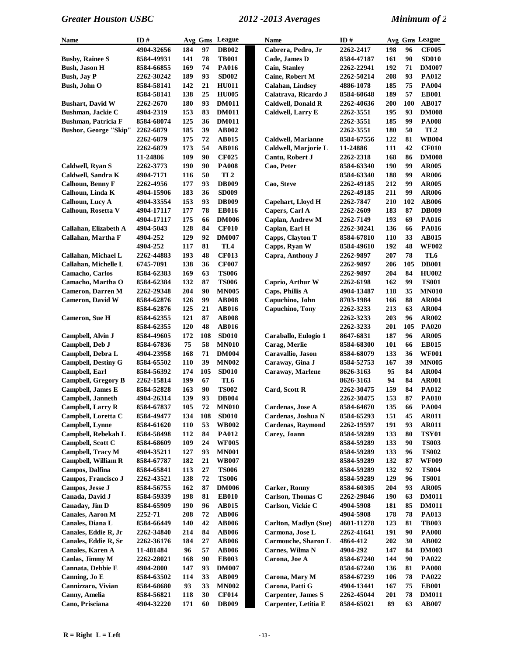| Name                                | ID#                      |            |          | Avg Gms League               | Name                                         | ID#                      |            |          | Avg Gms League               |
|-------------------------------------|--------------------------|------------|----------|------------------------------|----------------------------------------------|--------------------------|------------|----------|------------------------------|
|                                     | 4904-32656               | 184        | 97       | <b>DB002</b>                 | Cabrera, Pedro, Jr                           | 2262-2417                | 198        | 96       | <b>CF005</b>                 |
| <b>Busby, Rainee S</b>              | 8584-49931               | 141        | 78       | <b>TB001</b>                 | Cade, James D                                | 8584-47187               | 161        | 90       | <b>SD010</b>                 |
| <b>Bush, Jason H</b>                | 8584-66855               | 169        | 74       | <b>PA016</b>                 | <b>Cain, Stanley</b>                         | 2262-22941               | 192        | 71       | <b>DM007</b>                 |
| <b>Bush, Jay P</b>                  | 2262-30242               | 189        | 93       | <b>SD002</b>                 | <b>Caine, Robert M</b>                       | 2262-50214               | 208        | 93       | PA012                        |
| <b>Bush, John O</b>                 | 8584-58141               | 142        | 21       | <b>HU011</b>                 | <b>Calahan</b> , Lindsey                     | 4886-1078                | 185        | 75       | <b>PA004</b>                 |
|                                     | 8584-58141               | 138        | 25       | <b>HU005</b>                 | Calatrava, Ricardo J                         | 8584-60648               | 189        | 57       | <b>EB001</b>                 |
| <b>Bushart, David W</b>             | 2262-2670                | 180        | 93       | <b>DM011</b>                 | <b>Caldwell, Donald R</b>                    | 2262-40636               | 200        | 100      | <b>AB017</b>                 |
| <b>Bushman, Jackie C</b>            | 4904-2319                | 153        | 83       | <b>DM011</b>                 | Caldwell, Larry E                            | 2262-3551                | 195        | 93       | <b>DM008</b>                 |
| <b>Bushman, Patricia F</b>          | 8584-68074               | 125        | 36       | <b>DM011</b>                 |                                              | 2262-3551                | 185        | 99       | <b>PA008</b>                 |
| <b>Bushor, George "Skip"</b>        | 2262-6879                | 185        | 39       | AB002                        |                                              | 2262-3551                | 180        | 50       | TL2                          |
|                                     | 2262-6879                | 175        | 72       | <b>AB015</b>                 | <b>Caldwell, Marianne</b>                    | 8584-67556               | 122        | 81       | <b>WB004</b>                 |
|                                     | 2262-6879                | 173        | 54       | <b>AB016</b>                 | Caldwell, Marjorie L                         | 11-24886                 | 111        | 42       | <b>CF010</b>                 |
|                                     | 11-24886                 | 109        | 90       | <b>CF025</b>                 | Cantu, Robert J                              | 2262-2318                | 168        | 86       | <b>DM008</b>                 |
| Caldwell, Ryan S                    | 2262-3773                | 190        | 90       | <b>PA008</b>                 | Cao, Peter                                   | 8584-63340               | 190        | 99       | <b>AR005</b>                 |
| Caldwell, Sandra K                  | 4904-7171                | 116        | 50       | TL <sub>2</sub>              |                                              | 8584-63340               | 188        | 99       | <b>AR006</b>                 |
| <b>Calhoun, Benny F</b>             | 2262-4956                | 177        | 93       | <b>DB009</b>                 | Cao, Steve                                   | 2262-49185               | 212        | 99       | <b>AR005</b>                 |
| Calhoun, Linda K                    | 4904-15906               | 183        | 36       | <b>SD009</b>                 |                                              | 2262-49185               | 211        | 99       | <b>AR006</b>                 |
| Calhoun, Lucy A                     | 4904-33554               | 153        | 93       | <b>DB009</b>                 | Capehart, Lloyd H                            | 2262-7847                | 210        | 102      | <b>AB006</b>                 |
| Calhoun, Rosetta V                  | 4904-17117               | 177        | 78       | <b>EB016</b>                 | Capers, Carl A                               | <b>2262-2609</b>         | 183        | 87       | <b>DB009</b>                 |
|                                     | 4904-17117               | 175        | 66       | <b>DM006</b>                 | Caplan, Andrew M                             | 2262-7149                | 193        | 69       | <b>PA016</b>                 |
| Callahan, Elizabeth A               | 4904-5043                | 128        | 84       | <b>CF010</b>                 | Caplan, Earl H                               | 2262-30241               | 136        | 66       | <b>PA016</b>                 |
| Callahan, Martha F                  | 4904-252                 | 129        | 92       | <b>DM007</b>                 | Capps, Clayton T                             | 8584-67810               | 110        | 33       | <b>AB015</b>                 |
|                                     | 4904-252                 | 117        | 81       | TL <sub>4</sub>              | Capps, Ryan W                                | 8584-49610               | 192        | 48       | <b>WF002</b>                 |
| Callahan, Michael L                 | 2262-44883               | 193        | 48       | <b>CF013</b>                 | Capra, Anthony J                             | 2262-9897                | 207        | 78       | TL6                          |
| Callahan, Michelle L                | 6745-7091                | 138        | 36       | <b>CF007</b>                 |                                              | 2262-9897                | 206        | 105      | <b>DB001</b>                 |
| Camacho, Carlos                     | 8584-62383               | 169        | 63       | <b>TS006</b>                 |                                              | 2262-9897                | 204        | 84       | <b>HU002</b>                 |
| Camacho, Martha O                   | 8584-62384               | 132        | 87       | <b>TS006</b>                 | Caprio, Arthur W                             | 2262-6198                | 162        | 99       | <b>TS001</b>                 |
| <b>Cameron</b> , Darren M           | 2262-29348               | 204        | 90       | <b>MN005</b>                 | Caps, Phillis A                              | 4904-13487               | 118        | 35       | <b>MN010</b>                 |
| <b>Cameron</b> , David W            | 8584-62876               | 126<br>125 | 99       | <b>AB008</b>                 | Capuchino, John<br>Capuchino, Tony           | 8703-1984                | 166<br>213 | 88<br>63 | <b>AR004</b><br><b>AR004</b> |
| Cameron, Sue H                      | 8584-62876<br>8584-62355 | 121        | 21<br>87 | AB016<br><b>AB008</b>        |                                              | 2262-3233<br>2262-3233   | 203        | 96       | AR002                        |
|                                     | 8584-62355               | 120        | 48       | <b>AB016</b>                 |                                              | 2262-3233                | 201        | 105      | <b>PA020</b>                 |
| Campbell, Alvin J                   | 8584-49605               | 172        | 108      | <b>SD010</b>                 | Caraballo, Eulogio 1                         | 8647-6831                | 187        | 96       | <b>AR005</b>                 |
| Campbell, Deb J                     | 8584-67836               | 75         | 58       | <b>MN010</b>                 | Carag, Merlie                                | 8584-68300               | 101        | 66       | <b>EB015</b>                 |
| Campbell, Debra L                   | 4904-23958               | 168        | 71       | <b>DM004</b>                 | Caravallio, Jason                            | 8584-68079               | 133        | 36       | <b>WF001</b>                 |
| <b>Campbell, Destiny G</b>          | 8584-65502               | 110        | 39       | <b>MN002</b>                 | Caraway, Gina J                              | 8584-52753               | 167        | 39       | <b>MN005</b>                 |
| Campbell, Earl                      | 8584-56392               | 174        | 105      | <b>SD010</b>                 | Caraway, Marlene                             | 8626-3163                | 95         | 84       | <b>AR004</b>                 |
| <b>Campbell, Gregory B</b>          | 2262-15814               | 199        | 67       | TL6                          |                                              | 8626-3163                | 94         | 84       | <b>AR001</b>                 |
| <b>Campbell, James E</b>            | 8584-52828               | 163        | 90       | <b>TS002</b>                 | Card, Scott R                                | 2262-30475               | 159        | 84       | PA012                        |
| Campbell, Janneth                   | 4904-26314               | 139        | 93       | <b>DB004</b>                 |                                              | 2262-30475               | 153        | 87       | <b>PA010</b>                 |
| Campbell, Larry R                   | 8584-67837               | 105        | 72       | <b>MN010</b>                 | Cardenas, Jose A                             | 8584-64670               | 135        | 66       | <b>PA004</b>                 |
| Campbell, Loretta C                 | 8584-49477               | 134        | 108      | <b>SD010</b>                 | Cardenas, Joshua N                           | 8584-65293               | 151        | 45       | <b>AR011</b>                 |
| Campbell, Lynne                     | 8584-61620               | <b>110</b> | 53       | <b>WB002</b>                 | <b>Cardenas, Raymond</b>                     | 2262-19597               | 191        | 93       | <b>AR011</b>                 |
| Campbell, Rebekah L                 | 8584-58498               | 112        | 84       | <b>PA012</b>                 | Carey, Joann                                 | 8584-59289               | 133        | 80       | <b>TSY01</b>                 |
| Campbell, Scott C                   | 8584-68609               | 109        | 24       | <b>WF005</b>                 |                                              | 8584-59289               | 133        | 90       | <b>TS003</b>                 |
| <b>Campbell, Tracy M</b>            | 4904-35211               | 127        | 93       | <b>MN001</b>                 |                                              | 8584-59289               | 133        | 96       | <b>TS002</b>                 |
| <b>Campbell, William R</b>          | 8584-67787               | 182        | 21       | <b>WB007</b>                 |                                              | 8584-59289               | 132        | 87       | <b>WF009</b>                 |
| Campos, Dalfina                     | 8584-65841               | 113        | 27       | <b>TS006</b>                 |                                              | 8584-59289               | 132        | 92       | <b>TS004</b>                 |
| Campos, Francisco J                 | 2262-43521               | 138        | 72       | <b>TS006</b>                 |                                              | 8584-59289               | 129        | 96       | <b>TS001</b>                 |
| Campos, Jesse J                     | 8584-56755               | 162        | 87       | <b>DM006</b>                 | <b>Carker, Ronny</b>                         | 8584-60305               | 204        | 93       | <b>AR005</b>                 |
| Canada, David J                     | 8584-59339               | 198        | 81       | <b>EB010</b>                 | Carlson, Thomas C                            | 2262-29846               | 190        | 63       | <b>DM011</b>                 |
| Canaday, Jim D                      | 8584-65909               | 190        | 96       | <b>AB015</b>                 | Carlson, Vickie C                            | 4904-5908                | 181        | 85       | <b>DM011</b>                 |
| <b>Canales, Aaron M</b>             | 2252-71                  | 208        | 72       | <b>AB006</b>                 |                                              | 4904-5908                | 178        | 78       | <b>PA013</b>                 |
| Canales, Diana L                    | 8584-66449               | <b>140</b> | 42       | <b>AB006</b>                 | Carlton, Madlyn (Sue)                        | 4601-11278               | 123        | 81       | <b>TB003</b>                 |
| Canales, Eddie R, Jr                | 2262-34840               | 214        | 84       | <b>AB006</b>                 | Carmona, Jose L                              | 2262-41641               | 191        | 90       | <b>PA008</b>                 |
| Canales, Eddie R, Sr                | 2262-36176               | 184        | 27       | <b>AB006</b>                 | Carmouche, Sharon L                          | 4864-412                 | 202        | 30       | <b>AB002</b>                 |
| Canales, Karen A                    | 11-481484                | 96         | 57       | <b>AB006</b>                 | Carnes, Wilma N                              | 4904-292                 | 147        | 84       | <b>DM003</b>                 |
| Canlas, Jimmy M                     | 2262-28021               | 168        | 90       | <b>EB003</b>                 | Carona, Joe A                                | 8584-67240               | 144        | 90       | PA022                        |
| Cannata, Debbie E                   | 4904-2800                | 147        | 93       | <b>DM007</b>                 |                                              | 8584-67240               | 136        | 81       | <b>PA008</b>                 |
| Canning, Jo E                       | 8584-63502               | 114        | 33       | <b>AB009</b>                 | Carona, Mary M                               | 8584-67239               | 106        | 78       | <b>PA022</b>                 |
| Cannizzaro, Vivian<br>Canny, Amelia | 8584-68680               | 93<br>118  | 33<br>30 | <b>MN002</b><br><b>CF014</b> | Carona, Patti G<br><b>Carpenter, James S</b> | 4904-13441<br>2262-45044 | 167<br>201 | 75<br>78 | <b>EB001</b><br><b>DM011</b> |
| Cano, Prisciana                     | 8584-56821<br>4904-32220 | 171        | 60       | <b>DB009</b>                 | Carpenter, Letitia E                         | 8584-65021               | 89         | 63       | <b>AB007</b>                 |
|                                     |                          |            |          |                              |                                              |                          |            |          |                              |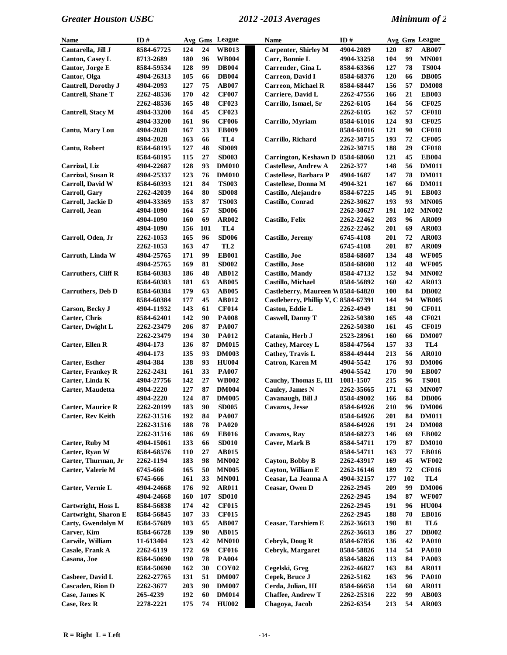| Name                       | ID#        |     |     | Avg Gms League  | Name                                 | ID#        |     |     | Avg Gms League  |
|----------------------------|------------|-----|-----|-----------------|--------------------------------------|------------|-----|-----|-----------------|
| Cantarella, Jill J         | 8584-67725 | 124 | 24  | <b>WB013</b>    | <b>Carpenter, Shirley M</b>          | 4904-2089  | 120 | 87  | <b>AB007</b>    |
| <b>Canton, Casey L</b>     | 8713-2689  | 180 | 96  | <b>WB004</b>    | Carr, Bonnie L                       | 4904-33258 | 104 | 99  | <b>MN001</b>    |
| Cantor, Jorge E            | 8584-59534 | 128 | 99  | <b>DB004</b>    | Carrender, Gina L                    | 8584-63366 | 127 | 78  | <b>TS004</b>    |
| Cantor, Olga               | 4904-26313 | 105 | 66  | <b>DB004</b>    | Carreon, David I                     | 8584-68376 | 120 | 66  | <b>DB005</b>    |
| Cantrell, Dorothy J        | 4904-2093  | 127 | 75  | <b>AB007</b>    | <b>Carreon, Michael R</b>            | 8584-68447 | 156 | 57  | <b>DM008</b>    |
| <b>Cantrell, Shane T</b>   | 2262-48536 | 170 | 42  | <b>CF007</b>    | Carriere, David L                    | 2262-47556 | 166 | 21  | <b>EB003</b>    |
|                            | 2262-48536 | 165 | 48  | <b>CF023</b>    | Carrillo, Ismael, Sr                 | 2262-6105  | 164 | 56  | <b>CF025</b>    |
| Cantrell, Stacy M          | 4904-33200 | 164 | 45  | <b>CF023</b>    |                                      | 2262-6105  | 162 | 57  | <b>CF018</b>    |
|                            | 4904-33200 | 161 | 96  | <b>CF006</b>    | Carrillo, Myriam                     | 8584-61016 | 124 | 93  | <b>CF025</b>    |
| Cantu, Mary Lou            | 4904-2028  | 167 | 33  | <b>EB009</b>    |                                      | 8584-61016 | 121 | 90  | <b>CF018</b>    |
|                            | 4904-2028  | 163 | 66  | TL <sub>4</sub> | Carrillo, Richard                    | 2262-30715 | 193 | 72  | <b>CF005</b>    |
| Cantu, Robert              | 8584-68195 | 127 | 48  | <b>SD009</b>    |                                      | 2262-30715 | 188 | 29  | <b>CF018</b>    |
|                            | 8584-68195 | 115 | 27  | <b>SD003</b>    | Carrington, Keshawn D                | 8584-68060 | 121 | 45  | <b>EB004</b>    |
| Carrizal, Liz              | 4904-22687 | 128 | 93  | <b>DM010</b>    | <b>Castellese, Andrew A</b>          | 2262-377   | 148 | 56  | <b>DM011</b>    |
| Carrizal, Susan R          | 4904-25337 | 123 | 76  | <b>DM010</b>    | Castellese, Barbara P                | 4904-1687  | 147 | 78  | <b>DM011</b>    |
| Carroll, David W           | 8584-60393 | 121 | 84  | <b>TS003</b>    | <b>Castellese, Donna M</b>           | 4904-321   | 167 | 66  | <b>DM011</b>    |
| Carroll, Gary              | 2262-42039 | 164 | 80  | <b>SD008</b>    | Castillo, Alejandro                  | 8584-67225 | 145 | 91  | <b>EB003</b>    |
| Carroll, Jackie D          | 4904-33369 | 153 | 87  | <b>TS003</b>    | Castillo, Conrad                     | 2262-30627 | 193 | 93  | <b>MN005</b>    |
| Carroll, Jean              | 4904-1090  | 164 | 57  | <b>SD006</b>    |                                      | 2262-30627 | 191 | 102 | <b>MN002</b>    |
|                            |            | 160 | 69  | <b>AR002</b>    | <b>Castillo, Felix</b>               | 2262-22462 | 203 | 96  | <b>AR009</b>    |
|                            | 4904-1090  |     | 101 |                 |                                      |            |     | 69  |                 |
|                            | 4904-1090  | 156 |     | TL <sub>4</sub> |                                      | 2262-22462 | 201 |     | AR003           |
| Carroll, Oden, Jr          | 2262-1053  | 165 | 96  | <b>SD006</b>    | Castillo, Jeremy                     | 6745-4108  | 201 | 72  | <b>AR003</b>    |
|                            | 2262-1053  | 163 | 47  | TL <sub>2</sub> |                                      | 6745-4108  | 201 | 87  | AR009           |
| Carruth, Linda W           | 4904-25765 | 171 | 99  | <b>EB001</b>    | Castillo, Joe                        | 8584-68607 | 134 | 48  | <b>WF005</b>    |
|                            | 4904-25765 | 169 | 81  | <b>SD002</b>    | Castillo, Jose                       | 8584-68608 | 112 | 48  | <b>WF005</b>    |
| <b>Carruthers, Cliff R</b> | 8584-60383 | 186 | 48  | <b>AB012</b>    | <b>Castillo, Mandy</b>               | 8584-47132 | 152 | 94  | <b>MN002</b>    |
|                            | 8584-60383 | 181 | 63  | <b>AB005</b>    | Castillo, Michael                    | 8584-56892 | 160 | 42  | <b>AR013</b>    |
| <b>Carruthers</b> , Deb D  | 8584-60384 | 179 | 63  | <b>AB005</b>    | Castleberry, Maureen W8584-64820     |            | 100 | 84  | <b>DB002</b>    |
|                            | 8584-60384 | 177 | 45  | AB012           | Castleberry, Phillip V, C 8584-67391 |            | 144 | 94  | <b>WB005</b>    |
| Carson, Becky J            | 4904-11932 | 143 | 61  | <b>CF014</b>    | Caston, Eddie L                      | 2262-4949  | 181 | 90  | <b>CF011</b>    |
| Carter, Chris              | 8584-62401 | 142 | 90  | <b>PA008</b>    | <b>Caswell, Danny T</b>              | 2262-50380 | 165 | 48  | <b>CF021</b>    |
| Carter, Dwight L           | 2262-23479 | 206 | 87  | <b>PA007</b>    |                                      | 2262-50380 | 161 | 45  | <b>CF019</b>    |
|                            | 2262-23479 | 194 | 30  | <b>PA012</b>    | Catania, Herb J                      | 2523-28961 | 160 | 66  | <b>DM007</b>    |
| Carter, Ellen R            | 4904-173   | 136 | 87  | <b>DM015</b>    | Cathey, Marcey L                     | 8584-47564 | 157 | 33  | TL4             |
|                            | 4904-173   | 135 | 93  | <b>DM003</b>    | Cathey, Travis L                     | 8584-49444 | 213 | 56  | <b>AR010</b>    |
| <b>Carter, Esther</b>      | 4904-384   | 138 | 93  | <b>HU004</b>    | Catron, Karen M                      | 4904-5542  | 176 | 93  | <b>DM006</b>    |
| <b>Carter, Frankey R</b>   | 2262-2431  | 161 | 33  | <b>PA007</b>    |                                      | 4904-5542  | 170 | 90  | <b>EB007</b>    |
| Carter, Linda K            | 4904-27756 | 142 | 27  | <b>WB002</b>    | Cauchy, Thomas E, III                | 1081-1507  | 215 | 96  | <b>TS001</b>    |
| Carter, Maudetta           | 4904-2220  | 127 | 87  | <b>DM004</b>    | Cauley, James N                      | 2262-35665 | 171 | 63  | <b>MN007</b>    |
|                            | 4904-2220  | 124 | 87  | <b>DM005</b>    | Cavanaugh, Bill J                    | 8584-49002 | 166 | 84  | <b>DB006</b>    |
| <b>Carter, Maurice R</b>   | 2262-20199 | 183 | 90  | <b>SD005</b>    | <b>Cavazos, Jesse</b>                | 8584-64926 | 210 | 96  | <b>DM006</b>    |
| <b>Carter, Rev Keith</b>   | 2262-31516 | 192 | 84  | <b>PA007</b>    |                                      | 8584-64926 | 201 | 84  | <b>DM011</b>    |
|                            | 2262-31516 | 188 | 78  | <b>PA020</b>    |                                      | 8584-64926 | 191 | 24  | <b>DM008</b>    |
|                            | 2262-31516 | 186 | 69  | <b>EB016</b>    | Cavazos, Ray                         | 8584-68273 | 146 | 69  | <b>EB002</b>    |
| Carter, Ruby M             | 4904-15061 | 133 | 66  | <b>SD010</b>    | Caver, Mark B                        | 8584-54711 | 179 | 87  | <b>DM010</b>    |
| Carter, Ryan W             | 8584-68576 | 110 | 27  | AB015           |                                      | 8584-54711 | 163 | 77  | <b>EB016</b>    |
| Carter, Thurman, Jr        | 2262-1194  | 183 | 98  | <b>MN002</b>    | Cayton, Bobby B                      | 2262-43917 | 169 | 45  | <b>WF002</b>    |
| Carter, Valerie M          | 6745-666   | 165 | 50  | <b>MN005</b>    | Cayton, William E                    | 2262-16146 | 189 | 72  | <b>CF016</b>    |
|                            | 6745-666   | 161 | 33  | <b>MN001</b>    | Ceasar, La Jeanna A                  | 4904-32157 | 177 | 102 | TL <sub>4</sub> |
| Carter, Vernie L           | 4904-24668 | 176 | 92  | <b>AR011</b>    | Ceasar, Owen D                       | 2262-2945  | 209 | 99  | <b>DM006</b>    |
|                            | 4904-24668 | 160 | 107 | <b>SD010</b>    |                                      | 2262-2945  | 194 | 87  | <b>WF007</b>    |
| Cartwright, Hoss L         | 8584-56838 | 174 | 42  | <b>CF015</b>    |                                      | 2262-2945  | 191 | 96  | <b>HU004</b>    |
| Cartwright, Sharon E       | 8584-56845 | 107 | 33  | <b>CF015</b>    |                                      | 2262-2945  | 188 | 70  | <b>EB016</b>    |
| Carty, Gwendolyn M         | 8584-57689 | 103 | 65  | <b>AB007</b>    | Ceasar, Tarshiem E                   | 2262-36613 | 198 | 81  | TL6             |
| Carver, Kim                | 8584-66728 | 139 | 90  | AB015           |                                      | 2262-36613 | 186 | 27  | <b>DB002</b>    |
| Carwile, William           | 11-613404  | 123 | 42  | <b>MN010</b>    | Cebryk, Doug R                       | 8584-67856 | 136 | 42  | <b>PA010</b>    |
| Casale, Frank A            | 2262-6119  | 172 | 69  | <b>CF016</b>    | Cebryk, Margaret                     | 8584-58826 | 114 | 54  | <b>PA010</b>    |
| Casana, Joe                | 8584-50690 | 190 | 78  | <b>PA004</b>    |                                      | 8584-58826 | 113 | 84  | <b>PA003</b>    |
|                            | 8584-50690 | 162 | 30  | <b>COY02</b>    | Cegelski, Greg                       | 2262-46827 | 163 | 84  | <b>AR011</b>    |
| Casbeer, David L           | 2262-27765 | 131 | 51  | <b>DM007</b>    | Cepek, Bruce J                       | 2262-5162  | 163 | 96  | <b>PA010</b>    |
| <b>Cascaden, Rion D</b>    | 2262-3677  | 203 | 90  | <b>DM007</b>    | Cerda, Julian, III                   | 8584-66658 | 154 | 60  | <b>AR011</b>    |
| Case, James K              | 265-4239   | 192 | 60  | <b>DM014</b>    | <b>Chaffee, Andrew T</b>             | 2262-25316 | 222 | 99  | <b>AB003</b>    |
| Case, Rex R                | 2278-2221  | 175 | 74  | <b>HU002</b>    | Chagoya, Jacob                       | 2262-6354  | 213 | 54  | <b>AR003</b>    |
|                            |            |     |     |                 |                                      |            |     |     |                 |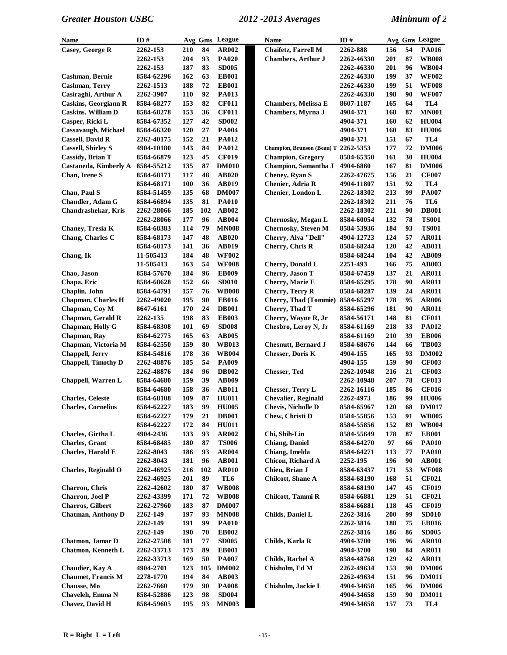| Name                             | ID#        |     | Avg Gms | League       | Name                             | ID#        |     |    | Avg Gms League |
|----------------------------------|------------|-----|---------|--------------|----------------------------------|------------|-----|----|----------------|
| Casey, George R                  | 2262-153   | 210 | 84      | AR002        | Chaifetz, Farrell M              | 2262-888   | 156 | 54 | PA016          |
|                                  | 2262-153   | 204 | 93      | <b>PA020</b> | <b>Chambers, Arthur J</b>        | 2262-46330 | 201 | 87 | <b>WB008</b>   |
|                                  | 2262-153   | 187 | 83      | <b>SD005</b> |                                  | 2262-46330 | 201 | 96 | <b>WB004</b>   |
| Cashman, Bernie                  | 8584-62296 | 162 | 63      | <b>EB001</b> |                                  | 2262-46330 | 199 | 37 | <b>WF002</b>   |
| Cashman, Terry                   | 2262-1513  | 188 | 72      | <b>EB001</b> |                                  | 2262-46330 | 199 | 51 | <b>WF008</b>   |
| Casiraghi, Arthur A              | 2262-3907  | 110 | 92      | <b>PA013</b> |                                  | 2262-46330 | 198 | 90 | <b>WF007</b>   |
| <b>Caskins, Georgiann R</b>      | 8584-68277 | 153 | 82      | <b>CF011</b> | <b>Chambers, Melissa E</b>       | 8607-1187  | 165 | 64 | TL4            |
| <b>Caskins, William D</b>        | 8584-68278 | 153 | 36      | <b>CF011</b> | Chambers, Myrna J                | 4904-371   | 168 | 87 | <b>MN001</b>   |
| Casper, Ricki L                  | 8584-67352 | 127 | 42      | <b>SD002</b> |                                  | 4904-371   | 160 | 62 | <b>HU004</b>   |
| <b>Cassavaugh, Michael</b>       | 8584-66320 | 120 | 27      | <b>PA004</b> |                                  | 4904-371   | 160 | 83 | <b>HU006</b>   |
| <b>Cassell, David R</b>          | 2262-40175 | 152 | 21      | <b>PA012</b> |                                  | 4904-371   | 151 | 67 | TL4            |
| <b>Cassell, Shirley S</b>        | 4904-10180 | 143 | 84      | <b>PA012</b> | Champion, Brunson (Beau) T       | 2262-5353  | 177 | 72 | <b>DM006</b>   |
| <b>Cassidy</b> , Brian T         | 8584-66879 | 123 | 45      | <b>CF019</b> | <b>Champion, Gregory</b>         | 8584-65350 | 161 | 30 | <b>HU004</b>   |
| Castaneda, Kimberly A 8584-55212 |            | 135 | 87      | <b>DM010</b> | Champion, Samantha J             | 4904-6860  | 167 | 81 | <b>DM006</b>   |
| Chan, Irene S                    | 8584-68171 | 117 | 48      | <b>AB020</b> | Cheney, Ryan S                   | 2262-47675 | 156 | 21 | <b>CF007</b>   |
|                                  | 8584-68171 | 100 | 36      | <b>AB019</b> | Chenier, Adria R                 | 4904-11807 | 151 | 92 | TL4            |
| Chan, Paul S                     | 8584-51459 | 135 | 68      | <b>DM007</b> | Chenier, London L                | 2262-18302 | 213 | 99 | PA007          |
| <b>Chandler</b> , Adam G         | 8584-66894 | 135 | 81      | <b>PA010</b> |                                  | 2262-18302 | 211 | 76 | TL6            |
| <b>Chandrashekar</b> , Kris      | 2262-28066 | 185 | 102     | AB002        |                                  | 2262-18302 | 211 | 90 | <b>DB001</b>   |
|                                  | 2262-28066 | 177 | 96      | <b>AB004</b> | Chernosky, Megan L               | 8584-60054 | 132 | 78 | <b>TS001</b>   |
| Chaney, Tresia K                 | 8584-68383 | 114 | 79      | <b>MN008</b> | <b>Chernosky, Steven M</b>       | 8584-53936 | 184 | 93 | <b>TS001</b>   |
| Chang, Charles C                 | 8584-68173 | 147 | 48      | <b>AB020</b> | Cherry, Alva "Dell"              | 4904-12723 | 124 | 57 | <b>AR011</b>   |
|                                  | 8584-68173 | 141 | 36      | <b>AB019</b> | Cherry, Chris R                  | 8584-68244 | 120 | 42 | <b>AB011</b>   |
| Chang, Ik                        | 11-505413  | 184 | 48      | <b>WF002</b> |                                  | 8584-68244 | 104 | 42 | AB009          |
|                                  | 11-505413  | 163 | 54      | <b>WF008</b> | Cherry, Donald L                 | 2251-493   | 166 | 75 | <b>AB003</b>   |
| Chao, Jason                      | 8584-57670 | 184 | 96      | <b>EB009</b> | Cherry, Jason T                  | 8584-67459 | 137 | 21 | <b>AR011</b>   |
| Chapa, Eric                      | 8584-68628 | 152 | 66      | <b>SD010</b> | Cherry, Marie E                  | 8584-65295 | 178 | 90 | <b>AR011</b>   |
| Chaplin, John                    | 8584-64791 | 157 | 76      | <b>WB008</b> | Cherry, Terry R                  | 8584-68287 | 139 | 24 | <b>AR011</b>   |
| Chapman, Charles H               | 2262-49020 | 195 | 90      | <b>EB016</b> | Cherry, Thad (Tommie) 8584-65297 |            | 178 | 95 | <b>AR006</b>   |
| Chapman, Coy M                   | 8647-6161  | 170 | 24      | <b>DB001</b> | Cherry, Thad T                   | 8584-65296 | 181 | 90 | <b>AR011</b>   |
| Chapman, Gerald R                | 2262-135   | 198 | 83      | <b>EB003</b> | Cherry, Wayne R, Jr              | 8584-56171 | 148 | 81 | <b>CF011</b>   |
| Chapman, Holly G                 | 8584-68308 | 101 | 69      | <b>SD008</b> | Chesbro, Leroy N, Jr             | 8584-61169 | 218 | 33 | <b>PA012</b>   |
| Chapman, Ray                     | 8584-62775 | 165 | 63      | <b>AB005</b> |                                  | 8584-61169 | 210 | 39 | <b>EB006</b>   |
| Chapman, Victoria M              | 8584-62550 | 159 | 80      | <b>WB013</b> | <b>Chesnutt, Bernard J</b>       | 8584-68676 | 144 | 66 | <b>TB003</b>   |
| Chappell, Jerry                  | 8584-54816 | 178 | 36      | <b>WB004</b> | <b>Chesser, Doris K</b>          | 4904-155   | 165 | 93 | <b>DM002</b>   |
| <b>Chappell, Timothy D</b>       | 2262-48876 | 185 | 54      | <b>PA009</b> |                                  | 4904-155   | 159 | 90 | <b>CF003</b>   |
|                                  | 2262-48876 | 184 | 96      | <b>DB002</b> | <b>Chesser, Ted</b>              | 2262-10948 | 216 | 21 | <b>CF003</b>   |
| Chappell, Warren L               | 8584-64680 | 159 | 39      | <b>AB009</b> |                                  | 2262-10948 | 207 | 78 | <b>CF013</b>   |
|                                  | 8584-64680 | 158 | 36      | <b>AB011</b> | <b>Chesser, Terry L</b>          | 2262-16116 | 185 | 86 | <b>CF016</b>   |
| <b>Charles, Celeste</b>          | 8584-68108 | 109 | 87      | <b>HU011</b> | <b>Chevalier, Reginald</b>       | 2262-4973  | 186 | 99 | <b>HU006</b>   |
| <b>Charles, Cornelius</b>        | 8584-62227 | 183 | 99      | <b>HU005</b> | <b>Chevis, Nicholle D</b>        | 8584-65967 | 120 | 68 | <b>DM017</b>   |
|                                  | 8584-62227 | 179 | 21      | <b>DB001</b> | Chew, Christi D                  | 8584-55856 | 153 | 91 | <b>WB005</b>   |
|                                  | 8584-62227 | 172 | 84      | <b>HU011</b> |                                  | 8584-55856 | 152 | 89 | <b>WB004</b>   |
| Charles, Girtha L                | 4904-2436  | 133 | 93      | AR002        | Chi, Shih-Lin                    | 8584-55649 | 178 | 87 | <b>EB001</b>   |
| <b>Charles</b> , Grant           | 8584-68485 | 180 | 87      | <b>TS006</b> | <b>Chiang</b> , Daniel           | 8584-64270 | 97  | 66 | <b>PA010</b>   |
| <b>Charles, Harold E</b>         | 2262-8043  | 186 | 93      | AR004        | Chiang, Imelda                   | 8584-64271 | 113 | 77 | <b>PA010</b>   |
|                                  | 2262-8043  | 181 | 96      | <b>AB001</b> | <b>Chicon, Richard A</b>         | 2252-195   | 196 | 90 | <b>AB001</b>   |
| <b>Charles, Reginald O</b>       | 2262-46925 | 216 | 102     | <b>AR010</b> | Chieu, Brian J                   | 8584-63437 | 171 | 53 | <b>WF008</b>   |
|                                  | 2262-46925 | 201 | 89      | TL6          | <b>Chilcott, Shane A</b>         | 8584-68190 | 168 | 51 | <b>CF021</b>   |
| Charron, Chris                   | 2262-42602 | 180 | 87      | <b>WB008</b> |                                  | 8584-68190 | 147 | 45 | <b>CF019</b>   |
| <b>Charron</b> , Joel P          | 2262-43399 | 171 | 72      | <b>WB008</b> | Chilcott, Tammi R                | 8584-66881 | 129 | 51 | <b>CF021</b>   |
| <b>Charros</b> , Gilbert         | 2262-27960 | 183 | 87      | <b>DM007</b> |                                  | 8584-66881 | 118 | 45 | <b>CF019</b>   |
| <b>Chatman, Anthony D</b>        | 2262-149   | 197 | 93      | <b>MN008</b> | Childs, Daniel L                 | 2262-3816  | 200 | 99 | <b>SD010</b>   |
|                                  | 2262-149   | 191 | 99      | <b>PA010</b> |                                  | 2262-3816  | 188 | 75 | <b>EB016</b>   |
|                                  | 2262-149   | 190 | 70      | <b>EB002</b> |                                  | 2262-3816  | 186 | 86 | <b>SD005</b>   |
| Chatmon, Jamar D                 | 2262-27508 | 181 | 77      | <b>SD005</b> | Childs, Karla R                  | 4904-3700  | 196 | 96 | <b>AR010</b>   |
| <b>Chatmon, Kenneth L</b>        | 2262-33713 | 173 | 89      | <b>EB001</b> |                                  | 4904-3700  | 190 | 84 | <b>AR011</b>   |
|                                  | 2262-33713 | 169 | 50      | <b>PA007</b> | Childs, Rachel A                 | 8584-48768 | 129 | 42 | <b>AR011</b>   |
| Chaudier, Kay A                  | 4904-2701  | 123 | 105     | <b>DM002</b> | Chisholm, Ed M                   | 2262-49634 | 153 | 90 | <b>DM006</b>   |
| <b>Chaumet, Francis M</b>        | 2278-1770  | 194 | 84      | <b>AB003</b> |                                  | 2262-49634 | 151 | 96 | <b>DM011</b>   |
| Chausse, Mo                      | 2262-7660  | 179 | 90      | <b>PA008</b> | Chisholm, Jackie L               | 4904-34658 | 165 | 96 | <b>DM006</b>   |
| Chaveleh, Emma N                 | 8584-52886 | 123 | 98      | <b>SD004</b> |                                  | 4904-34658 | 159 | 90 | <b>DM011</b>   |
| Chavez, David H                  | 8584-59605 | 195 | 93      | <b>MN003</b> |                                  | 4904-34658 | 157 | 73 | TL4            |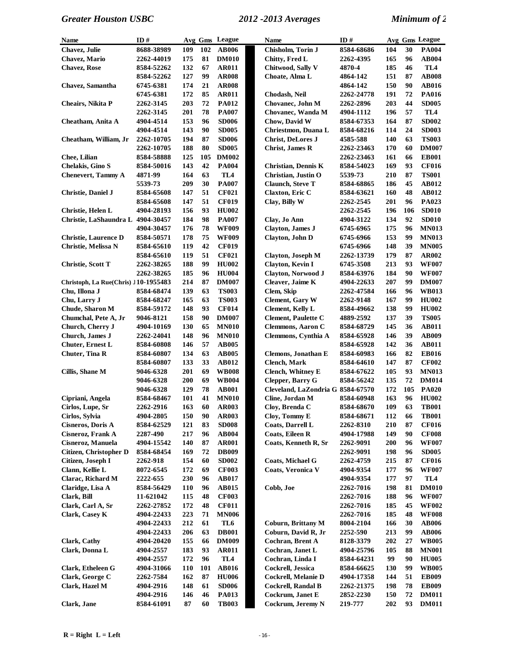| <b>Name</b>                          | ID#        |            |            | Avg Gms League | Name                              | ID#        |            |     | Avg Gms League  |
|--------------------------------------|------------|------------|------------|----------------|-----------------------------------|------------|------------|-----|-----------------|
| Chavez, Julie                        | 8688-38989 | 109        | 102        | <b>AB006</b>   | Chisholm, Torin J                 | 8584-68686 | 104        | 30  | <b>PA004</b>    |
| <b>Chavez</b> , Mario                | 2262-44019 | 175        | 81         | <b>DM010</b>   | Chitty, Fred L                    | 2262-4395  | 165        | 96  | AB004           |
| <b>Chavez, Rose</b>                  | 8584-52262 | 132        | 67         | <b>AR011</b>   | Chitwood, Sally V                 | 4870-4     | 185        | 46  | TL <sub>4</sub> |
|                                      | 8584-52262 | 127        | 99         | <b>AR008</b>   | Choate, Alma L                    | 4864-142   | 151        | 87  | <b>AB008</b>    |
| Chavez, Samantha                     | 6745-6381  | 174        | 21         | <b>AR008</b>   |                                   | 4864-142   | 150        | 90  | AB016           |
|                                      | 6745-6381  | 172        | 85         | <b>AR011</b>   | Chodash, Neil                     | 2262-24778 | 191        | 72  | <b>PA016</b>    |
| Cheairs, Nikita P                    | 2262-3145  | 203        | 72         | <b>PA012</b>   | Chovanec, John M                  | 2262-2896  | 203        | 44  | <b>SD005</b>    |
|                                      | 2262-3145  | 201        | 78         | <b>PA007</b>   | Chovanec, Wanda M                 | 4904-1112  | 196        | 57  | TL4             |
| Cheatham, Anita A                    | 4904-4514  | 153        | 96         | <b>SD006</b>   | Chow, David W                     | 8584-67353 | 164        | 87  | <b>SD002</b>    |
|                                      | 4904-4514  | 143        | 90         | <b>SD005</b>   | Chriestmon, Duana L               | 8584-68216 | 114        | 24  | <b>SD003</b>    |
| Cheatham, William, Jr                | 2262-10705 | 194        | 87         | <b>SD006</b>   | <b>Christ, DeLores J</b>          | 4585-588   | 140        | 63  | <b>TS003</b>    |
|                                      | 2262-10705 | 188        | 80         | <b>SD005</b>   | <b>Christ, James R</b>            | 2262-23463 | 170        | 60  | <b>DM007</b>    |
| Chee, Lilian                         | 8584-58888 | 125        | 105        | <b>DM002</b>   |                                   | 2262-23463 | 161        | 66  | <b>EB001</b>    |
| Chelakis, Gino S                     | 8584-50016 | 143        | 42         | <b>PA004</b>   | <b>Christian, Dennis K</b>        | 8584-54023 | 169        | 93  | <b>CF016</b>    |
| <b>Chenevert, Tammy A</b>            | 4871-99    | 164        | 63         | TL4            | Christian, Justin O               | 5539-73    | 210        | 87  | <b>TS001</b>    |
|                                      | 5539-73    | 209        | 30         | <b>PA007</b>   | <b>Claunch</b> , Steve T          | 8584-68865 | 186        | 45  | AB012           |
| Christie, Daniel J                   | 8584-65608 | 147        | 51         | <b>CF021</b>   | <b>Claxton, Eric C</b>            | 8584-63621 | 160        | 48  | AB012           |
|                                      | 8584-65608 | 147        | 51         | <b>CF019</b>   | Clay, Billy W                     | 2262-2545  | 201        | 96  | <b>PA023</b>    |
| Christie, Helen L                    | 4904-28193 | 156        | 93         | <b>HU002</b>   |                                   | 2262-2545  | 196        | 106 | <b>SD010</b>    |
| Christie, LaShaundra L 4904-30457    |            | 184        | 98         | <b>PA007</b>   | Clay, Jo Ann                      | 4904-3122  | 134        | 92  | <b>SD010</b>    |
|                                      | 4904-30457 | 176        | 78         | <b>WF009</b>   | Clayton, James J                  | 6745-6965  | 175        | 96  | <b>MN013</b>    |
| <b>Christie, Laurence D</b>          | 8584-50571 | 178        | 75         | <b>WF009</b>   | Clayton, John D                   | 6745-6966  | 153        | 99  | <b>MN013</b>    |
| Christie, Melissa N                  | 8584-65610 | 119        | 42         | <b>CF019</b>   |                                   | 6745-6966  | 148        | 39  | <b>MN005</b>    |
|                                      | 8584-65610 | 119        | 51         | <b>CF021</b>   | Clayton, Joseph M                 | 2262-13739 | 179        | 87  | <b>AR002</b>    |
| <b>Christie, Scott T</b>             | 2262-38265 | 188        | 99         | <b>HU002</b>   | Clayton, Kevin I                  | 6745-3508  | 213        | 93  | <b>WF007</b>    |
|                                      | 2262-38265 | 185        | 96         | <b>HU004</b>   | Clayton, Norwood J                | 8584-63976 | 184        | 90  | <b>WF007</b>    |
| Christoph, La Rue(Chris) J10-1955483 |            | 214        | 87         | <b>DM007</b>   | Cleaver, Jaime K                  | 4904-22633 | 207        | 99  | <b>DM007</b>    |
| Chu, Illona J                        | 8584-68474 | 139        | 63         | <b>TS003</b>   | Clem, Skip                        | 2262-47584 | 166        | 96  | <b>WB013</b>    |
| Chu, Larry J                         | 8584-68247 | 165        | 63         | <b>TS003</b>   | <b>Clement</b> , Gary W           | 2262-9148  | 167        | 99  | <b>HU002</b>    |
| Chude, Sharon M                      | 8584-59172 | 148        | 93         | <b>CF014</b>   | <b>Clement</b> , Kelly L          | 8584-49662 | 138        | 99  | <b>HU002</b>    |
| Chumchal, Pete A, Jr                 | 9046-8121  | 158        | 90         | <b>DM007</b>   | Clement, Paulette C               | 4889-2592  | 137        | 39  | <b>TS005</b>    |
| Church, Cherry J                     | 4904-10169 | 130        | 65         | <b>MN010</b>   | <b>Clemmons, Aaron C</b>          | 8584-68729 | 145        | 36  | <b>AB011</b>    |
| Church, James J                      | 2262-24041 | 148        | 96         | <b>MN010</b>   | Clemmons, Cynthia A               | 8584-65928 | 146        | 39  | <b>AB009</b>    |
| <b>Chuter, Ernest L</b>              | 8584-60808 | 146        | 57         | <b>AB005</b>   |                                   | 8584-65928 | 142        | 36  | <b>AB011</b>    |
| Chuter, Tina R                       | 8584-60807 | 134        | 63         | <b>AB005</b>   | Clemons, Jonathan E               | 8584-60983 | 166        | 82  | <b>EB016</b>    |
|                                      | 8584-60807 | 133        | 33         | <b>AB012</b>   | <b>Clench</b> , Mark              | 8584-64610 | 147        | 87  | <b>CF002</b>    |
| Cillis, Shane M                      | 9046-6328  | 201        | 69         | <b>WB008</b>   | <b>Clench, Whitney E</b>          | 8584-67622 | 105        | 93  | <b>MN013</b>    |
|                                      | 9046-6328  | 200        | 69         | <b>WB004</b>   | <b>Clepper, Barry G</b>           | 8584-56242 | 135        | 72  | <b>DM014</b>    |
|                                      | 9046-6328  | 129        | 78         | <b>AB001</b>   | Cleveland, LaZondria G 8584-67570 |            | 172        | 105 | <b>PA020</b>    |
| Cipriani, Angela                     | 8584-68467 | 101        | 41         | <b>MN010</b>   | Cline, Jordan M                   | 8584-60948 | 163        | 96  | <b>HU002</b>    |
| Cirlos, Lupe, Sr                     | 2262-2916  | 163        |            | 60 AR003       | Cloy, Brenda C                    | 8584-68670 | 109        | 63  | <b>TB001</b>    |
| Cirlos, Sylvia                       | 4904-2805  | 150        | 90         | <b>AR003</b>   | Cloy, Tommy E                     | 8584-68671 | 112        | 66  | <b>TB001</b>    |
| Cisneros, Doris A                    | 8584-62529 | 121        | 83         | <b>SD008</b>   | Coats, Darrell L                  | 2262-8310  | 210        | 87  | <b>CF016</b>    |
| <b>Cisneroz, Frank A</b>             | 2287-490   | 217        | 96         | <b>AB004</b>   | <b>Coats, Eileen R</b>            | 4904-17988 | 149        | 90  | <b>CF008</b>    |
| <b>Cisneroz, Manuela</b>             | 4904-15542 | 140        | 87         | <b>AR001</b>   | Coats, Kenneth R, Sr              | 2262-9091  | 200        | 96  | <b>WF007</b>    |
| Citizen, Christopher D               | 8584-68454 | 169        | 72         | <b>DB009</b>   |                                   | 2262-9091  | 198        | 96  | <b>SD005</b>    |
| Citizen, Joseph I                    | 2262-918   | 154        | 60         | <b>SD002</b>   | Coats, Michael G                  | 2262-4759  | 215        | 87  | <b>CF016</b>    |
| Clann, Kellie L                      | 8072-6545  | 172        | 69         | <b>CF003</b>   | <b>Coats, Veronica V</b>          | 4904-9354  | 177        | 96  | <b>WF007</b>    |
| Clarac, Richard M                    | 2222-655   | 230        | 96         | <b>AB017</b>   |                                   | 4904-9354  | 177        | 97  | TL <sub>4</sub> |
| Claridge, Lisa A                     | 8584-56429 | <b>110</b> | 96         | <b>AB015</b>   | Cobb, Joe                         | 2262-7016  | 198        | 81  | <b>DM010</b>    |
| Clark, Bill                          | 11-621042  | 115        | 48         | <b>CF003</b>   |                                   | 2262-7016  | 188        | 96  | <b>WF007</b>    |
| Clark, Carl A, Sr                    | 2262-27852 | 172        | 48         | <b>CF011</b>   |                                   | 2262-7016  | 185        | 45  | <b>WF002</b>    |
| Clark, Casey K                       | 4904-22433 | 223        | 71         | <b>MN006</b>   |                                   | 2262-7016  | 185        | 48  | <b>WF008</b>    |
|                                      | 4904-22433 | 212        | 61         | TL6            | Coburn, Brittany M                | 8004-2104  | 166        | 30  | <b>AB006</b>    |
|                                      | 4904-22433 | 206        | 63         | <b>DB001</b>   | Coburn, David R, Jr               | 2252-590   | 213        | 99  | <b>AB006</b>    |
| <b>Clark, Cathy</b>                  | 4904-20420 | 155        | 66         | <b>DM009</b>   | Cochran, Brent A                  | 8128-3379  | 202        | 27  | <b>WB005</b>    |
| Clark, Donna L                       | 4904-2557  | 183        | 93         | <b>AR011</b>   | Cochran, Janet L                  | 4904-25796 | 105        | 88  | <b>MN001</b>    |
|                                      | 4904-2557  | 172        | 96         | TL4            | Cochran, Linda I                  | 8584-64231 | 99         | 90  | <b>HU005</b>    |
| Clark, Etheleen G                    | 4904-31066 | <b>110</b> | <b>101</b> | <b>AB016</b>   | Cockrell, Jessica                 | 8584-66625 | <b>130</b> | 99  | <b>WB005</b>    |
| Clark, George C                      | 2262-7584  | 162        | 87         | <b>HU006</b>   | Cockrell, Melanie D               | 4904-17358 | 144        | 51  | <b>EB009</b>    |
| Clark, Hazel M                       | 4904-2916  | 148        | 61         | <b>SD006</b>   | <b>Cockrell, Randal B</b>         | 2262-21375 | 198        | 78  | <b>EB009</b>    |
|                                      | 4904-2916  | 146        | 46         | <b>PA013</b>   | Cockrum, Janet E                  | 2852-2230  | 150        | 72  | <b>DM011</b>    |
| Clark, Jane                          | 8584-61091 | 87         | 60         | <b>TB003</b>   | Cockrum, Jeremy N                 | 219-777    | 202        | 93  | <b>DM011</b>    |
|                                      |            |            |            |                |                                   |            |            |     |                 |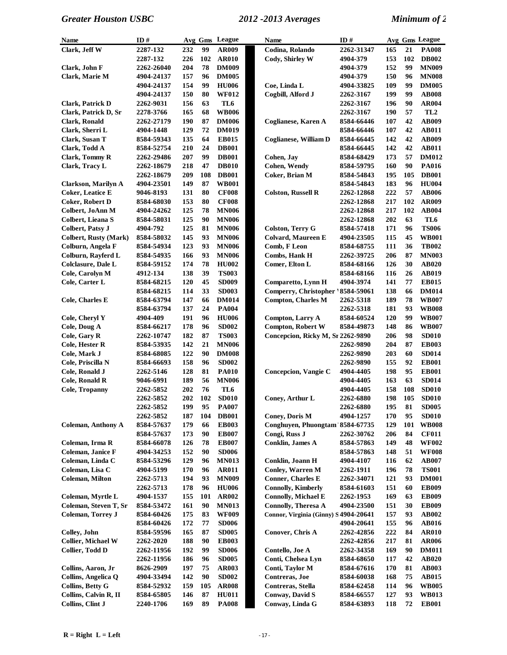| Name                         | ID#        |     |     | Avg Gms League  | <b>Name</b>                           | ID#              |     |          | <b>Avg Gms League</b> |
|------------------------------|------------|-----|-----|-----------------|---------------------------------------|------------------|-----|----------|-----------------------|
| Clark, Jeff W                | 2287-132   | 232 | 99  | AR009           | Codina, Rolando                       | 2262-31347       | 165 | 21       | <b>PA008</b>          |
|                              | 2287-132   | 226 | 102 | <b>AR010</b>    | Cody, Shirley W                       | 4904-379         | 153 | 102      | <b>DB002</b>          |
| Clark, John F                | 2262-26040 | 204 | 78  | <b>DM009</b>    |                                       | 4904-379         | 152 | 99       | <b>MN009</b>          |
| Clark, Marie M               | 4904-24137 | 157 | 96  | <b>DM005</b>    |                                       | 4904-379         | 150 | 96       | <b>MN008</b>          |
|                              | 4904-24137 | 154 | 99  | <b>HU006</b>    | Coe, Linda L                          | 4904-33825       | 109 | 99       | <b>DM005</b>          |
|                              | 4904-24137 | 150 | 80  | <b>WF012</b>    | Cogbill, Alford J                     | 2262-3167        | 199 | 99       | <b>AB008</b>          |
| <b>Clark, Patrick D</b>      | 2262-9031  | 156 | 63  | TL <sub>6</sub> |                                       | 2262-3167        | 196 | 90       | <b>AR004</b>          |
| Clark, Patrick D, Sr         | 2278-3766  | 165 | 68  | <b>WB006</b>    |                                       | 2262-3167        | 190 | 57       | TL <sub>2</sub>       |
| <b>Clark, Ronald</b>         | 2262-27179 | 190 | 87  | <b>DM006</b>    | Coglianese, Karen A                   | 8584-66446       | 107 | 42       | AB009                 |
| Clark, Sherri L              | 4904-1448  | 129 | 72  | <b>DM019</b>    |                                       | 8584-66446       | 107 | 42       | <b>AB011</b>          |
| Clark, Susan T               | 8584-59343 | 135 | 64  | <b>EB015</b>    | <b>Coglianese, William D</b>          | 8584-66445       | 142 | 42       | AB009                 |
| Clark, Todd A                | 8584-52754 | 210 | 24  | <b>DB001</b>    |                                       | 8584-66445       | 142 | 42       | <b>AB011</b>          |
| <b>Clark, Tommy R</b>        | 2262-29486 | 207 | 99  | <b>DB001</b>    | Cohen, Jay                            | 8584-68429       | 173 | 57       | <b>DM012</b>          |
| Clark, Tracy L               | 2262-18679 | 218 | 47  | <b>DB010</b>    | <b>Cohen, Wendy</b>                   | 8584-59795       | 160 | 90       | PA016                 |
|                              | 2262-18679 | 209 | 108 | <b>DB001</b>    | <b>Coker</b> , Brian M                | 8584-54843       | 195 | 105      | <b>DB001</b>          |
| Clarkson, Marilyn A          | 4904-23501 | 149 | 87  | <b>WB001</b>    |                                       | 8584-54843       | 183 | 96       | <b>HU004</b>          |
| <b>Coker, Leatice E</b>      | 9046-8193  | 131 | 80  | <b>CF008</b>    | <b>Colston, Russell R</b>             | 2262-12868       | 222 | 57       | <b>AB006</b>          |
| <b>Coker, Robert D</b>       | 8584-68030 | 153 | 80  | <b>CF008</b>    |                                       | 2262-12868       | 217 | 102      | AR009                 |
| Colbert, JoAnn M             | 4904-24262 | 125 | 78  | <b>MN006</b>    |                                       | 2262-12868       | 217 | 102      | <b>AB004</b>          |
| Colbert, Lieana S            | 8584-58031 | 125 | 90  | <b>MN006</b>    |                                       | 2262-12868       | 202 | 63       | TL6                   |
| <b>Colbert, Patsy J</b>      | 4904-792   | 125 | 81  | <b>MN006</b>    | <b>Colston, Terry G</b>               | 8584-57418       | 171 | 96       | <b>TS006</b>          |
| <b>Colbert, Rusty (Mark)</b> | 8584-58032 | 145 | 93  | <b>MN006</b>    | <b>Colvard, Maureen E</b>             | 4904-23505       | 115 | 45       | <b>WB001</b>          |
| Colburn, Angela F            | 8584-54934 | 123 | 93  | <b>MN006</b>    | Comb, F Leon                          | 8584-68755       | 111 | 36       | <b>TB002</b>          |
| Colburn, Rayferd L           | 8584-54935 | 166 | 93  | <b>MN006</b>    | Combs, Hank H                         | 2262-39725       | 206 | 87       | <b>MN003</b>          |
| <b>Colclasure, Dale L</b>    | 8584-59152 | 174 | 78  | <b>HU002</b>    | Comer, Elton L                        | 8584-68166       | 126 | 30       | <b>AB020</b>          |
| Cole, Carolyn M              | 4912-134   | 138 | 39  | <b>TS003</b>    |                                       | 8584-68166       | 116 | 26       | AB019                 |
| Cole, Carter L               | 8584-68215 | 120 | 45  | <b>SD009</b>    | Comparetto, Lynn H                    | 4904-3974        | 141 | $77\,$   | <b>EB015</b>          |
|                              | 8584-68215 | 114 | 33  | <b>SD003</b>    | Comperry, Christopher 18584-59061     |                  | 138 | 66       | <b>DM014</b>          |
| <b>Cole, Charles E</b>       | 8584-63794 | 147 | 66  | <b>DM014</b>    | <b>Compton, Charles M</b>             | 2262-5318        | 189 | 78       | <b>WB007</b>          |
|                              | 8584-63794 | 137 | 24  | <b>PA004</b>    |                                       | 2262-5318        | 181 | 93       | <b>WB008</b>          |
| Cole, Cheryl Y               | 4904-409   | 191 | 96  | <b>HU006</b>    | Compton, Larry A                      | 8584-60524       | 120 | 99       | <b>WB007</b>          |
| Cole, Doug A                 | 8584-66217 | 178 | 96  | <b>SD002</b>    | <b>Compton, Robert W</b>              | 8584-49873       | 148 | 86       | <b>WB007</b>          |
| Cole, Gary R                 | 2262-10747 | 182 | 87  | <b>TS003</b>    | Concepcion, Ricky M, Sr 2262-9890     |                  | 206 | 98       | <b>SD010</b>          |
| Cole, Hester R               | 8584-53935 | 142 | 21  | <b>MN006</b>    |                                       | 2262-9890        | 204 | 87       | <b>EB003</b>          |
| Cole, Mark J                 | 8584-68085 | 122 | 90  | <b>DM008</b>    |                                       | 2262-9890        | 203 | 60       | <b>SD014</b>          |
| Cole, Priscilla N            | 8584-66693 | 158 | 96  | <b>SD002</b>    |                                       | 2262-9890        | 155 | 92       | <b>EB001</b>          |
| Cole, Ronald J               | 2262-5146  | 128 | 81  | <b>PA010</b>    | Concepcion, Vangie C                  | 4904-4405        | 198 | 95       | <b>EB001</b>          |
| <b>Cole, Ronald R</b>        | 9046-6991  | 189 | 56  | <b>MN006</b>    |                                       | 4904-4405        | 163 | 63       | <b>SD014</b>          |
| <b>Cole, Tropanny</b>        | 2262-5852  | 202 | 76  | TL6             |                                       | 4904-4405        | 158 | 108      | <b>SD010</b>          |
|                              | 2262-5852  | 202 | 102 | <b>SD010</b>    | Coney, Arthur L                       | <b>2262-6880</b> | 198 | 105      | <b>SD010</b>          |
|                              | 2262-5852  | 199 | 95  | <b>PA007</b>    |                                       | 2262-6880        | 195 | 81       | <b>SD005</b>          |
|                              | 2262-5852  | 187 | 104 | $\bf DB001$     | <b>Coney, Doris M</b>                 | 4904-1257        | 170 | 95       | <b>SD010</b>          |
| <b>Coleman, Anthony A</b>    | 8584-57637 | 179 | 66  | <b>EB003</b>    | Conghuyen, Phuongtam 8584-67735       |                  | 129 | 101      | <b>WB008</b>          |
|                              | 8584-57637 | 173 | 90  | <b>EB007</b>    | Congi, Russ J                         | 2262-30762       | 206 | 84       | <b>CF011</b>          |
| Coleman, Irma R              | 8584-66078 | 126 | 78  | <b>EB007</b>    | <b>Conklin, James A</b>               | 8584-57863       | 149 | 48       | <b>WF002</b>          |
| Coleman, Janice F            | 4904-34253 | 152 | 90  | <b>SD006</b>    |                                       | 8584-57863       | 148 | 51       | <b>WF008</b>          |
| Coleman, Linda C             | 8584-53296 | 129 | 96  | <b>MN013</b>    | Conklin, Joann H                      | 4904-4107        | 116 | 62       | <b>AB007</b>          |
| Coleman, Lisa C              | 4904-5199  | 170 | 96  | <b>AR011</b>    | <b>Conley, Warren M</b>               | 2262-1911        | 196 | 78       | <b>TS001</b>          |
| Coleman, Milton              | 2262-5713  | 194 | 93  | <b>MN009</b>    | <b>Conner, Charles E</b>              | 2262-34071       | 121 | 93       | <b>DM001</b>          |
|                              | 2262-5713  | 178 | 96  | <b>HU006</b>    | <b>Connolly, Kimberly</b>             | 8584-61603       | 151 | 60       | <b>EB009</b>          |
| Coleman, Myrtle L            | 4904-1537  | 155 | 101 | AR002           | <b>Connolly, Michael E</b>            | 2262-1953        | 169 | 63       | <b>EB009</b>          |
| Coleman, Steven T, Sr        | 8584-53472 | 161 | 90  | <b>MN013</b>    | <b>Connolly, Theresa A</b>            | 4904-23500       | 151 | 30       | <b>EB009</b>          |
| <b>Coleman, Torrey J</b>     | 8584-60426 | 175 | 83  | <b>WF009</b>    | Connor, Virginia (Ginny) S 4904-20641 |                  | 157 | 93       | <b>AB002</b>          |
|                              | 8584-60426 | 172 | 77  | <b>SD006</b>    |                                       | 4904-20641       | 155 | 96       | <b>AB016</b>          |
| Colley, John                 | 8584-59596 | 165 | 87  | <b>SD005</b>    | Conover, Chris A                      | 2262-42856       | 222 | 84       | <b>AR010</b>          |
|                              |            |     |     |                 |                                       |                  |     |          |                       |
| Collier, Michael W           | 2262-2020  | 188 | 90  | <b>EB003</b>    |                                       | 2262-42856       | 217 | 81<br>90 | <b>AR006</b>          |
| Collier, Todd D              | 2262-11956 | 192 | 99  | <b>SD006</b>    | Contello, Joe A                       | 2262-34358       | 169 |          | <b>DM011</b>          |
|                              | 2262-11956 | 186 | 96  | <b>SD005</b>    | Conti, Chelsea Lyn                    | 8584-68650       | 117 | 42       | <b>AB020</b>          |
| Collins, Aaron, Jr           | 8626-2909  | 197 | 75  | AR003           | Conti, Taylor M                       | 8584-67616       | 170 | 81       | <b>AB003</b>          |
| Collins, Angelica Q          | 4904-33494 | 142 | 90  | <b>SD002</b>    | Contreras, Joe                        | 8584-60038       | 168 | 75       | <b>AB015</b>          |
| <b>Collins, Betty G</b>      | 8584-52932 | 159 | 105 | <b>AR008</b>    | Contreras, Stella                     | 8584-62458       | 114 | 96       | <b>WB005</b>          |
| Collins, Calvin R, II        | 8584-65805 | 146 | 87  | <b>HU011</b>    | <b>Conway, David S</b>                | 8584-66557       | 127 | 93       | <b>WB013</b>          |
| Collins, Clint J             | 2240-1706  | 169 | 89  | <b>PA008</b>    | Conway, Linda G                       | 8584-63893       | 118 | 72       | <b>EB001</b>          |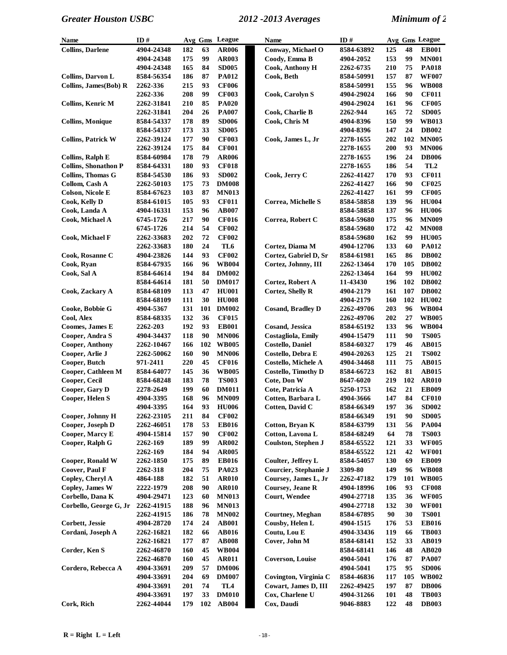| <b>Name</b>                 | ID#        |     |     | Avg Gms League  | Name                       | ID#        |     |     | Avg Gms League  |
|-----------------------------|------------|-----|-----|-----------------|----------------------------|------------|-----|-----|-----------------|
| <b>Collins, Darlene</b>     | 4904-24348 | 182 | 63  | <b>AR006</b>    | Conway, Michael O          | 8584-63892 | 125 | 48  | <b>EB001</b>    |
|                             | 4904-24348 | 175 | 99  | <b>AR003</b>    | Coody, Emma B              | 4904-2052  | 153 | 99  | <b>MN001</b>    |
|                             | 4904-24348 | 165 | 84  | <b>SD005</b>    | <b>Cook, Anthony H</b>     | 2262-6735  | 210 | 75  | <b>PA018</b>    |
| Collins, Darvon L           | 8584-56354 | 186 | 87  | <b>PA012</b>    | Cook, Beth                 | 8584-50991 | 157 | 87  | <b>WF007</b>    |
| Collins, James (Bob) R      | 2262-336   | 215 | 93  | <b>CF006</b>    |                            | 8584-50991 | 155 | 96  | <b>WB008</b>    |
|                             | 2262-336   | 208 | 99  | <b>CF003</b>    | Cook, Carolyn S            | 4904-29024 | 166 | 90  | <b>CF011</b>    |
| <b>Collins, Kenric M</b>    | 2262-31841 | 210 | 85  | <b>PA020</b>    |                            | 4904-29024 | 161 | 96  | <b>CF005</b>    |
|                             | 2262-31841 | 204 | 26  | <b>PA007</b>    | Cook, Charlie B            | 2262-944   | 165 | 72  | <b>SD005</b>    |
| <b>Collins, Monique</b>     | 8584-54337 | 178 | 89  | <b>SD006</b>    | Cook, Chris M              | 4904-8396  | 150 | 99  | <b>WB013</b>    |
|                             | 8584-54337 | 173 | 33  | <b>SD005</b>    |                            | 4904-8396  | 147 | 24  | <b>DB002</b>    |
| <b>Collins, Patrick W</b>   | 2262-39124 | 177 | 90  | <b>CF003</b>    | Cook, James L, Jr          | 2278-1655  | 202 | 102 | <b>MN005</b>    |
|                             | 2262-39124 | 175 | 84  | <b>CF001</b>    |                            | 2278-1655  | 200 | 93  | <b>MN006</b>    |
| <b>Collins, Ralph E</b>     | 8584-60984 | 178 | 79  | <b>AR006</b>    |                            | 2278-1655  | 196 | 24  | <b>DB006</b>    |
| <b>Collins, Shonathon P</b> | 8584-64331 | 180 | 93  | <b>CF018</b>    |                            | 2278-1655  | 186 | 54  | TL <sub>2</sub> |
| Collins, Thomas G           | 8584-54530 | 186 | 93  | <b>SD002</b>    | Cook, Jerry C              | 2262-41427 | 170 | 93  | <b>CF011</b>    |
| Collom, Cash A              | 2262-50103 | 175 | 73  | <b>DM008</b>    |                            | 2262-41427 | 166 | 90  | <b>CF025</b>    |
| <b>Colson, Nicole E</b>     | 8584-67623 | 103 | 87  | <b>MN013</b>    |                            | 2262-41427 | 161 | 99  | <b>CF005</b>    |
| Cook, Kelly D               | 8584-61015 | 105 | 93  | <b>CF011</b>    | Correa, Michelle S         | 8584-58858 | 139 | 96  | <b>HU004</b>    |
| Cook, Landa A               | 4904-16331 | 153 | 96  | <b>AB007</b>    |                            | 8584-58858 | 137 | 96  | <b>HU006</b>    |
| Cook, Michael A             | 6745-1726  | 217 | 90  | <b>CF016</b>    | Correa, Robert C           | 8584-59680 | 175 | 96  | <b>MN009</b>    |
|                             | 6745-1726  | 214 | 54  | <b>CF002</b>    |                            | 8584-59680 | 172 | 42  | <b>MN008</b>    |
| Cook, Michael F             | 2262-33683 | 202 | 72  | <b>CF002</b>    |                            | 8584-59680 | 162 | 99  | <b>HU005</b>    |
|                             | 2262-33683 | 180 | 24  | TL6             | Cortez, Diama M            | 4904-12706 | 133 | 60  | PA012           |
| Cook, Rosanne C             | 4904-23826 | 144 | 93  | <b>CF002</b>    | Cortez, Gabriel D, Sr      | 8584-61981 | 165 | 86  | <b>DB002</b>    |
| Cook, Ryan                  | 8584-67935 | 166 | 96  | <b>WB004</b>    | Cortez, Johnny, III        | 2262-13464 | 170 | 105 | <b>DB002</b>    |
| Cook, Sal A                 | 8584-64614 | 194 | 84  | <b>DM002</b>    |                            | 2262-13464 | 164 | 99  | <b>HU002</b>    |
|                             | 8584-64614 | 181 | 50  | <b>DM017</b>    | Cortez, Robert A           | 11-43430   | 196 | 102 | <b>DB002</b>    |
| Cook, Zackary A             | 8584-68109 | 113 | 47  | <b>HU001</b>    | <b>Cortez, Shelly R</b>    | 4904-2179  | 161 | 107 | <b>DB002</b>    |
|                             | 8584-68109 | 111 | 30  | <b>HU008</b>    |                            | 4904-2179  | 160 | 102 | <b>HU002</b>    |
| Cooke, Bobbie G             | 4904-5367  | 131 | 101 | <b>DM002</b>    | <b>Cosand, Bradley D</b>   | 2262-49706 | 203 | 96  | <b>WB004</b>    |
| Cool, Alex                  | 8584-68335 | 132 | 36  | <b>CF015</b>    |                            | 2262-49706 | 202 | 27  | <b>WB005</b>    |
| Coomes, James E             | 2262-203   | 192 | 93  | <b>EB001</b>    | <b>Cosand, Jessica</b>     | 8584-65192 | 133 | 96  | <b>WB004</b>    |
| Cooper, Andra S             | 4904-34437 | 118 | 90  | <b>MN006</b>    | Costagliola, Emily         | 4904-15479 | 111 | 90  | <b>TS005</b>    |
| Cooper, Anthony             | 2262-10467 | 166 | 102 | <b>WB005</b>    | <b>Costello, Daniel</b>    | 8584-60327 | 179 | 46  | <b>AB015</b>    |
| Cooper, Arlie J             | 2262-50062 | 160 | 90  | <b>MN006</b>    | Costello, Debra E          | 4904-20263 | 125 | 21  | <b>TS002</b>    |
| Cooper, Butch               | 971-2411   | 220 | 45  | <b>CF016</b>    | <b>Costello, Michele A</b> | 4904-34468 | 111 | 75  | <b>AB015</b>    |
| Cooper, Cathleen M          | 8584-64077 | 145 | 36  | <b>WB005</b>    | <b>Costello, Timothy D</b> | 8584-66723 | 162 | 81  | <b>AB015</b>    |
| Cooper, Cecil               | 8584-68248 | 183 | 78  | <b>TS003</b>    | Cote, Don W                | 8647-6020  | 219 | 102 | <b>AR010</b>    |
| Cooper, Gary D              | 2278-2649  | 199 | 60  | <b>DM011</b>    | Cote, Patricia A           | 5250-1753  | 162 | 21  | <b>EB009</b>    |
| Cooper, Helen S             | 4904-3395  | 168 | 96  | <b>MN009</b>    | Cotten, Barbara L          | 4904-3666  | 147 | 84  | <b>CF010</b>    |
|                             | 4904-3395  | 164 | 93  | <b>HU006</b>    | Cotten, David C            | 8584-66349 | 197 | 36  | <b>SD002</b>    |
| Cooper, Johnny H            | 2262-23105 | 211 | 84  | <b>CF002</b>    |                            | 8584-66349 | 191 | 90  | <b>SD005</b>    |
| Cooper, Joseph D            | 2262-46051 | 178 | 53  | <b>EB016</b>    | Cotton, Bryan K            | 8584-63799 | 131 | 56  | <b>PA004</b>    |
| Cooper, Marcy E             | 4904-15814 | 157 | 90  | <b>CF002</b>    | Cotton, Lavona L           | 8584-68249 | 64  | 78  | <b>TS003</b>    |
| Cooper, Ralph G             | 2262-169   | 189 | 99  | AR002           | Coulston, Stephen J        | 8584-65522 | 121 | 33  | <b>WF005</b>    |
|                             | 2262-169   | 184 | 94  | <b>AR005</b>    |                            | 8584-65522 | 121 | 42  | <b>WF001</b>    |
| Cooper, Ronald W            | 2262-1850  | 175 | 89  | <b>EB016</b>    | Coulter, Jeffrey L         | 8584-54057 | 130 | 69  | <b>EB009</b>    |
| Coover, Paul F              | 2262-318   | 204 | 75  | PA023           | Courcier, Stephanie J      | 3309-80    | 149 | 96  | <b>WB008</b>    |
| Copley, Cheryl A            | 4864-188   | 182 | 51  | <b>AR010</b>    | Coursey, James L, Jr       | 2262-47182 | 179 | 101 | <b>WB005</b>    |
| Copley, James W             | 2222-1979  | 208 | 90  | <b>AR010</b>    | <b>Coursey, Jeane R</b>    | 4904-18996 | 106 | 93  | <b>CF008</b>    |
| Corbello, Dana K            | 4904-29471 | 123 | 60  | <b>MN013</b>    | <b>Court, Wendee</b>       | 4904-27718 | 135 | 36  | <b>WF005</b>    |
| Corbello, George G, Jr      | 2262-41915 | 188 | 96  | <b>MN013</b>    |                            | 4904-27718 | 132 | 30  | <b>WF001</b>    |
|                             | 2262-41915 | 186 | 78  | <b>MN002</b>    | <b>Courtney</b> , Meghan   | 8584-67895 | 90  | 30  | <b>TS001</b>    |
| Corbett, Jessie             | 4904-28720 | 174 | 24  | <b>AB001</b>    | Cousby, Helen L            | 4904-1515  | 176 | 53  | <b>EB016</b>    |
| Cordani, Joseph A           | 2262-16821 | 182 | 66  | <b>AB016</b>    | Coutu, Lou E               | 4904-33436 | 119 | 66  | <b>TB003</b>    |
|                             | 2262-16821 | 177 | 87  | <b>AB008</b>    | Cover, John M              | 8584-68141 | 152 | 33  | AB019           |
| Corder, Ken S               | 2262-46870 | 160 | 45  | <b>WB004</b>    |                            | 8584-68141 | 146 | 48  | <b>AB020</b>    |
|                             | 2262-46870 | 160 | 45  | <b>AR011</b>    | <b>Coverson, Louise</b>    | 4904-5041  | 176 | 87  | <b>PA007</b>    |
| Cordero, Rebecca A          | 4904-33691 | 209 | 57  | <b>DM006</b>    |                            | 4904-5041  | 175 | 95  | <b>SD006</b>    |
|                             | 4904-33691 | 204 | 69  | <b>DM007</b>    | Covington, Virginia C      | 8584-46836 | 117 | 105 | <b>WB002</b>    |
|                             | 4904-33691 | 201 | 74  | TL <sub>4</sub> | Cowart, James D, III       | 2262-49425 | 197 | 87  | <b>DB006</b>    |
|                             | 4904-33691 | 197 | 33  | <b>DM010</b>    | Cox, Charlene U            | 4904-31266 | 101 | 48  | <b>TB003</b>    |
| Cork, Rich                  | 2262-44044 | 179 | 102 | AB004           | Cox, Daudi                 | 9046-8883  | 122 | 48  | <b>DB003</b>    |
|                             |            |     |     |                 |                            |            |     |     |                 |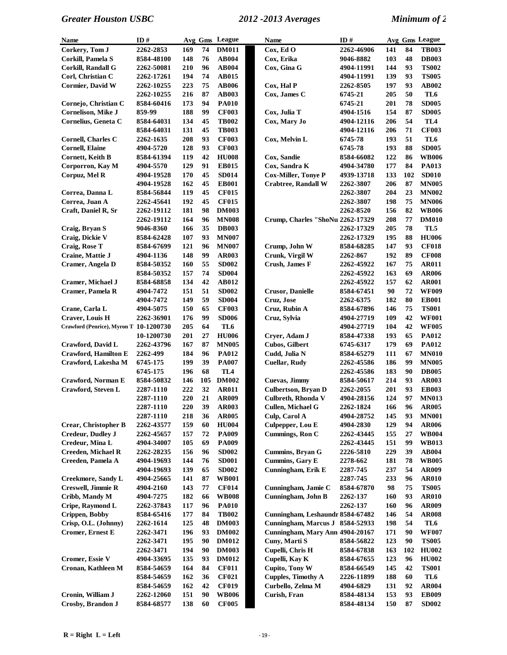| Name                                   | ID#        |     |     | Avg Gms League  | <b>Name</b>                      | ID#              |     |     | Avg Gms League |
|----------------------------------------|------------|-----|-----|-----------------|----------------------------------|------------------|-----|-----|----------------|
| Corkery, Tom J                         | 2262-2853  | 169 | 74  | <b>DM011</b>    | Cox, Ed O                        | 2262-46906       | 141 | 84  | <b>TB003</b>   |
| Corkill, Pamela S                      | 8584-48100 | 148 | 76  | <b>AB004</b>    | Cox, Erika                       | 9046-8882        | 103 | 48  | <b>DB003</b>   |
| Corkill, Randall G                     | 2262-50081 | 210 | 96  | AB004           | Cox, Gina G                      | 4904-11991       | 144 | 93  | <b>TS002</b>   |
| Corl, Christian C                      | 2262-17261 | 194 | 74  | <b>AB015</b>    |                                  | 4904-11991       | 139 | 93  | <b>TS005</b>   |
| Cormier, David W                       | 2262-10255 | 223 | 75  | <b>AB006</b>    | Cox, Hal P                       | 2262-8505        | 197 | 93  | AB002          |
|                                        | 2262-10255 | 216 | 87  | <b>AB003</b>    | Cox, James C                     | 6745-21          | 205 | 50  | TL6            |
| Cornejo, Christian C                   | 8584-60416 | 173 | 94  | <b>PA010</b>    |                                  | 6745-21          | 201 | 78  | <b>SD005</b>   |
| Cornelison, Mike J                     | 859-99     | 188 | 99  | <b>CF003</b>    | Cox, Julia T                     | 4904-1516        | 154 | 87  | <b>SD005</b>   |
| Cornelius, Geneta C                    | 8584-64031 | 134 | 45  | <b>TB002</b>    | Cox, Mary Jo                     | 4904-12116       | 206 | 54  | TL4            |
|                                        | 8584-64031 | 131 | 45  | <b>TB003</b>    |                                  | 4904-12116       | 206 | 71  | <b>CF003</b>   |
| <b>Cornell, Charles C</b>              | 2262-1635  | 208 | 93  | <b>CF003</b>    | Cox, Melvin L                    | 6745-78          | 193 | 51  | TL6            |
| <b>Cornell, Elaine</b>                 | 4904-5720  | 128 | 93  | <b>CF003</b>    |                                  | 6745-78          | 193 | 88  | <b>SD005</b>   |
| <b>Cornett, Keith B</b>                | 8584-61394 | 119 | 42  | <b>HU008</b>    | Cox, Sandie                      | 8584-66082       | 122 | 86  | <b>WB006</b>   |
| Corporron, Kay M                       | 4904-5570  | 129 | 91  | <b>EB015</b>    | Cox, Sandra K                    | 4904-34780       | 177 | 84  | PA013          |
| Corpuz, Mel R                          | 4904-19528 | 170 | 45  | <b>SD014</b>    | <b>Cox-Miller, Tonye P</b>       | 4939-13718       | 133 | 102 | <b>SD010</b>   |
|                                        | 4904-19528 | 162 | 45  | <b>EB001</b>    | <b>Crabtree, Randall W</b>       | 2262-3807        | 206 | 87  | <b>MN005</b>   |
| Correa, Danna L                        | 8584-56844 | 119 | 45  | <b>CF015</b>    |                                  | 2262-3807        | 204 | 23  | <b>MN002</b>   |
| Correa, Juan A                         | 2262-45641 | 192 | 45  | <b>CF015</b>    |                                  | <b>2262-3807</b> | 198 | 75  | <b>MN006</b>   |
| Craft, Daniel R, Sr                    | 2262-19112 | 181 | 98  | <b>DM003</b>    |                                  | <b>2262-8520</b> | 156 | 82  | <b>WB006</b>   |
|                                        | 2262-19112 | 164 | 96  | <b>MN008</b>    | Crump, Charles "ShoNu 2262-17329 |                  | 208 | 77  | <b>DM010</b>   |
| Craig, Bryan S                         | 9046-8360  | 166 | 35  | <b>DB003</b>    |                                  | 2262-17329       | 205 | 78  | TL5            |
| Craig, Dickie V                        | 8584-62428 | 107 | 93  | <b>MN007</b>    |                                  | 2262-17329       | 195 | 88  | <b>HU006</b>   |
| Craig, Rose T                          | 8584-67699 | 121 | 96  | <b>MN007</b>    | Crump, John W                    | 8584-68285       | 147 | 93  | <b>CF018</b>   |
| Craine, Mattie J                       | 4904-1136  | 148 | 99  | <b>AR003</b>    | Crunk, Virgil W                  | 2262-867         | 192 | 89  | <b>CF008</b>   |
| Cramer, Angela D                       | 8584-50352 | 160 | 55  | <b>SD002</b>    | Crush, James F                   | 2262-45922       | 167 | 75  | <b>AR011</b>   |
|                                        | 8584-50352 | 157 | 74  | <b>SD004</b>    |                                  | 2262-45922       | 163 | 69  | <b>AR006</b>   |
| Cramer, Michael J                      | 8584-68858 | 134 | 42  | <b>AB012</b>    |                                  | 2262-45922       | 157 | 62  | <b>AR001</b>   |
| Cramer, Pamela R                       | 4904-7472  | 151 | 51  | <b>SD002</b>    | <b>Crusor, Danielle</b>          | 8584-67451       | 90  | 72  | <b>WF009</b>   |
|                                        | 4904-7472  | 149 | 59  | <b>SD004</b>    | Cruz, Jose                       | 2262-6375        | 182 | 80  | <b>EB001</b>   |
| Crane, Carla L                         | 4904-5075  | 150 | 65  | <b>CF003</b>    | Cruz, Rubin A                    | 8584-67896       | 146 | 75  | <b>TS001</b>   |
| Craver, Louis H                        | 2262-36901 | 176 | 99  | <b>SD006</b>    | Cruz, Sylvia                     | 4904-27719       | 109 | 42  | <b>WF001</b>   |
| Crawford (Penrice), Myron T 10-1200730 |            | 205 | 64  | TL6             |                                  | 4904-27719       | 104 | 42  | <b>WF005</b>   |
|                                        | 10-1200730 | 201 | 27  | <b>HU006</b>    | Cryer, Adam J                    | 8584-47338       | 193 | 65  | <b>PA012</b>   |
| Crawford, David L                      | 2262-43796 | 167 | 87  | <b>MN005</b>    | <b>Cubos, Gilbert</b>            | 6745-6317        | 179 | 69  | <b>PA012</b>   |
| <b>Crawford, Hamilton E</b>            | 2262-499   | 184 | 96  | <b>PA012</b>    | Cudd, Julia N                    | 8584-65279       | 111 | 67  | <b>MN010</b>   |
| Crawford, Lakesha M                    | 6745-175   | 199 | 39  | <b>PA007</b>    | <b>Cuellar, Rudy</b>             | 2262-45586       | 186 | 99  | <b>MN005</b>   |
|                                        | 6745-175   | 196 | 68  | TL <sub>4</sub> |                                  | 2262-45586       | 183 | 90  | <b>DB005</b>   |
| Crawford, Norman E                     | 8584-50832 | 146 | 105 | <b>DM002</b>    | <b>Cuevas, Jimmy</b>             | 8584-50617       | 214 | 93  | <b>AR003</b>   |
| Crawford, Steven L                     | 2287-1110  | 222 | 32  | <b>AR011</b>    | Culbertson, Bryan D              | 2262-2055        | 201 | 93  | <b>EB003</b>   |
|                                        | 2287-1110  | 220 | 21  | AR009           | Culbreth, Rhonda V               | 4904-28156       | 124 | 97  | <b>MN013</b>   |
|                                        | 2287-1110  | 220 | 39  | AR003           | Cullen, Michael G                | 2262-1824        | 166 | 96  | AR005          |
|                                        | 2287-1110  | 218 | 36  | <b>AR005</b>    | Culp, Carol A                    | 4904-28752       | 145 | 93  | <b>MN001</b>   |
| Crear, Christopher B                   | 2262-43577 | 159 | 60  | <b>HU004</b>    | Culpepper, Lou E                 | 4904-2830        | 129 | 94  | <b>AR006</b>   |
| <b>Credeur, Dudley J</b>               | 2262-45657 | 157 | 72  | <b>PA009</b>    | Cummings, Ron C                  | 2262-43445       | 155 | 27  | <b>WB004</b>   |
| Credeur, Mina L                        | 4904-34007 | 105 | 69  | <b>PA009</b>    |                                  | 2262-43445       | 151 | 99  | <b>WB013</b>   |
| Creeden, Michael R                     | 2262-28235 | 156 | 96  | <b>SD002</b>    | Cummins, Bryan G                 | 2226-5810        | 229 | 39  | <b>AB004</b>   |
| Creeden, Pamela A                      | 4904-19693 | 144 | 76  | <b>SD001</b>    | Cummins, Gary E                  | 2278-662         | 181 | 78  | <b>WB005</b>   |
|                                        | 4904-19693 | 139 | 65  | <b>SD002</b>    | Cunningham, Erik E               | 2287-745         | 237 | 54  | <b>AR009</b>   |
| <b>Creekmore, Sandy L</b>              | 4904-25665 | 141 | 87  | <b>WB001</b>    |                                  | 2287-745         | 233 | 96  | <b>AR010</b>   |
| <b>Creswell, Jimmie R</b>              | 4904-2160  | 143 | 77  | <b>CF014</b>    | Cunningham, Jamie C              | 8584-67870       | 98  | 75  | <b>TS005</b>   |
| Cribb, Mandy M                         | 4904-7275  | 182 | 66  | <b>WB008</b>    | Cunningham, John B               | 2262-137         | 160 | 93  | <b>AR010</b>   |
| Cripe, Raymond L                       | 2262-37843 | 117 | 96  | <b>PA010</b>    |                                  | 2262-137         | 160 | 96  | <b>AR009</b>   |
| Crippen, Bobby                         | 8584-65416 | 177 | 84  | <b>TB002</b>    | Cunningham, Leshaundr 8584-67482 |                  | 146 | 54  | <b>AR008</b>   |
| Crisp, O.L. (Johnny)                   | 2262-1614  | 125 | 48  | <b>DM003</b>    | Cunningham, Marcus J 8584-52933  |                  | 198 | 54  | TL6            |
| Cromer, Ernest E                       | 2262-3471  | 196 | 93  | <b>DM002</b>    | Cunningham, Mary Ann 4904-20167  |                  | 171 | 90  | <b>WF007</b>   |
|                                        | 2262-3471  | 195 | 90  | <b>DM012</b>    | Cuny, Marti S                    | 8584-56822       | 123 | 90  | <b>TS005</b>   |
|                                        | 2262-3471  | 194 | 90  | <b>DM003</b>    | Cupelli, Chris H                 | 8584-67838       | 163 | 102 | <b>HU002</b>   |
| Cromer, Essie V                        | 4904-33695 | 135 | 93  | <b>DM012</b>    | Cupelli, Kay K                   | 8584-67655       | 123 | 96  | <b>HU002</b>   |
| Cronan, Kathleen M                     | 8584-54659 | 164 | 84  | <b>CF011</b>    | <b>Cupito, Tony W</b>            | 8584-66549       | 145 | 42  | <b>TS001</b>   |
|                                        | 8584-54659 | 162 | 36  | <b>CF021</b>    | <b>Cupples, Timothy A</b>        | 2226-11899       | 188 | 60  | TL6            |
|                                        | 8584-54659 | 162 | 42  | <b>CF019</b>    | Curbello, Zelma M                | 4904-6829        | 131 | 92  | <b>AR004</b>   |
| Cronin, William J                      | 2262-12060 | 151 | 90  | <b>WB006</b>    | Curish, Fran                     | 8584-48134       | 153 | 93  | <b>EB009</b>   |
| Crosby, Brandon J                      | 8584-68577 | 138 | 60  | <b>CF005</b>    |                                  | 8584-48134       | 150 | 87  | <b>SD002</b>   |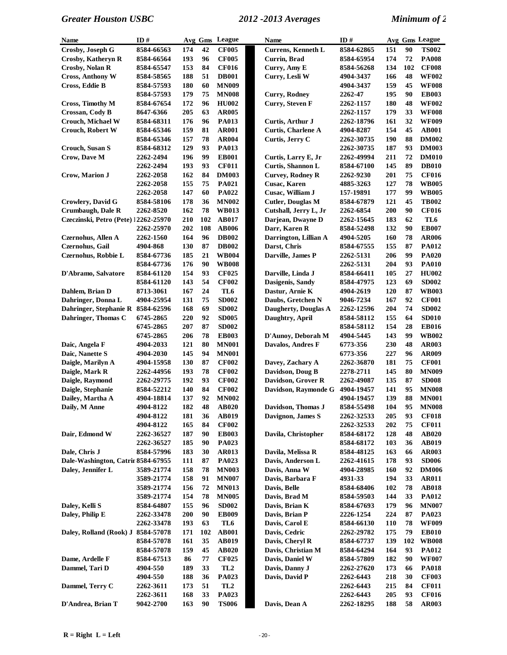| Name                                 | ID#        |     |     | Avg Gms League  | Name                      | ID#        |            |     | Avg Gms League |
|--------------------------------------|------------|-----|-----|-----------------|---------------------------|------------|------------|-----|----------------|
| Crosby, Joseph G                     | 8584-66563 | 174 | 42  | <b>CF005</b>    | Currens, Kenneth L        | 8584-62865 | 151        | 90  | <b>TS002</b>   |
| Crosby, Katheryn R                   | 8584-66564 | 193 | 96  | <b>CF005</b>    | Currin, Brad              | 8584-65954 | 174        | 72  | <b>PA008</b>   |
| <b>Crosby, Nolan R</b>               | 8584-65547 | 153 | 84  | <b>CF016</b>    | Curry, Amy E              | 8584-56268 | 134        | 102 | <b>CF008</b>   |
| <b>Cross, Anthony W</b>              | 8584-58565 | 188 | 51  | <b>DB001</b>    | Curry, Lesli W            | 4904-3437  | 166        | 48  | <b>WF002</b>   |
| Cross, Eddie B                       | 8584-57593 | 180 | 60  | <b>MN009</b>    |                           | 4904-3437  | 159        | 45  | <b>WF008</b>   |
|                                      | 8584-57593 | 179 | 75  | <b>MN008</b>    | <b>Curry, Rodney</b>      | 2262-47    | 195        | 90  | <b>EB003</b>   |
| Cross, Timothy M                     | 8584-67654 | 172 | 96  | <b>HU002</b>    | Curry, Steven F           | 2262-1157  | 180        | 48  | <b>WF002</b>   |
| Crossan, Cody B                      | 8647-6366  | 205 | 63  | <b>AR005</b>    |                           | 2262-1157  | 179        | 33  | <b>WF008</b>   |
| <b>Crouch, Michael W</b>             | 8584-68311 | 176 | 96  | <b>PA013</b>    | Curtis, Arthur J          | 2262-18796 | 161        | 32  | <b>WF009</b>   |
| <b>Crouch, Robert W</b>              | 8584-65346 | 159 | 81  | <b>AR001</b>    | <b>Curtis, Charlene A</b> | 4904-8287  | 154        | 45  | <b>AB001</b>   |
|                                      | 8584-65346 | 157 | 78  | <b>AR004</b>    | Curtis, Jerry C           | 2262-30735 | 190        | 88  | <b>DM002</b>   |
| Crouch, Susan S                      | 8584-68312 | 129 | 93  | <b>PA013</b>    |                           | 2262-30735 | 187        | 93  | <b>DM003</b>   |
| Crow, Dave M                         | 2262-2494  | 196 | 99  | <b>EB001</b>    | Curtis, Larry E, Jr       | 2262-49994 | 211        | 72  | <b>DM010</b>   |
|                                      | 2262-2494  | 193 | 93  | <b>CF011</b>    | Curtis, Shannon L         | 8584-67100 | 145        | 89  | <b>DB010</b>   |
| Crow, Marion J                       | 2262-2058  | 162 | 84  | <b>DM003</b>    | <b>Curvey, Rodney R</b>   | 2262-9230  | 201        | 75  | <b>CF016</b>   |
|                                      | 2262-2058  | 155 | 75  | <b>PA021</b>    | Cusac, Karen              | 4885-3263  | 127        | 78  | <b>WB005</b>   |
|                                      | 2262-2058  | 147 | 60  | PA022           | Cusac, William J          | 157-19891  | 177        | 99  | <b>WB005</b>   |
| Crowlery, David G                    | 8584-58106 | 178 | 36  | <b>MN002</b>    | <b>Cutler, Douglas M</b>  | 8584-67879 | 121        | 45  | <b>TB002</b>   |
| Crumbaugh, Dale R                    | 2262-8520  | 162 | 78  | <b>WB013</b>    | Cutshall, Jerry L, Jr     | 2262-6854  | 200        | 90  | <b>CF016</b>   |
| Czeczinski, Petro (Pete) 12262-25970 |            | 210 | 102 | <b>AB017</b>    | Darjean, Dwayne D         | 2262-15645 | 183        | 62  | TL6            |
|                                      | 2262-25970 | 202 | 108 | <b>AB006</b>    | Darr, Karen R             | 8584-52498 | 132        | 90  | <b>EB007</b>   |
| Czernohus, Allen A                   | 2262-1560  | 164 | 96  | <b>DB002</b>    | Darrington, Lillian A     | 4904-5205  | 160        | 78  | <b>AR006</b>   |
| Czernohus, Gail                      | 4904-868   | 130 | 87  | <b>DB002</b>    | Darst, Chris              | 8584-67555 | 155        | 87  | <b>PA012</b>   |
| Czernohus, Robbie L                  | 8584-67736 | 185 | 21  | <b>WB004</b>    | Darville, James P         | 2262-5131  | 206        | 99  | <b>PA020</b>   |
|                                      | 8584-67736 | 176 | 90  | <b>WB008</b>    |                           | 2262-5131  | 204        | 93  | <b>PA010</b>   |
| D'Abramo, Salvatore                  | 8584-61120 | 154 | 93  | <b>CF025</b>    | Darville, Linda J         | 8584-66411 | 105        | 27  | <b>HU002</b>   |
|                                      | 8584-61120 | 143 | 54  | <b>CF002</b>    | Dasigenis, Sandy          | 8584-47975 | 123        | 69  | <b>SD002</b>   |
| Dahlem, Brian D                      | 8713-3061  | 167 | 24  | TL <sub>6</sub> | Dastur, Arnie K           | 4904-2619  | 120        | 87  | <b>WB003</b>   |
| Dahringer, Donna L                   | 4904-25954 | 131 | 75  | <b>SD002</b>    | Daubs, Gretchen N         | 9046-7234  | 167        | 92  | <b>CF001</b>   |
| Dahringer, Stephanie R 8584-62596    |            | 168 | 69  | <b>SD002</b>    | Daugherty, Douglas A      | 2262-12596 | 204        | 74  | <b>SD002</b>   |
| Dahringer, Thomas C                  | 6745-2865  | 220 | 92  | <b>SD005</b>    | Daughtry, April           | 8584-58112 | 155        | 64  | <b>SD010</b>   |
|                                      | 6745-2865  | 207 | 87  | <b>SD002</b>    |                           | 8584-58112 | 154        | 28  | <b>EB016</b>   |
|                                      | 6745-2865  | 206 | 78  | <b>EB003</b>    | D'Aunoy, Deborah M        | 4904-5445  | 143        | 99  | <b>WB002</b>   |
| Daic, Angela F                       | 4904-2033  | 121 | 80  | <b>MN001</b>    | Davalos, Andres F         | 6773-356   | 230        | 48  | <b>AR003</b>   |
| Daic, Nanette S                      | 4904-2030  | 145 | 94  | <b>MN001</b>    |                           | 6773-356   | 227        | 96  | <b>AR009</b>   |
| Daigle, Marilyn A                    | 4904-15958 | 130 | 87  | <b>CF002</b>    | Davey, Zachary A          | 2262-36870 | 181        | 75  | <b>CF001</b>   |
| Daigle, Mark R                       | 2262-44956 | 193 | 78  | <b>CF002</b>    | Davidson, Doug B          | 2278-2711  | 145        | 80  | <b>MN009</b>   |
| Daigle, Raymond                      | 2262-29775 | 192 | 93  | <b>CF002</b>    | Davidson, Grover R        | 2262-49087 | 135        | 87  | <b>SD008</b>   |
| Daigle, Stephanie                    | 8584-52212 | 140 | 84  | <b>CF002</b>    | Davidson, Raymonde G      | 4904-19457 | 141        | 95  | <b>MN008</b>   |
| Dailey, Martha A                     | 4904-18814 | 137 | 92  | <b>MN002</b>    |                           | 4904-19457 | 139        | 88  | <b>MN001</b>   |
| Daily, M Anne                        | 4904-8122  | 182 | 48  | AB020           | Davidson, Thomas J        | 8584-55498 | 104        | 95  | <b>MN008</b>   |
|                                      | 4904-8122  | 181 | 36  | <b>AB019</b>    | Davignon, James S         | 2262-32533 | 205        | 93  | <b>CF018</b>   |
|                                      | 4904-8122  | 165 | 84  | <b>CF002</b>    |                           | 2262-32533 | 202        | 75  | <b>CF011</b>   |
| Dair, Edmond W                       | 2262-36527 | 187 | 90  | <b>EB003</b>    | Davila, Christopher       | 8584-68172 | 128        | 48  | AB020          |
|                                      | 2262-36527 | 185 | 90  | <b>PA023</b>    |                           | 8584-68172 | 103        | 36  | AB019          |
| Dale, Chris J                        | 8584-57996 | 183 | 30  | AR013           | Davila, Melissa R         | 8584-48125 | 163        | 66  | AR003          |
| Dale-Washington, Catrir 8584-67955   |            | 111 | 87  | PA023           | Davis, Anderson L         | 2262-41615 | 178        | 93  | <b>SD006</b>   |
| Daley, Jennifer L                    | 3589-21774 | 158 | 78  | <b>MN003</b>    | Davis, Anna W             | 4904-28985 | 160        | 92  | <b>DM006</b>   |
|                                      | 3589-21774 | 158 | 91  | <b>MN007</b>    | Davis, Barbara F          | 4931-33    | 194        | 33  | <b>AR011</b>   |
|                                      | 3589-21774 | 156 | 72  | <b>MN013</b>    | Davis, Belle              | 8584-68406 | 102        | 78  | <b>AB018</b>   |
|                                      | 3589-21774 | 154 | 78  | <b>MN005</b>    | Davis, Brad M             | 8584-59503 | 144        | 33  | <b>PA012</b>   |
| Daley, Kelli S                       | 8584-64807 | 155 | 96  | <b>SD002</b>    | Davis, Brian K            | 8584-67693 | 179        | 96  | <b>MN007</b>   |
| Daley, Philip E                      | 2262-33478 | 200 | 90  | <b>EB009</b>    | Davis, Brian P            | 2226-1254  | 224        | 87  | PA023          |
|                                      | 2262-33478 | 193 | 63  | TL6             | Davis, Carol E            | 8584-66130 | <b>110</b> | 78  | <b>WF009</b>   |
| Daley, Rolland (Rook) J              | 8584-57078 | 171 | 102 | <b>AB001</b>    | Davis, Cedric             | 2262-29782 | 175        | 79  | <b>EB010</b>   |
|                                      | 8584-57078 | 161 | 35  | <b>AB019</b>    | Davis, Cheryl R           | 8584-67737 | 139        | 102 | <b>WB008</b>   |
|                                      | 8584-57078 | 159 | 45  | AB020           | Davis, Christian M        | 8584-64294 | 164        | 93  | <b>PA012</b>   |
| Dame, Ardelle F                      | 8584-67513 | 86  | 77  | <b>CF025</b>    | Davis, Daniel W           | 8584-57809 | 182        | 90  | <b>WF007</b>   |
| Dammel, Tari D                       | 4904-550   | 189 | 33  | TL <sub>2</sub> | Davis, Danny J            | 2262-27620 | 173        | 66  | <b>PA018</b>   |
|                                      | 4904-550   | 188 | 36  | PA023           | Davis, David P            | 2262-6443  | 218        | 30  | <b>CF003</b>   |
| Dammel, Terry C                      | 2262-3611  | 173 | 51  | TL <sub>2</sub> |                           | 2262-6443  | 215        | 84  | <b>CF011</b>   |
|                                      | 2262-3611  | 168 | 33  | PA023           |                           | 2262-6443  | 205        | 93  | <b>CF016</b>   |
| D'Andrea, Brian T                    | 9042-2700  | 163 | 90  | <b>TS006</b>    | Davis, Dean A             | 2262-18295 | 188        | 58  | <b>AR003</b>   |
|                                      |            |     |     |                 |                           |            |            |     |                |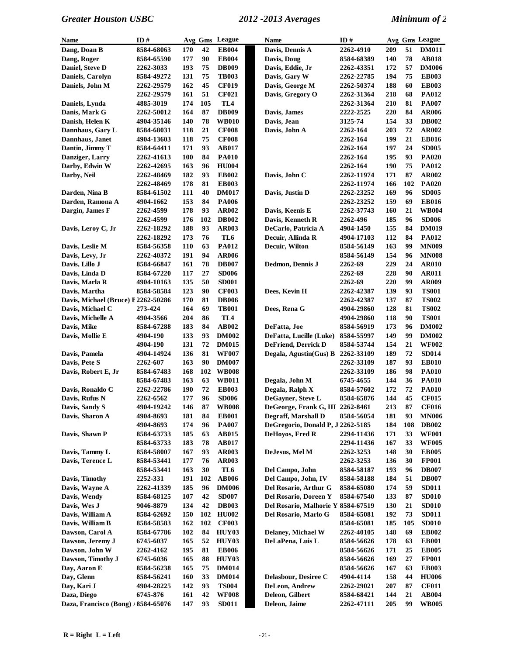| Name                                | ID#        |            |     | Avg Gms League  | Name                               | ID#        |            |     | Avg Gms League |
|-------------------------------------|------------|------------|-----|-----------------|------------------------------------|------------|------------|-----|----------------|
| Dang, Doan B                        | 8584-68063 | 170        | 42  | <b>EB004</b>    | Davis, Dennis A                    | 2262-4910  | 209        | 51  | <b>DM011</b>   |
| Dang, Roger                         | 8584-65590 | 177        | 90  | <b>EB004</b>    | Davis, Doug                        | 8584-68389 | 140        | 78  | <b>AB018</b>   |
| Daniel, Steve D                     | 2262-3033  | 193        | 75  | <b>DB009</b>    | Davis, Eddie, Jr                   | 2262-43351 | 172        | 57  | <b>DM006</b>   |
| Daniels, Carolyn                    | 8584-49272 | 131        | 75  | <b>TB003</b>    | Davis, Gary W                      | 2262-22785 | 194        | 75  | <b>EB003</b>   |
| Daniels, John M                     | 2262-29579 | 162        | 45  | <b>CF019</b>    | Davis, George M                    | 2262-50374 | 188        | 60  | <b>EB003</b>   |
|                                     | 2262-29579 | 161        | 51  | <b>CF021</b>    | Davis, Gregory O                   | 2262-31364 | 218        | 68  | <b>PA012</b>   |
| Daniels, Lynda                      | 4885-3019  | 174        | 105 | TL4             |                                    | 2262-31364 | 210        | 81  | <b>PA007</b>   |
| Danis, Mark G                       | 2262-50012 | 164        | 87  | <b>DB009</b>    | Davis, James                       | 2222-2525  | 220        | 84  | <b>AR006</b>   |
| Danish, Helen K                     | 4904-35146 | 140        | 78  | <b>WB010</b>    | Davis, Jean                        | 3125-74    | 154        | 33  | <b>DB002</b>   |
| Dannhaus, Gary L                    | 8584-68031 | 118        | 21  | <b>CF008</b>    | Davis, John A                      | 2262-164   | 203        | 72  | AR002          |
| Dannhaus, Janet                     | 4904-13603 | 118        | 75  | <b>CF008</b>    |                                    | 2262-164   | 199        | 21  | <b>EB016</b>   |
| Dantin, Jimmy T                     | 8584-64411 | 171        | 93  | <b>AB017</b>    |                                    | 2262-164   | 197        | 24  | <b>SD005</b>   |
| Danziger, Larry                     | 2262-41613 | <b>100</b> | 84  | <b>PA010</b>    |                                    | 2262-164   | 195        | 93  | <b>PA020</b>   |
| Darby, Edwin W                      | 2262-42695 | 163        | 96  | <b>HU004</b>    |                                    | 2262-164   | 190        | 75  | PA012          |
| Darby, Neil                         | 2262-48469 | 182        | 93  | <b>EB002</b>    | Davis, John C                      | 2262-11974 | 171        | 87  | AR002          |
|                                     | 2262-48469 | 178        | 81  | <b>EB003</b>    |                                    | 2262-11974 | 166        | 102 | <b>PA020</b>   |
| Darden, Nina B                      | 8584-61502 | 111        | 40  | <b>DM017</b>    | Davis, Justin D                    | 2262-23252 | 169        | 96  | <b>SD005</b>   |
| Darden, Ramona A                    | 4904-1662  | 153        | 84  | <b>PA006</b>    |                                    | 2262-23252 | 159        | 69  | <b>EB016</b>   |
| Dargin, James F                     | 2262-4599  | 178        | 93  | <b>AR002</b>    | Davis, Keenis E                    | 2262-37743 | 160        | 21  | <b>WB004</b>   |
|                                     | 2262-4599  | 176        | 102 | <b>DB002</b>    | Davis, Kenneth R                   | 2262-496   | 185        | 96  | <b>SD006</b>   |
| Davis, Leroy C, Jr                  | 2262-18292 | 188        | 93  | <b>AR003</b>    | DeCarlo, Patricia A                | 4904-1450  | 155        | 84  | <b>DM019</b>   |
|                                     | 2262-18292 | 173        | 76  | TL6             | Decuir, Allinda R                  | 4904-17103 | 112        | 84  | <b>PA012</b>   |
| Davis, Leslie M                     | 8584-56358 | 110        | 63  | <b>PA012</b>    | Decuir, Wilton                     | 8584-56149 | 163        | 99  | <b>MN009</b>   |
| Davis, Levy, Jr                     | 2262-40372 | 191        | 94  | <b>AR006</b>    |                                    | 8584-56149 | 154        | 96  | <b>MN008</b>   |
| Davis, Lillo J                      | 8584-66847 | 161        | 78  | <b>DB007</b>    | Dedmon, Dennis J                   | 2262-69    | 229        | 24  | <b>AR010</b>   |
|                                     |            |            | 27  |                 |                                    |            |            | 90  |                |
| Davis, Linda D                      | 8584-67220 | 117        | 50  | <b>SD006</b>    |                                    | 2262-69    | 228        | 99  | <b>AR011</b>   |
| Davis, Marla R                      | 4904-10163 | 135<br>123 | 90  | <b>SD001</b>    |                                    | 2262-69    | 220<br>139 | 93  | AR009          |
| Davis, Martha                       | 8584-58584 |            |     | <b>CF003</b>    | Dees, Kevin H                      | 2262-42387 |            |     | <b>TS001</b>   |
| Davis, Michael (Bruce) E2262-50286  |            | 170        | 81  | <b>DB006</b>    |                                    | 2262-42387 | 137        | 87  | <b>TS002</b>   |
| Davis, Michael C                    | 273-424    | 164        | 69  | <b>TB001</b>    | Dees, Rena G                       | 4904-29860 | 128        | 81  | <b>TS002</b>   |
| Davis, Michelle A                   | 4904-3566  | 204        | 86  | TL <sub>4</sub> |                                    | 4904-29860 | 118        | 90  | <b>TS001</b>   |
| Davis, Mike                         | 8584-67288 | 183        | 84  | AB002           | DeFatta, Joe                       | 8584-56919 | 173        | 96  | <b>DM002</b>   |
| Davis, Mollie E                     | 4904-190   | 133        | 93  | <b>DM002</b>    | DeFatta, Lucille (Luke)            | 8584-55997 | 149        | 99  | <b>DM002</b>   |
|                                     | 4904-190   | 131        | 72  | <b>DM015</b>    | DeFriend, Derrick D                | 8584-53744 | 154        | 21  | <b>WF002</b>   |
| Davis, Pamela                       | 4904-14924 | 136        | 81  | <b>WF007</b>    | Degala, Agustin(Gus) B             | 2262-33109 | 189        | 72  | <b>SD014</b>   |
| Davis, Pete S                       | 2262-607   | 163        | 90  | <b>DM007</b>    |                                    | 2262-33109 | 187        | 93  | <b>EB010</b>   |
| Davis, Robert E, Jr                 | 8584-67483 | 168        | 102 | <b>WB008</b>    |                                    | 2262-33109 | 186        | 98  | <b>PA010</b>   |
|                                     | 8584-67483 | 163        | 63  | <b>WB011</b>    | Degala, John M                     | 6745-4655  | 144        | 36  | <b>PA010</b>   |
| Davis, Ronaldo C                    | 2262-22786 | 190        | 72  | <b>EB003</b>    | Degala, Ralph X                    | 8584-57602 | 172        | 72  | <b>PA010</b>   |
| Davis, Rufus N                      | 2262-6562  | 177        | 96  | <b>SD006</b>    | DeGayner, Steve L                  | 8584-65876 | 144        | 45  | <b>CF015</b>   |
| Davis, Sandy S                      | 4904-19242 | 146        | 87  | <b>WB008</b>    | DeGeorge, Frank G, III 2262-8461   |            | 213        | 87  | <b>CF016</b>   |
| Davis, Sharon A                     | 4904-8693  | 181        | 84  | <b>EB001</b>    | Degraff, Marshall D                | 8584-56054 | 181        | 93  | <b>MN006</b>   |
|                                     | 4904-8693  | 174        | 96  | <b>PA007</b>    | DeGregorio, Donald P, J 2262-5185  |            | 184        | 108 | <b>DB002</b>   |
| Davis, Shawn P                      | 8584-63733 | 185        | 63  | AB015           | DeHovos, Fred R                    | 2294-11436 | 171        | 33  | <b>WF001</b>   |
|                                     | 8584-63733 | 183        | 78  | <b>AB017</b>    |                                    | 2294-11436 | 167        | 33  | <b>WF005</b>   |
| Davis, Tammy L                      | 8584-58007 | 167        | 93  | AR003           | DeJesus, Mel M                     | 2262-3253  | 148        | 30  | <b>EB005</b>   |
| Davis, Terence L                    | 8584-53441 | 177        | 76  | AR003           |                                    | 2262-3253  | 136        | 30  | <b>FP001</b>   |
|                                     | 8584-53441 | 163        | 30  | TL6             | Del Campo, John                    | 8584-58187 | 193        | 96  | <b>DB007</b>   |
| Davis, Timothy                      | 2252-331   | 191        | 102 | <b>AB006</b>    | Del Campo, John, IV                | 8584-58188 | 184        | 51  | <b>DB007</b>   |
| Davis, Wayne A                      | 2262-41339 | 185        | 96  | <b>DM006</b>    | Del Rosario, Arthur G              | 8584-65080 | 174        | 59  | <b>SD011</b>   |
| Davis, Wendy                        | 8584-68125 | 107        | 42  | <b>SD007</b>    | Del Rosario, Doreen Y              | 8584-67540 | 133        | 87  | <b>SD010</b>   |
| Davis, Wes J                        | 9046-8879  | 134        | 42  | <b>DB003</b>    | Del Rosario, Malhorie Y 8584-67519 |            | 130        | 21  | <b>SD010</b>   |
| Davis, William A                    | 8584-62692 | 150        | 102 | <b>HU002</b>    | Del Rosario, Marlo G               | 8584-65081 | 192        | 73  | <b>SD011</b>   |
| Davis, William B                    | 8584-58583 | 162        | 102 | <b>CF003</b>    |                                    | 8584-65081 | 185        | 105 | <b>SD010</b>   |
| Dawson, Carol A                     | 8584-67786 | 102        | 84  | HUY03           | Delaney, Michael W                 | 2262-40105 | 148        | 69  | <b>EB002</b>   |
| Dawson, Jeremy J                    | 6745-6037  | 165        | 52  | HUY03           | DeLaPena, Luis L                   | 8584-56626 | 178        | 63  | <b>EB001</b>   |
| Dawson, John W                      | 2262-4162  | 195        | 81  | <b>EB006</b>    |                                    | 8584-56626 | 171        | 25  | <b>EB005</b>   |
| Dawson, Timothy J                   | 6745-6036  | 165        | 88  | HUY03           |                                    | 8584-56626 | 169        | 27  | <b>FP001</b>   |
| Day, Aaron E                        | 8584-56238 | 165        | 75  | <b>DM014</b>    |                                    | 8584-56626 | 167        | 63  | <b>EB003</b>   |
| Day, Glenn                          | 8584-56241 | 160        | 33  | <b>DM014</b>    | Delasbour, Desiree C               | 4904-4114  | 158        | 44  | <b>HU006</b>   |
| Day, Kari J                         | 4904-28225 | 142        | 93  | <b>TS004</b>    | <b>DeLeon</b> , Andrew             | 2262-29021 | 207        | 87  | <b>CF011</b>   |
| Daza, Diego                         | 6745-876   | 161        | 42  | <b>WF008</b>    | Deleon, Gilbert                    | 8584-68421 | 144        | 21  | <b>AB004</b>   |
| Daza, Francisco (Bong) / 8584-65076 |            | 147        | 93  | <b>SD011</b>    | Deleon, Jaime                      | 2262-47111 | 205        | 99  | <b>WB005</b>   |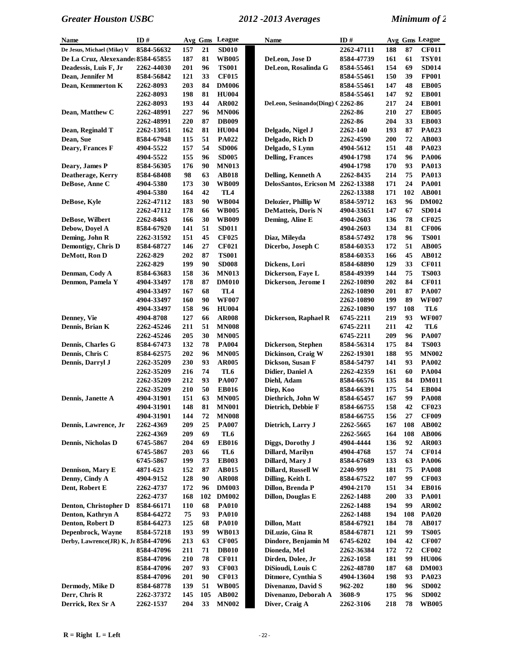| Name                                 | ID#              |            | Avg Gms | League          | Name                              | ID#               |     |     | Avg Gms League |
|--------------------------------------|------------------|------------|---------|-----------------|-----------------------------------|-------------------|-----|-----|----------------|
| De Jesus, Michael (Mike) V           | 8584-56632       | 157        | 21      | <b>SD010</b>    |                                   | 2262-47111        | 188 | 87  | <b>CF011</b>   |
| De La Cruz, Alexexande 8584-65855    |                  | 187        | 81      | <b>WB005</b>    | DeLeon, Jose D                    | 8584-47739        | 161 | 61  | <b>TSY01</b>   |
| Deadessis, Luis F, Jr                | 2262-44030       | 201        | 96      | <b>TS001</b>    | DeLeon, Rosalinda G               | 8584-55461        | 154 | 69  | <b>SD014</b>   |
| Dean, Jennifer M                     | 8584-56842       | 121        | 33      | <b>CF015</b>    |                                   | 8584-55461        | 150 | 39  | <b>FP001</b>   |
| Dean, Kemmerton K                    | 2262-8093        | 203        | 84      | <b>DM006</b>    |                                   | 8584-55461        | 147 | 48  | <b>EB005</b>   |
|                                      | 2262-8093        | 198        | 81      | <b>HU004</b>    |                                   | 8584-55461        | 147 | 92  | <b>EB001</b>   |
|                                      | <b>2262-8093</b> | 193        | 44      | <b>AR002</b>    | DeLeon, Sesinando(Ding) C 2262-86 |                   | 217 | 24  | <b>EB001</b>   |
| Dean, Matthew C                      |                  | 227        | 96      | <b>MN006</b>    |                                   | 2262-86           | 210 | 27  | <b>EB005</b>   |
|                                      | 2262-48991       |            |         |                 |                                   |                   |     |     |                |
|                                      | 2262-48991       | 220        | 87      | <b>DB009</b>    |                                   | 2262-86           | 204 | 33  | <b>EB003</b>   |
| Dean, Reginald T                     | 2262-13051       | 162        | 81      | <b>HU004</b>    | Delgado, Nigel J                  | <b>2262-140</b>   | 193 | 87  | PA023          |
| Dean, Sue                            | 8584-67948       | 115        | 51      | <b>PA022</b>    | Delgado, Rich D                   | 2262-4590         | 200 | 72  | AB003          |
| Deary, Frances F                     | 4904-5522        | 157        | 54      | <b>SD006</b>    | Delgado, S Lynn                   | 4904-5612         | 151 | 48  | PA023          |
|                                      | 4904-5522        | 155        | 96      | <b>SD005</b>    | <b>Delling, Frances</b>           | 4904-1798         | 174 | 96  | <b>PA006</b>   |
| Deary, James P                       | 8584-56305       | 176        | 90      | <b>MN013</b>    |                                   | 4904-1798         | 170 | 93  | PA013          |
| Deatherage, Kerry                    | 8584-68408       | 98         | 63      | <b>AB018</b>    | Delling, Kenneth A                | 2262-8435         | 214 | 75  | PA013          |
| DeBose, Anne C                       | 4904-5380        | 173        | 30      | <b>WB009</b>    | DelosSantos, Ericson M            | 2262-13388        | 171 | 24  | <b>PA001</b>   |
|                                      | 4904-5380        | 164        | 42      | TL <sub>4</sub> |                                   | 2262-13388        | 171 | 102 | <b>AB001</b>   |
| DeBose, Kyle                         | 2262-47112       | 183        | 90      | <b>WB004</b>    | Delozier, Phillip W               | 8584-59712        | 163 | 96  | <b>DM002</b>   |
|                                      | 2262-47112       | 178        | 66      | <b>WB005</b>    | DeMatteis, Doris N                | 4904-33651        | 147 | 67  | <b>SD014</b>   |
| DeBose, Wilbert                      | 2262-8463        | 166        | 30      | <b>WB009</b>    | Deming, Aline E                   | 4904-2603         | 136 | 78  | <b>CF025</b>   |
|                                      |                  |            | 51      |                 |                                   |                   |     |     |                |
| Debow, Doyel A                       | 8584-67920       | 141        |         | <b>SD011</b>    |                                   | 4904-2603         | 134 | 81  | <b>CF006</b>   |
| Deming, John R                       | 2262-31592       | 151        | 45      | <b>CF025</b>    | Diaz, Mileyda                     | 8584-57492        | 178 | 96  | <b>TS001</b>   |
| Demontigy, Chris D                   | 8584-68727       | 146        | 27      | <b>CF021</b>    | Dicerbo, Joseph C                 | 8584-60353        | 172 | 51  | AB005          |
| DeMott, Ron D                        | 2262-829         | 202        | 87      | <b>TS001</b>    |                                   | 8584-60353        | 166 | 45  | AB012          |
|                                      | 2262-829         | 199        | 90      | <b>SD008</b>    | Dickens, Lori                     | 8584-68890        | 129 | 33  | <b>CF011</b>   |
| Denman, Cody A                       | 8584-63683       | 158        | 36      | <b>MN013</b>    | Dickerson, Faye L                 | 8584-49399        | 144 | 75  | <b>TS003</b>   |
| Denmon, Pamela Y                     | 4904-33497       | 178        | 87      | <b>DM010</b>    | Dickerson, Jerome I               | <b>2262-10890</b> | 202 | 84  | <b>CF011</b>   |
|                                      | 4904-33497       | 167        | 68      | TL <sub>4</sub> |                                   | <b>2262-10890</b> | 201 | 87  | <b>PA007</b>   |
|                                      | 4904-33497       | 160        | 90      | <b>WF007</b>    |                                   | 2262-10890        | 199 | 89  | <b>WF007</b>   |
|                                      | 4904-33497       | 158        | 96      | $HU$ 004        |                                   | 2262-10890        | 197 | 108 | TL6            |
| Denney, Vie                          | 4904-8708        | 127        | 66      | <b>AR008</b>    | Dickerson, Raphael R              | 6745-2211         | 219 | 93  | <b>WF007</b>   |
| Dennis, Brian K                      | 2262-45246       | 211        | 51      | <b>MN008</b>    |                                   | 6745-2211         | 211 | 42  | TL6            |
|                                      | 2262-45246       | 205        | 30      | <b>MN005</b>    |                                   | 6745-2211         | 209 | 96  | <b>PA007</b>   |
|                                      |                  |            | 78      |                 |                                   |                   |     | 84  |                |
| Dennis, Charles G                    | 8584-67473       | 132        |         | <b>PA004</b>    | Dickerson, Stephen                | 8584-56314        | 175 |     | <b>TS003</b>   |
| Dennis, Chris C                      | 8584-62575       | 202        | 96      | <b>MN005</b>    | Dickinson, Craig W                | <b>2262-19301</b> | 188 | 95  | <b>MN002</b>   |
| Dennis, Darryl J                     | 2262-35209       | 230        | 93      | <b>AR005</b>    | Dickson, Susan F                  | 8584-54797        | 141 | 93  | <b>PA002</b>   |
|                                      | 2262-35209       | 216        | 74      | TL6             | Didier, Daniel A                  | 2262-42359        | 161 | 60  | <b>PA004</b>   |
|                                      | 2262-35209       | 212        | 93      | <b>PA007</b>    | Diehl, Adam                       | 8584-66576        | 135 | 84  | <b>DM011</b>   |
|                                      | 2262-35209       | 210        | 50      | <b>EB016</b>    | Diep, Koo                         | 8584-66391        | 175 | 54  | <b>EB004</b>   |
| Dennis, Janette A                    | 4904-31901       | 151        | 63      | <b>MN005</b>    | Diethrich, John W                 | 8584-65457        | 167 | 99  | <b>PA008</b>   |
|                                      | 4904-31901       | 148        | 81      | <b>MN001</b>    | Dietrich, Debbie F                | 8584-66755        | 158 | 42  | <b>CF023</b>   |
|                                      | 4904-31901       | 144        | 72      | <b>MN008</b>    |                                   | 8584-66755        | 156 | 27  | <b>CF009</b>   |
| Dennis, Lawrence, Jr                 | 2262-4369        | 209        | 25      | <b>PA007</b>    | Dietrich, Larry J                 | 2262-5665         | 167 | 108 | <b>AB002</b>   |
|                                      | 2262-4369        | 209        | 69      | TL6             |                                   | 2262-5665         | 164 | 108 | AB006          |
| <b>Dennis, Nicholas D</b>            | 6745-5867        | 204        | 69      | <b>EB016</b>    | Diggs, Dorothy J                  | 4904-4444         | 136 | 92  | <b>AR003</b>   |
|                                      | 6745-5867        | 203        | 66      | TL6             | Dillard, Marilyn                  | 4904-4768         | 157 | 74  | <b>CF014</b>   |
|                                      | 6745-5867        | 199        | 73      | <b>EB003</b>    | Dillard, Mary J                   | 8584-67689        | 133 | 63  | <b>PA006</b>   |
| Dennison, Mary E                     | 4871-623         | 152        | 87      | AB015           | Dillard, Russell W                | 2240-999          | 181 | 75  | <b>PA008</b>   |
| Denny, Cindy A                       | 4904-9152        | 128        | 90      | <b>AR008</b>    | Dilling, Keith L                  | 8584-67522        | 107 | 99  | <b>CF003</b>   |
| Dent, Robert E                       |                  | 172        | 96      |                 | Dillon, Brenda P                  |                   | 151 | 34  | <b>EB016</b>   |
|                                      | 2262-4737        |            |         | <b>DM003</b>    |                                   | 4904-2170         |     |     |                |
|                                      | 2262-4737        | 168        | 102     | <b>DM002</b>    | Dillon, Douglas E                 | 2262-1488         | 200 | 33  | <b>PA001</b>   |
| Denton, Christopher D                | 8584-66171       | <b>110</b> | 68      | <b>PA010</b>    |                                   | 2262-1488         | 194 | 99  | <b>AR002</b>   |
| Denton, Kathryn A                    | 8584-64272       | 75         | 93      | <b>PA010</b>    |                                   | 2262-1488         | 194 | 108 | <b>PA020</b>   |
| Denton, Robert D                     | 8584-64273       | 125        | 68      | <b>PA010</b>    | Dillon, Matt                      | 8584-67921        | 184 | 78  | AB017          |
| Depenbrock, Wayne                    | 8584-57218       | 193        | 99      | <b>WB013</b>    | DiLuzio, Gina R                   | 8584-67871        | 121 | 99  | <b>TS005</b>   |
| Derby, Lawrence(JR) K, Jr 8584-47096 |                  | 213        | 63      | <b>CF005</b>    | Dindore, Benjamin M               | 6745-6202         | 104 | 42  | <b>CF007</b>   |
|                                      | 8584-47096       | 211        | 71      | <b>DB010</b>    | Dioneda, Mel                      | 2262-36384        | 172 | 72  | <b>CF002</b>   |
|                                      | 8584-47096       | 210        | 78      | <b>CF011</b>    | Dirden, Dolee, Jr                 | 2262-1058         | 181 | 99  | <b>HU006</b>   |
|                                      | 8584-47096       | 207        | 93      | <b>CF003</b>    | DiSioudi, Louis C                 | 2262-48780        | 187 | 68  | <b>DM003</b>   |
|                                      | 8584-47096       | 201        | 90      | <b>CF013</b>    | Ditmore, Cynthia S                | 4904-13604        | 198 | 93  | PA023          |
| Dermody, Mike D                      | 8584-68778       | 139        | 51      | <b>WB005</b>    | Divenanzo, David S                | 962-202           | 180 | 96  | <b>SD002</b>   |
| Derr, Chris R                        | 2262-37372       | 145        | 105     | <b>AB002</b>    | Divenanzo, Deborah A              | 3608-9            | 175 | 96  | <b>SD002</b>   |
| Derrick, Rex Sr A                    | 2262-1537        | 204        | 33      | <b>MN002</b>    | Diver, Craig A                    | 2262-3106         | 218 | 78  | <b>WB005</b>   |
|                                      |                  |            |         |                 |                                   |                   |     |     |                |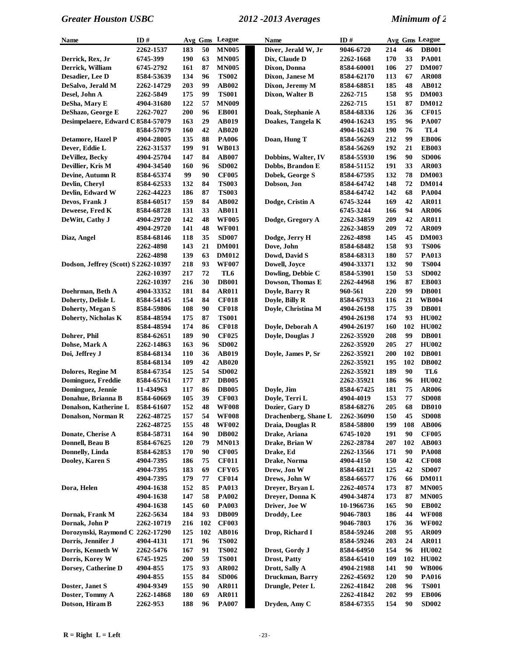| Name                                 | ID#        |            |          | Avg Gms League               | <b>Name</b>                           | ID#                      |            |     | Avg Gms League |
|--------------------------------------|------------|------------|----------|------------------------------|---------------------------------------|--------------------------|------------|-----|----------------|
|                                      | 2262-1537  | 183        | 50       | <b>MN005</b>                 | Diver, Jerald W, Jr                   | 9046-6720                | 214        | 46  | <b>DB001</b>   |
| Derrick, Rex, Jr                     | 6745-399   | 190        | 63       | <b>MN005</b>                 | Dix, Claude D                         | 2262-1668                | 170        | 33  | <b>PA001</b>   |
| Derrick, William                     | 6745-2792  | 161        | 87       | <b>MN005</b>                 | Dixon, Donna                          | 8584-60001               | 106        | 27  | <b>DM007</b>   |
| Desadier, Lee D                      | 8584-53639 | 134        | 96       | <b>TS002</b>                 | Dixon, Janese M                       | 8584-62170               | 113        | 67  | <b>AR008</b>   |
| DeSalvo, Jerald M                    | 2262-14729 | 203        | 99       | AB002                        | Dixon, Jeremy M                       | 8584-68851               | 185        | 48  | <b>AB012</b>   |
| Desel, John A                        | 2262-5849  | 175        | 99       | <b>TS001</b>                 | Dixon, Walter B                       | 2262-715                 | 158        | 95  | <b>DM003</b>   |
| DeSha, Mary E                        | 4904-31680 | 122        | 57       | <b>MN009</b>                 |                                       | 2262-715                 | 151        | 87  | <b>DM012</b>   |
| DeShazo, George E                    | 2262-7027  | 200        | 96       | <b>EB001</b>                 | Doak, Stephanie A                     | 8584-68336               | 126        | 36  | <b>CF015</b>   |
| Desimpelaere, Edward C 8584-57079    |            | 163        | 29       | <b>AB019</b>                 | Doakes, Tangela K                     | 4904-16243               | 195        | 96  | <b>PA007</b>   |
|                                      | 8584-57079 | 160        | 42       | AB020                        |                                       | 4904-16243               | 190        | 76  | TL4            |
| Detamore, Hazel P                    | 4904-28005 | 135        | 88       | <b>PA006</b>                 | Doan, Hung T                          | 8584-56269               | 212        | 99  | <b>EB006</b>   |
| Dever, Eddie L                       | 2262-31537 | 199        | 91       | <b>WB013</b>                 |                                       | 8584-56269               | 192        | 21  | <b>EB003</b>   |
| DeVillez, Becky                      | 4904-25704 | 147        | 84       | <b>AB007</b>                 | Dobbins, Walter, IV                   | 8584-55930               | 196        | 90  | <b>SD006</b>   |
| Devillier, Kris M                    | 4904-34540 | 160        | 96       | <b>SD002</b>                 | Dobbs, Brandon E                      | 8584-51152               | 191        | 33  | <b>AR003</b>   |
| Devine, Autumn R                     | 8584-65374 | 99         | 90       | <b>CF005</b>                 | Dobek, George S                       | 8584-67595               | 132        | 78  | <b>DM003</b>   |
| Devlin, Cheryl                       | 8584-62533 | 132        | 84       | <b>TS003</b>                 | Dobson, Jon                           | 8584-64742               | 148        | 72  | <b>DM014</b>   |
| Devlin, Edward W                     | 2262-44223 | 186        | 87       | <b>TS003</b>                 |                                       | 8584-64742               | 142        | 68  | <b>PA004</b>   |
| Devos, Frank J                       | 8584-60517 | 159        | 84       | AB002                        | Dodge, Cristin A                      | 6745-3244                | 169        | 42  | <b>AR011</b>   |
| Deweese, Fred K                      | 8584-68728 | 131        | 33       | <b>AB011</b>                 |                                       | 6745-3244                | 166        | 94  | <b>AR006</b>   |
| DeWitt, Cathy J                      | 4904-29720 | 142        | 48       | <b>WF005</b>                 | Dodge, Gregory A                      | 2262-34859               | 209        | 42  | <b>AR011</b>   |
|                                      | 4904-29720 | 141        | 48       | <b>WF001</b>                 |                                       | 2262-34859               | 209        | 72  | <b>AR009</b>   |
| Diaz, Angel                          | 8584-68146 | 118        | 35       | <b>SD007</b>                 | Dodge, Jerry H                        | 2262-4898                | 145        | 45  | <b>DM003</b>   |
|                                      | 2262-4898  | 143        | 21       | <b>DM001</b>                 | Dove, John                            | 8584-68482               | 158        | 93  | <b>TS006</b>   |
|                                      | 2262-4898  | 139        | 63       | <b>DM012</b>                 | Dowd, David S                         | 8584-68313               | 180        | 57  | PA013          |
| Dodson, Jeffrey (Scott) S 2262-10397 |            | 218        | 93       | <b>WF007</b>                 | Dowell, Joyce                         | 4904-33371               | 132        | 90  | <b>TS004</b>   |
|                                      | 2262-10397 | 217        | 72       | TL6                          | Dowling, Debbie C                     | 8584-53901               | 150        | 53  | <b>SD002</b>   |
|                                      | 2262-10397 | 216        | 30       | <b>DB001</b>                 | Dowson, Thomas E                      | 2262-44968               | 196        | 87  | <b>EB003</b>   |
| Doehrman, Beth A                     | 4904-33352 | 181        | 84       | <b>AR011</b>                 | Doyle, Barry R                        | 960-561                  | 220        | 99  | <b>DB001</b>   |
| Doherty, Delisle L                   | 8584-54145 | 154        | 84       | <b>CF018</b>                 | Doyle, Billy R                        | 8584-67933               | 116        | 21  | <b>WB004</b>   |
| Doherty, Megan S                     | 8584-59806 | 108        | 90       | <b>CF018</b>                 | Doyle, Christina M                    | 4904-26198               | 175        | 39  | <b>DB001</b>   |
| Doherty, Nicholas K                  | 8584-48594 | 175        | 87       | <b>TS001</b>                 |                                       | 4904-26198               | 174        | 93  | <b>HU002</b>   |
|                                      | 8584-48594 | 174        | 86       | <b>CF018</b>                 | Doyle, Deborah A                      | 4904-26197               | 160        | 102 | <b>HU002</b>   |
| Dohrer, Phil                         | 8584-62651 | 189        | 90       | <b>CF025</b>                 | Doyle, Douglas J                      | 2262-35920               | 208        | 99  | <b>DB001</b>   |
| Dohse, Mark A                        | 2262-14863 | 163        | 96       | <b>SD002</b>                 |                                       | 2262-35920               | 205        | 27  | <b>HU002</b>   |
| Doi, Jeffrey J                       | 8584-68134 | <b>110</b> | 36       | AB019                        | Doyle, James P, Sr                    | 2262-35921               | 200        | 102 | <b>DB001</b>   |
|                                      | 8584-68134 | 109        | 42       | <b>AB020</b>                 |                                       | 2262-35921               | 195        | 102 | <b>DB002</b>   |
| Dolores, Regine M                    | 8584-67354 | 125        | 54       | <b>SD002</b>                 |                                       | 2262-35921               | 189        | 90  | TL6            |
| Dominguez, Freddie                   | 8584-65761 | 177        | 87       | <b>DB005</b>                 |                                       | 2262-35921               | 186        | 96  | <b>HU002</b>   |
| Dominguez, Jennie                    | 11-434963  | 117        | 86       | <b>DB005</b>                 | Doyle, Jim                            | 8584-67425               | 181        | 75  | <b>AR006</b>   |
| Donahue, Brianna B                   | 8584-60669 | 105        | 39       | <b>CF003</b>                 | Doyle, Terri L                        | 4904-4019                | 153        | 77  | <b>SD008</b>   |
| Donalson, Katherine L                | 8584-61607 | 152        | 48       | <b>WF008</b>                 | Dozier, Gary D                        | 8584-68276               | 205        | 68  | <b>DB010</b>   |
| Donalson, Norman R                   | 2262-48725 | 157        | 54       | <b>WF008</b>                 | Drachenberg, Shane L                  | 2262-36090               | 150        | 45  | <b>SD008</b>   |
|                                      | 2262-48725 | 155        | 48       | <b>WF002</b>                 | Draia, Douglas R                      | 8584-58800               | 199        | 108 | <b>AB006</b>   |
| Donate, Cherise A                    | 8584-58731 | 164        | 90       | <b>DB002</b>                 | Drake, Ariana                         | 6745-1020                | 191        | 90  | <b>CF005</b>   |
| Donnell, Beau B                      | 8584-67625 | <b>120</b> | 79       | <b>MN013</b>                 | Drake, Brian W                        | 2262-28784               | 207        | 102 | <b>AB003</b>   |
| Donnelly, Linda                      | 8584-62853 | 170        | 90       | <b>CF005</b>                 | Drake, Ed                             | 2262-13566               | 171        | 90  | <b>PA008</b>   |
| Dooley, Karen S                      | 4904-7395  | 186        | 75       | <b>CF011</b>                 | Drake, Norma                          | 4904-4150                | 150        | 42  | <b>CF008</b>   |
|                                      | 4904-7395  | 183        | 69       | <b>CFY05</b>                 | Drew, Jon W                           | 8584-68121               | 125        | 42  | <b>SD007</b>   |
|                                      | 4904-7395  | 179        | 77       | <b>CF014</b>                 | Drews, John W                         | 8584-66577               | 176        | 66  | <b>DM011</b>   |
| Dora, Helen                          | 4904-1638  | 152        | 85       | <b>PA013</b>                 | Dreyer, Bryan L                       | 2262-40574               | 173        | 87  | <b>MN005</b>   |
|                                      | 4904-1638  | 147        | 58       | PA002                        | Dreyer, Donna K                       | 4904-34874               | 173        | 87  | <b>MN005</b>   |
|                                      | 4904-1638  | 145        | 60       | <b>PA003</b>                 | Driver, Joe W                         | 10-1966736               | 165        | 90  | <b>EB002</b>   |
| Dornak, Frank M                      | 2262-5634  | 184        | 93       | <b>DB009</b>                 | Droddy, Lee                           | 9046-7803                | 186        | 44  | <b>WF008</b>   |
| Dornak, John P                       | 2262-10719 | 216        | 102      | <b>CF003</b>                 |                                       | 9046-7803                | 176        | 36  | <b>WF002</b>   |
| Dorozynski, Raymond C                | 2262-17290 | 125        | 102      | <b>AB016</b>                 | Drop, Richard I                       | 8584-59246               | 208        | 95  | AR009          |
| Dorris, Jennifer J                   | 4904-4131  | 171        | 96       | <b>TS002</b>                 |                                       | 8584-59246               | 203        | 24  | <b>AR011</b>   |
| Dorris, Kenneth W                    | 2262-5476  | 167        | 91       | <b>TS002</b>                 |                                       |                          | 154        | 96  | <b>HU002</b>   |
| Dorris, Korey W                      | 6745-1925  | 200        | 59       | <b>TS001</b>                 | Drost, Gordy J<br><b>Drost, Patty</b> | 8584-64950<br>8584-65410 | 109        | 102 | <b>HU002</b>   |
|                                      |            | 175        | 93       |                              |                                       |                          |            | 90  | <b>WB006</b>   |
| Dorsey, Catherine D                  | 4904-855   |            |          | AR002                        | Drott, Sally A                        | 4904-21988               | 141        | 90  | <b>PA016</b>   |
|                                      | 4904-855   | 155<br>155 | 84<br>90 | <b>SD006</b>                 | Druckman, Barry<br>Drungle, Peter L   | 2262-45692               | 120        | 96  | <b>TS001</b>   |
| Doster, Janet S<br>Doster, Tommy A   | 4904-9349  | 180        | 69       | <b>AR011</b><br><b>AR011</b> |                                       | 2262-41842               | 208<br>202 | 99  | <b>EB006</b>   |
| Dotson, Hiram B                      | 2262-14868 |            | 96       |                              |                                       | 2262-41842               | 154        | 90  | <b>SD002</b>   |
|                                      | 2262-953   | 188        |          | <b>PA007</b>                 | Dryden, Amy C                         | 8584-67355               |            |     |                |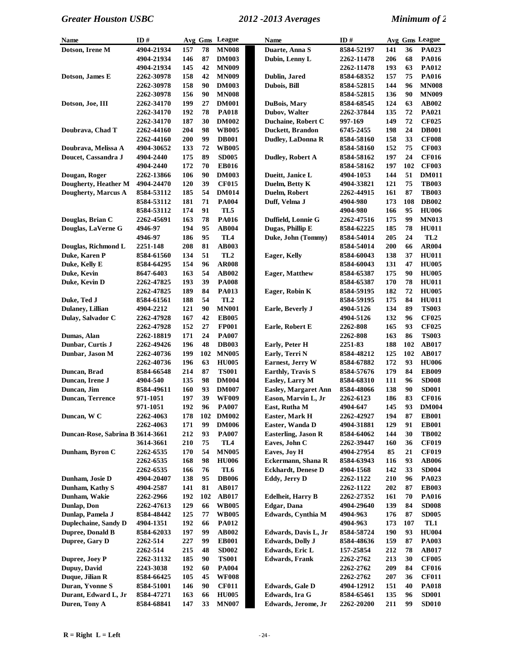| <b>Name</b>                      | ID#        |     |     | Avg Gms League  | Name                        | ID#        |     |     | Avg Gms League  |
|----------------------------------|------------|-----|-----|-----------------|-----------------------------|------------|-----|-----|-----------------|
| Dotson, Irene M                  | 4904-21934 | 157 | 78  | <b>MN008</b>    | Duarte, Anna S              | 8584-52197 | 141 | 36  | PA023           |
|                                  | 4904-21934 | 146 | 87  | <b>DM003</b>    | Dubin, Lenny L              | 2262-11478 | 206 | 68  | PA016           |
|                                  | 4904-21934 | 145 | 42  | <b>MN009</b>    |                             | 2262-11478 | 193 | 63  | PA012           |
| Dotson, James E                  | 2262-30978 | 158 | 42  | <b>MN009</b>    | Dublin, Jared               | 8584-68352 | 157 | 75  | <b>PA016</b>    |
|                                  | 2262-30978 | 158 | 90  | <b>DM003</b>    | Dubois, Bill                | 8584-52815 | 144 | 96  | <b>MN008</b>    |
|                                  | 2262-30978 | 156 | 90  | <b>MN008</b>    |                             | 8584-52815 | 136 | 90  | <b>MN009</b>    |
| Dotson, Joe, III                 | 2262-34170 | 199 | 27  | <b>DM001</b>    | DuBois, Mary                | 8584-68545 | 124 | 63  | AB002           |
|                                  | 2262-34170 | 192 | 78  | <b>PA018</b>    | Dubov, Walter               | 2262-37844 | 135 | 72  | PA021           |
|                                  | 2262-34170 | 187 | 30  | <b>DM002</b>    | Duchaine, Robert C          | 997-169    | 149 | 72  | <b>CF025</b>    |
| Doubrava, Chad T                 | 2262-44160 | 204 | 98  | <b>WB005</b>    | Duckett, Brandon            | 6745-2455  | 198 | 24  | <b>DB001</b>    |
|                                  | 2262-44160 | 200 | 99  | <b>DB001</b>    | Dudley, LaDonna R           | 8584-58160 | 158 | 33  | <b>CF008</b>    |
| Doubrava, Melissa A              | 4904-30652 | 133 | 72  | <b>WB005</b>    |                             | 8584-58160 | 152 | 75  | <b>CF003</b>    |
| Doucet, Cassandra J              | 4904-2440  | 175 | 89  | <b>SD005</b>    | Dudley, Robert A            | 8584-58162 | 197 | 24  | <b>CF016</b>    |
|                                  | 4904-2440  | 172 | 70  | <b>EB016</b>    |                             | 8584-58162 | 197 | 102 | <b>CF003</b>    |
| Dougan, Roger                    | 2262-13866 | 106 | 90  | <b>DM003</b>    | Dueitt, Janice L            | 4904-1053  | 144 | 51  | <b>DM011</b>    |
| Dougherty, Heather M             | 4904-24470 | 120 | 39  | <b>CF015</b>    | Duelm, Betty K              | 4904-33821 | 121 | 75  | <b>TB003</b>    |
| Dougherty, Marcus A              | 8584-53112 | 185 | 54  | <b>DM014</b>    | Duelm, Robert               | 2262-44915 | 161 | 87  | <b>TB003</b>    |
|                                  | 8584-53112 | 181 | 71  | <b>PA004</b>    | Duff, Velma J               | 4904-980   | 173 | 108 | <b>DB002</b>    |
|                                  | 8584-53112 | 174 | 91  | TL5             |                             | 4904-980   | 166 | 95  | <b>HU006</b>    |
| Douglas, Brian C                 | 2262-45691 | 163 | 78  | <b>PA016</b>    | Duffield, Lonnie G          | 2262-47516 | 175 | 99  | <b>MN013</b>    |
| Douglas, LaVerne G               | 4946-97    | 194 | 95  | AB004           | Dugas, Phillip E            | 8584-62225 | 185 | 78  | <b>HU011</b>    |
|                                  | 4946-97    | 186 | 95  | TL <sub>4</sub> | Duke, John (Tommy)          | 8584-54014 | 205 | 24  | TL <sub>2</sub> |
| Douglas, Richmond L              | 2251-148   | 208 | 81  | <b>AB003</b>    |                             | 8584-54014 | 200 | 66  | <b>AR004</b>    |
| Duke, Karen P                    | 8584-61560 | 134 | 51  | TL <sub>2</sub> | <b>Eager, Kelly</b>         | 8584-60043 | 138 | 37  | <b>HU011</b>    |
| Duke, Kelly E                    | 8584-64295 | 154 | 96  | <b>AR008</b>    |                             | 8584-60043 | 131 | 47  | <b>HU005</b>    |
| Duke, Kevin                      | 8647-6403  | 163 | 54  | <b>AB002</b>    | <b>Eager, Matthew</b>       | 8584-65387 | 175 | 90  | <b>HU005</b>    |
| Duke, Kevin D                    | 2262-47825 | 193 | 39  | <b>PA008</b>    |                             | 8584-65387 | 170 | 78  | <b>HU011</b>    |
|                                  | 2262-47825 | 189 | 84  | <b>PA013</b>    | Eager, Robin K              | 8584-59195 | 182 | 72  | <b>HU005</b>    |
| Duke, Ted J                      | 8584-61561 | 188 | 54  | TL <sub>2</sub> |                             | 8584-59195 | 175 | 84  | <b>HU011</b>    |
| Dulaney, Lillian                 | 4904-2212  | 121 | 90  | <b>MN001</b>    | Earle, Beverly J            | 4904-5126  | 134 | 89  | <b>TS003</b>    |
| Dulay, Salvador C                | 2262-47928 | 167 | 42  | <b>EB005</b>    |                             | 4904-5126  | 132 | 96  | <b>CF025</b>    |
|                                  | 2262-47928 | 152 | 27  | <b>FP001</b>    | Earle, Robert E             | 2262-808   | 165 | 93  | <b>CF025</b>    |
| Dumas, Alan                      | 2262-18819 | 171 | 24  | <b>PA007</b>    |                             | 2262-808   | 163 | 86  | <b>TS003</b>    |
| Dunbar, Curtis J                 | 2262-49426 | 196 | 48  | <b>DB003</b>    | Early, Peter H              | 2251-83    | 188 | 102 | <b>AB017</b>    |
| Dunbar, Jason M                  | 2262-40736 | 199 | 102 | <b>MN005</b>    | Early, Terri N              | 8584-48212 | 125 | 102 | <b>AB017</b>    |
|                                  | 2262-40736 | 196 | 63  | <b>HU005</b>    | Earnest, Jerry W            | 8584-67882 | 172 | 93  | <b>HU006</b>    |
| Duncan, Brad                     | 8584-66548 | 214 | 87  | <b>TS001</b>    | <b>Earthly, Travis S</b>    | 8584-57676 | 179 | 84  | <b>EB009</b>    |
| Duncan, Irene J                  | 4904-540   | 135 | 98  | <b>DM004</b>    | Easley, Larry M             | 8584-68310 | 111 | 96  | <b>SD008</b>    |
| Duncan, Jim                      | 8584-49611 | 160 | 93  | <b>DM007</b>    | <b>Easley, Margaret Ann</b> | 8584-48066 | 138 | 90  | <b>SD001</b>    |
| <b>Duncan, Terrence</b>          | 971-1051   | 197 | 39  | <b>WF009</b>    | Eason, Marvin L, Jr         | 2262-6123  | 186 | 83  | <b>CF016</b>    |
|                                  | 971-1051   | 192 | 96  | <b>PA007</b>    | East, Rutha M               | 4904-647   | 145 | 93  | <b>DM004</b>    |
| Duncan, W C                      | 2262-4063  | 178 | 102 | <b>DM002</b>    | Easter, Mark H              | 2262-42927 | 194 | 87  | <b>EB001</b>    |
|                                  | 2262-4063  | 171 | 99  | <b>DM006</b>    | Easter, Wanda D             | 4904-31881 | 129 | 91  | <b>EB001</b>    |
| Duncan-Rose, Sabrina B 3614-3661 |            | 212 | 93  | <b>PA007</b>    | <b>Easterling, Jason R</b>  | 8584-64062 | 144 | 30  | <b>TB002</b>    |
|                                  | 3614-3661  | 210 | 75  | TL4             | Eaves, John C               | 2262-39447 | 160 | 36  | <b>CF019</b>    |
| Dunham, Byron C                  | 2262-6535  | 170 | 54  | <b>MN005</b>    | Eaves, Joy H                | 4904-27954 | 85  | 21  | <b>CF019</b>    |
|                                  | 2262-6535  | 168 | 98  | <b>HU006</b>    | Eckermann, Shana R          | 8584-63943 | 116 | 93  | <b>AB006</b>    |
|                                  | 2262-6535  | 166 | 76  | TL6             | <b>Eckhardt</b> , Denese D  | 4904-1568  | 142 | 33  | <b>SD004</b>    |
| Dunham, Josie D                  | 4904-20407 | 138 | 95  | <b>DB006</b>    | Eddy, Jerry D               | 2262-1122  | 210 | 96  | PA023           |
| Dunham, Kathy S                  | 4904-2587  | 141 | 81  | <b>AB017</b>    |                             | 2262-1122  | 202 | 87  | <b>EB003</b>    |
| Dunham, Wakie                    | 2262-2966  | 192 | 102 | <b>AB017</b>    | <b>Edelheit</b> , Harry B   | 2262-27352 | 161 | 70  | <b>PA016</b>    |
| Dunlap, Don                      | 2262-47613 | 129 | 66  | <b>WB005</b>    | <b>Edgar</b> , Dana         | 4904-29640 | 139 | 84  | <b>SD008</b>    |
| Dunlap, Pamela J                 | 8584-48442 | 125 | 77  | <b>WB005</b>    | Edwards, Cynthia M          | 4904-963   | 176 | 87  | <b>SD005</b>    |
| Duplechaine, Sandy D             | 4904-1351  | 192 | 66  | <b>PA012</b>    |                             | 4904-963   | 173 | 107 | TL1             |
| Dupree, Donald B                 | 8584-62033 | 197 | 99  | AB002           | Edwards, Davis L, Jr        | 8584-58724 | 190 | 93  | <b>HU004</b>    |
| Dupree, Gary D                   | 2262-514   | 227 | 99  | <b>EB001</b>    | <b>Edwards, Dolly J</b>     | 8584-48636 | 159 | 87  | <b>PA003</b>    |
|                                  | 2262-514   | 215 | 48  | <b>SD002</b>    | Edwards, Eric L             | 157-25854  | 212 | 78  | <b>AB017</b>    |
| Dupree, Joey P                   | 2262-31132 | 185 | 90  | <b>TS001</b>    | <b>Edwards</b> , Frank      | 2262-2762  | 213 | 30  | <b>CF005</b>    |
| Dupuy, David                     | 2243-3038  | 192 | 60  | <b>PA004</b>    |                             | 2262-2762  | 209 | 84  | <b>CF016</b>    |
| Duque, Jilian R                  | 8584-66425 | 105 | 45  | <b>WF008</b>    |                             | 2262-2762  | 207 | 36  | <b>CF011</b>    |
| Duran, Yvonne S                  | 8584-51001 | 146 | 90  | <b>CF011</b>    | <b>Edwards</b> , Gale D     | 4904-12912 | 151 | 40  | <b>PA018</b>    |
| Durant, Edward L, Jr             | 8584-47271 | 163 | 66  | <b>HU005</b>    | Edwards, Ira G              | 8584-65461 | 135 | 96  | <b>SD001</b>    |
| Duren, Tony A                    | 8584-68841 | 147 | 33  | <b>MN007</b>    | Edwards, Jerome, Jr         | 2262-20200 | 211 | 99  | <b>SD010</b>    |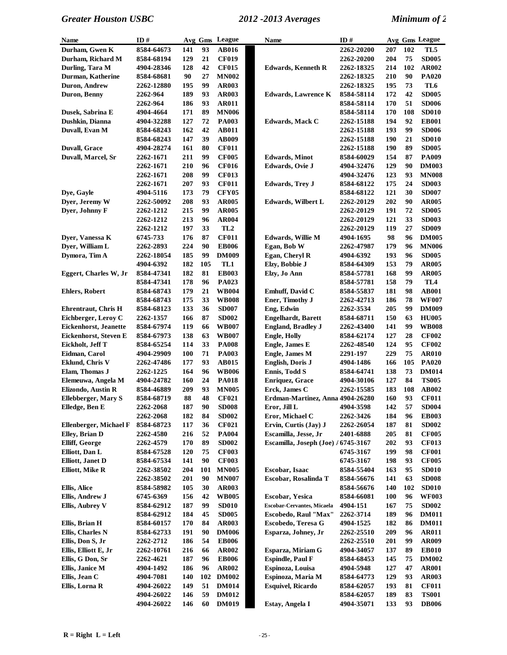| Name                          | ID#        |     | Avg Gms | League          | Name                                | ID#               |            |     | Avg Gms League |
|-------------------------------|------------|-----|---------|-----------------|-------------------------------------|-------------------|------------|-----|----------------|
| Durham, Gwen K                | 8584-64673 | 141 | 93      | AB016           |                                     | 2262-20200        | 207        | 102 | TL5            |
| Durham, Richard M             | 8584-68194 | 129 | 21      | <b>CF019</b>    |                                     | 2262-20200        | 204        | 75  | <b>SD005</b>   |
| Durling, Tara M               | 4904-28346 | 128 | 42      | <b>CF015</b>    | <b>Edwards, Kenneth R</b>           | 2262-18325        | 214        | 102 | <b>AR002</b>   |
| Durman, Katherine             | 8584-68681 | 90  | 27      | <b>MN002</b>    |                                     | 2262-18325        | 210        | 90  | <b>PA020</b>   |
| Duron, Andrew                 | 2262-12880 | 195 | 99      | <b>AR003</b>    |                                     | 2262-18325        | 195        | 73  | TL6            |
| Duron, Benny                  | 2262-964   | 189 | 93      | AR003           | <b>Edwards, Lawrence K</b>          | 8584-58114        | 172        | 42  | <b>SD005</b>   |
|                               | 2262-964   | 186 | 93      | <b>AR011</b>    |                                     | 8584-58114        | 170        | 51  | <b>SD006</b>   |
| Dusek, Sabrina E              | 4904-4664  | 171 | 89      | <b>MN006</b>    |                                     | 8584-58114        | 170        | 108 | <b>SD010</b>   |
| Dushkin, Dianna               | 4904-32288 | 127 | 72      | <b>PA003</b>    | <b>Edwards, Mack C</b>              | 2262-15188        | 194        | 92  | <b>EB001</b>   |
| Duvall, Evan M                | 8584-68243 | 162 | 42      | <b>AB011</b>    |                                     | 2262-15188        | 193        | 99  | <b>SD006</b>   |
|                               | 8584-68243 | 147 | 39      | <b>AB009</b>    |                                     | 2262-15188        | 190        | 21  | <b>SD010</b>   |
| <b>Duvall, Grace</b>          | 4904-28274 | 161 | 80      | <b>CF011</b>    |                                     | 2262-15188        | 190        | 89  | <b>SD005</b>   |
| Duvall, Marcel, Sr            | 2262-1671  | 211 | 99      | <b>CF005</b>    | <b>Edwards</b> , Minot              | 8584-60029        | 154        | 87  | <b>PA009</b>   |
|                               | 2262-1671  | 210 | 96      | <b>CF016</b>    | Edwards, Ovie J                     | 4904-32476        | 129        | 90  | <b>DM003</b>   |
|                               | 2262-1671  | 208 | 99      | <b>CF013</b>    |                                     | 4904-32476        | 123        | 93  | <b>MN008</b>   |
|                               | 2262-1671  | 207 | 93      | <b>CF011</b>    | <b>Edwards, Trey J</b>              | 8584-68122        | 175        | 24  | <b>SD003</b>   |
| Dye, Gayle                    | 4904-5116  | 173 | 79      | <b>CFY05</b>    |                                     | 8584-68122        | 121        | 30  | <b>SD007</b>   |
| Dyer, Jeremy W                | 2262-50092 | 208 | 93      | <b>AR005</b>    | Edwards, Wilbert L                  | <b>2262-20129</b> | 202        | 90  | <b>AR005</b>   |
| Dver, Johnny F                | 2262-1212  | 215 | 99      | <b>AR005</b>    |                                     |                   | 191        | 72  | <b>SD005</b>   |
|                               |            |     |         |                 |                                     | <b>2262-20129</b> |            |     |                |
|                               | 2262-1212  | 213 | 96      | <b>AR004</b>    |                                     | <b>2262-20129</b> | 121        | 33  | <b>SD003</b>   |
|                               | 2262-1212  | 197 | 33      | TL <sub>2</sub> |                                     | <b>2262-20129</b> | 119        | 27  | <b>SD009</b>   |
| Dyer, Vanessa K               | 6745-733   | 176 | 87      | <b>CF011</b>    | <b>Edwards</b> , Willie M           | 4904-1695         | 98         | 96  | <b>DM005</b>   |
| Dyer, William L               | 2262-2893  | 224 | 90      | <b>EB006</b>    | Egan, Bob W                         | 2262-47987        | 179        | 96  | <b>MN006</b>   |
| Dymora, Tim A                 | 2262-18054 | 185 | 99      | <b>DM009</b>    | Egan, Cheryl R                      | 4904-6392         | 193        | 96  | <b>SD005</b>   |
|                               | 4904-6392  | 182 | 105     | TL1             | Elzy, Bobbie J                      | 8584-64309        | 153        | 79  | <b>AR005</b>   |
| Eggert, Charles W, Jr         | 8584-47341 | 182 | 81      | <b>EB003</b>    | Elzy, Jo Ann                        | 8584-57781        | 168        | 99  | <b>AR005</b>   |
|                               | 8584-47341 | 178 | 96      | <b>PA023</b>    |                                     | 8584-57781        | 158        | 79  | TL4            |
| <b>Ehlers, Robert</b>         | 8584-68743 | 179 | 21      | <b>WB004</b>    | Emhuff, David C                     | 8584-55837        | 181        | 98  | <b>AB001</b>   |
|                               | 8584-68743 | 175 | 33      | <b>WB008</b>    | Ener, Timothy J                     | 2262-42713        | 186        | 78  | <b>WF007</b>   |
| <b>Ehrentraut, Chris H</b>    | 8584-68123 | 133 | 36      | <b>SD007</b>    | Eng, Edwin                          | 2262-3534         | 205        | 99  | <b>DM009</b>   |
| Eichberger, Leroy C           | 2262-1357  | 166 | 87      | <b>SD002</b>    | <b>Engelhardt</b> , Barett          | 8584-68711        | 150        | 63  | <b>HU005</b>   |
| <b>Eickenhorst</b> , Jeanette | 8584-67974 | 119 | 66      | <b>WB007</b>    | <b>England, Bradley J</b>           | <b>2262-43400</b> | 141        | 99  | <b>WB008</b>   |
| Eickenhorst, Steven E         | 8584-67973 | 138 | 63      | <b>WB007</b>    | <b>Engle, Holly</b>                 | 8584-62174        | 127        | 28  | <b>CF002</b>   |
| Eickholt, Jeff T              | 8584-65254 | 114 | 33      | <b>PA008</b>    | Engle, James E                      | <b>2262-48540</b> | 124        | 95  | <b>CF002</b>   |
| Eidman, Carol                 | 4904-29909 | 100 | 71      | <b>PA003</b>    | <b>Engle, James M</b>               | 2291-197          | 229        | 75  | <b>AR010</b>   |
| <b>Eklund, Chris V</b>        | 2262-47486 | 177 | 93      | <b>AB015</b>    | <b>English, Doris J</b>             | 4904-1486         | 166        | 105 | <b>PA020</b>   |
| Elam, Thomas J                | 2262-1225  | 164 | 96      | <b>WB006</b>    | Ennis, Todd S                       | 8584-64741        | 138        | 73  | <b>DM014</b>   |
| Elemeuwa, Angela M            | 4904-24782 | 160 | 24      | <b>PA018</b>    | <b>Enriquez, Grace</b>              | 4904-30106        | 127        | 84  | <b>TS005</b>   |
| Elizondo, Austin R            | 8584-46889 | 209 | 93      | <b>MN005</b>    | Erck, James C                       | 2262-15585        | 183        | 108 | AB002          |
| <b>Ellebberger, Mary S</b>    | 8584-68719 | 88  | 48      | <b>CF021</b>    | Erdman-Martinez, Anna 4904-26280    |                   | 160        | 93  | <b>CF011</b>   |
| Elledge, Ben E                | 2262-2068  | 187 | 90      | <b>SD008</b>    | Eror, Jill L                        | 4904-3598         | 142        | 57  | <b>SD004</b>   |
|                               | 2262-2068  | 182 | 84      | <b>SD002</b>    | Eror, Michael C                     | 2262-3426         | 184        | 96  | <b>EB003</b>   |
| Ellenberger, Michael F        | 8584-68723 | 117 | 36      | <b>CF021</b>    | Ervin, Curtis (Jay) J               | 2262-26054        | 187        | 81  | <b>SD002</b>   |
| Elley, Brian D                | 2262-4580  | 216 | 52      | <b>PA004</b>    | Escamilla, Jesse, Jr                | 2401-6888         | 205        | 81  | <b>CF005</b>   |
| <b>Elliff, George</b>         | 2262-4579  | 170 | 89      | <b>SD002</b>    | Escamilla, Joseph (Joe) / 6745-3167 |                   | 202        | 93  | <b>CF013</b>   |
| Elliott, Dan L                | 8584-67528 | 120 | 75      | <b>CF003</b>    |                                     | 6745-3167         | 199        | 98  | <b>CF001</b>   |
| <b>Elliott</b> , Janet D      | 8584-67534 | 141 | 90      | <b>CF003</b>    |                                     | 6745-3167         | 198        | 93  | <b>CF005</b>   |
| <b>Elliott, Mike R</b>        | 2262-38502 | 204 | 101     | <b>MN005</b>    | Escobar, Isaac                      | 8584-55404        | 163        | 95  | <b>SD010</b>   |
|                               | 2262-38502 | 201 | 90      | <b>MN007</b>    | Escobar, Rosalinda T                | 8584-56676        | 141        | 63  | <b>SD008</b>   |
| <b>Ellis, Alice</b>           | 8584-58982 | 105 | 30      | AR003           |                                     | 8584-56676        | 140        | 102 | <b>SD010</b>   |
| Ellis, Andrew J               | 6745-6369  | 156 | 42      | <b>WB005</b>    | <b>Escobar, Yesica</b>              | 8584-66081        | <b>100</b> | 96  | <b>WF003</b>   |
| <b>Ellis, Aubrey V</b>        | 8584-62912 | 187 | 99      | <b>SD010</b>    | <b>Escobar-Cervantes, Micaela</b>   | 4904-151          | 167        | 75  | <b>SD002</b>   |
|                               | 8584-62912 | 184 | 45      | <b>SD005</b>    | Escobedo, Raul "Max"                | 2262-3714         | 189        | 96  | <b>DM011</b>   |
| Ellis, Brian H                | 8584-60157 | 170 | 84      | AR003           | Escobedo, Teresa G                  | 4904-1525         | 182        | 86  | <b>DM011</b>   |
| Ellis, Charles N              | 8584-62733 | 191 | 90      | <b>DM006</b>    | Esparza, Johney, Jr                 | 2262-25510        | 209        | 96  | <b>AR011</b>   |
| Ellis, Don S, Jr              | 2262-2712  | 186 | 54      | <b>EB006</b>    |                                     | <b>2262-25510</b> | 201        | 99  | AR009          |
| Ellis, Elliott E, Jr          | 2262-10761 | 216 | 66      | AR002           | Esparza, Miriam G                   | 4904-34057        | 137        | 89  | <b>EB010</b>   |
| Ellis, G Don, Sr              | 2262-4621  | 187 | 96      | <b>EB006</b>    | <b>Espindle, Paul F</b>             | 8584-68453        | 145        | 75  | <b>DM002</b>   |
| Ellis, Janice M               | 4904-1492  | 186 | 96      | AR002           | Espinoza, Louisa                    | 4904-5948         | 127        | 47  | <b>AR001</b>   |
| Ellis, Jean C                 | 4904-7081  | 140 | 102     | <b>DM002</b>    | Espinoza, Maria M                   | 8584-64773        | 129        | 93  | <b>AR003</b>   |
| Ellis, Lorna R                | 4904-26022 | 149 | 51      | <b>DM014</b>    | <b>Esquivel, Ricardo</b>            | 8584-62057        | 193        | 81  | <b>CF011</b>   |
|                               | 4904-26022 | 146 | 59      | <b>DM012</b>    |                                     | 8584-62057        | 189        | 83  | <b>TS001</b>   |
|                               | 4904-26022 | 146 | 60      | <b>DM019</b>    | Estay, Angela I                     | 4904-35071        | 133        | 93  | <b>DB006</b>   |
|                               |            |     |         |                 |                                     |                   |            |     |                |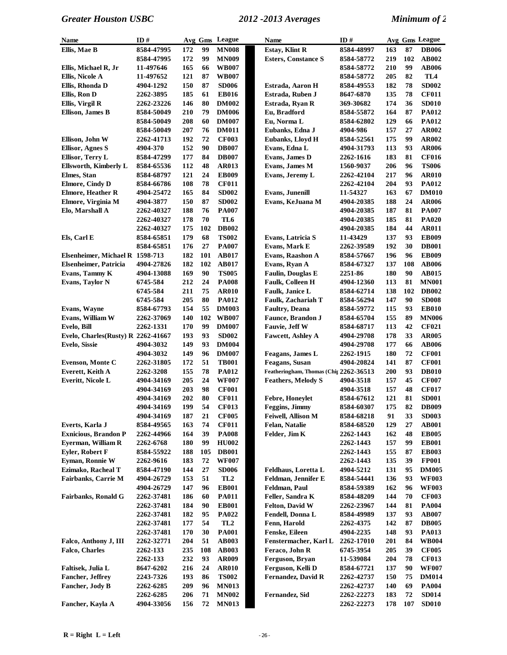| <b>Name</b>                        | ID#        | Avg Gms |     | League          | Name                                   | ID#        |     |     | Avg Gms League |
|------------------------------------|------------|---------|-----|-----------------|----------------------------------------|------------|-----|-----|----------------|
| Ellis, Mae B                       | 8584-47995 | 172     | 99  | <b>MN008</b>    | <b>Estay, Klint R</b>                  | 8584-48997 | 163 | 87  | <b>DB006</b>   |
|                                    | 8584-47995 | 172     | 99  | <b>MN009</b>    | <b>Esters, Constance S</b>             | 8584-58772 | 219 | 102 | AB002          |
| Ellis, Michael R, Jr               | 11-497646  | 165     | 66  | <b>WB007</b>    |                                        | 8584-58772 | 210 | 99  | <b>AB006</b>   |
| Ellis, Nicole A                    | 11-497652  | 121     | 87  | <b>WB007</b>    |                                        | 8584-58772 | 205 | 82  | TL4            |
| Ellis, Rhonda D                    | 4904-1292  | 150     | 87  | <b>SD006</b>    | Estrada, Aaron H                       | 8584-49553 | 182 | 78  | <b>SD002</b>   |
| Ellis, Ron D                       | 2262-3895  | 185     | 61  | <b>EB016</b>    | Estrada, Ruben J                       | 8647-6870  | 135 | 78  | <b>CF011</b>   |
| Ellis, Virgil R                    | 2262-23226 | 146     | 80  | <b>DM002</b>    | Estrada, Ryan R                        | 369-30682  | 174 | 36  | <b>SD010</b>   |
| <b>Ellison, James B</b>            | 8584-50049 | 210     | 79  | <b>DM006</b>    | Eu, Bradford                           | 8584-55872 | 164 | 87  | PA012          |
|                                    | 8584-50049 | 208     | 60  | <b>DM007</b>    | Eu, Norma L                            | 8584-62802 | 129 | 66  | PA012          |
|                                    | 8584-50049 | 207     | 76  | <b>DM011</b>    | Eubanks, Edna J                        | 4904-986   | 157 | 27  | <b>AR002</b>   |
| Ellison, John W                    | 2262-41713 | 192     | 72  | <b>CF003</b>    | Eubanks, Lloyd H                       | 8584-52561 | 175 | 99  | <b>AR002</b>   |
| <b>Ellisor, Agnes S</b>            | 4904-370   | 152     | 90  | <b>DB007</b>    | Evans, Edna L                          | 4904-31793 | 113 | 93  | <b>AR006</b>   |
| Ellisor, Terry L                   | 8584-47299 | 177     | 84  | <b>DB007</b>    | Evans, James D                         | 2262-1616  | 183 | 81  | <b>CF016</b>   |
| <b>Ellsworth, Kimberly L</b>       | 8584-65536 | 112     | 48  | <b>AR013</b>    | Evans, James M                         | 1560-9037  | 206 | 96  | <b>TS006</b>   |
| Elmes, Stan                        | 8584-68797 | 121     | 24  | <b>EB009</b>    | Evans, Jeremy L                        | 2262-42104 | 217 | 96  | <b>AR010</b>   |
| <b>Elmore, Cindy D</b>             | 8584-66786 | 108     | 78  | <b>CF011</b>    |                                        | 2262-42104 | 204 | 93  | <b>PA012</b>   |
| <b>Elmore, Heather R</b>           | 4904-25472 | 165     | 84  | <b>SD002</b>    | <b>Evans, Junenill</b>                 | 11-54327   | 163 | 67  | <b>DM010</b>   |
| Elmore, Virginia M                 | 4904-3877  | 150     | 87  | <b>SD002</b>    | Evans, KeJuana M                       | 4904-20385 | 188 | 24  | <b>AR006</b>   |
| Elo, Marshall A                    | 2262-40327 | 188     | 76  | PA007           |                                        | 4904-20385 | 187 | 81  | <b>PA007</b>   |
|                                    | 2262-40327 | 178     | 70  | TL6             |                                        | 4904-20385 | 185 | 81  | <b>PA020</b>   |
|                                    | 2262-40327 | 175     | 102 | <b>DB002</b>    |                                        | 4904-20385 | 184 | 44  | <b>AR011</b>   |
| Els, Carl E                        | 8584-65851 | 179     | 68  | <b>TS002</b>    | Evans, Latricia S                      | 11-43429   | 137 | 93  | <b>EB009</b>   |
|                                    | 8584-65851 | 176     | 27  | <b>PA007</b>    | Evans, Mark E                          | 2262-39589 | 192 | 30  | <b>DB001</b>   |
| Elsenheimer, Michael R 1598-713    |            | 182     | 101 | <b>AB017</b>    | Evans, Raashon A                       | 8584-57667 | 196 | 96  | <b>EB009</b>   |
| <b>Elsenheimer, Patricia</b>       | 4904-27826 | 182     | 102 | AB017           | Evans, Ryan A                          | 8584-67327 | 137 | 108 | <b>AB006</b>   |
| Evans, Tammy K                     | 4904-13088 | 169     | 90  | <b>TS005</b>    | Faulin, Douglas E                      | 2251-86    | 180 | 90  | AB015          |
| Evans, Taylor N                    | 6745-584   | 212     | 24  | <b>PA008</b>    | <b>Faulk, Colleen H</b>                | 4904-12360 | 113 | 81  | <b>MN001</b>   |
|                                    | 6745-584   | 211     | 75  | <b>AR010</b>    | <b>Faulk, Janice L</b>                 | 8584-62714 | 138 | 102 | <b>DB002</b>   |
|                                    | 6745-584   | 205     | 80  | <b>PA012</b>    | <b>Faulk, Zachariah T</b>              | 8584-56294 | 147 | 90  | <b>SD008</b>   |
| <b>Evans, Wayne</b>                | 8584-67793 | 154     | 55  | <b>DM003</b>    | <b>Faultry, Deana</b>                  | 8584-59772 | 115 | 93  | <b>EB010</b>   |
| Evans, William W                   | 2262-37069 | 140     | 102 | <b>WB007</b>    | <b>Faunce</b> , Brandon J              | 8584-65704 | 155 | 89  | <b>MN006</b>   |
| Evelo, Bill                        | 2262-1331  | 170     | 99  | <b>DM007</b>    | Fauvie, Jeff W                         | 8584-68717 | 113 | 42  | <b>CF021</b>   |
| Evelo, Charles(Rusty) R 2262-41667 |            | 193     | 93  | <b>SD002</b>    | <b>Fawcett, Ashley A</b>               | 4904-29708 | 178 | 33  | <b>AR005</b>   |
| Evelo, Sissie                      | 4904-3032  | 149     | 93  | <b>DM004</b>    |                                        | 4904-29708 | 177 | 66  | <b>AB006</b>   |
|                                    | 4904-3032  | 149     | 96  | <b>DM007</b>    | Feagans, James L                       | 2262-1915  | 180 | 72  | <b>CF001</b>   |
| <b>Evenson, Monte C</b>            | 2262-31805 | 172     | 51  | <b>TB001</b>    | <b>Feagans</b> , Susan                 | 4904-20824 | 141 | 87  | <b>CF001</b>   |
| Everett, Keith A                   | 2262-3208  | 155     | 78  | <b>PA012</b>    | Featheringham, Thomas (Chir 2262-36513 |            | 200 | 93  | <b>DB010</b>   |
| Everitt, Nicole L                  | 4904-34169 | 205     | 24  | <b>WF007</b>    | <b>Feathers, Melody S</b>              | 4904-3518  | 157 | 45  | <b>CF007</b>   |
|                                    | 4904-34169 | 203     | 98  | <b>CF001</b>    |                                        | 4904-3518  | 157 | 48  | <b>CF017</b>   |
|                                    | 4904-34169 | 202     | 80  | <b>CF011</b>    | Febre, Honeylet                        | 8584-67612 | 121 | 81  | <b>SD001</b>   |
|                                    | 4904-34169 | 199     | 54  | <b>CF013</b>    | Feggins, Jimmy                         | 8584-60307 | 175 | 82  | <b>DB009</b>   |
|                                    | 4904-34169 | 187     | 21  | <b>CF005</b>    | Feiwell, Allison M                     | 8584-68218 | 91  | 33  | <b>SD003</b>   |
| Everts, Karla J                    | 8584-49565 | 163     | 74  | <b>CF011</b>    | Felan, Natalie                         | 8584-68520 | 129 | 27  | <b>AB001</b>   |
| <b>Exnicious, Brandon P</b>        | 2262-44966 | 164     | 39  | <b>PA008</b>    | Felder, Jim K                          | 2262-1443  | 162 | 48  | <b>EB005</b>   |
| Eyerman, William R                 | 2262-6768  | 180     | 99  | <b>HU002</b>    |                                        | 2262-1443  | 157 | 99  | <b>EB001</b>   |
| <b>Evler, Robert F</b>             | 8584-55922 | 188     | 105 | <b>DB001</b>    |                                        | 2262-1443  | 155 | 87  | <b>EB003</b>   |
| Eyman, Ronnie W                    | 2262-9616  | 183     | 72  | <b>WF007</b>    |                                        | 2262-1443  | 135 | 39  | <b>FP001</b>   |
| Ezimako, Racheal T                 | 8584-47190 | 144     | 27  | <b>SD006</b>    | Feldhaus, Loretta L                    | 4904-5212  | 131 | 95  | <b>DM005</b>   |
| Fairbanks, Carrie M                | 4904-26729 | 153     | 51  | TL <sub>2</sub> | Feldman, Jennifer E                    | 8584-54441 | 136 | 93  | <b>WF003</b>   |
|                                    | 4904-26729 | 147     | 96  | <b>EB001</b>    | Feldman, Paul                          | 8584-59389 | 162 | 96  | <b>WF003</b>   |
| <b>Fairbanks, Ronald G</b>         | 2262-37481 | 186     | 60  | <b>PA011</b>    | Feller, Sandra K                       | 8584-48209 | 144 | 70  | <b>CF003</b>   |
|                                    | 2262-37481 | 184     | 90  | <b>EB001</b>    | <b>Felton, David W</b>                 | 2262-23967 | 144 | 81  | <b>PA004</b>   |
|                                    | 2262-37481 | 182     | 95  | <b>PA022</b>    | Fendell, Donna L                       | 8584-49989 | 137 | 93  | <b>AB007</b>   |
|                                    | 2262-37481 | 177     | 54  | TL <sub>2</sub> | Fenn, Harold                           | 2262-4375  | 142 | 87  | <b>DB005</b>   |
|                                    | 2262-37481 | 170     | 30  | <b>PA001</b>    | Fenske, Eileen                         | 4904-2235  | 148 | 93  | <b>PA013</b>   |
| Falco, Anthony J, III              | 2262-32771 | 204     | 51  | <b>AB003</b>    | Fenstermacher, Karl L                  | 2262-17010 | 201 | 84  | <b>WB004</b>   |
| <b>Falco, Charles</b>              | 2262-133   | 235     | 108 | <b>AB003</b>    | Feraco, John R                         | 6745-3954  | 205 | 39  | <b>CF005</b>   |
|                                    | 2262-133   | 232     | 93  | <b>AR009</b>    | Ferguson, Bryan                        | 11-539084  | 204 | 78  | <b>CF013</b>   |
| Faltisek, Julia L                  | 8647-6202  | 216     | 24  | <b>AR010</b>    | Ferguson, Kelli D                      | 8584-67721 | 137 | 90  | <b>WF007</b>   |
| Fancher, Jeffrey                   | 2243-7326  | 193     | 86  | <b>TS002</b>    | <b>Fernandez, David R</b>              | 2262-42737 | 150 | 75  | <b>DM014</b>   |
| Fancher, Jody B                    | 2262-6285  | 209     | 96  | <b>MN013</b>    |                                        | 2262-42737 | 140 | 69  | <b>PA004</b>   |
|                                    | 2262-6285  | 206     | 71  | <b>MN002</b>    | Fernandez, Sid                         | 2262-22273 | 183 | 72  | <b>SD014</b>   |
| Fancher, Kayla A                   | 4904-33056 | 156     | 72  | <b>MN013</b>    |                                        | 2262-22273 | 178 | 107 | <b>SD010</b>   |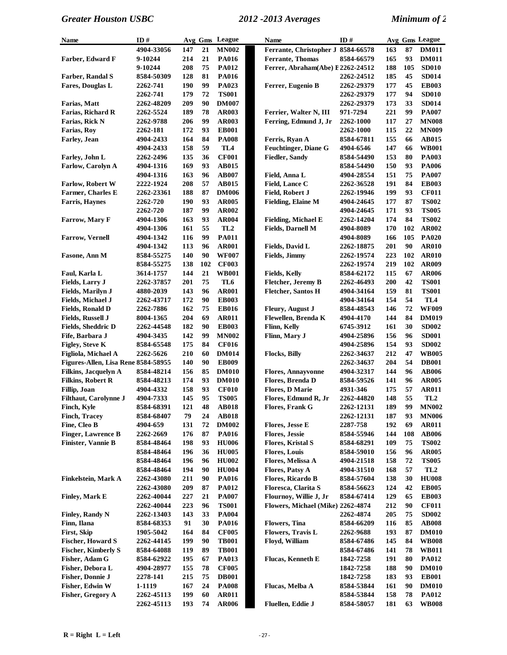| Name                                | ID#        |     |     | Avg Gms League  | Name                               | ID#        |            |     | Avg Gms League  |
|-------------------------------------|------------|-----|-----|-----------------|------------------------------------|------------|------------|-----|-----------------|
|                                     | 4904-33056 | 147 | 21  | <b>MN002</b>    | Ferrante, Christopher J 8584-66578 |            | 163        | 87  | <b>DM011</b>    |
| Farber, Edward F                    | 9-10244    | 214 | 21  | <b>PA016</b>    | <b>Ferrante</b> , Thomas           | 8584-66579 | 165        | 93  | <b>DM011</b>    |
|                                     | 9-10244    | 208 | 75  | <b>PA012</b>    | Ferrer, Abraham(Abe) E2262-24512   |            | 188        | 105 | <b>SD010</b>    |
| Farber, Randal S                    | 8584-50309 | 128 | 81  | <b>PA016</b>    |                                    | 2262-24512 | 185        | 45  | <b>SD014</b>    |
| Fares, Douglas L                    | 2262-741   | 190 | 99  | PA023           | Ferrer, Eugenio B                  | 2262-29379 | 177        | 45  | <b>EB003</b>    |
|                                     | 2262-741   | 179 | 72  | <b>TS001</b>    |                                    | 2262-29379 | 177        | 94  | <b>SD010</b>    |
| Farias, Matt                        | 2262-48209 | 209 | 90  | <b>DM007</b>    |                                    | 2262-29379 | 173        | 33  | <b>SD014</b>    |
| Farias, Richard R                   | 2262-5524  | 189 | 78  | <b>AR003</b>    | Ferrier, Walter N, III             | 971-7294   | 221        | 99  | <b>PA007</b>    |
| Farias, Rick N                      | 2262-9788  | 206 | 99  | <b>AR003</b>    | Ferring, Edmund J, Jr              | 2262-1000  | 117        | 27  | <b>MN008</b>    |
| Farias, Roy                         | 2262-181   | 172 | 93  | <b>EB001</b>    |                                    | 2262-1000  | 115        | 22  | <b>MN009</b>    |
| <b>Farley</b> , Jean                | 4904-2433  | 164 | 84  | <b>PA008</b>    | Ferris, Ryan A                     | 8584-67811 | 155        | 66  | <b>AB015</b>    |
|                                     | 4904-2433  | 158 | 59  | TL <sub>4</sub> | <b>Feuchtinger</b> , Diane G       | 4904-6546  | 147        | 66  | <b>WB001</b>    |
| Farley, John L                      | 2262-2496  | 135 | 36  | <b>CF001</b>    | <b>Fiedler, Sandy</b>              | 8584-54490 | 153        | 80  | <b>PA003</b>    |
| <b>Farlow, Carolyn A</b>            | 4904-1316  | 169 | 93  | <b>AB015</b>    |                                    | 8584-54490 | 150        | 93  | <b>PA006</b>    |
|                                     |            | 163 | 96  | <b>AB007</b>    | Field, Anna L                      |            | 151        | 75  | <b>PA007</b>    |
|                                     | 4904-1316  |     |     |                 |                                    | 4904-28554 |            | 84  |                 |
| <b>Farlow, Robert W</b>             | 2222-1924  | 208 | 57  | <b>AB015</b>    | Field, Lance C                     | 2262-36528 | 191<br>199 |     | <b>EB003</b>    |
| Farmer, Charles E                   | 2262-23361 | 188 | 87  | <b>DM006</b>    | Field, Robert J                    | 2262-19946 |            | 93  | <b>CF011</b>    |
| <b>Farris, Haynes</b>               | 2262-720   | 190 | 93  | <b>AR005</b>    | <b>Fielding, Elaine M</b>          | 4904-24645 | 177        | 87  | <b>TS002</b>    |
|                                     | 2262-720   | 187 | 99  | <b>AR002</b>    |                                    | 4904-24645 | 171        | 93  | <b>TS005</b>    |
| <b>Farrow, Mary F</b>               | 4904-1306  | 163 | 93  | <b>AR004</b>    | <b>Fielding, Michael E</b>         | 2262-14204 | 174        | 84  | <b>TS002</b>    |
|                                     | 4904-1306  | 161 | 55  | TL <sub>2</sub> | <b>Fields, Darnell M</b>           | 4904-8089  | 170        | 102 | <b>AR002</b>    |
| <b>Farrow, Vernell</b>              | 4904-1342  | 116 | 99  | <b>PA011</b>    |                                    | 4904-8089  | 166        | 105 | <b>PA020</b>    |
|                                     | 4904-1342  | 113 | 96  | AR001           | Fields, David L                    | 2262-18875 | 201        | 90  | <b>AR010</b>    |
| Fasone, Ann M                       | 8584-55275 | 140 | 90  | <b>WF007</b>    | <b>Fields</b> , Jimmy              | 2262-19574 | 223        | 102 | <b>AR010</b>    |
|                                     | 8584-55275 | 138 | 102 | <b>CF003</b>    |                                    | 2262-19574 | 219        | 102 | <b>AR009</b>    |
| Faul, Karla L                       | 3614-1757  | 144 | 21  | <b>WB001</b>    | <b>Fields, Kelly</b>               | 8584-62172 | 115        | 67  | <b>AR006</b>    |
| Fields, Larry J                     | 2262-37857 | 201 | 75  | TL6             | <b>Fletcher</b> , Jeremy B         | 2262-46493 | 200        | 42  | <b>TS001</b>    |
| Fields, Marilyn J                   | 4880-2039  | 143 | 96  | <b>AR001</b>    | <b>Fletcher, Santos H</b>          | 4904-34164 | 159        | 81  | <b>TS001</b>    |
| Fields, Michael J                   | 2262-43717 | 172 | 90  | <b>EB003</b>    |                                    | 4904-34164 | 154        | 54  | TL <sub>4</sub> |
| <b>Fields, Ronald D</b>             | 2262-7886  | 162 | 75  | <b>EB016</b>    | <b>Fleury, August J</b>            | 8584-48543 | 146        | 72  | <b>WF009</b>    |
| <b>Fields, Russell J</b>            | 8004-1365  | 204 | 69  | <b>AR011</b>    | Flewellen, Brenda K                | 4904-4170  | 144        | 84  | <b>DM019</b>    |
| <b>Fields, Sheddric D</b>           | 2262-44548 | 182 | 90  | <b>EB003</b>    | Flinn, Kelly                       | 6745-3912  | 161        | 30  | <b>SD002</b>    |
| Fife, Barbara J                     | 4904-3435  | 142 | 99  | <b>MN002</b>    | Flinn, Mary J                      | 4904-25896 | 156        | 96  | <b>SD001</b>    |
| Figley, Steve K                     | 8584-65548 | 175 | 84  | <b>CF016</b>    |                                    | 4904-25896 | 154        | 93  | <b>SD002</b>    |
| Figliola, Michael A                 | 2262-5626  | 210 | 60  | <b>DM014</b>    | <b>Flocks, Billy</b>               | 2262-34637 | 212        | 47  | <b>WB005</b>    |
| Figures-Allen, Lisa Rene 8584-58955 |            | 140 | 90  | <b>EB009</b>    |                                    | 2262-34637 | 204        | 54  | <b>DB001</b>    |
| Filkins, Jacquelyn A                | 8584-48214 | 156 | 85  | <b>DM010</b>    | <b>Flores, Annayvonne</b>          | 4904-32317 | 144        | 96  | <b>AB006</b>    |
| <b>Filkins, Robert R</b>            | 8584-48213 | 174 | 93  | <b>DM010</b>    | Flores, Brenda D                   | 8584-59526 | 141        | 96  | <b>AR005</b>    |
| Fillip, Joan                        | 4904-4332  | 158 | 93  | <b>CF010</b>    | <b>Flores, D Marie</b>             | 4931-346   | 175        | 57  | <b>AR011</b>    |
| <b>Filthaut, Carolynne J</b>        | 4904-7333  | 145 | 95  | <b>TS005</b>    | Flores, Edmund R, Jr               | 2262-44820 | 148        | 55  | TL <sub>2</sub> |
| Finch, Kyle                         | 8584-68391 | 121 | 48  | <b>AB018</b>    | <b>Flores, Frank G</b>             | 2262-12131 | 189        | 99  | <b>MN002</b>    |
| <b>Finch, Tracey</b>                | 8584-68407 | 79  | 24  | <b>AB018</b>    |                                    | 2262-12131 | 187        | 93  | <b>MN006</b>    |
| Fine, Cleo B                        | 4904-659   | 131 | 72  | <b>DM002</b>    | <b>Flores, Jesse E</b>             | 2287-758   | 192        | 69  | <b>AR011</b>    |
| <b>Finger, Lawrence B</b>           | 2262-2669  | 176 | 87  | <b>PA016</b>    | <b>Flores, Jessie</b>              | 8584-55946 | 144        | 108 | <b>AB006</b>    |
| Finister, Vannie B                  | 8584-48464 | 198 | 93  | <b>HU006</b>    | <b>Flores, Kristal S</b>           | 8584-68291 | 109        | 75  | <b>TS002</b>    |
|                                     | 8584-48464 | 196 | 36  | <b>HU005</b>    | <b>Flores, Louis</b>               | 8584-59010 | 156        | 96  | <b>AR005</b>    |
|                                     | 8584-48464 | 196 | 96  | <b>HU002</b>    | Flores, Melissa A                  | 4904-21518 | 158        | 72  | <b>TS005</b>    |
|                                     | 8584-48464 | 194 | 90  | <b>HU004</b>    | <b>Flores, Patsy A</b>             | 4904-31510 | 168        | 57  | TL <sub>2</sub> |
| <b>Finkelstein, Mark A</b>          | 2262-43080 | 211 | 90  | <b>PA016</b>    | Flores, Ricardo B                  | 8584-57604 | 138        | 30  | <b>HU008</b>    |
|                                     |            | 209 | 87  |                 |                                    |            | 124        | 42  | <b>EB005</b>    |
|                                     | 2262-43080 |     |     | <b>PA012</b>    | Floresca, Clarita S                | 8584-56623 |            |     |                 |
| <b>Finley, Mark E</b>               | 2262-40044 | 227 | 21  | <b>PA007</b>    | Flournoy, Willie J, Jr             | 8584-67414 | 129        | 65  | <b>EB003</b>    |
|                                     | 2262-40044 | 223 | 96  | <b>TS001</b>    | Flowers, Michael (Mike) 2262-4874  |            | 212        | 90  | <b>CF011</b>    |
| <b>Finley, Randy N</b>              | 2262-13403 | 143 | 33  | <b>PA004</b>    |                                    | 2262-4874  | 205        | 75  | <b>SD002</b>    |
| Finn, Ilana                         | 8584-68353 | 91  | 30  | <b>PA016</b>    | <b>Flowers</b> , Tina              | 8584-66209 | 116        | 85  | <b>AB008</b>    |
| First, Skip                         | 1905-5042  | 164 | 84  | <b>CF005</b>    | Flowers, Travis L                  | 2262-9688  | 193        | 87  | <b>DM010</b>    |
| <b>Fischer, Howard S</b>            | 2262-44145 | 199 | 90  | <b>TB001</b>    | Floyd, William                     | 8584-67486 | 145        | 84  | <b>WB008</b>    |
| <b>Fischer, Kimberly S</b>          | 8584-64088 | 119 | 89  | <b>TB001</b>    |                                    | 8584-67486 | 141        | 78  | <b>WB011</b>    |
| Fisher, Adam G                      | 8584-62922 | 195 | 67  | <b>PA013</b>    | <b>Flucas, Kenneth E</b>           | 1842-7258  | 191        | 80  | <b>PA012</b>    |
| Fisher, Debora L                    | 4904-28977 | 155 | 78  | <b>CF005</b>    |                                    | 1842-7258  | 188        | 90  | <b>DM010</b>    |
| <b>Fisher, Donnie J</b>             | 2278-141   | 215 | 75  | <b>DB001</b>    |                                    | 1842-7258  | 183        | 93  | <b>EB001</b>    |
| Fisher, Edwin W                     | 1-1119     | 167 | 24  | <b>PA008</b>    | Flucas, Melba A                    | 8584-53844 | 161        | 90  | <b>DM010</b>    |
| <b>Fisher, Gregory A</b>            | 2262-45113 | 199 | 60  | <b>AR011</b>    |                                    | 8584-53844 | 158        | 78  | <b>PA012</b>    |
|                                     | 2262-45113 | 193 | 74  | <b>AR006</b>    | Fluellen, Eddie J                  | 8584-58057 | 181        | 63  | <b>WB008</b>    |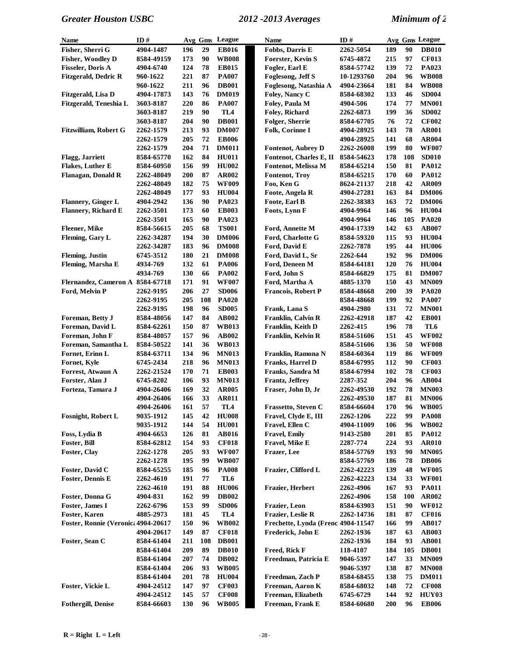| <b>Name</b>                         | ID#        |     |            | Avg Gms League  | <b>Name</b>                        | ID#               |     |            | Avg Gms League |
|-------------------------------------|------------|-----|------------|-----------------|------------------------------------|-------------------|-----|------------|----------------|
| Fisher, Sherri G                    | 4904-1487  | 196 | 29         | <b>EB016</b>    | Fobbs, Darris E                    | 2262-5054         | 189 | 90         | <b>DB010</b>   |
| Fisher, Woodley D                   | 8584-49159 | 173 | 90         | <b>WB008</b>    | <b>Foerster, Kevin S</b>           | 6745-4872         | 215 | 97         | <b>CF013</b>   |
| <b>Fisseler, Doris A</b>            | 4904-6740  | 124 | 78         | <b>EB015</b>    | Fogler, Earl E                     | 8584-57742        | 139 | 72         | PA023          |
| <b>Fitzgerald, Dedric R</b>         | 960-1622   | 221 | 87         | <b>PA007</b>    | Foglesong, Jeff S                  | 10-1293760        | 204 | 96         | <b>WB008</b>   |
|                                     | 960-1622   | 211 | 96         | <b>DB001</b>    | Foglesong, Natashia A              | 4904-23664        | 181 | 84         | <b>WB008</b>   |
| Fitzgerald, Lisa D                  | 4904-17873 | 143 | 76         | <b>DM019</b>    | Foley, Nancy C                     | 8584-68302        | 133 | 46         | <b>SD004</b>   |
| Fitzgerald, Teneshia L              | 3603-8187  | 220 | 86         | <b>PA007</b>    | Foley, Paula M                     | 4904-506          | 174 | 77         | <b>MN001</b>   |
|                                     | 3603-8187  | 219 | 90         | TL4             | Foley, Richard                     | 2262-6873         | 199 | 36         | <b>SD002</b>   |
|                                     | 3603-8187  | 204 | 90         | <b>DB001</b>    | Folger, Sherrie                    | 8584-67705        | 76  | 72         | <b>CF002</b>   |
| Fitzwilliam, Robert G               | 2262-1579  | 213 | 93         | <b>DM007</b>    | Folk, Corinne I                    | 4904-28925        | 143 | 78         | <b>AR001</b>   |
|                                     | 2262-1579  | 205 | 72         | <b>EB006</b>    |                                    | 4904-28925        | 141 | 68         | <b>AR004</b>   |
|                                     | 2262-1579  | 204 | 71         | <b>DM011</b>    | Fontenot, Aubrey D                 | <b>2262-26008</b> | 199 | 80         | <b>WF007</b>   |
| Flagg, Jarriett                     | 8584-65770 | 162 | 84         | <b>HU011</b>    | Fontenot, Charles E, II            | 8584-54623        | 178 | 108        | <b>SD010</b>   |
| Flakes, Luther E                    | 8584-60950 | 156 | 99         | <b>HU002</b>    | Fontenot, Melissa M                | 8584-65214        | 150 | 81         | <b>PA012</b>   |
| Flanagan, Donald R                  | 2262-48049 | 200 | 87         | <b>AR002</b>    | <b>Fontenot</b> , Troy             | 8584-65215        | 170 | 60         | PA012          |
|                                     | 2262-48049 | 182 | 75         | <b>WF009</b>    | Foo, Ken G                         | 8624-21137        | 218 | 42         | AR009          |
|                                     | 2262-48049 | 177 | 93         | <b>HU004</b>    | Foote, Angela R                    | 4904-27281        | 163 | 84         | <b>DM006</b>   |
| Flannery, Ginger L                  | 4904-2942  | 136 | 90         | PA023           | Foote, Earl B                      | 2262-38383        | 163 | 72         | <b>DM006</b>   |
| <b>Flannery, Richard E</b>          | 2262-3501  | 173 | 60         | <b>EB003</b>    | Foots, Lynn F                      | 4904-9964         | 146 | 96         | <b>HU004</b>   |
|                                     | 2262-3501  | 165 | 90         | PA023           |                                    | 4904-9964         | 146 | 105        | <b>PA020</b>   |
| <b>Fleener</b> , Mike               | 8584-56615 | 205 | 68         | <b>TS001</b>    | Ford, Annette M                    | 4904-17339        | 142 | 63         | AB007          |
| Fleming, Gary L                     | 2262-34287 | 194 | 30         | <b>DM006</b>    | Ford, Charlotte G                  | 8584-59320        | 115 | 93         | <b>HU004</b>   |
|                                     | 2262-34287 | 183 | 96         | <b>DM008</b>    | Ford, David E                      | 2262-7878         | 195 | 44         | <b>HU006</b>   |
| <b>Fleming</b> , Justin             | 6745-3512  | 180 | 21         | <b>DM008</b>    | Ford, David L, Sr                  | 2262-644          | 192 | 96         | <b>DM006</b>   |
| Fleming, Marsha E                   | 4934-769   | 132 | 61         | <b>PA006</b>    | Ford, Deneen M                     | 8584-64181        | 120 | 76         | <b>HU004</b>   |
|                                     | 4934-769   | 130 | 66         | <b>PA002</b>    | Ford, John S                       | 8584-66829        | 175 | 81         | <b>DM007</b>   |
| Flernandez, Cameron A 8584-67718    |            | 171 | 91         | <b>WF007</b>    | Ford, Martha A                     | 4885-1370         | 150 | 43         | <b>MN009</b>   |
| Ford, Melvin P                      | 2262-9195  | 206 | 27         | <b>SD006</b>    | <b>Francois, Robert P</b>          | 8584-48668        | 200 | 39         | <b>PA020</b>   |
|                                     | 2262-9195  | 205 | 108        | <b>PA020</b>    |                                    | 8584-48668        | 199 | 92         | <b>PA007</b>   |
|                                     | 2262-9195  | 198 | 96         | <b>SD005</b>    | Frank, Lana S                      | 4904-2980         | 131 | 72         | <b>MN001</b>   |
| Foreman, Betty J                    | 8584-48056 | 147 | 84         | <b>AB002</b>    | Franklin, Calvin R                 | 2262-42918        | 187 | 42         | <b>EB001</b>   |
| Foreman, David L                    | 8584-62261 | 150 | 87         | <b>WB013</b>    | Franklin, Keith D                  | 2262-415          | 196 | 78         | TL6            |
| Foreman, John F                     | 8584-48057 | 157 | 96         | <b>AB002</b>    | Franklin, Kelvin R                 | 8584-51606        | 151 | 45         | <b>WF002</b>   |
| Foreman, Samantha L                 | 8584-50522 | 141 | 36         | <b>WB013</b>    |                                    | 8584-51606        | 136 | 50         | <b>WF008</b>   |
| Fornet, Erinn L                     | 8584-63711 | 134 | 96         | <b>MN013</b>    | Franklin, Ramona N                 | 8584-60364        | 119 | 86         | <b>WF009</b>   |
| Fornet, Kyle                        | 6745-2434  | 218 | 96         | <b>MN013</b>    | Franks, Harrel D                   | 8584-67995        | 112 | 90         | <b>CF003</b>   |
| Forrest, Atwaun A                   | 2262-21524 | 170 | ${\bf 71}$ | <b>EB003</b>    | Franks, Sandra M                   | 8584-67994        | 102 | 78         | <b>CF003</b>   |
| Forster, Alan J                     | 6745-8202  | 106 | 93         | <b>MN013</b>    | Frantz, Jeffrey                    | 2287-352          | 204 | 96         | <b>AB004</b>   |
| Forteza, Tamara J                   | 4904-26406 | 169 | 32         | <b>AR005</b>    | Fraser, John D, Jr                 | <b>2262-49530</b> | 192 | 78         | <b>MN003</b>   |
|                                     | 4904-26406 | 166 | 33         | <b>AR011</b>    |                                    | <b>2262-49530</b> | 187 | 81         | <b>MN006</b>   |
|                                     | 4904-26406 | 161 | 57         | TL4             | Frassetto, Steven C                | 8584-66604        | 170 | 96         | <b>WB005</b>   |
| <b>Fosnight, Robert L</b>           | 9035-1912  | 145 | 42         | <b>HU008</b>    | Fravel, Clyde E, III               | 2262-1206         | 222 | 99         | <b>PA008</b>   |
|                                     | 9035-1912  | 144 | 54         | <b>HU001</b>    | Fravel, Ellen C                    | 4904-11009        | 106 | 96         | <b>WB002</b>   |
| Foss, Lydia B                       | 4904-6653  | 126 | 81         | <b>AB016</b>    | <b>Fravel, Emily</b>               | 9143-2580         | 201 | 85         | <b>PA012</b>   |
| Foster, Bill                        | 8584-62812 | 154 | 93         | <b>CF018</b>    | Fravel, Mike E                     | 2287-774          | 224 | 93         | <b>AR010</b>   |
| Foster, Clay                        | 2262-1278  | 205 | 93         | <b>WF007</b>    | Frazer, Lee                        | 8584-57769        | 193 | 90         | <b>MN005</b>   |
|                                     | 2262-1278  | 195 | 99         | <b>WB007</b>    |                                    | 8584-57769        | 186 | 78         | <b>DB006</b>   |
| Foster, David C                     | 8584-65255 | 185 | 96         | <b>PA008</b>    | Frazier, Clifford L                | 2262-42223        | 139 | 48         | <b>WF005</b>   |
| <b>Foster, Dennis E</b>             | 2262-4610  | 191 | 77         | TL6             |                                    | 2262-42223        | 134 | 33         | <b>WF001</b>   |
|                                     | 2262-4610  | 191 | 88         | <b>HU006</b>    | Frazier, Herbert                   | 2262-4906         | 167 | 93         | <b>PA011</b>   |
| Foster, Donna G                     | 4904-831   | 162 | 99         | <b>DB002</b>    |                                    | 2262-4906         | 158 | <b>100</b> | <b>AR002</b>   |
| <b>Foster, James I</b>              | 2262-6796  | 153 | 99         | <b>SD006</b>    | Frazier, Leon                      | 8584-63903        | 151 | 90         | <b>WF012</b>   |
| Foster, Karen                       | 4885-2973  | 181 | 45         | TL <sub>4</sub> | Frazier, Leslie R                  | 2262-14736        | 181 | 87         | <b>CF016</b>   |
| Foster, Ronnie (Veronic: 4904-20617 |            | 150 | 96         | <b>WB002</b>    | Frechette, Lynda (Frenc 4904-11547 |                   | 166 | 99         | <b>AB017</b>   |
|                                     | 4904-20617 | 149 | 87         | <b>CF018</b>    | Frederick, John E                  | 2262-1936         | 187 | 63         | <b>AB003</b>   |
| Foster, Sean C                      | 8584-61404 | 211 | 108        | <b>DB001</b>    |                                    | 2262-1936         | 184 | 93         | <b>AB001</b>   |
|                                     | 8584-61404 | 209 | 89         | <b>DB010</b>    | <b>Freed, Rick F</b>               | 118-4107          | 184 | 105        | <b>DB001</b>   |
|                                     | 8584-61404 | 207 | 74         | <b>DB002</b>    | Freedman, Patricia E               | 9046-5397         | 147 | 33         | <b>MN009</b>   |
|                                     | 8584-61404 | 206 | 93         | <b>WB005</b>    |                                    | 9046-5397         | 138 | 87         | <b>MN008</b>   |
|                                     | 8584-61404 | 201 | 78         | <b>HU004</b>    | Freedman, Zach P                   | 8584-68455        | 138 | 75         | <b>DM011</b>   |
| Foster, Vickie L                    | 4904-24512 | 147 | 97         | <b>CF003</b>    | Freeman, Aaron K                   | 8584-68032        | 148 | 72         | <b>CF008</b>   |
|                                     | 4904-24512 | 145 | 57         | <b>CF008</b>    | Freeman, Elizabeth                 | 6745-6729         | 144 | 92         | HUY03          |
| <b>Fothergill, Denise</b>           | 8584-66603 | 130 | 96         | <b>WB005</b>    | Freeman, Frank E                   | 8584-60680        | 200 | 96         | <b>EB006</b>   |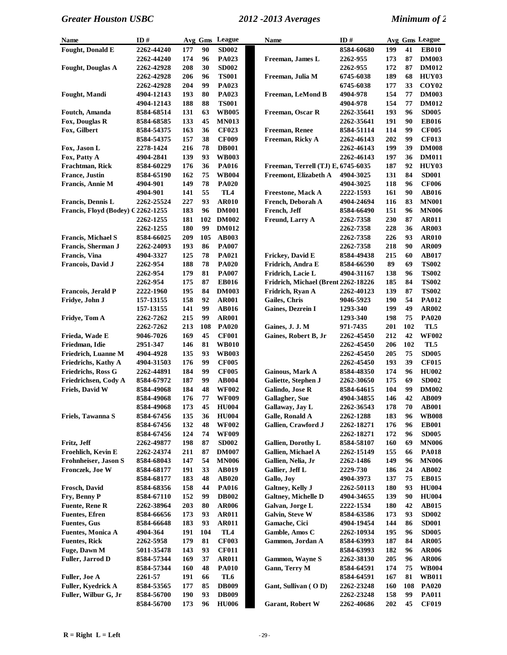| <b>Name</b>                       | ID#               |     |            | Avg Gms League  | <b>Name</b>                         | ID#        |     |            | Avg Gms League    |
|-----------------------------------|-------------------|-----|------------|-----------------|-------------------------------------|------------|-----|------------|-------------------|
| Fought, Donald E                  | 2262-44240        | 177 | 90         | <b>SD002</b>    |                                     | 8584-60680 | 199 | 41         | <b>EB010</b>      |
|                                   | 2262-44240        | 174 | 96         | PA023           | Freeman, James L                    | 2262-955   | 173 | 87         | <b>DM003</b>      |
| <b>Fought, Douglas A</b>          | 2262-42928        | 208 | 30         | <b>SD002</b>    |                                     | 2262-955   | 172 | 87         | <b>DM012</b>      |
|                                   | 2262-42928        | 206 | 96         | <b>TS001</b>    | Freeman, Julia M                    | 6745-6038  | 189 | 68         | HUY03             |
|                                   | 2262-42928        | 204 | 99         | PA023           |                                     | 6745-6038  | 177 | 33         | COY <sub>02</sub> |
| Fought, Mandi                     | 4904-12143        | 193 | 80         | <b>PA023</b>    | Freeman, LeMond B                   | 4904-978   | 154 | 77         | <b>DM003</b>      |
|                                   | 4904-12143        | 188 | 88         | <b>TS001</b>    |                                     | 4904-978   | 154 | 77         | <b>DM012</b>      |
| Foutch, Amanda                    | 8584-68514        | 131 | 63         | <b>WB005</b>    | Freeman, Oscar R                    | 2262-35641 | 193 | 96         | <b>SD005</b>      |
| Fox, Douglas R                    | 8584-68585        | 133 | 45         | <b>MN013</b>    |                                     | 2262-35641 | 191 | 90         | <b>EB016</b>      |
| Fox, Gilbert                      | 8584-54375        | 163 | 36         | <b>CF023</b>    | Freeman, Renee                      | 8584-51114 | 114 | 99         | <b>CF005</b>      |
|                                   | 8584-54375        | 157 | 38         | <b>CF009</b>    | Freeman, Ricky A                    | 2262-46143 | 202 | 99         | <b>CF013</b>      |
| Fox, Jason L                      | 2278-1424         | 216 | 78         | <b>DB001</b>    |                                     | 2262-46143 | 199 | 39         | <b>DM008</b>      |
| Fox, Patty A                      | 4904-2841         | 139 | 93         | <b>WB003</b>    |                                     | 2262-46143 | 197 | 36         | <b>DM011</b>      |
| Frachtman, Rick                   | 8584-60229        | 176 | 36         | <b>PA016</b>    | Freeman, Terrell (TJ) E, 6745-6035  |            | 187 | 92         | HUY03             |
| <b>France</b> , Justin            | 8584-65190        | 162 | 75         | <b>WB004</b>    | Freemont, Elizabeth A               | 4904-3025  | 131 | 84         | <b>SD001</b>      |
| Francis, Annie M                  | 4904-901          | 149 | 78         | <b>PA020</b>    |                                     | 4904-3025  | 118 | 96         | <b>CF006</b>      |
|                                   | 4904-901          | 141 | 55         | TL <sub>4</sub> | Freestone, Mack A                   | 2222-1593  | 161 | 90         | <b>AB016</b>      |
| <b>Francis, Dennis L</b>          | 2262-25524        | 227 | 93         | <b>AR010</b>    | French, Deborah A                   | 4904-24694 | 116 | 83         | <b>MN001</b>      |
| Francis, Floyd (Bodey) G2262-1255 |                   | 183 | 96         | <b>DM001</b>    | French, Jeff                        | 8584-66490 | 151 | 96         | <b>MN006</b>      |
|                                   | 2262-1255         | 181 | 102        | <b>DM002</b>    |                                     | 2262-7358  | 230 | 87         | <b>AR011</b>      |
|                                   |                   |     | 99         |                 | Freund, Larry A                     |            |     | 36         |                   |
|                                   | 2262-1255         | 180 |            | <b>DM012</b>    |                                     | 2262-7358  | 228 |            | AR003             |
| <b>Francis, Michael S</b>         | 8584-66025        | 209 | 105        | <b>AB003</b>    |                                     | 2262-7358  | 226 | 93         | <b>AR010</b>      |
| Francis, Sherman J                | <b>2262-24093</b> | 193 | 86         | <b>PA007</b>    |                                     | 2262-7358  | 218 | 90         | AR009             |
| Francis, Vina                     | 4904-3327         | 125 | 78         | <b>PA021</b>    | Frickey, David E                    | 8584-49438 | 215 | 60         | <b>AB017</b>      |
| Francois, David J                 | 2262-954          | 188 | 78         | <b>PA020</b>    | Fridrich, Andra E                   | 8584-66590 | 89  | 69         | <b>TS002</b>      |
|                                   | 2262-954          | 179 | 81         | <b>PA007</b>    | Fridrich, Lacie L                   | 4904-31167 | 138 | 96         | <b>TS002</b>      |
|                                   | 2262-954          | 175 | 87         | <b>EB016</b>    | Fridrich, Michael (Brent 2262-18226 |            | 185 | 84         | <b>TS002</b>      |
| <b>Francois, Jerald P</b>         | <b>2222-1960</b>  | 195 | 84         | <b>DM003</b>    | Fridrich, Ryan A                    | 2262-40123 | 139 | 87         | <b>TS002</b>      |
| Fridye, John J                    | 157-13155         | 158 | 92         | <b>AR001</b>    | Gailes, Chris                       | 9046-5923  | 190 | 54         | PA012             |
|                                   | 157-13155         | 141 | 99         | <b>AB016</b>    | Gaines, Dezrein I                   | 1293-340   | 199 | 49         | AR002             |
| Fridye, Tom A                     | 2262-7262         | 215 | 99         | <b>AR001</b>    |                                     | 1293-340   | 198 | 75         | <b>PA020</b>      |
|                                   | 2262-7262         | 213 | 108        | <b>PA020</b>    | Gaines, J. J. M                     | 971-7435   | 201 | 102        | TL5               |
| Frieda, Wade E                    | 9046-7026         | 169 | 45         | <b>CF001</b>    | Gaines, Robert B, Jr                | 2262-45450 | 212 | 42         | <b>WF002</b>      |
| Friedman, Idie                    | 2951-347          | 146 | 81         | <b>WB010</b>    |                                     | 2262-45450 | 206 | 102        | TL5               |
| Friedrich, Luanne M               | 4904-4928         | 135 | 93         | <b>WB003</b>    |                                     | 2262-45450 | 205 | 75         | <b>SD005</b>      |
| Friedrichs, Kathy A               | 4904-31503        | 176 | 99         | <b>CF005</b>    |                                     | 2262-45450 | 193 | 39         | <b>CF015</b>      |
| <b>Friedrichs, Ross G</b>         | 2262-44891        | 184 | 99         | <b>CF005</b>    | <b>Gainous, Mark A</b>              | 8584-48350 | 174 | 96         | <b>HU002</b>      |
| Friedrichsen, Cody A              | 8584-67972        | 187 | 99         | <b>AB004</b>    | Galiette, Stephen J                 | 2262-30650 | 175 | 69         | <b>SD002</b>      |
| Friels, David W                   | 8584-49068        | 184 | 48         | <b>WF002</b>    | Galindo, Jose R                     | 8584-64615 | 104 | 99         | <b>DM002</b>      |
|                                   | 8584-49068        | 176 | ${\bf 77}$ | <b>WF009</b>    | Gallagher, Sue                      | 4904-34855 | 146 | 42         | <b>AB009</b>      |
|                                   | 8584-49068        | 173 | 45         | <b>HU004</b>    | Gallaway, Jay L                     | 2262-36543 | 178 | ${\bf 70}$ | <b>AB001</b>      |
| Friels, Tawanna S                 | 8584-67456        | 135 | 36         | <b>HU004</b>    | Galle, Ronald A                     | 2262-1288  | 183 | 96         | <b>WB008</b>      |
|                                   | 8584-67456        | 132 | 48         | <b>WF002</b>    | Gallien, Crawford J                 | 2262-18271 | 176 | 96         | <b>EB001</b>      |
|                                   | 8584-67456        | 124 | 74         | <b>WF009</b>    |                                     | 2262-18271 | 172 | 96         | <b>SD005</b>      |
| Fritz, Jeff                       | 2262-49877        | 198 | 87         | <b>SD002</b>    | Gallien, Dorothy L                  | 8584-58107 | 160 | 69         | <b>MN006</b>      |
| Froehlich, Kevin E                | 2262-24374        | 211 | 87         | <b>DM007</b>    | <b>Gallien, Michael A</b>           | 2262-15149 | 155 | 66         | <b>PA018</b>      |
| Frohnheiser, Jason S              | 8584-68043        | 147 | 54         | <b>MN006</b>    | Gallien, Nelia, Jr                  | 2262-1486  | 149 | 96         | <b>MN006</b>      |
| Fronczek, Joe W                   | 8584-68177        | 191 | 33         | <b>AB019</b>    | Gallier, Jeff L                     | 2229-730   | 186 | 24         | <b>AB002</b>      |
|                                   | 8584-68177        | 183 | 48         | <b>AB020</b>    | Gallo, Joy                          | 4904-3973  | 137 | 75         | <b>EB015</b>      |
| Frosch, David                     | 8584-68356        | 158 | 44         | <b>PA016</b>    | Galtney, Kelly J                    | 2262-50113 | 180 | 93         | <b>HU004</b>      |
| Fry, Benny P                      | 8584-67110        | 152 | 99         | <b>DB002</b>    | <b>Galtney, Michelle D</b>          | 4904-34655 | 139 | 90         | <b>HU004</b>      |
| <b>Fuente, Rene R</b>             | 2262-38964        | 203 | 80         | <b>AR006</b>    | Galvan, Jorge L                     | 2222-1534  | 180 | 42         | <b>AB015</b>      |
| <b>Fuentes</b> , Efren            | 8584-66656        | 173 | 93         | <b>AR011</b>    | Galvin, Steve W                     | 8584-63586 | 173 | 93         | <b>SD002</b>      |
| <b>Fuentes, Gus</b>               | 8584-66648        | 183 | 93         | <b>AR011</b>    | Gamache, Cici                       | 4904-19454 | 144 | 86         | <b>SD001</b>      |
| <b>Fuentes, Monica A</b>          | 4904-364          | 191 | 104        | TL4             | Gamble, Amos C                      | 2262-10934 | 195 | 96         | <b>SD005</b>      |
| <b>Fuentes, Rick</b>              | 2262-5958         | 179 | 81         | <b>CF003</b>    | Gammon, Jordan A                    | 8584-63993 | 187 | 84         | <b>AR005</b>      |
| Fuge, Dawn M                      | 5011-35478        | 143 | 93         | <b>CF011</b>    |                                     | 8584-63993 | 182 | 96         | <b>AR006</b>      |
| Fuller, Jarrod D                  | 8584-57344        | 169 | 37         | <b>AR011</b>    | <b>Gammon, Wayne S</b>              | 2262-38130 | 205 | 96         | <b>AR006</b>      |
|                                   | 8584-57344        | 160 | 48         | <b>PA010</b>    | Gann, Terry M                       | 8584-64591 | 174 | 75         | <b>WB004</b>      |
| Fuller, Joe A                     | 2261-57           | 191 | 66         | TL6             |                                     | 8584-64591 | 167 | 81         | <b>WB011</b>      |
| Fuller, Kyedrick A                | 8584-53565        | 177 | 85         | <b>DB009</b>    | Gant, Sullivan (OD)                 | 2262-23248 | 160 | 108        | <b>PA020</b>      |
| Fuller, Wilbur G, Jr              | 8584-56700        | 190 | 93         | <b>DB009</b>    |                                     | 2262-23248 | 158 | 99         | <b>PA011</b>      |
|                                   | 8584-56700        | 173 | 96         | <b>HU006</b>    | <b>Garant, Robert W</b>             | 2262-40686 | 202 | 45         | <b>CF019</b>      |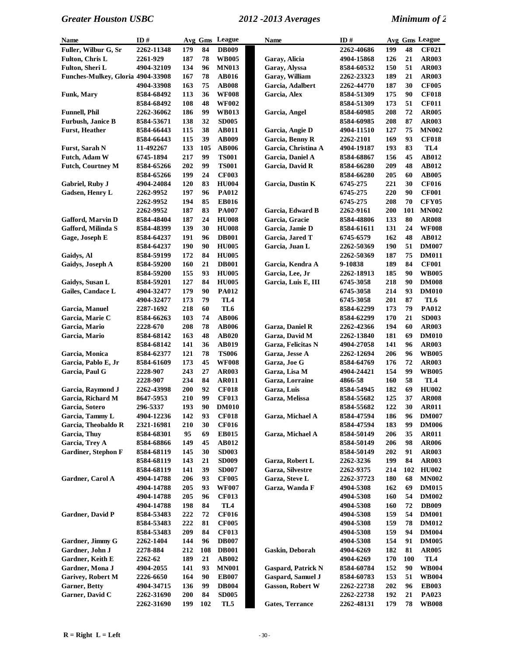| <b>Name</b>                       | ID#        |     |        | Avg Gms League  | Name                      | ID#        |     |     | Avg Gms League  |
|-----------------------------------|------------|-----|--------|-----------------|---------------------------|------------|-----|-----|-----------------|
| Fuller, Wilbur G, Sr              | 2262-11348 | 179 | 84     | <b>DB009</b>    |                           | 2262-40686 | 199 | 48  | <b>CF021</b>    |
| <b>Fulton, Chris L</b>            | 2261-929   | 187 | 78     | <b>WB005</b>    | Garay, Alicia             | 4904-15868 | 126 | 21  | <b>AR003</b>    |
| Fulton, Sheri L                   | 4904-32109 | 134 | 96     | <b>MN013</b>    | Garay, Alyssa             | 8584-60532 | 150 | 51  | <b>AR003</b>    |
| Funches-Mulkey, Gloria 4904-33908 |            | 167 | 78     | <b>AB016</b>    | Garay, William            | 2262-23323 | 189 | 21  | <b>AR003</b>    |
|                                   | 4904-33908 | 163 | 75     | <b>AB008</b>    | Garcia, Adalbert          | 2262-44770 | 187 | 30  | <b>CF005</b>    |
| <b>Funk, Mary</b>                 | 8584-68492 | 113 | 36     | <b>WF008</b>    | Garcia, Alex              | 8584-51309 | 175 | 90  | <b>CF018</b>    |
|                                   | 8584-68492 | 108 | 48     | <b>WF002</b>    |                           | 8584-51309 | 173 | 51  | <b>CF011</b>    |
| <b>Funnell, Phil</b>              | 2262-36062 | 186 | 99     | <b>WB013</b>    | Garcia, Angel             | 8584-60985 | 208 | 72  | <b>AR005</b>    |
| <b>Furbush, Janice B</b>          | 8584-53671 | 138 | 32     | <b>SD005</b>    |                           | 8584-60985 | 208 | 87  | <b>AR003</b>    |
| <b>Furst, Heather</b>             | 8584-66443 | 115 | 38     | <b>AB011</b>    | Garcia, Angie D           | 4904-11510 | 127 | 75  | <b>MN002</b>    |
|                                   | 8584-66443 | 115 | 39     | <b>AB009</b>    | Garcia, Benny R           | 2262-2101  | 169 | 93  | <b>CF018</b>    |
| Furst, Sarah N                    | 11-492267  | 133 | 105    | <b>AB006</b>    | Garcia, Christina A       | 4904-19187 | 193 | 83  | TL <sub>4</sub> |
| Futch, Adam W                     | 6745-1894  | 217 | 99     | <b>TS001</b>    | Garcia, Daniel A          | 8584-68867 | 156 | 45  | AB012           |
| <b>Futch, Courtney M</b>          | 8584-65266 | 202 | 99     | <b>TS001</b>    | Garcia, David R           | 8584-66280 | 209 | 48  | <b>AB012</b>    |
|                                   | 8584-65266 | 199 | 24     | <b>CF003</b>    |                           | 8584-66280 | 205 | 60  | <b>AB005</b>    |
| Gabriel, Ruby J                   | 4904-24084 | 120 | 83     | <b>HU004</b>    | Garcia, Dustin K          | 6745-275   | 221 | 30  | <b>CF016</b>    |
| Gadsen, Henry L                   | 2262-9952  | 197 | 96     | <b>PA012</b>    |                           | 6745-275   | 220 | 90  | <b>CF001</b>    |
|                                   | 2262-9952  | 194 | 85     | <b>EB016</b>    |                           | 6745-275   | 208 | 70  | <b>CFY05</b>    |
|                                   | 2262-9952  | 187 | 83     | <b>PA007</b>    | Garcia, Edward B          | 2262-9161  | 200 | 101 | <b>MN002</b>    |
| Gafford, Marvin D                 | 8584-48404 | 187 | 24     | <b>HU008</b>    | Garcia, Gracie            | 8584-48806 | 133 | 80  | <b>AR008</b>    |
| Gafford, Milinda S                | 8584-48399 | 139 | 30     | <b>HU008</b>    | Garcia, Jamie D           | 8584-61611 | 131 | 24  | <b>WF008</b>    |
| Gage, Joseph E                    | 8584-64237 | 191 | 96     | <b>DB001</b>    | Garcia, Jared T           | 6745-6579  | 162 | 48  | <b>AB012</b>    |
|                                   | 8584-64237 | 190 | 90     | <b>HU005</b>    | Garcia, Juan L            | 2262-50369 | 190 | 51  | <b>DM007</b>    |
| Gaidys, Al                        | 8584-59199 | 172 | 84     | <b>HU005</b>    |                           | 2262-50369 | 187 | 75  | <b>DM011</b>    |
| Gaidys, Joseph A                  | 8584-59200 | 160 | 21     | <b>DB001</b>    | Garcia, Kendra A          | 9-10838    | 189 | 84  | <b>CF001</b>    |
|                                   | 8584-59200 | 155 | 93     | <b>HU005</b>    | Garcia, Lee, Jr           | 2262-18913 | 185 | 90  | <b>WB005</b>    |
| Gaidys, Susan L                   | 8584-59201 | 127 | 84     | <b>HU005</b>    | Garcia, Luis E, III       | 6745-3058  | 218 | 90  | <b>DM008</b>    |
| Gailes, Candace L                 | 4904-32477 | 179 | 90     | <b>PA012</b>    |                           | 6745-3058  | 214 | 93  | <b>DM010</b>    |
|                                   | 4904-32477 | 173 | 79     | TL <sub>4</sub> |                           | 6745-3058  | 201 | 87  | TL6             |
| Garcia, Manuel                    | 2287-1692  | 218 | 60     | TL6             |                           | 8584-62299 | 173 | 79  | PA012           |
| Garcia, Marie C                   | 8584-66263 | 103 | 74     | <b>AB006</b>    |                           | 8584-62299 | 170 | 21  | <b>SD003</b>    |
| Garcia, Mario                     | 2228-670   | 208 | 78     | <b>AB006</b>    | Garza, Daniel R           | 2262-42366 | 194 | 60  | <b>AR003</b>    |
| Garcia, Mario                     | 8584-68142 | 163 | 48     | <b>AB020</b>    | Garza, David M            | 2262-13840 | 181 | 69  | <b>DM010</b>    |
|                                   | 8584-68142 | 141 | 36     | <b>AB019</b>    | Garza, Felicitas N        | 4904-27058 | 141 | 96  | <b>AR003</b>    |
| Garcia, Monica                    | 8584-62377 | 121 | 78     | <b>TS006</b>    | Garza, Jesse A            | 2262-12694 | 206 | 96  | <b>WB005</b>    |
| Garcia, Pablo E, Jr               | 8584-61609 | 173 | 45     | <b>WF008</b>    | Garza, Joe G              | 8584-64769 | 176 | 72  | <b>AR003</b>    |
| Garcia, Paul G                    | 2228-907   | 243 | 27     | <b>AR003</b>    | Garza, Lisa M             | 4904-24421 | 154 | 99  | <b>WB005</b>    |
|                                   | 2228-907   | 234 | 84     | <b>AR011</b>    | Garza, Lorraine           | 4866-58    | 160 | 58  | TL4             |
| Garcia, Raymond J                 | 2262-43998 | 200 | 92     | <b>CF018</b>    | Garza, Luis               | 8584-54945 | 182 | 69  | <b>HU002</b>    |
| Garcia, Richard M                 | 8647-5953  | 210 | 99     | <b>CF013</b>    | Garza, Melissa            | 8584-55682 | 125 | 37  | <b>AR008</b>    |
| Garcia, Sotero                    | 296-5337   | 193 | $90\,$ | <b>DM010</b>    |                           | 8584-55682 | 122 | 30  | <b>AR011</b>    |
| Garcia, Tammy L                   | 4904-12236 | 142 | 93     | <b>CF018</b>    | Garza, Michael A          | 8584-47594 | 186 | 96  | <b>DM007</b>    |
| Garcia, Theobaldo R               | 2321-16981 | 210 | 30     | <b>CF016</b>    |                           | 8584-47594 | 183 | 99  | <b>DM006</b>    |
| Garcia, Thuy                      | 8584-68301 | 95  | 69     | <b>EB015</b>    | Garza, Michael A          | 8584-50149 | 206 | 35  | <b>AR011</b>    |
| Garcia, Trey A                    | 8584-68866 | 149 | 45     | AB012           |                           | 8584-50149 | 206 | 98  | <b>AR006</b>    |
| <b>Gardiner, Stephon F</b>        | 8584-68119 | 145 | 30     | <b>SD003</b>    |                           | 8584-50149 | 202 | 91  | <b>AR003</b>    |
|                                   | 8584-68119 | 143 | 21     | <b>SD009</b>    | Garza, Robert L           | 2262-3236  | 199 | 84  | <b>AR003</b>    |
|                                   | 8584-68119 | 141 | 39     | <b>SD007</b>    | Garza, Silvestre          | 2262-9375  | 214 | 102 | <b>HU002</b>    |
| Gardner, Carol A                  | 4904-14788 | 206 | 93     | <b>CF005</b>    | Garza, Steve L            | 2262-37723 | 180 | 68  | <b>MN002</b>    |
|                                   | 4904-14788 | 205 | 93     | <b>WF007</b>    | Garza, Wanda F            | 4904-5308  | 162 | 69  | <b>DM015</b>    |
|                                   | 4904-14788 | 205 | 96     | <b>CF013</b>    |                           | 4904-5308  | 160 | 54  | <b>DM002</b>    |
|                                   | 4904-14788 | 198 | 84     | TL <sub>4</sub> |                           | 4904-5308  | 160 | 72  | <b>DB009</b>    |
| Gardner, David P                  | 8584-53483 | 222 | 72     | <b>CF016</b>    |                           | 4904-5308  | 159 | 54  | <b>DM001</b>    |
|                                   | 8584-53483 | 222 | 81     | <b>CF005</b>    |                           | 4904-5308  | 159 | 78  | <b>DM012</b>    |
|                                   | 8584-53483 | 209 | 84     | <b>CF013</b>    |                           | 4904-5308  | 159 | 94  | <b>DM004</b>    |
| Gardner, Jimmy G                  | 2262-1404  | 144 | 96     | <b>DB007</b>    |                           | 4904-5308  | 154 | 91  | <b>DM005</b>    |
| Gardner, John J                   | 2278-884   | 212 | 108    | <b>DB001</b>    | Gaskin, Deborah           | 4904-6269  | 182 | 81  | <b>AR005</b>    |
| Gardner, Keith E                  | 2262-62    | 189 | 21     | AB002           |                           | 4904-6269  | 170 | 100 | TL4             |
| Gardner, Mona J                   | 4904-2055  | 141 | 93     | <b>MN001</b>    | <b>Gaspard, Patrick N</b> | 8584-60784 | 152 | 90  | <b>WB004</b>    |
| <b>Garivey, Robert M</b>          | 2226-6650  | 164 | 90     | <b>EB007</b>    | <b>Gaspard, Samuel J</b>  | 8584-60783 | 153 | 51  | <b>WB004</b>    |
| <b>Garner</b> , Betty             | 4904-34715 | 136 | 99     | <b>DB004</b>    | <b>Gasson, Robert W</b>   | 2262-22738 | 202 | 96  | <b>EB003</b>    |
| Garner, David C                   | 2262-31690 | 200 | 84     | <b>SD005</b>    |                           | 2262-22738 | 192 | 21  | PA023           |
|                                   | 2262-31690 | 199 | 102    | TL5             | <b>Gates, Terrance</b>    | 2262-48131 | 179 | 78  | <b>WB008</b>    |
|                                   |            |     |        |                 |                           |            |     |     |                 |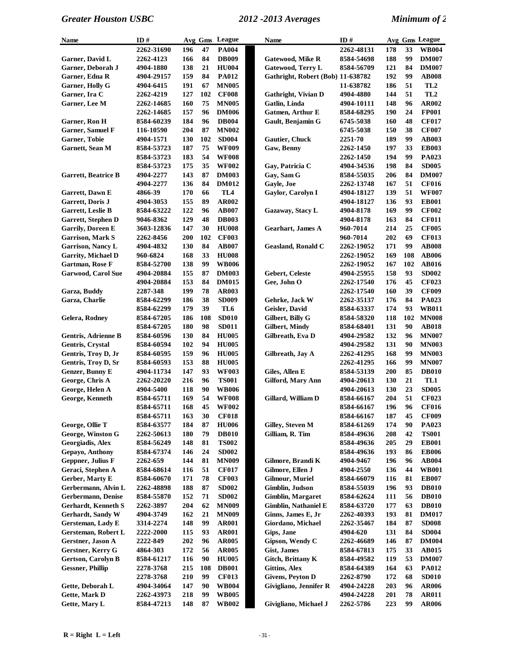| Name                       | ID#                      |            |          | Avg Gms League               | Name                              | ID#        |     |     | Avg Gms League  |
|----------------------------|--------------------------|------------|----------|------------------------------|-----------------------------------|------------|-----|-----|-----------------|
|                            | 2262-31690               | 196        | 47       | <b>PA004</b>                 |                                   | 2262-48131 | 178 | 33  | <b>WB004</b>    |
| Garner, David L            | 2262-4123                | 166        | 84       | <b>DB009</b>                 | <b>Gatewood, Mike R</b>           | 8584-54698 | 188 | 99  | <b>DM007</b>    |
| Garner, Deborah J          | 4904-1880                | 138        | 21       | <b>HU004</b>                 | <b>Gatewood, Terry L</b>          | 8584-56709 | 121 | 84  | <b>DM007</b>    |
| Garner, Edna R             | 4904-29157               | 159        | 84       | <b>PA012</b>                 | Gathright, Robert (Bob) 11-638782 |            | 192 | 99  | <b>AB008</b>    |
| Garner, Holly G            | 4904-6415                | 191        | 67       | <b>MN005</b>                 |                                   | 11-638782  | 186 | 51  | TL <sub>2</sub> |
| Garner, Ira C              | 2262-4219                | 127        | 102      | <b>CF008</b>                 | Gathright, Vivian D               | 4904-4880  | 144 | 51  | TL <sub>2</sub> |
| Garner, Lee M              | 2262-14685               | 160        | 75       | <b>MN005</b>                 | Gatlin, Linda                     | 4904-10111 | 148 | 96  | AR002           |
|                            | 2262-14685               | 157        | 96       | <b>DM006</b>                 | <b>Gatmen, Arthur E</b>           | 8584-68295 | 190 | 24  | <b>FP001</b>    |
| Garner, Ron H              | 8584-60239               | 184        | 96       | <b>DB004</b>                 | Gault, Benjamin G                 | 6745-5038  | 160 | 48  | <b>CF017</b>    |
| <b>Garner, Samuel F</b>    | 116-10590                | 204        | 87       | <b>MN002</b>                 |                                   | 6745-5038  | 150 | 38  | <b>CF007</b>    |
| Garner, Tobie              | 4904-1571                | 130        | 102      | <b>SD004</b>                 | Gautier, Chuck                    | 2251-70    | 189 | 99  | <b>AB003</b>    |
| Garnett, Sean M            | 8584-53723               | 187        | 75       | <b>WF009</b>                 | Gaw, Benny                        | 2262-1450  | 197 | 33  | <b>EB003</b>    |
|                            | 8584-53723               | 183        | 54       | <b>WF008</b>                 |                                   | 2262-1450  | 194 | 99  | PA023           |
|                            | 8584-53723               | 175        | 35       | <b>WF002</b>                 | Gay, Patricia C                   | 4904-34536 | 198 | 84  | <b>SD005</b>    |
| <b>Garrett, Beatrice B</b> | 4904-2277                | 143        | 87       | <b>DM003</b>                 | Gay, Sam G                        | 8584-55035 | 206 | 84  | <b>DM007</b>    |
|                            | 4904-2277                | 136        | 84       | <b>DM012</b>                 | Gayle, Joe                        | 2262-13748 | 167 | 51  | <b>CF016</b>    |
| Garrett, Dawn E            | 4866-39                  | 170        | 66       | TL <sub>4</sub>              | Gaylor, Carolyn I                 | 4904-18127 | 139 | 51  | <b>WF007</b>    |
| Garrett, Doris J           | 4904-3053                | 155        | 89       | AR002                        |                                   | 4904-18127 | 136 | 93  | <b>EB001</b>    |
| Garrett, Leslie B          | 8584-63222               | 122        | 96       | <b>AB007</b>                 | Gazaway, Stacy L                  | 4904-8178  | 169 | 99  | <b>CF002</b>    |
| Garrett, Stephen D         | 9046-8362                | 129        | 48       | <b>DB003</b>                 |                                   | 4904-8178  | 163 | 84  | <b>CF011</b>    |
| <b>Garrily, Doreen E</b>   | 3603-12836               | 147        | 30       | <b>HU008</b>                 | <b>Gearhart</b> , James A         | 960-7014   | 214 | 25  | <b>CF005</b>    |
| <b>Garrison, Mark S</b>    | 2262-8456                | 200        | 102      | <b>CF003</b>                 |                                   | 960-7014   | 202 | 69  | <b>CF013</b>    |
| Garrison, Nancy L          | 4904-4832                | 130        | 84       | <b>AB007</b>                 | <b>Geasland, Ronald C</b>         | 2262-19052 | 171 | 99  | <b>AB008</b>    |
| <b>Garrity, Michael D</b>  | 960-6824                 | 168        | 33       | <b>HU008</b>                 |                                   | 2262-19052 | 169 | 108 | <b>AB006</b>    |
| Gartman, Rose F            |                          | 138        | 99       | <b>WB006</b>                 |                                   |            | 167 | 102 | <b>AB016</b>    |
|                            | 8584-52700               |            |          |                              |                                   | 2262-19052 | 158 | 93  | <b>SD002</b>    |
| <b>Garwood, Carol Sue</b>  | 4904-20884<br>4904-20884 | 155<br>153 | 87<br>84 | <b>DM003</b><br><b>DM015</b> | Gebert, Celeste<br>Gee, John O    | 4904-25955 | 176 | 45  | <b>CF023</b>    |
|                            |                          | 199        |          |                              |                                   | 2262-17540 |     |     |                 |
| Garza, Buddy               | 2287-348                 |            | 78       | <b>AR003</b>                 |                                   | 2262-17540 | 160 | 39  | <b>CF009</b>    |
| Garza, Charlie             | 8584-62299               | 186        | 38       | <b>SD009</b>                 | Gehrke, Jack W                    | 2262-35137 | 176 | 84  | PA023           |
|                            | 8584-62299               | 179        | 39       | TL6                          | Geisler, David                    | 8584-63337 | 174 | 93  | <b>WB011</b>    |
| Gelera, Rodney             | 8584-67205               | 186        | 108      | <b>SD010</b>                 | Gilbert, Billy G                  | 8584-58320 | 118 | 102 | <b>MN008</b>    |
|                            | 8584-67205               | 180        | 98       | <b>SD011</b>                 | <b>Gilbert, Mindy</b>             | 8584-68401 | 131 | 90  | <b>AB018</b>    |
| Gentris, Adrienne B        | 8584-60596               | 130        | 84       | <b>HU005</b>                 | Gilbreath, Eva D                  | 4904-29582 | 132 | 96  | <b>MN007</b>    |
| Gentris, Crystal           | 8584-60594               | 102        | 94       | <b>HU005</b>                 |                                   | 4904-29582 | 131 | 90  | <b>MN003</b>    |
| Gentris, Troy D, Jr        | 8584-60595               | 159        | 96       | <b>HU005</b>                 | Gilbreath, Jay A                  | 2262-41295 | 168 | 99  | <b>MN003</b>    |
| Gentris, Troy D, Sr        | 8584-60593               | 153        | 88       | <b>HU005</b>                 |                                   | 2262-41295 | 166 | 99  | <b>MN007</b>    |
| Genzer, Bunny E            | 4904-11734               | 147        | 93       | <b>WF003</b>                 | Giles, Allen E                    | 8584-53139 | 200 | 85  | <b>DB010</b>    |
| George, Chris A            | 2262-20220               | 216        | 96       | <b>TS001</b>                 | Gilford, Mary Ann                 | 4904-20613 | 130 | 21  | TL1             |
| George, Helen A            | 4904-5400                | 118        | 90       | <b>WB006</b>                 |                                   | 4904-20613 | 130 | 23  | <b>SD005</b>    |
| George, Kenneth            | 8584-65711               | 169        | 54       | <b>WF008</b>                 | Gillard, William D                | 8584-66167 | 204 | 51  | <b>CF023</b>    |
|                            | 8584-65711               | 168        | 45       | <b>WF002</b>                 |                                   | 8584-66167 | 196 | 96  | <b>CF016</b>    |
|                            | 8584-65711               | 163        | 30       | <b>CF018</b>                 |                                   | 8584-66167 | 187 | 45  | <b>CF009</b>    |
| George, Ollie T            | 8584-63577               | 184        | 87       | <b>HU006</b>                 | Gilley, Steven M                  | 8584-61269 | 174 | 90  | PA023           |
| George, Winston G          | 2262-50613               | 180        | 79       | <b>DB010</b>                 | Gilliam, R. Tim                   | 8584-49636 | 208 | 42  | <b>TS001</b>    |
| Georgiadis, Alex           | 8584-56249               | 148        | 81       | <b>TS002</b>                 |                                   | 8584-49636 | 205 | 29  | <b>EB001</b>    |
| Gepayo, Anthony            | 8584-67374               | 146        | 24       | <b>SD002</b>                 |                                   | 8584-49636 | 193 | 86  | <b>EB006</b>    |
| Geppner, Julius F          | 2262-659                 | 144        | 81       | <b>MN009</b>                 | Gilmore, Brandi K                 | 4904-9467  | 196 | 96  | AB004           |
| Geraci, Stephen A          | 8584-68614               | 116        | 51       | <b>CF017</b>                 | Gilmore, Ellen J                  | 4904-2550  | 136 | 44  | <b>WB001</b>    |
| Gerber, Marty E            | 8584-60670               | 171        | 78       | <b>CF003</b>                 | <b>Gilmour, Muriel</b>            | 8584-66079 | 116 | 81  | <b>EB007</b>    |
| Gerbermann, Alvin L        | 2262-48898               | 188        | 87       | <b>SD002</b>                 | Gimblin, Judson                   | 8584-55039 | 196 | 93  | <b>DB010</b>    |
| Gerbermann, Denise         | 8584-55870               | 152        | 71       | <b>SD002</b>                 | <b>Gimblin, Margaret</b>          | 8584-62624 | 111 | 56  | <b>DB010</b>    |
| Gerhardt, Kenneth S        | 2262-3897                | 204        | 62       | <b>MN009</b>                 | Gimblin, Nathaniel E              | 8584-63720 | 177 | 63  | <b>DB010</b>    |
| Gerhardt, Sandy W          | 4904-3749                | 162        | 21       | <b>MN009</b>                 | Ginns, James E, Jr                | 2262-40393 | 193 | 81  | <b>DM017</b>    |
| Gersteman, Lady E          | 3314-2274                | 148        | 99       | <b>AR001</b>                 | Giordano, Michael                 | 2262-35467 | 184 | 87  | <b>SD008</b>    |
| Gersteman, Robert L        | 2222-2000                | 115        | 93       | <b>AR001</b>                 | Gips, Jane                        | 4904-620   | 131 | 84  | <b>SD004</b>    |
| Gerstner, Jason A          | 2222-849                 | 202        | 96       | <b>AR005</b>                 | Gipson, Wendy C                   | 2262-46689 | 146 | 87  | <b>DM004</b>    |
| Gerstner, Kerry G          | 4864-303                 | 172        | 56       | <b>AR005</b>                 | <b>Gist, James</b>                | 8584-67813 | 175 | 33  | <b>AB015</b>    |
| Gertson, Carolyn B         | 8584-61217               | 116        | 90       | <b>HU005</b>                 | <b>Gitch, Brittany K</b>          | 8584-49582 | 119 | 53  | <b>DM007</b>    |
| <b>Gessner, Phillip</b>    | 2278-3768                | 215        | 108      | <b>DB001</b>                 | <b>Gittins, Alex</b>              | 8584-64389 | 164 | 63  | <b>PA012</b>    |
|                            | 2278-3768                | 210        | 99       | <b>CF013</b>                 | <b>Givens, Peyton D</b>           | 2262-8790  | 172 | 68  | <b>SD010</b>    |
| Gette, Deborah L           | 4904-34064               | 147        | 90       | <b>WB004</b>                 | Givigliano, Jennifer R            | 4904-24228 | 203 | 96  | <b>AR006</b>    |
| <b>Gette, Mark D</b>       | 2262-43973               | 218        | 99       | <b>WB005</b>                 |                                   | 4904-24228 | 201 | 78  | <b>AR011</b>    |
| Gette, Mary L              | 8584-47213               | 148        | 87       | <b>WB002</b>                 | Givigliano, Michael J             | 2262-5786  | 223 | 99  | <b>AR006</b>    |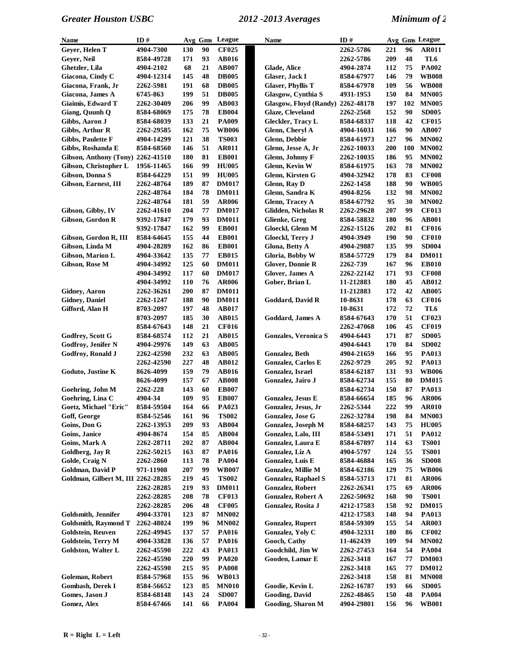| <b>Name</b>                        | ID#               |     |    | Avg Gms League | <b>Name</b> |                            | ID#        |     |     | Avg Gms League |
|------------------------------------|-------------------|-----|----|----------------|-------------|----------------------------|------------|-----|-----|----------------|
| Geyer, Helen T                     | 4904-7300         | 130 | 90 | <b>CF025</b>   |             |                            | 2262-5786  | 221 | 96  | <b>AR011</b>   |
| Geyer, Neil                        | 8584-49728        | 171 | 93 | AB016          |             |                            | 2262-5786  | 209 | 48  | TL6            |
| Ghetzler, Lila                     | 4904-2102         | 68  | 21 | AB007          |             | Glade, Alice               | 4904-2874  | 112 | 75  | <b>PA002</b>   |
| Giacona, Cindy C                   | 4904-12314        | 145 | 48 | <b>DB005</b>   |             | Glaser, Jack I             | 8584-67977 | 146 | 79  | <b>WB008</b>   |
| Giacona, Frank, Jr                 | 2262-5981         | 191 | 68 | <b>DB005</b>   |             | <b>Glaser, Phyllis T</b>   | 8584-67978 | 109 | 56  | <b>WB008</b>   |
| Giacona, James A                   | 6745-863          | 199 | 51 | <b>DB005</b>   |             | Glasgow, Cynthia S         | 4931-1953  | 150 | 84  | <b>MN005</b>   |
| Giaimis, Edward T                  | 2262-30409        | 206 | 99 | <b>AB003</b>   |             | Glasgow, Floyd (Randy)     | 2262-48178 | 197 | 102 | <b>MN005</b>   |
| Giang, Quunh Q                     | 8584-68069        | 175 | 78 | <b>EB004</b>   |             | Glaze, Cleveland           | 2262-2568  | 152 | 90  | <b>SD005</b>   |
| Gibbs, Aaron J                     | 8584-68039        | 133 | 21 | <b>PA009</b>   |             | Gleckler, Tracy L          | 8584-68337 | 118 | 42  | <b>CF015</b>   |
| Gibbs, Arthur R                    | 2262-29585        | 162 | 75 | <b>WB006</b>   |             | Glenn, Cheryl A            | 4904-16031 | 166 | 90  | <b>AB007</b>   |
| <b>Gibbs, Paulette F</b>           | 4904-14299        | 121 | 38 | <b>TS003</b>   |             | Glenn, Debbie              | 8584-61973 | 127 | 96  | <b>MN002</b>   |
| Gibbs, Roshanda E                  | 8584-68560        | 146 | 51 | <b>AR011</b>   |             | Glenn, Jesse A, Jr         | 2262-10033 | 200 | 100 | <b>MN002</b>   |
| Gibson, Anthony (Tony)             | 2262-41510        | 180 | 81 | <b>EB001</b>   |             | Glenn, Johnny F            | 2262-10035 | 186 | 95  | <b>MN002</b>   |
| Gibson, Christopher L              | 1956-11465        | 166 | 99 | <b>HU005</b>   |             | Glenn, Kevin W             | 8584-61975 | 163 | 78  | <b>MN002</b>   |
| Gibson, Donna S                    | 8584-64229        | 151 | 99 | <b>HU005</b>   |             | Glenn, Kirsten G           | 4904-32942 | 178 | 83  | <b>CF008</b>   |
| Gibson, Earnest, III               | 2262-48764        | 189 | 87 | <b>DM017</b>   |             | Glenn, Ray D               | 2262-1458  | 188 | 90  | <b>WB005</b>   |
|                                    | 2262-48764        | 184 | 78 | <b>DM011</b>   |             | Glenn, Sandra K            | 4904-8256  | 132 | 98  | <b>MN002</b>   |
|                                    | 2262-48764        | 181 | 59 | <b>AR006</b>   |             | <b>Glenn, Tracey A</b>     | 8584-67792 | 95  | 30  | <b>MN002</b>   |
| Gibson, Gibby, IV                  | <b>2262-41610</b> | 204 | 77 | <b>DM017</b>   |             | <b>Glidden, Nicholas R</b> | 2262-29628 | 207 | 99  | <b>CF013</b>   |
| Gibson, Gordon R                   | 9392-17847        | 179 | 93 | <b>DM011</b>   |             | Glienke, Greg              | 8584-58832 | 180 | 96  | <b>AB001</b>   |
|                                    | 9392-17847        | 162 | 99 | <b>EB001</b>   |             | Gloeckl, Glenn M           | 2262-15126 | 202 | 81  | <b>CF016</b>   |
| Gibson, Gordon R, III              | 8584-64645        | 155 | 44 | <b>EB001</b>   |             | Gloeckl, Terry J           | 4904-3949  | 190 | 90  | <b>CF010</b>   |
| Gibson, Linda M                    | 4904-28289        | 162 | 86 | <b>EB001</b>   |             | Glona, Betty A             | 4904-29887 | 135 | 99  | <b>SD004</b>   |
| Gibson, Marion L                   | 4904-33642        | 135 | 77 | <b>EB015</b>   |             | Gloria, Bobby W            | 8584-57729 | 179 | 84  | <b>DM011</b>   |
| Gibson, Rose M                     | 4904-34992        | 125 | 60 | <b>DM011</b>   |             | <b>Glover, Donnie R</b>    | 2262-739   | 167 | 96  | <b>EB010</b>   |
|                                    | 4904-34992        | 117 | 60 | <b>DM017</b>   |             | Glover, James A            | 2262-22142 | 171 | 93  | <b>CF008</b>   |
|                                    | 4904-34992        | 110 | 76 | <b>AR006</b>   |             | Gober, Brian L             | 11-212883  | 180 | 45  | <b>AB012</b>   |
| <b>Gidney, Aaron</b>               | 2262-36261        | 200 | 87 | <b>DM011</b>   |             |                            | 11-212883  | 172 | 42  | <b>AB005</b>   |
| <b>Gidney</b> , Daniel             | 2262-1247         | 188 | 90 | <b>DM011</b>   |             | Goddard, David R           | 10-8631    | 178 | 63  | <b>CF016</b>   |
| Gifford, Alan H                    | 8703-2097         | 197 | 48 | <b>AB017</b>   |             |                            | 10-8631    | 172 | 72  | TL6            |
|                                    | 8703-2097         | 185 | 30 | <b>AB015</b>   |             | Goddard, James A           | 8584-67643 | 170 | 51  | <b>CF023</b>   |
|                                    | 8584-67643        | 148 | 21 | <b>CF016</b>   |             |                            | 2262-47068 | 106 | 45  | <b>CF019</b>   |
| Godfrey, Scott G                   | 8584-68574        | 112 | 21 | <b>AB015</b>   |             | Gonzales, Veronica S       | 4904-6443  | 171 | 87  | <b>SD005</b>   |
| <b>Godfroy, Jenifer N</b>          | 4904-29976        | 149 | 63 | <b>AB005</b>   |             |                            | 4904-6443  | 170 | 84  | <b>SD002</b>   |
| Godfroy, Ronald J                  | 2262-42590        | 232 | 63 | <b>AB005</b>   |             | Gonzalez, Beth             | 4904-21659 | 166 | 95  | PA013          |
|                                    | 2262-42590        | 227 | 48 | AB012          |             | <b>Gonzalez, Carlos E</b>  | 2262-9729  | 205 | 92  | <b>PA013</b>   |
| Goduto, Justine K                  | 8626-4099         | 159 | 79 | <b>AB016</b>   |             | Gonzalez, Israel           | 8584-62187 | 131 | 93  | <b>WB006</b>   |
|                                    | 8626-4099         | 157 | 67 | <b>AB008</b>   |             | Gonzalez, Jairo J          | 8584-62734 | 155 | 80  | <b>DM015</b>   |
| Goehring, John M                   | 2262-228          | 143 | 60 | <b>EB007</b>   |             |                            | 8584-62734 | 150 | 87  | PA013          |
| Goehring, Lina C                   | 4904-34           | 109 | 95 | <b>EB007</b>   |             | Gonzalez, Jesus E          | 8584-66654 | 185 | 96  | <b>AR006</b>   |
| Goetz, Michael "Eric"              | 8584-59504        | 164 | 66 | PA023          |             | Gonzalez, Jesus, Jr        | 2262-5344  | 222 | 99  | <b>AR010</b>   |
| Goff, George                       | 8584-52546        | 161 | 96 | <b>TS002</b>   |             | Gonzalez, Jose G           | 2262-32784 | 198 | 84  | <b>MN003</b>   |
| Goins, Don G                       | 2262-13953        | 209 | 93 | <b>AB004</b>   |             | Gonzalez, Joseph M         | 8584-68257 | 143 | 75  | <b>HU005</b>   |
| Goins, Janice                      | 4904-8674         | 154 | 85 | AB004          |             | Gonzalez, Lalo, III        | 8584-53491 | 171 | 51  | <b>PA012</b>   |
| Goins, Mark A                      | 2262-28711        | 202 | 87 | AB004          |             | Gonzalez, Laura E          | 8584-67897 | 114 | 63  | <b>TS001</b>   |
| Goldberg, Jay R                    | 2262-50215        | 163 | 87 | <b>PA016</b>   |             | Gonzalez, Liz A            | 4904-5797  | 124 | 55  | <b>TS001</b>   |
| Golde, Craig N                     | <b>2262-2860</b>  | 113 | 78 | <b>PA004</b>   |             | Gonzalez, Luis E           | 8584-46884 | 165 | 36  | <b>SD008</b>   |
| Goldman, David P                   | 971-11908         | 207 | 99 | <b>WB007</b>   |             | Gonzalez, Millie M         | 8584-62186 | 129 | 75  | <b>WB006</b>   |
| Goldman, Gilbert M, III 2262-28285 |                   | 219 | 45 | <b>TS002</b>   |             | <b>Gonzalez, Raphael S</b> | 8584-53713 | 171 | 81  | <b>AR006</b>   |
|                                    | 2262-28285        | 219 | 93 | <b>DM011</b>   |             | Gonzalez, Robert           | 2262-26341 | 175 | 69  | <b>AR006</b>   |
|                                    | 2262-28285        | 208 | 78 | <b>CF013</b>   |             | Gonzalez, Robert A         | 2262-50692 | 168 | 90  | <b>TS001</b>   |
|                                    | 2262-28285        | 206 | 48 | <b>CF005</b>   |             | Gonzalez, Rosita J         | 4212-17583 | 158 | 92  | <b>DM015</b>   |
| Goldsmith, Jennifer                | 4904-33701        | 123 | 87 | <b>MN002</b>   |             |                            | 4212-17583 | 148 | 94  | <b>PA013</b>   |
| <b>Goldsmith, Raymond T</b>        | 2262-48024        | 199 | 96 | <b>MN002</b>   |             | <b>Gonzalez, Rupert</b>    | 8584-59309 | 155 | 54  | <b>AR003</b>   |
| <b>Goldstein, Reuven</b>           | 2262-49945        | 137 | 57 | <b>PA016</b>   |             | Gonzalez, Yoly C           | 4904-32331 | 180 | 86  | <b>CF002</b>   |
| Goldstein, Terry M                 | 4904-33828        | 136 | 57 | <b>PA016</b>   |             | Gooch, Cathy               | 11-462439  | 109 | 94  | <b>MN002</b>   |
| Goldston, Walter L                 | 2262-45590        | 222 | 43 | <b>PA013</b>   |             | Goodchild, Jim W           | 2262-27453 | 164 | 54  | <b>PA004</b>   |
|                                    | <b>2262-45590</b> | 220 | 99 | <b>PA020</b>   |             | Gooden, Lamar E            | 2262-3418  | 167 | 77  | <b>DM003</b>   |
|                                    | <b>2262-45590</b> | 215 | 95 | <b>PA008</b>   |             |                            | 2262-3418  | 165 | 77  | <b>DM012</b>   |
| Goleman, Robert                    | 8584-57968        | 155 | 96 | <b>WB013</b>   |             |                            | 2262-3418  | 158 | 81  | <b>MN008</b>   |
| <b>Gombash, Derek I</b>            | 8584-56652        | 123 | 85 | <b>MN010</b>   |             | Goodie, Kevin L            | 2262-16787 | 193 | 66  | <b>SD005</b>   |
| Gomes, Jason J                     | 8584-68148        | 143 | 24 | <b>SD007</b>   |             | <b>Gooding</b> , David     | 2262-48465 | 150 | 48  | <b>PA004</b>   |
| Gomez, Alex                        | 8584-67466        | 141 | 66 | <b>PA004</b>   |             | <b>Gooding, Sharon M</b>   | 4904-29801 | 156 | 96  | <b>WB001</b>   |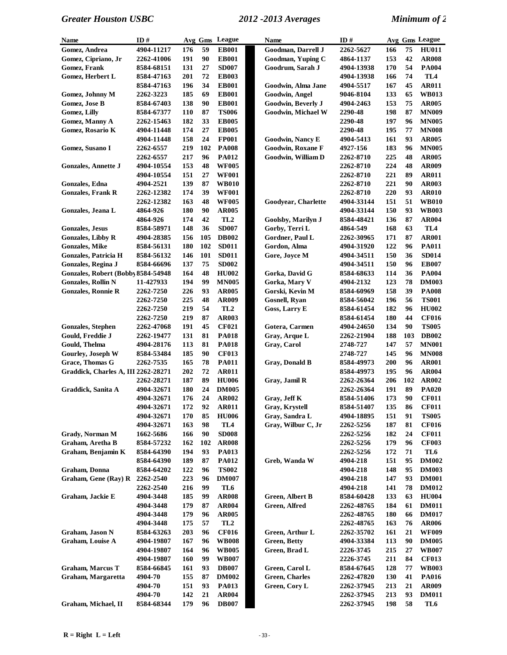| Name                                | ID#        |     |     | Avg Gms League  | <b>Name</b>              | ID#        |     |     | Avg Gms League  |
|-------------------------------------|------------|-----|-----|-----------------|--------------------------|------------|-----|-----|-----------------|
| <b>Gomez, Andrea</b>                | 4904-11217 | 176 | 59  | <b>EB001</b>    | Goodman, Darrell J       | 2262-5627  | 166 | 75  | <b>HU011</b>    |
| Gomez, Cipriano, Jr                 | 2262-41006 | 191 | 90  | <b>EB001</b>    | Goodman, Yuping C        | 4864-1137  | 153 | 42  | <b>AR008</b>    |
| Gomez, Frank                        | 8584-68151 | 131 | 27  | <b>SD007</b>    | Goodrum, Sarah J         | 4904-13938 | 170 | 54  | <b>PA004</b>    |
| Gomez, Herbert L                    | 8584-47163 | 201 | 72  | <b>EB003</b>    |                          | 4904-13938 | 166 | 74  | TL4             |
|                                     | 8584-47163 | 196 | 34  | <b>EB001</b>    | Goodwin, Alma Jane       | 4904-5517  | 167 | 45  | <b>AR011</b>    |
| Gomez, Johnny M                     | 2262-3223  | 185 | 69  | <b>EB001</b>    | Goodwin, Angel           | 9046-8104  | 133 | 65  | <b>WB013</b>    |
| Gomez, Jose B                       | 8584-67403 | 138 | 90  | <b>EB001</b>    | Goodwin, Beverly J       | 4904-2463  | 153 | 75  | <b>AR005</b>    |
| Gomez, Lilly                        | 8584-67377 | 110 | 87  | <b>TS006</b>    | Goodwin, Michael W       | 2290-48    | 198 | 87  | <b>MN009</b>    |
| Gomez, Manny A                      | 2262-15463 | 182 | 33  | <b>EB005</b>    |                          | 2290-48    | 197 | 96  | <b>MN005</b>    |
| Gomez, Rosario K                    | 4904-11448 | 174 | 27  | <b>EB005</b>    |                          | 2290-48    | 195 | 77  | <b>MN008</b>    |
|                                     | 4904-11448 | 158 | 24  | <b>FP001</b>    | Goodwin, Nancy E         | 4904-5413  | 161 | 93  | <b>AR005</b>    |
| Gomez, Susano I                     | 2262-6557  | 219 | 102 | <b>PA008</b>    | <b>Goodwin, Roxane F</b> | 4927-156   | 183 | 96  | <b>MN005</b>    |
|                                     | 2262-6557  | 217 | 96  | <b>PA012</b>    | Goodwin, William D       | 2262-8710  | 225 | 48  | <b>AR005</b>    |
| <b>Gonzales, Annette J</b>          | 4904-10554 | 153 | 48  | <b>WF005</b>    |                          | 2262-8710  | 224 | 48  | <b>AR009</b>    |
|                                     | 4904-10554 | 151 | 27  | <b>WF001</b>    |                          | 2262-8710  | 221 | 89  | <b>AR011</b>    |
| Gonzales, Edna                      | 4904-2521  | 139 | 87  | <b>WB010</b>    |                          | 2262-8710  | 221 | 90  | <b>AR003</b>    |
| <b>Gonzales, Frank R</b>            | 2262-12382 | 174 | 39  | <b>WF001</b>    |                          | 2262-8710  | 220 | 93  | <b>AR010</b>    |
|                                     | 2262-12382 | 163 | 48  | <b>WF005</b>    | Goodyear, Charlette      | 4904-33144 | 151 | 51  | <b>WB010</b>    |
| Gonzales, Jeana L                   | 4864-926   | 180 | 90  | <b>AR005</b>    |                          | 4904-33144 | 150 | 93  | <b>WB003</b>    |
|                                     | 4864-926   | 174 | 42  | TL <sub>2</sub> | Goolsby, Marilyn J       | 8584-48421 | 136 | 87  | <b>AR004</b>    |
| <b>Gonzales, Jesus</b>              | 8584-58971 | 148 | 36  | <b>SD007</b>    | Gorby, Terri L           | 4864-549   | 168 | 63  | TL <sub>4</sub> |
| <b>Gonzales, Libby R</b>            | 4904-28385 | 156 | 105 | <b>DB002</b>    | Gordner, Paul L          | 2262-30965 | 171 | 87  | <b>AR001</b>    |
| <b>Gonzales, Mike</b>               | 8584-56131 | 180 | 102 | <b>SD011</b>    | Gordon, Alma             | 4904-31920 | 122 | 96  | <b>PA011</b>    |
| <b>Gonzales, Patricia H</b>         |            | 146 | 101 | <b>SD011</b>    |                          |            | 150 | 36  | <b>SD014</b>    |
|                                     | 8584-56132 |     | 75  | <b>SD002</b>    | Gore, Joyce M            | 4904-34511 |     | 96  |                 |
| Gonzales, Regina J                  | 8584-66696 | 137 | 48  |                 |                          | 4904-34511 | 150 | 36  | <b>EB007</b>    |
| Gonzales, Robert (Bobby 8584-54948  |            | 164 | 99  | <b>HU002</b>    | Gorka, David G           | 8584-68633 | 114 |     | <b>PA004</b>    |
| <b>Gonzales, Rollin N</b>           | 11-427933  | 194 |     | <b>MN005</b>    | Gorka, Mary V            | 4904-2132  | 123 | 78  | <b>DM003</b>    |
| <b>Gonzales, Ronnie R</b>           | 2262-7250  | 226 | 93  | <b>AR005</b>    | Gorski, Kevin M          | 8584-60969 | 158 | 39  | <b>PA008</b>    |
|                                     | 2262-7250  | 225 | 48  | <b>AR009</b>    | Gosnell, Ryan            | 8584-56042 | 196 | 56  | <b>TS001</b>    |
|                                     | 2262-7250  | 219 | 54  | TL <sub>2</sub> | Goss, Larry E            | 8584-61454 | 182 | 96  | <b>HU002</b>    |
|                                     | 2262-7250  | 219 | 87  | AR003           |                          | 8584-61454 | 180 | 44  | <b>CF016</b>    |
| <b>Gonzales, Stephen</b>            | 2262-47068 | 191 | 45  | <b>CF021</b>    | Gotera, Carmen           | 4904-24650 | 134 | 90  | <b>TS005</b>    |
| Gould, Freddie J                    | 2262-19477 | 131 | 81  | <b>PA018</b>    | Gray, Arque L            | 2262-21904 | 188 | 103 | <b>DB002</b>    |
| Gould, Thelma                       | 4904-28176 | 113 | 81  | <b>PA018</b>    | Gray, Carol              | 2748-727   | 147 | 57  | <b>MN001</b>    |
| Gourley, Joseph W                   | 8584-53484 | 185 | 90  | <b>CF013</b>    |                          | 2748-727   | 145 | 96  | <b>MN008</b>    |
| Grace, Thomas G                     | 2262-7535  | 165 | 78  | <b>PA011</b>    | <b>Gray, Donald B</b>    | 8584-49973 | 200 | 96  | <b>AR001</b>    |
| Graddick, Charles A, III 2262-28271 |            | 202 | 72  | <b>AR011</b>    |                          | 8584-49973 | 195 | 96  | <b>AR004</b>    |
|                                     | 2262-28271 | 187 | 89  | <b>HU006</b>    | Gray, Jamil R            | 2262-26364 | 206 | 102 | <b>AR002</b>    |
| Graddick, Sanita A                  | 4904-32671 | 180 | 24  | <b>DM005</b>    |                          | 2262-26364 | 191 | 89  | <b>PA020</b>    |
|                                     | 4904-32671 | 176 | 24  | <b>AR002</b>    | Gray, Jeff K             | 8584-51406 | 173 | 90  | <b>CF011</b>    |
|                                     | 4904-32671 | 172 | 92  | <b>AR011</b>    | Gray, Krystell           | 8584-51407 | 135 | 86  | <b>CF011</b>    |
|                                     | 4904-32671 | 170 | 85  | <b>HU006</b>    | Gray, Sandra L           | 4904-18895 | 151 | 91  | <b>TS005</b>    |
|                                     | 4904-32671 | 163 | 98  | TL4             | Gray, Wilbur C, Jr       | 2262-5256  | 187 | 81  | CF016           |
| Grady, Norman M                     | 1662-5686  | 166 | 90  | <b>SD008</b>    |                          | 2262-5256  | 182 | 24  | <b>CF011</b>    |
| Graham, Aretha B                    | 8584-57232 | 162 | 102 | <b>AR008</b>    |                          | 2262-5256  | 179 | 96  | <b>CF003</b>    |
| Graham, Benjamin K                  | 8584-64390 | 194 | 93  | <b>PA013</b>    |                          | 2262-5256  | 172 | 71  | TL6             |
|                                     | 8584-64390 | 189 | 87  | <b>PA012</b>    | Greb, Wanda W            | 4904-218   | 151 | 95  | <b>DM002</b>    |
| Graham, Donna                       | 8584-64202 | 122 | 96  | <b>TS002</b>    |                          | 4904-218   | 148 | 95  | <b>DM003</b>    |
| Graham, Gene (Ray) R                | 2262-2540  | 223 | 96  | <b>DM007</b>    |                          | 4904-218   | 147 | 93  | <b>DM001</b>    |
|                                     | 2262-2540  | 216 | 99  | TL6             |                          | 4904-218   | 141 | 78  | <b>DM012</b>    |
| Graham, Jackie E                    | 4904-3448  | 185 | 99  | <b>AR008</b>    | <b>Green, Albert B</b>   | 8584-60428 | 133 | 63  | <b>HU004</b>    |
|                                     | 4904-3448  | 179 | 87  | AR004           | Green, Alfred            | 2262-48765 | 184 | 61  | <b>DM011</b>    |
|                                     | 4904-3448  | 179 | 96  | <b>AR005</b>    |                          | 2262-48765 | 180 | 66  | <b>DM017</b>    |
|                                     | 4904-3448  | 175 | 57  | TL <sub>2</sub> |                          | 2262-48765 | 163 | 76  | <b>AR006</b>    |
| Graham, Jason N                     | 8584-63263 | 203 | 96  | <b>CF016</b>    | Green, Arthur L          | 2262-35702 | 161 | 21  | <b>WF009</b>    |
| <b>Graham, Louise A</b>             | 4904-19807 | 167 | 96  | <b>WB008</b>    | <b>Green, Betty</b>      | 4904-33384 | 113 | 90  | <b>DM005</b>    |
|                                     | 4904-19807 | 164 | 96  | <b>WB005</b>    | Green, Brad L            | 2226-3745  | 215 | 27  | <b>WB007</b>    |
|                                     | 4904-19807 | 160 | 99  | <b>WB007</b>    |                          | 2226-3745  | 211 | 84  | <b>CF013</b>    |
| <b>Graham, Marcus T</b>             | 8584-66845 | 161 | 93  | <b>DB007</b>    | Green, Carol L           | 8584-67645 | 128 | 77  | <b>WB003</b>    |
| Graham, Margaretta                  | 4904-70    | 155 | 87  | <b>DM002</b>    | <b>Green, Charles</b>    | 2262-47820 | 130 | 41  | <b>PA016</b>    |
|                                     | 4904-70    | 151 | 93  | <b>PA013</b>    | Green, Cory L            | 2262-37945 | 213 | 21  | AR009           |
|                                     | 4904-70    | 142 | 21  | AR004           |                          | 2262-37945 | 213 | 93  | <b>DM011</b>    |
| Graham, Michael, II                 | 8584-68344 | 179 | 96  | <b>DB007</b>    |                          | 2262-37945 | 198 | 58  | TL6             |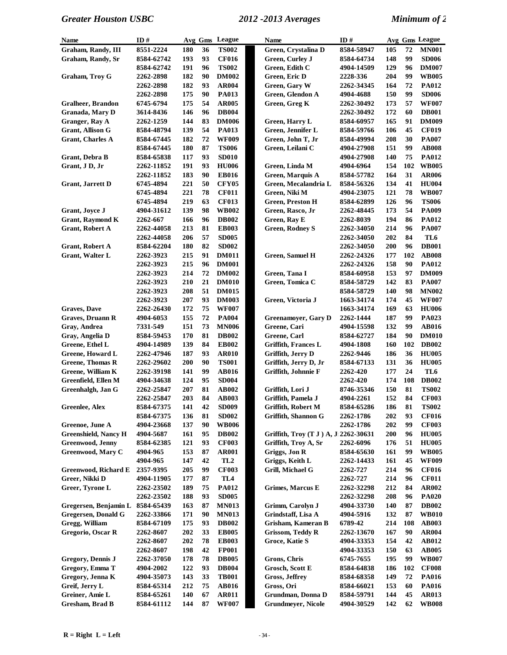| <b>Name</b>                 | ID#                    |            |          | Avg Gms League               | Name                                           | ID#                      |            |          | Avg Gms League               |
|-----------------------------|------------------------|------------|----------|------------------------------|------------------------------------------------|--------------------------|------------|----------|------------------------------|
| Graham, Randy, III          | 8551-2224              | 180        | 36       | <b>TS002</b>                 | Green, Crystalina D                            | 8584-58947               | 105        | 72       | <b>MN001</b>                 |
| Graham, Randy, Sr           | 8584-62742             | 193        | 93       | <b>CF016</b>                 | Green, Curley J                                | 8584-64734               | 148        | 99       | <b>SD006</b>                 |
|                             | 8584-62742             | 191        | 96       | <b>TS002</b>                 | Green, Edith C                                 | 4904-14509               | 129        | 96       | <b>DM007</b>                 |
| <b>Graham, Troy G</b>       | 2262-2898              | 182        | 90       | <b>DM002</b>                 | Green, Eric D                                  | 2228-336                 | 204        | 99       | <b>WB005</b>                 |
|                             | 2262-2898              | 182        | 93       | <b>AR004</b>                 | Green, Gary W                                  | 2262-34345               | 164        | 72       | <b>PA012</b>                 |
|                             | 2262-2898              | 175        | 90       | <b>PA013</b>                 | Green, Glendon A                               | 4904-4688                | 150        | 99       | <b>SD006</b>                 |
| <b>Gralheer, Brandon</b>    | 6745-6794              | 175        | 54       | <b>AR005</b>                 | Green, Greg K                                  | 2262-30492               | 173        | 57       | <b>WF007</b>                 |
| Granada, Mary D             | 3614-8436              | 146        | 96       | <b>DB004</b>                 |                                                | 2262-30492               | 172        | 60       | <b>DB001</b>                 |
| Granger, Ray A              | 2262-1259              | 144        | 83       | <b>DM006</b>                 | Green, Harry L                                 | 8584-60957               | 165        | 91       | <b>DM009</b>                 |
| <b>Grant, Allison G</b>     | 8584-48794             | 139        | 54       | <b>PA013</b>                 | Green, Jennifer L                              | 8584-59766               | 106        | 45       | <b>CF019</b>                 |
| <b>Grant, Charles A</b>     | 8584-67445             | 182        | 72       | <b>WF009</b>                 | Green, John T, Jr                              | 8584-49994               | 208        | 30       | <b>PA007</b>                 |
|                             | 8584-67445             | 180        | 87       | <b>TS006</b>                 | Green, Leilani C                               | 4904-27908               | 151        | 99       | <b>AB008</b>                 |
| Grant, Debra B              | 8584-65838             | 117        | 93       | <b>SD010</b>                 |                                                | 4904-27908               | 140        | 75       | PA012                        |
| Grant, J D, Jr              | 2262-11852             | 191        | 93       | <b>HU006</b>                 | Green, Linda M                                 | 4904-6964                | 154        | 102      | <b>WB005</b>                 |
|                             | 2262-11852             | 183        | 90       | <b>EB016</b>                 | Green, Marquis A                               | 8584-57782               | 164        | 31       | <b>AR006</b>                 |
| <b>Grant, Jarrett D</b>     | 6745-4894              | 221        | 50       | <b>CFY05</b>                 | Green, Mecalandria L                           | 8584-56326               | 134        | 41       | <b>HU004</b>                 |
|                             | 6745-4894              | 221        | 78       | <b>CF011</b>                 | Green, Niki M                                  | 4904-23075               | 121        | 78       | <b>WB007</b>                 |
|                             | 6745-4894              | 219        | 63       | <b>CF013</b>                 | <b>Green, Preston H</b>                        | 8584-62899               | 126        | 96       | <b>TS006</b>                 |
| <b>Grant</b> , Joyce J      | 4904-31612             | 139        | 98       | <b>WB002</b>                 | Green, Rasco, Jr                               | 2262-48445               | 173        | 54       | <b>PA009</b>                 |
| <b>Grant, Raymond K</b>     | 2262-667               | 166        | 96       | <b>DB002</b>                 | Green, Ray E                                   | 2262-8039                | 194        | 86       | PA012                        |
| <b>Grant, Robert A</b>      | 2262-44058             | 213        | 81       | <b>EB003</b>                 | <b>Green, Rodney S</b>                         | <b>2262-34050</b>        | 214        | 96       | <b>PA007</b>                 |
|                             | 2262-44058             | 206        | 57       | <b>SD005</b>                 |                                                | <b>2262-34050</b>        | 202        | 84       | TL6                          |
| <b>Grant, Robert A</b>      | 8584-62204             | 180        | 82       | <b>SD002</b>                 |                                                | <b>2262-34050</b>        | 200        | 96       | <b>DB001</b>                 |
| Grant, Walter L             | 2262-3923              | 215        | 91       | <b>DM011</b>                 | <b>Green, Samuel H</b>                         | 2262-24326               | 177        | 102      | <b>AB008</b>                 |
|                             | 2262-3923<br>2262-3923 | 215<br>214 | 96<br>72 | <b>DM001</b><br><b>DM002</b> |                                                | 2262-24326<br>8584-60958 | 158<br>153 | 90<br>97 | <b>PA012</b><br><b>DM009</b> |
|                             | 2262-3923              | 210        | 21       | <b>DM010</b>                 | Green, Tana I<br>Green, Tomica C               | 8584-58729               | 142        | 83       | <b>PA007</b>                 |
|                             | 2262-3923              | 208        | 51       | <b>DM015</b>                 |                                                | 8584-58729               | 140        | 98       | <b>MN002</b>                 |
|                             | 2262-3923              | 207        | 93       | <b>DM003</b>                 | Green, Victoria J                              | 1663-34174               | 174        | 45       | <b>WF007</b>                 |
| <b>Graves, Dave</b>         | 2262-26430             | 172        | 75       | <b>WF007</b>                 |                                                | 1663-34174               | 169        | 63       | <b>HU006</b>                 |
| <b>Graves, Druann R</b>     | 4904-6053              | 155        | 72       | <b>PA004</b>                 | <b>Greenamoyer</b> , Gary D                    | 2262-1444                | 187        | 99       | PA023                        |
| Gray, Andrea                | 7331-549               | 151        | 73       | <b>MN006</b>                 | Greene, Cari                                   | 4904-15598               | 132        | 99       | <b>AB016</b>                 |
| Gray, Angelia D             | 8584-59453             | 170        | 81       | <b>DB002</b>                 | Greene, Carl                                   | 8584-62727               | 184        | 90       | <b>DM010</b>                 |
| Greene, Ethel L             | 4904-14989             | 139        | 84       | <b>EB002</b>                 | <b>Griffith, Frances L</b>                     | 4904-1808                | 160        | 102      | <b>DB002</b>                 |
| Greene, Howard L            | 2262-47946             | 187        | 93       | <b>AR010</b>                 | Griffith, Jerry D                              | 2262-9446                | 186        | 36       | <b>HU005</b>                 |
| <b>Greene, Thomas R</b>     | 2262-29602             | 200        | 90       | <b>TS001</b>                 | Griffith, Jerry D, Jr                          | 8584-67133               | 131        | 36       | <b>HU005</b>                 |
| Greene, William K           | 2262-39198             | 141        | 99       | <b>AB016</b>                 | Griffith, Johnnie F                            | <b>2262-420</b>          | 177        | 24       | TL6                          |
| Greenfield, Ellen M         | 4904-34638             | 124        | 95       | <b>SD004</b>                 |                                                | <b>2262-420</b>          | 174        | 108      | <b>DB002</b>                 |
| Greenhalgh, Jan G           | 2262-25847             | 207        | 81       | AB002                        | Griffith, Lori J                               | 8746-35346               | 150        | 81       | <b>TS002</b>                 |
|                             | 2262-25847             | 203        | 84       | <b>AB003</b>                 | Griffith, Pamela J                             | 4904-2261                | 152        | 84       | <b>CF003</b>                 |
| <b>Greenlee, Alex</b>       | 8584-67375             | 141        | 42       | <b>SD009</b>                 | Griffith, Robert M                             | 8584-65286               | 186        | 81       | <b>TS002</b>                 |
|                             | 8584-67375             | 136        | 81       | <b>SD002</b>                 | Griffith, Shannon G                            | 2262-1786                | 202        | 93       | <b>CF016</b>                 |
| Greenoe, June A             | 4904-23668             | 137        | 90       | <b>WB006</b>                 |                                                | 2262-1786                | 202        | 99       | <b>CF003</b>                 |
| <b>Greenshield, Nancy H</b> | 4904-5687              | 161        | 95       | <b>DB002</b>                 | Griffith, Troy (T J ) A, J12262-30631          |                          | 200        | 96       | <b>HU005</b>                 |
| <b>Greenwood</b> , Jenny    | 8584-62385             | 121        | 93       | <b>CF003</b>                 | Griffith, Troy A, Sr                           | 2262-6096                | 176        | 51       | <b>HU005</b>                 |
| Greenwood, Mary C           | 4904-965               | 153        | 87       | <b>AR001</b>                 | Griggs, Jon R                                  | 8584-65630               | 161        | 99       | <b>WB005</b>                 |
|                             | 4904-965               | 147        | 42       | TL <sub>2</sub>              | Griggs, Keith L                                | 2262-14433               | 161        | 45       | <b>WF009</b>                 |
| Greenwood, Richard E        | 2357-9395              | 205        | 99       | <b>CF003</b>                 | Grill, Michael G                               | 2262-727                 | 214        | 96       | <b>CF016</b>                 |
| Greer, Nikki D              | 4904-11905             | 177        | 87       | TL4                          |                                                | 2262-727                 | 214        | 96       | <b>CF011</b>                 |
| Greer, Tyrone L             | 2262-23502             | 189        | 75       | <b>PA012</b>                 | <b>Grimes, Marcus E</b>                        | 2262-32298               | 212        | 84       | <b>AR002</b>                 |
|                             | 2262-23502             | 188        | 93       | <b>SD005</b>                 |                                                | 2262-32298               | 208        | 96       | <b>PA020</b>                 |
| Gregersen, Benjamin L       | 8584-65439             | 163        | 87       | <b>MN013</b>                 | Grimm, Carolyn J                               | 4904-33730               | 140        | 87       | <b>DB002</b>                 |
| Gregersen, Donald G         | 2262-33866             | 171        | 90       | <b>MN013</b>                 | Grindstaff, Lisa A                             | 4904-5916                | 132        | 87       | <b>WB010</b>                 |
| Gregg, William              | 8584-67109             | 175        | 93       | <b>DB002</b>                 | Grisham, Kameran B                             | 6789-42                  | 214        | 108      | <b>AB003</b>                 |
| Gregorio, Oscar R           | 2262-8607              | 202        | 33       | <b>EB005</b>                 | Grissom, Teddy R                               | <b>2262-13670</b>        | 167        | 90       | <b>AR004</b>                 |
|                             | 2262-8607              | 202        | 78       | <b>EB003</b>                 | Groce, Katie S                                 | 4904-33353               | 154        | 42       | <b>AB012</b>                 |
|                             | 2262-8607              | 198        | 42       | <b>FP001</b>                 |                                                | 4904-33353               | 150        | 63       | AB005                        |
| <b>Gregory, Dennis J</b>    | 2262-37050             | 178        | 78       | <b>DB005</b>                 | Grons, Chris                                   | 6745-7655                | 195        | 99       | <b>WB007</b>                 |
| Gregory, Emma T             | 4904-2002              | 122        | 93       | <b>DB004</b>                 | Grosch, Scott E                                | 8584-64838               | 186        | 102      | <b>CF008</b>                 |
| Gregory, Jenna K            | 4904-35073             | 143        | 33       | <b>TB001</b>                 | Gross, Jeffrey                                 | 8584-68358               | 149        | 72       | <b>PA016</b>                 |
| Greif, Jerry L              | 8584-65314             | 212        | 75       | <b>AB016</b>                 | Gross, Ori                                     | 8584-66021               | 153        | 60       | <b>PA016</b>                 |
| Greiner, Amie L             | 8584-65261             | 140<br>144 | 67<br>87 | <b>AR011</b>                 | Grundman, Donna D<br><b>Grundmeyer, Nicole</b> | 8584-59791               | 144<br>142 | 45<br>62 | <b>AR013</b><br><b>WB008</b> |
| Gresham, Brad B             | 8584-61112             |            |          | <b>WF007</b>                 |                                                | 4904-30529               |            |          |                              |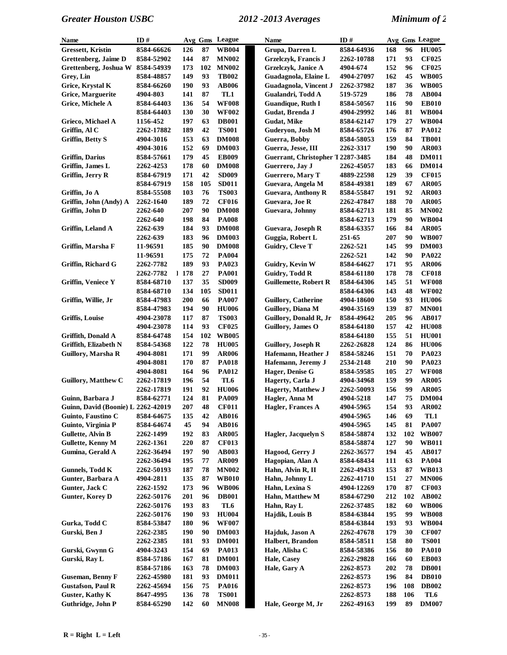| Name                                      | ID#                         |            | Avg Gms  | League                | Name                                           | ID#                      |            |          | Avg Gms League               |
|-------------------------------------------|-----------------------------|------------|----------|-----------------------|------------------------------------------------|--------------------------|------------|----------|------------------------------|
| <b>Gressett</b> , Kristin                 | 8584-66626                  | 126        | 87       | <b>WB004</b>          | Grupa, Darren L                                | 8584-64936               | 168        | 96       | <b>HU005</b>                 |
| Grettenberg, Jaime D                      | 8584-52902                  | 144        | 87       | <b>MN002</b>          | <b>Grzelczyk</b> , Francis J                   | 2262-10788               | 171        | 93       | <b>CF025</b>                 |
| Grettenberg, Joshua W                     | 8584-54939                  | 173        | 102      | <b>MN002</b>          | Grzelczyk, Janice A                            | 4904-674                 | 152        | 96       | <b>CF025</b>                 |
| Grey, Lin                                 | 8584-48857                  | 149        | 93       | <b>TB002</b>          | Guadagnola, Elaine L                           | 4904-27097               | 162        | 45       | <b>WB005</b>                 |
| Grice, Krystal K                          | 8584-66260                  | 190        | 93       | <b>AB006</b>          | Guadagnola, Vincent J                          | 2262-37982               | 187        | 36       | <b>WB005</b>                 |
| Grice, Marguerite                         | 4904-803                    | 141        | 87       | TL1                   | Gualandri, Todd A                              | 519-5729                 | 186        | 78       | <b>AB004</b>                 |
| Grice, Michele A                          | 8584-64403                  | 136        | 54       | <b>WF008</b>          | <b>Guandique, Ruth I</b>                       | 8584-50567               | 116        | 90       | <b>EB010</b>                 |
|                                           | 8584-64403                  | 130        | 30       | <b>WF002</b>          | Gudat, Brenda J                                | 4904-29992               | 146        | 81       | <b>WB004</b>                 |
| Grieco, Michael A                         | 1156-452                    | 197        | 63       | <b>DB001</b>          | <b>Gudat, Mike</b>                             | 8584-62147               | 179        | 27       | <b>WB004</b>                 |
| Griffin, Al C                             | 2262-17882                  | 189        | 42       | <b>TS001</b>          | Guderyon, Josh M                               | 8584-65726               | 176        | 87       | <b>PA012</b>                 |
| <b>Griffin</b> , Betty S                  | 4904-3016                   | 153        | 63       | <b>DM008</b>          | Guerra, Bobby                                  | 8584-58053               | 159        | 84       | <b>TB001</b>                 |
|                                           | 4904-3016                   | 152        | 69       | <b>DM003</b>          | Guerra, Jesse, III                             | 2262-3317                | 190        | 90       | <b>AR003</b>                 |
| Griffin, Darius                           | 8584-57661                  | 179        | 45       | <b>EB009</b>          | Guerrant, Christopher T 2287-3485              |                          | 184        | 48       | <b>DM011</b>                 |
| Griffin, James L                          | 2262-4253                   | 178        | 60       | <b>DM008</b>          | Guerrero, Jay J                                | 2262-45057               | 183        | 66       | <b>DM014</b>                 |
| Griffin, Jerry R                          | 8584-67919                  | 171        | 42       | <b>SD009</b>          | <b>Guerrero, Mary T</b>                        | 4889-22598               | 129        | 39       | <b>CF015</b>                 |
|                                           | 8584-67919                  | 158        | 105      | <b>SD011</b>          | Guevara, Angela M                              | 8584-49381               | 189        | 67       | <b>AR005</b>                 |
| Griffin, Jo A                             | 8584-55508                  | 103        | 76       | <b>TS003</b>          | <b>Guevara, Anthony R</b>                      | 8584-55847               | 191        | 92       | <b>AR003</b>                 |
| Griffin, John (Andy) A                    | 2262-1640                   | 189        | 72       | <b>CF016</b>          | Guevara, Joe R                                 | 2262-47847               | 188        | 70       | <b>AR005</b>                 |
| Griffin, John D                           | 2262-640                    | 207        | 90       | <b>DM008</b>          | Guevara, Johnny                                | 8584-62713               | 181        | 85       | <b>MN002</b>                 |
|                                           | 2262-640                    | 198        | 84       | <b>PA008</b>          |                                                | 8584-62713               | 179        | 90       | <b>WB004</b>                 |
| Griffin, Leland A                         | 2262-639                    | 184        | 93       | <b>DM008</b>          | Guevara, Joseph R                              | 8584-63357               | 166        | 84       | <b>AR005</b>                 |
|                                           | 2262-639                    | 183        | 96       | <b>DM003</b>          | Guggia, Robert L                               | 251-65                   | 207        | 90       | <b>WB007</b>                 |
| Griffin, Marsha F                         | 11-96591                    | 185        | 90       | <b>DM008</b>          | Guidry, Cleve T                                | 2262-521                 | 145        | 99       | <b>DM003</b>                 |
|                                           | 11-96591                    | 175<br>189 | 72       | <b>PA004</b>          |                                                | 2262-521                 | 142        | 90       | <b>PA022</b>                 |
| Griffin, Richard G                        | 2262-7782<br>2262-7782<br>L | 178        | 93<br>27 | PA023<br><b>PA001</b> | Guidry, Kevin W                                | 8584-64627<br>8584-61180 | 171<br>178 | 95<br>78 | <b>AR006</b><br><b>CF018</b> |
| Griffin, Veniece Y                        | 8584-68710                  | 137        | 35       | <b>SD009</b>          | Guidry, Todd R<br><b>Guillemette, Robert R</b> | 8584-64306               | 145        | 51       | <b>WF008</b>                 |
|                                           | 8584-68710                  | 134        | 105      | <b>SD011</b>          |                                                | 8584-64306               | 143        | 48       | <b>WF002</b>                 |
| Griffin, Willie, Jr                       | 8584-47983                  | 200        | 66       | <b>PA007</b>          | <b>Guillory, Catherine</b>                     | 4904-18600               | 150        | 93       | <b>HU006</b>                 |
|                                           | 8584-47983                  | 194        | 90       | <b>HU006</b>          | Guillory, Diana M                              | 4904-35169               | 139        | 87       | <b>MN001</b>                 |
| Griffis, Louise                           | 4904-23078                  | 117        | 87       | <b>TS003</b>          | Guillory, Donald R, Jr                         | 8584-49642               | 205        | 96       | AB017                        |
|                                           | 4904-23078                  | 114        | 93       | <b>CF025</b>          | Guillory, James O                              | 8584-64180               | 157        | 42       | <b>HU008</b>                 |
| Griffith, Donald A                        | 8584-64748                  | 154        | 102      | <b>WB005</b>          |                                                | 8584-64180               | 155        | 51       | <b>HU001</b>                 |
| Griffith, Elizabeth N                     | 8584-54368                  | 122        | 78       | <b>HU005</b>          | <b>Guillory, Joseph R</b>                      | 2262-26828               | 124        | 86       | <b>HU006</b>                 |
| Guillory, Marsha R                        | 4904-8081                   | 171        | 99       | <b>AR006</b>          | Hafemann, Heather J                            | 8584-58246               | 151        | 70       | PA023                        |
|                                           | 4904-8081                   | 170        | 87       | <b>PA018</b>          | Hafemann, Jeremy J                             | 2534-2148                | 210        | 90       | PA023                        |
|                                           | 4904-8081                   | 164        | 96       | <b>PA012</b>          | Hager, Denise G                                | 8584-59585               | 105        | 27       | <b>WF008</b>                 |
| <b>Guillory, Matthew C</b>                | 2262-17819                  | 196        | 54       | TL <sub>6</sub>       | Hagerty, Carla J                               | 4904-34968               | 159        | 99       | <b>AR005</b>                 |
|                                           | 2262-17819                  | 191        | 92       | <b>HU006</b>          | <b>Hagerty, Matthew J</b>                      | 2262-50093               | 156        | 99       | <b>AR005</b>                 |
| Guinn, Barbara J                          | 8584-62771                  | 124        | 81       | <b>PA009</b>          | Hagler, Anna M                                 | 4904-5218                | 147        | 75       | <b>DM004</b>                 |
| <b>Guinn, David (Boonie) L 2262-42019</b> |                             | 207        | 48       | <b>CF011</b>          | Hagler, Frances A                              | 4904-5965                | 154        | 93       | <b>AR002</b>                 |
| Guinto, Faustino C                        | 8584-64675                  | 135        | 42       | <b>AB016</b>          |                                                | 4904-5965                | 146        | 69       | TL1                          |
| Guinto, Virginia P                        | 8584-64674                  | 45         | 94       | <b>AB016</b>          |                                                | 4904-5965                | 145        | 81       | <b>PA007</b>                 |
| <b>Gullette, Alvin B</b>                  | 2262-1499                   | 192        | 83       | <b>AR005</b>          | <b>Hagler, Jacquelyn S</b>                     | 8584-58874               | 132        | 102      | <b>WB007</b>                 |
| Gullette, Kenny M                         | 2262-1361                   | 220        | 87       | <b>CF013</b>          |                                                | 8584-58874               | 127        | 90       | <b>WB011</b>                 |
| Gumina, Gerald A                          | 2262-36494                  | 197        | 90       | <b>AB003</b>          | Hagood, Gerry J                                | 2262-36577               | 194        | 45       | <b>AB017</b>                 |
|                                           | 2262-36494                  | 195        | 77       | <b>AR009</b>          | Hagopian, Alan A                               | 8584-68434               | 111        | 63       | <b>PA004</b>                 |
| Gunnels, Todd K                           | 2262-50193                  | 187        | 78       | <b>MN002</b>          | Hahn, Alvin R, II                              | 2262-49433               | 153        | 87       | <b>WB013</b>                 |
| Gunter, Barbara A                         | 4904-2811                   | 135        | 87       | <b>WB010</b>          | Hahn, Johnny L                                 | 2262-41710               | 151        | 27       | <b>MN006</b>                 |
| Gunter, Jack C                            | 2262-1592                   | 173        | 96       | <b>WB006</b>          | Hahn, Lexina S                                 | 4904-12269               | 170        | 87       | <b>CF003</b>                 |
| <b>Gunter, Korey D</b>                    | 2262-50176                  | 201        | 96       | <b>DB001</b>          | Hahn, Matthew M                                | 8584-67290               | 212        | 102      | <b>AB002</b>                 |
|                                           | 2262-50176                  | 193        | 83       | TL6                   | Hahn, Ray L                                    | 2262-37485               | 182        | 60       | <b>WB006</b>                 |
|                                           | 2262-50176                  | 190        | 93       | <b>HU004</b>          | Hajdik, Louis B                                | 8584-63844               | 195        | 99       | <b>WB008</b>                 |
| Gurka, Todd C                             | 8584-53847                  | 180        | 96       | <b>WF007</b>          |                                                | 8584-63844               | 193        | 93       | <b>WB004</b>                 |
| Gurski, Ben J                             | 2262-2385                   | 190        | 90       | <b>DM003</b>          | Hajduk, Jason A                                | 2262-47678               | 179        | 30       | <b>CF007</b>                 |
|                                           | 2262-2385                   | 181        | 93       | <b>DM001</b>          | Halbert, Brandon                               | 8584-58511               | 158        | 80       | <b>TS001</b>                 |
| Gurski, Gwynn G                           | 4904-3243                   | 154        | 69       | <b>PA013</b>          | Hale, Alisha C                                 | 8584-58386               | 156        | 80       | <b>PA010</b>                 |
| Gurski, Ray L                             | 8584-57186                  | 167        | 81       | <b>DM001</b>          | Hale, Casey                                    | 2262-29828               | 166        | 60       | <b>EB003</b>                 |
|                                           | 8584-57186                  | 163        | 78       | <b>DM003</b>          | Hale, Gary A                                   | 2262-8573                | 202        | 78       | <b>DB001</b>                 |
| <b>Guseman, Benny F</b>                   | 2262-45980                  | 181        | 93       | <b>DM011</b>          |                                                | 2262-8573                | 196        | 84       | <b>DB010</b>                 |
| <b>Gustafson, Paul R</b>                  | 2262-45694                  | 156        | 75       | <b>PA016</b>          |                                                | 2262-8573                | 196        | 108      | <b>DB002</b>                 |
| <b>Guster, Kathy K</b>                    | 8647-4995                   | 136        | 78       | <b>TS001</b>          |                                                | 2262-8573                | 188        | 106      | TL6                          |
| Guthridge, John P                         | 8584-65290                  | 142        | 60       | <b>MN008</b>          | Hale, George M, Jr                             | 2262-49163               | 199        | 89       | <b>DM007</b>                 |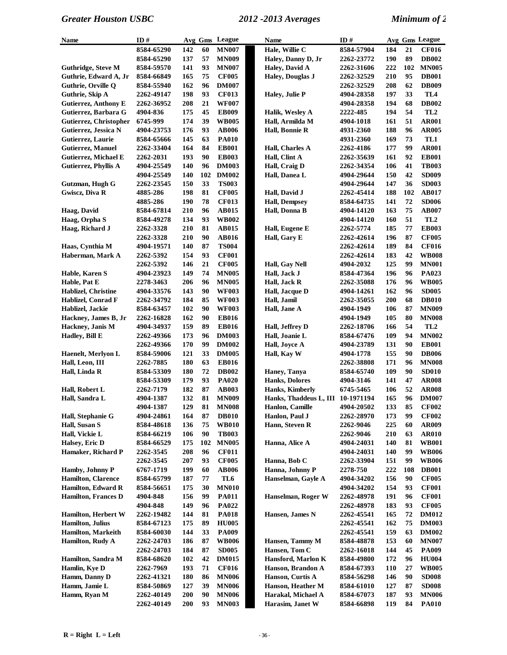| Name                        | ID#        | Avg Gms    |     | League       | Name                                  | ID#        |            |     | Avg Gms League  |
|-----------------------------|------------|------------|-----|--------------|---------------------------------------|------------|------------|-----|-----------------|
|                             | 8584-65290 | 142        | 60  | <b>MN007</b> | Hale, Willie C                        | 8584-57904 | 184        | 21  | <b>CF016</b>    |
|                             | 8584-65290 | 137        | 57  | <b>MN009</b> | Haley, Danny D, Jr                    | 2262-23772 | 190        | 89  | <b>DB002</b>    |
| <b>Guthridge, Steve M</b>   | 8584-59570 | 141        | 93  | <b>MN007</b> | Haley, David A                        | 2262-31606 | 222        | 102 | <b>MN005</b>    |
| Guthrie, Edward A, Jr       | 8584-66849 | 165        | 75  | <b>CF005</b> | <b>Haley, Douglas J</b>               | 2262-32529 | 210        | 95  | <b>DB001</b>    |
| Guthrie, Orville Q          | 8584-55940 | 162        | 96  | <b>DM007</b> |                                       | 2262-32529 | 208        | 62  | <b>DB009</b>    |
| Guthrie, Skip A             | 2262-49147 | 198        | 93  | <b>CF013</b> | Haley, Julie P                        | 4904-28358 | 197        | 33  | TL4             |
|                             |            | 208        | 21  | <b>WF007</b> |                                       |            | 194        | 68  | <b>DB002</b>    |
| <b>Gutierrez, Anthony E</b> | 2262-36952 |            |     |              |                                       | 4904-28358 |            |     |                 |
| Gutierrez, Barbara G        | 4904-836   | 175        | 45  | <b>EB009</b> | Halik, Wesley A                       | 2222-485   | 194        | 54  | TL <sub>2</sub> |
| Gutierrez, Christopher      | 6745-999   | 174        | 39  | <b>WB005</b> | Hall, Armilda M                       | 4904-1018  | 161        | 51  | <b>AR001</b>    |
| Gutierrez, Jessica N        | 4904-23753 | 176        | 93  | <b>AB006</b> | Hall, Bonnie R                        | 4931-2360  | 188        | 96  | <b>AR005</b>    |
| Gutierrez, Laurie           | 8584-65666 | 145        | 63  | <b>PA010</b> |                                       | 4931-2360  | 169        | 73  | TL1             |
| <b>Gutierrez, Manuel</b>    | 2262-33404 | 164        | 84  | <b>EB001</b> | Hall, Charles A                       | 2262-4186  | 177        | 99  | <b>AR001</b>    |
| <b>Gutierrez, Michael E</b> | 2262-2031  | 193        | 90  | <b>EB003</b> | Hall, Clint A                         | 2262-35639 | 161        | 92  | <b>EB001</b>    |
| Gutierrez, Phyllis A        | 4904-25549 | 140        | 96  | <b>DM003</b> | Hall, Craig D                         | 2262-34354 | 106        | 41  | <b>TB003</b>    |
|                             | 4904-25549 | 140        | 102 | <b>DM002</b> | Hall, Danea L                         | 4904-29644 | 150        | 42  | <b>SD009</b>    |
| Gutzman, Hugh G             | 2262-23545 | 150        | 33  | <b>TS003</b> |                                       | 4904-29644 | 147        | 36  | <b>SD003</b>    |
| Gwiscz, Diva R              | 4885-286   | 198        | 81  | <b>CF005</b> | Hall, David J                         | 2262-45414 | 188        | 102 | <b>AB017</b>    |
|                             | 4885-286   | 190        | 78  | <b>CF013</b> | <b>Hall, Dempsey</b>                  | 8584-64735 | 141        | 72  | <b>SD006</b>    |
| Haag, David                 | 8584-67814 | 210        | 96  | AB015        | Hall, Donna B                         | 4904-14120 | 163        | 75  | <b>AB007</b>    |
| Haag, Orpha S               | 8584-49278 | 134        | 93  | <b>WB002</b> |                                       | 4904-14120 | 160        | 51  | TL <sub>2</sub> |
| Haag, Richard J             | 2262-3328  | 210        | 81  | <b>AB015</b> | Hall, Eugene E                        | 2262-5774  | 185        | 77  | <b>EB003</b>    |
|                             | 2262-3328  | 210        | 90  | <b>AB016</b> | Hall, Gary E                          | 2262-42614 | 196        | 87  | <b>CF005</b>    |
| Haas, Cynthia M             | 4904-19571 | 140        | 87  | TS004        |                                       | 2262-42614 | 189        | 84  | <b>CF016</b>    |
| Haberman, Mark A            | 2262-5392  | 154        | 93  | <b>CF001</b> |                                       |            | 183        | 42  | <b>WB008</b>    |
|                             |            |            | 21  |              |                                       | 2262-42614 | 125        | 99  | <b>MN001</b>    |
|                             | 2262-5392  | 146        |     | <b>CF005</b> | Hall, Gay Nell                        | 4904-2032  |            |     |                 |
| Hable, Karen S              | 4904-23923 | 149        | 74  | <b>MN005</b> | Hall, Jack J                          | 8584-47364 | 196        | 96  | PA023           |
| Hable, Pat E                | 2278-3463  | 206        | 96  | <b>MN005</b> | <b>Hall, Jack R</b>                   | 2262-35088 | 176        | 96  | <b>WB005</b>    |
| Hablizel, Christine         | 4904-33576 | 143        | 90  | <b>WF003</b> | Hall, Jacque D                        | 4904-14261 | 162        | 96  | <b>SD005</b>    |
| Hablizel, Conrad F          | 2262-34792 | 184        | 85  | <b>WF003</b> | Hall, Jamil                           | 2262-35055 | 200        | 68  | <b>DB010</b>    |
| Hablizel, Jackie            | 8584-63457 | 102        | 90  | <b>WF003</b> | Hall, Jane A                          | 4904-1949  | 106        | 87  | <b>MN009</b>    |
| Hackney, James B, Jr        | 2262-16828 | 162        | 90  | <b>EB016</b> |                                       | 4904-1949  | 105        | 80  | <b>MN008</b>    |
| Hackney, Janis M            | 4904-34937 | 159        | 89  | <b>EB016</b> | Hall, Jeffrey D                       | 2262-18706 | 166        | 54  | TL <sub>2</sub> |
| <b>Hadley, Bill E</b>       | 2262-49366 | 173        | 96  | <b>DM003</b> | Hall, Joanie L                        | 8584-67476 | 109        | 94  | <b>MN002</b>    |
|                             | 2262-49366 | 170        | 99  | <b>DM002</b> | Hall, Joyce A                         | 4904-23789 | 131        | 90  | <b>EB001</b>    |
| Haenelt, Merlyon L          | 8584-59006 | 121        | 33  | <b>DM005</b> | Hall, Kay W                           | 4904-1778  | 155        | 90  | <b>DB006</b>    |
| Hall, Leon, III             | 2262-7885  | 180        | 63  | <b>EB016</b> |                                       | 2262-38808 | 171        | 96  | <b>MN008</b>    |
| Hall, Linda R               | 8584-53309 | 180        | 72  | <b>DB002</b> | Haney, Tanya                          | 8584-65740 | 109        | 90  | <b>SD010</b>    |
|                             | 8584-53309 | 179        | 93  | <b>PA020</b> | <b>Hanks, Dolores</b>                 | 4904-3146  | 141        | 47  | <b>AR008</b>    |
| Hall, Robert L              | 2262-7179  | 182        | 87  | <b>AB003</b> | Hanks, Kimberly                       | 6745-5465  | 106        | 52  | <b>AR008</b>    |
| Hall, Sandra L              | 4904-1387  | 132        | 81  | <b>MN009</b> | Hanks, Thaddeus L, III 10-1971194     |            | 165        | 96  | <b>DM007</b>    |
|                             | 4904-1387  | 129        | 81  | <b>MN008</b> | Hanlon, Camille                       | 4904-20502 | 133        | 85  | CF002           |
| Hall, Stephanie G           | 4904-24861 | 164        | 87  | <b>DB010</b> | Hanlon, Paul J                        | 2262-28970 | 173        | 99  | <b>CF002</b>    |
| Hall, Susan S               | 8584-48618 | 136        | 75  | <b>WB010</b> | Hann, Steven R                        | 2262-9046  | 225        | 60  | <b>AR009</b>    |
| Hall, Vickie L              | 8584-66219 | 106        | 90  | <b>TB003</b> |                                       | 2262-9046  | 210        | 63  | <b>AR010</b>    |
| Halsey, Eric D              | 8584-66529 | 175        | 102 | <b>MN005</b> | Hanna, Alice A                        | 4904-24031 | 140        | 81  | <b>WB001</b>    |
| Hamaker, Richard P          | 2262-3545  | 208        | 96  | <b>CF011</b> |                                       | 4904-24031 | 140        | 99  | <b>WB006</b>    |
|                             | 2262-3545  | 207        | 93  | <b>CF005</b> | Hanna, Bob C                          | 2262-33904 | 151        | 99  | <b>WB006</b>    |
| Hamby, Johnny P             | 6767-1719  | 199        | 60  | <b>AB006</b> | Hanna, Johnny P                       | 2278-750   | 222        | 108 | <b>DB001</b>    |
| <b>Hamilton, Clarence</b>   | 8584-65799 | 187        | 77  | TL6          | Hanselman, Gayle A                    | 4904-34202 | 156        | 90  | <b>CF005</b>    |
| Hamilton, Edward R          | 8584-56651 | 175        | 30  | <b>MN010</b> |                                       | 4904-34202 | 154        | 93  | <b>CF001</b>    |
| <b>Hamilton, Frances D</b>  | 4904-848   | 156        | 99  | <b>PA011</b> | Hanselman, Roger W                    | 2262-48978 | 191        | 96  | <b>CF001</b>    |
|                             | 4904-848   | 149        | 96  | <b>PA022</b> |                                       | 2262-48978 | 183        | 93  | <b>CF005</b>    |
| Hamilton, Herbert W         | 2262-19482 | 144        | 81  | <b>PA018</b> | Hansen, James N                       | 2262-45541 | 165        | 72  | <b>DM012</b>    |
| Hamilton, Julius            | 8584-67123 | 175        | 89  | <b>HU005</b> |                                       | 2262-45541 | 162        | 75  | <b>DM003</b>    |
| Hamilton, Markeith          | 8584-60030 | 144        | 33  | <b>PA009</b> |                                       | 2262-45541 | 159        | 63  | <b>DM002</b>    |
| Hamilton, Rudy A            | 2262-24703 | 186        | 87  | <b>WB006</b> | Hansen, Tammy M                       | 8584-48878 | 153        | 60  | <b>MN007</b>    |
|                             | 2262-24703 | 184        | 87  | <b>SD005</b> | Hansen, Tom C                         | 2262-16018 | 144        | 45  | <b>PA009</b>    |
| Hamilton, Sandra M          | 8584-68620 | 102        | 42  | <b>DM015</b> | Hansford, Marlon K                    | 8584-49800 | 172        | 96  | <b>HU004</b>    |
| Hamlin, Kye D               | 2262-7969  | 193        | 71  | <b>CF016</b> | Hanson, Brandon A                     | 8584-67393 | <b>110</b> | 27  | <b>WB005</b>    |
|                             |            | 180        | 86  |              |                                       |            | 146        | 90  |                 |
| Hamm, Danny D               | 2262-41321 | 127        | 39  | <b>MN006</b> | Hanson, Curtis A<br>Hanson, Heather M | 8584-56298 |            |     | <b>SD008</b>    |
| Hamm, Jamie L               | 8584-50869 |            |     | <b>MN006</b> |                                       | 8584-61010 | 127        | 87  | <b>SD008</b>    |
| Hamm, Ryan M                | 2262-40149 | <b>200</b> | 90  | <b>MN006</b> | Harakal, Michael A                    | 8584-67073 | 187        | 93  | <b>MN006</b>    |
|                             | 2262-40149 | <b>200</b> | 93  | <b>MN003</b> | Harasim, Janet W                      | 8584-66898 | 119        | 84  | <b>PA010</b>    |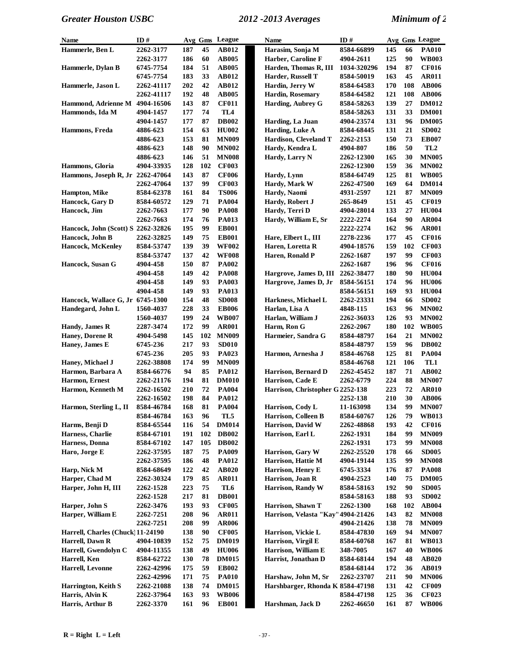| <b>Name</b>                        | ID#                    |            |          | Avg Gms League               | <b>Name</b>                           | ID#         |            |           | Avg Gms League               |
|------------------------------------|------------------------|------------|----------|------------------------------|---------------------------------------|-------------|------------|-----------|------------------------------|
| Hammerle, Ben L                    | 2262-3177              | 187        | 45       | <b>AB012</b>                 | Harasim, Sonja M                      | 8584-66899  | 145        | 66        | <b>PA010</b>                 |
|                                    | 2262-3177              | 186        | 60       | <b>AB005</b>                 | Harber, Caroline F                    | 4904-2611   | 125        | 90        | <b>WB003</b>                 |
| Hammerle, Dylan B                  | 6745-7754              | 184        | 51       | <b>AB005</b>                 | Harden, Thomas R, III                 | 1034-320296 | 194        | 87        | <b>CF016</b>                 |
|                                    | 6745-7754              | 183        | 33       | <b>AB012</b>                 | Harder, Russell T                     | 8584-50019  | 163        | 45        | <b>AR011</b>                 |
| Hammerle, Jason L                  | 2262-41117             | 202        | 42       | AB012                        | Hardin, Jerry W                       | 8584-64583  | 170        | 108       | <b>AB006</b>                 |
|                                    | 2262-41117             | 192        | 48       | <b>AB005</b>                 | Hardin, Rosemary                      | 8584-64582  | 121        | 108       | <b>AB006</b>                 |
| Hammond, Adrienne M                | 4904-16506             | 143        | 87       | <b>CF011</b>                 | <b>Harding, Aubrey G</b>              | 8584-58263  | 139        | 27        | <b>DM012</b>                 |
| Hammonds, Ida M                    | 4904-1457              | 177        | 74       | TL <sub>4</sub>              |                                       | 8584-58263  | 131        | 33        | <b>DM001</b>                 |
|                                    | 4904-1457              | 177        | 87       | <b>DB002</b>                 | Harding, La Juan                      | 4904-23574  | 131        | 96        | <b>DM005</b>                 |
| Hammons, Freda                     | 4886-623               | 154        | 63       | <b>HU002</b>                 | Harding, Luke A                       | 8584-68445  | 131        | 21        | <b>SD002</b>                 |
|                                    | 4886-623               | 153        | 81       | <b>MN009</b>                 | Hardison, Cleveland T                 | 2262-2153   | 150        | 73        | <b>EB007</b>                 |
|                                    | 4886-623               | 148        | 90       | <b>MN002</b>                 | Hardy, Kendra L                       | 4904-807    | 186        | 50        | TL <sub>2</sub>              |
|                                    | 4886-623               | 146        | 51       | <b>MN008</b>                 | Hardy, Larry N                        | 2262-12300  | 165        | 30        | <b>MN005</b>                 |
| Hammons, Gloria                    | 4904-33935             | 128        | 102      | <b>CF003</b>                 |                                       | 2262-12300  | 159        | 36        | <b>MN002</b>                 |
| Hammons, Joseph R, Jr 2262-47064   |                        | 143        | 87       | <b>CF006</b>                 | Hardy, Lynn                           | 8584-64749  | 125        | 81        | <b>WB005</b>                 |
|                                    | 2262-47064             | 137        | 99       | <b>CF003</b>                 | Hardy, Mark W                         | 2262-47500  | 169        | 64        | <b>DM014</b>                 |
| <b>Hampton</b> , Mike              | 8584-62378             | 161        | 84       | <b>TS006</b>                 | Hardy, Naomi                          | 4931-2597   | 121        | 87        | <b>MN009</b>                 |
| Hancock, Gary D                    | 8584-60572             | 129        | 71       | <b>PA004</b>                 | Hardy, Robert J                       | 265-8649    | 151        | 45        | <b>CF019</b>                 |
| Hancock, Jim                       | 2262-7663              | 177        | 90       | <b>PA008</b>                 | Hardy, Terri D                        | 4904-28014  | 133        | 27        | <b>HU004</b>                 |
|                                    | 2262-7663              | 174        | 76       | <b>PA013</b>                 | Hardy, William E, Sr                  | 2222-2274   | 164        | 90        | <b>AR004</b>                 |
| Hancock, John (Scott) S 2262-32826 |                        | 195        | 99       | <b>EB001</b>                 |                                       | 2222-2274   | 162        | 96        | <b>AR001</b>                 |
| Hancock, John B                    | 2262-32825             | 149        | 75       | <b>EB001</b>                 | Hare, Elbert L, III                   | 2278-2236   | 177        | 45        | <b>CF016</b>                 |
| <b>Hancock, McKenley</b>           | 8584-53747             | 139        | 39       | <b>WF002</b>                 | Haren, Loretta R                      | 4904-18576  | 159        | 102       | <b>CF003</b>                 |
|                                    | 8584-53747             | 137        | 42       | <b>WF008</b>                 | Haren, Ronald P                       | 2262-1687   | 197        | 99        | <b>CF003</b>                 |
| Hancock, Susan G                   | 4904-458               | 150        | 87       | <b>PA002</b>                 |                                       | 2262-1687   | 196        | 96        | <b>CF016</b>                 |
|                                    | 4904-458               | 149        | 42       | <b>PA008</b>                 | Hargrove, James D, III                | 2262-38477  | 180        | 90        | <b>HU004</b>                 |
|                                    | 4904-458               | 149        | 93       | <b>PA003</b>                 | Hargrove, James D, Jr                 | 8584-56151  | 174        | 96        | <b>HU006</b>                 |
|                                    | 4904-458               | 149        | 93       | <b>PA013</b>                 |                                       | 8584-56151  | 169        | 93        | <b>HU004</b>                 |
| Hancock, Wallace G, Jr 6745-1300   |                        | 154        | 48       | <b>SD008</b>                 | Harkness, Michael L                   | 2262-23331  | 194        | 66        | <b>SD002</b>                 |
| Handegard, John L                  | 1560-4037              | 228        | 33       | <b>EB006</b>                 | Harlan, Lisa A                        | 4848-115    | 163        | 96        | <b>MN002</b>                 |
|                                    | 1560-4037              | 199        | 24       | <b>WB007</b>                 | Harlan, William J                     | 2262-36033  | 126        | 93        | <b>MN002</b>                 |
| Handy, James R                     | 2287-3474              | 172        | 99       | <b>AR001</b>                 | Harm, Ron G                           | 2262-2067   | 180        | 102       | <b>WB005</b>                 |
| Haney, Dorene R                    | 4904-5498              | 145        | 102      | <b>MN009</b>                 | Harmeier, Sandra G                    | 8584-48797  | 164        | 21        | <b>MN002</b>                 |
| Haney, James E                     | 6745-236               | 217        | 93       | <b>SD010</b>                 |                                       | 8584-48797  | 159        | 96        | <b>DB002</b>                 |
|                                    | 6745-236               | 205        | 93       | PA023                        | Harmon, Arnesha J                     | 8584-46768  | 125        | 81        | <b>PA004</b>                 |
| Haney, Michael J                   | 2262-38808             | 174        | 99       | <b>MN009</b>                 |                                       | 8584-46768  | 121        | 106       | TL1                          |
| Harmon, Barbara A                  | 8584-66776             | 94         | 85       | <b>PA012</b>                 | Harrison, Bernard D                   | 2262-45452  | 187        | 71        | <b>AB002</b>                 |
| Harmon, Ernest                     | 2262-21176             | 194        | 81       | <b>DM010</b>                 | Harrison, Cade E                      | 2262-6779   | 224        | 88        | <b>MN007</b>                 |
| Harmon, Kenneth M                  | 2262-16502             | 210        | 72       | <b>PA004</b>                 | Harrison, Christopher G 2252-138      |             | 223        | 72        | <b>AR010</b>                 |
|                                    | 2262-16502             | 198        | 84       | <b>PA012</b>                 |                                       | 2252-138    | 210        | 30        | <b>AB006</b>                 |
| Harmon, Sterling L, II             | 8584-46784             | 168        | 81       | <b>PA004</b>                 | Harrison, Cody L                      | 11-163098   | 134        | 99        | <b>MN007</b>                 |
|                                    | 8584-46784             | 163        | 96       | TL5                          | Harrison, Colleen B                   | 8584-60767  | 126        | 79        | <b>WB013</b>                 |
| Harms, Benji D                     | 8584-65544             | 116        | 54       | <b>DM014</b>                 | Harrison, David W                     | 2262-48868  | 193        | 42        | <b>CF016</b>                 |
| Harness, Charlie                   | 8584-67101             | 191        | 102      | <b>DB002</b>                 | Harrison, Earl L                      | 2262-1931   | 184        | 99        | <b>MN009</b>                 |
| Harness, Donna                     | 8584-67102             | 147        | 105      | <b>DB002</b>                 |                                       | 2262-1931   | 173        | 99        | <b>MN008</b>                 |
| Haro, Jorge E                      | 2262-37595             | 187        | 75       | <b>PA009</b>                 | Harrison, Gary W                      | 2262-25520  | 178        | 66        | <b>SD005</b>                 |
|                                    | 2262-37595             | 186        | 48       | <b>PA012</b>                 | Harrison, Hattie M                    | 4904-19144  | 135        | 99        | <b>MN008</b>                 |
| Harp, Nick M                       | 8584-68649             | 122        | 42       | <b>AB020</b>                 | Harrison, Henry E<br>Harrison, Joan R | 6745-3334   | 176        | 87        | <b>PA008</b>                 |
| Harper, Chad M                     | 2262-30324             | 179        | 85       | <b>AR011</b>                 | Harrison, Randy W                     | 4904-2523   | <b>140</b> | 75        | <b>DM005</b>                 |
| Harper, John H, III                | 2262-1528              | 223        | 75       | TL6                          |                                       | 8584-58163  | 192        | 90        | <b>SD005</b><br><b>SD002</b> |
| Harper, John S                     | 2262-1528              | 217        | 81<br>93 | <b>DB001</b>                 | Harrison, Shawn T                     | 8584-58163  | 188        | 93        |                              |
| Harper, William E                  | 2262-3476<br>2262-7251 | 193<br>208 | 96       | <b>CF005</b><br><b>AR011</b> | Harrison, Velasta "Kay" 4904-21426    | 2262-1300   | 168<br>143 | 102<br>82 | AB004<br><b>MN008</b>        |
|                                    | 2262-7251              | 208        | 99       | <b>AR006</b>                 |                                       | 4904-21426  | 138        | 78        | <b>MN009</b>                 |
| Harrell, Charles (Chuck) 11-24190  |                        | 138        | 90       | <b>CF005</b>                 | Harrison, Vickie L                    | 8584-47830  | 169        | 94        | <b>MN007</b>                 |
| Harrell, Dawn R                    | 4904-10839             | 152        | 75       | <b>DM019</b>                 | Harrison, Virgil E                    | 8584-60768  | 167        | 81        | <b>WB013</b>                 |
| Harrell, Gwendolyn C               | 4904-11355             | 138        | 49       | <b>HU006</b>                 | Harrison, William E                   | 348-7005    | 167        | 40        | <b>WB006</b>                 |
| Harrell, Ken                       | 8584-62722             | 130        | 78       | <b>DM015</b>                 | Harrist, Jonathan D                   | 8584-68144  | 194        | 48        | AB020                        |
| Harrell, Levonne                   | 2262-42996             | 175        | 59       | <b>EB002</b>                 |                                       | 8584-68144  | 172        | 36        | <b>AB019</b>                 |
|                                    | 2262-42996             | 171        | 75       | <b>PA010</b>                 | Harshaw, John M, Sr                   | 2262-23707  | 211        | 90        | <b>MN006</b>                 |
| <b>Harrington, Keith S</b>         | 2262-21088             | 138        | 74       | <b>DM015</b>                 | Harshbarger, Rhonda K 8584-47198      |             | 131        | 42        | <b>CF009</b>                 |
| Harris, Alvin K                    | 2262-37964             | 163        | 93       | <b>WB006</b>                 |                                       | 8584-47198  | 125        | 36        | <b>CF023</b>                 |
| Harris, Arthur B                   | 2262-3370              | 161        | 96       | <b>EB001</b>                 | Harshman, Jack D                      | 2262-46650  | 161        | 87        | <b>WB006</b>                 |
|                                    |                        |            |          |                              |                                       |             |            |           |                              |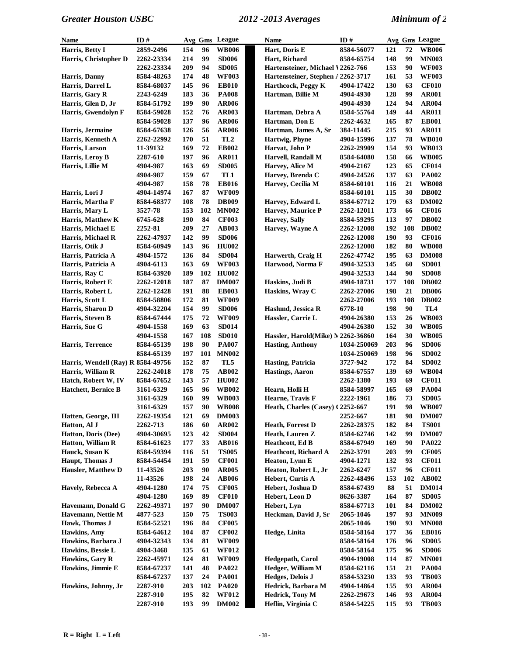| Name                               | ID#               |     |     | Avg Gms League            | <b>Name</b>                        | ID#         |     |     | Avg Gms League  |
|------------------------------------|-------------------|-----|-----|---------------------------|------------------------------------|-------------|-----|-----|-----------------|
| Harris, Betty I                    | 2859-2496         | 154 | 96  | <b>WB006</b>              | Hart, Doris E                      | 8584-56077  | 121 | 72  | <b>WB006</b>    |
| Harris, Christopher D              | 2262-23334        | 214 | 99  | <b>SD006</b>              | Hart, Richard                      | 8584-65754  | 148 | 99  | <b>MN003</b>    |
|                                    | 2262-23334        | 209 | 94  | <b>SD005</b>              | Hartensteiner, Michael V2262-766   |             | 153 | 90  | <b>WF003</b>    |
| Harris, Danny                      | 8584-48263        | 174 | 48  | <b>WF003</b>              | Hartensteiner, Stephen A2262-3717  |             | 161 | 53  | <b>WF003</b>    |
| Harris, Darrel L                   | 8584-68037        | 145 | 96  | <b>EB010</b>              | Harthcock, Peggy K                 | 4904-17422  | 130 | 63  | <b>CF010</b>    |
| Harris, Gary R                     | 2243-6249         | 183 | 36  | <b>PA008</b>              | Hartman, Billie M                  | 4904-4930   | 128 | 99  | <b>AR001</b>    |
| Harris, Glen D, Jr                 | 8584-51792        | 199 | 90  | <b>AR006</b>              |                                    | 4904-4930   | 124 | 94  | <b>AR004</b>    |
| Harris, Gwendolyn F                | 8584-59028        | 152 | 76  | <b>AR003</b>              | Hartman, Debra A                   | 8584-55764  | 149 | 44  | AR011           |
|                                    | 8584-59028        | 137 | 96  | <b>AR006</b>              | Hartman, Don E                     | 2262-4632   | 165 | 87  | <b>EB001</b>    |
| Harris, Jermaine                   | 8584-67638        | 126 | 56  | <b>AR006</b>              | Hartman, James A, Sr               | 384-11445   | 215 | 93  | <b>AR011</b>    |
| Harris, Kenneth A                  | 2262-22992        | 170 | 51  | TL <sub>2</sub>           | Hartwig, Phyne                     | 4904-15996  | 137 | 78  | <b>WB010</b>    |
|                                    |                   | 169 | 72  | <b>EB002</b>              | Harvat, John P                     |             | 154 | 93  | <b>WB013</b>    |
| Harris, Larson                     | 11-39132          |     |     |                           |                                    | 2262-29909  |     |     |                 |
| Harris, Leroy B                    | <b>2287-610</b>   | 197 | 96  | <b>AR011</b>              | Harvell, Randall M                 | 8584-64080  | 158 | 66  | <b>WB005</b>    |
| Harris, Lillie M                   | 4904-987          | 163 | 69  | <b>SD005</b>              | Harvey, Alice M                    | 4904-2167   | 123 | 65  | <b>CF014</b>    |
|                                    | 4904-987          | 159 | 67  | TL1                       | Harvey, Brenda C                   | 4904-24526  | 137 | 63  | <b>PA002</b>    |
|                                    | 4904-987          | 158 | 78  | <b>EB016</b>              | Harvey, Cecilia M                  | 8584-60101  | 116 | 21  | <b>WB008</b>    |
| Harris, Lori J                     | 4904-14974        | 167 | 87  | <b>WF009</b>              |                                    | 8584-60101  | 115 | 30  | <b>DB002</b>    |
| Harris, Martha F                   | 8584-68377        | 108 | 78  | <b>DB009</b>              | Harvey, Edward L                   | 8584-67712  | 179 | 63  | <b>DM002</b>    |
| Harris, Mary L                     | 3527-78           | 153 | 102 | <b>MN002</b>              | Harvey, Maurice P                  | 2262-12011  | 173 | 66  | <b>CF016</b>    |
| Harris, Matthew K                  | 6745-628          | 190 | 84  | <b>CF003</b>              | <b>Harvey</b> , Sally              | 8584-59295  | 113 | 97  | <b>DB002</b>    |
| Harris, Michael E                  | 2252-81           | 209 | 27  | <b>AB003</b>              | Harvey, Wayne A                    | 2262-12008  | 192 | 108 | <b>DB002</b>    |
| Harris, Michael R                  | 2262-47937        | 142 | 99  | <b>SD006</b>              |                                    | 2262-12008  | 190 | 93  | <b>CF016</b>    |
| Harris, Otik J                     | 8584-60949        | 143 | 96  | <b>HU002</b>              |                                    | 2262-12008  | 182 | 80  | <b>WB008</b>    |
| Harris, Patricia A                 | 4904-1572         | 136 | 84  | <b>SD004</b>              | Harwerth, Craig H                  | 2262-47742  | 195 | 63  | <b>DM008</b>    |
| Harris, Patricia A                 | 4904-6113         | 163 | 69  | <b>WF003</b>              | Harwood, Norma F                   | 4904-32533  | 145 | 60  | <b>SD001</b>    |
| Harris, Ray C                      | 8584-63920        | 189 | 102 | <b>HU002</b>              |                                    | 4904-32533  | 144 | 90  | <b>SD008</b>    |
| Harris, Robert E                   | <b>2262-12018</b> | 187 | 87  | <b>DM007</b>              | Haskins, Judi B                    | 4904-18731  | 177 | 108 | <b>DB002</b>    |
| Harris, Robert L                   | 2262-12428        | 191 | 88  | <b>EB003</b>              | Haskins, Wray C                    | 2262-27006  | 198 | 21  | <b>DB006</b>    |
| Harris, Scott L                    | 8584-58806        | 172 | 81  | <b>WF009</b>              |                                    | 2262-27006  | 193 | 108 | <b>DB002</b>    |
| Harris, Sharon D                   | 4904-32204        | 154 | 99  | <b>SD006</b>              | Haslund, Jessica R                 | 6778-10     | 198 | 90  | TL <sub>4</sub> |
| Harris, Steven B                   | 8584-67444        | 175 | 72  | <b>WF009</b>              | Hassler, Carrie L                  | 4904-26380  | 153 | 26  | <b>WB003</b>    |
| Harris, Sue G                      | 4904-1558         | 169 | 63  | <b>SD014</b>              |                                    | 4904-26380  | 152 | 30  | <b>WB005</b>    |
|                                    | 4904-1558         | 167 | 108 | <b>SD010</b>              | Hassler, Harold(Mike) N 2262-36860 |             | 164 | 30  | <b>WB005</b>    |
| <b>Harris, Terrence</b>            | 8584-65139        | 198 | 90  | <b>PA007</b>              | <b>Hasting, Anthony</b>            | 1034-250069 | 203 | 96  | <b>SD006</b>    |
|                                    | 8584-65139        | 197 | 101 | <b>MN002</b>              |                                    | 1034-250069 | 198 | 96  | <b>SD002</b>    |
| Harris, Wendell (Ray) R 8584-49756 |                   | 152 | 87  | TL5                       | <b>Hasting, Patricia</b>           | 3727-942    | 172 | 84  | <b>SD002</b>    |
| Harris, William R                  | 2262-24018        | 178 | 75  | <b>AB002</b>              | <b>Hastings</b> , Aaron            | 8584-67557  | 139 | 69  | <b>WB004</b>    |
| Hatch, Robert W, IV                | 8584-67652        | 143 | 57  | <b>HU002</b>              |                                    | 2262-1380   | 193 | 69  | <b>CF011</b>    |
| <b>Hatchett</b> , Bernice B        | 3161-6329         | 165 | 96  | <b>WB002</b>              | Hearn, Holli H                     | 8584-58997  | 165 | 69  | <b>PA004</b>    |
|                                    | 3161-6329         | 160 | 99  | <b>WB003</b>              | Hearne, Travis F                   | 2222-1961   | 186 | 73  | <b>SD005</b>    |
|                                    | 3161-6329         | 157 | 90  | $\mathbf{W}\mathbf{B008}$ | Heath, Charles (Casey) (2252-667   |             | 191 | 98  | <b>WB007</b>    |
| Hatten, George, III                | 2262-19354        | 121 | 69  | <b>DM003</b>              |                                    | 2252-667    | 181 | 98  | <b>DM007</b>    |
| Hatton, Al J                       | 2262-713          | 186 | 60  | <b>AR002</b>              | <b>Heath, Forrest D</b>            | 2262-28375  | 182 | 84  | <b>TS001</b>    |
| Hatton, Doris (Dee)                | 4904-30695        | 123 | 42  | <b>SD004</b>              | Heath, Lauren Z                    | 8584-62746  | 142 | 99  | <b>DM007</b>    |
| <b>Hatton, William R</b>           |                   |     | 33  |                           | <b>Heathcott</b> , Ed B            |             |     | 90  |                 |
|                                    | 8584-61623        | 177 |     | <b>AB016</b>              | Heathcott, Richard A               | 8584-67949  | 169 |     | PA022           |
| Hauck, Susan K                     | 8584-59394        | 116 | 51  | <b>TS005</b>              |                                    | 2262-3791   | 203 | 99  | <b>CF005</b>    |
| Haupt, Thomas J                    | 8584-54454        | 191 | 59  | <b>CF001</b>              | Heaton, Lynn E                     | 4904-1271   | 132 | 93  | <b>CF011</b>    |
| <b>Hausler, Matthew D</b>          | 11-43526          | 203 | 90  | <b>AR005</b>              | Heaton, Robert L, Jr               | 2262-6247   | 157 | 96  | <b>CF011</b>    |
|                                    | 11-43526          | 198 | 24  | <b>AB006</b>              | Hebert, Curtis A                   | 2262-48496  | 153 | 102 | <b>AB002</b>    |
| Havely, Rebecca A                  | 4904-1280         | 174 | 75  | <b>CF005</b>              | Hebert, Joshua D                   | 8584-67439  | 88  | 51  | <b>DM014</b>    |
|                                    | 4904-1280         | 169 | 89  | <b>CF010</b>              | Hebert, Leon D                     | 8626-3387   | 164 | 87  | <b>SD005</b>    |
| Havemann, Donald G                 | 2262-49371        | 197 | 90  | <b>DM007</b>              | Hebert, Lyn                        | 8584-67713  | 101 | 84  | <b>DM002</b>    |
| Havemann, Nettie M                 | 4877-523          | 150 | 75  | <b>TS003</b>              | Heckman, David J, Sr               | 2065-1046   | 197 | 93  | <b>MN009</b>    |
| Hawk, Thomas J                     | 8584-52521        | 196 | 84  | <b>CF005</b>              |                                    | 2065-1046   | 190 | 93  | <b>MN008</b>    |
| Hawkins, Amy                       | 8584-64612        | 104 | 87  | <b>CF002</b>              | Hedge, Linita                      | 8584-58164  | 177 | 36  | <b>EB016</b>    |
| Hawkins, Barbara J                 | 4904-32343        | 134 | 81  | <b>WF009</b>              |                                    | 8584-58164  | 176 | 96  | <b>SD005</b>    |
| Hawkins, Bessie L                  | 4904-3468         | 135 | 61  | <b>WF012</b>              |                                    | 8584-58164  | 175 | 96  | <b>SD006</b>    |
| Hawkins, Gary R                    | 2262-45971        | 124 | 81  | <b>WF009</b>              | Hedgepath, Carol                   | 4904-19008  | 114 | 87  | <b>MN001</b>    |
| Hawkins, Jimmie E                  | 8584-67237        | 141 | 48  | <b>PA022</b>              | Hedger, William M                  | 8584-62116  | 151 | 21  | <b>PA004</b>    |
|                                    | 8584-67237        | 137 | 24  | <b>PA001</b>              | Hedges, Delois J                   | 8584-53230  | 133 | 93  | <b>TB003</b>    |
| Hawkins, Johnny, Jr                | 2287-910          | 203 | 102 | <b>PA020</b>              | Hedrick, Barbara M                 | 4904-14864  | 155 | 93  | <b>AR004</b>    |
|                                    | 2287-910          | 195 | 82  | <b>WF012</b>              | <b>Hedrick</b> , Tony M            | 2262-29673  | 146 | 93  | <b>AR004</b>    |
|                                    | 2287-910          | 193 | 99  | <b>DM002</b>              | Heflin, Virginia C                 | 8584-54225  | 115 | 93  | <b>TB003</b>    |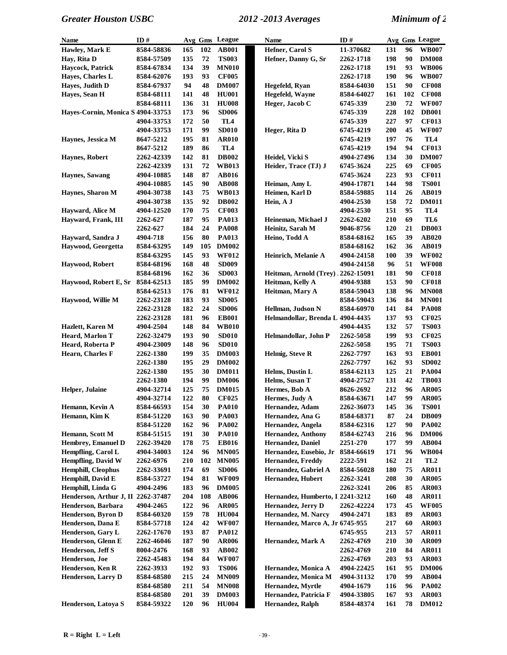| Name                               | ID#        |     |     | Avg Gms League  | Name                               | ID#        |            |     | Avg Gms League  |
|------------------------------------|------------|-----|-----|-----------------|------------------------------------|------------|------------|-----|-----------------|
| Hawley, Mark E                     | 8584-58836 | 165 | 102 | <b>AB001</b>    | Hefner, Carol S                    | 11-370682  | 131        | 96  | <b>WB007</b>    |
| Hay, Rita D                        | 8584-57509 | 135 | 72  | <b>TS003</b>    | Hefner, Danny G, Sr                | 2262-1718  | 198        | 90  | <b>DM008</b>    |
| Haycock, Patrick                   | 8584-67834 | 134 | 39  | <b>MN010</b>    |                                    | 2262-1718  | 191        | 93  | <b>WB006</b>    |
| Hayes, Charles L                   | 8584-62076 | 193 | 93  | <b>CF005</b>    |                                    | 2262-1718  | 190        | 96  | <b>WB007</b>    |
| Hayes, Judith D                    | 8584-67937 | 94  | 48  | <b>DM007</b>    | Hegefeld, Ryan                     | 8584-64030 | 151        | 90  | <b>CF008</b>    |
| Hayes, Sean H                      | 8584-68111 | 141 | 48  | <b>HU001</b>    | Hegefeld, Wayne                    | 8584-64027 | 161        | 102 | <b>CF008</b>    |
|                                    | 8584-68111 | 136 | 31  | <b>HU008</b>    | Heger, Jacob C                     | 6745-339   | 230        | 72  | <b>WF007</b>    |
| Hayes-Cornin, Monica S 4904-33753  |            | 173 | 96  | <b>SD006</b>    |                                    | 6745-339   | 228        | 102 | <b>DB001</b>    |
|                                    | 4904-33753 | 172 | 50  | TL <sub>4</sub> |                                    | 6745-339   | 227        | 97  | <b>CF013</b>    |
|                                    | 4904-33753 | 171 | 99  | <b>SD010</b>    | Heger, Rita D                      | 6745-4219  | 200        | 45  | <b>WF007</b>    |
| Haynes, Jessica M                  | 8647-5212  | 195 | 81  | <b>AR010</b>    |                                    | 6745-4219  | 197        | 76  | TL <sub>4</sub> |
|                                    | 8647-5212  | 189 | 86  | TL <sub>4</sub> |                                    | 6745-4219  | 194        | 94  | <b>CF013</b>    |
| <b>Haynes, Robert</b>              | 2262-42339 | 142 | 81  | <b>DB002</b>    | Heidel, Vicki S                    | 4904-27496 | 134        | 30  | <b>DM007</b>    |
|                                    | 2262-42339 | 131 | 72  | <b>WB013</b>    | Heider, Trace (TJ) J               | 6745-3624  | 225        | 69  | <b>CF005</b>    |
| Haynes, Sawang                     | 4904-10885 | 148 | 87  | <b>AB016</b>    |                                    | 6745-3624  | 223        | 93  | <b>CF011</b>    |
|                                    | 4904-10885 | 145 | 90  | <b>AB008</b>    | Heiman, Amy L                      | 4904-17871 | 144        | 98  | <b>TS001</b>    |
| Haynes, Sharon M                   | 4904-30738 | 143 | 75  | <b>WB013</b>    | Heimen, Karl D                     | 8584-59885 | 114        | 26  | <b>AB019</b>    |
|                                    | 4904-30738 | 135 | 92  | <b>DB002</b>    | Hein, A J                          | 4904-2530  | 158        | 72  | <b>DM011</b>    |
| Hayward, Alice M                   | 4904-12520 | 170 | 75  | <b>CF003</b>    |                                    | 4904-2530  | 151        | 95  | TL <sub>4</sub> |
| Hayward, Frank, III                | 2262-627   | 187 | 95  | <b>PA013</b>    | Heineman, Michael J                | 2262-6202  | 210        | 69  | TL6             |
|                                    | 2262-627   | 184 | 24  | <b>PA008</b>    | Heinitz, Sarah M                   | 9046-8756  | 120        | 21  | <b>DB003</b>    |
| Hayward, Sandra J                  | 4904-718   | 156 | 80  | <b>PA013</b>    | Heino, Todd A                      | 8584-68162 | 165        | 39  | <b>AB020</b>    |
| Haywood, Georgetta                 | 8584-63295 | 149 | 105 | <b>DM002</b>    |                                    | 8584-68162 | 162        | 36  | <b>AB019</b>    |
|                                    | 8584-63295 | 145 | 93  | <b>WF012</b>    | Heinrich, Melanie A                | 4904-24158 | 100        | 39  | <b>WF002</b>    |
| Haywood, Robert                    | 8584-68196 | 168 | 48  | <b>SD009</b>    |                                    | 4904-24158 | 96         | 51  | <b>WF008</b>    |
|                                    | 8584-68196 | 162 | 36  | <b>SD003</b>    | Heitman, Arnold (Trey), 2262-15091 |            | 181        | 90  | <b>CF018</b>    |
| Haywood, Robert E, Sr              | 8584-62513 | 185 | 99  | <b>DM002</b>    | Heitman, Kelly A                   | 4904-9388  | 153        | 90  | <b>CF018</b>    |
|                                    | 8584-62513 | 176 | 81  | <b>WF012</b>    | Heitman, Mary A                    | 8584-59043 | 138        | 96  | <b>MN008</b>    |
| Haywood, Willie M                  | 2262-23128 | 183 | 93  | <b>SD005</b>    |                                    | 8584-59043 | 136        | 84  | <b>MN001</b>    |
|                                    | 2262-23128 | 182 | 24  | <b>SD006</b>    | Hellman, Judson N                  | 8584-60970 | 141        | 84  | <b>PA008</b>    |
|                                    | 2262-23128 | 181 | 96  | <b>EB001</b>    | Helmandollar, Brenda L 4904-4435   |            | 137        | 93  | <b>CF025</b>    |
| Hazlett, Karen M                   | 4904-2504  | 148 | 84  | <b>WB010</b>    |                                    | 4904-4435  | 132        | 57  | <b>TS003</b>    |
| Heard, Marlon T                    | 2262-32479 | 193 | 90  | <b>SD010</b>    | Helmandollar, John P               | 2262-5058  | 199        | 93  | <b>CF025</b>    |
| Heard, Roberta P                   | 4904-23009 | 148 | 96  | <b>SD010</b>    |                                    | 2262-5058  | 195        | 71  | <b>TS003</b>    |
| Hearn, Charles F                   | 2262-1380  | 199 | 35  | <b>DM003</b>    | Helmig, Steve R                    | 2262-7797  | 163        | 93  | <b>EB001</b>    |
|                                    | 2262-1380  | 195 | 29  | <b>DM002</b>    |                                    | 2262-7797  | 162        | 93  | <b>SD002</b>    |
|                                    | 2262-1380  | 195 | 30  | <b>DM011</b>    | Helms, Dustin L                    | 8584-62113 | 125        | 21  | <b>PA004</b>    |
|                                    | 2262-1380  | 194 | 99  | <b>DM006</b>    | Helms, Susan T                     | 4904-27527 | 131        | 42  | <b>TB003</b>    |
| Helper, Julaine                    | 4904-32714 | 125 | 75  | <b>DM015</b>    | Hermes, Bob A                      | 8626-2692  | 212        | 96  | <b>AR005</b>    |
|                                    | 4904-32714 | 122 | 80  | <b>CF025</b>    | Hermes, Judy A                     | 8584-63671 | 147        | 99  | <b>AR005</b>    |
| Hemann, Kevin A                    | 8584-66593 | 154 | 30  | <b>PA010</b>    | Hernandez, Adam                    | 2262-36073 | 145        | 36  | <b>TS001</b>    |
| Hemann, Kim K                      | 8584-51220 | 163 | 90  | <b>PA003</b>    | Hernandez, Ana G                   | 8584-68371 | 87         | 24  | <b>DB009</b>    |
|                                    | 8584-51220 | 162 | 96  | <b>PA002</b>    | Hernandez, Angela                  | 8584-62316 | 127        | 90  | <b>PA002</b>    |
| Hemann, Scott M                    | 8584-51515 | 191 | 30  | <b>PA010</b>    | <b>Hernandez, Anthony</b>          | 8584-62743 | 216        | 96  | <b>DM006</b>    |
| Hembrey, Emanuel D                 | 2262-39420 | 178 | 75  | <b>EB016</b>    | Hernandez, Daniel                  | 2251-270   | 177        | 99  | <b>AB004</b>    |
| Hempfling, Carol L                 | 4904-34003 | 124 | 96  | <b>MN005</b>    | Hernandez, Eusebio, Jr             | 8584-66619 | 171        | 96  | <b>WB004</b>    |
| <b>Hempfling, David W</b>          | 2262-6976  | 210 | 102 | <b>MN005</b>    | <b>Hernandez, Freddy</b>           | 2222-591   | 162        | 21  | TL <sub>2</sub> |
| Hemphill, Cleophus                 | 2262-33691 | 174 | 69  | <b>SD006</b>    | Hernandez, Gabriel A               | 8584-56028 | <b>180</b> | 75  | <b>AR011</b>    |
| Hemphill, David E                  | 8584-53727 | 194 | 81  | <b>WF009</b>    | Hernandez, Hubert                  | 2262-3241  | 208        | 30  | <b>AR005</b>    |
| Hemphill, Linda G                  | 4904-2496  | 183 | 96  | <b>DM005</b>    |                                    | 2262-3241  | 206        | 85  | <b>AR003</b>    |
| Henderson, Arthur J, II 2262-37487 |            | 204 | 108 | <b>AB006</b>    | Hernandez, Humberto, I 2241-3212   |            | 160        | 48  | <b>AR011</b>    |
| Henderson, Barbara                 | 4904-2465  | 122 | 96  | <b>AR005</b>    | Hernandez, Jerry D                 | 2262-42224 | 173        | 45  | <b>WF005</b>    |
| Henderson, Byron D                 | 8584-60320 | 159 | 78  | <b>HU004</b>    | Hernandez, M. Narcy                | 4904-2471  | 183        | 89  | <b>AR003</b>    |
| Henderson, Dana E                  | 8584-57718 | 124 | 42  | <b>WF007</b>    | Hernandez, Marco A, Jr 6745-955    |            | 217        | 60  | <b>AR003</b>    |
| Henderson, Gary L                  | 2262-17670 | 193 | 87  | <b>PA012</b>    |                                    | 6745-955   | 213        | 57  | <b>AR011</b>    |
| Henderson, Glenn E                 | 2262-46046 | 187 | 90  | <b>AR006</b>    | Hernandez, Mark A                  | 2262-4769  | 210        | 30  | <b>AR009</b>    |
| Henderson, Jeff S                  | 8004-2476  | 168 | 93  | <b>AB002</b>    |                                    | 2262-4769  | 210        | 84  | <b>AR011</b>    |
| Henderson, Joe                     | 2262-45483 | 194 | 84  | <b>WF007</b>    |                                    | 2262-4769  | 203        | 93  | <b>AR003</b>    |
| Henderson, Ken R                   | 2262-3933  | 192 | 93  | <b>TS006</b>    | Hernandez, Monica A                | 4904-22425 | 161        | 95  | <b>DM006</b>    |
| <b>Henderson, Larry D</b>          | 8584-68580 | 215 | 24  | <b>MN009</b>    | Hernandez, Monica M                | 4904-31132 | 170        | 99  | AB004           |
|                                    | 8584-68580 | 211 | 54  | <b>MN008</b>    | Hernandez, Myrtle                  | 4904-1679  | 116        | 96  | <b>PA002</b>    |
|                                    | 8584-68580 | 201 | 39  | <b>DM003</b>    | Hernandez, Patricia F              | 4904-33805 | 167        | 93  | <b>AR003</b>    |
| Henderson, Latoya S                | 8584-59322 | 120 | 96  | <b>HU004</b>    | Hernandez, Ralph                   | 8584-48374 | 161        | 78  | <b>DM012</b>    |
|                                    |            |     |     |                 |                                    |            |            |     |                 |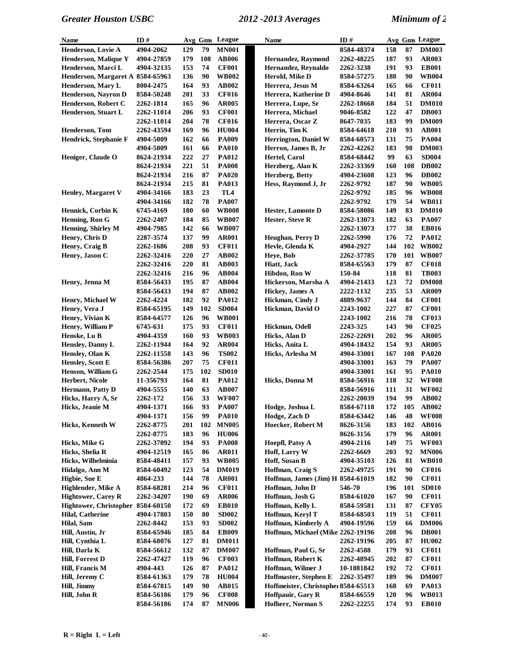| Name                              | ID#        |            | Avg Gms | League          | Name                                | ID#        |     |     | Avg Gms League |
|-----------------------------------|------------|------------|---------|-----------------|-------------------------------------|------------|-----|-----|----------------|
| Henderson, Lovie A                | 4904-2062  | 129        | 79      | <b>MN001</b>    |                                     | 8584-48374 | 158 | 87  | <b>DM003</b>   |
| <b>Henderson, Malique Y</b>       | 4904-27859 | 179        | 108     | <b>AB006</b>    | <b>Hernandez, Raymond</b>           | 2262-48225 | 187 | 93  | <b>AR003</b>   |
| Henderson, Marci L                | 4904-32135 | 153        | 74      | <b>CF001</b>    | Hernandez, Revnaldo                 | 2262-3238  | 191 | 93  | <b>EB001</b>   |
| Henderson, Margaret A 8584-65963  |            | 136        | 90      | <b>WB002</b>    | Herold, Mike D                      | 8584-57275 | 188 | 90  | <b>WB004</b>   |
| <b>Henderson, Mary L</b>          | 8004-2475  | 164        | 93      | AB002           | Herrera, Jesus M                    | 8584-63264 | 165 | 66  | <b>CF011</b>   |
| Henderson, Nayron D               | 8584-50248 | 201        | 33      | <b>CF016</b>    | Herrera, Katherine D                | 4904-8646  | 141 | 81  | <b>AR004</b>   |
| Henderson, Robert C               | 2262-1814  | 165        | 96      | <b>AR005</b>    | Herrera, Lupe, Sr                   | 2262-18668 | 184 | 51  | <b>DM010</b>   |
| Henderson, Stuart L               | 2262-11014 | 206        | 93      | <b>CF001</b>    | Herrera, Michael                    | 9046-8582  | 122 | 47  | <b>DB003</b>   |
|                                   | 2262-11014 | 204        | 78      | <b>CF016</b>    | Herrera, Oscar Z                    | 8647-7035  | 183 | 99  | <b>DM009</b>   |
| Henderson, Tom                    | 2262-43594 | 169        | 96      | <b>HU004</b>    | Herrin, Tim K                       | 8584-64618 | 210 | 93  | <b>AB001</b>   |
|                                   |            |            |         | <b>PA009</b>    |                                     |            |     |     |                |
| Hendrick, Stephanie F             | 4904-5009  | 162        | 66      |                 | <b>Herrington, Daniel W</b>         | 8584-60573 | 131 | 75  | <b>PA004</b>   |
|                                   | 4904-5009  | 161        | 66      | <b>PA010</b>    | Herron, James B, Jr                 | 2262-42262 | 183 | 98  | <b>DM003</b>   |
| Heniger, Claude O                 | 8624-21934 | 222        | 27      | <b>PA012</b>    | Hertel, Carol                       | 8584-68442 | 99  | 63  | <b>SD004</b>   |
|                                   | 8624-21934 | 221        | 51      | <b>PA008</b>    | Herzberg, Alan K                    | 2262-33369 | 160 | 108 | <b>DB002</b>   |
|                                   | 8624-21934 | 216        | 87      | <b>PA020</b>    | Herzberg, Betty                     | 4904-23608 | 123 | 96  | <b>DB002</b>   |
|                                   | 8624-21934 | 215        | 81      | <b>PA013</b>    | Hess, Raymond J, Jr                 | 2262-9792  | 187 | 90  | <b>WB005</b>   |
| <b>Henley, Margaret V</b>         | 4904-34166 | 183        | 23      | TL <sub>4</sub> |                                     | 2262-9792  | 185 | 96  | <b>WB008</b>   |
|                                   | 4904-34166 | 182        | 78      | <b>PA007</b>    |                                     | 2262-9792  | 179 | 54  | <b>WB011</b>   |
| Hennick, Corbin K                 | 6745-4169  | 180        | 60      | <b>WB008</b>    | <b>Hester, Lamonte D</b>            | 8584-58086 | 149 | 83  | <b>DM010</b>   |
| Henning, Ron G                    | 2262-2407  | 184        | 85      | <b>WB007</b>    | Hester, Steve R                     | 2262-13073 | 182 | 63  | <b>PA007</b>   |
| Henning, Shirley M                | 4904-7985  | 142        | 66      | <b>WB007</b>    |                                     | 2262-13073 | 177 | 38  | <b>EB016</b>   |
| Henry, Chris D                    | 2287-3574  | 137        | 99      | <b>AR001</b>    | Heughan, Perry D                    | 2262-5990  | 176 | 72  | <b>PA012</b>   |
| Henry, Craig B                    | 2262-1686  | 208        | 93      | <b>CF011</b>    | Hevle, Glenda K                     | 4904-2927  | 144 | 102 | <b>WB002</b>   |
| Henry, Jason C                    | 2262-32416 | 220        | 27      | AB002           | Heye, Bob                           | 2262-37785 | 170 | 101 | <b>WB007</b>   |
|                                   | 2262-32416 | 220        | 81      | <b>AB003</b>    | Hiatt, Jack                         | 8584-65563 | 179 | 87  | <b>CF018</b>   |
|                                   |            |            |         |                 |                                     |            |     | 81  |                |
|                                   | 2262-32416 | 216        | 96      | <b>AB004</b>    | Hibdon, Ron W                       | 150-84     | 118 |     | <b>TB003</b>   |
| Henry, Jenna M                    | 8584-56433 | 195        | 87      | <b>AB004</b>    | Hickerson, Marsha A                 | 4904-21433 | 123 | 72  | <b>DM008</b>   |
|                                   | 8584-56433 | 194        | 87      | AB002           | <b>Hickey</b> , James A             | 2222-1132  | 235 | 53  | <b>AR009</b>   |
| Henry, Michael W                  | 2262-4224  | 182        | 92      | <b>PA012</b>    | Hickman, Cindy J                    | 4889-9637  | 144 | 84  | <b>CF001</b>   |
| Henry, Vera J                     | 8584-65195 | 149        | 102     | <b>SD004</b>    | Hickman, David O                    | 2243-1002  | 227 | 87  | <b>CF001</b>   |
| Henry, Vivian K                   | 8584-64577 | 126        | 96      | <b>WB001</b>    |                                     | 2243-1002  | 216 | 78  | <b>CF013</b>   |
| Henry, William P                  | 6745-631   | 175        | 93      | <b>CF011</b>    | Hickman, Odell                      | 2243-325   | 143 | 90  | <b>CF025</b>   |
| Henske, Lu B                      | 4904-4359  | 160        | 93      | <b>WB003</b>    | Hicks, Alan D                       | 2262-22691 | 202 | 96  | <b>AR005</b>   |
| Hensley, Danny L                  | 2262-11944 | 164        | 92      | <b>AR004</b>    | Hicks, Anita L                      | 4904-18432 | 154 | 93  | <b>AR005</b>   |
| Hensley, Olan K                   | 2262-11558 | 143        | 96      | <b>TS002</b>    | Hicks, Arlesha M                    | 4904-33001 | 167 | 108 | <b>PA020</b>   |
| Hensley, Scott E                  | 8584-56386 | 207        | 75      | <b>CF011</b>    |                                     | 4904-33001 | 163 | 79  | <b>PA007</b>   |
| Henson, William G                 | 2262-2544  | 175        | 102     | <b>SD010</b>    |                                     | 4904-33001 | 161 | 95  | <b>PA010</b>   |
| Herbert, Nicole                   | 11-356793  | 164        | 81      | <b>PA012</b>    | Hicks, Donna M                      | 8584-56916 | 118 | 32  | <b>WF008</b>   |
| Hermann, Patty D                  | 4904-5555  | 140        | 63      | <b>AB007</b>    |                                     | 8584-56916 | 111 | 31  | <b>WF002</b>   |
| Hicks, Harry A, Sr                | 2262-172   | 156        | 33      | <b>WF007</b>    |                                     | 2262-20039 | 194 | 99  | AB002          |
|                                   |            | 166        | 93      | <b>PA007</b>    |                                     | 8584-67118 | 172 |     | 105 AB002      |
| Hicks, Jeanie M                   | 4904-1371  |            |         |                 | Hodge, Joshua L                     |            |     |     |                |
|                                   | 4904-1371  | 156        | 99      | <b>PA010</b>    | Hodge, Zach D                       | 8584-63442 | 146 | 48  | <b>WF008</b>   |
| Hicks, Kenneth W                  | 2262-8775  | 201        | 102     | <b>MN005</b>    | Hoecker, Robert M                   | 8626-3156  | 183 | 102 | <b>AB016</b>   |
|                                   | 2262-8775  | 183        | 96      | <b>HU006</b>    |                                     | 8626-3156  | 179 | 96  | <b>AR001</b>   |
| Hicks, Mike G                     | 2262-37092 | 194        | 93      | <b>PA008</b>    | Hoepfl, Patsy A                     | 4904-2116  | 149 | 75  | <b>WF003</b>   |
| Hicks, Shelia R                   | 4904-12519 | 165        | 86      | <b>AR011</b>    | Hoff, Larry W                       | 2262-6669  | 203 | 92  | <b>MN006</b>   |
| Hicks, Wilhelminia                | 8584-48411 | 157        | 93      | <b>WB005</b>    | Hoff, Susan B                       | 4904-35103 | 126 | 81  | <b>WB010</b>   |
| Hidalgo, Ann M                    | 8584-60492 | 123        | 54      | <b>DM019</b>    | Hoffman, Craig S                    | 2262-49725 | 191 | 90  | <b>CF016</b>   |
| Higbie, Sue E                     | 4864-233   | 144        | 78      | <b>AR001</b>    | Hoffman, James (Jim) H 8584-61019   |            | 182 | 90  | <b>CF011</b>   |
| Highlender, Mike A                | 8584-68281 | 214        | 96      | <b>CF011</b>    | Hoffman, John D                     | 546-70     | 196 | 101 | <b>SD010</b>   |
| <b>Hightower, Carey R</b>         | 2262-34207 | <b>190</b> | 69      | <b>AR006</b>    | Hoffman, Josh G                     | 8584-61020 | 167 | 90  | <b>CF011</b>   |
| Hightower, Christopher 8584-60150 |            | 172        | 69      | <b>EB010</b>    | Hoffman, Kelly L                    | 8584-59581 | 131 | 87  | <b>CFY05</b>   |
| <b>Hilal, Catherine</b>           | 4904-17803 | 150        | 80      | <b>SD002</b>    | Hoffman, Keryl T                    | 8584-68503 | 119 | 51  | <b>CF011</b>   |
| Hilal, Sam                        | 2262-8442  | 153        | 93      | <b>SD002</b>    | Hoffman, Kimberly A                 | 4904-19596 | 159 | 66  | <b>DM006</b>   |
| Hill, Austin, Jr                  | 8584-65946 | 185        | 84      | <b>EB009</b>    | Hoffman, Michael (Mike 2262-19196   |            | 208 | 96  | <b>DB001</b>   |
| Hill, Cynthia L                   | 8584-68076 | 127        | 81      | <b>DM011</b>    |                                     | 2262-19196 | 205 | 87  | <b>HU002</b>   |
|                                   |            |            |         |                 |                                     |            |     |     |                |
| Hill, Darla K                     | 8584-56612 | 132        | 87      | <b>DM007</b>    | Hoffman, Paul G, Sr                 | 2262-4588  | 179 | 93  | <b>CF011</b>   |
| Hill, Forrest D                   | 2262-47427 | 119        | 96      | <b>CF003</b>    | Hoffman, Robert K                   | 2262-48945 | 202 | 87  | <b>CF011</b>   |
| Hill, Francis M                   | 4904-443   | 126        | 87      | <b>PA012</b>    | Hoffman, Wilmer J                   | 10-1881842 | 192 | 72  | <b>CF011</b>   |
| Hill, Jeremy C                    | 8584-61363 | 179        | 78      | <b>HU004</b>    | Hoffmaster, Stephen E               | 2262-35497 | 189 | 96  | <b>DM007</b>   |
| Hill, Jimmy                       | 8584-67815 | 149        | 90      | <b>AB015</b>    | Hoffmeister, Christopher 8584-65513 |            | 168 | 69  | <b>PA013</b>   |
| Hill, John R                      | 8584-56186 | 179        | 96      | <b>CF008</b>    | Hoffpauir, Gary R                   | 8584-66559 | 120 | 96  | <b>WB013</b>   |
|                                   | 8584-56186 | 174        | 87      | <b>MN006</b>    | Hofherr, Norman S                   | 2262-22255 | 174 | 93  | <b>EB010</b>   |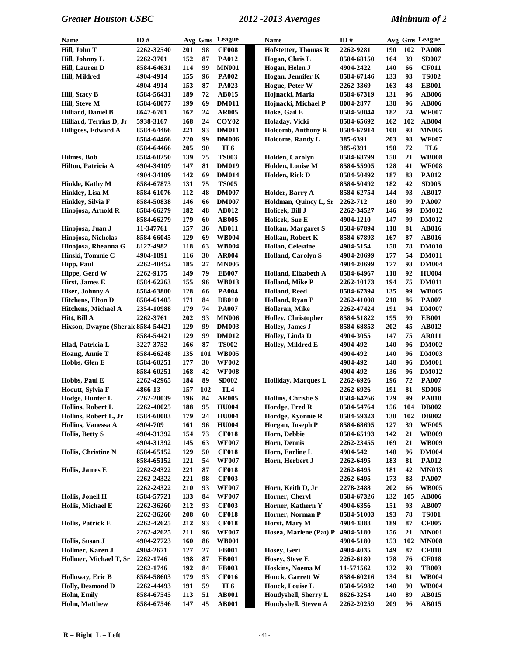| Name                                | ID#        |     |     | Avg Gms League    | Name                        | ID#        |     |     | Avg Gms League |
|-------------------------------------|------------|-----|-----|-------------------|-----------------------------|------------|-----|-----|----------------|
| Hill, John T                        | 2262-32540 | 201 | 98  | <b>CF008</b>      | <b>Hofstetter, Thomas R</b> | 2262-9281  | 190 | 102 | <b>PA008</b>   |
| Hill, Johnny L                      | 2262-3701  | 152 | 87  | <b>PA012</b>      | Hogan, Chris L              | 8584-68150 | 164 | 39  | <b>SD007</b>   |
| Hill, Lauren D                      | 8584-64631 | 114 | 99  | <b>MN001</b>      | Hogan, Helen J              | 4904-2422  | 140 | 66  | <b>CF011</b>   |
| Hill, Mildred                       | 4904-4914  | 155 | 96  | <b>PA002</b>      | Hogan, Jennifer K           | 8584-67146 | 133 | 93  | <b>TS002</b>   |
|                                     | 4904-4914  | 153 | 87  | PA023             | Hogue, Peter W              | 2262-3369  | 163 | 48  | <b>EB001</b>   |
| Hill, Stacy B                       | 8584-56431 | 189 | 72  | <b>AB015</b>      | Hojnacki, Maria             | 8584-67319 | 131 | 96  | <b>AB006</b>   |
| Hill, Steve M                       | 8584-68077 | 199 | 69  | <b>DM011</b>      | Hojnacki, Michael P         | 8004-2877  | 138 | 96  | <b>AB006</b>   |
| Hilliard, Daniel B                  | 8647-6701  | 162 | 24  | <b>AR005</b>      | Hoke, Gail E                | 8584-50044 | 182 | 74  | <b>WF007</b>   |
| Hilliard, Terrius D, Jr             | 5938-3167  | 168 | 24  | COY <sub>02</sub> | Holaday, Vicki              | 8584-65692 | 162 | 102 | <b>AB004</b>   |
| Hilligoss, Edward A                 | 8584-64466 | 221 | 93  | <b>DM011</b>      | Holcomb, Anthony R          | 8584-67914 | 108 | 93  | <b>MN005</b>   |
|                                     | 8584-64466 | 220 | 99  | <b>DM006</b>      | Holcome, Randy L            | 385-6391   | 203 | 93  | <b>WF007</b>   |
|                                     | 8584-64466 | 205 | 90  | TL6               |                             | 385-6391   | 198 | 72  | TL6            |
| Hilmes, Bob                         | 8584-68250 | 139 | 75  | <b>TS003</b>      | Holden, Carolyn             | 8584-68799 | 150 | 21  | <b>WB008</b>   |
| Hilton, Patricia A                  | 4904-34109 | 147 | 81  | <b>DM019</b>      | Holden, Louise M            | 8584-55905 | 128 | 41  | <b>WF008</b>   |
|                                     | 4904-34109 | 142 | 69  | <b>DM014</b>      | Holden, Rick D              | 8584-50492 | 187 | 83  | <b>PA012</b>   |
| Hinkle, Kathy M                     | 8584-67873 | 131 | 75  | <b>TS005</b>      |                             | 8584-50492 | 182 | 42  | <b>SD005</b>   |
| Hinkley, Lisa M                     | 8584-61076 | 112 | 48  | <b>DM007</b>      | Holder, Barry A             | 8584-62754 | 144 | 93  | <b>AB017</b>   |
| Hinkley, Silvia F                   | 8584-50838 | 146 | 66  | <b>DM007</b>      | Holdman, Quincy L, Sr       | 2262-712   | 180 | 99  | <b>PA007</b>   |
| Hinojosa, Arnold R                  | 8584-66279 | 182 | 48  | <b>AB012</b>      | Holicek, Bill J             | 2262-34527 | 146 | 99  | <b>DM012</b>   |
|                                     | 8584-66279 | 179 | 60  | <b>AB005</b>      | Holicek, Sue E              | 4904-1210  | 147 | 99  | <b>DM012</b>   |
| Hinojosa, Juan J                    | 11-347761  | 157 | 36  | <b>AB011</b>      | Holkan, Margaret S          | 8584-67894 | 118 | 81  | AB016          |
| Hinojosa, Nicholas                  | 8584-66045 | 129 | 69  | <b>WB004</b>      | Holkan, Robert K            | 8584-67893 | 167 | 87  | AB016          |
| Hinojosa, Rheanna G                 | 8127-4982  | 118 | 63  | <b>WB004</b>      | Hollan, Celestine           | 4904-5154  | 158 | 78  | <b>DM010</b>   |
| Hinski, Tommie C                    | 4904-1891  | 116 | 30  | <b>AR004</b>      | <b>Holland, Carolyn S</b>   | 4904-20699 | 177 | 54  | <b>DM011</b>   |
| <b>Hipp, Paul</b>                   | 2262-48452 | 185 | 27  | <b>MN005</b>      |                             | 4904-20699 | 177 | 93  | <b>DM004</b>   |
| Hippe, Gerd W                       | 2262-9175  | 149 | 79  | <b>EB007</b>      | Holland, Elizabeth A        | 8584-64967 | 118 | 92  | <b>HU004</b>   |
| Hirst, James E                      | 8584-62263 | 155 | 96  | <b>WB013</b>      | <b>Holland, Mike P</b>      | 2262-10173 | 194 | 75  | <b>DM011</b>   |
| Hiser, Johnny A                     | 8584-63800 | 128 | 66  | <b>PA004</b>      | <b>Holland, Reed</b>        | 8584-67394 | 135 | 99  | <b>WB005</b>   |
| Hitchens, Elton D                   | 8584-61405 | 171 | 84  | <b>DB010</b>      | Holland, Ryan P             | 2262-41008 | 218 | 86  | <b>PA007</b>   |
| Hitchens, Michael A                 | 2354-10988 | 179 | 74  | <b>PA007</b>      | Holleran, Mike              | 2262-47424 | 191 | 94  | <b>DM007</b>   |
| Hitt, Bill A                        | 2262-3761  | 202 | 93  | <b>MN006</b>      | Holley, Christopher         | 8584-51822 | 195 | 99  | <b>EB001</b>   |
| Hixson, Dwayne (Sherald 8584-54421) |            | 129 | 99  | <b>DM003</b>      | Holley, James J             | 8584-68853 | 202 | 45  | AB012          |
|                                     | 8584-54421 | 129 | 99  | <b>DM012</b>      | Holley, Linda D             | 4904-3055  | 147 | 75  | <b>AR011</b>   |
| Hlad, Patricia L                    | 3227-3752  | 166 | 87  | <b>TS002</b>      | Holley, Mildred E           | 4904-492   | 140 | 96  | <b>DM002</b>   |
| Hoang, Annie T                      | 8584-66248 | 135 | 101 | <b>WB005</b>      |                             | 4904-492   | 140 | 96  | <b>DM003</b>   |
| Hobbs, Glen E                       | 8584-60251 | 177 | 30  | <b>WF002</b>      |                             | 4904-492   | 140 | 96  | <b>DM001</b>   |
|                                     | 8584-60251 | 168 | 42  | <b>WF008</b>      |                             | 4904-492   | 136 | 96  | <b>DM012</b>   |
| Hobbs, Paul E                       | 2262-42965 | 184 | 89  | <b>SD002</b>      | <b>Holliday, Marques L</b>  | 2262-6926  | 196 | 72  | <b>PA007</b>   |
| Hocutt, Sylvia F                    | 4866-13    | 157 | 102 | TL <sub>4</sub>   |                             | 2262-6926  | 191 | 81  | <b>SD006</b>   |
| Hodge, Hunter L                     | 2262-20039 | 196 | 84  | <b>AR005</b>      | Hollins, Christie S         | 8584-64266 | 129 | 99  | <b>PA010</b>   |
| Hollins, Robert L                   | 2262-48025 | 188 | 95  | <b>HU004</b>      | Hordge, Fred R              | 8584-54764 | 156 | 104 | <b>DB002</b>   |
| Hollins, Robert L, Jr               | 8584-60083 | 179 | 24  | <b>HU004</b>      | Hordge, Kyonnie R           | 8584-59323 | 138 | 102 | <b>DB002</b>   |
| Hollins, Vanessa A                  | 4904-709   | 161 | 96  | <b>HU004</b>      | Horgan, Joseph P            | 8584-68695 | 127 | 39  | <b>WF005</b>   |
| <b>Hollis, Betty S</b>              | 4904-31392 | 154 | 73  | <b>CF018</b>      | Horn, Debbie                | 8584-65193 | 142 | 21  | <b>WB009</b>   |
|                                     | 4904-31392 | 145 | 63  | <b>WF007</b>      | Horn, Dennis                | 2262-23455 | 169 | 21  | <b>WB009</b>   |
| Hollis, Christine N                 | 8584-65152 | 129 | 50  | <b>CF018</b>      | Horn, Earline L             | 4904-542   | 148 | 96  | <b>DM004</b>   |
|                                     | 8584-65152 | 121 | 54  | <b>WF007</b>      | Horn, Herbert J             | 2262-6495  | 183 | 81  | <b>PA012</b>   |
| Hollis, James E                     | 2262-24322 | 221 | 87  | <b>CF018</b>      |                             | 2262-6495  | 181 | 42  | <b>MN013</b>   |
|                                     | 2262-24322 | 221 | 98  | <b>CF003</b>      |                             | 2262-6495  | 173 | 83  | <b>PA007</b>   |
|                                     | 2262-24322 | 210 | 93  | <b>WF007</b>      | Horn, Keith D, Jr           | 2278-2488  | 202 | 66  | <b>WB005</b>   |
| Hollis, Jonell H                    | 8584-57721 | 133 | 84  | <b>WF007</b>      | Horner, Cheryl              | 8584-67326 | 132 | 105 | <b>AB006</b>   |
| Hollis, Michael E                   | 2262-36260 | 212 | 93  | <b>CF003</b>      | Horner, Kathern Y           | 4904-6356  | 151 | 93  | <b>AB007</b>   |
|                                     | 2262-36260 | 208 | 60  | <b>CF018</b>      | Horner, Norman P            | 8584-51003 | 193 | 78  | <b>TS001</b>   |
| Hollis, Patrick E                   | 2262-42625 | 212 | 93  | <b>CF018</b>      | Horst, Mary M               | 4904-3888  | 189 | 87  | <b>CF005</b>   |
|                                     | 2262-42625 | 211 | 96  | <b>WF007</b>      | Hosea, Marlene (Pat) P      | 4904-5180  | 156 | 21  | <b>MN001</b>   |
| Hollis, Susan J                     | 4904-27723 | 160 | 86  | <b>WB001</b>      |                             | 4904-5180  | 153 | 102 | <b>MN008</b>   |
| Hollmer, Karen J                    | 4904-2671  | 127 | 27  | <b>EB001</b>      | Hosey, Geri                 | 4904-4035  | 149 | 87  | <b>CF018</b>   |
| Hollmer, Michael T, Sr              | 2262-1746  | 198 | 87  | <b>EB001</b>      | Hosey, Steve E              | 2262-6180  | 178 | 76  | <b>CF018</b>   |
|                                     | 2262-1746  | 192 | 84  | <b>EB003</b>      | Hoskins, Noema M            | 11-571562  | 132 | 93  | <b>TB003</b>   |
| Holloway, Eric B                    | 8584-58603 | 179 | 93  | <b>CF016</b>      | <b>Houck, Garrett W</b>     | 8584-60216 | 134 | 81  | <b>WB004</b>   |
| Holly, Desmond D                    | 2262-44493 | 191 | 59  | TL6               | Houck, Louise L             | 8584-56982 | 140 | 90  | <b>WB004</b>   |
| Holm, Emily                         | 8584-67545 | 113 | 51  | <b>AB001</b>      | Houdyshell, Sherry L        | 8626-3254  | 140 | 89  | <b>AB015</b>   |
| <b>Holm, Matthew</b>                | 8584-67546 | 147 | 45  | <b>AB001</b>      | Houdyshell, Steven A        | 2262-20259 | 209 | 96  | <b>AB015</b>   |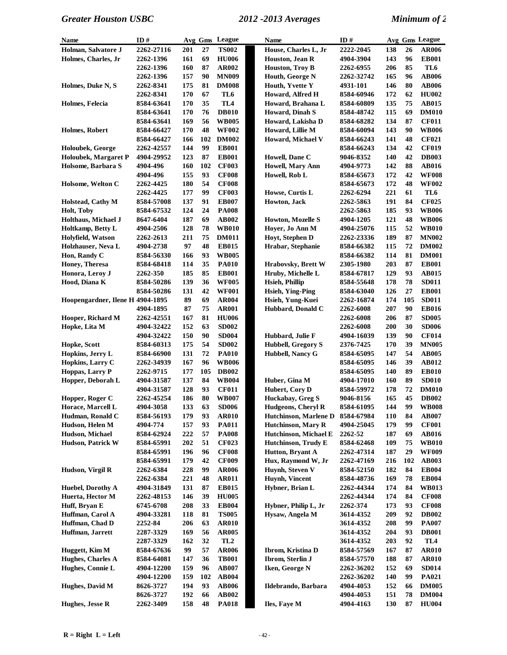| Name                             | ID#        |     |     | Avg Gms League  | <b>Name</b>               | ID#        |     |     | Avg Gms League |
|----------------------------------|------------|-----|-----|-----------------|---------------------------|------------|-----|-----|----------------|
| Holman, Salvatore J              | 2262-27116 | 201 | 27  | <b>TS002</b>    | House, Charles L, Jr      | 2222-2045  | 138 | 26  | <b>AR006</b>   |
| Holmes, Charles, Jr              | 2262-1396  | 161 | 69  | <b>HU006</b>    | Houston, Jean R           | 4904-3904  | 143 | 96  | <b>EB001</b>   |
|                                  | 2262-1396  | 160 | 87  | AR002           | <b>Houston, Troy B</b>    | 2262-6955  | 206 | 85  | TL6            |
|                                  | 2262-1396  | 157 | 90  | <b>MN009</b>    | Houth, George N           | 2262-32742 | 165 | 96  | <b>AB006</b>   |
| Holmes, Duke N, S                | 2262-8341  | 175 | 81  | <b>DM008</b>    | Houth, Yvette Y           | 4931-101   | 146 | 80  | <b>AB006</b>   |
|                                  | 2262-8341  | 170 | 67  | TL6             | Howard, Alfred H          | 8584-60946 | 172 | 62  | <b>HU002</b>   |
| Holmes, Felecia                  | 8584-63641 | 170 | 35  | TL <sub>4</sub> | Howard, Brahana L         | 8584-60809 | 135 | 75  | <b>AB015</b>   |
|                                  | 8584-63641 | 170 | 76  | <b>DB010</b>    | <b>Howard, Dinah S</b>    | 8584-48742 | 115 | 69  | <b>DM010</b>   |
|                                  | 8584-63641 | 169 | 56  | <b>WB005</b>    | Howard, Lakisha D         | 8584-68282 | 134 | 87  | <b>CF011</b>   |
| Holmes, Robert                   | 8584-66427 | 170 | 48  | <b>WF002</b>    | Howard, Lillie M          | 8584-60094 | 143 | 90  | <b>WB006</b>   |
|                                  | 8584-66427 | 166 | 102 | <b>DM002</b>    | Howard, Michael V         | 8584-66243 | 141 | 48  | <b>CF021</b>   |
| <b>Holoubek, George</b>          | 2262-42557 | 144 | 99  | <b>EB001</b>    |                           | 8584-66243 | 134 | 42  | <b>CF019</b>   |
| Holoubek, Margaret P             | 4904-29952 | 123 | 87  | <b>EB001</b>    | Howell, Dane C            | 9046-8352  | 140 | 42  | <b>DB003</b>   |
| Holsome, Barbara S               | 4904-496   | 160 | 102 | <b>CF003</b>    | <b>Howell, Mary Ann</b>   | 4904-9773  | 142 | 88  | <b>AB016</b>   |
|                                  | 4904-496   | 155 | 93  | <b>CF008</b>    | Howell, Rob L             | 8584-65673 | 172 | 42  | <b>WF008</b>   |
| Holsome, Welton C                | 2262-4425  | 180 | 54  | <b>CF008</b>    |                           | 8584-65673 | 172 | 48  | <b>WF002</b>   |
|                                  | 2262-4425  | 177 | 99  | <b>CF003</b>    | Howse, Curtis L           | 2262-6294  | 221 | 61  | TL6            |
| Holstead, Cathy M                | 8584-57008 | 137 | 91  | <b>EB007</b>    | Howton, Jack              | 2262-5863  | 191 | 84  | <b>CF025</b>   |
| Holt, Toby                       | 8584-67532 | 124 | 24  | <b>PA008</b>    |                           | 2262-5863  | 185 | 93  | <b>WB006</b>   |
| Holthaus, Michael J              | 8647-6404  | 187 | 69  | <b>AB002</b>    | <b>Howton, Mozelle S</b>  | 4904-1205  | 121 | 48  | <b>WB006</b>   |
| Holtkamp, Betty L                | 4904-2506  | 128 | 78  | <b>WB010</b>    | Hoyer, Jo Ann M           | 4904-25076 | 115 | 52  | <b>WB010</b>   |
| Holyfield, Watson                | 2262-2613  | 211 | 75  | <b>DM011</b>    | Hoyt, Stephen D           | 2262-23336 | 189 | 87  | <b>MN002</b>   |
| Holzhauser, Neva L               | 4904-2738  | 97  | 48  | <b>EB015</b>    | Hrabar, Stephanie         | 8584-66382 | 115 | 72  | <b>DM002</b>   |
| Hon, Randy C                     | 8584-56330 | 166 | 93  | <b>WB005</b>    |                           | 8584-66382 | 114 | 81  | <b>DM001</b>   |
| Honey, Theresa                   | 8584-68418 | 114 | 35  | <b>PA010</b>    | Hrabovsky, Brett W        | 2305-1980  | 203 | 87  | <b>EB001</b>   |
| Honora, Leroy J                  | 2262-350   | 185 | 85  | <b>EB001</b>    | Hruby, Michelle L         | 8584-67817 | 129 | 93  | AB015          |
| Hood, Diana K                    | 8584-50286 | 139 | 36  | <b>WF005</b>    | <b>Hsieh, Phillip</b>     | 8584-55648 | 178 | 78  | <b>SD011</b>   |
|                                  | 8584-50286 | 131 | 42  | <b>WF001</b>    | <b>Hsieh, Ying-Ping</b>   | 8584-63040 | 126 | 27  | <b>EB001</b>   |
| Hoopengardner, Ilene H 4904-1895 |            | 89  | 69  | <b>AR004</b>    | Hsieh, Yung-Kuei          | 2262-16874 | 174 | 105 | <b>SD011</b>   |
|                                  | 4904-1895  | 87  | 75  | <b>AR001</b>    | Hubbard, Donald C         | 2262-6008  | 207 | 90  | <b>EB016</b>   |
| Hooper, Richard M                | 2262-42551 | 167 | 81  | <b>HU006</b>    |                           | 2262-6008  | 206 | 87  | <b>SD005</b>   |
| Hopke, Lita M                    | 4904-32422 | 152 | 63  | <b>SD002</b>    |                           | 2262-6008  | 200 | 30  | <b>SD006</b>   |
|                                  | 4904-32422 | 150 | 90  | <b>SD004</b>    | Hubbard, Julie F          | 4904-16039 | 139 | 90  | <b>CF014</b>   |
| Hopke, Scott                     | 8584-60313 | 175 | 54  | <b>SD002</b>    | <b>Hubbell, Gregory S</b> | 2376-7425  | 170 | 39  | <b>MN005</b>   |
| Hopkins, Jerry L                 | 8584-66900 | 131 | 72  | <b>PA010</b>    | Hubbell, Nancy G          | 8584-65095 | 147 | 54  | <b>AB005</b>   |
| Hopkins, Larry C                 | 2262-34939 | 167 | 96  | <b>WB006</b>    |                           | 8584-65095 | 146 | 39  | <b>AB012</b>   |
| Hoppas, Larry P                  | 2262-9715  | 177 | 105 | <b>DB002</b>    |                           | 8584-65095 | 140 | 89  | <b>EB010</b>   |
| Hopper, Deborah L                | 4904-31587 | 137 | 84  | <b>WB004</b>    | Huber, Gina M             | 4904-17010 | 160 | 89  | <b>SD010</b>   |
|                                  | 4904-31587 | 128 | 93  | <b>CF011</b>    | Hubert, Cory D            | 8584-59972 | 178 | 72  | <b>DM010</b>   |
| Hopper, Roger C                  | 2262-45254 | 186 | 80  | <b>WB007</b>    | Huckabay, Greg S          | 9046-8156  | 165 | 45  | <b>DB002</b>   |
| Horace, Marcell L                | 4904-3058  | 133 | 63  | <b>SD006</b>    | Hudgeons, Cheryl R        | 8584-61095 | 144 | 99  | <b>WB008</b>   |
| Hudman, Ronald C                 | 8584-56193 | 179 | 93  | <b>AR010</b>    | Hutchinson, Marlene D     | 8584-67984 | 110 | 84  | <b>AB007</b>   |
| Hudson, Helen M                  | 4904-774   | 157 | 93  | <b>PA011</b>    | <b>Hutchinson, Mary R</b> | 4904-25045 | 179 | 99  | <b>CF001</b>   |
| Hudson, Michael                  | 8584-62924 | 222 | 57  | <b>PA008</b>    | Hutchinson, Michael E     | 2262-52    | 187 | 69  | <b>AB016</b>   |
| Hudson, Patrick W                | 8584-65991 | 202 | 51  | <b>CF023</b>    | Hutchinson, Trudy E       | 8584-62468 | 109 | 75  | <b>WB010</b>   |
|                                  | 8584-65991 | 196 | 96  | <b>CF008</b>    | Hutton, Bryant A          | 2262-47314 | 187 | 29  | <b>WF009</b>   |
|                                  | 8584-65991 | 179 | 42  | <b>CF009</b>    | Hux, Raymond W, Jr        | 2262-47169 | 216 | 102 | <b>AB003</b>   |
| Hudson, Virgil R                 | 2262-6384  | 228 | 99  | <b>AR006</b>    | Huynh, Steven V           | 8584-52150 | 182 | 84  | <b>EB004</b>   |
|                                  | 2262-6384  | 221 | 48  | <b>AR011</b>    | Huynh, Vincent            | 8584-48736 | 169 | 78  | <b>EB004</b>   |
| Huebel, Dorothy A                | 4904-31849 | 131 | 87  | <b>EB015</b>    | Hybner, Brian L           | 2262-44344 | 174 | 84  | <b>WB013</b>   |
| Huerta, Hector M                 | 2262-48153 | 146 | 39  | <b>HU005</b>    |                           | 2262-44344 | 174 | 84  | <b>CF008</b>   |
| Huff, Bryan E                    | 6745-6708  | 208 | 33  | <b>EB004</b>    | Hybner, Philip L, Jr      | 2262-374   | 173 | 93  | <b>CF008</b>   |
| Huffman, Carol A                 | 4904-33281 | 118 | 81  | <b>TS005</b>    | Hysaw, Angela M           | 3614-4352  | 209 | 92  | <b>DB002</b>   |
| Huffman, Chad D                  | 2252-84    | 206 | 63  | <b>AR010</b>    |                           | 3614-4352  | 208 | 99  | <b>PA007</b>   |
| Huffman, Jarrett                 | 2287-3329  | 169 | 56  | <b>AR005</b>    |                           | 3614-4352  | 204 | 93  | <b>DB001</b>   |
|                                  | 2287-3329  | 162 | 32  | TL <sub>2</sub> |                           | 3614-4352  | 203 | 92  | TL4            |
| Huggett, Kim M                   | 8584-67636 | 99  | 57  | <b>AR006</b>    | Ibrom, Kristina D         | 8584-57569 | 167 | 87  | <b>AR010</b>   |
| Hughes, Charles A                | 8584-64081 | 147 | 36  | <b>TB001</b>    | Ibrom, Sterlin J          | 8584-57570 | 188 | 87  | <b>AR010</b>   |
| Hughes, Connie L                 | 4904-12200 | 159 | 96  | <b>AB007</b>    | Iken, George N            | 2262-36202 | 152 | 69  | <b>SD014</b>   |
|                                  | 4904-12200 | 159 | 102 | <b>AB004</b>    |                           | 2262-36202 | 140 | 99  | <b>PA021</b>   |
| Hughes, David M                  | 8626-3727  | 194 | 93  | <b>AB006</b>    | Ildebrando, Barbara       | 4904-4053  | 152 | 66  | <b>DM005</b>   |
|                                  | 8626-3727  | 192 | 66  | <b>AB002</b>    |                           | 4904-4053  | 151 | 78  | <b>DM004</b>   |
| Hughes, Jesse R                  | 2262-3409  | 158 | 48  | <b>PA018</b>    | Iles, Faye M              | 4904-4163  | 130 | 87  | <b>HU004</b>   |
|                                  |            |     |     |                 |                           |            |     |     |                |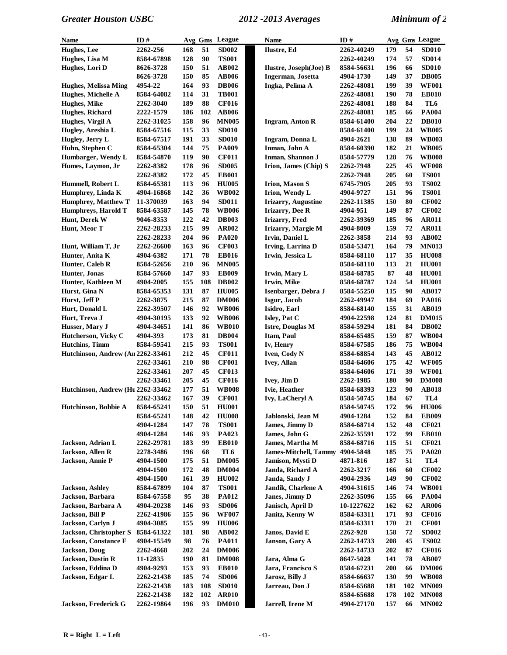| Name                              | ID#        |            |     | Avg Gms League | <b>Name</b>                           | ID#        |            |     | Avg Gms League  |
|-----------------------------------|------------|------------|-----|----------------|---------------------------------------|------------|------------|-----|-----------------|
| Hughes, Lee                       | 2262-256   | 168        | 51  | <b>SD002</b>   | Ilustre, Ed                           | 2262-40249 | 179        | 54  | <b>SD010</b>    |
| Hughes, Lisa M                    | 8584-67898 | 128        | 90  | <b>TS001</b>   |                                       | 2262-40249 | 174        | 57  | <b>SD014</b>    |
| Hughes, Lori D                    | 8626-3728  | 150        | 51  | <b>AB002</b>   | Ilustre, Joseph(Joe) B                | 8584-56631 | 196        | 66  | <b>SD010</b>    |
|                                   | 8626-3728  | 150        | 85  | <b>AB006</b>   | Ingerman, Josetta                     | 4904-1730  | 149        | 37  | <b>DB005</b>    |
| <b>Hughes, Melissa Ming</b>       | 4954-22    | 164        | 93  | <b>DB006</b>   | Ingka, Pelima A                       | 2262-48081 | 199        | 39  | <b>WF001</b>    |
| Hughes, Michelle A                | 8584-64082 | 114        | 31  | <b>TB001</b>   |                                       | 2262-48081 | 190        | 78  | <b>EB010</b>    |
| Hughes, Mike                      | 2262-3040  | 189        | 88  | <b>CF016</b>   |                                       | 2262-48081 | 188        | 84  | TL6             |
| Hughes, Richard                   | 2222-1579  | 186        | 102 | <b>AB006</b>   |                                       | 2262-48081 | 185        | 66  | <b>PA004</b>    |
| Hughes, Virgil A                  | 2262-31025 | 158        | 96  | <b>MN005</b>   | <b>Ingram, Anton R</b>                | 8584-61400 | 204        | 22  | <b>DB010</b>    |
| Hugley, Areshia L                 | 8584-67516 | 115        | 33  | <b>SD010</b>   |                                       | 8584-61400 | 199        | 24  | <b>WB005</b>    |
| Hugley, Jerry L                   | 8584-67517 | 191        | 33  | <b>SD010</b>   | Ingram, Donna L                       | 4904-2621  | 138        | 89  | <b>WB003</b>    |
| Huhn, Stephen C                   | 8584-65304 | 144        | 75  | <b>PA009</b>   | Inman, John A                         | 8584-60390 | 182        | 21  | <b>WB005</b>    |
| Humbarger, Wendy L                | 8584-54870 | 119        | 90  | <b>CF011</b>   | Inman, Shannon J                      | 8584-57779 | 128        | 76  | <b>WB008</b>    |
| Humes, Laymon, Jr                 | 2262-8382  | 178        | 96  | <b>SD005</b>   | Irion, James (Chip) S                 | 2262-7948  | 225        | 45  | <b>WF008</b>    |
|                                   | 2262-8382  | 172        | 45  | <b>EB001</b>   |                                       | 2262-7948  | 205        | 60  | <b>TS001</b>    |
| Hummell, Robert L                 | 8584-65381 | 113        | 96  | <b>HU005</b>   | <b>Irion, Mason S</b>                 | 6745-7905  | 205        | 93  | <b>TS002</b>    |
| Humphrey, Linda K                 | 4904-16868 | 142        | 36  | <b>WB002</b>   | Irion, Wendy L                        | 4904-9727  | 151        | 96  | <b>TS001</b>    |
| <b>Humphrey, Matthew T</b>        | 11-370039  | 163        | 94  | <b>SD011</b>   | <b>Irizarry, Augustine</b>            | 2262-11385 | 150        | 80  | <b>CF002</b>    |
| Humphreys, Harold T               | 8584-63587 | 145        | 78  | <b>WB006</b>   | <b>Irizarry, Dee R</b>                | 4904-951   | 149        | 87  | <b>CF002</b>    |
| Hunt, Derek W                     | 9046-8353  | 122        | 42  | <b>DB003</b>   | Irizarry, Fred                        | 2262-39369 | 185        | 96  | <b>AR011</b>    |
| Hunt, Meor T                      | 2262-28233 | 215        | 99  | <b>AR002</b>   | Irizarry, Margie M                    | 4904-8009  | 159        | 72  | <b>AR011</b>    |
|                                   | 2262-28233 | 204        | 96  | <b>PA020</b>   | Irvin, Daniel L                       | 2262-3858  | 214        | 93  | AB002           |
|                                   |            | 163        | 96  | <b>CF003</b>   |                                       |            | 164        | 79  | <b>MN013</b>    |
| Hunt, William T, Jr               | 2262-26600 | 171        | 78  | <b>EB016</b>   | Irving, Larrina D<br>Irwin, Jessica L | 8584-53471 | 117        | 35  | <b>HU008</b>    |
| Hunter, Anita K                   | 4904-6382  |            |     | <b>MN005</b>   |                                       | 8584-68110 |            |     |                 |
| Hunter, Caleb R                   | 8584-52656 | 210        | 96  |                |                                       | 8584-68110 | 113        | 21  | <b>HU001</b>    |
| Hunter, Jonas                     | 8584-57660 | 147        | 93  | <b>EB009</b>   | Irwin, Mary L                         | 8584-68785 | 87         | 48  | <b>HU001</b>    |
| Hunter, Kathleen M                | 4904-2005  | 155        | 108 | <b>DB002</b>   | Irwin, Mike                           | 8584-68787 | 124        | 54  | <b>HU001</b>    |
| Hurst, Gina N                     | 8584-65353 | 131        | 87  | <b>HU005</b>   | Isenbarger, Debra J                   | 8584-55250 | 115        | 90  | <b>AB017</b>    |
| Hurst, Jeff P                     | 2262-3875  | 215        | 87  | <b>DM006</b>   | Isgur, Jacob                          | 2262-49947 | 184        | 69  | <b>PA016</b>    |
| Hurt, Donald L                    | 2262-39507 | 146        | 92  | <b>WB006</b>   | Isidro, Earl                          | 8584-68140 | 155        | 31  | <b>AB019</b>    |
| Hurt, Treva J                     | 4904-30195 | 133        | 92  | <b>WB006</b>   | Isley, Pat C                          | 4904-22598 | 124        | 81  | <b>DM015</b>    |
| Husser, Mary J                    | 4904-34651 | 141        | 86  | <b>WB010</b>   | Istre, Douglas M                      | 8584-59294 | 181        | 84  | <b>DB002</b>    |
| Hutcherson, Vicky C               | 4904-393   | 173        | 81  | <b>DB004</b>   | Itam, Paul                            | 8584-65485 | 159        | 87  | <b>WB004</b>    |
| Hutchins, Timm                    | 8584-59541 | 215        | 93  | <b>TS001</b>   | Iv, Henry                             | 8584-67585 | 186        | 75  | <b>WB004</b>    |
| Hutchinson, Andrew (An 2262-33461 |            | 212        | 45  | <b>CF011</b>   | Iven, Cody N                          | 8584-68854 | 143        | 45  | <b>AB012</b>    |
|                                   | 2262-33461 | 210        | 98  | <b>CF001</b>   | Ivey, Allan                           | 8584-64606 | 175        | 42  | <b>WF005</b>    |
|                                   | 2262-33461 | 207        | 45  | <b>CF013</b>   |                                       | 8584-64606 | 171        | 39  | <b>WF001</b>    |
|                                   | 2262-33461 | 205        | 45  | <b>CF016</b>   | Ivey, Jim D                           | 2262-1985  | 180        | 90  | <b>DM008</b>    |
| Hutchinson, Andrew (Hu 2262-33462 |            | 177        | 51  | <b>WB008</b>   | Ivie, Heather                         | 8584-68393 | 123        | 90  | <b>AB018</b>    |
|                                   | 2262-33462 | 167        | 39  | <b>CF001</b>   | Ivy, LaCheryl A                       | 8584-50745 | 184        | 67  | TL <sub>4</sub> |
| Hutchinson, Bobbie A              | 8584-65241 | 150        | 51  | <b>HU001</b>   |                                       | 8584-50745 | 172        | 96  | <b>HU006</b>    |
|                                   | 8584-65241 | 148        | 42  | <b>HU008</b>   | Jablonski, Jean M                     | 4904-1284  | 152        | 84  | <b>EB009</b>    |
|                                   | 4904-1284  | 147        | 78  | <b>TS001</b>   | James, Jimmy D                        | 8584-68714 | 152        | 48  | <b>CF021</b>    |
|                                   | 4904-1284  | 146        | 93  | <b>PA023</b>   | James, John G                         | 2262-35591 | 172        | 99  | <b>EB010</b>    |
| Jackson, Adrian L                 | 2262-29781 | 183        | 99  | <b>EB010</b>   | James, Martha M                       | 8584-68716 | 115        | 51  | <b>CF021</b>    |
| <b>Jackson, Allen R</b>           | 2278-3486  | 196        | 68  | TL6            | <b>James-Mitchell, Tammy</b>          | 4904-5848  | 185        | 75  | <b>PA020</b>    |
| Jackson, Annie P                  | 4904-1500  | 175        | 51  | <b>DM005</b>   | Jamison, Mysti D                      | 4871-816   | 187        | 51  | TL4             |
|                                   | 4904-1500  | 172        | 48  | <b>DM004</b>   | Janda, Richard A                      | 2262-3217  | 166        | 60  | <b>CF002</b>    |
|                                   | 4904-1500  | 161        | 39  | <b>HU002</b>   | Janda, Sandy J                        | 4904-2936  | 149        | 90  | <b>CF002</b>    |
| <b>Jackson</b> , Ashley           | 8584-67899 | 104        | 87  | <b>TS001</b>   | Jandik, Charlene A                    | 4904-31615 | 146        | 74  | <b>WB001</b>    |
| Jackson, Barbara                  | 8584-67558 | 95         | 38  | <b>PA012</b>   | Janes, Jimmy D                        | 2262-35096 | 155        | 66  | <b>PA004</b>    |
| Jackson, Barbara A                | 4904-20238 | 146        | 93  | <b>SD006</b>   | Janisch, April D                      | 10-1227622 | 162        | 62  | <b>AR006</b>    |
| Jackson, Bill P                   | 2262-41986 | 155        | 96  | <b>WF007</b>   | Janitz, Kenny W                       | 8584-63311 | 171        | 93  | <b>CF016</b>    |
| Jackson, Carlyn J                 | 4904-3085  | 155        | 99  | <b>HU006</b>   |                                       | 8584-63311 | 170        | 21  | <b>CF001</b>    |
| Jackson, Christopher S            | 8584-61322 | 181        | 98  | AB002          | Janos, David E                        | 2262-928   | 158        | 72  | <b>SD002</b>    |
| <b>Jackson, Constance F</b>       | 4904-15549 | 98         | 76  | <b>PA011</b>   | Janson, Gary A                        | 2262-14733 | 208        | 45  | <b>TS002</b>    |
| <b>Jackson</b> , Doug             | 2262-4668  | 202        | 24  | <b>DM006</b>   |                                       | 2262-14733 | 202        | 87  | <b>CF016</b>    |
| <b>Jackson, Dustin R</b>          | 11-12835   | <b>190</b> | 81  | <b>DM008</b>   | Jara, Alma G                          | 8647-5028  | 141        | 78  | <b>AB007</b>    |
| Jackson, Eddina D                 | 4904-9293  | 153        | 93  | <b>EB010</b>   | Jara, Francisco S                     | 8584-67231 | <b>200</b> | 66  | <b>DM006</b>    |
| Jackson, Edgar L                  | 2262-21438 | 185        | 74  | <b>SD006</b>   | Jarosz, Billy J                       | 8584-66637 | 130        | 99  | <b>WB008</b>    |
|                                   | 2262-21438 | 183        | 108 | <b>SD010</b>   | Jarreau, Don J                        | 8584-65688 | 181        | 102 | <b>MN009</b>    |
|                                   | 2262-21438 | 182        | 102 | <b>AR010</b>   |                                       | 8584-65688 | 178        | 102 | <b>MN008</b>    |
| Jackson, Frederick G              | 2262-19864 | 196        | 93  | <b>DM010</b>   | Jarrell, Irene M                      | 4904-27170 | 157        | 66  | <b>MN002</b>    |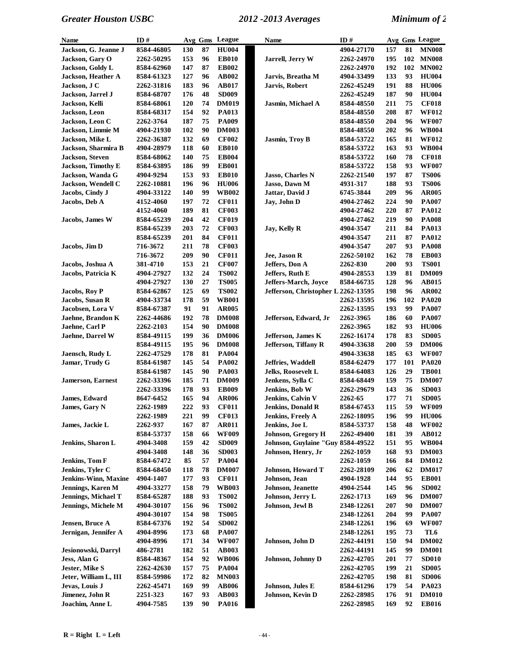| Name                        | ID#              |            | Avg Gms | League       | <b>Name</b>                         | ID#        |     |     | Avg Gms League |
|-----------------------------|------------------|------------|---------|--------------|-------------------------------------|------------|-----|-----|----------------|
| Jackson, G. Jeanne J        | 8584-46805       | 130        | 87      | <b>HU004</b> |                                     | 4904-27170 | 157 | 81  | <b>MN008</b>   |
| Jackson, Gary O             | 2262-50295       | 153        | 96      | <b>EB010</b> | Jarrell, Jerry W                    | 2262-24970 | 195 | 102 | <b>MN008</b>   |
| Jackson, Goldy L            | 8584-62960       | 147        | 87      | <b>EB002</b> |                                     | 2262-24970 | 192 | 102 | <b>MN002</b>   |
| Jackson, Heather A          | 8584-61323       | 127        | 96      | AB002        | Jarvis, Breatha M                   | 4904-33499 | 133 | 93  | <b>HU004</b>   |
| Jackson, J C                | 2262-31816       | 183        | 96      | <b>AB017</b> | Jarvis, Robert                      | 2262-45249 | 191 | 88  | <b>HU006</b>   |
| Jackson, Jarrel J           | 8584-68707       | 176        | 48      | <b>SD009</b> |                                     | 2262-45249 | 187 | 90  | <b>HU004</b>   |
| Jackson, Kelli              | 8584-68061       | <b>120</b> | 74      | <b>DM019</b> | Jasmin, Michael A                   | 8584-48550 | 211 | 75  | <b>CF018</b>   |
| Jackson, Leon               | 8584-68317       | 154        | 92      | <b>PA013</b> |                                     | 8584-48550 | 208 | 87  | <b>WF012</b>   |
| Jackson, Leon C             | 2262-3764        | 187        | 75      | <b>PA009</b> |                                     | 8584-48550 | 204 | 96  | <b>WF007</b>   |
| Jackson, Limmie M           | 4904-21930       | 102        | 90      | <b>DM003</b> |                                     | 8584-48550 | 202 | 96  | <b>WB004</b>   |
| Jackson, Mike L             | 2262-36387       | 132        | 69      | <b>CF002</b> | Jasmin, Troy B                      | 8584-53722 | 165 | 81  | <b>WF012</b>   |
| Jackson, Sharmira B         | 4904-28979       | 118        | 60      | <b>EB010</b> |                                     | 8584-53722 | 163 | 93  | <b>WB004</b>   |
| <b>Jackson</b> , Steven     | 8584-68062       | 140        | 75      | <b>EB004</b> |                                     | 8584-53722 | 160 | 78  | <b>CF018</b>   |
| <b>Jackson, Timothy E</b>   | 8584-63895       | 186        | 99      | <b>EB001</b> |                                     | 8584-53722 | 158 | 93  | <b>WF007</b>   |
| Jackson, Wanda G            | 4904-9294        | 153        | 93      | <b>EB010</b> | Jasso, Charles N                    | 2262-21540 | 197 | 87  | <b>TS006</b>   |
| Jackson, Wendell C          | 2262-10881       | 196        | 96      | <b>HU006</b> | Jasso, Dawn M                       | 4931-317   | 188 | 93  | <b>TS006</b>   |
| Jacobs, Cindy J             | 4904-33122       | 140        | 99      | <b>WB002</b> | Jattar, David J                     | 6745-3844  | 209 | 96  | <b>AR005</b>   |
| Jacobs, Deb A               | 4152-4060        | 197        | 72      | <b>CF011</b> | Jay, John D                         | 4904-27462 | 224 | 90  | <b>PA007</b>   |
|                             | 4152-4060        | 189        | 81      | <b>CF003</b> |                                     | 4904-27462 | 220 | 87  | PA012          |
| Jacobs, James W             | 8584-65239       | 204        | 42      | <b>CF019</b> |                                     | 4904-27462 | 219 | 90  | <b>PA008</b>   |
|                             | 8584-65239       | 203        | 72      | <b>CF003</b> | Jay, Kelly R                        | 4904-3547  | 211 | 84  | PA013          |
|                             | 8584-65239       | 201        | 84      | <b>CF011</b> |                                     | 4904-3547  | 211 | 87  | PA012          |
| Jacobs, Jim D               | 716-3672         | 211        | 78      | <b>CF003</b> |                                     | 4904-3547  | 207 | 93  | <b>PA008</b>   |
|                             | 716-3672         | 209        | 90      | <b>CF011</b> | Jee, Jason R                        | 2262-50102 | 162 | 78  | <b>EB003</b>   |
| Jacobs, Joshua A            | <b>381-4710</b>  | 153        | 21      | <b>CF007</b> | Jeffers, Don A                      | 2262-830   | 200 | 93  | <b>TS001</b>   |
| Jacobs, Patricia K          | 4904-27927       | 132        | 24      | <b>TS002</b> | Jeffers, Ruth E                     | 4904-28553 | 139 | 81  | <b>DM009</b>   |
|                             | 4904-27927       | 130        | 27      | <b>TS005</b> | Jeffers-March, Joyce                | 8584-66735 | 128 | 96  | <b>AB015</b>   |
| <b>Jacobs, Roy P</b>        | 8584-62867       | 125        | 69      | <b>TS002</b> | Jefferson, Christopher L 2262-13595 |            | 198 | 96  | <b>AR002</b>   |
| Jacobs, Susan R             | 4904-33734       | 178        | 59      | <b>WB001</b> |                                     | 2262-13595 | 196 | 102 | <b>PA020</b>   |
| Jacobsen, Lora V            | 8584-67387       | 91         | 91      | <b>AR005</b> |                                     | 2262-13595 | 193 | 99  | <b>PA007</b>   |
| Jaehne, Brandon K           | 2262-44686       | 192        | 78      | <b>DM008</b> | Jefferson, Edward, Jr               | 2262-3965  | 186 | 60  | <b>PA007</b>   |
| Jaehne, Carl P              | <b>2262-2103</b> | 154        | 90      | <b>DM008</b> |                                     | 2262-3965  | 182 | 93  | <b>HU006</b>   |
| Jaehne, Darrel W            | 8584-49115       | 199        | 36      | <b>DM006</b> | Jefferson, James K                  | 2262-16174 | 178 | 83  | <b>SD005</b>   |
|                             | 8584-49115       | 195        | 96      | <b>DM008</b> | Jefferson, Tiffany R                | 4904-33638 | 200 | 59  | <b>DM006</b>   |
| Jaensch, Rudy L             | 2262-47529       | 178        | 81      | <b>PA004</b> |                                     | 4904-33638 | 185 | 63  | <b>WF007</b>   |
| Jamar, Trudy G              | 8584-61987       | 145        | 54      | <b>PA002</b> | Jeffries, Waddell                   | 8584-62479 | 177 | 101 | <b>PA020</b>   |
|                             | 8584-61987       | 145        | 90      | <b>PA003</b> | <b>Jelks, Roosevelt L</b>           | 8584-64083 | 126 | 29  | <b>TB001</b>   |
| <b>Jamerson, Earnest</b>    | 2262-33396       | 185        | 71      | <b>DM009</b> | Jenkens, Sylla C                    | 8584-68449 | 159 | 75  | <b>DM007</b>   |
|                             | 2262-33396       | 178        | 93      | <b>EB009</b> | Jenkins, Bob W                      | 2262-29679 | 143 | 36  | <b>SD003</b>   |
| James, Edward               | 8647-6452        | 165        | 94      | <b>AR006</b> | Jenkins, Calvin V                   | 2262-65    | 177 | 71  | <b>SD005</b>   |
| James, Gary N               | 2262-1989        | 222        | 93      | <b>CF011</b> | <b>Jenkins, Donald R</b>            | 8584-67453 | 115 | 59  | <b>WF009</b>   |
|                             | 2262-1989        | 221        | 99      | <b>CF013</b> | Jenkins, Freely A                   | 2262-18095 | 196 | 99  | <b>HU006</b>   |
| James, Jackie L             | 2262-937         | 167        | 87      | <b>AR011</b> | Jenkins, Joe L                      | 8584-53737 | 158 | 48  | <b>WF002</b>   |
|                             | 8584-53737       | 158        | 66      | <b>WF009</b> | <b>Johnson, Gregory H</b>           | 2262-49400 | 181 | 39  | AB012          |
| Jenkins, Sharon L           | 4904-3408        | 159        | 42      | <b>SD009</b> | Johnson, Guylaine "Guy 8584-49522   |            | 151 | 95  | <b>WB004</b>   |
|                             | 4904-3408        | 148        | 36      | <b>SD003</b> | Johnson, Henry, Jr                  | 2262-1059  | 168 | 93  | <b>DM003</b>   |
| Jenkins, Tom F              | 8584-67472       | 85         | 57      | <b>PA004</b> |                                     | 2262-1059  | 166 | 84  | <b>DM012</b>   |
| Jenkins, Tyler C            | 8584-68450       | 118        | 78      | <b>DM007</b> | Johnson, Howard T                   | 2262-28109 | 206 | 62  | <b>DM017</b>   |
| <b>Jenkins-Winn, Maxine</b> | 4904-1407        | 177        | 93      | <b>CF011</b> | Johnson, Jean                       | 4904-1928  | 144 | 95  | <b>EB001</b>   |
| Jennings, Karen M           | 4904-33277       | 158        | 79      | <b>WB003</b> | Johnson, Jeanette                   | 4904-2544  | 145 | 96  | <b>SD002</b>   |
| Jennings, Michael T         | 8584-65287       | 188        | 93      | <b>TS002</b> | Johnson, Jerry L                    | 2262-1713  | 169 | 96  | <b>DM007</b>   |
| Jennings, Michele M         | 4904-30107       | 156        | 96      | <b>TS002</b> | Johnson, Jewl B                     | 2348-12261 | 207 | 90  | <b>DM007</b>   |
|                             | 4904-30107       | 154        | 98      | <b>TS005</b> |                                     | 2348-12261 | 204 | 99  | <b>PA007</b>   |
| Jensen, Bruce A             | 8584-67376       | 192        | 54      | <b>SD002</b> |                                     | 2348-12261 | 196 | 69  | <b>WF007</b>   |
| Jernigan, Jennifer A        | 4904-8996        | 173        | 68      | <b>PA007</b> |                                     | 2348-12261 | 195 | 73  | TL6            |
|                             | 4904-8996        | 171        | 34      | <b>WF007</b> | Johnson, John D                     | 2262-44191 | 150 | 94  | <b>DM002</b>   |
| Jesionowski, Darryl         | 486-2781         | 182        | 51      | AB003        |                                     | 2262-44191 | 145 | 99  | <b>DM001</b>   |
| Jess, Alan G                | 8584-48367       | 154        | 92      | <b>WB006</b> | <b>Johnson, Johnny D</b>            | 2262-42705 | 201 | 77  | <b>SD010</b>   |
| Jester, Mike S              | 2262-42630       | 157        | 75      | <b>PA004</b> |                                     | 2262-42705 | 199 | 21  | <b>SD005</b>   |
| Jeter, William L, III       | 8584-59986       | 172        | 82      | <b>MN003</b> |                                     | 2262-42705 | 198 | 81  | <b>SD006</b>   |
| Jevas, Louis J              | 2262-45471       | 169        | 99      | <b>AB006</b> | Johnson, Jules E                    | 8584-61296 | 179 | 54  | PA023          |
| Jimenez, John R             | 2251-323         | 167        | 93      | AB003        | Johnson, Kevin D                    | 2262-28985 | 176 | 91  | <b>DM010</b>   |
| Joachim, Anne L             | 4904-7585        | 139        | 90      | <b>PA016</b> |                                     | 2262-28985 | 169 | 92  | <b>EB016</b>   |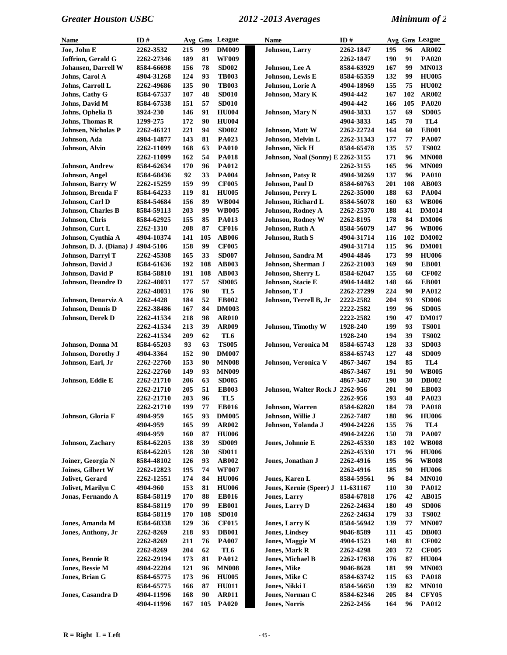| Name                       | ID#               |     |            | Avg Gms League  | <b>Name</b>                              | ID#        |     |     | Avg Gms League |
|----------------------------|-------------------|-----|------------|-----------------|------------------------------------------|------------|-----|-----|----------------|
| Joe, John E                | 2262-3532         | 215 | 99         | <b>DM009</b>    | <b>Johnson</b> , Larry                   | 2262-1847  | 195 | 96  | <b>AR002</b>   |
| <b>Joffrion, Gerald G</b>  | 2262-27346        | 189 | 81         | <b>WF009</b>    |                                          | 2262-1847  | 190 | 91  | <b>PA020</b>   |
| <b>Johansen, Darrell W</b> | 8584-66698        | 156 | 78         | <b>SD002</b>    | Johnson, Lee A                           | 8584-63929 | 167 | 99  | <b>MN013</b>   |
| Johns, Carol A             | 4904-31268        | 124 | 93         | <b>TB003</b>    | Johnson, Lewis E                         | 8584-65359 | 132 | 99  | <b>HU005</b>   |
| Johns, Carroll L           | 2262-49686        | 135 | 90         | <b>TB003</b>    | Johnson, Lorie A                         | 4904-18969 | 155 | 75  | <b>HU002</b>   |
| Johns, Cathy G             | 8584-67537        | 107 | 48         | <b>SD010</b>    | Johnson, Mary K                          | 4904-442   | 167 | 102 | <b>AR002</b>   |
| Johns, David M             | 8584-67538        | 151 | 57         | <b>SD010</b>    |                                          | 4904-442   | 166 | 105 | <b>PA020</b>   |
| Johns, Ophelia B           | <b>3924-230</b>   | 146 | 91         | <b>HU004</b>    | <b>Johnson</b> , Mary N                  | 4904-3833  | 157 | 69  | <b>SD005</b>   |
| <b>Johns, Thomas R</b>     | 1299-275          | 172 | 90         | <b>HU004</b>    |                                          | 4904-3833  | 145 | 70  | TL4            |
| <b>Johnsen, Nicholas P</b> | 2262-46121        | 221 | 94         | <b>SD002</b>    | Johnson, Matt W                          | 2262-22724 | 164 | 60  | <b>EB001</b>   |
|                            |                   |     |            |                 |                                          |            |     |     |                |
| Johnson, Ada               | 4904-14877        | 143 | 81         | PA023           | Johnson, Melvin L                        | 2262-31343 | 177 | 77  | <b>PA007</b>   |
| Johnson, Alvin             | 2262-11099        | 168 | 63         | <b>PA010</b>    | Johnson, Nick H                          | 8584-65478 | 135 | 57  | <b>TS002</b>   |
|                            | 2262-11099        | 162 | 54         | <b>PA018</b>    | <b>Johnson, Noal (Sonny) E 2262-3155</b> |            | 171 | 96  | <b>MN008</b>   |
| <b>Johnson</b> , Andrew    | 8584-62634        | 170 | 96         | <b>PA012</b>    |                                          | 2262-3155  | 165 | 96  | <b>MN009</b>   |
| <b>Johnson</b> , Angel     | 8584-68436        | 92  | 33         | <b>PA004</b>    | <b>Johnson, Patsy R</b>                  | 4904-30269 | 137 | 96  | <b>PA010</b>   |
| <b>Johnson, Barry W</b>    | 2262-15259        | 159 | 99         | <b>CF005</b>    | Johnson, Paul D                          | 8584-60763 | 201 | 108 | <b>AB003</b>   |
| Johnson, Brenda F          | 8584-64233        | 119 | 81         | <b>HU005</b>    | Johnson, Perry L                         | 2262-35000 | 188 | 63  | <b>PA004</b>   |
| Johnson, Carl D            | 8584-54684        | 156 | 89         | <b>WB004</b>    | Johnson, Richard L                       | 8584-56078 | 160 | 63  | <b>WB006</b>   |
| Johnson, Charles B         | 8584-59113        | 203 | 99         | <b>WB005</b>    | Johnson, Rodney A                        | 2262-25370 | 188 | 41  | <b>DM014</b>   |
| Johnson, Chris             | 8584-62925        | 155 | 85         | PA013           | <b>Johnson, Rodney W</b>                 | 2262-8195  | 178 | 84  | <b>DM006</b>   |
| Johnson, Curt L            | 2262-1310         | 208 | 87         | <b>CF016</b>    | Johnson, Ruth A                          | 8584-56079 | 147 | 96  | <b>WB006</b>   |
| Johnson, Cynthia A         | 4904-10374        | 141 | 105        | <b>AB006</b>    | Johnson, Ruth S                          | 4904-31714 | 116 | 102 | <b>DM002</b>   |
| Johnson, D. J. (Diana) J   | 4904-5106         | 158 | 99         | <b>CF005</b>    |                                          | 4904-31714 | 115 | 96  | <b>DM001</b>   |
| Johnson, Darryl T          | 2262-45308        | 165 | 33         | <b>SD007</b>    | Johnson, Sandra M                        | 4904-4846  | 173 | 99  | <b>HU006</b>   |
| Johnson, David J           | 8584-61636        | 192 | 108        | AB003           | Johnson, Sherman J                       | 2262-21003 | 169 | 90  | <b>EB001</b>   |
| Johnson, David P           | 8584-58810        | 191 | 108        | <b>AB003</b>    | Johnson, Sherry L                        | 8584-62047 | 155 | 60  | <b>CF002</b>   |
| Johnson, Deandre D         | 2262-48031        | 177 | 57         | <b>SD005</b>    | Johnson, Stacie E                        | 4904-14482 | 148 | 66  | <b>EB001</b>   |
|                            |                   |     |            |                 |                                          |            |     |     |                |
|                            | <b>2262-48031</b> | 176 | 90         | TL5             | Johnson, T J                             | 2262-27299 | 224 | 90  | PA012          |
| Johnson, Denarviz A        | 2262-4428         | 184 | 52         | <b>EB002</b>    | Johnson, Terrell B, Jr                   | 2222-2582  | 204 | 93  | <b>SD006</b>   |
| Johnson, Dennis D          | 2262-38486        | 167 | 84         | <b>DM003</b>    |                                          | 2222-2582  | 199 | 96  | <b>SD005</b>   |
| Johnson, Derek D           | 2262-41534        | 218 | 98         | <b>AR010</b>    |                                          | 2222-2582  | 190 | 47  | <b>DM017</b>   |
|                            | 2262-41534        | 213 | 39         | <b>AR009</b>    | <b>Johnson, Timothy W</b>                | 1928-240   | 199 | 93  | <b>TS001</b>   |
|                            | 2262-41534        | 209 | 62         | TL <sub>6</sub> |                                          | 1928-240   | 194 | 39  | <b>TS002</b>   |
| Johnson, Donna M           | 8584-65203        | 93  | 63         | <b>TS005</b>    | Johnson, Veronica M                      | 8584-65743 | 128 | 33  | <b>SD003</b>   |
| Johnson, Dorothy J         | 4904-3364         | 152 | 90         | <b>DM007</b>    |                                          | 8584-65743 | 127 | 48  | <b>SD009</b>   |
| Johnson, Earl, Jr          | 2262-22760        | 153 | 90         | <b>MN008</b>    | Johnson, Veronica V                      | 4867-3467  | 194 | 85  | TL4            |
|                            | 2262-22760        | 149 | 93         | <b>MN009</b>    |                                          | 4867-3467  | 191 | 90  | <b>WB005</b>   |
| Johnson, Eddie E           | 2262-21710        | 206 | 63         | <b>SD005</b>    |                                          | 4867-3467  | 190 | 30  | <b>DB002</b>   |
|                            | 2262-21710        | 205 | 51         | <b>EB003</b>    | Johnson, Walter Rock J 2262-956          |            | 201 | 90  | <b>EB003</b>   |
|                            | <b>2262-21710</b> | 203 | 96         | TL5             |                                          | 2262-956   | 193 | 48  | PA023          |
|                            | 2262-21710        | 199 | ${\bf 77}$ | <b>EB016</b>    | Johnson, Warren                          | 8584-62820 | 184 | 78  | <b>PA018</b>   |
| Johnson, Gloria F          | 4904-959          | 165 | 93         | <b>DM005</b>    | Johnson, Willie J                        | 2262-7487  | 188 | 96  | <b>HU006</b>   |
|                            | 4904-959          | 165 | 99         | AR002           | Johnson, Yolanda J                       | 4904-24226 | 155 | 76  | TL4            |
|                            | 4904-959          | 160 | 87         | <b>HU006</b>    |                                          | 4904-24226 | 150 | 78  | <b>PA007</b>   |
| Johnson, Zachary           | 8584-62205        | 138 | 39         | <b>SD009</b>    | Jones, Johnnie E                         | 2262-45330 | 183 | 102 | <b>WB008</b>   |
|                            | 8584-62205        | 128 | 30         | <b>SD011</b>    |                                          | 2262-45330 | 171 | 96  | <b>HU006</b>   |
| Joiner, Georgia N          | 8584-48102        | 126 | 93         | AB002           | Jones, Jonathan J                        | 2262-4916  | 195 | 96  | <b>WB008</b>   |
| Joines, Gilbert W          | 2262-12823        | 195 | 74         | <b>WF007</b>    |                                          | 2262-4916  | 185 | 90  | <b>HU006</b>   |
|                            |                   |     | 84         |                 | Jones, Karen L                           |            | 96  |     |                |
| Jolivet, Gerard            | 2262-12551        | 174 |            | <b>HU006</b>    |                                          | 8584-59561 |     | 84  | <b>MN010</b>   |
| Jolivet, Marilyn C         | 4904-960          | 153 | 81         | <b>HU006</b>    | Jones, Kernie (Speer) J                  | 11-631167  | 110 | 30  | <b>PA012</b>   |
| Jonas, Fernando A          | 8584-58119        | 170 | 88         | <b>EB016</b>    | <b>Jones, Larry</b>                      | 8584-67818 | 176 | 42  | <b>AB015</b>   |
|                            | 8584-58119        | 170 | 99         | <b>EB001</b>    | Jones, Larry D                           | 2262-24634 | 180 | 49  | <b>SD006</b>   |
|                            | 8584-58119        | 170 | 108        | <b>SD010</b>    |                                          | 2262-24634 | 179 | 33  | <b>TS002</b>   |
| Jones, Amanda M            | 8584-68338        | 129 | 36         | <b>CF015</b>    | <b>Jones, Larry K</b>                    | 8584-56942 | 139 | 77  | <b>MN007</b>   |
| Jones, Anthony, Jr         | 2262-8269         | 218 | 93         | <b>DB001</b>    | <b>Jones, Lindsey</b>                    | 9046-8589  | 111 | 45  | <b>DB003</b>   |
|                            | 2262-8269         | 211 | 76         | <b>PA007</b>    | Jones, Maggie M                          | 4904-1523  | 148 | 81  | <b>CF002</b>   |
|                            | 2262-8269         | 204 | 62         | TL6             | <b>Jones, Mark R</b>                     | 2262-4298  | 203 | 72  | <b>CF005</b>   |
| Jones, Bennie R            | 2262-29194        | 173 | 81         | <b>PA012</b>    | Jones, Michael B                         | 2262-17638 | 176 | 87  | <b>HU004</b>   |
| Jones, Bessie M            | 4904-22204        | 121 | 96         | <b>MN008</b>    | <b>Jones, Mike</b>                       | 9046-8628  | 181 | 99  | <b>MN003</b>   |
| Jones, Brian G             | 8584-65775        | 173 | 96         | <b>HU005</b>    | Jones, Mike C                            | 8584-63742 | 115 | 63  | <b>PA018</b>   |
|                            | 8584-65775        | 166 | 87         | <b>HU011</b>    | Jones, Nikki L                           | 8584-56650 | 139 | 82  | <b>MN010</b>   |
| Jones, Casandra D          | 4904-11996        | 168 | 90         | <b>AR011</b>    | Jones, Norman C                          | 8584-62346 | 205 | 84  | <b>CFY05</b>   |
|                            | 4904-11996        | 167 | 105        | <b>PA020</b>    | <b>Jones, Norris</b>                     | 2262-2456  | 164 | 96  | <b>PA012</b>   |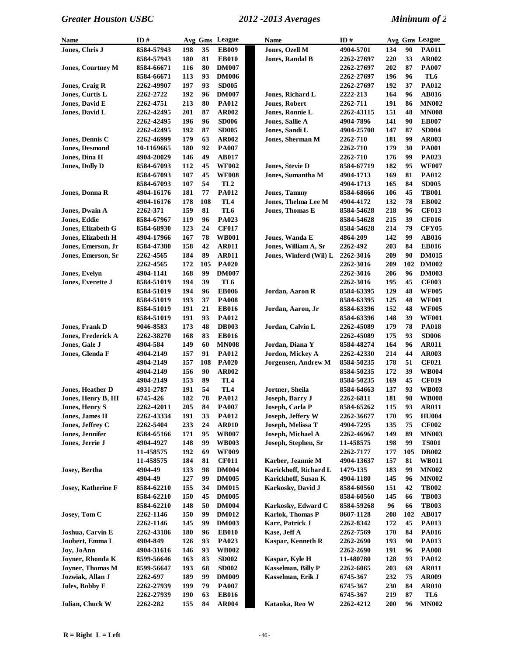| Name                      | ID#                      |     |     | Avg Gms League  | Name                    | ID#        |             |     | Avg Gms League |
|---------------------------|--------------------------|-----|-----|-----------------|-------------------------|------------|-------------|-----|----------------|
| Jones, Chris J            | 8584-57943               | 198 | 35  | <b>EB009</b>    | Jones, Ozell M          | 4904-5701  | 134         | 90  | <b>PA011</b>   |
|                           | 8584-57943               | 180 | 81  | <b>EB010</b>    | <b>Jones, Randal B</b>  | 2262-27697 | 220         | 33  | AR002          |
| <b>Jones, Courtney M</b>  | 8584-66671               | 116 | 80  | <b>DM007</b>    |                         | 2262-27697 | 202         | 87  | <b>PA007</b>   |
|                           | 8584-66671               | 113 | 93  | <b>DM006</b>    |                         | 2262-27697 | 196         | 96  | TL6            |
| Jones, Craig R            | 2262-49907               | 197 | 93  | <b>SD005</b>    |                         | 2262-27697 | 192         | 37  | PA012          |
| Jones, Curtis L           | 2262-2722                | 192 | 96  | <b>DM007</b>    | Jones, Richard L        | 2222-213   | 164         | 96  | AB016          |
| Jones, David E            | 2262-4751                | 213 | 80  | <b>PA012</b>    | <b>Jones, Robert</b>    | 2262-711   | 191         | 86  | <b>MN002</b>   |
| Jones, David L            | 2262-42495               | 201 | 87  | <b>AR002</b>    | Jones, Ronnie L         | 2262-43115 | 151         | 48  | <b>MN008</b>   |
|                           | 2262-42495               | 196 | 96  | <b>SD006</b>    | Jones, Sallie A         | 4904-7896  | 141         | 90  | <b>EB007</b>   |
|                           | 2262-42495               | 192 | 87  | <b>SD005</b>    | Jones, Sandi L          | 4904-25708 | 147         | 87  | <b>SD004</b>   |
| Jones, Dennis C           | 2262-46999               | 179 | 63  | AR002           | Jones, Sherman M        | 2262-710   | 181         | 99  | AR003          |
| <b>Jones, Desmond</b>     | 10-1169665               | 180 | 92  | <b>PA007</b>    |                         | 2262-710   | 179         | 30  | <b>PA001</b>   |
| Jones, Dina H             | 4904-20029               | 146 | 49  | <b>AB017</b>    |                         | 2262-710   | 176         | 99  | PA023          |
| <b>Jones, Dolly D</b>     | 8584-67093               | 112 | 45  | <b>WF002</b>    | Jones, Stevie D         | 8584-67719 | 182         | 95  | <b>WF007</b>   |
|                           | 8584-67093               | 107 | 45  | <b>WF008</b>    | Jones, Sumantha M       | 4904-1713  | 169         | 81  | PA012          |
|                           | 8584-67093               | 107 | 54  | TL <sub>2</sub> |                         | 4904-1713  | 165         | 84  | <b>SD005</b>   |
| Jones, Donna R            | 4904-16176               | 181 | 77  | <b>PA012</b>    | <b>Jones, Tammy</b>     | 8584-68666 | 106         | 45  | <b>TB001</b>   |
|                           | 4904-16176               | 178 | 108 | TL <sub>4</sub> | Jones, Thelma Lee M     | 4904-4172  | 132         | 78  | <b>EB002</b>   |
| Jones, Dwain A            | 2262-371                 | 159 | 81  | TL6             | Jones, Thomas E         | 8584-54628 | 218         | 96  | <b>CF013</b>   |
| Jones, Eddie              | 8584-67967               | 119 | 96  | PA023           |                         | 8584-54628 | 215         | 39  | <b>CF016</b>   |
| Jones, Elizabeth G        |                          | 123 | 24  | <b>CF017</b>    |                         | 8584-54628 | 214         | 79  | <b>CFY05</b>   |
| Jones, Elizabeth H        | 8584-68930<br>4904-17966 | 167 | 78  | <b>WB001</b>    | Jones, Wanda E          | 4864-209   | 142         | 99  | AB016          |
| Jones, Emerson, Jr        |                          | 158 | 42  | <b>AR011</b>    | Jones, William A, Sr    | 2262-492   | 203         | 84  | <b>EB016</b>   |
|                           | 8584-47380<br>2262-4565  | 184 | 89  |                 | Jones, Winferd (Wil) L  |            | 209         | 90  | <b>DM015</b>   |
| Jones, Emerson, Sr        |                          |     |     | <b>AR011</b>    |                         | 2262-3016  |             | 102 |                |
|                           | 2262-4565                | 172 | 105 | <b>PA020</b>    |                         | 2262-3016  | 209         |     | <b>DM002</b>   |
| <b>Jones, Evelyn</b>      | 4904-1141                | 168 | 99  | <b>DM007</b>    |                         | 2262-3016  | 206         | 96  | <b>DM003</b>   |
| Jones, Everette J         | 8584-51019               | 194 | 39  | TL6             |                         | 2262-3016  | 195         | 45  | <b>CF003</b>   |
|                           | 8584-51019               | 194 | 96  | <b>EB006</b>    | Jordan, Aaron R         | 8584-63395 | 129         | 48  | <b>WF005</b>   |
|                           | 8584-51019               | 193 | 37  | <b>PA008</b>    |                         | 8584-63395 | 125         | 48  | <b>WF001</b>   |
|                           | 8584-51019               | 191 | 21  | <b>EB016</b>    | Jordan, Aaron, Jr       | 8584-63396 | 152         | 48  | <b>WF005</b>   |
|                           | 8584-51019               | 191 | 93  | <b>PA012</b>    |                         | 8584-63396 | 148         | 39  | <b>WF001</b>   |
| <b>Jones, Frank D</b>     | 9046-8583                | 173 | 48  | <b>DB003</b>    | Jordan, Calvin L        | 2262-45089 | 179         | 78  | <b>PA018</b>   |
| <b>Jones, Frederick A</b> | 2262-38270               | 168 | 83  | <b>EB016</b>    |                         | 2262-45089 | 175         | 93  | <b>SD006</b>   |
| Jones, Gale J             | 4904-584                 | 149 | 60  | <b>MN008</b>    | Jordan, Diana Y         | 8584-48274 | 164         | 96  | <b>AR011</b>   |
| Jones, Glenda F           | 4904-2149                | 157 | 91  | <b>PA012</b>    | Jordon, Mickey A        | 2262-42330 | 214         | 44  | AR003          |
|                           | 4904-2149                | 157 | 108 | <b>PA020</b>    | Jorgensen, Andrew M     | 8584-50235 | 178         | 51  | <b>CF021</b>   |
|                           | 4904-2149                | 156 | 90  | AR002           |                         | 8584-50235 | 172         | 39  | <b>WB004</b>   |
|                           | 4904-2149                | 153 | 89  | TL <sub>4</sub> |                         | 8584-50235 | 169         | 45  | <b>CF019</b>   |
| <b>Jones, Heather D</b>   | 4931-2787                | 191 | 54  | TL <sub>4</sub> | Jortner, Sheila         | 8584-64663 | 137         | 93  | <b>WB003</b>   |
| Jones, Henry B, III       | 6745-426                 | 182 | 78  | <b>PA012</b>    | <b>Joseph</b> , Barry J | 2262-6811  | 181         | 98  | <b>WB008</b>   |
| Jones, Henry S            | 2262-42011               | 205 | 84  | PA007           | Joseph, Carla P         | 8584-65262 | 115         | 93  | <b>AR011</b>   |
| Jones, James H            | 2262-43334               | 191 | 33  | <b>PA012</b>    | Joseph, Jeffery W       | 2262-36677 | 170         | 95  | <b>HU004</b>   |
| Jones, Jeffrey C          | 2262-5404                | 233 | 24  | <b>AR010</b>    | Joseph, Melissa T       | 4904-7295  | 135         | 75  | <b>CF002</b>   |
| Jones, Jennifer           | 8584-65166               | 171 | 95  | <b>WB007</b>    | Joseph, Michael A       | 2262-46967 | 149         | 89  | <b>MN003</b>   |
| Jones, Jerrie J           | 4904-4927                | 148 | 99  | <b>WB003</b>    | Joseph, Stephen, Sr     | 11-458575  | 198         | 99  | <b>TS001</b>   |
|                           | 11-458575                | 192 | 69  | <b>WF009</b>    |                         | 2262-7177  | 177         | 105 | <b>DB002</b>   |
|                           | 11-458575                | 184 | 81  | <b>CF011</b>    | Karber, Jeannie M       | 4904-13637 | 157         | 81  | <b>WB011</b>   |
| Josey, Bertha             | 4904-49                  | 133 | 98  | <b>DM004</b>    | Karickhoff, Richard L   | 1479-135   | 183         | 99  | <b>MN002</b>   |
|                           | 4904-49                  | 127 | 99  | <b>DM005</b>    | Karickhoff, Susan K     | 4904-1180  | 145         | 96  | <b>MN002</b>   |
| <b>Josey, Katherine F</b> | 8584-62210               | 155 | 34  | <b>DM015</b>    | Karkosky, David J       | 8584-60560 | 151         | 42  | <b>TB002</b>   |
|                           | 8584-62210               | 150 | 45  | <b>DM005</b>    |                         | 8584-60560 | 145         | 66  | <b>TB003</b>   |
|                           | 8584-62210               | 148 | 50  | <b>DM004</b>    | Karkosky, Edward C      | 8584-59268 | 96          | 66  | <b>TB003</b>   |
| Josey, Tom C              | 2262-1146                | 150 | 99  | <b>DM012</b>    | <b>Karlok, Thomas P</b> | 8607-1128  | ${\bf 208}$ | 102 | <b>AB017</b>   |
|                           | 2262-1146                | 145 | 99  | <b>DM003</b>    | Karr, Patrick J         | 2262-8342  | 172         | 45  | PA013          |
| Joshua, Carvin E          | 2262-43186               | 180 | 96  | <b>EB010</b>    | Kase, Jeff A            | 2262-7569  | 170         | 84  | <b>PA016</b>   |
| Joubert, Emma L           | 4904-849                 | 126 | 93  | PA023           | Kaspar, Kenneth R       | 2262-2690  | 193         | 90  | PA013          |
| Joy, JoAnn                | 4904-31616               | 146 | 93  | <b>WB002</b>    |                         | 2262-2690  | 191         | 96  | <b>PA008</b>   |
| Joyner, Rhonda K          | 8599-56646               | 163 | 83  | <b>SD002</b>    | Kaspar, Kyle H          | 11-480780  | 128         | 93  | PA012          |
| Joyner, Thomas M          | 8599-56647               | 193 | 68  | <b>SD002</b>    | Kasselman, Billy P      | 2262-6065  | 203         | 69  | <b>AR011</b>   |
| Jozwiak, Allan J          | 2262-697                 | 189 | 99  | <b>DM009</b>    | Kasselman, Erik J       | 6745-367   | 232         | 75  | <b>AR009</b>   |
| Jules, Bobby E            | 2262-27939               | 199 | 79  | <b>PA007</b>    |                         | 6745-367   | 230         | 84  | <b>AR010</b>   |
|                           | 2262-27939               | 190 | 63  | <b>EB016</b>    |                         | 6745-367   | 219         | 87  | TL6            |
| Julian, Chuck W           | 2262-282                 | 155 | 84  | <b>AR004</b>    | Kataoka, Reo W          | 2262-4212  | 200         | 96  | <b>MN002</b>   |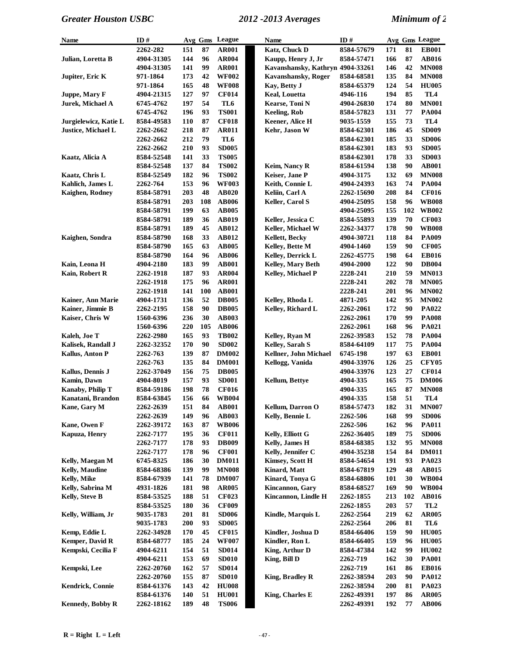| Name                    | ID#        |     |     | Avg Gms League | <b>Name</b>                      | ID#        |     |     | Avg Gms League  |
|-------------------------|------------|-----|-----|----------------|----------------------------------|------------|-----|-----|-----------------|
|                         | 2262-282   | 151 | 87  | <b>AR001</b>   | Katz, Chuck D                    | 8584-57679 | 171 | 81  | <b>EB001</b>    |
| Julian, Loretta B       | 4904-31305 | 144 | 96  | <b>AR004</b>   | Kaupp, Henry J, Jr               | 8584-57471 | 166 | 87  | <b>AB016</b>    |
|                         | 4904-31305 | 141 | 99  | <b>AR001</b>   | Kavanshansky, Kathryn 4904-33261 |            | 146 | 42  | <b>MN008</b>    |
| Jupiter, Eric K         | 971-1864   | 173 | 42  | <b>WF002</b>   | <b>Kavanshansky, Roger</b>       | 8584-68581 | 135 | 84  | <b>MN008</b>    |
|                         | 971-1864   | 165 | 48  | <b>WF008</b>   | Kay, Betty J                     | 8584-65379 | 124 | 54  | <b>HU005</b>    |
| Juppe, Mary F           | 4904-21315 | 127 | 97  | <b>CF014</b>   | <b>Keal, Louetta</b>             | 4946-116   | 194 | 85  | TL4             |
| Jurek, Michael A        | 6745-4762  | 197 | 54  | TL6            | Kearse, Toni N                   | 4904-26830 | 174 | 80  | <b>MN001</b>    |
|                         | 6745-4762  | 196 | 93  | <b>TS001</b>   | <b>Keeling, Rob</b>              | 8584-57823 | 131 | 77  | <b>PA004</b>    |
| Jurgielewicz, Katie L   | 8584-49583 | 110 | 87  | <b>CF018</b>   | Keener, Alice H                  | 9035-1559  | 155 | 73  | TL4             |
| Justice, Michael L      | 2262-2662  | 218 | 87  | <b>AR011</b>   | Kehr, Jason W                    | 8584-62301 | 186 | 45  | <b>SD009</b>    |
|                         | 2262-2662  | 212 | 79  | TL6            |                                  | 8584-62301 | 185 | 33  | <b>SD006</b>    |
|                         | 2262-2662  | 210 | 93  | <b>SD005</b>   |                                  | 8584-62301 | 183 | 93  | <b>SD005</b>    |
| Kaatz, Alicia A         | 8584-52548 | 141 | 33  | <b>TS005</b>   |                                  | 8584-62301 | 178 | 33  | <b>SD003</b>    |
|                         | 8584-52548 | 137 | 84  | <b>TS002</b>   | Keim, Nancy R                    | 8584-61594 | 138 | 90  | <b>AB001</b>    |
| Kaatz, Chris L          | 8584-52549 | 182 | 96  | <b>TS002</b>   | Keiser, Jane P                   | 4904-3175  | 132 | 69  | <b>MN008</b>    |
| Kahlich, James L        | 2262-764   | 153 | 96  | <b>WF003</b>   | Keith, Connie L                  | 4904-24393 | 163 | 74  | <b>PA004</b>    |
| Kaighen, Rodney         | 8584-58791 | 203 | 48  | <b>AB020</b>   | Keliin, Carl A                   | 2262-15690 | 208 | 84  | <b>CF016</b>    |
|                         | 8584-58791 | 203 | 108 | <b>AB006</b>   | Keller, Carol S                  | 4904-25095 | 158 | 96  | <b>WB008</b>    |
|                         | 8584-58791 | 199 | 63  | <b>AB005</b>   |                                  | 4904-25095 | 155 | 102 | <b>WB002</b>    |
|                         | 8584-58791 | 189 | 36  | <b>AB019</b>   | Keller, Jessica C                | 8584-55893 | 139 | 70  | <b>CF003</b>    |
|                         | 8584-58791 | 189 | 45  | <b>AB012</b>   | Keller, Michael W                | 2262-34377 | 178 | 90  | <b>WB008</b>    |
| Kaighen, Sondra         | 8584-58790 | 168 | 33  | <b>AB012</b>   | Kellett, Becky                   | 4904-30721 | 118 | 84  | <b>PA009</b>    |
|                         | 8584-58790 | 165 | 63  | <b>AB005</b>   | Kelley, Bette M                  | 4904-1460  | 159 | 90  | <b>CF005</b>    |
|                         | 8584-58790 | 164 | 96  | <b>AB006</b>   | <b>Kelley, Derrick L</b>         | 2262-45775 | 198 | 64  | <b>EB016</b>    |
| Kain, Leona H           | 4904-2180  | 183 | 99  | <b>AB001</b>   | Kelley, Mary Beth                | 4904-2000  | 122 | 90  | <b>DB004</b>    |
| Kain, Robert R          | 2262-1918  | 187 | 93  | <b>AR004</b>   | Kellev, Michael P                | 2228-241   | 210 | 59  | <b>MN013</b>    |
|                         | 2262-1918  | 175 | 96  | <b>AR001</b>   |                                  | 2228-241   | 202 | 78  | <b>MN005</b>    |
|                         | 2262-1918  | 141 | 100 | <b>AB001</b>   |                                  | 2228-241   | 201 | 96  | <b>MN002</b>    |
| Kainer, Ann Marie       | 4904-1731  | 136 | 52  | <b>DB005</b>   | Kelley, Rhoda L                  | 4871-205   | 142 | 95  | <b>MN002</b>    |
| Kainer, Jimmie B        | 2262-2195  | 158 | 90  | <b>DB005</b>   | Kelley, Richard L                | 2262-2061  | 172 | 90  | PA022           |
| Kaiser, Chris W         | 1560-6396  | 236 | 30  | <b>AB003</b>   |                                  | 2262-2061  | 170 | 99  | <b>PA008</b>    |
|                         | 1560-6396  | 220 | 105 | <b>AB006</b>   |                                  | 2262-2061  | 168 | 96  | PA021           |
| Kaleh, Joe T            | 2262-2980  | 165 | 93  | <b>TB002</b>   | Kelley, Ryan M                   | 2262-39583 | 152 | 78  | <b>PA004</b>    |
| Kalisek, Randall J      | 2262-32352 | 170 | 90  | <b>SD002</b>   | <b>Kelley, Sarah S</b>           | 8584-64109 | 117 | 75  | <b>PA004</b>    |
| Kallus, Anton P         | 2262-763   | 139 | 87  | <b>DM002</b>   | Kellner, John Michael            | 6745-198   | 197 | 63  | <b>EB001</b>    |
|                         | 2262-763   | 135 | 84  | <b>DM001</b>   | Kellogg, Vanida                  | 4904-33976 | 126 | 25  | <b>CFY05</b>    |
| Kallus, Dennis J        | 2262-37049 | 156 | 75  | <b>DB005</b>   |                                  | 4904-33976 | 123 | 27  | <b>CF014</b>    |
| Kamin, Dawn             | 4904-8019  | 157 | 93  | <b>SD001</b>   | Kellum, Bettye                   | 4904-335   | 165 | 75  | <b>DM006</b>    |
| Kanaby, Philip T        | 8584-59186 | 198 | 78  | <b>CF016</b>   |                                  | 4904-335   | 165 | 87  | <b>MN008</b>    |
| Kanatani, Brandon       | 8584-63845 | 156 | 66  | <b>WB004</b>   |                                  | 4904-335   | 158 | 51  | TL4             |
| Kane, Gary M            | 2262-2639  | 151 | 84  | <b>AB001</b>   | Kellum, Darron O                 | 8584-57473 | 182 | 31  | $\bold{M N007}$ |
|                         | 2262-2639  | 149 | 96  | <b>AB003</b>   | Kelly, Bennie L                  | 2262-506   | 168 | 99  | <b>SD006</b>    |
| Kane, Owen F            | 2262-39172 | 163 | 87  | <b>WB006</b>   |                                  | 2262-506   | 162 | 96  | <b>PA011</b>    |
| Kapuza, Henry           | 2262-7177  | 195 | 36  | <b>CF011</b>   | Kelly, Elliott G                 | 2262-36405 | 189 | 75  | <b>SD006</b>    |
|                         | 2262-7177  | 178 | 93  | <b>DB009</b>   | Kelly, James H                   | 8584-68385 | 132 | 95  | <b>MN008</b>    |
|                         | 2262-7177  | 178 | 96  | <b>CF001</b>   | Kelly, Jennifer C                | 4904-35238 | 154 | 84  | <b>DM011</b>    |
| Kelly, Maegan M         | 6745-8325  | 186 | 30  | <b>DM011</b>   | Kimsey, Scott H                  | 8584-54654 | 191 | 93  | PA023           |
| <b>Kelly, Maudine</b>   | 8584-68386 | 139 | 99  | <b>MN008</b>   | Kinard, Matt                     | 8584-67819 | 129 | 48  | AB015           |
| Kelly, Mike             | 8584-67939 | 141 | 78  | <b>DM007</b>   | Kinard, Tonya G                  | 8584-68806 | 101 | 30  | <b>WB004</b>    |
| Kelly, Sabrina M        | 4931-1826  | 181 | 98  | <b>AR005</b>   | Kincannon, Garv                  | 8584-68527 | 169 | 90  | <b>WB004</b>    |
| Kelly, Steve B          | 8584-53525 | 188 | 51  | <b>CF023</b>   | Kincannon, Lindle H              | 2262-1855  | 213 | 102 | <b>AB016</b>    |
|                         | 8584-53525 | 180 | 36  | <b>CF009</b>   |                                  | 2262-1855  | 203 | 57  | TL <sub>2</sub> |
| Kelly, William, Jr      | 9035-1783  | 201 | 81  | <b>SD006</b>   | Kindle, Marquis L                | 2262-2564  | 219 | 62  | <b>AR005</b>    |
|                         | 9035-1783  | 200 | 93  | <b>SD005</b>   |                                  | 2262-2564  | 206 | 81  | TL6             |
| Kemp, Eddie L           | 2262-34928 | 170 | 45  | <b>CF015</b>   | Kindler, Joshua D                | 8584-66406 | 159 | 90  | <b>HU005</b>    |
| Kemper, David R         | 8584-68777 | 185 | 24  | <b>WF007</b>   | Kindler, Ron L                   | 8584-66405 | 159 | 96  | <b>HU005</b>    |
| Kempski, Cecilia F      | 4904-6211  | 154 | 51  | <b>SD014</b>   | King, Arthur D                   | 8584-47384 | 142 | 99  | <b>HU002</b>    |
|                         | 4904-6211  | 153 | 69  | <b>SD010</b>   | King, Bill D                     | 2262-719   | 162 | 30  | <b>PA001</b>    |
| Kempski, Lee            | 2262-20760 | 162 | 57  | <b>SD014</b>   |                                  | 2262-719   | 161 | 86  | <b>EB016</b>    |
|                         | 2262-20760 | 155 | 87  | <b>SD010</b>   | <b>King, Bradley R</b>           | 2262-38594 | 203 | 90  | <b>PA012</b>    |
| Kendrick, Connie        | 8584-61376 | 143 | 42  | <b>HU008</b>   |                                  | 2262-38594 | 200 | 81  | PA023           |
|                         | 8584-61376 | 140 | 51  | <b>HU001</b>   | King, Charles E                  | 2262-49391 | 197 | 86  | <b>AR005</b>    |
| <b>Kennedy, Bobby R</b> | 2262-18162 | 189 | 48  | <b>TS006</b>   |                                  | 2262-49391 | 192 | 77  | <b>AB006</b>    |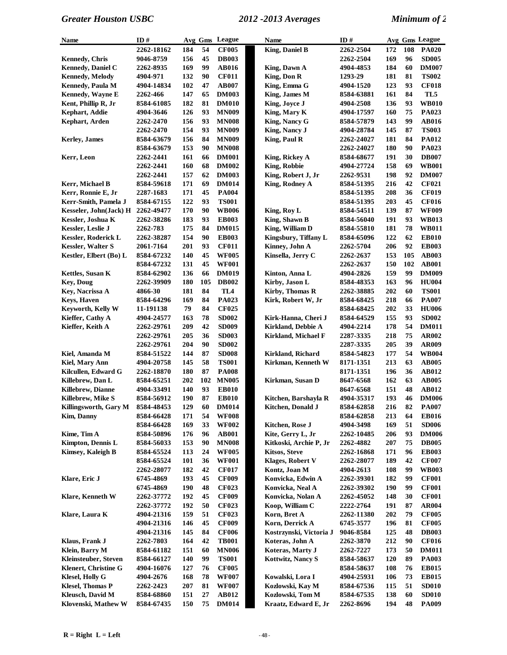| <b>Name</b>                  | ID#              |     |     | Avg Gms League  | Name                       | ID#        |     |     | Avg Gms League |
|------------------------------|------------------|-----|-----|-----------------|----------------------------|------------|-----|-----|----------------|
|                              | 2262-18162       | 184 | 54  | <b>CF005</b>    | <b>King, Daniel B</b>      | 2262-2504  | 172 | 108 | <b>PA020</b>   |
| <b>Kennedy, Chris</b>        | 9046-8759        | 156 | 45  | <b>DB003</b>    |                            | 2262-2504  | 169 | 96  | <b>SD005</b>   |
| <b>Kennedy, Daniel C</b>     | 2262-8935        | 169 | 99  | <b>AB016</b>    | King, Dawn A               | 4904-4853  | 184 | 60  | <b>DM007</b>   |
| <b>Kennedy, Melody</b>       | 4904-971         | 132 | 90  | <b>CF011</b>    | King, Don R                | 1293-29    | 181 | 81  | <b>TS002</b>   |
| <b>Kennedy</b> , Paula M     | 4904-14834       | 102 | 47  | <b>AB007</b>    | King, Emma G               | 4904-1520  | 123 | 93  | <b>CF018</b>   |
| Kennedy, Wayne E             | 2262-466         | 147 | 65  | <b>DM003</b>    | King, James M              | 8584-63881 | 161 | 84  | TL5            |
| Kent, Phillip R, Jr          | 8584-61085       | 182 | 81  | <b>DM010</b>    | King, Joyce J              | 4904-2508  | 136 | 93  | <b>WB010</b>   |
| Kephart, Addie               | 4904-3646        | 126 | 93  | <b>MN009</b>    | King, Mary K               | 4904-17597 | 160 | 75  | PA023          |
| Kephart, Arden               | <b>2262-2470</b> | 156 | 93  | <b>MN008</b>    | King, Nancy G              | 8584-57879 | 143 | 99  | <b>AB016</b>   |
|                              | <b>2262-2470</b> | 154 | 93  | <b>MN009</b>    | King, Nancy J              | 4904-28784 | 145 | 87  | <b>TS003</b>   |
| <b>Kerley</b> , James        | 8584-63679       | 156 | 84  | <b>MN009</b>    | King, Paul R               | 2262-24027 | 181 | 84  | <b>PA012</b>   |
|                              | 8584-63679       | 153 | 90  | <b>MN008</b>    |                            | 2262-24027 | 180 | 90  | PA023          |
| Kerr, Leon                   | 2262-2441        | 161 | 66  | <b>DM001</b>    | King, Rickey A             | 8584-68677 | 191 | 30  | <b>DB007</b>   |
|                              | 2262-2441        | 160 | 68  | <b>DM002</b>    | King, Robbie               | 4904-27724 | 158 | 69  | <b>WB001</b>   |
|                              | 2262-2441        | 157 | 62  | <b>DM003</b>    | King, Robert J, Jr         | 2262-9531  | 198 | 92  | <b>DM007</b>   |
| Kerr, Michael B              | 8584-59618       | 171 | 69  | <b>DM014</b>    | King, Rodney A             | 8584-51395 | 216 | 42  | <b>CF021</b>   |
| Kerr, Ronnie E, Jr           | 2287-1683        | 171 | 45  | <b>PA004</b>    |                            | 8584-51395 | 208 | 36  | <b>CF019</b>   |
| Kerr-Smith, Pamela J         | 8584-67155       | 122 | 93  | <b>TS001</b>    |                            | 8584-51395 | 203 | 45  | <b>CF016</b>   |
| Kesseler, John(Jack) H       | 2262-49477       | 170 | 90  | <b>WB006</b>    | King, Roy L                | 8584-54511 | 139 | 87  | <b>WF009</b>   |
| Kessler, Joshua K            | 2262-38286       | 183 | 93  | <b>EB003</b>    | King, Shawn B              | 8584-56040 | 191 | 93  | <b>WB013</b>   |
| Kessler, Leslie J            | 2262-783         | 175 | 84  | <b>DM015</b>    | King, William D            | 8584-55810 | 181 | 78  | <b>WB011</b>   |
| Kessler, Roderick L          | 2262-38287       | 154 | 90  | <b>EB003</b>    | Kingsbury, Tiffany L       | 8584-65096 | 122 | 62  | <b>EB010</b>   |
| <b>Kessler, Walter S</b>     | 2061-7164        | 201 | 93  | <b>CF011</b>    | Kinney, John A             | 2262-5704  | 206 | 92  | <b>EB003</b>   |
| Kestler, Elbert (Bo) L       | 8584-67232       | 140 | 45  | <b>WF005</b>    | Kinsella, Jerry C          | 2262-2637  | 153 | 105 | <b>AB003</b>   |
|                              | 8584-67232       | 131 | 45  | <b>WF001</b>    |                            | 2262-2637  | 150 | 102 | <b>AB001</b>   |
| Kettles, Susan K             | 8584-62902       | 136 | 66  | <b>DM019</b>    | Kinton, Anna L             | 4904-2826  | 159 | 99  | <b>DM009</b>   |
| <b>Key, Doug</b>             | 2262-39909       | 180 | 105 | <b>DB002</b>    | Kirby, Jason L             | 8584-48353 | 163 | 96  | <b>HU004</b>   |
| Key, Nacrissa A              | 4866-30          | 181 | 84  | TL <sub>4</sub> | Kirby, Thomas R            | 2262-38885 | 202 | 60  | <b>TS001</b>   |
| <b>Keys, Haven</b>           | 8584-64296       | 169 | 84  | PA023           | Kirk, Robert W, Jr         | 8584-68425 | 218 | 66  | <b>PA007</b>   |
| Keyworth, Kelly W            | 11-191138        | 79  | 84  | <b>CF025</b>    |                            | 8584-68425 | 202 | 33  | <b>HU006</b>   |
| Kieffer, Cathy A             | 4904-24577       | 163 | 78  | <b>SD002</b>    | Kirk-Hanna, Cheri J        | 8584-64529 | 155 | 93  | <b>SD002</b>   |
| Kieffer, Keith A             | 2262-29761       | 209 | 42  | <b>SD009</b>    | Kirkland, Debbie A         | 4904-2214  | 178 | 54  | <b>DM011</b>   |
|                              | 2262-29761       | 205 | 36  | <b>SD003</b>    | <b>Kirkland, Michael F</b> | 2287-3335  | 218 | 75  | <b>AR002</b>   |
|                              | 2262-29761       | 204 | 90  | <b>SD002</b>    |                            | 2287-3335  | 205 | 39  | <b>AR009</b>   |
| Kiel, Amanda M               | 8584-51522       | 144 | 87  | <b>SD008</b>    | <b>Kirkland, Richard</b>   | 8584-54823 | 177 | 54  | <b>WB004</b>   |
| Kiel, Mary Ann               | 4904-20758       | 145 | 58  | <b>TS001</b>    | Kirkman, Kenneth W         | 8171-1351  | 213 | 63  | <b>AB005</b>   |
| Kilcullen, Edward G          | 2262-18870       | 180 | 87  | <b>PA008</b>    |                            | 8171-1351  | 196 | 36  | <b>AB012</b>   |
| Killebrew, Dan L             | 8584-65251       | 202 | 102 | <b>MN005</b>    | Kirkman, Susan D           | 8647-6568  | 162 | 63  | <b>AB005</b>   |
| <b>Killebrew</b> , Dianne    | 4904-33491       | 140 | 93  | <b>EB010</b>    |                            | 8647-6568  | 151 | 48  | <b>AB012</b>   |
| Killebrew, Mike S            | 8584-56912       | 190 | 87  | <b>EB010</b>    | Kitchen, Barshayla R       | 4904-35317 | 193 | 46  | <b>DM006</b>   |
| Killingsworth, Gary M        | 8584-48453       | 129 | 60  | <b>DM014</b>    | Kitchen, Donald J          | 8584-62858 | 216 | 82  | <b>PA007</b>   |
| <b>Kim, Danny</b>            | 8584-66428       | 171 | 54  | <b>WF008</b>    |                            | 8584-62858 | 213 | 64  | <b>EB016</b>   |
|                              | 8584-66428       | 169 | 33  | <b>WF002</b>    | Kitchen, Rose J            | 4904-3498  | 169 | 51  | <b>SD006</b>   |
| Kime, Tim A                  | 8584-50896       | 176 | 96  | <b>AB001</b>    | Kite, Gerry L, Jr          | 2262-10485 | 206 | 93  | <b>DM006</b>   |
| Kimpton, Dennis L            | 8584-56033       | 153 | 90  | <b>MN008</b>    | Kitkoski, Archie P, Jr     | 2262-4882  | 207 | 75  | <b>DB005</b>   |
| <b>Kimsey, Kaleigh B</b>     | 8584-65524       | 113 | 24  | <b>WF005</b>    | <b>Kitsos, Steve</b>       | 2262-16868 | 171 | 96  | <b>EB003</b>   |
|                              | 8584-65524       | 101 | 36  | <b>WF001</b>    | <b>Klages, Robert V</b>    | 2262-28077 | 189 | 42  | <b>CF007</b>   |
|                              | 2262-28077       | 182 | 42  | <b>CF017</b>    | Kontz, Joan M              | 4904-2613  | 108 | 99  | <b>WB003</b>   |
| Klare, Eric J                | 6745-4869        | 193 | 45  | <b>CF009</b>    | Konvicka, Edwin A          | 2262-39301 | 182 | 99  | <b>CF001</b>   |
|                              | 6745-4869        | 190 | 48  | <b>CF023</b>    | Konvicka, Neal A           | 2262-39302 | 190 | 99  | <b>CF001</b>   |
| <b>Klare, Kenneth W</b>      | 2262-37772       | 192 | 45  | <b>CF009</b>    | Konvicka, Nolan A          | 2262-45052 | 148 | 30  | <b>CF001</b>   |
|                              | 2262-37772       | 192 | 50  | <b>CF023</b>    | Koop, William C            | 2222-2764  | 191 | 87  | <b>AR004</b>   |
| Klare, Laura K               | 4904-21316       | 159 | 51  | <b>CF023</b>    | Korn, Bret A               | 2262-11380 | 202 | 79  | <b>CF005</b>   |
|                              | 4904-21316       | 146 | 45  | <b>CF009</b>    | Korn, Derrick A            | 6745-3577  | 196 | 81  | <b>CF005</b>   |
|                              | 4904-21316       | 145 | 84  | <b>CF006</b>    | Kostrzynski, Victoria J    | 9046-8584  | 125 | 48  | <b>DB003</b>   |
| Klaus, Frank J               | <b>2262-7803</b> | 164 | 42  | <b>TB001</b>    | Koteras, John A            | 2262-3870  | 212 | 90  | <b>CF016</b>   |
| Klein, Barry M               | 8584-61182       | 151 | 60  | <b>MN006</b>    | Koteras, Marty J           | 2262-7227  | 173 | 50  | <b>DM011</b>   |
| <b>Kleinsteuber</b> , Steven | 8584-66127       | 140 | 99  | <b>TS001</b>    | Kottwitz, Nancy S          | 8584-58637 | 120 | 89  | <b>PA003</b>   |
| <b>Klenert, Christine G</b>  | 4904-16076       | 127 | 76  | <b>CF005</b>    |                            | 8584-58637 | 108 | 76  | <b>EB015</b>   |
| <b>Klesel, Holly G</b>       | 4904-2676        | 168 | 78  | <b>WF007</b>    | Kowalski, Lora I           | 4904-25931 | 106 | 73  | <b>EB015</b>   |
| <b>Klesel, Thomas P</b>      | 2262-2423        | 207 | 81  | <b>WF007</b>    | Kozlowski, Kay M           | 8584-67536 | 115 | 51  | <b>SD010</b>   |
| Kleusch, David M             | 8584-68860       | 151 | 27  | AB012           | Kozlowski, Tom M           | 8584-67535 | 138 | 60  | <b>SD010</b>   |
| Klovenski, Mathew W          | 8584-67435       | 150 | 75  | <b>DM014</b>    | Kraatz, Edward E, Jr       | 2262-8696  | 194 | 48  | <b>PA009</b>   |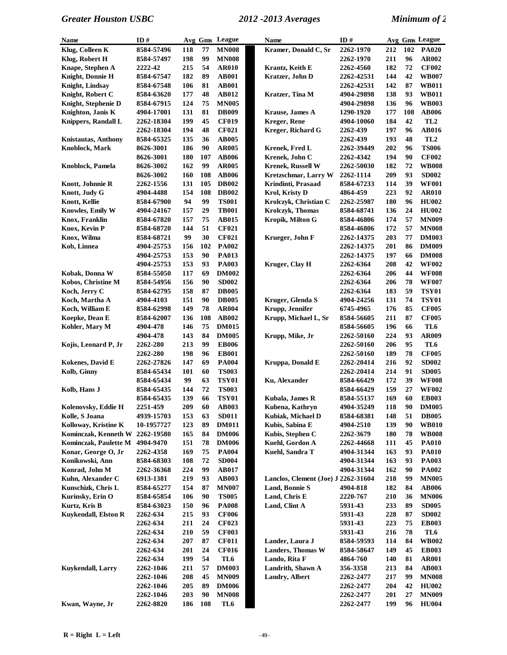| Name                       | ID#        |     |     | Avg Gms League | Name                                | ID#        |            |     | Avg Gms League  |
|----------------------------|------------|-----|-----|----------------|-------------------------------------|------------|------------|-----|-----------------|
| Klug, Colleen K            | 8584-57496 | 118 | 77  | <b>MN008</b>   | Kramer, Donald C, Sr                | 2262-1970  | 212        | 102 | <b>PA020</b>    |
| Klug, Robert H             | 8584-57497 | 198 | 99  | <b>MN008</b>   |                                     | 2262-1970  | 211        | 96  | AR002           |
| Knape, Stephen A           | 2222-42    | 215 | 54  | <b>AR010</b>   | Krantz, Keith E                     | 2262-4560  | 182        | 72  | <b>CF002</b>    |
| Knight, Donnie H           | 8584-67547 | 182 | 89  | <b>AB001</b>   | Kratzer, John D                     | 2262-42531 | 144        | 42  | <b>WB007</b>    |
| Knight, Lindsav            | 8584-67548 | 106 | 81  | <b>AB001</b>   |                                     | 2262-42531 | 142        | 87  | <b>WB011</b>    |
| Knight, Robert C           | 8584-63620 | 177 | 48  | AB012          | Kratzer, Tina M                     | 4904-29898 | 138        | 93  | <b>WB011</b>    |
| Knight, Stephenie D        | 8584-67915 | 124 | 75  | <b>MN005</b>   |                                     | 4904-29898 | 136        | 96  | <b>WB003</b>    |
| Knighton, Janis K          | 4904-17001 | 131 | 81  | <b>DB009</b>   | <b>Krause</b> , James A             | 1290-1920  | 177        | 108 | <b>AB006</b>    |
| Knippers, Randall L        | 2262-18304 | 199 | 45  | <b>CF019</b>   | <b>Kreger, Rene</b>                 | 4904-10060 | 184        | 42  | TL <sub>2</sub> |
|                            | 2262-18304 | 194 | 48  | <b>CF021</b>   | Kreger, Richard G                   | 2262-439   | 197        | 96  | AB016           |
| <b>Knistautas, Anthony</b> | 8584-65325 | 135 | 36  | <b>AB005</b>   |                                     | 2262-439   | 193        | 48  | TL <sub>2</sub> |
| Knoblock, Mark             | 8626-3001  | 186 | 90  | <b>AR005</b>   | Krenek, Fred L                      | 2262-39449 | 202        | 96  | <b>TS006</b>    |
|                            | 8626-3001  | 180 | 107 | <b>AB006</b>   | Krenek, John C                      | 2262-4342  | 194        | 90  | <b>CF002</b>    |
| Knoblock, Pamela           | 8626-3002  | 162 | 99  | <b>AR005</b>   | <b>Krenek, Russell W</b>            | 2262-50030 | 182        | 72  | <b>WB008</b>    |
|                            | 8626-3002  | 160 | 108 | <b>AB006</b>   | Kretzschmar, Larry W                | 2262-1114  | 209        | 93  | <b>SD002</b>    |
| Knott, Johnnie R           | 2262-1556  | 131 | 105 | <b>DB002</b>   | Krindinti, Prasaad                  | 8584-67233 | 114        | 39  | <b>WF001</b>    |
| Knott, Judy G              | 4904-4488  | 154 | 108 | <b>DB002</b>   | Krol, Kristy D                      | 4864-459   | 223        | 92  | <b>AR010</b>    |
| Knott, Kellie              | 8584-67900 | 94  | 99  | <b>TS001</b>   | Krolczyk, Christian C               | 2262-25987 | 180        | 96  | <b>HU002</b>    |
| Knowles, Emily W           | 4904-24167 | 157 | 29  | <b>TB001</b>   | <b>Krolczyk, Thomas</b>             | 8584-68741 | 136        | 24  | <b>HU002</b>    |
| Knox, Franklin             | 8584-67820 | 157 | 75  | AB015          | Kropik, Milton G                    | 8584-46806 | 174        | 57  | <b>MN009</b>    |
| Knox, Kevin P              |            | 144 | 51  | <b>CF021</b>   |                                     |            | 172        | 57  | <b>MN008</b>    |
| Knox, Wilma                | 8584-68720 | 99  | 30  | <b>CF021</b>   | Krueger, John F                     | 8584-46806 | 203        | 77  | <b>DM003</b>    |
|                            | 8584-68721 |     |     |                |                                     | 2262-14375 |            |     |                 |
| Kob, Linnea                | 4904-25753 | 156 | 102 | <b>PA002</b>   |                                     | 2262-14375 | 201        | 86  | <b>DM009</b>    |
|                            | 4904-25753 | 153 | 90  | <b>PA013</b>   |                                     | 2262-14375 | 197        | 66  | <b>DM008</b>    |
|                            | 4904-25753 | 153 | 93  | <b>PA003</b>   | Kruger, Clay H                      | 2262-6364  | 208        | 42  | <b>WF002</b>    |
| Kobak, Donna W             | 8584-55050 | 117 | 69  | <b>DM002</b>   |                                     | 2262-6364  | 206        | 44  | <b>WF008</b>    |
| Kobos, Christine M         | 8584-54956 | 156 | 90  | <b>SD002</b>   |                                     | 2262-6364  | 206        | 78  | <b>WF007</b>    |
| Koch, Jerry C              | 8584-62795 | 158 | 87  | <b>DB005</b>   |                                     | 2262-6364  | 183        | 59  | <b>TSY01</b>    |
| Koch, Martha A             | 4904-4103  | 151 | 90  | <b>DB005</b>   | Kruger, Glenda S                    | 4904-24256 | 131        | 74  | <b>TSY01</b>    |
| Koch, William E            | 8584-62998 | 149 | 78  | <b>AR004</b>   | Krupp, Jennifer                     | 6745-4965  | 176        | 85  | <b>CF005</b>    |
| Koepke, Dean E             | 8584-62007 | 136 | 108 | <b>AB002</b>   | Krupp, Michael L, Sr                | 8584-56605 | 211        | 87  | <b>CF005</b>    |
| Kohler, Mary M             | 4904-478   | 146 | 75  | <b>DM015</b>   |                                     | 8584-56605 | 196        | 66  | TL6             |
|                            | 4904-478   | 143 | 84  | <b>DM005</b>   | Krupp, Mike, Jr                     | 2262-50160 | 224        | 93  | AR009           |
| Kojis, Leonard P, Jr       | 2262-280   | 213 | 99  | <b>EB006</b>   |                                     | 2262-50160 | 206        | 95  | TL6             |
|                            | 2262-280   | 198 | 96  | <b>EB001</b>   |                                     | 2262-50160 | 189        | 78  | <b>CF005</b>    |
| Kokenes, David E           | 2262-27826 | 147 | 69  | <b>PA004</b>   | Kruppa, Donald E                    | 2262-20414 | 216        | 92  | <b>SD002</b>    |
| Kolb, Ginny                | 8584-65434 | 101 | 60  | <b>TS003</b>   |                                     | 2262-20414 | 214        | 91  | <b>SD005</b>    |
|                            | 8584-65434 | 99  | 63  | <b>TSY01</b>   | Ku, Alexander                       | 8584-66429 | 172        | 39  | <b>WF008</b>    |
| Kolb, Hans J               | 8584-65435 | 144 | 72  | <b>TS003</b>   |                                     | 8584-66429 | 159        | 27  | <b>WF002</b>    |
|                            | 8584-65435 | 139 | 66  | <b>TSY01</b>   | Kubala, James R                     | 8584-55137 | 169        | 60  | <b>EB003</b>    |
| Kolenovsky, Eddie H        | 2251-459   | 209 | 60  | <b>AB003</b>   | Kubena, Kathryn                     | 4904-35249 | 118        | 90  | <b>DM005</b>    |
| Kolle, S Joana             | 4939-15703 | 153 | 63  | <b>SD011</b>   | Kubiak, Michael D                   | 8584-68381 | 148        | 51  | <b>DB005</b>    |
| Kolloway, Kristine K       | 10-1957727 | 123 | 89  | <b>DM011</b>   | Kubis, Sabina E                     | 4904-2510  | 139        | 90  | <b>WB010</b>    |
| Kominczak, Kenneth W       | 2262-19580 | 165 | 84  | <b>DM006</b>   | Kubis, Stephen C                    | 2262-3679  | <b>180</b> | 78  | <b>WB008</b>    |
| Kominczak, Paulette M      | 4904-9470  | 151 | 78  | <b>DM006</b>   | Kuehl, Gordon A                     | 2262-44668 | 111        | 45  | <b>PA010</b>    |
| Konar, George O, Jr        | 2262-4358  | 169 | 75  | <b>PA004</b>   | Kuehl, Sandra T                     | 4904-31344 | 163        | 93  | <b>PA010</b>    |
| Konikowski, Ann            | 8584-68303 | 108 | 72  | <b>SD004</b>   |                                     | 4904-31344 | 163        | 93  | <b>PA003</b>    |
| Konrad, John M             | 2262-36368 | 224 | 99  | <b>AB017</b>   |                                     | 4904-31344 | 162        | 90  | <b>PA002</b>    |
| Kuhn, Alexander C          | 6913-1381  | 219 | 93  | <b>AB003</b>   | Lanclos, Clement (Joe) J 2262-31604 |            | 218        | 99  | <b>MN005</b>    |
| Kunschizk, Chris L         | 8584-65277 | 154 | 87  | <b>MN007</b>   | Land, Bonnie S                      | 4904-818   | 182        | 84  | <b>AB006</b>    |
| Kurinsky, Erin O           | 8584-65854 | 106 | 90  | <b>TS005</b>   | Land, Chris E                       | 2220-767   | 210        | 36  | <b>MN006</b>    |
| Kurtz, Kris B              | 8584-63023 | 150 | 96  | <b>PA008</b>   | Land, Clint A                       | 5931-43    | 233        | 89  | <b>SD005</b>    |
| Kuykendall, Elston R       | 2262-634   | 215 | 93  | <b>CF006</b>   |                                     | 5931-43    | 228        | 87  | <b>SD002</b>    |
|                            | 2262-634   | 211 | 24  | <b>CF023</b>   |                                     | 5931-43    | 223        | 75  | <b>EB003</b>    |
|                            | 2262-634   | 210 | 59  | <b>CF003</b>   |                                     | 5931-43    | 216        | 78  | TL6             |
|                            | 2262-634   | 207 | 87  | <b>CF011</b>   | Lander, Laura J                     | 8584-59593 | 114        | 84  | <b>WB002</b>    |
|                            | 2262-634   | 201 | 24  | <b>CF016</b>   | <b>Landers, Thomas W</b>            | 8584-58647 | 149        | 45  | <b>EB003</b>    |
|                            | 2262-634   | 199 | 54  | TL6            | Lando, Rita F                       | 4864-760   | 140        | 81  | <b>AR001</b>    |
| <b>Kuykendall, Larry</b>   | 2262-1046  | 211 | 57  | <b>DM003</b>   | Landrith, Shawn A                   | 356-3358   | 213        | 84  | <b>AB003</b>    |
|                            | 2262-1046  | 208 | 45  | <b>MN009</b>   | Landry, Albert                      | 2262-2477  | 217        | 99  | <b>MN008</b>    |
|                            | 2262-1046  | 205 | 89  | <b>DM006</b>   |                                     | 2262-2477  | 204        | 42  | <b>HU002</b>    |
|                            | 2262-1046  | 203 | 90  | <b>MN008</b>   |                                     | 2262-2477  | <b>201</b> | 27  | <b>MN009</b>    |
| Kwan, Wayne, Jr            | 2262-8820  | 186 | 108 | TL6            |                                     | 2262-2477  | 199        | 96  | <b>HU004</b>    |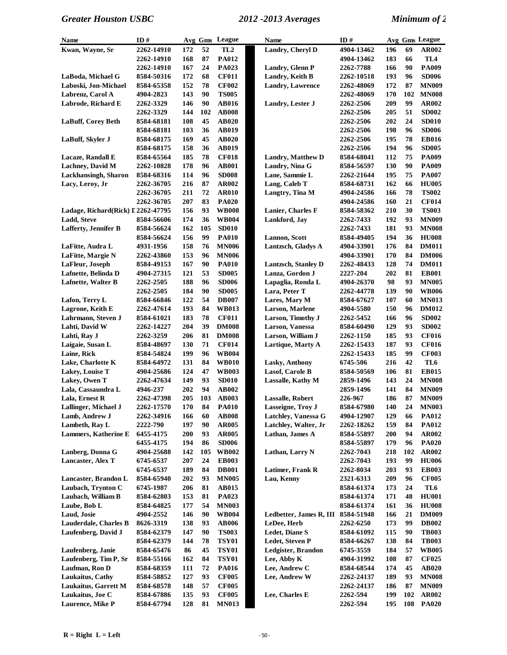| Name                               | ID#               |            |          | Avg Gms League               | <b>Name</b>              | ID#              |            |          | Avg Gms League               |
|------------------------------------|-------------------|------------|----------|------------------------------|--------------------------|------------------|------------|----------|------------------------------|
| Kwan, Wayne, Sr                    | 2262-14910        | 172        | 52       | TL2                          | Landry, Cheryl D         | 4904-13462       | 196        | 69       | AR002                        |
|                                    | 2262-14910        | 168        | 87       | <b>PA012</b>                 |                          | 4904-13462       | 183        | 66       | TL <sub>4</sub>              |
|                                    | 2262-14910        | 167        | 24       | <b>PA023</b>                 | Landry, Glenn P          | 2262-7788        | 166        | 90       | PA009                        |
| LaBoda, Michael G                  | 8584-50316        | 172        | 68       | <b>CF011</b>                 | Landry, Keith B          | 2262-10518       | 193        | 96       | <b>SD006</b>                 |
| Laboski, Jon-Michael               | 8584-65358        | 152        | 78       | <b>CF002</b>                 | <b>Landry, Lawrence</b>  | 2262-48069       | 172        | 87       | <b>MN009</b>                 |
| Labrenz, Carol A                   | 4904-2823         | 143        | 90       | <b>TS005</b>                 |                          | 2262-48069       | 170        | 102      | <b>MN008</b>                 |
| Labrode, Richard E                 | 2262-3329         | 146        | 90       | <b>AB016</b>                 | Landry, Lester J         | <b>2262-2506</b> | 209        | 99       | <b>AR002</b>                 |
|                                    | 2262-3329         | 144        | 102      | <b>AB008</b>                 |                          | <b>2262-2506</b> | 205        | 51       | <b>SD002</b>                 |
| LaBuff, Corey Beth                 | 8584-68181        | 108        | 45       | <b>AB020</b>                 |                          | 2262-2506        | 202        | 24       | <b>SD010</b>                 |
|                                    | 8584-68181        | 103        | 36       | <b>AB019</b>                 |                          | <b>2262-2506</b> | 198        | 96       | <b>SD006</b>                 |
| LaBuff, Skyler J                   | 8584-68175        | 169        | 45       | <b>AB020</b>                 |                          | 2262-2506        | 195        | 78       | <b>EB016</b>                 |
|                                    | 8584-68175        | 158        | 36       | <b>AB019</b>                 |                          | 2262-2506        | 194        | 96       | <b>SD005</b>                 |
| Lacaze, Randall E                  | 8584-65564        | 185        | 78       | <b>CF018</b>                 | <b>Landry, Matthew D</b> | 8584-68041       | 112        | 75       | <b>PA009</b>                 |
| <b>Lachney</b> , David M           | 2262-10828        | 178        | 96       | <b>AB001</b>                 | Landry, Nina G           | 8584-56597       | 130        | 90       | PA009                        |
| Lackhansingh, Sharon               | 8584-68316        | 114        | 96       | <b>SD008</b>                 | Lane, Sammie L           | 2262-21644       | 195        | 75       | <b>PA007</b>                 |
| Lacy, Leroy, Jr                    | 2262-36705        | 216        | 87       | <b>AR002</b>                 | Lang, Caleb T            | 8584-68731       | 162        | 66       | <b>HU005</b>                 |
|                                    | 2262-36705        | 211        | 72       | <b>AR010</b>                 | Langtry, Tina M          | 4904-24586       | 166        | 78       | <b>TS002</b>                 |
|                                    | 2262-36705        | 207        | 83       | <b>PA020</b>                 |                          | 4904-24586       | 160        | 21       | <b>CF014</b>                 |
| Ladage, Richard(Rick) L 2262-47795 |                   | 156        | 93       | <b>WB008</b>                 | Lanier, Charles F        | 8584-58362       | 210        | 30       | <b>TS003</b>                 |
| Ladd, Steve                        | 8584-56606        | 174        | 36       | <b>WB004</b>                 | Lankford, Jay            | 2262-7433        | 192        | 93       | <b>MN009</b>                 |
| <b>Lafferty, Jennifer B</b>        | 8584-56624        | 162        | 105      | <b>SD010</b>                 |                          | 2262-7433        | 181        | 93       | <b>MN008</b>                 |
|                                    | 8584-56624        | 156        | 99       | <b>PA010</b>                 | Lannon, Scott            | 8584-49405       | 194        | 36       | <b>HU008</b>                 |
| LaFitte, Audra L                   | 4931-1956         | 158        | 76       | <b>MN006</b>                 | Lantzsch, Gladys A       | 4904-33901       | 176        | 84       | <b>DM011</b>                 |
| LaFitte, Margie N                  | 2262-43860        | 153        | 96       | <b>MN006</b>                 |                          | 4904-33901       | 170        | 84       | <b>DM006</b>                 |
| LaFleur, Joseph                    |                   | 167        | 90       |                              | Lantzsch, Stanley D      |                  | 128        | 74       | <b>DM011</b>                 |
| Lafnette, Belinda D                | 8584-49153        | 121        | 53       | <b>PA010</b><br><b>SD005</b> | Lanza, Gordon J          | 2262-48433       | 202        | 81       | <b>EB001</b>                 |
|                                    | 4904-27315        | 188        | 96       |                              |                          | 2227-204         | 98         | 93       | <b>MN005</b>                 |
| Lafnette, Walter B                 | 2262-2505         |            | 90       | <b>SD006</b>                 | Lapaglia, Ronda L        | 4904-26370       |            | 90       |                              |
|                                    | 2262-2505         | 184        | 54       | <b>SD005</b>                 | Lara, Peter T            | 2262-44778       | 139        |          | <b>WB006</b>                 |
| Lafon, Terry L                     | 8584-66846        | 122<br>193 |          | <b>DB007</b>                 | Lares, Mary M            | 8584-67627       | 107<br>150 | 60       | <b>MN013</b>                 |
| Lagrone, Keith E                   | 2262-47614        |            | 84<br>78 | <b>WB013</b>                 | Larson, Marlene          | 4904-5580        |            | 96<br>96 | <b>DM012</b>                 |
| Lahrmann, Steven J                 | 8584-61021        | 183<br>204 | 39       | <b>CF011</b>                 | Larson, Timothy J        | 2262-5452        | 166<br>129 | 93       | <b>SD002</b><br><b>SD002</b> |
| Lahti, David W                     | 2262-14227        |            |          | <b>DM008</b>                 | Larson, Vanessa          | 8584-60490       |            |          |                              |
| Lahti, Ray J                       | 2262-3259         | 206        | 81       | <b>DM008</b>                 | Larson, William J        | 2262-1150        | 185        | 93       | <b>CF016</b>                 |
| Laigaie, Susan L                   | 8584-48697        | 130        | 71       | <b>CF014</b>                 | Lartique, Marty A        | 2262-15433       | 187        | 93       | <b>CF016</b>                 |
| Laine, Rick                        | 8584-54824        | 199        | 96       | <b>WB004</b>                 |                          | 2262-15433       | 185        | 99       | <b>CF003</b>                 |
| Lake, Charlotte K                  | 8584-64972        | 131        | 84       | <b>WB010</b>                 | <b>Lasky, Anthony</b>    | 6745-506         | 216        | 42       | TL <sub>6</sub>              |
| Lakey, Louise T                    | 4904-25686        | 124        | 47       | <b>WB003</b>                 | Lasof, Carole B          | 8584-50569       | 106        | 81       | <b>EB015</b>                 |
| Lakey, Owen T                      | 2262-47634        | 149        | 93       | <b>SD010</b>                 | Lassalle, Kathy M        | 2859-1496        | 143        | 24       | <b>MN008</b>                 |
| Lala, Cassaundra L                 | 4946-237          | 202        | 94       | <b>AB002</b>                 |                          | 2859-1496        | 141        | 84       | <b>MN009</b>                 |
| Lala, Ernest R                     | 2262-47398        | 205        | 103      | <b>AB003</b>                 | <b>Lassalle, Robert</b>  | 226-967          | 186        | 87       | <b>MN009</b>                 |
| Lallinger, Michael J               | <b>2262-17570</b> | 170        | 84       | <b>PA010</b>                 | Lasseigne, Troy J        | 8584-67980       | <b>140</b> | 24       | <b>MN003</b>                 |
| Lamb, Andrew J                     | 2262-34916        | 166        | 60       | <b>AB008</b>                 | Latchley, Vanessa G      | 4904-12907       | 129        | 66       | <b>PA012</b>                 |
| Lambeth, Ray L                     | 2222-790          | 197        | 90       | <b>AR005</b>                 | Latchley, Walter, Jr     | 2262-18262       | 159        | 84       | <b>PA012</b>                 |
| <b>Lammers, Katherine E</b>        | 6455-4175         | 200        | 93       | <b>AR005</b>                 | Lathan, James A          | 8584-55897       | <b>200</b> | 94       | AR002                        |
|                                    | 6455-4175         | 194        | 86       | <b>SD006</b>                 |                          | 8584-55897       | 179        | 96       | <b>PA020</b>                 |
| Lanberg, Donna G                   | 4904-25688        | 142        | 105      | <b>WB002</b>                 | Lathan, Larry N          | 2262-7043        | 218        | 102      | <b>AR002</b>                 |
| Lancaster, Alex T                  | 6745-6537         | 207        | 24       | <b>EB003</b>                 |                          | 2262-7043        | 193        | 99       | <b>HU006</b>                 |
|                                    | 6745-6537         | 189        | 84       | <b>DB001</b>                 | Latimer, Frank R         | 2262-8034        | 203        | 93       | <b>EB003</b>                 |
| Lancaster, Brandon L               | 8584-65940        | 202        | 93       | <b>MN005</b>                 | Lau, Kenny               | 2321-6313        | 209        | 96       | <b>CF005</b>                 |
| Laubach, Trynton C                 | 6745-1987         | 206        | 81       | <b>AB015</b>                 |                          | 8584-61374       | 173        | 24       | TL6                          |
| Laubach, William B                 | 8584-62803        | 153        | 81       | PA023                        |                          | 8584-61374       | 171        | 48       | <b>HU001</b>                 |
| Laube, Bob L                       | 8584-64825        | 177        | 54       | <b>MN003</b>                 |                          | 8584-61374       | 161        | 36       | <b>HU008</b>                 |
| Laud, Josie                        | 4904-2552         | 146        | 90       | <b>WB004</b>                 | Ledbetter, James R, III  | 8584-51948       | 166        | 21       | <b>DM009</b>                 |
| Lauderdale, Charles B              | 8626-3319         | 138        | 93       | <b>AB006</b>                 | LeDee, Herb              | <b>2262-6250</b> | 173        | 99       | <b>DB002</b>                 |
| Laufenberg, David J                | 8584-62379        | 147        | 90       | <b>TS003</b>                 | <b>Ledet, Diane S</b>    | 8584-61092       | 115        | 90       | <b>TB003</b>                 |
|                                    | 8584-62379        | 144        | 78       | <b>TSY01</b>                 | Ledet, Steven P          | 8584-66267       | 138        | 84       | <b>TB003</b>                 |
| Laufenberg, Janie                  | 8584-65476        | 86         | 45       | <b>TSY01</b>                 | Ledgister, Brandon       | 6745-3559        | 184        | 57       | <b>WB005</b>                 |
| Laufenberg, Tim P, Sr              | 8584-55166        | 162        | 84       | <b>TSY01</b>                 | Lee, Abby K              | 4904-31992       | 108        | 87       | <b>CF025</b>                 |
| Laufman, Ron D                     | 8584-68359        | 111        | 72       | <b>PA016</b>                 | Lee, Andrew C            | 8584-68544       | 174        | 45       | <b>AB020</b>                 |
| Laukaitus, Cathy                   | 8584-58852        | 127        | 93       | <b>CF005</b>                 | Lee, Andrew W            | 2262-24137       | 189        | 93       | <b>MN008</b>                 |
| <b>Laukaitus, Garrett M</b>        | 8584-68578        | 148        | 57       | <b>CF005</b>                 |                          | 2262-24137       | 186        | 87       | <b>MN009</b>                 |
| Laukaitus, Joe C                   | 8584-67886        | 135        | 93       | <b>CF005</b>                 | Lee, Charles E           | 2262-594         | 199        | 102      | <b>AR002</b>                 |
| Laurence, Mike P                   | 8584-67794        | 128        | 81       | <b>MN013</b>                 |                          | 2262-594         | 195        | 108      | <b>PA020</b>                 |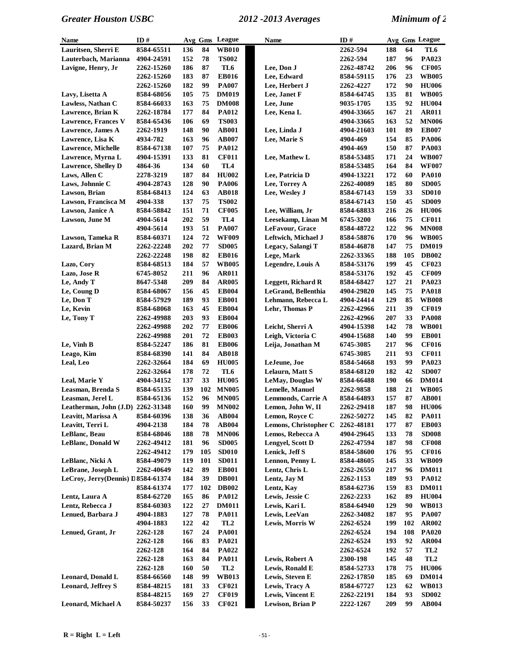| <b>Name</b>                         | ID#        |     | Avg Gms | League          | Name                      | ID#        |     |     | Avg Gms League  |
|-------------------------------------|------------|-----|---------|-----------------|---------------------------|------------|-----|-----|-----------------|
| Lauritsen, Sherri E                 | 8584-65511 | 136 | 84      | <b>WB010</b>    |                           | 2262-594   | 188 | 64  | TL6             |
| Lauterbach, Marianna                | 4904-24591 | 152 | 78      | <b>TS002</b>    |                           | 2262-594   | 187 | 96  | PA023           |
| Lavigne, Henry, Jr                  | 2262-15260 | 186 | 87      | TL6             | Lee, Don J                | 2262-48742 | 206 | 96  | <b>CF005</b>    |
|                                     | 2262-15260 | 183 | 87      | <b>EB016</b>    | Lee, Edward               | 8584-59115 | 176 | 23  | <b>WB005</b>    |
|                                     | 2262-15260 | 182 | 99      | <b>PA007</b>    | Lee, Herbert J            | 2262-4227  | 172 | 90  | <b>HU006</b>    |
| Lavy, Lisetta A                     | 8584-68056 | 105 | 75      | <b>DM019</b>    | Lee, Janet F              | 8584-64745 | 135 | 81  | <b>WB005</b>    |
| Lawless, Nathan C                   | 8584-66033 | 163 | 75      | <b>DM008</b>    | Lee, June                 | 9035-1705  | 135 | 92  | <b>HU004</b>    |
| Lawrence, Brian K                   | 2262-18784 | 177 | 84      | <b>PA012</b>    | Lee, Kena L               | 4904-33665 | 167 | 21  | <b>AR011</b>    |
| <b>Lawrence, Frances V</b>          | 8584-65436 | 106 | 69      | <b>TS003</b>    |                           | 4904-33665 | 163 | 52  | <b>MN006</b>    |
| Lawrence, James A                   | 2262-1919  | 148 | 90      | <b>AB001</b>    | Lee, Linda J              | 4904-21603 | 101 | 89  | <b>EB007</b>    |
| Lawrence, Lisa K                    | 4934-782   | 163 | 96      | <b>AB007</b>    | Lee, Marie S              | 4904-469   | 154 | 85  | <b>PA006</b>    |
| <b>Lawrence, Michelle</b>           | 8584-67138 | 107 | 75      | <b>PA012</b>    |                           | 4904-469   | 150 | 87  | <b>PA003</b>    |
| Lawrence, Myrna L                   | 4904-15391 | 133 | 81      | <b>CF011</b>    | Lee, Mathew L             | 8584-53485 | 171 | 24  | <b>WB007</b>    |
| <b>Lawrence, Shelley D</b>          | 4864-36    | 134 | 60      | TL <sub>4</sub> |                           | 8584-53485 | 164 | 84  | <b>WF007</b>    |
| Laws, Allen C                       | 2278-3219  | 187 | 84      | <b>HU002</b>    | Lee, Patricia D           | 4904-13221 | 172 | 60  | <b>PA010</b>    |
| Laws, Johnnie C                     | 4904-28743 | 128 | 90      | <b>PA006</b>    | Lee, Torrey A             | 2262-40089 | 185 | 80  | <b>SD005</b>    |
| Lawson, Brian                       | 8584-68413 | 124 | 63      | <b>AB018</b>    | Lee, Wesley J             | 8584-67143 | 159 | 33  | <b>SD010</b>    |
| Lawson, Francisca M                 | 4904-338   | 137 | 75      | <b>TS002</b>    |                           | 8584-67143 | 150 | 45  | <b>SD009</b>    |
| Lawson, Janice A                    | 8584-58842 | 151 | 71      | <b>CF005</b>    | Lee, William, Jr          | 8584-68833 | 216 | 26  | <b>HU006</b>    |
| Lawson, June M                      | 4904-5614  | 202 | 59      | TL <sub>4</sub> | Leesekamp, Linan M        | 6745-3200  | 166 | 75  | <b>CF011</b>    |
|                                     | 4904-5614  | 193 | 51      | <b>PA007</b>    | LeFavour, Grace           | 8584-48722 | 122 | 96  | <b>MN008</b>    |
| Lawson, Tameka R                    | 8584-60371 | 124 | 72      | <b>WF009</b>    | Leftwich, Michael J       | 8584-58876 | 170 | 96  | <b>WB005</b>    |
| Lazard, Brian M                     | 2262-22248 | 202 | 77      | <b>SD005</b>    | Legacy, Salangi T         | 8584-46878 | 147 | 75  | <b>DM019</b>    |
|                                     | 2262-22248 | 198 | 82      | <b>EB016</b>    | Lege, Mark                | 2262-33365 | 188 | 105 | <b>DB002</b>    |
| Lazo, Cory                          | 8584-68513 | 184 | 57      | <b>WB005</b>    | Legendre, Louis A         | 8584-53176 | 199 | 45  | <b>CF023</b>    |
| Lazo, Jose R                        | 6745-8052  | 211 | 96      | <b>AR011</b>    |                           | 8584-53176 | 192 | 45  | <b>CF009</b>    |
| Le, Andy T                          | 8647-5348  | 209 | 84      | <b>AR005</b>    | <b>Leggett, Richard R</b> | 8584-68427 | 127 | 21  | PA023           |
| Le, Coung D                         | 8584-68067 | 156 | 45      | <b>EB004</b>    | LeGrand, Bellenthia       | 4904-29820 | 145 | 75  | <b>PA018</b>    |
| Le, Don T                           | 8584-57929 | 189 | 93      | <b>EB001</b>    | Lehmann, Rebecca L        | 4904-24414 | 129 | 85  | <b>WB008</b>    |
| Le, Kevin                           | 8584-68068 | 163 | 45      | <b>EB004</b>    | Lehr, Thomas P            | 2262-42966 | 211 | 39  | <b>CF019</b>    |
| Le, Tony T                          | 2262-49988 | 203 | 93      | <b>EB004</b>    |                           | 2262-42966 | 207 | 33  | <b>PA008</b>    |
|                                     | 2262-49988 | 202 | 77      | <b>EB006</b>    | Leicht, Sherri A          | 4904-15398 | 142 | 78  | <b>WB001</b>    |
|                                     | 2262-49988 | 201 | 72      | <b>EB003</b>    | Leigh, Victoria C         | 4904-15688 | 140 | 99  | <b>EB001</b>    |
| Le, Vinh B                          | 8584-52247 | 186 | 81      | <b>EB006</b>    | Leija, Jonathan M         | 6745-3085  | 217 | 96  | <b>CF016</b>    |
| Leago, Kim                          | 8584-68390 | 141 | 84      | <b>AB018</b>    |                           | 6745-3085  | 211 | 93  | <b>CF011</b>    |
| Leal, Leo                           | 2262-32664 | 184 | 69      | <b>HU005</b>    | LeJeune, Joe              | 8584-54668 | 193 | 99  | PA023           |
|                                     | 2262-32664 | 178 | 72      | TL6             | Lelaurn, Matt S           | 8584-68120 | 182 | 42  | <b>SD007</b>    |
| Leal, Marie Y                       | 4904-34152 | 137 | 33      | <b>HU005</b>    | LeMay, Douglas W          | 8584-66488 | 190 | 66  | <b>DM014</b>    |
| Leasman, Brenda S                   | 8584-65135 | 139 | 102     | <b>MN005</b>    | <b>Lemelle, Manuel</b>    | 2262-9858  | 188 | 21  | <b>WB005</b>    |
| Leasman, Jerel L                    | 8584-65136 | 152 | 96      | <b>MN005</b>    | Lemmonds, Carrie A        | 8584-64893 | 157 | 87  | <b>AB001</b>    |
| Leatherman, John $(J.D)$ 2262-31348 |            | 160 | 99      | <b>MN002</b>    | Lemon, John W, II         | 2262-29418 | 187 | 98  | <b>HU006</b>    |
| Leavitt, Marissa A                  | 8584-60396 | 138 | 36      | <b>AB004</b>    | Lemon, Rovce C            | 2262-50272 | 145 | 82  | <b>PA011</b>    |
| Leavitt, Terri L                    | 4904-2138  | 184 | 78      | <b>AB004</b>    | Lemons, Christopher C     | 2262-48181 | 177 | 87  | <b>EB003</b>    |
| LeBlanc, Beau                       | 8584-68046 | 188 | 78      | <b>MN006</b>    | Lemos, Rebecca A          | 4904-29645 | 133 | 78  | <b>SD008</b>    |
| <b>LeBlanc, Donald W</b>            | 2262-49412 | 181 | 96      | <b>SD005</b>    | Lengvel, Scott D          | 2262-47594 | 187 | 98  | <b>CF008</b>    |
|                                     | 2262-49412 | 179 | 105     | <b>SD010</b>    | Lenick, Jeff S            | 8584-58600 | 176 | 95  | <b>CF016</b>    |
| LeBlanc, Nicki A                    | 8584-49079 | 119 | 101     | <b>SD011</b>    | Lennon, Penny L           | 8584-48605 | 145 | 33  | <b>WB009</b>    |
| LeBrane, Joseph L                   | 2262-40649 | 142 | 89      | <b>EB001</b>    | Lentz, Chris L            | 2262-26550 | 217 | 96  | <b>DM011</b>    |
| LeCroy, Jerry(Dennis) D 8584-61374  |            | 184 | 39      | <b>DB001</b>    | Lentz, Jay M              | 2262-1153  | 189 | 93  | <b>PA012</b>    |
|                                     | 8584-61374 | 177 | 102     | <b>DB002</b>    | Lentz, Kay                | 8584-62736 | 159 | 83  | <b>DM011</b>    |
| Lentz, Laura A                      | 8584-62720 | 165 | 86      | <b>PA012</b>    | Lewis, Jessie C           | 2262-2233  | 162 | 89  | <b>HU004</b>    |
| Lentz, Rebecca J                    | 8584-60303 | 122 | 27      | <b>DM011</b>    | Lewis, Kari L             | 8584-64940 | 129 | 90  | <b>WB013</b>    |
| Lenued, Barbara J                   | 4904-1883  | 127 | 78      | <b>PA011</b>    | Lewis, LeeVan             | 2262-34082 | 187 | 95  | <b>PA007</b>    |
|                                     | 4904-1883  | 122 | 42      | TL2             | Lewis, Morris W           | 2262-6524  | 199 | 102 | <b>AR002</b>    |
| Lenued, Grant, Jr                   | 2262-128   | 167 | 24      | <b>PA001</b>    |                           | 2262-6524  | 194 | 108 | <b>PA020</b>    |
|                                     | 2262-128   | 166 | 83      | <b>PA021</b>    |                           | 2262-6524  | 193 | 92  | <b>AR004</b>    |
|                                     | 2262-128   | 164 | 84      | <b>PA022</b>    |                           | 2262-6524  | 192 | 57  | TL <sub>2</sub> |
|                                     | 2262-128   | 163 | 84      | <b>PA011</b>    | Lewis, Robert A           | 2300-198   | 145 | 48  | TL <sub>2</sub> |
|                                     | 2262-128   | 160 | 50      | TL2             | Lewis, Ronald E           | 8584-52733 | 178 | 75  | <b>HU006</b>    |
| Leonard, Donald L                   | 8584-66560 | 148 | 99      | <b>WB013</b>    | Lewis, Steven E           | 2262-17850 | 185 | 69  | <b>DM014</b>    |
| <b>Leonard, Jeffrey S</b>           | 8584-48215 | 181 | 33      | <b>CF021</b>    | Lewis, Tracy A            | 8584-67727 | 123 | 62  | <b>WB013</b>    |
|                                     | 8584-48215 | 169 | 27      | <b>CF019</b>    | Lewis, Vincent E          | 2262-22191 | 184 | 93  | <b>SD002</b>    |
| Leonard, Michael A                  | 8584-50237 | 156 | 33      | <b>CF021</b>    | Lewison, Brian P          | 2222-1267  | 209 | 99  | <b>AB004</b>    |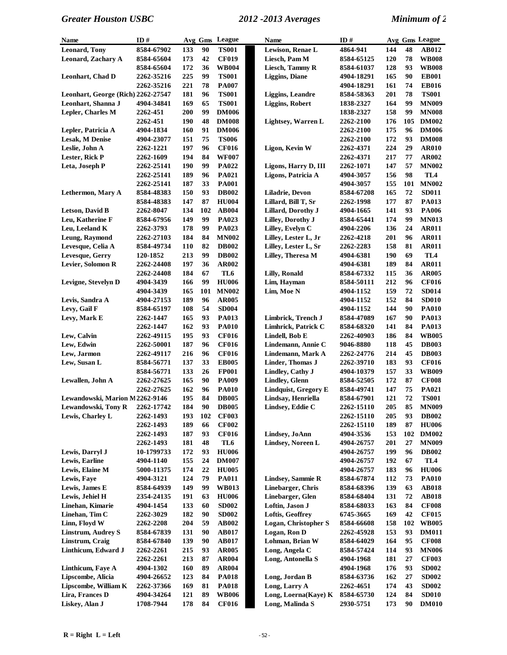| Name                               | ID#                     |            | Avg Gms  | League       | <b>Name</b>                 | ID#               |            |          | Avg Gms League  |
|------------------------------------|-------------------------|------------|----------|--------------|-----------------------------|-------------------|------------|----------|-----------------|
| <b>Leonard, Tony</b>               | 8584-67902              | 133        | 90       | <b>TS001</b> | Lewison, Renae L            | 4864-941          | 144        | 48       | AB012           |
| Leonard, Zachary A                 | 8584-65604              | 173        | 42       | <b>CF019</b> | Liesch, Pam M               | 8584-65125        | 120        | 78       | <b>WB008</b>    |
|                                    | 8584-65604              | 172        | 36       | <b>WB004</b> | Liesch, Tammy R             | 8584-61037        | 128        | 93       | <b>WB008</b>    |
| Leonhart, Chad D                   | 2262-35216              | 225        | 99       | <b>TS001</b> | <b>Liggins</b> , Diane      | 4904-18291        | 165        | 90       | <b>EB001</b>    |
|                                    | 2262-35216              | 221        | 78       | <b>PA007</b> |                             | 4904-18291        | 161        | 74       | <b>EB016</b>    |
| Leonhart, George (Rich) 2262-27547 |                         | 181        | 96       | <b>TS001</b> | <b>Liggins, Leandre</b>     | 8584-58363        | 201        | 78       | <b>TS001</b>    |
| Leonhart, Shanna J                 | 4904-34841              | 169        | 65       | <b>TS001</b> | <b>Liggins, Robert</b>      | 1838-2327         | 164        | 99       | <b>MN009</b>    |
| Lepler, Charles M                  | 2262-451                | 200        | 99       | <b>DM006</b> |                             | 1838-2327         | 158        | 99       | <b>MN008</b>    |
|                                    | 2262-451                | 190        | 48       | <b>DM008</b> | Lightsey, Warren L          | 2262-2100         | 176        | 105      | <b>DM002</b>    |
| Lepler, Patricia A                 | 4904-1834               | 160        | 91       | <b>DM006</b> |                             | 2262-2100         | 175        | 96       | <b>DM006</b>    |
| Lesak, M Denise                    | 4904-23077              | 151        | 75       | <b>TS006</b> |                             | 2262-2100         | 172        | 93       | <b>DM008</b>    |
| Leslie, John A                     | 2262-1221               | 197        | 96       | <b>CF016</b> | Ligon, Kevin W              | 2262-4371         | 224        | 29       | <b>AR010</b>    |
| Lester, Rick P                     | 2262-1609               | 194        | 84       | <b>WF007</b> |                             | 2262-4371         | 217        | 77       | <b>AR002</b>    |
| Leta, Joseph P                     | 2262-25141              | 190        | 99       | PA022        | Ligons, Harry D, III        | 2262-1071         | 147        | 57       | <b>MN002</b>    |
|                                    | 2262-25141              | 189        | 96       | <b>PA021</b> | Ligons, Patricia A          | 4904-3057         | 156        | 98       | TL4             |
|                                    | 2262-25141              | 187        | 33       | <b>PA001</b> |                             | 4904-3057         | 155        | 101      | <b>MN002</b>    |
| Lethermon, Mary A                  | 8584-48383              | 150        | 93       | <b>DB002</b> | Liladrie, Devon             | 8584-67208        | 165        | 72       | <b>SD011</b>    |
|                                    | 8584-48383              | 147        | 87       | <b>HU004</b> | Lillard, Bill T, Sr         | 2262-1998         | 177        | 87       | PA013           |
| <b>Letson, David B</b>             | 2262-8047               | 134        | 102      | <b>AB004</b> | <b>Lillard, Dorothy J</b>   | 4904-1665         | 141        | 93       | <b>PA006</b>    |
| Leu, Katherine F                   | 8584-67956              | 149        | 99       | PA023        | Lilley, Dorothy J           | 8584-65441        | 174        | 99       | <b>MN013</b>    |
| Leu, Leeland K                     | 2262-3793               | 178        | 99       | PA023        | Lilley, Evelyn C            | 4904-2206         | 136        | 24       | <b>AR011</b>    |
| Leung, Raymond                     | 2262-27103              | 184        | 84       | <b>MN002</b> | Lilley, Lester L, Jr        | 2262-4218         | 201        | 96       | <b>AR011</b>    |
| Levesque, Celia A                  | 8584-49734              | 110        | 82       | <b>DB002</b> | Lilley, Lester L, Sr        | 2262-2283         | 158        | 81       | <b>AR011</b>    |
| Levesque, Gerry                    | 120-1852                | 213        | 99       | <b>DB002</b> | Lillev, Theresa M           | 4904-6381         | 190        | 69       | TL <sub>4</sub> |
| Levier, Solomon R                  | 2262-24408              | 197        | 36       | <b>AR002</b> |                             | 4904-6381         | 189        | 84       | <b>AR011</b>    |
|                                    |                         | 184        | 67       | TL6          | <b>Lilly, Ronald</b>        |                   | 115        | 36       | <b>AR005</b>    |
| Levigne, Stevelyn D                | 2262-24408<br>4904-3439 | 166        | 99       | <b>HU006</b> | Lim, Hayman                 | 8584-67332        | 212        | 96       | <b>CF016</b>    |
|                                    |                         |            |          |              |                             | 8584-50111        | 159        | 72       |                 |
|                                    | 4904-3439               | 165<br>189 | 101      | <b>MN002</b> | Lim, Moe N                  | 4904-1152         |            | 84       | <b>SD014</b>    |
| Levis, Sandra A                    | 4904-27153              |            | 96<br>54 | <b>AR005</b> |                             | 4904-1152         | 152<br>144 | 90       | <b>SD010</b>    |
| Levy, Gail F                       | 8584-65197              | 108        |          | <b>SD004</b> |                             | 4904-1152         |            |          | <b>PA010</b>    |
| Levy, Mark E                       | 2262-1447               | 165        | 93<br>93 | <b>PA013</b> | Limbrick, Trench J          | 8584-47089        | 167        | 90<br>84 | PA013           |
|                                    | 2262-1447               | 162<br>195 | 93       | <b>PA010</b> | Limhrick, Patrick C         | 8584-68320        | 141        | 84       | PA013           |
| Lew, Calvin                        | 2262-49115              |            |          | <b>CF016</b> | Lindell, Bob E              | 2262-40903        | 186        |          | <b>WB005</b>    |
| Lew, Edwin                         | 2262-50001              | 187        | 96       | <b>CF016</b> | Lindemann, Annie C          | 9046-8880         | 118        | 45       | <b>DB003</b>    |
| Lew, Jarmon                        | 2262-49117              | 216        | 96       | <b>CF016</b> | Lindemann, Mark A           | 2262-24776        | 214        | 45       | <b>DB003</b>    |
| Lew, Susan L                       | 8584-56771              | 137        | 33       | <b>EB005</b> | Linder, Thomas J            | 2262-39710        | 183        | 93       | <b>CF016</b>    |
|                                    | 8584-56771              | 133        | 26       | <b>FP001</b> | Lindley, Cathy J            | 4904-10379        | 157        | 33       | <b>WB009</b>    |
| Lewallen, John A                   | 2262-27625              | 165        | 90       | <b>PA009</b> | <b>Lindley</b> , Glenn      | 8584-52505        | 172        | 87       | <b>CF008</b>    |
|                                    | 2262-27625              | 162        | 96       | <b>PA010</b> | <b>Lindquist, Gregory E</b> | 8584-49741        | 147        | 75       | PA021           |
| Lewandowski, Marion M2262-9146     |                         | 195        | 84       | <b>DB005</b> | Lindsay, Henriella          | 8584-67901        | 121        | 72       | <b>TS001</b>    |
| Lewandowski, Tony R                | 2262-17742              | 184        | 90       | <b>DB005</b> | Lindsey, Eddie C            | <b>2262-15110</b> | 205        | 85       | <b>MN009</b>    |
| Lewis, Charley L                   | 2262-1493               | 193        | 102      | <b>CF003</b> |                             | 2262-15110        | 205        | 93       | <b>DB002</b>    |
|                                    | 2262-1493               | 189        | 66       | <b>CF002</b> |                             | 2262-15110        | 189        | 87       | <b>HU006</b>    |
|                                    | 2262-1493               | 187        | 93       | <b>CF016</b> | Lindsey, JoAnn              | 4904-3536         | 153        | 102      | <b>DM002</b>    |
|                                    | 2262-1493               | 181        | 48       | TL6          | <b>Lindsey, Noreen L</b>    | 4904-26757        | 201        | 27       | <b>MN009</b>    |
| Lewis, Darryl J                    | 10-1799733              | 172        | 93       | <b>HU006</b> |                             | 4904-26757        | 199        | 96       | <b>DB002</b>    |
| Lewis, Earline                     | 4904-1140               | 155        | 24       | <b>DM007</b> |                             | 4904-26757        | 192        | 67       | TL4             |
| Lewis, Elaine M                    | 5000-11375              | 174        | 22       | <b>HU005</b> |                             | 4904-26757        | 183        | 96       | <b>HU006</b>    |
| Lewis, Faye                        | 4904-3121               | 124        | 79       | <b>PA011</b> | <b>Lindsey, Sammie R</b>    | 8584-67874        | 112        | 73       | <b>PA010</b>    |
| Lewis, James E                     | 8584-64939              | 149        | 99       | <b>WB013</b> | Linebarger, Chris           | 8584-68396        | 139        | 63       | <b>AB018</b>    |
| Lewis, Jehiel H                    | 2354-24135              | 191        | 63       | <b>HU006</b> | Linebarger, Glen            | 8584-68404        | 131        | 72       | <b>AB018</b>    |
| Linehan, Kimarie                   | 4904-1454               | 133        | 60       | <b>SD002</b> | Loftin, Jason J             | 8584-68033        | 163        | 84       | <b>CF008</b>    |
| Linehan, Tim C                     | 2262-3029               | 182        | 90       | <b>SD002</b> | Loftis, Geoffrey            | 6745-3665         | 169        | 42       | <b>CF015</b>    |
| Linn, Floyd W                      | 2262-2208               | 204        | 59       | <b>AB002</b> | Logan, Christopher S        | 8584-66608        | 158        | 102      | <b>WB005</b>    |
| <b>Linstrum, Audrey S</b>          | 8584-67839              | 131        | 90       | <b>AB017</b> | Logan, Ron D                | 2262-45928        | 153        | 93       | <b>DM011</b>    |
| Linstrum, Craig                    | 8584-67840              | 139        | 90       | <b>AB017</b> | Lohman, Brian W             | 8584-64029        | 164        | 95       | <b>CF008</b>    |
| Linthicum, Edward J                | 2262-2261               | 215        | 93       | <b>AR005</b> | Long, Angela C              | 8584-57424        | 114        | 93       | <b>MN006</b>    |
|                                    | 2262-2261               | 213        | 87       | <b>AR004</b> | Long, Antonella S           | 4904-1968         | 181        | $27\,$   | <b>CF003</b>    |
| Linthicum, Faye A                  | 4904-1302               | 160        | 89       | <b>AR004</b> |                             | 4904-1968         | 176        | 93       | <b>SD002</b>    |
| Lipscombe, Alicia                  | 4904-26652              | 123        | 84       | <b>PA018</b> | Long, Jordan B              | 8584-63736        | 162        | 27       | <b>SD002</b>    |
| Lipscombe, William K               | 2262-37366              | 169        | 81       | <b>PA018</b> | Long, Larry A               | 2262-4651         | 174        | 43       | <b>SD002</b>    |
| Lira, Frances D                    | 4904-34264              | 121        | 89       | <b>WB006</b> | Long, Loerna(Kaye) K        | 8584-65730        | 124        | 84       | <b>SD010</b>    |
| Liskey, Alan J                     | 1708-7944               | 178        | 84       | <b>CF016</b> | Long, Malinda S             | 2930-5751         | 173        | 90       | <b>DM010</b>    |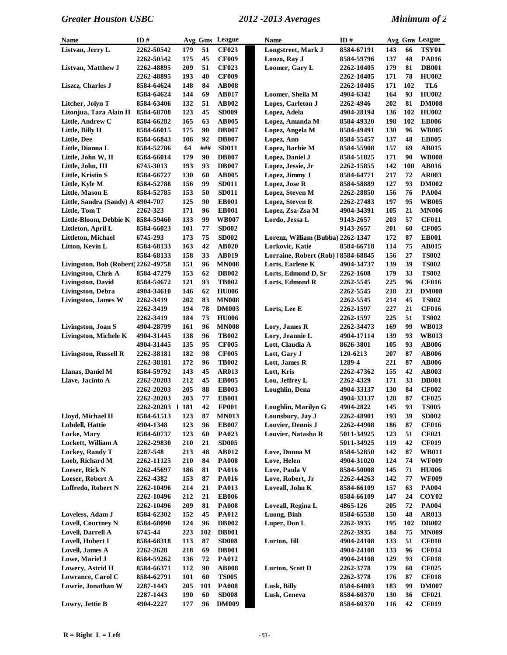| <b>Name</b>                         | ID#              |            |     | Avg Gms League | <b>Name</b>                        | ID#        |     |     | Avg Gms League    |
|-------------------------------------|------------------|------------|-----|----------------|------------------------------------|------------|-----|-----|-------------------|
| Listvan, Jerry L                    | 2262-50542       | 179        | 51  | <b>CF023</b>   | Longstreet, Mark J                 | 8584-67191 | 143 | 66  | <b>TSY01</b>      |
|                                     | 2262-50542       | 175        | 45  | <b>CF009</b>   | Lonzo, Ray J                       | 8584-59796 | 137 | 48  | <b>PA016</b>      |
| Listvan, Matthew J                  | 2262-48895       | 209        | 51  | <b>CF023</b>   | Loomer, Gary L                     | 2262-10405 | 179 | 81  | <b>DB001</b>      |
|                                     | 2262-48895       | 193        | 40  | <b>CF009</b>   |                                    | 2262-10405 | 171 | 78  | <b>HU002</b>      |
| Liszcz, Charles J                   | 8584-64624       | 148        | 84  | <b>AB008</b>   |                                    | 2262-10405 | 171 | 102 | TL6               |
|                                     | 8584-64624       | 144        | 69  | AB017          | Loomer, Sheila M                   | 4904-6342  | 164 | 93  | <b>HU002</b>      |
| Litcher, Jolyn T                    | 8584-63406       | 132        | 51  | <b>AB002</b>   | Lopes, Carleton J                  | 2262-4946  | 202 | 81  | <b>DM008</b>      |
| Litonjua, Tara Alain H              | 8584-68708       | 123        | 45  | <b>SD009</b>   | Lopez, Adela                       | 4904-28194 | 136 | 102 | <b>HU002</b>      |
| Little, Andrew C                    | 8584-66282       | 165        | 63  | <b>AB005</b>   | Lopez, Amanda M                    | 8584-49320 | 198 | 102 | <b>EB006</b>      |
| Little, Billy H                     | 8584-66015       | 175        | 90  | <b>DB007</b>   | Lopez, Angela M                    | 8584-49491 | 130 | 96  | <b>WB005</b>      |
| Little, Dee                         | 8584-66843       | 106        | 92  | <b>DB007</b>   | Lopez, Ann                         | 8584-55457 | 137 | 48  | <b>EB005</b>      |
| Little, Dianna L                    | 8584-52786       | 64         | ### | <b>SD011</b>   | Lopez, Barbie M                    | 8584-55908 | 157 | 69  | AB015             |
| Little, John W, II                  | 8584-66014       | 179        | 90  | <b>DB007</b>   | Lopez, Daniel J                    | 8584-51825 | 171 | 90  | <b>WB008</b>      |
| Little, John, III                   | 6745-3013        | 193        | 93  | <b>DB007</b>   | Lopez, Jessie, Jr                  | 2262-15855 | 142 | 100 | AB016             |
| Little, Kristin S                   | 8584-66727       | 130        | 60  | <b>AB005</b>   | Lopez, Jimmy J                     | 8584-64771 | 217 | 72  | <b>AR003</b>      |
| Little, Kyle M                      | 8584-52788       | 156        | 99  | <b>SD011</b>   | Lopez, Jose R                      | 8584-58889 | 127 | 93  | <b>DM002</b>      |
| Little, Mason E                     | 8584-52785       | 153        | 50  | <b>SD011</b>   | Lopez, Steven M                    | 2262-28850 | 156 | 76  | <b>PA004</b>      |
| Little, Sandra (Sandy) A 4904-707   |                  | 125        | 90  | <b>EB001</b>   | Lopez, Steven R                    | 2262-27483 | 197 | 95  | <b>WB005</b>      |
| Little, Tom T                       | 2262-323         | 171        | 96  | <b>EB001</b>   | Lopez, Zsa-Zsa M                   | 4904-34391 | 105 | 21  | <b>MN006</b>      |
| Little-Bloom, Debbie K              | 8584-59460       | 133        | 99  | <b>WB007</b>   | Lordo, Jessa L                     | 9143-2657  | 203 | 57  | <b>CF011</b>      |
| Littleton, April L                  | 8584-66023       | 101        | 77  | <b>SD002</b>   |                                    | 9143-2657  | 201 | 60  | <b>CF005</b>      |
| Littleton, Michael                  | 6745-293         | 173        | 75  | <b>SD002</b>   | Lorenz, William (Bubba) 2262-1347  |            | 172 | 87  | <b>EB001</b>      |
| Litton, Kevin L                     | 8584-68133       | 163        | 42  | <b>AB020</b>   | Lorkovic, Katie                    | 8584-66718 | 114 | 75  | AB015             |
|                                     | 8584-68133       | 158        | 33  | <b>AB019</b>   | Lorraine, Robert (Rob) 18584-68845 |            | 156 | 27  | <b>TS002</b>      |
| Livingston, Bob (Robert) 2262-49758 |                  | 151        | 96  | <b>MN008</b>   | Lorts, Earlene K                   | 4904-34737 | 139 | 39  | <b>TS002</b>      |
| Livingston, Chris A                 | 8584-47279       | 153        | 62  | <b>DB002</b>   | Lorts, Edmond D, Sr                | 2262-1608  | 179 | 33  | <b>TS002</b>      |
| <b>Livingston, David</b>            | 8584-54672       | 121        | 93  | <b>TB002</b>   | Lorts, Edmond R                    | 2262-5545  | 225 | 96  | <b>CF016</b>      |
| Livingston, Debra                   | 4904-34610       | 146        | 62  | <b>HU006</b>   |                                    | 2262-5545  | 218 | 23  | <b>DM008</b>      |
| <b>Livingston, James W</b>          | 2262-3419        | 202        | 83  | <b>MN008</b>   |                                    | 2262-5545  | 214 | 45  | <b>TS002</b>      |
|                                     | 2262-3419        | 194        | 78  | <b>DM003</b>   | Lorts, Lee E                       | 2262-1597  | 227 | 21  | <b>CF016</b>      |
|                                     | 2262-3419        | 184        | 73  | <b>HU006</b>   |                                    | 2262-1597  | 225 | 51  | <b>TS002</b>      |
| Livingston, Joan S                  | 4904-28799       | 161        | 96  | <b>MN008</b>   | Lory, James R                      | 2262-34473 | 169 | 99  | <b>WB013</b>      |
| <b>Livingston, Michele K</b>        | 4904-31445       | 138        | 96  | <b>TB002</b>   | Lory, Jeannie L                    | 4904-17114 | 139 | 93  | <b>WB013</b>      |
|                                     | 4904-31445       | 135        | 95  | <b>CF005</b>   | Lott, Claudia A                    | 8626-3801  | 105 | 93  | <b>AB006</b>      |
| <b>Livingston, Russell R</b>        | 2262-38181       | 182        | 98  | <b>CF005</b>   | Lott, Gary J                       | 120-6213   | 207 | 87  | <b>AB006</b>      |
|                                     | 2262-38181       | 172        | 96  | <b>TB002</b>   | Lott, James R                      | 1289-4     | 221 | 87  | <b>AB006</b>      |
| Llanas, Daniel M                    | 8584-59792       | 143        | 45  | <b>AR013</b>   | Lott, Kris                         | 2262-47362 | 155 | 42  | <b>AB003</b>      |
| Llave, Jacinto A                    | 2262-20203       | 212        | 45  | <b>EB005</b>   | Lou, Jeffrey L                     | 2262-4329  | 171 | 33  | <b>DB001</b>      |
|                                     | 2262-20203       | 205        | 88  | <b>EB003</b>   | Loughlin, Dena                     | 4904-33137 | 130 | 84  | <b>CF002</b>      |
|                                     | 2262-20203       | 203        | 77  | <b>EB001</b>   |                                    | 4904-33137 | 128 | 87  | <b>CF025</b>      |
|                                     | 2262-20203 1 181 |            | 42  | <b>FP001</b>   | Loughlin, Marilyn G                | 4904-2822  | 145 | 93  | <b>TS005</b>      |
| Lloyd, Michael H                    | 8584-61513       | 123        | 87  | <b>MN013</b>   | Lounsbury, Jay J                   | 2262-48901 | 193 | 39  | <b>SD002</b>      |
| Lobdell, Hattie                     | 4904-1348        | 123        | 96  | <b>EB007</b>   | Louvier, Dennis J                  | 2262-44908 | 186 | 87  | <b>CF016</b>      |
| Locke, Mary                         | 8584-60737       | 123        | 60  | <b>PA023</b>   | Louvier, Natasha R                 | 5011-34925 | 123 | 51  | <b>CF021</b>      |
| Lockett, William A                  | 2262-29830       | 210        | 21  | <b>SD005</b>   |                                    | 5011-34925 | 119 | 42  | <b>CF019</b>      |
| Lockey, Randy T                     | 2287-548         | 213        | 48  | AB012          | Love, Donna M                      | 8584-52850 | 142 | 87  | <b>WB011</b>      |
| Loeb, Richard M                     | 2262-11125       | 210        | 84  | <b>PA008</b>   | Love, Helen                        | 4904-31020 | 124 | 74  | <b>WF009</b>      |
| Loeser, Rick N                      | 2262-45697       | 186        | 81  | <b>PA016</b>   | Love, Paula V                      | 8584-50008 | 145 | 71  | <b>HU006</b>      |
| Loeser, Robert A                    | 2262-4382        | 153        | 87  | <b>PA016</b>   | Love, Robert, Jr                   | 2262-44263 | 142 | 77  | <b>WF009</b>      |
| Loffredo, Robert N                  | 2262-10496       | 214        | 21  | PA013          | Loveall, John K                    | 8584-66109 | 157 | 63  | <b>PA004</b>      |
|                                     | 2262-10496       | 212        | 21  | <b>EB006</b>   |                                    | 8584-66109 | 147 | 24  | COY <sub>02</sub> |
|                                     | 2262-10496       | 209        | 81  | <b>PA008</b>   | Loveall, Regina L                  | 4865-126   | 205 | 72  | <b>PA004</b>      |
| Loveless, Adam J                    | 8584-62302       | 152        | 45  | <b>PA012</b>   | Luong, Binh                        | 8584-65538 | 150 | 48  | <b>AR013</b>      |
| Lovell, Courtney N                  | 8584-68090       | 124        | 96  | <b>DB002</b>   | Luper, Don L                       | 2262-3935  | 195 | 102 | <b>DB002</b>      |
| Lovell, Darrell A                   | 6745-44          | 223        | 102 | <b>DB001</b>   |                                    | 2262-3935  | 184 | 75  | <b>MN009</b>      |
| Lovell, Hubert I                    | 8584-68318       | 113        | 87  | <b>SD008</b>   | Lurton, Jill                       | 4904-24108 | 133 | 51  | <b>CF010</b>      |
| Lovell, James A                     | 2262-2628        | 218        | 69  | <b>DB001</b>   |                                    | 4904-24108 | 133 | 96  | <b>CF014</b>      |
| Lowe, Mariel J                      | 8584-59262       | 136        | 72  | <b>PA012</b>   |                                    | 4904-24108 | 129 | 93  | <b>CF018</b>      |
| Lowery, Astrid H                    | 8584-66371       | 112        | 90  | <b>AB008</b>   | Lurton, Scott D                    | 2262-3778  | 179 | 60  | <b>CF025</b>      |
| Lowrance, Carol C                   | 8584-62791       | <b>101</b> | 60  | <b>TS005</b>   |                                    | 2262-3778  | 176 | 87  | <b>CF018</b>      |
| Lowrie, Jonathan W                  | 2287-1443        | 205        | 101 | <b>PA008</b>   | Lusk, Billy                        | 8584-64803 | 183 | 99  | <b>DM007</b>      |
|                                     | 2287-1443        | 190        | 60  | <b>SD008</b>   | Lusk, Geneva                       | 8584-60370 | 130 | 36  | <b>CF021</b>      |
| Lowry, Jettie B                     | 4904-2227        | 177        | 96  | <b>DM009</b>   |                                    | 8584-60370 | 116 | 42  | <b>CF019</b>      |
|                                     |                  |            |     |                |                                    |            |     |     |                   |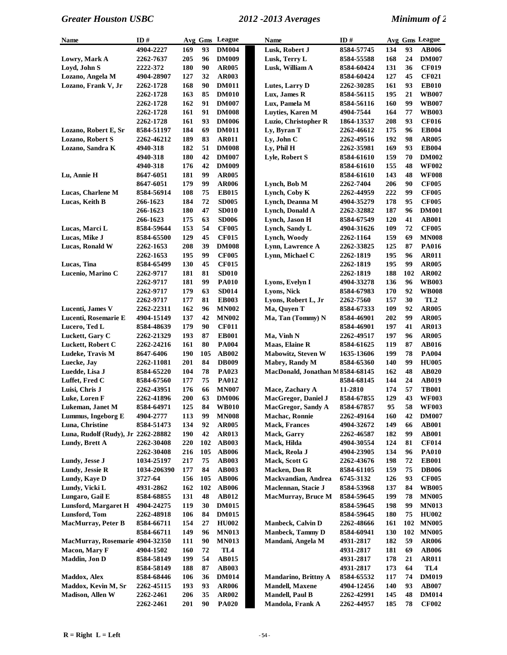| Name                               | ID#         |     |     | Avg Gms League  | <b>Name</b>                     | ID#        |     |     | Avg Gms League  |
|------------------------------------|-------------|-----|-----|-----------------|---------------------------------|------------|-----|-----|-----------------|
|                                    | 4904-2227   | 169 | 93  | <b>DM004</b>    | Lusk, Robert J                  | 8584-57745 | 134 | 93  | <b>AB006</b>    |
| Lowry, Mark A                      | 2262-7637   | 205 | 96  | <b>DM009</b>    | Lusk, Terry L                   | 8584-55588 | 168 | 24  | <b>DM007</b>    |
| Loyd, John S                       | 2222-372    | 180 | 90  | <b>AR005</b>    | Lusk, William A                 | 8584-60424 | 131 | 36  | <b>CF019</b>    |
| Lozano, Angela M                   | 4904-28907  | 127 | 32  | <b>AR003</b>    |                                 | 8584-60424 | 127 | 45  | <b>CF021</b>    |
| Lozano, Frank V, Jr                | 2262-1728   | 168 | 90  | <b>DM011</b>    | Lutes, Larry D                  | 2262-30285 | 161 | 93  | <b>EB010</b>    |
|                                    | 2262-1728   | 163 | 85  | <b>DM010</b>    | Lux, James R                    | 8584-56115 | 195 | 21  | <b>WB007</b>    |
|                                    | 2262-1728   | 162 | 91  | <b>DM007</b>    | Lux, Pamela M                   | 8584-56116 | 160 | 99  | <b>WB007</b>    |
|                                    | 2262-1728   | 161 | 91  | <b>DM008</b>    | Luyties, Karen M                | 4904-7544  | 164 | 77  | <b>WB003</b>    |
|                                    | 2262-1728   | 161 | 93  | <b>DM006</b>    | Luzio, Christopher R            | 1864-13537 | 208 | 93  | <b>CF016</b>    |
| Lozano, Robert E, Sr               | 8584-51197  | 184 | 69  | <b>DM011</b>    | Ly, Byran T                     | 2262-46612 | 175 | 96  | <b>EB004</b>    |
| Lozano, Robert S                   | 2262-46212  | 189 | 83  | <b>AR011</b>    | Ly, John C                      | 2262-49516 | 192 | 98  | <b>AR005</b>    |
| Lozano, Sandra K                   | 4940-318    | 182 | 51  | <b>DM008</b>    | Ly, Phil H                      | 2262-35981 | 169 | 93  | <b>EB004</b>    |
|                                    | 4940-318    | 180 | 42  | <b>DM007</b>    | Lyle, Robert S                  | 8584-61610 | 159 | 70  | <b>DM002</b>    |
|                                    | 4940-318    | 176 | 42  | <b>DM009</b>    |                                 | 8584-61610 | 155 | 48  | <b>WF002</b>    |
| Lu, Annie H                        | 8647-6051   | 181 | 99  | <b>AR005</b>    |                                 | 8584-61610 | 143 | 48  | <b>WF008</b>    |
|                                    | 8647-6051   | 179 | 99  | <b>AR006</b>    | Lynch, Bob M                    | 2262-7404  | 206 | 90  | <b>CF005</b>    |
| Lucas, Charlene M                  | 8584-56914  | 108 | 75  | <b>EB015</b>    | Lynch, Coby K                   | 2262-44959 | 222 | 99  | <b>CF005</b>    |
| Lucas, Keith B                     | 266-1623    | 184 | 72  | <b>SD005</b>    | Lynch, Deanna M                 | 4904-35279 | 178 | 95  | <b>CF005</b>    |
|                                    | 266-1623    | 180 | 47  | <b>SD010</b>    | Lynch, Donald A                 | 2262-32882 | 187 | 96  | <b>DM001</b>    |
|                                    | 266-1623    | 175 | 63  | <b>SD006</b>    | Lynch, Jason H                  | 8584-67549 | 120 | 41  | <b>AB001</b>    |
| Lucas, Marci L                     | 8584-59644  | 153 | 54  | <b>CF005</b>    | Lynch, Sandy L                  | 4904-31626 | 109 | 72  | <b>CF005</b>    |
| Lucas, Mike J                      | 8584-65500  | 129 | 45  | <b>CF015</b>    | Lynch, Woody                    | 2262-1164  | 159 | 69  | <b>MN008</b>    |
| Lucas, Ronald W                    | 2262-1653   | 208 | 39  | <b>DM008</b>    | Lynn, Lawrence A                | 2262-33825 | 125 | 87  | PA016           |
|                                    | 2262-1653   | 195 | 99  | <b>CF005</b>    | Lynn, Michael C                 | 2262-1819  | 195 | 96  | <b>AR011</b>    |
| Lucas, Tina                        | 8584-65499  | 130 | 45  | <b>CF015</b>    |                                 | 2262-1819  | 195 | 99  | <b>AR005</b>    |
| Lucenio, Marino C                  | 2262-9717   | 181 | 81  | <b>SD010</b>    |                                 | 2262-1819  | 188 | 102 | AR002           |
|                                    | 2262-9717   | 181 | 99  | <b>PA010</b>    | Lyons, Evelyn I                 | 4904-33278 | 136 | 96  | <b>WB003</b>    |
|                                    | 2262-9717   | 179 | 63  | <b>SD014</b>    | Lyons, Nick                     | 8584-67983 | 170 | 92  | <b>WB008</b>    |
|                                    | 2262-9717   | 177 | 81  | <b>EB003</b>    | Lyons, Robert L, Jr             | 2262-7560  | 157 | 30  | TL <sub>2</sub> |
| Lucenti, James V                   | 2262-22311  | 162 | 96  | <b>MN002</b>    | Ma, Quyen T                     | 8584-67333 | 109 | 92  | <b>AR005</b>    |
| Lucenti, Rosemarie E               | 4904-15149  | 137 | 42  | <b>MN002</b>    | Ma, Tan (Tommy) N               | 8584-46901 | 202 | 99  | <b>AR005</b>    |
| Lucero, Ted L                      | 8584-48639  | 179 | 90  | <b>CF011</b>    |                                 | 8584-46901 | 197 | 41  | <b>AR013</b>    |
| Luckett, Gary C                    | 2262-21329  | 193 | 87  | <b>EB001</b>    | Ma, Vinh N                      | 2262-49517 | 197 | 96  | <b>AR005</b>    |
| Luckett, Robert C                  | 2262-24216  | 161 | 80  | <b>PA004</b>    | Maas, Elaine R                  | 8584-61625 | 119 | 87  | <b>AB016</b>    |
| Ludeke, Travis M                   | 8647-6406   | 190 | 105 | AB002           | Mabowitz, Steven W              | 1635-13606 | 199 | 78  | <b>PA004</b>    |
| Luecke, Jay                        | 2262-11081  | 201 | 84  | <b>DB009</b>    | Mabry, Randy M                  | 8584-65360 | 140 | 99  | <b>HU005</b>    |
| Luedde, Lisa J                     | 8584-65220  | 104 | 78  | PA023           | MacDonald, Jonathan M8584-68145 |            | 162 | 48  | <b>AB020</b>    |
| Luffet, Fred C                     | 8584-67560  | 177 | 75  | <b>PA012</b>    |                                 | 8584-68145 | 144 | 24  | AB019           |
| Luisi, Chris J                     | 2262-43951  | 176 | 66  | <b>MN007</b>    | Mace, Zachary A                 | 11-2810    | 174 | 57  | <b>TB001</b>    |
| Luke, Loren F                      | 2262-41896  | 200 | 63  | <b>DM006</b>    | <b>MacGregor, Daniel J</b>      | 8584-67855 | 129 | 43  | <b>WF003</b>    |
| Lukeman, Janet M                   | 8584-64971  | 125 | 84  | <b>WB010</b>    | MacGregor, Sandy A              | 8584-67857 | 95  | 58  | <b>WF003</b>    |
| Lummus, Ingeborg E                 | 4904-2777   | 113 | 99  | <b>MN008</b>    | Machac, Ronnie                  | 2262-49164 | 160 | 42  | <b>DM007</b>    |
| Luna, Christine                    | 8584-51473  | 134 | 92  | <b>AR005</b>    | <b>Mack, Frances</b>            | 4904-32672 | 149 | 66  | <b>AB001</b>    |
| Luna, Rudolf (Rudy), Jr 2262-28882 |             | 190 | 42  | <b>AR013</b>    | Mack, Garry                     | 2262-46587 | 182 | 99  | <b>AB001</b>    |
| Lundy, Brett A                     | 2262-30408  | 220 | 102 | <b>AB003</b>    | Mack, Hilda                     | 4904-30554 | 124 | 81  | <b>CF014</b>    |
|                                    | 2262-30408  | 216 | 105 | <b>AB006</b>    | Mack, Reola J                   | 4904-23905 | 134 | 96  | <b>PA010</b>    |
| Lundy, Jesse J                     | 1034-25197  | 217 | 75  | <b>AB003</b>    | Mack, Scott G                   | 2262-43676 | 198 | 72  | <b>EB001</b>    |
| Lundy, Jessie R                    | 1034-206390 | 177 | 84  | <b>AB003</b>    | <b>Macken</b> , Don R           | 8584-61105 | 159 | 75  | <b>DB006</b>    |
| Lundy, Kaye D                      | 3727-64     | 156 | 105 | <b>AB006</b>    | Mackvandian, Andrea             | 6745-3132  | 126 | 93  | <b>CF005</b>    |
| Lundy, Vicki L                     | 4931-2862   | 162 | 102 | <b>AB006</b>    | Maclennan, Stacie J             | 8584-53968 | 137 | 84  | <b>WB005</b>    |
| Lungaro, Gail E                    | 8584-68855  | 131 | 48  | AB012           | <b>MacMurray, Bruce M</b>       | 8584-59645 | 199 | 78  | <b>MN005</b>    |
| <b>Lunsford, Margaret H</b>        | 4904-24275  | 119 | 30  | <b>DM015</b>    |                                 | 8584-59645 | 198 | 99  | <b>MN013</b>    |
| Lunsford, Tom                      | 2262-48918  | 106 | 84  | <b>DM015</b>    |                                 | 8584-59645 | 180 | 75  | <b>HU002</b>    |
| <b>MacMurray, Peter B</b>          | 8584-66711  | 154 | 27  | <b>HU002</b>    | Manbeck, Calvin D               | 2262-48666 | 161 | 102 | <b>MN005</b>    |
|                                    | 8584-66711  | 149 | 96  | <b>MN013</b>    | <b>Manbeck, Tammy D</b>         | 8584-60941 | 130 | 102 | <b>MN005</b>    |
| MacMurray, Rosemarie 4904-32350    |             | 111 | 90  | <b>MN013</b>    | Mandani, Angela M               | 4931-2817  | 182 | 59  | <b>AR006</b>    |
| Macon, Mary F                      | 4904-1502   | 160 | 72  | TL <sub>4</sub> |                                 | 4931-2817  | 181 | 69  | <b>AB006</b>    |
| Maddin, Jon D                      | 8584-58149  | 199 | 54  | AB015           |                                 | 4931-2817  | 178 | 21  | <b>AR011</b>    |
|                                    | 8584-58149  | 188 | 87  | <b>AB003</b>    |                                 | 4931-2817  | 173 | 64  | TL <sub>4</sub> |
| <b>Maddox</b> , Alex               | 8584-68446  | 106 | 36  | <b>DM014</b>    | Mandarino, Brittny A            | 8584-65532 | 117 | 74  | <b>DM019</b>    |
| Maddox, Kevin M, Sr                | 2262-45115  | 193 | 93  | <b>AR006</b>    | <b>Mandell</b> , Maxene         | 4904-12456 | 140 | 93  | <b>AB007</b>    |
| <b>Madison, Allen W</b>            | 2262-2461   | 206 | 35  | AR002           | <b>Mandell, Paul B</b>          | 2262-42991 | 145 | 48  | <b>DM014</b>    |
|                                    | 2262-2461   | 201 | 90  | <b>PA020</b>    | Mandola, Frank A                | 2262-44957 | 185 | 78  | <b>CF002</b>    |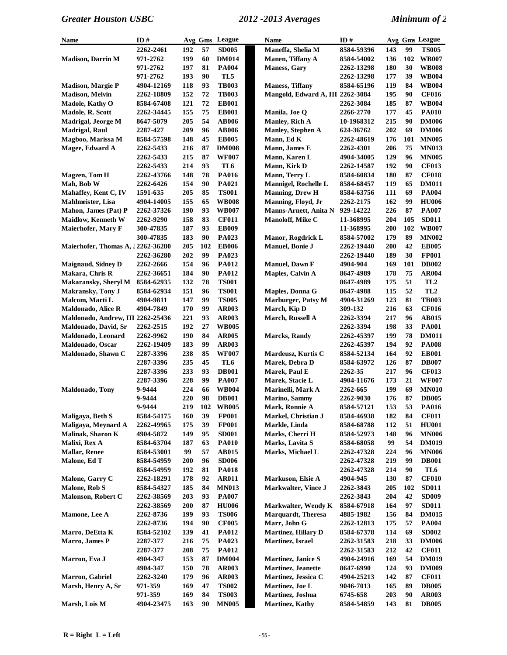| Name                              | ID#        |            |     | Avg Gms League               | <b>Name</b>                      | ID#                      |     |     | Avg Gms League  |
|-----------------------------------|------------|------------|-----|------------------------------|----------------------------------|--------------------------|-----|-----|-----------------|
|                                   | 2262-2461  | 192        | 57  | <b>SD005</b>                 | Maneffa, Shelia M                | 8584-59396               | 143 | 99  | <b>TS005</b>    |
| <b>Madison, Darrin M</b>          | 971-2762   | 199        | 60  | <b>DM014</b>                 | Manen, Tiffany A                 | 8584-54002               | 136 | 102 | <b>WB007</b>    |
|                                   | 971-2762   | 197        | 81  | <b>PA004</b>                 | <b>Maness, Gary</b>              | 2262-13298               | 180 | 30  | <b>WB008</b>    |
|                                   | 971-2762   | 193        | 90  | TL5                          |                                  | 2262-13298               | 177 | 39  | <b>WB004</b>    |
| <b>Madison, Margie P</b>          | 4904-12169 | 118        | 93  | <b>TB003</b>                 | <b>Maness, Tiffany</b>           | 8584-65196               | 119 | 84  | <b>WB004</b>    |
| <b>Madison, Melvin</b>            | 2262-18809 | 152        | 72  | <b>TB003</b>                 | Mangold, Edward A, III 2262-3084 |                          | 195 | 90  | <b>CF016</b>    |
| Madole, Kathy O                   | 8584-67408 | 121        | 72  | <b>EB001</b>                 |                                  | 2262-3084                | 185 | 87  | <b>WB004</b>    |
| Madole, R. Scott                  | 2262-34445 | 155        | 75  | <b>EB001</b>                 | Manila, Joe Q                    | 2266-2770                | 177 | 45  | <b>PA010</b>    |
| Madrigal, Jeorge M                | 8647-5079  | 205        | 54  | <b>AB006</b>                 | Manley, Rich A                   | 10-1968312               | 215 | 90  | <b>DM006</b>    |
| <b>Madrigal, Raul</b>             | 2287-427   | 209        | 96  | <b>AB006</b>                 | <b>Manley, Stephen A</b>         | 624-36762                | 202 | 69  | <b>DM006</b>    |
| Magboo, Marissa M                 | 8584-57598 | 148        | 45  | <b>EB005</b>                 | Mann, Ed K                       | 2262-48619               | 176 | 101 | <b>MN005</b>    |
| Magee, Edward A                   | 2262-5433  | 216        | 87  | <b>DM008</b>                 | Mann, James E                    | 2262-4301                | 206 | 75  | <b>MN013</b>    |
|                                   | 2262-5433  | 215        | 87  | <b>WF007</b>                 | Mann, Karen L                    | 4904-34005               | 129 | 96  | <b>MN005</b>    |
|                                   |            | 214        | 93  | TL <sub>6</sub>              | Mann, Kirk D                     |                          | 192 | 90  | <b>CF013</b>    |
|                                   | 2262-5433  |            |     |                              |                                  | 2262-14587               |     |     |                 |
| <b>Magzen</b> , Tom H             | 2262-43766 | 148        | 78  | <b>PA016</b>                 | Mann, Terry L                    | 8584-60834               | 180 | 87  | <b>CF018</b>    |
| Mah, Bob W                        | 2262-6426  | 154        | 90  | PA021                        | Mannigel, Rochelle L             | 8584-68457               | 119 | 65  | <b>DM011</b>    |
| Mahaffey, Kent C, IV              | 1591-635   | 205        | 85  | <b>TS001</b>                 | <b>Manning, Drew H</b>           | 8584-63756               | 111 | 69  | <b>PA004</b>    |
| Mahlmeister, Lisa                 | 4904-14005 | 155        | 65  | <b>WB008</b>                 | Manning, Floyd, Jr               | 2262-2175                | 162 | 99  | <b>HU006</b>    |
| Mahon, James (Pat) P              | 2262-37326 | 190        | 93  | <b>WB007</b>                 | Manns-Arnett, Anita N            | 929-14222                | 226 | 87  | <b>PA007</b>    |
| <b>Maidlow, Kenneth W</b>         | 2262-9290  | 158        | 83  | <b>CF011</b>                 | Manoloff, Mike C                 | 11-368995                | 204 | 105 | <b>SD011</b>    |
| Maierhofer, Mary F                | 300-47835  | 187        | 93  | <b>EB009</b>                 |                                  | 11-368995                | 200 | 102 | <b>WB007</b>    |
|                                   | 300-47835  | 183        | 90  | PA023                        | Manor, Rogdrick L                | 8584-57002               | 179 | 89  | <b>MN002</b>    |
| Maierhofer, Thomas A, 12262-36280 |            | 205        | 102 | <b>EB006</b>                 | Manuel, Bonie J                  | 2262-19440               | 200 | 42  | <b>EB005</b>    |
|                                   | 2262-36280 | 202        | 99  | PA023                        |                                  | 2262-19440               | 189 | 30  | <b>FP001</b>    |
| <b>Maignaud, Sidney D</b>         | 2262-2666  | 154        | 96  | <b>PA012</b>                 | <b>Manuel</b> , Dawn F           | 4904-904                 | 169 | 101 | <b>DB002</b>    |
| Makara, Chris R                   | 2262-36651 | 184        | 90  | <b>PA012</b>                 | Maples, Calvin A                 | 8647-4989                | 178 | 75  | <b>AR004</b>    |
| <b>Makaransky, Sheryl M</b>       | 8584-62935 | 132        | 78  | <b>TS001</b>                 |                                  | 8647-4989                | 175 | 51  | TL <sub>2</sub> |
| <b>Makransky, Tony J</b>          | 8584-62934 | 151        | 96  | <b>TS001</b>                 | Maples, Donna G                  | 8647-4988                | 115 | 52  | TL <sub>2</sub> |
| Malcom, Marti L                   | 4904-9811  | 147        | 99  | <b>TS005</b>                 | Marburger, Patsy M               | 4904-31269               | 123 | 81  | <b>TB003</b>    |
| <b>Maldonado, Alice R</b>         | 4904-7849  | 170        | 99  | <b>AR003</b>                 | March, Kip D                     | 309-132                  | 216 | 63  | <b>CF016</b>    |
| Maldonado, Andrew, III 2262-25436 |            | 221        | 93  | <b>AR003</b>                 | March, Russell A                 | 2262-3394                | 217 | 96  | AB015           |
| Maldonado, David, Sr              | 2262-2515  | 192        | 27  | <b>WB005</b>                 |                                  | 2262-3394                | 198 | 33  | <b>PA001</b>    |
| Maldonado, Leonard                | 2262-9962  | 190        | 84  | <b>AR005</b>                 | <b>Marcks, Randy</b>             | 2262-45397               | 199 | 78  | <b>DM011</b>    |
| Maldonado, Oscar                  | 2262-19409 | 183        | 99  | <b>AR003</b>                 |                                  | 2262-45397               | 194 | 92  | <b>PA008</b>    |
| Maldonado, Shawn C                | 2287-3396  | 238        | 85  | <b>WF007</b>                 | Mardeusz, Kurtis C               | 8584-52134               | 164 | 92  | <b>EB001</b>    |
|                                   | 2287-3396  | 235        | 45  | TL6                          | Marek, Debra D                   | 8584-63972               | 126 | 87  | <b>DB007</b>    |
|                                   | 2287-3396  | 233        | 93  | <b>DB001</b>                 | Marek, Paul E                    | 2262-35                  | 217 | 96  | <b>CF013</b>    |
|                                   | 2287-3396  | 228        | 99  | <b>PA007</b>                 | Marek, Stacie L                  | 4904-11676               | 173 | 21  | <b>WF007</b>    |
| <b>Maldonado, Tony</b>            | 9-9444     | 224        | 66  | <b>WB004</b>                 | Marinelli, Mark A                | 2262-665                 | 199 | 69  | <b>MN010</b>    |
|                                   | 9-9444     | 220        | 98  | <b>DB001</b>                 | <b>Marino, Sammy</b>             | 2262-9030                | 176 | 87  | <b>DB005</b>    |
|                                   | 9-9444     | 219        |     | 102 WB005                    | Mark, Ronnie A                   | 8584-57121               | 153 | 53  | <b>PA016</b>    |
| Maligaya, Beth S                  | 8584-54175 | 160        | 39  | <b>FP001</b>                 | Markel, Christian J              | 8584-46938               | 182 | 84  | <b>CF011</b>    |
| Maligaya, Meynard A               | 2262-49965 | 175        | 39  | <b>FP001</b>                 | Markle, Linda                    | 8584-68788               | 112 | 51  | <b>HU001</b>    |
| Malinak, Sharon K                 | 4904-5872  | 149        | 95  |                              | Marks, Cherri H                  |                          | 148 | 96  | <b>MN006</b>    |
| Malixi, Rex A                     | 8584-63704 | 187        | 63  | <b>SD001</b><br><b>PA010</b> | Marks, Lavita S                  | 8584-52973<br>8584-68058 | 99  | 54  | <b>DM019</b>    |
|                                   | 8584-53001 | 99         | 57  | AB015                        |                                  |                          | 224 | 96  |                 |
| <b>Mallar, Renee</b>              |            |            |     |                              | Marks, Michael L                 | 2262-47328               |     |     | <b>MN006</b>    |
| Malone, Ed T                      | 8584-54959 | <b>200</b> | 96  | <b>SD006</b>                 |                                  | 2262-47328               | 219 | 99  | <b>DB001</b>    |
|                                   | 8584-54959 | 192        | 81  | <b>PA018</b>                 |                                  | 2262-47328               | 214 | 90  | TL6             |
| Malone, Garry C                   | 2262-18291 | 178        | 92  | <b>AR011</b>                 | Markuson, Elsie A                | 4904-945                 | 130 | 87  | <b>CF010</b>    |
| Malone, Rob S                     | 8584-54327 | 185        | 84  | <b>MN013</b>                 | Markwalter, Vince J              | 2262-3843                | 205 | 102 | <b>SD011</b>    |
| <b>Malonson, Robert C</b>         | 2262-38569 | 203        | 93  | <b>PA007</b>                 |                                  | 2262-3843                | 204 | 42  | <b>SD009</b>    |
|                                   | 2262-38569 | <b>200</b> | 87  | <b>HU006</b>                 | Markwalter, Wendy K              | 8584-67918               | 164 | 97  | <b>SD011</b>    |
| Mamone, Lee A                     | 2262-8736  | 199        | 93  | <b>TS006</b>                 | <b>Marquardt</b> , Theresa       | 4885-1982                | 156 | 84  | <b>DM015</b>    |
|                                   | 2262-8736  | 194        | 90  | <b>CF005</b>                 | Marr, John G                     | 2262-12813               | 175 | 57  | <b>PA004</b>    |
| Marro, DeEtta K                   | 8584-52102 | 139        | 41  | <b>PA012</b>                 | <b>Martinez, Hillary D</b>       | 8584-67378               | 114 | 69  | <b>SD002</b>    |
| Marro, James P                    | 2287-377   | 216        | 75  | PA023                        | Martinez, Israel                 | 2262-31583               | 218 | 33  | <b>DM006</b>    |
|                                   | 2287-377   | 208        | 75  | <b>PA012</b>                 |                                  | 2262-31583               | 212 | 42  | <b>CF011</b>    |
| Marron, Eva J                     | 4904-347   | 153        | 87  | <b>DM004</b>                 | <b>Martinez, Janice S</b>        | 4904-24916               | 169 | 54  | <b>DM019</b>    |
|                                   | 4904-347   | 150        | 78  | <b>AR003</b>                 | <b>Martinez</b> , Jeanette       | 8647-6990                | 124 | 93  | <b>DM009</b>    |
| Marron, Gabriel                   | 2262-3240  | 179        | 96  | AR003                        | Martinez, Jessica C              | 4904-25213               | 142 | 87  | <b>CF011</b>    |
| Marsh, Henry A, Sr                | 971-359    | 169        | 47  | <b>TS002</b>                 | Martinez, Joe L                  | 9046-7013                | 165 | 89  | <b>DB005</b>    |
|                                   | 971-359    | 169        | 84  | <b>TS003</b>                 | Martinez, Joshua                 | 6745-658                 | 203 | 90  | <b>AR003</b>    |
| Marsh, Lois M                     | 4904-23475 | 163        | 90  | <b>MN005</b>                 | <b>Martinez, Kathy</b>           | 8584-54859               | 143 | 81  | <b>DB005</b>    |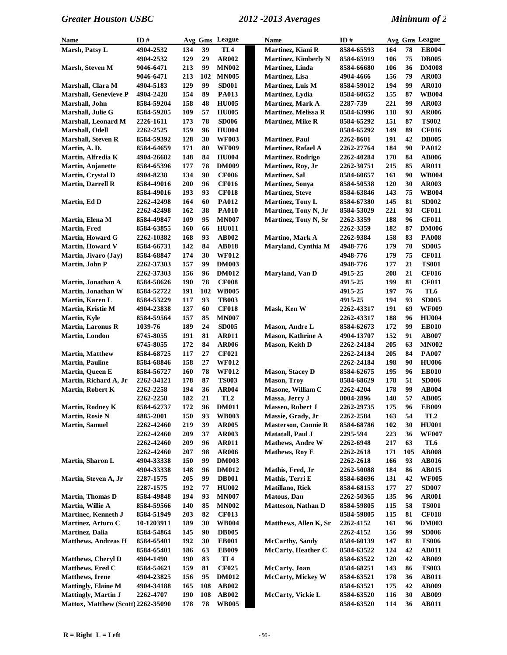| Name                               | ID#        |     |     | Avg Gms League  | Name                        | ID#        |     |     | Avg Gms League  |
|------------------------------------|------------|-----|-----|-----------------|-----------------------------|------------|-----|-----|-----------------|
| Marsh, Patsy L                     | 4904-2532  | 134 | 39  | TL4             | Martinez, Kiani R           | 8584-65593 | 164 | 78  | <b>EB004</b>    |
|                                    | 4904-2532  | 129 | 29  | <b>AR002</b>    | <b>Martinez, Kimberly N</b> | 8584-65919 | 106 | 75  | <b>DB005</b>    |
| Marsh, Steven M                    | 9046-6471  | 213 | 99  | <b>MN002</b>    | Martinez, Linda             | 8584-66680 | 106 | 36  | <b>DM008</b>    |
|                                    | 9046-6471  | 213 | 102 | <b>MN005</b>    | <b>Martinez</b> , Lisa      | 4904-4666  | 156 | 79  | <b>AR003</b>    |
| Marshall, Clara M                  | 4904-5183  | 129 | 99  | <b>SD001</b>    | Martinez, Luis M            | 8584-59012 | 194 | 99  | <b>AR010</b>    |
| <b>Marshall, Genevieve P</b>       | 4904-2428  | 154 | 89  | <b>PA013</b>    | Martinez, Lydia             | 8584-60652 | 155 | 87  | <b>WB004</b>    |
| Marshall, John                     | 8584-59204 | 158 | 48  | <b>HU005</b>    | <b>Martinez, Mark A</b>     | 2287-739   | 221 | 99  | <b>AR003</b>    |
| Marshall, Julie G                  | 8584-59205 | 109 | 57  | <b>HU005</b>    | <b>Martinez, Melissa R</b>  | 8584-63996 | 118 | 93  | <b>AR006</b>    |
| Marshall, Leonard M                | 2226-1611  | 173 | 78  | <b>SD006</b>    | <b>Martinez, Mike R</b>     | 8584-65292 | 151 | 87  | <b>TS002</b>    |
| Marshall, Odell                    | 2262-2525  | 159 | 96  | <b>HU004</b>    |                             | 8584-65292 | 149 | 89  | <b>CF016</b>    |
| Marshall, Steven R                 | 8584-59392 | 128 | 30  | <b>WF003</b>    | <b>Martinez, Paul</b>       | 2262-8601  | 191 | 42  | <b>DB005</b>    |
| Martin, A.D.                       | 8584-64659 | 171 | 80  | <b>WF009</b>    | <b>Martinez, Rafael A</b>   | 2262-27764 | 184 | 90  | <b>PA012</b>    |
| Martin, Alfredia K                 | 4904-26682 | 148 | 84  | <b>HU004</b>    | <b>Martinez, Rodrigo</b>    | 2262-40284 | 170 | 84  | <b>AB006</b>    |
| <b>Martin, Anjanette</b>           | 8584-65396 | 177 | 78  | <b>DM009</b>    | Martinez, Roy, Jr           | 2262-30751 | 215 | 85  | <b>AR011</b>    |
| Martin, Crystal D                  | 4904-8238  | 134 | 90  | <b>CF006</b>    | <b>Martinez</b> , Sal       | 8584-60657 | 161 | 90  | <b>WB004</b>    |
| <b>Martin, Darrell R</b>           | 8584-49016 | 200 | 96  | <b>CF016</b>    | <b>Martinez</b> , Sonya     | 8584-50538 | 120 | 30  | <b>AR003</b>    |
|                                    | 8584-49016 | 193 | 93  | <b>CF018</b>    | <b>Martinez, Steve</b>      | 8584-63846 | 143 | 75  | <b>WB004</b>    |
| Martin, Ed D                       | 2262-42498 | 164 | 60  | <b>PA012</b>    | <b>Martinez, Tony L</b>     | 8584-67380 | 145 | 81  | <b>SD002</b>    |
|                                    | 2262-42498 | 162 | 38  | <b>PA010</b>    | Martinez, Tony N, Jr        | 8584-53029 | 221 | 93  | <b>CF011</b>    |
| Martin, Elena M                    | 8584-49847 | 109 | 95  | <b>MN007</b>    | Martinez, Tony N, Sr        | 2262-3359  | 188 | 96  | <b>CF011</b>    |
| Martin, Fred                       | 8584-63855 | 160 | 66  | <b>HU011</b>    |                             | 2262-3359  | 182 | 87  | <b>DM006</b>    |
| <b>Martin, Howard G</b>            | 2262-10382 | 168 | 93  | <b>AB002</b>    | Martino, Mark A             | 2262-9384  | 158 | 83  | <b>PA008</b>    |
| <b>Martin, Howard V</b>            | 8584-66731 | 142 | 84  | <b>AB018</b>    | Maryland, Cynthia M         | 4948-776   | 179 | 70  | <b>SD005</b>    |
| Martin, Jivaro (Jay)               | 8584-68847 | 174 | 30  | <b>WF012</b>    |                             | 4948-776   | 179 | 75  | <b>CF011</b>    |
| Martin, John P                     | 2262-37303 | 157 | 99  | <b>DM003</b>    |                             | 4948-776   | 177 | 21  | <b>TS001</b>    |
|                                    | 2262-37303 | 156 | 96  | <b>DM012</b>    | Maryland, Van D             | 4915-25    | 208 | 21  | <b>CF016</b>    |
| Martin, Jonathan A                 | 8584-58626 | 190 | 78  | <b>CF008</b>    |                             | 4915-25    | 199 | 81  | <b>CF011</b>    |
| Martin, Jonathan W                 | 8584-52722 | 191 | 102 | <b>WB005</b>    |                             | 4915-25    | 197 | 76  | TL6             |
| Martin, Karen L                    | 8584-53229 | 117 | 93  | <b>TB003</b>    |                             | 4915-25    | 194 | 93  | <b>SD005</b>    |
| Martin, Kristie M                  | 4904-23838 | 137 | 60  | <b>CF018</b>    | Mask, Ken W                 | 2262-43317 | 191 | 69  | <b>WF009</b>    |
| <b>Martin, Kyle</b>                | 8584-59564 | 157 | 85  | <b>MN007</b>    |                             | 2262-43317 | 188 | 96  | <b>HU004</b>    |
| <b>Martin, Laronus R</b>           | 1039-76    | 189 | 24  | <b>SD005</b>    | <b>Mason, Andre L</b>       | 8584-62673 | 172 | 99  | <b>EB010</b>    |
| <b>Martin, London</b>              | 6745-8055  | 191 | 81  | <b>AR011</b>    | <b>Mason, Kathrine A</b>    | 4904-13707 | 152 | 91  | <b>AB007</b>    |
|                                    | 6745-8055  | 172 | 84  | <b>AR006</b>    | Mason, Keith D              | 2262-24184 | 205 | 63  | <b>MN002</b>    |
| <b>Martin, Matthew</b>             | 8584-68725 | 117 | 27  | <b>CF021</b>    |                             | 2262-24184 | 205 | 84  | <b>PA007</b>    |
| <b>Martin, Pauline</b>             | 8584-68846 | 158 | 27  | <b>WF012</b>    |                             | 2262-24184 | 198 | 90  | <b>HU006</b>    |
| <b>Martin, Queen E</b>             | 8584-56727 | 160 | 78  | <b>WF012</b>    | <b>Mason, Stacey D</b>      | 8584-62675 | 195 | 96  | <b>EB010</b>    |
| Martin, Richard A, Jr              | 2262-34121 | 178 | 87  | <b>TS003</b>    | <b>Mason</b> , Troy         | 8584-68629 | 178 | 51  | <b>SD006</b>    |
| <b>Martin, Robert K</b>            | 2262-2258  | 194 | 36  | <b>AR004</b>    | Masone, William C           | 2262-4204  | 178 | 99  | <b>AB004</b>    |
|                                    | 2262-2258  | 182 | 21  | TL <sub>2</sub> | Massa, Jerry J              | 8004-2896  | 140 | 57  | <b>AB005</b>    |
| Martin, Rodney K                   | 8584-62737 | 172 | 96  | <b>DM011</b>    | <b>Masseo, Robert J</b>     | 2262-29735 | 175 | 96  | <b>EB009</b>    |
| <b>Martin, Rosie N</b>             | 4885-2001  | 150 | 93  | <b>WB003</b>    | Massie, Grady, Jr           | 2262-2584  | 163 | 54  | TL <sub>2</sub> |
| <b>Martin, Samuel</b>              | 2262-42460 | 219 | 39  | <b>AR005</b>    | <b>Masterson, Connie R</b>  | 8584-68786 | 102 | 30  | <b>HU001</b>    |
|                                    | 2262-42460 | 209 | 37  | <b>AR003</b>    | <b>Matatall, Paul J</b>     | 2295-594   | 223 | 36  | <b>WF007</b>    |
|                                    | 2262-42460 | 209 | 96  | <b>AR011</b>    | <b>Mathews, Andre W</b>     | 2262-6948  | 217 | 63  | TL6             |
|                                    | 2262-42460 | 207 | 98  | <b>AR006</b>    | <b>Mathews, Roy E</b>       | 2262-2618  | 171 | 105 | <b>AB008</b>    |
| Martin, Sharon L                   | 4904-33338 | 150 | 99  | <b>DM003</b>    |                             | 2262-2618  | 166 | 93  | <b>AB016</b>    |
|                                    | 4904-33338 | 148 | 96  | <b>DM012</b>    | Mathis, Fred, Jr            | 2262-50088 | 184 | 86  | <b>AB015</b>    |
| Martin, Steven A, Jr               | 2287-1575  | 205 | 99  | <b>DB001</b>    | Mathis, Terri E             | 8584-68696 | 131 | 42  | <b>WF005</b>    |
|                                    | 2287-1575  | 192 | 77  | <b>HU002</b>    | Matillano, Rick             | 8584-68153 | 177 | 27  | <b>SD007</b>    |
| <b>Martin, Thomas D</b>            | 8584-49848 | 194 | 93  | <b>MN007</b>    | <b>Matous</b> , Dan         | 2262-50365 | 135 | 96  | <b>AR001</b>    |
| Martin, Willie A                   | 8584-59566 | 140 | 85  | <b>MN002</b>    | <b>Matteson, Nathan D</b>   | 8584-59805 | 115 | 58  | <b>TS001</b>    |
| <b>Martinec, Kenneth J</b>         | 8584-51949 | 203 | 82  | <b>CF013</b>    |                             | 8584-59805 | 115 | 81  | <b>CF018</b>    |
| Martinez, Arturo C                 | 10-1203911 | 189 | 30  | <b>WB004</b>    | Matthews, Allen K, Sr       | 2262-4152  | 161 | 96  | <b>DM003</b>    |
| <b>Martinez</b> , Dalia            | 8584-54864 | 145 | 90  | <b>DB005</b>    |                             | 2262-4152  | 156 | 99  | <b>SD006</b>    |
| <b>Matthews, Andreas H</b>         | 8584-65401 | 192 | 30  | <b>EB001</b>    | <b>McCarthy</b> , Sandy     | 8584-60139 | 147 | 81  | <b>TS006</b>    |
|                                    | 8584-65401 | 186 | 63  | <b>EB009</b>    | <b>McCarty, Heather C</b>   | 8584-63522 | 124 | 42  | <b>AB011</b>    |
| <b>Matthews, Cheryl D</b>          | 4904-1490  | 190 | 83  | TL4             |                             | 8584-63522 | 120 | 42  | <b>AB009</b>    |
| Matthews, Fred C                   | 8584-54621 | 159 | 81  | <b>CF025</b>    | McCarty, Joan               | 8584-68251 | 143 | 86  | <b>TS003</b>    |
| <b>Matthews</b> , Irene            | 4904-23825 | 156 | 95  | <b>DM012</b>    | <b>McCarty, Mickey W</b>    | 8584-63521 | 178 | 36  | <b>AB011</b>    |
| <b>Mattingly, Elaine M</b>         | 4904-34188 | 165 | 108 | <b>AB002</b>    |                             | 8584-63521 | 175 | 42  | AB009           |
| <b>Mattingly, Martin J</b>         | 2262-4707  | 190 | 108 | <b>AB002</b>    | McCarty, Vickie L           | 8584-63520 | 116 | 30  | <b>AB009</b>    |
| Mattox, Matthew (Scott) 2262-35090 |            | 178 | 78  | <b>WB005</b>    |                             | 8584-63520 | 114 | 36  | <b>AB011</b>    |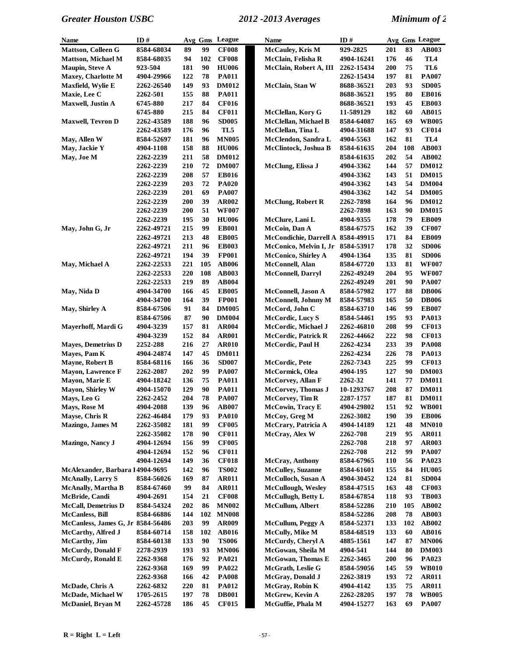| Name                              | ID#               |            |     | Avg Gms League | Name                              | ID#        |            |     | Avg Gms League  |
|-----------------------------------|-------------------|------------|-----|----------------|-----------------------------------|------------|------------|-----|-----------------|
| Mattson, Colleen G                | 8584-68034        | 89         | 99  | <b>CF008</b>   | <b>McCauley, Kris M</b>           | 929-2825   | 201        | 83  | <b>AB003</b>    |
| <b>Mattson, Michael M</b>         | 8584-68035        | 94         | 102 | <b>CF008</b>   | McClain, Felisha R                | 4904-16241 | 176        | 46  | TL <sub>4</sub> |
| Maupin, Steve A                   | 923-504           | 181        | 90  | <b>HU006</b>   | McClain, Robert A, III            | 2262-15434 | 200        | 75  | TL6             |
| Maxey, Charlotte M                | 4904-29966        | 122        | 78  | <b>PA011</b>   |                                   | 2262-15434 | 197        | 81  | <b>PA007</b>    |
| Maxfield, Wylie E                 | <b>2262-26540</b> | 149        | 93  | <b>DM012</b>   | McClain, Stan W                   | 8688-36521 | 203        | 93  | <b>SD005</b>    |
| Maxie, Lee C                      | 2262-501          | 155        | 88  | <b>PA011</b>   |                                   | 8688-36521 | 195        | 80  | <b>EB016</b>    |
| Maxwell, Justin A                 | 6745-880          | 217        | 84  | <b>CF016</b>   |                                   | 8688-36521 | 193        | 45  | <b>EB003</b>    |
|                                   | 6745-880          | 215        | 84  | <b>CF011</b>   | McClellan, Kory G                 | 11-589129  | 182        | 60  | <b>AB015</b>    |
| <b>Maxwell, Tevron D</b>          | 2262-43589        | 188        | 96  | <b>SD005</b>   | McClellan, Michael B              | 8584-64087 | 165        | 69  | <b>WB005</b>    |
|                                   | 2262-43589        | 176        | 96  | TL5            | McClellan, Tina L                 | 4904-31688 | 147        | 93  | <b>CF014</b>    |
| May, Allen W                      | 8584-52697        | 181        | 96  | <b>MN005</b>   | McClendon, Sandra L               | 4904-5563  | 162        | 81  | TL <sub>4</sub> |
| May, Jackie Y                     | 4904-1108         | 158        | 88  | <b>HU006</b>   | McClintock, Joshua B              | 8584-61635 | 204        | 108 | <b>AB003</b>    |
| May, Joe M                        | 2262-2239         | 211        | 58  | <b>DM012</b>   |                                   | 8584-61635 | 202        | 54  | <b>AB002</b>    |
|                                   | 2262-2239         | 210        | 72  | <b>DM007</b>   | McClung, Elissa J                 | 4904-3362  | 144        | 57  | <b>DM012</b>    |
|                                   | 2262-2239         | 208        | 57  | <b>EB016</b>   |                                   | 4904-3362  | 143        | 51  | <b>DM015</b>    |
|                                   | 2262-2239         | 203        | 72  | <b>PA020</b>   |                                   | 4904-3362  | 143        | 54  | <b>DM004</b>    |
|                                   | 2262-2239         | 201        | 69  | <b>PA007</b>   |                                   | 4904-3362  | 142        | 54  | <b>DM005</b>    |
|                                   | 2262-2239         | 200        | 39  | <b>AR002</b>   | <b>McClung, Robert R</b>          | 2262-7898  | 164        | 96  | <b>DM012</b>    |
|                                   | 2262-2239         | 200        | 51  | <b>WF007</b>   |                                   | 2262-7898  | 163        | 90  | <b>DM015</b>    |
|                                   | 2262-2239         | 195        | 30  | <b>HU006</b>   | McClure, Lani L                   | 4904-9355  | 178        | 79  | <b>EB009</b>    |
| May, John G, Jr                   | 2262-49721        | 215        | 99  | <b>EB001</b>   | McCoin, Dan A                     | 8584-67575 | 162        | 39  | <b>CF007</b>    |
|                                   | 2262-49721        | 213        | 48  | <b>EB005</b>   | McCondichie, Darrell A 8584-49915 |            | 171        | 84  | <b>EB009</b>    |
|                                   | 2262-49721        | 211        | 96  | <b>EB003</b>   | McConico, Melvin I, Jr            | 8584-53917 | 178        | 32  | <b>SD006</b>    |
|                                   | 2262-49721        | 194        | 39  | <b>FP001</b>   | <b>McConico, Shirley A</b>        | 4904-1364  | 135        | 81  | <b>SD006</b>    |
| May, Michael A                    | 2262-22533        | 221        | 105 | <b>AB006</b>   | McConnell, Alan                   | 8584-67720 | 133        | 81  | <b>WF007</b>    |
|                                   | 2262-22533        | 220        | 108 | <b>AB003</b>   | <b>McConnell, Darryl</b>          | 2262-49249 | 204        | 95  | <b>WF007</b>    |
|                                   | 2262-22533        | 219        | 89  | <b>AB004</b>   |                                   | 2262-49249 | 201        | 90  | <b>PA007</b>    |
| May, Nida D                       | 4904-34700        | 166        | 45  | <b>EB005</b>   | McConnell, Jason A                | 8584-57982 | 177        | 88  | <b>DB006</b>    |
|                                   | 4904-34700        | 164        | 39  | <b>FP001</b>   | McConnell, Johnny M               | 8584-57983 | 165        | 50  | <b>DB006</b>    |
| May, Shirley A                    | 8584-67506        | 91         | 84  | <b>DM005</b>   | McCord, John C                    | 8584-63710 | 146        | 99  | <b>EB007</b>    |
|                                   | 8584-67506        | 87         | 90  | <b>DM004</b>   | <b>McCordic, Lucy S</b>           | 8584-54461 | 195        | 93  | PA013           |
| Mayerhoff, Mardi G                | 4904-3239         | 157        | 81  | <b>AR004</b>   | McCordic, Michael J               | 2262-46810 | 208        | 99  | <b>CF013</b>    |
|                                   | 4904-3239         | 152        | 84  | <b>AR001</b>   | <b>McCordic, Patrick R</b>        | 2262-44662 | 222        | 98  | <b>CF013</b>    |
| <b>Mayes, Demetrius D</b>         | 2252-288          | 216        | 27  | <b>AR010</b>   | McCordic, Paul H                  | 2262-4234  | 233        | 39  | <b>PA008</b>    |
| Mayes, Pam K                      | 4904-24874        | 147        | 45  | <b>DM011</b>   |                                   | 2262-4234  | 226        | 78  | <b>PA013</b>    |
| Mayne, Robert B                   | 8584-68116        | 166        | 36  | <b>SD007</b>   | McCordic, Pete                    | 2262-7343  | 225        | 99  | <b>CF013</b>    |
| <b>Mayon, Lawrence F</b>          | 2262-2087         | 202        | 99  | <b>PA007</b>   | McCormick, Olea                   | 4904-195   | 127        | 90  | <b>DM003</b>    |
| Mayon, Marie E                    | 4904-18242        | 136        | 75  | PA011          | <b>McCorvey, Allan F</b>          | 2262-32    | 141        | 77  | <b>DM011</b>    |
| <b>Mayon, Shirley W</b>           | 4904-15070        | 129        | 90  | <b>PA011</b>   | McCorvey, Thomas J                | 10-1293767 | 208        | 87  | <b>DM011</b>    |
| Mays, Leo G                       | 2262-2452         | 204        | 78  | <b>PA007</b>   | <b>McCorvey</b> , Tim R           | 2287-1757  | 187        | 81  | <b>DM011</b>    |
| Mays, Rose M                      | 4904-2088         | 139        | 96  | AB007          | McCowin, Tracy E                  | 4904-29802 | 151        | 92  | <b>WB001</b>    |
| Mayse, Chris R                    | 2262-46484        | 179        | 93  | <b>PA010</b>   | McCoy, Greg M                     | 2262-3082  | 190        | 39  | <b>EB006</b>    |
| Mazingo, James M                  | 2262-35082        | 181        | 99  | <b>CF005</b>   | McCrary, Patricia A               | 4904-14189 | 121        | 48  | <b>MN010</b>    |
|                                   | 2262-35082        | 178        | 90  | <b>CF011</b>   | McCray, Alex W                    | 2262-708   | 219        | 95  | <b>AR011</b>    |
| Mazingo, Nancy J                  | 4904-12694        | 156        | 99  | <b>CF005</b>   |                                   | 2262-708   | 218        | 97  | <b>AR003</b>    |
|                                   | 4904-12694        | 152        | 96  | <b>CF011</b>   |                                   | 2262-708   | 212        | 99  | <b>PA007</b>    |
|                                   | 4904-12694        | 149        | 36  | <b>CF018</b>   | McCray, Anthony                   | 8584-67965 | <b>110</b> | 56  | PA023           |
| McAlexander, Barbara 14904-9695   |                   | 142        | 96  | <b>TS002</b>   | <b>McCulley, Suzanne</b>          | 8584-61601 | 155        | 84  | <b>HU005</b>    |
| <b>McAnally, Larry S</b>          | 8584-56026        | 169        | 87  | <b>AR011</b>   | <b>McCulloch</b> , Susan A        | 4904-30452 | 124        | 81  | <b>SD004</b>    |
| <b>McAnally, Martha B</b>         | 8584-67460        | 99         | 84  | <b>AR011</b>   | <b>McCullough, Wesley</b>         | 8584-47515 | 163        | 48  | <b>CF003</b>    |
| McBride, Candi                    | 4904-2691         | 154        | 21  | <b>CF008</b>   | McCullugh, Betty L                | 8584-67854 | 118        | 93  | <b>TB003</b>    |
| <b>McCall, Demetrius D</b>        | 8584-54324        | 202        | 86  | <b>MN002</b>   | <b>McCullum, Albert</b>           | 8584-52286 | 210        | 105 | <b>AB002</b>    |
| <b>McCanless</b> , Bill           | 8584-66886        | 144        | 102 | <b>MN008</b>   |                                   | 8584-52286 | 208        | 78  | <b>AB003</b>    |
| McCanless, James G, Jr 8584-56486 |                   | 203        | 99  | <b>AR009</b>   | <b>McCullum, Peggy A</b>          | 8584-52371 | 133        | 102 | AB002           |
| McCarthy, Alfred J                | 8584-60714        | 158        | 102 | <b>AB016</b>   | McCully, Mike M                   | 8584-68519 | 133        | 60  | <b>AB016</b>    |
| McCarthy, Jim                     | 8584-60138        | 133        | 90  | <b>TS006</b>   | McCurdy, Cheryl A                 | 4885-1561  | 147        | 87  | <b>MN006</b>    |
| <b>McCurdy</b> , Donald F         | 2278-2939         | 193        | 93  | <b>MN006</b>   | McGowan, Sheila M                 | 4904-541   | 144        | 80  | <b>DM003</b>    |
| <b>McCurdy, Ronald E</b>          | 2262-9368         | 176        | 92  | <b>PA021</b>   | <b>McGowan, Thomas E</b>          | 2262-3465  | <b>200</b> | 96  | <b>PA023</b>    |
|                                   | 2262-9368         | 169        | 99  | <b>PA022</b>   | McGrath, Leslie G                 | 8584-59056 | 145        | 59  | <b>WB010</b>    |
|                                   | 2262-9368         | 166        | 42  | <b>PA008</b>   | McGray, Donald J                  | 2262-3819  | 193        | 72  | <b>AR011</b>    |
| McDade, Chris A                   | 2262-6832         | <b>220</b> | 81  | <b>PA012</b>   | McGray, Robin K                   | 4904-4142  | 135        | 75  | <b>AR011</b>    |
| McDade, Michael W                 | 1705-2615         | 197        | 78  | <b>DB001</b>   | McGrew, Kevin A                   | 2262-28205 | 197        | 78  | <b>WB005</b>    |
| McDaniel, Bryan M                 | 2262-45728        | 186        | 45  | <b>CF015</b>   | McGuffie, Phala M                 | 4904-15277 | 163        | 69  | <b>PA007</b>    |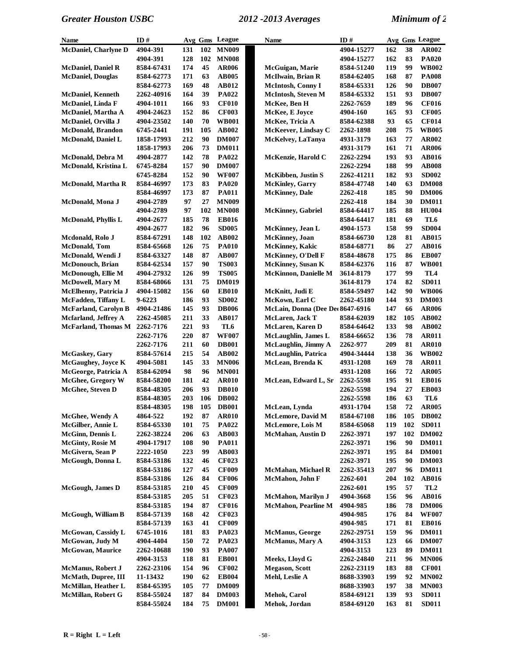| Name                                             | ID#                      |            |            | Avg Gms League               | Name                                     | ID#                      |            |          | Avg Gms League               |
|--------------------------------------------------|--------------------------|------------|------------|------------------------------|------------------------------------------|--------------------------|------------|----------|------------------------------|
| <b>McDaniel, Charlyne D</b>                      | 4904-391                 | 131        | 102        | <b>MN009</b>                 |                                          | 4904-15277               | 162        | 38       | AR002                        |
|                                                  | 4904-391                 | 128        | 102        | <b>MN008</b>                 |                                          | 4904-15277               | 162        | 83       | <b>PA020</b>                 |
| <b>McDaniel, Daniel R</b>                        | 8584-67431               | 174        | 45         | <b>AR006</b>                 | McGuigan, Marie                          | 8584-51240               | 119        | 99       | <b>WB002</b>                 |
| <b>McDaniel, Douglas</b>                         | 8584-62773               | 171        | 63         | <b>AB005</b>                 | <b>McIlwain, Brian R</b>                 | 8584-62405               | 168        | 87       | <b>PA008</b>                 |
|                                                  | 8584-62773               | 169        | 48         | <b>AB012</b>                 | McIntosh, Conny I                        | 8584-65331               | 126        | 90       | <b>DB007</b>                 |
| <b>McDaniel, Kenneth</b>                         | 2262-40916               | 164        | 39         | <b>PA022</b>                 | <b>McIntosh, Steven M</b>                | 8584-65332               | 151        | 93       | <b>DB007</b>                 |
| McDaniel, Linda F                                | 4904-1011                | 166        | 93         | <b>CF010</b>                 | McKee, Ben H                             | 2262-7659                | 189        | 96       | <b>CF016</b>                 |
| McDaniel, Martha A                               | 4904-24623               | 152        | 86         | <b>CF003</b>                 | McKee, E Joyce                           | 4904-160                 | 165        | 93       | <b>CF005</b>                 |
| McDaniel, Orvilla J                              | 4904-23502               | 140        | 70         | <b>WB001</b>                 | McKee, Tricia A                          | 8584-62388               | 93         | 65       | <b>CF014</b>                 |
| <b>McDonald, Brandon</b>                         | 6745-2441                | 191        | 105        | <b>AB002</b>                 | McKeever, Lindsay C                      | 2262-1898                | 208        | 75       | <b>WB005</b>                 |
| McDonald, Daniel L                               | 1858-17993               | 212        | 90         | <b>DM007</b>                 | McKelvey, LaTanya                        | 4931-3179                | 163        | 77       | <b>AR002</b>                 |
|                                                  | 1858-17993               | 206        | 73         | <b>DM011</b>                 |                                          | 4931-3179                | 161        | 71       | <b>AR006</b>                 |
| McDonald, Debra M                                | 4904-2877                | 142        | 78         | <b>PA022</b>                 | McKenzie, Harold C                       | 2262-2294                | 193        | 93       | <b>AB016</b>                 |
| McDonald, Kristina L                             | 6745-8284                | 157        | 90         | <b>DM007</b>                 |                                          | 2262-2294                | 188        | 99       | <b>AB008</b>                 |
|                                                  | 6745-8284                | 152        | 90         | <b>WF007</b>                 | <b>McKibben, Justin S</b>                | 2262-41211               | 182        | 93       | <b>SD002</b>                 |
| McDonald, Martha R                               | 8584-46997               | 173        | 83         | <b>PA020</b>                 | <b>McKinley</b> , Garry                  | 8584-47748               | 140        | 63       | <b>DM008</b>                 |
|                                                  | 8584-46997               | 173        | 87         | <b>PA011</b>                 | <b>McKinney</b> , Dale                   | 2262-418                 | 185        | 90       | <b>DM006</b>                 |
| McDonald, Mona J                                 | 4904-2789                | 97         | 27         | <b>MN009</b>                 |                                          | 2262-418                 | 184        | 30       | <b>DM011</b>                 |
|                                                  | 4904-2789                | 97         | 102        | <b>MN008</b>                 | <b>McKinney</b> , Gabriel                | 8584-64417               | 185        | 88       | <b>HU004</b>                 |
| <b>McDonald, Phyllis L</b>                       | 4904-2677                | 185        | 78         | <b>EB016</b>                 |                                          | 8584-64417               | 181        | 69       | TL6                          |
|                                                  | 4904-2677                | 182        | 96         | <b>SD005</b>                 | <b>McKinney</b> , Jean L                 | 4904-1573                | 158        | 99       | <b>SD004</b>                 |
| Mcdonald, Rolo J                                 | 8584-67291               | 148        | 102        | <b>AB002</b>                 | McKinney, Joan                           | 8584-66730               | 128        | 81       | AB015                        |
| <b>McDonald</b> , Tom                            | 8584-65668               | 126        | 75         | <b>PA010</b>                 | <b>McKinney</b> , Kakic                  | 8584-68771               | 86         | 27       | <b>AB016</b>                 |
| McDonald, Wendi J                                | 8584-63327               | 148        | 87         | <b>AB007</b>                 | <b>McKinney, O'Dell F</b>                | 8584-48678               | 175        | 86       | <b>EB007</b>                 |
| <b>McDonouch</b> , Brian                         | 8584-62534               | 157        | 90         | <b>TS003</b>                 | <b>McKinney, Susan K</b>                 | 8584-62376               | 116        | 87       | <b>WB001</b>                 |
| McDonough, Ellie M                               | 4904-27932               | 126        | 99         | <b>TS005</b>                 | <b>McKinnon</b> , Danielle M             | 3614-8179                | 177        | 99       | TL4                          |
| <b>McDowell, Mary M</b>                          | 8584-68066               | 131        | 75         | <b>DM019</b>                 |                                          | 3614-8179                | 174        | 82       | <b>SD011</b>                 |
| McElhenny, Patricia J                            | 4904-15082               | 156        | 60         | <b>EB010</b>                 | McKnitt, Judi E                          | 8584-59497               | 142        | 90       | <b>WB006</b>                 |
| McFadden, Tiffany L                              | 9-6223                   | 186        | 93         | <b>SD002</b>                 | McKown, Earl C                           | 2262-45180               | 144        | 93       | <b>DM003</b>                 |
| <b>McFarland, Carolyn B</b>                      | 4904-21486               | 145        | 93         | <b>DB006</b>                 | McLain, Donna (Dee Det 8647-6916         |                          | 147        | 66       | <b>AR006</b>                 |
| <b>Mcfarland</b> , Jeffrey A                     | 2262-45085               | 211        | 33         | AB017                        | McLaren, Jack T                          | 8584-62039               | 182        | 105      | AB002                        |
| <b>McFarland, Thomas M</b>                       | 2262-7176                | 221        | 93         | TL <sub>6</sub>              | McLaren, Karen D                         | 8584-64642               | 133        | 98       | AB002                        |
|                                                  | 2262-7176                | 220        | 87         | <b>WF007</b>                 | McLaughlin, James L                      | 8584-66652               | 136        | 78       | <b>AR011</b>                 |
|                                                  | 2262-7176                | 211        | 60         | <b>DB001</b>                 | McLaughlin, Jimmy A                      | 2262-977                 | 209        | 81       | <b>AR010</b>                 |
| <b>McGaskey, Gary</b>                            | 8584-57614               | 215        | 54         | <b>AB002</b>                 | <b>McLaughlin, Patrica</b>               | 4904-34444               | 138        | 36       | <b>WB002</b>                 |
| <b>McGaughey</b> , Joyce K                       | 4904-5081                | 145        | 33         | <b>MN006</b>                 | McLean, Brenda K                         | 4931-1208                | 169        | 78       | <b>AR011</b>                 |
| McGeorge, Patricia A                             | 8584-62094               | 98         | 96         | <b>MN001</b>                 |                                          | 4931-1208                | 166        | 72       | <b>AR005</b>                 |
| McGhee, Gregory W                                | 8584-58200               | 181        | 42         | <b>AR010</b>                 | McLean, Edward L, Sr                     | 2262-5598                | 195        | 91       | <b>EB016</b>                 |
| McGhee, Steven D                                 | 8584-48305               | 206        | 93         | <b>DB010</b>                 |                                          | 2262-5598                | 194        | 27       | <b>EB003</b>                 |
|                                                  | 8584-48305               | 203        | 106        | <b>DB002</b>                 |                                          | 2262-5598                | 186        | 63       | TL6                          |
|                                                  | 8584-48305               | 198        | <b>105</b> | <b>DB001</b>                 | McLean, Lynda                            | 4931-1704                | 158        | 72       | <b>AR005</b>                 |
| McGhee, Wendy A                                  | 4864-522                 | 192        | 87         | <b>AR010</b>                 | <b>McLemore, David M</b>                 | 8584-67108               | 186        | 105      | <b>DB002</b>                 |
| McGilber, Annie L                                | 8584-65330               | 101        | 75         | <b>PA022</b>                 | McLemore, Lois M                         | 8584-65068               | 119        | 102      | <b>SD011</b>                 |
| McGinn, Dennis L                                 | 2262-38224               | 206        | 63         | <b>AB003</b>                 | <b>McMahan, Austin D</b>                 | 2262-3971                | 197        | 102      | <b>DM002</b>                 |
| <b>McGinty, Rosie M</b>                          | 4904-17917               | 108        | 90         | <b>PA011</b>                 |                                          | 2262-3971                | 196        | 90       | <b>DM011</b>                 |
| McGivern, Sean P                                 | 2222-1050                | 223        | 99         | <b>AB003</b>                 |                                          | 2262-3971                | 195        | 84       | <b>DM001</b>                 |
| McGough, Donna L                                 | 8584-53186               | 132        | 46         | <b>CF023</b>                 |                                          | 2262-3971                | 195        | 90       | <b>DM003</b>                 |
|                                                  | 8584-53186               | 127        | 45         | <b>CF009</b>                 | <b>McMahan, Michael R</b>                | 2262-35413               | 207        | 96       | <b>DM011</b>                 |
|                                                  | 8584-53186               | 126        | 84         | <b>CF006</b>                 | McMahon, John F                          | 2262-601                 | 204        | 102      | AB016                        |
| McGough, James D                                 | 8584-53185               | 210        | 45         | <b>CF009</b>                 |                                          | 2262-601                 | 195        | 57       | TL <sub>2</sub>              |
|                                                  | 8584-53185               | 205        | 51         | <b>CF023</b>                 | McMahon, Marilyn J                       | 4904-3668                | 156        | 96       | AB016                        |
|                                                  | 8584-53185               | 194        | 87         | <b>CF016</b>                 | <b>McMahon, Pearline M</b>               | 4904-985                 | 186        | 78       | <b>DM006</b>                 |
| McGough, William B                               | 8584-57139               | 168        | 42         | <b>CF023</b>                 |                                          | 4904-985                 | 176        | 84       | <b>WF007</b>                 |
|                                                  | 8584-57139               | 163        | 41         | <b>CF009</b>                 |                                          | 4904-985                 | 171        | 81       | <b>EB016</b>                 |
| McGowan, Cassidy L                               | 6745-1016                | 181        | 83         | PA023                        | <b>McManus</b> , George                  | 2262-29751               | 159        | 96       | <b>DM011</b>                 |
| McGowan, Judy M                                  | 4904-4404                | 150        | 72         | PA023                        | McManus, Mary A                          | 4904-3153                | 123        | 66       | $\mathbf{DM}007$             |
| McGowan, Maurice                                 | 2262-10688               | 190<br>118 | 93<br>81   | <b>PA007</b>                 |                                          | 4904-3153                | 123<br>211 | 89<br>96 | <b>DM011</b><br><b>MN006</b> |
| <b>McManus, Robert J</b>                         | 4904-3153                | 154        | 96         | <b>EB001</b>                 | Meeks, Lloyd G<br><b>Megason</b> , Scott | 2262-24840               | 183        | 88       |                              |
|                                                  | 2262-23106               |            |            | <b>CF002</b>                 |                                          | 2262-23119               |            |          | <b>CF001</b>                 |
| McMath, Dupree, III                              | 11-13432                 | 190        | 62         | <b>EB004</b>                 | Mehl, Leslie A                           | 8688-33903               | 199        | 92       | <b>MN002</b>                 |
| McMillan, Heather L<br><b>McMillan, Robert G</b> | 8584-65395               | 105<br>187 | 77<br>84   | <b>DM009</b>                 | Mehok, Carol                             | 8688-33903               | 197<br>139 | 38<br>93 | <b>MN003</b>                 |
|                                                  | 8584-55024<br>8584-55024 | 184        | 75         | <b>DM003</b><br><b>DM001</b> | Mehok, Jordan                            | 8584-69121<br>8584-69120 | 163        | 81       | <b>SD011</b><br><b>SD011</b> |
|                                                  |                          |            |            |                              |                                          |                          |            |          |                              |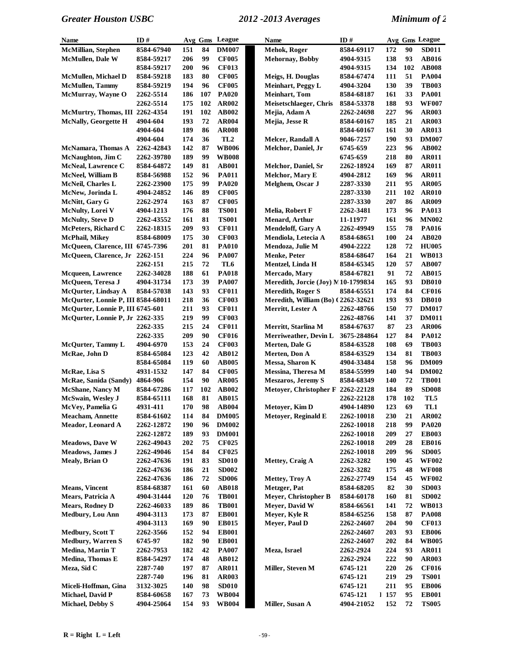| Name                               | ID#               |     |     | Avg Gms League                        | Name                               | ID#         |      |     | Avg Gms League |
|------------------------------------|-------------------|-----|-----|---------------------------------------|------------------------------------|-------------|------|-----|----------------|
| McMillian, Stephen                 | 8584-67940        | 151 | 84  | <b>DM007</b>                          | Mehok, Roger                       | 8584-69117  | 172  | 90  | <b>SD011</b>   |
| <b>McMullen, Dale W</b>            | 8584-59217        | 206 | 99  | <b>CF005</b>                          | <b>Mehornay</b> , Bobby            | 4904-9315   | 138  | 93  | <b>AB016</b>   |
|                                    | 8584-59217        | 200 | 96  | <b>CF013</b>                          |                                    | 4904-9315   | 134  | 102 | <b>AB008</b>   |
| <b>McMullen, Michael D</b>         | 8584-59218        | 183 | 80  | <b>CF005</b>                          | Meigs, H. Douglas                  | 8584-67474  | 111  | 51  | <b>PA004</b>   |
| <b>McMullen, Tammy</b>             | 8584-59219        | 194 | 96  | <b>CF005</b>                          | <b>Meinhart, Peggy L</b>           | 4904-3204   | 130  | 39  | <b>TB003</b>   |
| McMurray, Wayne O                  | 2262-5514         | 186 | 107 | <b>PA020</b>                          | <b>Meinhart</b> , Tom              | 8584-68187  | 161  | 33  | <b>PA001</b>   |
|                                    | 2262-5514         | 175 | 102 | <b>AR002</b>                          | Meisetschlaeger, Chris             | 8584-53378  | 188  | 93  | <b>WF007</b>   |
| McMurtry, Thomas, III 2262-4354    |                   | 191 | 102 | <b>AB002</b>                          | Mejia, Adam A                      | 2262-24698  | 227  | 96  | <b>AR003</b>   |
| <b>McNally, Georgette H</b>        | 4904-604          | 193 | 72  | <b>AR004</b>                          | Mejia, Jesse R                     | 8584-60167  | 185  | 21  | <b>AR003</b>   |
|                                    | 4904-604          | 189 | 86  | <b>AR008</b>                          |                                    | 8584-60167  | 161  | 30  | AR013          |
|                                    | 4904-604          | 174 | 36  | TL <sub>2</sub>                       | Melcer, Randall A                  | 9046-7257   | 190  | 93  | <b>DM007</b>   |
| McNamara, Thomas A                 | 2262-42843        | 142 | 87  | <b>WB006</b>                          | Melchor, Daniel, Jr                | 6745-659    | 223  | 96  | <b>AB002</b>   |
| McNaughton, Jim C                  | 2262-39780        | 189 | 99  | <b>WB008</b>                          |                                    | 6745-659    | 218  | 80  | AR011          |
| <b>McNeal, Lawrence C</b>          | 8584-64872        | 149 | 81  | <b>AB001</b>                          | Melchor, Daniel, Sr                | 2262-18924  | 169  | 87  | <b>AR011</b>   |
| <b>McNeel</b> , William B          | 8584-56988        | 152 | 96  | <b>PA011</b>                          | Melchor, Mary E                    | 4904-2812   | 169  | 96  | <b>AR011</b>   |
| <b>McNeil, Charles L</b>           | 2262-23900        | 175 | 99  | <b>PA020</b>                          | Melghem, Oscar J                   | 2287-3330   | 211  | 95  | <b>AR005</b>   |
| McNew, Jorinda L                   | 4904-24852        | 146 | 89  | <b>CF005</b>                          |                                    | 2287-3330   | 211  | 102 | <b>AR010</b>   |
| McNitt, Gary G                     | 2262-2974         | 163 | 87  | <b>CF005</b>                          |                                    | 2287-3330   | 207  | 86  | <b>AR009</b>   |
| McNulty, Lorei V                   | 4904-1213         | 176 | 88  | <b>TS001</b>                          | Melia, Robert F                    | 2262-3481   | 173  | 96  | PA013          |
| <b>McNulty, Steve D</b>            | 2262-43552        | 161 | 81  | <b>TS001</b>                          | <b>Menard</b> , Arthur             | 11-11977    | 161  | 96  | <b>MN002</b>   |
| McPeters, Richard C                | 2262-18315        | 209 | 93  | <b>CF011</b>                          | <b>Mendeloff, Gary A</b>           | 2262-49949  | 155  | 78  | <b>PA016</b>   |
| McPhail, Mikey                     | 8584-68009        | 175 | 30  | <b>CF003</b>                          | Mendiola, Letecia A                | 8584-68651  | 100  | 24  | <b>AB020</b>   |
| McQueen, Clarence, III 6745-7396   |                   | 201 | 81  | <b>PA010</b>                          | Mendoza, Julie M                   | 4904-2222   | 128  | 72  | <b>HU005</b>   |
| McQueen, Clarence, Jr              | 2262-151          | 224 | 96  | <b>PA007</b>                          | <b>Menke, Peter</b>                | 8584-68647  | 164  | 21  | <b>WB013</b>   |
|                                    | 2262-151          | 215 | 72  | TL <sub>6</sub>                       | Mentzel, Linda H                   | 8584-65345  | 120  | 57  | <b>AB007</b>   |
| <b>Mcqueen, Lawrence</b>           | 2262-34028        | 188 | 61  | <b>PA018</b>                          | Mercado, Mary                      | 8584-67821  | 91   | 72  | <b>AB015</b>   |
| McQueen, Teresa J                  | 4904-31734        | 173 | 39  | <b>PA007</b>                          | Meredith, Jorcie (Joy) M10-1799834 |             | 165  | 93  | <b>DB010</b>   |
| McQurter, Lindsay A                | 8584-57038        | 143 | 93  | <b>CF011</b>                          | <b>Meredith, Roger S</b>           | 8584-65551  | 174  | 84  | <b>CF016</b>   |
| McQurter, Lonnie P, III 8584-68011 |                   | 218 | 36  | <b>CF003</b>                          | Meredith, William (Bo) (2262-32621 |             | 193  | 93  | <b>DB010</b>   |
| McQurter, Lonnie P, III 6745-601   |                   | 211 | 93  | <b>CF011</b>                          | Merritt, Lester A                  | 2262-48766  | 150  | 77  | <b>DM017</b>   |
| McQurter, Lonnie P, Jr 2262-335    |                   | 219 | 99  | <b>CF003</b>                          |                                    | 2262-48766  | 141  | 37  | <b>DM011</b>   |
|                                    | 2262-335          | 215 | 24  | <b>CF011</b>                          | Merritt, Starlina M                | 8584-67637  | 87   | 23  | <b>AR006</b>   |
|                                    | 2262-335          | 209 | 90  | <b>CF016</b>                          | Merriweather, Devin L              | 3675-284864 | 127  | 84  | PA012          |
| <b>McQurter, Tammy L</b>           | 4904-6970         | 153 | 24  | <b>CF003</b>                          | Merten, Dale G                     | 8584-63528  | 108  | 69  | <b>TB003</b>   |
| McRae, John D                      | 8584-65084        | 123 | 42  | AB012                                 | Merten, Don A                      | 8584-63529  | 134  | 81  | <b>TB003</b>   |
|                                    | 8584-65084        | 119 | 60  | <b>AB005</b>                          | Messa, Sharon K                    | 4904-33484  | 158  | 96  | <b>DM009</b>   |
| McRae, Lisa S                      | 4931-1532         | 147 | 84  | <b>CF005</b>                          | Messina, Theresa M                 | 8584-55999  | 140  | 94  | <b>DM002</b>   |
| McRae, Sanida (Sandy)              | 4864-906          | 154 | 90  | <b>AR005</b>                          | <b>Meszaros</b> , Jeremy S         | 8584-68349  | 140  | 72  | <b>TB001</b>   |
| <b>McShane</b> , Nancy M           | 8584-67286        | 117 | 102 | <b>AB002</b>                          | Metoyer, Christopher F 2262-22128  |             | 184  | 89  | <b>SD008</b>   |
| <b>McSwain</b> , Wesley J          | 8584-65111        | 168 | 81  | <b>AB015</b>                          |                                    | 2262-22128  | 178  | 102 | TL5            |
| McVey, Pamelia G                   | 4931-411          | 170 | 98  | ${\bf A}{\bf B}{\bf 0}{\bf 0}{\bf 4}$ | Metoyer, Kim D                     | 4904-14890  | 123  | 69  | TL1            |
| <b>Meacham, Annette</b>            | 8584-61602        | 114 | 84  | <b>DM005</b>                          | <b>Metoyer, Reginald E</b>         | 2262-10018  | 230  | 21  | AR002          |
| Meador, Leonard A                  | 2262-12872        | 190 | 96  | <b>DM002</b>                          |                                    | 2262-10018  | 218  | 99  | <b>PA020</b>   |
|                                    | 2262-12872        | 189 | 93  | <b>DM001</b>                          |                                    | 2262-10018  | 209  | 27  | <b>EB003</b>   |
| <b>Meadows, Dave W</b>             | 2262-49043        | 202 | 75  | <b>CF025</b>                          |                                    | 2262-10018  | 209  | 28  | <b>EB016</b>   |
| Meadows, James J                   | 2262-49046        | 154 | 84  | <b>CF025</b>                          |                                    | 2262-10018  | 209  | 96  | ${\bf SDO05}$  |
| Mealy, Brian O                     | 2262-47636        | 191 | 83  | <b>SD010</b>                          | Mettey, Craig A                    | 2262-3282   | 190  | 45  | <b>WF002</b>   |
|                                    | 2262-47636        | 186 | 21  | <b>SD002</b>                          |                                    | 2262-3282   | 175  | 48  | <b>WF008</b>   |
|                                    | 2262-47636        | 186 | 72  | <b>SD006</b>                          | Mettey, Troy A                     | 2262-27749  | 154  | 45  | <b>WF002</b>   |
| <b>Means</b> , Vincent             | 8584-68387        | 161 | 60  | <b>AB018</b>                          | Metzger, Pat                       | 8584-68205  | 82   | 30  | <b>SD003</b>   |
| Mears, Patricia A                  | 4904-31444        | 120 | 76  | <b>TB001</b>                          | Meyer, Christopher B               | 8584-60178  | 160  | 81  | <b>SD002</b>   |
| <b>Mears, Rodney D</b>             | <b>2262-46033</b> | 189 | 86  | <b>TB001</b>                          | Meyer, David W                     | 8584-66561  | 141  | 72  | <b>WB013</b>   |
| Medbury, Lou Ann                   | 4904-3113         | 173 | 87  | <b>EB001</b>                          | Meyer, Kyle R                      | 8584-65256  | 158  | 87  | <b>PA008</b>   |
|                                    | 4904-3113         | 169 | 90  | <b>EB015</b>                          | Meyer, Paul D                      | 2262-24607  | 204  | 90  | <b>CF013</b>   |
| <b>Medbury, Scott T</b>            | 2262-3566         | 152 | 94  | <b>EB001</b>                          |                                    | 2262-24607  | 203  | 93  | <b>EB006</b>   |
| <b>Medbury, Warren S</b>           | 6745-97           | 182 | 90  | <b>EB001</b>                          |                                    | 2262-24607  | 202  | 84  | <b>WB005</b>   |
| <b>Medina</b> , Martin T           | 2262-7953         | 182 | 42  | <b>PA007</b>                          | Meza, Israel                       | 2262-2924   | 224  | 93  | <b>AR011</b>   |
| Medina, Thomas E                   | 8584-54297        | 174 | 48  | <b>AB012</b>                          |                                    | 2262-2924   | 222  | 90  | <b>AR003</b>   |
| Meza, Sid C                        | 2287-740          | 197 | 87  | <b>AR011</b>                          | Miller, Steven M                   | 6745-121    | 220  | 26  | <b>CF016</b>   |
|                                    | 2287-740          | 196 | 81  | <b>AR003</b>                          |                                    | 6745-121    | 219  | 29  | <b>TS001</b>   |
| Miceli-Hoffman, Gina               | 3132-3025         | 140 | 98  | <b>SD010</b>                          |                                    | 6745-121    | 211  | 95  | <b>EB006</b>   |
| Michael, David P                   | 8584-60658        | 167 | 73  | <b>WB004</b>                          |                                    | 6745-121    | 1157 | 95  | <b>EB001</b>   |
| <b>Michael, Debby S</b>            | 4904-25064        | 154 | 93  | <b>WB004</b>                          | Miller, Susan A                    | 4904-21052  | 152  | 72  | <b>TS005</b>   |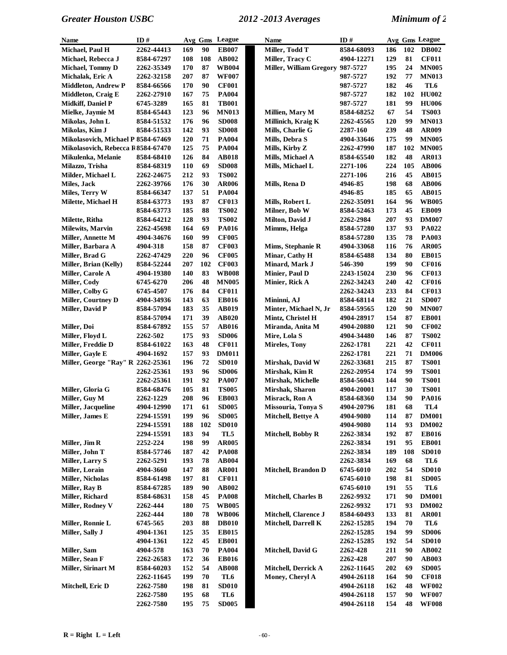| Name                               | ID#        | Avg Gms    |     | League       | <b>Name</b>                    | ID#        |     |     | Avg Gms League |
|------------------------------------|------------|------------|-----|--------------|--------------------------------|------------|-----|-----|----------------|
| Michael, Paul H                    | 2262-44413 | 169        | 90  | <b>EB007</b> | Miller, Todd T                 | 8584-68093 | 186 | 102 | <b>DB002</b>   |
| Michael, Rebecca J                 | 8584-67297 | 108        | 108 | <b>AB002</b> | Miller, Tracy C                | 4904-12271 | 129 | 81  | <b>CF011</b>   |
| <b>Michael, Tommy D</b>            | 2262-35349 | 170        | 87  | <b>WB004</b> | <b>Miller, William Gregory</b> | 987-5727   | 195 | 24  | <b>MN005</b>   |
| Michalak, Eric A                   | 2262-32158 | 207        | 87  | <b>WF007</b> |                                | 987-5727   | 192 | 77  | <b>MN013</b>   |
| <b>Middleton, Andrew P</b>         | 8584-66566 | 170        | 90  | <b>CF001</b> |                                | 987-5727   | 182 | 46  | TL6            |
| <b>Middleton, Craig E</b>          | 2262-27910 | 167        | 75  | <b>PA004</b> |                                | 987-5727   | 182 | 102 | <b>HU002</b>   |
| Midkiff, Daniel P                  | 6745-3289  | 165        | 81  | <b>TB001</b> |                                | 987-5727   | 181 | 99  | <b>HU006</b>   |
| Mielke, Jaymie M                   | 8584-65443 | 123        | 96  | <b>MN013</b> | Millien, Mary M                | 8584-68252 | 67  | 54  | <b>TS003</b>   |
| Mikolas, John L                    | 8584-51532 | 176        | 96  | <b>SD008</b> | Millinich, Kraig K             | 2262-45565 | 120 | 99  | <b>MN013</b>   |
| Mikolas, Kim J                     | 8584-51533 | 142        | 93  | <b>SD008</b> | Mills, Charlie G               | 2287-160   | 239 | 48  | <b>AR009</b>   |
| Mikolasovich, Michael P 8584-67469 |            | 120        | 71  | <b>PA004</b> | Mills, Debra S                 | 4904-33646 | 175 | 99  | <b>MN005</b>   |
| Mikolasovich, Rebecca R8584-67470  |            | 125        | 75  | <b>PA004</b> | Mills, Kirby Z                 | 2262-47990 | 187 | 102 | <b>MN005</b>   |
| Mikulenka, Melanie                 | 8584-68410 | 126        | 84  | <b>AB018</b> | Mills, Michael A               | 8584-65540 | 182 | 48  | <b>AR013</b>   |
| Milazzo, Trisha                    | 8584-68319 | 110        | 69  | <b>SD008</b> | Mills, Michael L               | 2271-106   | 224 | 105 | <b>AB006</b>   |
| Milder, Michael L                  | 2262-24675 | 212        | 93  | <b>TS002</b> |                                | 2271-106   | 216 | 45  | <b>AB015</b>   |
| Miles, Jack                        | 2262-39766 | 176        | 30  | <b>AR006</b> | Mills, Rena D                  | 4946-85    | 198 | 68  | <b>AB006</b>   |
| Miles, Terry W                     | 8584-66347 | 137        | 51  | <b>PA004</b> |                                | 4946-85    | 185 | 65  | <b>AB015</b>   |
| Milette, Michael H                 | 8584-63773 | 193        | 87  | <b>CF013</b> | Mills, Robert L                | 2262-35091 | 164 | 96  | <b>WB005</b>   |
|                                    | 8584-63773 | 185        | 88  | <b>TS002</b> | Milner, Bob W                  | 8584-52463 | 173 | 45  | <b>EB009</b>   |
| Milette, Ritha                     | 8584-64212 | 128        | 93  | <b>TS002</b> | Milton, David J                | 2262-2984  | 207 | 93  | <b>DM007</b>   |
| <b>Milewits, Marvin</b>            | 2262-45698 | 164        | 69  | <b>PA016</b> | Mimms, Helga                   | 8584-57280 | 137 | 93  | PA022          |
| Miller, Annette M                  | 4904-34676 | 160        | 99  | <b>CF005</b> |                                | 8584-57280 | 135 | 78  | <b>PA003</b>   |
| Miller, Barbara A                  | 4904-318   | 158        | 87  | <b>CF003</b> | Mims, Stephanie R              | 4904-33068 | 116 | 76  | <b>AR005</b>   |
| Miller, Brad G                     | 2262-47429 | 220        | 96  | <b>CF005</b> | Minar, Cathy H                 | 8584-65488 | 134 | 80  | <b>EB015</b>   |
| Miller, Brian (Kelly)              | 8584-52244 | 207        | 102 | <b>CF003</b> | Minard, Mark J                 | 546-390    | 199 | 90  | <b>CF016</b>   |
| <b>Miller, Carole A</b>            | 4904-19380 | 140        | 83  | <b>WB008</b> | Minier, Paul D                 | 2243-15024 | 230 | 96  | <b>CF013</b>   |
| Miller, Cody                       | 6745-6270  | 206        | 48  | <b>MN005</b> | Minier, Rick A                 | 2262-34243 | 240 | 42  | <b>CF016</b>   |
| Miller, Colby G                    | 6745-4507  | 176        | 84  | <b>CF011</b> |                                | 2262-34243 | 233 | 84  | <b>CF013</b>   |
| <b>Miller, Courtney D</b>          | 4904-34936 | 143        | 63  | <b>EB016</b> | Mininni, AJ                    | 8584-68114 | 182 | 21  | <b>SD007</b>   |
| Miller, David P                    | 8584-57094 | 183        | 35  | AB019        | Minter, Michael N, Jr          | 8584-59565 | 120 | 90  | <b>MN007</b>   |
|                                    | 8584-57094 | 171        | 39  | <b>AB020</b> | Mintz, Christel H              | 4904-28917 | 154 | 87  | <b>EB001</b>   |
| Miller, Doi                        | 8584-67892 | 155        | 57  | <b>AB016</b> | Miranda, Anita M               | 4904-20880 | 121 | 90  | <b>CF002</b>   |
| Miller, Floyd L                    | 2262-502   | 175        | 93  | <b>SD006</b> | Mire, Lola S                   | 4904-34480 | 146 | 87  | <b>TS002</b>   |
| Miller, Freddie D                  | 8584-61022 | 163        | 48  | <b>CF011</b> | <b>Mireles, Tony</b>           | 2262-1781  | 221 | 42  | <b>CF011</b>   |
| Miller, Gayle E                    | 4904-1692  | 157        | 93  | <b>DM011</b> |                                | 2262-1781  | 221 | 71  | <b>DM006</b>   |
| Miller, George "Ray" R 2262-25361  |            | 196        | 72  | <b>SD010</b> | Mirshak, David W               | 2262-33681 | 215 | 87  | <b>TS001</b>   |
|                                    | 2262-25361 | 193        | 96  | <b>SD006</b> | Mirshak, Kim R                 | 2262-20954 | 174 | 99  | <b>TS001</b>   |
|                                    | 2262-25361 | 191        | 92  | <b>PA007</b> | Mirshak, Michelle              | 8584-56043 | 144 | 90  | <b>TS001</b>   |
| Miller, Gloria G                   | 8584-68476 | 105        | 81  | <b>TS005</b> | Mirshak, Sharon                | 4904-20001 | 117 | 30  | <b>TS001</b>   |
| Miller, Guy M                      | 2262-1229  | 208        | 96  | <b>EB003</b> | Misrack, Ron A                 | 8584-68360 | 134 | 90  | <b>PA016</b>   |
| Miller, Jacqueline                 | 4904-12990 | 171        | 61  | <b>SD005</b> | Missouria, Tonya S             | 4904-20796 | 181 | 68  | TL4            |
| Miller, James E                    | 2294-15591 | 199        | 96  | <b>SD005</b> | Mitchell, Bettye A             | 4904-9080  | 114 | 87  | <b>DM001</b>   |
|                                    | 2294-15591 | 188        | 102 | <b>SD010</b> |                                | 4904-9080  | 114 | 93  | <b>DM002</b>   |
|                                    | 2294-15591 | 183        | 94  | TL5          | Mitchell, Bobby R              | 2262-3834  | 192 | 87  | <b>EB016</b>   |
| Miller, Jim R                      | 2252-224   | 198        | 99  | <b>AR005</b> |                                | 2262-3834  | 191 | 95  | <b>EB001</b>   |
| Miller, John T                     | 8584-57746 | 187        | 42  | <b>PA008</b> |                                | 2262-3834  | 189 | 108 | <b>SD010</b>   |
| Miller, Larry S                    | 2262-5291  | 193        | 78  | <b>AB004</b> |                                | 2262-3834  | 169 | 68  | TL6            |
| Miller, Lorain                     | 4904-3660  | 147        | 88  | <b>AR001</b> | <b>Mitchell, Brandon D</b>     | 6745-6010  | 202 | 54  | <b>SD010</b>   |
| <b>Miller, Nicholas</b>            | 8584-61498 | 197        | 81  | <b>CF011</b> |                                | 6745-6010  | 198 | 81  | <b>SD005</b>   |
| Miller, Ray B                      | 8584-67285 | 189        | 90  | AB002        |                                | 6745-6010  | 191 | 55  | TL6            |
| Miller, Richard                    | 8584-68631 | 158        | 45  | <b>PA008</b> | Mitchell, Charles B            | 2262-9932  | 171 | 90  | <b>DM001</b>   |
| Miller, Rodney V                   | 2262-444   | 180        | 75  | <b>WB005</b> |                                | 2262-9932  | 171 | 93  | <b>DM002</b>   |
|                                    | 2262-444   | <b>180</b> | 78  | <b>WB006</b> | Mitchell, Clarence J           | 8584-60493 | 133 | 81  | <b>AR001</b>   |
| Miller, Ronnie L                   | 6745-565   | 203        | 88  | <b>DB010</b> | Mitchell, Darrell K            | 2262-15285 | 194 | 70  | TL6            |
| Miller, Sally J                    | 4904-1361  | 125        | 35  | <b>EB015</b> |                                | 2262-15285 | 194 | 99  | <b>SD006</b>   |
|                                    | 4904-1361  | 122        | 45  | <b>EB001</b> |                                | 2262-15285 | 192 | 54  | <b>SD010</b>   |
| Miller, Sam                        | 4904-578   | 163        | 70  | <b>PA004</b> | Mitchell, David G              | 2262-428   | 211 | 90  | <b>AB002</b>   |
| Miller, Sean F                     | 2262-26583 | 172        | 36  | <b>EB016</b> |                                | 2262-428   | 207 | 90  | <b>AB003</b>   |
| Miller, Sirinart M                 | 8584-60203 | 152        | 54  | <b>AB008</b> | Mitchell, Derrick A            | 2262-11645 | 202 | 69  | <b>SD005</b>   |
|                                    | 2262-11645 | 199        | 70  | TL6          | Money, Cheryl A                | 4904-26118 | 164 | 90  | <b>CF018</b>   |
| Mitchell, Eric D                   | 2262-7580  | 198        | 81  | <b>SD010</b> |                                | 4904-26118 | 162 | 48  | <b>WF002</b>   |
|                                    | 2262-7580  | 195        | 68  | TL6          |                                | 4904-26118 | 157 | 90  | <b>WF007</b>   |
|                                    | 2262-7580  | 195        | 75  | <b>SD005</b> |                                | 4904-26118 | 154 | 48  | <b>WF008</b>   |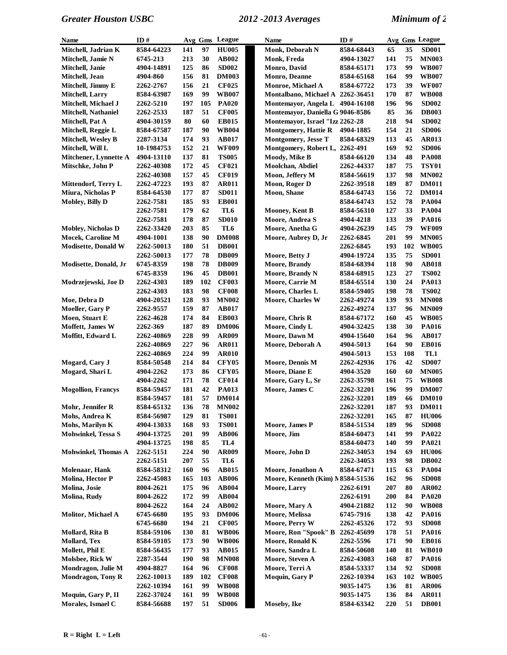| <b>Name</b>                | ID#               |     |     | Avg Gms League  | <b>Name</b>                       | ID#        |     |     | Avg Gms League |
|----------------------------|-------------------|-----|-----|-----------------|-----------------------------------|------------|-----|-----|----------------|
| Mitchell, Jadrian K        | 8584-64223        | 141 | 97  | <b>HU005</b>    | Monk, Deborah N                   | 8584-68443 | 65  | 35  | <b>SD001</b>   |
| Mitchell, Jamie N          | 6745-213          | 213 | 30  | AB002           | Monk, Freda                       | 4904-13027 | 141 | 75  | <b>MN003</b>   |
| Mitchell, Janie            | 4904-14891        | 125 | 86  | <b>SD002</b>    | Monro, David                      | 8584-65171 | 173 | 99  | <b>WB007</b>   |
| Mitchell, Jean             | 4904-860          | 156 | 81  | <b>DM003</b>    | Monro, Deanne                     | 8584-65168 | 164 | 99  | <b>WB007</b>   |
| Mitchell, Jimmy E          | 2262-2767         | 156 | 21  | <b>CF025</b>    | Monroe, Michael A                 | 8584-67722 | 173 | 39  | <b>WF007</b>   |
| <b>Mitchell, Larry</b>     | 8584-63987        | 169 | 99  | <b>WB007</b>    | Montalbano, Michael A 2262-36451  |            | 170 | 87  | <b>WB008</b>   |
| Mitchell, Michael J        | 2262-5210         | 197 | 105 | <b>PA020</b>    | Montemayor, Angela L              | 4904-16108 | 196 | 96  | <b>SD002</b>   |
| <b>Mitchell, Nathaniel</b> | 2262-2533         | 187 | 51  | <b>CF005</b>    | Montemayor, Daniella G 9046-8586  |            | 85  | 36  | <b>DB003</b>   |
| Mitchell, Pat A            | 4904-30159        | 80  | 60  | <b>EB015</b>    | Montemayor, Israel "Izz 2262-28   |            | 218 | 94  | <b>SD002</b>   |
| Mitchell, Reggie L         | 8584-67587        | 187 | 90  | <b>WB004</b>    | <b>Montgomery, Hattie R</b>       | 4904-1885  | 154 | 21  | <b>SD006</b>   |
| Mitchell, Wesley B         | 2287-3134         | 174 | 93  | <b>AB017</b>    | Montgomery, Jesse T               | 8584-68329 | 113 | 45  | <b>AR013</b>   |
| Mitchell, Will L           | 10-1984753        | 152 | 21  | <b>WF009</b>    | Montgomery, Robert L, 2262-491    |            | 169 | 92  | <b>SD006</b>   |
| Mitchener, Lynnette A      | 4904-13110        | 137 | 81  | <b>TS005</b>    | Moody, Mike B                     | 8584-66120 | 134 | 48  | <b>PA008</b>   |
| Mitschke, John P           | <b>2262-40308</b> | 172 | 45  | <b>CF021</b>    | Moolchan, Abdiel                  | 2262-44337 | 187 | 75  | <b>TSY01</b>   |
|                            | 2262-40308        | 157 | 45  | <b>CF019</b>    | Moon, Jeffery M                   | 8584-56619 | 137 | 98  | <b>MN002</b>   |
| Mittendorf, Terry L        | 2262-47223        | 193 | 87  | <b>AR011</b>    | Moon, Roger D                     | 2262-39518 | 189 | 87  | <b>DM011</b>   |
| Miura, Nicholas P          | 8584-64530        | 177 | 87  | <b>SD011</b>    | <b>Moon</b> , Shane               | 8584-64743 | 156 | 72  | <b>DM014</b>   |
| <b>Mobley, Billy D</b>     | 2262-7581         | 185 | 93  | <b>EB001</b>    |                                   | 8584-64743 | 152 | 78  | <b>PA004</b>   |
|                            | 2262-7581         | 179 | 62  | TL6             | <b>Mooney, Kent B</b>             | 8584-56310 | 127 | 33  | <b>PA004</b>   |
|                            | 2262-7581         | 178 | 87  | <b>SD010</b>    | Moore, Andrea S                   | 4904-4218  | 133 | 39  | <b>PA016</b>   |
| <b>Mobley, Nicholas D</b>  | 2262-33420        | 203 | 85  | TL6             | Moore, Anetha G                   | 4904-26239 | 145 | 79  | <b>WF009</b>   |
| Mocek, Caroline M          | 4904-1001         | 138 | 90  | <b>DM008</b>    | Moore, Aubrey D, Jr               | 2262-6845  | 201 | 99  | <b>MN005</b>   |
| <b>Modisette, Donald W</b> | <b>2262-50013</b> | 180 | 51  | <b>DB001</b>    |                                   | 2262-6845  | 193 | 102 | <b>WB005</b>   |
|                            | 2262-50013        | 177 | 78  | <b>DB009</b>    | Moore, Betty J                    | 4904-19724 | 135 | 75  | <b>SD001</b>   |
| Modisette, Donald, Jr      | 6745-8359         | 198 | 78  | <b>DB009</b>    | <b>Moore, Brandy</b>              | 8584-68394 | 118 | 90  | <b>AB018</b>   |
|                            | 6745-8359         | 196 | 45  | <b>DB001</b>    | Moore, Brandy N                   | 8584-68915 | 123 | 27  | <b>TS002</b>   |
| Modrzejewski, Joe D        | 2262-4303         | 189 | 102 | <b>CF003</b>    | Moore, Carrie M                   | 8584-65514 | 130 | 24  | PA013          |
|                            | <b>2262-4303</b>  | 183 | 98  | <b>CF008</b>    | Moore, Charles L                  | 8584-59405 | 198 | 78  | <b>TS002</b>   |
| Moe, Debra D               | 4904-20521        | 128 | 93  | <b>MN002</b>    | <b>Moore, Charles W</b>           | 2262-49274 | 139 | 93  | <b>MN008</b>   |
| Moeller, Gary P            | 2262-9557         | 159 | 87  | <b>AB017</b>    |                                   | 2262-49274 | 137 | 96  | <b>MN009</b>   |
| Moen, Stuart E             | 2262-4628         | 174 | 84  | <b>EB003</b>    | Moore, Chris R                    | 8584-67172 | 160 | 45  | <b>WB005</b>   |
| Moffett, James W           | 2262-369          | 187 | 89  | <b>DM006</b>    | Moore, Cindy L                    | 4904-32425 | 138 | 30  | <b>PA016</b>   |
| Moffitt, Edward L          | 2262-40869        | 228 | 99  | <b>AR009</b>    | Moore, Dawn M                     | 4904-15640 | 164 | 96  | <b>AB017</b>   |
|                            | 2262-40869        | 227 | 96  | <b>AR011</b>    | Moore, Deborah A                  | 4904-5013  | 164 | 90  | <b>EB016</b>   |
|                            | 2262-40869        | 224 | 99  | <b>AR010</b>    |                                   | 4904-5013  | 153 | 108 | TL1            |
| Mogard, Cary J             | 8584-50548        | 214 | 84  | <b>CFY05</b>    | Moore, Dennis M                   | 2262-42936 | 176 | 42  | <b>SD007</b>   |
| Mogard, Shari L            | 4904-2262         | 173 | 86  | <b>CFY05</b>    | Moore, Diane E                    | 4904-3520  | 160 | 60  | <b>MN005</b>   |
|                            | 4904-2262         | 171 | 78  | <b>CF014</b>    | Moore, Gary L, Sr                 | 2262-35798 | 161 | 75  | <b>WB008</b>   |
| <b>Mogollion, Francys</b>  | 8584-59457        | 181 | 42  | <b>PA013</b>    | Moore, James C                    | 2262-32201 | 196 | 99  | <b>DM007</b>   |
|                            | 8584-59457        | 181 | 57  | <b>DM014</b>    |                                   | 2262-32201 | 189 | 66  | <b>DM010</b>   |
| Mohr, Jennifer R           | 8584-65132        | 136 | 78  | <b>MN002</b>    |                                   | 2262-32201 | 187 | 93  | <b>DM011</b>   |
| Mohs, Andrea K             | 8584-56987        | 129 | 81  | <b>TS001</b>    |                                   | 2262-32201 | 165 | 87  | <b>HU006</b>   |
| Mohs, Marilyn K            | 4904-13033        | 168 | 93  | <b>TS001</b>    | Moore, James P                    | 8584-51534 | 189 | 96  | <b>SD008</b>   |
| Mohwinkel, Tessa S         | 4904-13725        | 201 | 99  | <b>AB006</b>    | Moore, Jim                        | 8584-60473 | 141 | 99  | PA022          |
|                            | 4904-13725        | 198 | 85  | TL <sub>4</sub> |                                   | 8584-60473 | 140 | 99  | PA021          |
| <b>Mohwinkel, Thomas A</b> | 2262-5151         | 224 | 90  | AR009           | Moore, John D                     | 2262-34053 | 194 | 69  | <b>HU006</b>   |
|                            | 2262-5151         | 207 | 55  | TL6             |                                   | 2262-34053 | 193 | 98  | <b>DB002</b>   |
| Molenaar, Hank             | 8584-58312        | 160 | 96  | AB015           | Moore, Jonathon A                 | 8584-67471 | 115 | 63  | <b>PA004</b>   |
| Molina, Hector P           | 2262-45083        | 165 | 103 | <b>AB006</b>    | Moore, Kenneth (Kim) N 8584-51536 |            | 162 | 96  | <b>SD008</b>   |
| Molina, Josie              | 8004-2621         | 175 | 96  | AB004           | Moore, Larry                      | 2262-6191  | 207 | 80  | <b>AR002</b>   |
| Molina, Rudy               | 8004-2622         | 172 | 99  | <b>AB004</b>    |                                   | 2262-6191  | 200 | 84  | <b>PA020</b>   |
|                            | 8004-2622         | 164 | 24  | AB002           | Moore, Mary A                     | 4904-21882 | 112 | 90  | <b>WB008</b>   |
| Molitor, Michael A         | 6745-6680         | 195 | 93  | <b>DM006</b>    | Moore, Melissa                    | 6745-7916  | 138 | 42  | <b>PA016</b>   |
|                            | 6745-6680         | 194 | 21  | <b>CF005</b>    | Moore, Perry W                    | 2262-45326 | 172 | 93  | <b>SD008</b>   |
| Mollard, Rita B            | 8584-59106        | 130 | 81  | <b>WB006</b>    | Moore, Ron "Spook" B              | 2262-45699 | 178 | 51  | <b>PA016</b>   |
| Mollard, Tex               | 8584-59105        | 173 | 90  | <b>WB006</b>    | Moore, Ronald K                   | 2262-5596  | 171 | 90  | <b>EB016</b>   |
| Mollett, Phil E            | 8584-56435        | 177 | 93  | AB015           | Moore, Sandra L                   | 8584-50608 | 140 | 81  | <b>WB010</b>   |
| Molsbee, Rick W            | 2287-3544         | 190 | 98  | <b>MN008</b>    | Moore, Steven A                   | 2262-43083 | 168 | 87  | <b>PA016</b>   |
| Mondragon, Julie M         | 4904-8827         | 164 | 96  | <b>CF008</b>    | Moore, Terri A                    | 8584-53337 | 134 | 92  | <b>SD008</b>   |
| <b>Mondragon, Tony R</b>   | 2262-10013        | 189 | 102 | <b>CF008</b>    | Moquin, Gary P                    | 2262-10394 | 163 | 102 | <b>WB005</b>   |
|                            | 2262-10394        | 161 | 99  | <b>WB008</b>    |                                   | 9035-1475  | 136 | 81  | <b>AR006</b>   |
| Moquin, Gary P, II         | 2262-37024        | 161 | 99  | <b>WB008</b>    |                                   | 9035-1475  | 136 | 84  | <b>AR011</b>   |
| Morales, Ismael C          | 8584-56688        | 197 | 51  | <b>SD006</b>    | Moseby, Ike                       | 8584-63342 | 220 | 51  | <b>DB001</b>   |
|                            |                   |     |     |                 |                                   |            |     |     |                |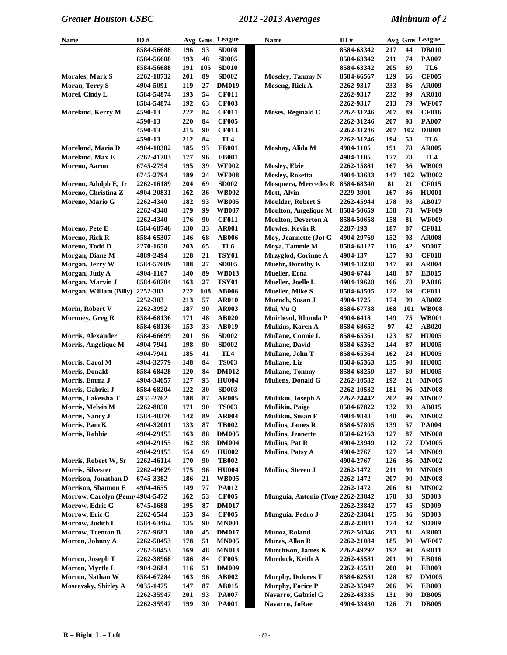| Name                              | ID#        |     | Avg Gms | League          | Name                              | ID#        |            |     | Avg Gms League  |
|-----------------------------------|------------|-----|---------|-----------------|-----------------------------------|------------|------------|-----|-----------------|
|                                   | 8584-56688 | 196 | 93      | <b>SD008</b>    |                                   | 8584-63342 | 217        | 44  | <b>DB010</b>    |
|                                   | 8584-56688 | 193 | 48      | <b>SD005</b>    |                                   | 8584-63342 | 211        | 74  | <b>PA007</b>    |
|                                   | 8584-56688 | 191 | 105     | <b>SD010</b>    |                                   | 8584-63342 | 205        | 69  | TL6             |
| Morales, Mark S                   | 2262-18732 | 201 | 89      | <b>SD002</b>    | <b>Moseley, Tammy N</b>           | 8584-66567 | 129        | 66  | <b>CF005</b>    |
| Moran, Terry S                    | 4904-5091  | 119 | 27      | <b>DM019</b>    | Moseng, Rick A                    | 2262-9317  | 233        | 86  | <b>AR009</b>    |
| Morel, Cindy L                    | 8584-54874 | 193 | 54      | <b>CF011</b>    |                                   | 2262-9317  | 232        | 99  | <b>AR010</b>    |
|                                   | 8584-54874 | 192 | 63      | <b>CF003</b>    |                                   | 2262-9317  | 213        | 79  | <b>WF007</b>    |
| Moreland, Kerry M                 | 4590-13    | 222 | 84      | <b>CF011</b>    | Moses, Reginald C                 | 2262-31246 | 207        | 89  | <b>CF016</b>    |
|                                   |            |     | 84      |                 |                                   |            | 207        | 93  | <b>PA007</b>    |
|                                   | 4590-13    | 220 |         | <b>CF005</b>    |                                   | 2262-31246 |            |     |                 |
|                                   | 4590-13    | 215 | 90      | <b>CF013</b>    |                                   | 2262-31246 | 207        | 102 | <b>DB001</b>    |
|                                   | 4590-13    | 212 | 84      | TL <sub>4</sub> |                                   | 2262-31246 | 194        | 53  | TL6             |
| Moreland, Maria D                 | 4904-18382 | 185 | 93      | <b>EB001</b>    | Moshay, Alida M                   | 4904-1105  | 191        | 78  | <b>AR005</b>    |
| Moreland, Max E                   | 2262-41203 | 177 | 96      | <b>EB001</b>    |                                   | 4904-1105  | 177        | 78  | TL <sub>4</sub> |
| Moreno, Aaron                     | 6745-2794  | 195 | 39      | <b>WF002</b>    | Mosley, Elzie                     | 2262-15881 | 167        | 36  | <b>WB009</b>    |
|                                   | 6745-2794  | 189 | 24      | <b>WF008</b>    | <b>Mosley, Rosetta</b>            | 4904-33683 | 147        | 102 | <b>WB002</b>    |
| Moreno, Adolph E, Jr              | 2262-16189 | 204 | 69      | <b>SD002</b>    | Mosquera, Mercedes R 8584-68340   |            | 81         | 21  | <b>CF015</b>    |
| Moreno, Christina Z               | 4904-20831 | 162 | 36      | <b>WB002</b>    | Mott, Alvin                       | 2229-3901  | 167        | 36  | <b>HU001</b>    |
| Moreno, Mario G                   | 2262-4340  | 182 | 93      | <b>WB005</b>    | <b>Moulder, Robert S</b>          | 2262-45944 | 178        | 93  | <b>AB017</b>    |
|                                   | 2262-4340  | 179 | 99      | <b>WB007</b>    | <b>Moulton, Angelique M</b>       | 8584-50659 | 158        | 78  | <b>WF009</b>    |
|                                   | 2262-4340  | 176 | 90      | <b>CF011</b>    | <b>Moulton, Deverton A</b>        | 8584-50658 | 158        | 81  | <b>WF009</b>    |
| Moreno, Pete E                    | 8584-68746 | 130 | 33      | <b>AR001</b>    | Mowles, Kevin R                   | 2287-193   | 187        | 87  | <b>CF011</b>    |
| Moreno, Rick R                    | 8584-65307 | 146 | 68      | <b>AB006</b>    | Moy, Jeannette (Jo) G             | 4904-29769 | 152        | 93  | <b>AR008</b>    |
| Moreno, Todd D                    | 2270-1658  | 203 | 65      | TL6             | Moya, Tammie M                    | 8584-68127 | 116        | 42  | <b>SD007</b>    |
| Morgan, Diane M                   | 4889-2494  | 128 | 21      | <b>TSY01</b>    | Mrzyglod, Corinne A               | 4904-137   | 157        | 93  | <b>CF018</b>    |
| Morgan, Jerry W                   | 8584-57609 | 188 | 27      | <b>SD005</b>    | <b>Muehr, Dorothy K</b>           | 4904-18288 | 147        | 93  | <b>AR004</b>    |
| Morgan, Judy A                    |            |     | 89      |                 |                                   |            |            | 87  | <b>EB015</b>    |
|                                   | 4904-1167  | 140 |         | <b>WB013</b>    | Mueller, Erna                     | 4904-6744  | 148        |     |                 |
| Morgan, Marvin J                  | 8584-68784 | 163 | 27      | <b>TSY01</b>    | Mueller, Joelle L                 | 4904-19628 | 166        | 78  | <b>PA016</b>    |
| Morgan, William (Billy) 12252-383 |            | 222 | 108     | <b>AB006</b>    | Mueller, Mike S                   | 8584-68505 | 122        | 69  | <b>CF011</b>    |
|                                   | 2252-383   | 213 | 57      | <b>AR010</b>    | Muench, Susan J                   | 4904-1725  | 174        | 99  | AB002           |
| Morin, Robert V                   | 2262-3992  | 187 | 90      | <b>AR003</b>    | Mui, Vu Q                         | 8584-67738 | 168        | 101 | <b>WB008</b>    |
| Moroney, Greg R                   | 8584-68136 | 171 | 48      | <b>AB020</b>    | Muirhead, Rhonda P                | 4904-6418  | 149        | 75  | <b>WB001</b>    |
|                                   | 8584-68136 | 153 | 33      | AB019           | <b>Mulkins, Karen A</b>           | 8584-68652 | 97         | 42  | <b>AB020</b>    |
| Morris, Alexander                 | 8584-66699 | 201 | 96      | <b>SD002</b>    | Mullane, Connie L                 | 8584-65361 | 123        | 87  | <b>HU005</b>    |
| Morris, Angelique M               | 4904-7941  | 198 | 90      | <b>SD002</b>    | Mullane, David                    | 8584-65362 | 144        | 87  | <b>HU005</b>    |
|                                   | 4904-7941  | 185 | 41      | TL <sub>4</sub> | Mullane, John T                   | 8584-65364 | 162        | 24  | <b>HU005</b>    |
| Morris, Carol M                   | 4904-32779 | 148 | 84      | <b>TS003</b>    | Mullane, Liz                      | 8584-65363 | 135        | 90  | <b>HU005</b>    |
| Morris, Donald                    | 8584-68428 | 120 | 84      | <b>DM012</b>    | <b>Mullane</b> , Tommy            | 8584-68259 | 137        | 69  | <b>HU005</b>    |
| Morris, Emma J                    | 4904-34657 | 127 | 93      | <b>HU004</b>    | Mullens, Donald G                 | 2262-10532 | 192        | 21  | <b>MN005</b>    |
| Morris, Gabriel J                 | 8584-68204 | 122 | 30      | <b>SD003</b>    |                                   | 2262-10532 | 181        | 96  | <b>MN008</b>    |
| Morris, Lakeisha T                | 4931-2762  | 188 | 87      | <b>AR005</b>    | Mullikin, Joseph A                | 2262-24442 | 202        | 99  | <b>MN002</b>    |
| Morris, Melvin M                  | 2262-8858  | 171 | 90      | <b>TS003</b>    | <b>Mullikin</b> , Paige           | 8584-67822 | 132        | 93  | <b>AB015</b>    |
| Morris, Nancy J                   | 8584-48376 | 142 | 89      | <b>AR004</b>    | Mullikin, Susan F                 | 4904-9843  | <b>140</b> | 96  | <b>MN002</b>    |
| Morris, Pam K                     | 4904-32001 | 133 | 87      | <b>TB002</b>    | <b>Mullins, James R</b>           | 8584-57805 | 139        | 57  | <b>PA004</b>    |
| Morris, Robbie                    | 4904-29155 | 163 | 88      | <b>DM005</b>    | <b>Mullins</b> , Jeanette         | 8584-62163 | 127        | 87  | <b>MN008</b>    |
|                                   | 4904-29155 | 162 | 98      | <b>DM004</b>    | <b>Mullins, Pat R</b>             | 4904-23949 | 112        | 72  | <b>DM005</b>    |
|                                   |            |     |         |                 |                                   |            |            |     |                 |
|                                   | 4904-29155 | 154 | 69      | <b>HU002</b>    | Mullins, Patsy A                  | 4904-2767  | 127        | 54  | <b>MN009</b>    |
| Morris, Robert W, Sr              | 2262-46114 | 170 | 90      | <b>TB002</b>    |                                   | 4904-2767  | 126        | 36  | <b>MN002</b>    |
| <b>Morris, Silvester</b>          | 2262-49629 | 175 | 96      | <b>HU004</b>    | Mullins, Steven J                 | 2262-1472  | 211        | 99  | <b>MN009</b>    |
| Morrison, Jonathan D              | 6745-3382  | 186 | 21      | <b>WB005</b>    |                                   | 2262-1472  | 207        | 90  | <b>MN008</b>    |
| Morrison, Shannon E               | 4904-4655  | 149 | 77      | <b>PA012</b>    |                                   | 2262-1472  | 206        | 81  | <b>MN002</b>    |
| Morrow, Carolyn (Penny 4904-5472  |            | 162 | 53      | <b>CF005</b>    | Munguia, Antonio (Tony 2262-23842 |            | 178        | 33  | <b>SD003</b>    |
| Morrow, Edric G                   | 6745-1688  | 195 | 87      | <b>DM017</b>    |                                   | 2262-23842 | 177        | 45  | <b>SD009</b>    |
| Morrow, Eric C                    | 2262-6544  | 153 | 94      | <b>CF005</b>    | Munguia, Pedro J                  | 2262-23841 | 175        | 36  | <b>SD003</b>    |
| Morrow, Judith L                  | 8584-63462 | 135 | 90      | <b>MN001</b>    |                                   | 2262-23841 | 174        | 42  | <b>SD009</b>    |
| Morrow, Trenton B                 | 2262-9683  | 180 | 45      | <b>DM017</b>    | Munoz, Roland                     | 2262-50346 | 213        | 81  | <b>AR003</b>    |
| Morton, Johnny A                  | 2262-50453 | 178 | 51      | <b>MN005</b>    | Muras, Allan R                    | 2262-21084 | 185        | 90  | <b>WF007</b>    |
|                                   | 2262-50453 | 169 | 48      | <b>MN013</b>    | <b>Murchison</b> , James K        | 2262-49292 | 192        | 90  | <b>AR011</b>    |
| Morton, Joseph T                  | 2262-38968 | 186 | 84      | <b>CF005</b>    | Murdock, Keith A                  | 2262-45581 | 201        | 90  | <b>EB016</b>    |
| Morton, Myrtle L                  | 4904-2684  | 116 | 51      | <b>DM009</b>    |                                   | 2262-45581 | <b>200</b> | 91  | <b>EB003</b>    |
| Morton, Nathan W                  | 8584-67284 | 163 | 96      | AB002           | <b>Murphy, Dolores T</b>          | 8584-62581 | 128        | 87  | <b>DM005</b>    |
| Moscevsky, Shirley A              | 9035-1475  | 147 | 87      | <b>AB015</b>    | <b>Murphy, Forice P</b>           | 2262-35947 | 206        | 96  | <b>EB003</b>    |
|                                   | 2262-35947 | 201 | 93      | <b>PA007</b>    | Navarro, Gabriel G                | 2262-48335 | 131        | 90  | <b>DB005</b>    |
|                                   |            |     |         |                 |                                   |            |            |     |                 |
|                                   | 2262-35947 | 199 | 30      | <b>PA001</b>    | Navarro, JoRae                    | 4904-33430 | 126        | 71  | <b>DB005</b>    |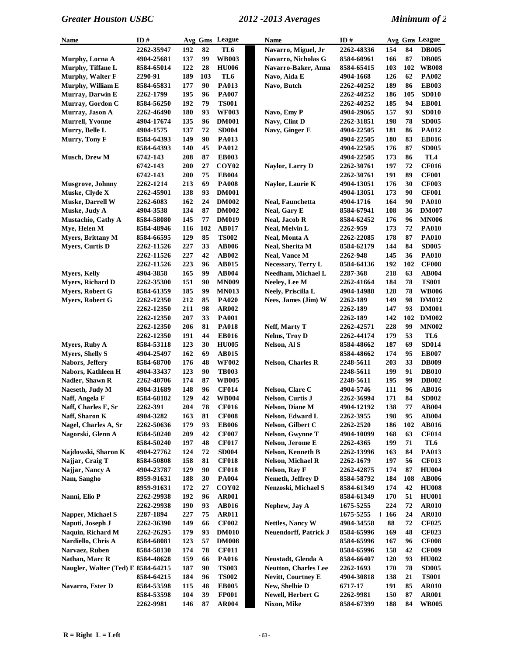| Name                               | ID#        |            |          | Avg Gms League               | Name                                      | ID#        |            |            | Avg Gms League               |
|------------------------------------|------------|------------|----------|------------------------------|-------------------------------------------|------------|------------|------------|------------------------------|
|                                    | 2262-35947 | 192        | 82       | TL6                          | Navarro, Miguel, Jr                       | 2262-48336 | 154        | 84         | <b>DB005</b>                 |
| Murphy, Lorna A                    | 4904-25681 | 137        | 99       | <b>WB003</b>                 | Navarro, Nicholas G                       | 8584-60961 | 166        | 87         | <b>DB005</b>                 |
| Murphy, Tiffane L                  | 8584-65014 | 122        | 28       | <b>HU006</b>                 | Navarro-Baker, Anna                       | 8584-65415 | 103        | 102        | <b>WB008</b>                 |
| Murphy, Walter F                   | 2290-91    | 189        | 103      | TL6                          | Navo, Aida E                              | 4904-1668  | 126        | 62         | <b>PA002</b>                 |
| Murphy, William E                  | 8584-65831 | 177        | 90       | <b>PA013</b>                 | Navo, Butch                               | 2262-40252 | 189        | 86         | <b>EB003</b>                 |
| Murray, Darwin E                   | 2262-1799  | 195        | 96       | <b>PA007</b>                 |                                           | 2262-40252 | 186        | 105        | <b>SD010</b>                 |
| Murray, Gordon C                   | 8584-56250 | 192        | 79       | <b>TS001</b>                 |                                           | 2262-40252 | 185        | 94         | <b>EB001</b>                 |
| Murray, Jason A                    | 2262-46490 | 180        | 93       | <b>WF003</b>                 | Navo, Emy P                               | 4904-29065 | 157        | 93         | <b>SD010</b>                 |
| <b>Murrell, Yvonne</b>             | 4904-17674 | 135        | 96       | <b>DM001</b>                 | Navy, Clint D                             | 2262-31851 | 198        | 78         | <b>SD005</b>                 |
| Murry, Belle L                     | 4904-1575  | 137        | 72       | <b>SD004</b>                 | Navy, Ginger E                            | 4904-22505 | 181        | 86         | <b>PA012</b>                 |
| Murry, Tony F                      | 8584-64393 | 149        | 90       | <b>PA013</b>                 |                                           | 4904-22505 | 180        | 83         | <b>EB016</b>                 |
|                                    | 8584-64393 | 140        | 45       | <b>PA012</b>                 |                                           | 4904-22505 | 176        | 87         | <b>SD005</b>                 |
| <b>Musch, Drew M</b>               | 6742-143   | 208        | 87       | <b>EB003</b>                 |                                           | 4904-22505 | 173        | 86         | TL4                          |
|                                    | 6742-143   | 200        | 27       | COY <sub>02</sub>            | Naylor, Larry D                           | 2262-30761 | 197        | 72         | <b>CF016</b>                 |
|                                    | 6742-143   | 200        | 75       | <b>EB004</b>                 |                                           | 2262-30761 | 191        | 89         | <b>CF001</b>                 |
| <b>Musgrove</b> , Johnny           | 2262-1214  | 213        | 69       | <b>PA008</b>                 | Naylor, Laurie K                          | 4904-13051 | 176        | 30         | <b>CF003</b>                 |
| Muske, Clyde X                     | 2262-45901 | 138        | 93       | <b>DM001</b>                 |                                           | 4904-13051 | 173        | 90         | <b>CF001</b>                 |
| <b>Muske, Darrell W</b>            | 2262-6083  | 162        | 24       | <b>DM002</b>                 | Neal, Faunchetta                          | 4904-1716  | 164        | 90         | <b>PA010</b>                 |
| Muske, Judy A                      | 4904-3538  | 134        | 87       | <b>DM002</b>                 | <b>Neal, Gary E</b>                       | 8584-67941 | 108        | 36         | <b>DM007</b>                 |
| Mustachio, Cathy A                 | 8584-58080 | 145        | 77       | <b>DM019</b>                 | <b>Neal, Jacob R</b>                      | 8584-62452 | 176        | 96         | <b>MN006</b>                 |
| Mye, Helen M                       | 8584-48946 | 116        | 102      | <b>AB017</b>                 | Neal, Melvin L                            | 2262-959   | 173        | 72         | <b>PA010</b>                 |
| <b>Myers, Brittany M</b>           | 8584-66595 | 129        | 85       | <b>TS002</b>                 | <b>Neal, Monta A</b>                      | 2262-22085 | 178        | 87         | <b>PA010</b>                 |
| Myers, Curtis D                    | 2262-11526 | 227        | 33       | <b>AB006</b>                 | Neal, Sherita M                           | 8584-62179 | 144        | 84         | <b>SD005</b>                 |
|                                    | 2262-11526 | 227        | 42       | <b>AB002</b>                 | <b>Neal, Vance M</b>                      | 2262-948   | 145        | 36         | <b>PA010</b>                 |
|                                    | 2262-11526 | 223        | 96       | <b>AB015</b>                 | Necessary, Terry L                        | 8584-64136 | 192        | 102        | <b>CF008</b>                 |
| <b>Mvers, Kelly</b>                | 4904-3858  | 165        | 99       | <b>AB004</b>                 | Needham, Michael L                        | 2287-368   | 218        | 63         | <b>AB004</b>                 |
| <b>Myers, Richard D</b>            | 2262-35300 | 151        | 90       | <b>MN009</b>                 | Neeley, Lee M                             | 2262-41664 | 184        | 78         | <b>TS001</b>                 |
| Myers, Robert G                    |            | 185        | 99       |                              |                                           |            | 128        | 78         | <b>WB006</b>                 |
|                                    | 8584-61359 | 212        | 85       | <b>MN013</b>                 | Neely, Priscilla L<br>Nees, James (Jim) W | 4904-14988 | 149        | 98         | <b>DM012</b>                 |
| Myers, Robert G                    | 2262-12350 |            |          | <b>PA020</b>                 |                                           | 2262-189   |            | 93         |                              |
|                                    | 2262-12350 | 211        | 98<br>33 | AR002                        |                                           | 2262-189   | 147        | 102        | <b>DM001</b><br><b>DM002</b> |
|                                    | 2262-12350 | 207<br>206 | 81       | <b>PA001</b>                 |                                           | 2262-189   | 142<br>228 | 99         | <b>MN002</b>                 |
|                                    | 2262-12350 |            | 44       | <b>PA018</b>                 | Neff, Marty T                             | 2262-42571 |            | 53         |                              |
|                                    | 2262-12350 | 191        |          | <b>EB016</b>                 | Nelms, Troy D                             | 2262-44174 | 179        |            | TL6                          |
| <b>Myers, Ruby A</b>               | 8584-53118 | 123        | 30<br>69 | <b>HU005</b>                 | Nelson, Al S                              | 8584-48662 | 187        | 69         | <b>SD014</b>                 |
| <b>Myers, Shelly S</b>             | 4904-25497 | 162        |          | <b>AB015</b>                 |                                           | 8584-48662 | 174        | 95<br>33   | <b>EB007</b>                 |
| Nabors, Jeffery                    | 8584-68700 | 176        | 48       | <b>WF002</b><br><b>TB003</b> | <b>Nelson, Charles R</b>                  | 2248-5611  | 203        |            | <b>DB009</b>                 |
| Nabors, Kathleen H                 | 4904-33437 | 123        | 90       |                              |                                           | 2248-5611  | 199        | 91<br>99   | <b>DB010</b>                 |
| Nadler, Shawn R                    | 2262-40706 | 174        | 87       | <b>WB005</b>                 |                                           | 2248-5611  | 195        |            | <b>DB002</b>                 |
| Naeseth, Judy M                    | 4904-31689 | 148        | 96       | <b>CF014</b>                 | Nelson, Clare C                           | 4904-5746  | 111        | 96         | <b>AB016</b>                 |
| Naff, Angela F                     | 8584-68182 | 129        | 42       | <b>WB004</b>                 | Nelson, Curtis J                          | 2262-36994 | 171        | 84         | <b>SD002</b>                 |
| Naff, Charles E, Sr                | 2262-391   | 204        | 78       | <b>CF016</b>                 | Nelson, Diane M                           | 4904-12192 | 138        | ${\bf 77}$ | AB004                        |
| Naff, Sharon K                     | 4904-3282  | 163        | 81       | <b>CF008</b>                 | Nelson, Edward L                          | 2262-3955  | 198        | 95         | <b>AB004</b>                 |
| Nagel, Charles A, Sr               | 2262-50636 | 179        | 93       | <b>EB006</b>                 | Nelson, Gilbert C                         | 2262-2520  | 186        | 102        | <b>AB016</b>                 |
| Nagorski, Glenn A                  | 8584-50240 | 209        | 42       | <b>CF007</b>                 | Nelson, Gwynne T                          | 4904-10099 | 168        | 63         | <b>CF014</b>                 |
|                                    | 8584-50240 | 197        | 48       | <b>CF017</b>                 | Nelson, Jerome E                          | 2262-4365  | 199        | 71         | TL6                          |
| Najdowski, Sharon K                | 4904-27762 | 124        | 72       | <b>SD004</b>                 | <b>Nelson, Kenneth B</b>                  | 2262-13996 | 163        | 84         | PA013                        |
| Najjar, Craig T                    | 8584-50808 | 158        | 81       | <b>CF018</b>                 | Nelson, Michael R                         | 2262-1679  | 197        | 56         | <b>CF013</b>                 |
| Najjar, Nancy A                    | 4904-23787 | 129        | 90       | <b>CF018</b>                 | Nelson, Ray F                             | 2262-42875 | 174        | 87         | <b>HU004</b>                 |
| Nam, Sangho                        | 8959-91631 | 188        | 30       | <b>PA004</b>                 | Nemeth, Jeffrey D                         | 8584-58792 | 184        | 108        | <b>AB006</b>                 |
|                                    | 8959-91631 | 172        | 27       | COY <sub>02</sub>            | Nenzoski, Michael S                       | 8584-61349 | 174        | 42         | <b>HU008</b>                 |
| Nanni, Elio P                      | 2262-29938 | 192        | 96       | <b>AR001</b>                 |                                           | 8584-61349 | 170        | 51         | <b>HU001</b>                 |
|                                    | 2262-29938 | 190        | 93       | <b>AB016</b>                 | Nephew, Jay A                             | 1675-5255  | 224        | 72         | <b>AR010</b>                 |
| Napper, Michael S                  | 2287-1894  | 227        | 75       | <b>AR011</b>                 |                                           | 1675-5255  | 1166       | 24         | <b>AR010</b>                 |
| Naputi, Joseph J                   | 2262-36390 | 149        | 66       | <b>CF002</b>                 | Nettles, Nancy W                          | 4904-34558 | 88         | 72         | <b>CF025</b>                 |
| Naquin, Richard M                  | 2262-26295 | 179        | 93       | <b>DM010</b>                 | <b>Neuendorff, Patrick J</b>              | 8584-65996 | 169        | 48         | <b>CF023</b>                 |
| Nardiello, Chris A                 | 8584-68081 | 123        | 57       | <b>DM008</b>                 |                                           | 8584-65996 | 167        | 96         | <b>CF008</b>                 |
| Narvaez, Ruben                     | 8584-58130 | 174        | 78       | <b>CF011</b>                 |                                           | 8584-65996 | 158        | 42         | <b>CF009</b>                 |
| Nathan, Marc R                     | 8584-48628 | 159        | 66       | <b>PA016</b>                 | Neustadt, Glenda A                        | 8584-66407 | 120        | 93         | <b>HU002</b>                 |
| Naugler, Walter (Ted) E 8584-64215 |            | 187        | 90       | <b>TS003</b>                 | <b>Neutton, Charles Lee</b>               | 2262-1693  | 170        | 78         | <b>SD005</b>                 |
|                                    | 8584-64215 | 184        | 96       | <b>TS002</b>                 | <b>Nevitt, Courtney E</b>                 | 4904-30818 | 138        | 21         | <b>TS001</b>                 |
| Navarro, Ester D                   | 8584-53598 | 115        | 48       | <b>EB005</b>                 | New, Shelbie D                            | 6717-17    | 191        | 85         | <b>AR010</b>                 |
|                                    | 8584-53598 | 104        | 39       | <b>FP001</b>                 | Newell, Herbert G                         | 2262-9981  | 150        | 87         | <b>AR001</b>                 |
|                                    | 2262-9981  | 146        | 87       | <b>AR004</b>                 | Nixon, Mike                               | 8584-67399 | 188        | 84         | <b>WB005</b>                 |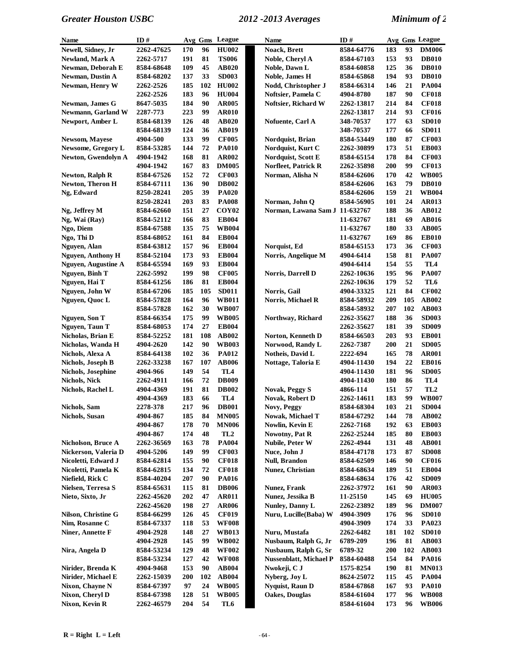| Name                     | ID#        |           |     | Avg Gms League    | <b>Name</b>                    | ID#        |     |     | Avg Gms League  |
|--------------------------|------------|-----------|-----|-------------------|--------------------------------|------------|-----|-----|-----------------|
| Newell, Sidney, Jr       | 2262-47625 | 170       | 96  | <b>HU002</b>      | Noack, Brett                   | 8584-64776 | 183 | 93  | <b>DM006</b>    |
| Newland, Mark A          | 2262-5717  | 191       | 81  | <b>TS006</b>      | Noble, Cheryl A                | 8584-67103 | 153 | 93  | <b>DB010</b>    |
| Newman, Deborah E        | 8584-68648 | 109       | 45  | AB020             | Noble, Dawn L                  | 8584-60858 | 125 | 36  | <b>DB010</b>    |
| <b>Newman, Dustin A</b>  | 8584-68202 | 137       | 33  | <b>SD003</b>      | Noble, James H                 | 8584-65868 | 194 | 93  | <b>DB010</b>    |
| Newman, Henry W          | 2262-2526  | 185       | 102 | <b>HU002</b>      | Nodd, Christopher J            | 8584-66314 | 146 | 21  | <b>PA004</b>    |
|                          | 2262-2526  | 183       | 96  | <b>HU004</b>      | Noftsier, Pamela C             | 4904-8780  | 187 | 90  | <b>CF018</b>    |
| Newman, James G          | 8647-5035  | 184       | 90  | <b>AR005</b>      | Noftsier, Richard W            | 2262-13817 | 214 | 84  | <b>CF018</b>    |
| Newmann, Garland W       | 2287-773   | 223       | 99  | <b>AR010</b>      |                                | 2262-13817 | 214 | 93  | <b>CF016</b>    |
| Newport, Amber L         | 8584-68139 | 126       | 48  | <b>AB020</b>      | Nofuente, Carl A               | 348-70537  | 177 | 63  | <b>SD010</b>    |
|                          | 8584-68139 | 124       | 36  | <b>AB019</b>      |                                | 348-70537  | 177 | 66  | <b>SD011</b>    |
| <b>Newsom, Mayese</b>    | 4904-500   | 133       | 99  | <b>CF005</b>      | Nordquist, Brian               | 8584-53449 | 180 | 87  | <b>CF003</b>    |
| Newsome, Gregory L       | 8584-53285 | 144       | 72  | <b>PA010</b>      | Nordquist, Kurt C              | 2262-30899 | 173 | 51  | <b>EB003</b>    |
| Newton, Gwendolyn A      | 4904-1942  | 168       | 81  | <b>AR002</b>      | Nordquist, Scott E             | 8584-65154 | 178 | 84  | <b>CF003</b>    |
|                          | 4904-1942  | 167       | 83  | <b>DM005</b>      | <b>Norfleet, Patrick R</b>     | 2262-35898 | 200 | 99  | <b>CF013</b>    |
| <b>Newton, Ralph R</b>   | 8584-67526 | 152       | 72  | <b>CF003</b>      | Norman, Alisha N               | 8584-62606 | 170 | 42  | <b>WB005</b>    |
| Newton, Theron H         | 8584-67111 | 136       | 90  | <b>DB002</b>      |                                | 8584-62606 | 163 | 79  | <b>DB010</b>    |
| Ng, Edward               | 8250-28241 | 205       | 39  | <b>PA020</b>      |                                | 8584-62606 | 159 | 21  | <b>WB004</b>    |
|                          | 8250-28241 | 203       | 83  | <b>PA008</b>      | Norman, John Q                 | 8584-56905 | 101 | 24  | <b>AR013</b>    |
| Ng, Jeffrey M            | 8584-62660 | 151       | 27  | COY <sub>02</sub> | Norman, Lawana Sam J 11-632767 |            | 188 | 36  | AB012           |
| Ng, Wai (Ray)            | 8584-52112 | 166       | 83  | <b>EB004</b>      |                                | 11-632767  | 181 | 69  | <b>AB016</b>    |
| Ngo, Diem                | 8584-67588 | 135       | 75  | <b>WB004</b>      |                                | 11-632767  | 180 | 33  | <b>AB005</b>    |
| Ngo, Thi D               | 8584-68052 | 161       | 84  | <b>EB004</b>      |                                | 11-632767  | 169 | 86  | <b>EB010</b>    |
| Nguyen, Alan             | 8584-63812 | 157       | 96  | <b>EB004</b>      | Norquist, Ed                   | 8584-65153 | 173 | 36  | <b>CF003</b>    |
| <b>Nguyen, Anthony H</b> | 8584-52104 | 173       | 93  | <b>EB004</b>      | Norris, Angelique M            | 4904-6414  | 158 | 81  | <b>PA007</b>    |
| Nguyen, Augustine A      | 8584-65594 | 169       | 93  | <b>EB004</b>      |                                | 4904-6414  | 154 | 55  | TL4             |
| Nguyen, Binh T           | 2262-5992  | 199       | 98  | <b>CF005</b>      | Norris, Darrell D              | 2262-10636 | 195 | 96  | <b>PA007</b>    |
| Nguyen, Hai T            | 8584-61256 | 186       | 81  | <b>EB004</b>      |                                | 2262-10636 | 179 | 52  | TL6             |
| Nguyen, John W           | 8584-67206 | 185       | 105 | <b>SD011</b>      | Norris, Gail                   | 4904-33325 | 121 | 84  | <b>CF002</b>    |
| Nguyen, Quoc L           | 8584-57828 | 164       | 96  | <b>WB011</b>      | Norris, Michael R              | 8584-58932 | 209 | 105 | <b>AB002</b>    |
|                          | 8584-57828 | 162       | 30  | <b>WB007</b>      |                                | 8584-58932 | 207 | 102 | <b>AB003</b>    |
| Nguyen, Son T            | 8584-66354 | 175       | 99  | <b>WB005</b>      | Northway, Richard              | 2262-35627 | 188 | 36  | <b>SD003</b>    |
| Nguyen, Taun T           | 8584-68053 | 174       | 27  | <b>EB004</b>      |                                | 2262-35627 | 181 | 39  | <b>SD009</b>    |
| Nicholas, Brian E        | 8584-52252 | 181       | 108 | <b>AB002</b>      | Norton, Kenneth D              | 8584-66503 | 203 | 93  | <b>EB001</b>    |
| Nicholas, Wanda H        | 4904-2620  | 142       | 90  | <b>WB003</b>      | Norwood, Randy L               | 2262-7387  | 200 | 21  | <b>SD005</b>    |
| Nichols, Alexa A         | 8584-64138 | 102       | 36  | <b>PA012</b>      | Notheis, David L               | 2222-694   | 165 | 78  | <b>AR001</b>    |
| Nichols, Joseph B        | 2262-33238 | 167       | 107 | <b>AB006</b>      | Nottage, Taloria E             | 4904-11430 | 194 | 22  | <b>EB016</b>    |
| Nichols, Josephine       | 4904-966   | 149       | 54  | TL4               |                                | 4904-11430 | 181 | 96  | <b>SD005</b>    |
| Nichols, Nick            | 2262-4911  | 166       | 72  | <b>DB009</b>      |                                | 4904-11430 | 180 | 86  | TL4             |
| Nichols, Rachel L        | 4904-4369  | 191       | 81  | <b>DB002</b>      | <b>Novak, Peggy S</b>          | 4866-114   | 151 | 57  | TL <sub>2</sub> |
|                          | 4904-4369  | 183       | 66  | TL <sub>4</sub>   | <b>Novak, Robert D</b>         | 2262-14611 | 183 | 99  | <b>WB007</b>    |
| Nichols, Sam             | 2278-378   | $\bf 217$ | 96  | <b>DB001</b>      | Novy, Peggy                    | 8584-68304 | 103 | 21  | <b>SD004</b>    |
| <b>Nichols</b> , Susan   | 4904-867   | 185       | 84  | <b>MN005</b>      | Nowak, Michael T               | 8584-67292 | 144 | 78  | <b>AB002</b>    |
|                          | 4904-867   | 178       | 70  | <b>MN006</b>      | Nowlin, Kevin E                | 2262-7168  | 192 | 63  | <b>EB003</b>    |
|                          | 4904-867   | 174       | 48  | TL <sub>2</sub>   | Nowotny, Pat R                 | 2262-25244 | 185 | 80  | <b>EB003</b>    |
| Nicholson, Bruce A       | 2262-36569 | 163       | 78  | <b>PA004</b>      | Nubile, Peter W                | 2262-4944  | 131 | 48  | <b>AB001</b>    |
| Nickerson, Valeria D     | 4904-5206  | 149       | 99  | <b>CF003</b>      | Nuce, John J                   | 8584-47178 | 173 | 87  | <b>SD008</b>    |
| Nicoletti, Edward J      | 8584-62814 | 155       | 90  | <b>CF018</b>      | <b>Null, Brandon</b>           | 8584-62509 | 146 | 90  | <b>CF016</b>    |
| Nicoletti, Pamela K      | 8584-62815 | 134       | 72  | <b>CF018</b>      | Nunez, Christian               | 8584-68634 | 189 | 51  | <b>EB004</b>    |
| Niefield, Rick C         | 8584-40204 | 207       | 90  | <b>PA016</b>      |                                | 8584-68634 | 176 | 42  | <b>SD009</b>    |
| Nielsen, Terresa S       | 8584-65631 | 115       | 81  | <b>DB006</b>      | <b>Nunez, Frank</b>            | 2262-37972 | 161 | 90  | <b>AR003</b>    |
| Nieto, Sixto, Jr         | 2262-45620 | 202       | 47  | <b>AR011</b>      | Nunez, Jessika B               | 11-25150   | 145 | 69  | <b>HU005</b>    |
|                          | 2262-45620 | 198       | 27  | <b>AR006</b>      | <b>Nunley, Danny L</b>         | 2262-23892 | 189 | 96  | <b>DM007</b>    |
| Nilson, Christine G      | 8584-66299 | 126       | 45  | <b>CF019</b>      | Nuru, Lucille(Baba) W          | 4904-3909  | 176 | 96  | <b>SD010</b>    |
| Nim, Rosanne C           | 8584-67337 | 118       | 53  | <b>WF008</b>      |                                | 4904-3909  | 174 | 33  | PA023           |
| Niner, Annette F         | 4904-2928  | 148       | 27  | <b>WB013</b>      | Nuru, Mustafa                  | 2262-6482  | 181 | 102 | <b>SD010</b>    |
|                          | 4904-2928  | 145       | 99  | <b>WB002</b>      | Nusbaum, Ralph G, Jr           | 6789-209   | 196 | 81  | <b>AB003</b>    |
| Nira, Angela D           | 8584-53234 | 129       | 48  | <b>WF002</b>      | Nusbaum, Ralph G, Sr           | 6789-32    | 200 | 102 | <b>AB003</b>    |
|                          | 8584-53234 | 127       | 42  | <b>WF008</b>      | <b>Nussenblatt, Michael P</b>  | 8584-60488 | 154 | 84  | <b>PA016</b>    |
| Nirider, Brenda K        | 4904-9468  | 153       | 90  | <b>AB004</b>      | Nwokeji, C J                   | 1575-8254  | 190 | 81  | <b>MN013</b>    |
| Nirider, Michael E       | 2262-15039 | 200       | 102 | <b>AB004</b>      | Nyberg, Joy L                  | 8624-25072 | 115 | 45  | <b>PA004</b>    |
| Nixon, Chayne N          | 8584-67397 | 97        | 24  | <b>WB005</b>      | <b>Nyquist, Raun D</b>         | 8584-67868 | 167 | 93  | <b>PA010</b>    |
| Nixon, Cheryl D          | 8584-67398 | 128       | 51  | <b>WB005</b>      | Oakes, Douglas                 | 8584-61604 | 177 | 96  | <b>WB008</b>    |
| Nixon, Kevin R           | 2262-46579 | 204       | 54  | TL6               |                                | 8584-61604 | 173 | 96  | <b>WB006</b>    |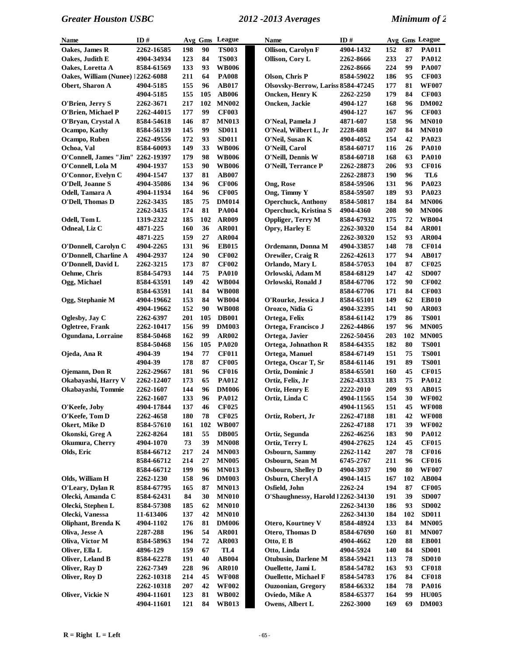| Name                              | ID#        |     | Avg Gms | League          | <b>Name</b>                        | ID#               |     |     | Avg Gms League  |
|-----------------------------------|------------|-----|---------|-----------------|------------------------------------|-------------------|-----|-----|-----------------|
| Oakes, James R                    | 2262-16585 | 198 | 90      | <b>TS003</b>    | <b>Ollison, Carolyn F</b>          | 4904-1432         | 152 | 87  | <b>PA011</b>    |
| Oakes, Judith E                   | 4904-34934 | 123 | 84      | <b>TS003</b>    | Ollison, Cory L                    | 2262-8666         | 233 | 27  | <b>PA012</b>    |
| Oakes, Loretta A                  | 8584-61569 | 133 | 93      | <b>WB006</b>    |                                    | 2262-8666         | 224 | 99  | <b>PA007</b>    |
| Oakes, William (Nunee) 12262-6088 |            | 211 | 64      | <b>PA008</b>    | Olson, Chris P                     | 8584-59022        | 186 | 95  | <b>CF003</b>    |
| Obert, Sharon A                   | 4904-5185  | 155 | 96      | <b>AB017</b>    | Olsovsky-Berrow, Lariss 8584-47245 |                   | 177 | 81  | <b>WF007</b>    |
|                                   | 4904-5185  | 155 | 105     | <b>AB006</b>    | Oncken, Henry K                    | 2262-2250         | 179 | 84  | <b>CF003</b>    |
| O'Brien, Jerry S                  | 2262-3671  | 217 | 102     | <b>MN002</b>    | Oncken, Jackie                     | 4904-127          | 168 | 96  | <b>DM002</b>    |
| O'Brien, Michael P                | 2262-44015 | 177 | 99      | <b>CF003</b>    |                                    | 4904-127          | 167 | 96  | <b>CF003</b>    |
| O'Brvan, Crystal A                | 8584-54618 | 146 | 87      | <b>MN013</b>    | O'Neal, Pamela J                   | 4871-607          | 158 | 96  | <b>MN010</b>    |
| Ocampo, Kathy                     | 8584-56139 | 145 | 99      | <b>SD011</b>    | O'Neal, Wilbert L, Jr              | 2228-688          | 207 | 84  | <b>MN010</b>    |
| Ocampo, Ruben                     | 2262-49556 | 172 | 93      | <b>SD011</b>    | O'Neil, Susan K                    | 4904-4052         | 154 | 42  | PA023           |
| Ochoa, Val                        | 8584-60093 | 149 | 33      | <b>WB006</b>    | O'Neill, Carol                     | 8584-60717        | 116 | 26  | <b>PA010</b>    |
| O'Connell, James "Jim" 2262-19397 |            | 179 | 98      | <b>WB006</b>    | O'Neill, Dennis W                  | 8584-60718        | 168 | 63  | <b>PA010</b>    |
| O'Connell, Lola M                 | 4904-1937  | 153 | 90      | <b>WB006</b>    | O'Neill, Terrance P                | 2262-28873        | 206 | 93  | <b>CF016</b>    |
| O'Connor, Evelyn C                | 4904-1547  | 137 | 81      | <b>AB007</b>    |                                    | 2262-28873        | 190 | 96  | TL <sub>6</sub> |
| O'Dell, Joanne S                  | 4904-35086 | 134 | 96      | <b>CF006</b>    | Ong, Rose                          | 8584-59506        | 131 | 96  | PA023           |
| Odell, Tamara A                   | 4904-11934 | 164 | 96      | <b>CF005</b>    | Ong, Timmy Y                       | 8584-59507        | 189 | 93  | PA023           |
| O'Dell, Thomas D                  | 2262-3435  | 185 | 75      | <b>DM014</b>    | <b>Operchuck, Anthony</b>          | 8584-50817        | 184 | 84  | <b>MN006</b>    |
|                                   | 2262-3435  | 174 | 81      | <b>PA004</b>    | <b>Operchuck, Kristina S</b>       | 4904-4360         | 208 | 90  | <b>MN006</b>    |
| Odell, Tom L                      | 1319-2322  | 185 | 102     | <b>AR009</b>    | <b>Oppliger, Terry M</b>           | 8584-67932        | 175 | 72  | <b>WB004</b>    |
| Odneal, Liz C                     | 4871-225   | 160 | 36      | <b>AR001</b>    | Opry, Harley E                     | <b>2262-30320</b> | 154 | 84  | <b>AR001</b>    |
|                                   | 4871-225   | 159 | 27      | <b>AR004</b>    |                                    | <b>2262-30320</b> | 152 | 93  | <b>AR004</b>    |
| O'Donnell, Carolyn C              | 4904-2265  | 131 | 96      | <b>EB015</b>    | Ordemann, Donna M                  | 4904-33857        | 148 | 78  | <b>CF014</b>    |
| O'Donnell, Charline A             | 4904-2937  | 124 | 90      | <b>CF002</b>    | Orewiler, Craig R                  | 2262-42613        | 177 | 94  | <b>AB017</b>    |
| O'Donnell, David L                | 2262-3215  | 173 | 87      | <b>CF002</b>    | Orlando, Mary L                    | 8584-57053        | 104 | 87  | <b>CF025</b>    |
| Oehme, Chris                      | 8584-54793 | 144 | 75      | <b>PA010</b>    | Orlowski, Adam M                   | 8584-68129        | 147 | 42  | <b>SD007</b>    |
| Ogg, Michael                      | 8584-63591 | 149 | 42      | <b>WB004</b>    | Orlowski, Ronald J                 | 8584-67706        | 172 | 90  | <b>CF002</b>    |
|                                   | 8584-63591 | 141 | 84      | <b>WB008</b>    |                                    | 8584-67706        | 171 | 84  | <b>CF003</b>    |
| Ogg, Stephanie M                  | 4904-19662 | 153 | 84      | <b>WB004</b>    | O'Rourke, Jessica J                | 8584-65101        | 149 | 62  | <b>EB010</b>    |
|                                   | 4904-19662 | 152 | 90      | <b>WB008</b>    | Orozco, Nidia G                    | 4904-32395        | 141 | 90  | AR003           |
| Oglesby, Jay C                    | 2262-6397  | 201 | 105     | <b>DB001</b>    | Ortega, Felix                      | 8584-61142        | 179 | 86  | <b>TS001</b>    |
| Ogletree, Frank                   | 2262-10417 | 156 | 99      | <b>DM003</b>    | Ortega, Francisco J                | 2262-44866        | 197 | 96  | <b>MN005</b>    |
| Ogundana, Lorraine                | 8584-50468 | 162 | 99      | <b>AR002</b>    | Ortega, Javier                     | 2262-50456        | 203 | 102 | <b>MN005</b>    |
|                                   | 8584-50468 | 156 | 105     | <b>PA020</b>    | Ortega, Johnathon R                | 8584-64355        | 182 | 80  | <b>TS001</b>    |
| Ojeda, Ana R                      | 4904-39    | 194 | 77      | <b>CF011</b>    | Ortega, Manuel                     | 8584-67149        | 151 | 75  | <b>TS001</b>    |
|                                   | 4904-39    | 178 | 87      | <b>CF005</b>    | Ortega, Oscar T, Sr                | 8584-61146        | 191 | 89  | <b>TS001</b>    |
| Ojemann, Don R                    | 2262-29667 | 181 | 96      | <b>CF016</b>    | Ortiz, Dominic J                   | 8584-65501        | 160 | 45  | <b>CF015</b>    |
| Okabayashi, Harry V               | 2262-12407 | 173 | 65      | <b>PA012</b>    | Ortiz, Felix, Jr                   | 2262-43333        | 183 | 75  | <b>PA012</b>    |
| Okabayashi, Tommie                | 2262-1607  | 144 | 96      | <b>DM006</b>    | Ortiz, Henry E                     | 2222-2010         | 209 | 93  | AB015           |
|                                   | 2262-1607  | 133 | 96      | <b>PA012</b>    | Ortiz, Linda C                     | 4904-11565        | 154 | 30  | <b>WF002</b>    |
| O'Keefe, Joby                     | 4904-17844 | 137 | 46      | <b>CF025</b>    |                                    | 4904-11565        | 151 | 45  | <b>WF008</b>    |
| O'Keefe, Tom D                    | 2262-4658  | 180 | 78      | <b>CF025</b>    | Ortiz, Robert, Jr                  | 2262-47188        | 181 | 42  | <b>WF008</b>    |
| Okert, Mike D                     | 8584-57610 | 161 | 102     | <b>WB007</b>    |                                    | 2262-47188        | 171 | 39  | <b>WF002</b>    |
| Okonski, Greg A                   | 2262-8264  | 181 | 55      | <b>DB005</b>    | Ortiz, Segunda                     | 2262-46256        | 183 | 90  | <b>PA012</b>    |
| Okumura, Cherry                   | 4904-1070  | 73  | 39      | <b>MN008</b>    | Ortiz, Terry L                     | 4904-27625        | 124 | 45  | <b>CF015</b>    |
| Olds, Eric                        | 8584-66712 | 217 | 24      | <b>MN003</b>    | Osbourn, Sammy                     | 2262-1142         | 207 | 78  | <b>CF016</b>    |
|                                   | 8584-66712 | 214 | 27      | <b>MN005</b>    | Osbourn, Sean M                    | 6745-2767         | 211 | 96  | <b>CF016</b>    |
|                                   | 8584-66712 | 199 | 96      | <b>MN013</b>    | <b>Osbourn, Shelley D</b>          | 4904-3037         | 190 | 80  | <b>WF007</b>    |
| Olds, William H                   | 2262-1230  | 158 | 96      | <b>DM003</b>    | Osburn, Cheryl A                   | 4904-1415         | 167 | 102 | AB004           |
| O'Leary, Dylan R                  | 8584-67795 | 165 | 87      | <b>MN013</b>    | Osfield, John                      | 2262-24           | 194 | 87  | <b>CF005</b>    |
| Olecki, Amanda C                  | 8584-62431 | 84  | 30      | <b>MN010</b>    | O'Shaughnessy, Harold 12262-34130  |                   | 191 | 39  | <b>SD007</b>    |
| Olecki, Stephen L                 | 8584-57308 | 185 | 62      | <b>MN010</b>    |                                    | <b>2262-34130</b> | 186 | 93  | <b>SD002</b>    |
| Olecki, Vanessa                   | 11-613406  | 137 | 42      | <b>MN010</b>    |                                    | 2262-34130        | 184 | 102 | <b>SD011</b>    |
| Oliphant, Brenda K                | 4904-1102  | 176 | 81      | <b>DM006</b>    | Otero, Kourtney V                  | 8584-48924        | 133 | 84  | <b>MN005</b>    |
| Oliva, Jesse A                    | 2287-288   | 196 | 54      | <b>AR001</b>    | Otero, Thomas D                    | 8584-67690        | 160 | 81  | <b>MN007</b>    |
| Oliva, Victor M                   | 8584-58963 | 194 | 72      | <b>AR003</b>    | Otto, E B                          | 4904-4662         | 120 | 88  | <b>EB001</b>    |
| Oliver, Ella L                    | 4896-129   | 159 | 67      | TL <sub>4</sub> | Otto, Linda                        | 4904-5924         | 140 | 84  | <b>SD001</b>    |
| Oliver, Leland B                  | 8584-62278 | 191 | 40      | AB004           | <b>Otubusin, Darlene M</b>         | 8584-59421        | 113 | 78  | <b>SD010</b>    |
| Oliver, Ray D                     | 2262-7349  | 228 | 96      | <b>AR010</b>    | Ouellette, Jami L                  | 8584-54782        | 163 | 93  | <b>CF018</b>    |
| Oliver, Roy D                     | 2262-10318 | 214 | 45      | <b>WF008</b>    | <b>Ouellette, Michael F</b>        | 8584-54783        | 176 | 84  | <b>CF018</b>    |
|                                   | 2262-10318 | 207 | 42      | <b>WF002</b>    | <b>Ouzoonian, Gregory</b>          | 8584-66332        | 184 | 78  | <b>PA016</b>    |
| Oliver, Vickie N                  | 4904-11601 | 123 | 81      | <b>WB002</b>    | Oviedo, Mike A                     | 8584-65377        | 164 | 99  | <b>HU005</b>    |
|                                   | 4904-11601 | 121 | 84      | WB013           | Owens, Albert L                    | 2262-3000         | 169 | 69  | <b>DM003</b>    |
|                                   |            |     |         |                 |                                    |                   |     |     |                 |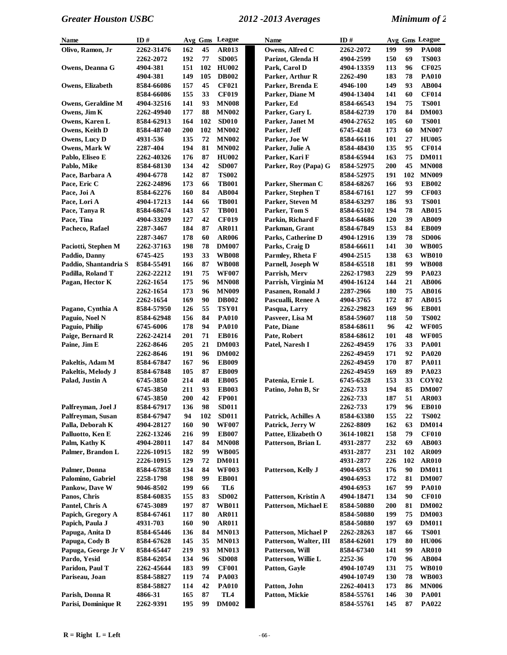| Name                      | ID#        |     |     | Avg Gms League  | Name                   | ID#        |     |     | Avg Gms League    |
|---------------------------|------------|-----|-----|-----------------|------------------------|------------|-----|-----|-------------------|
| Olivo, Ramon, Jr          | 2262-31476 | 162 | 45  | AR013           | Owens, Alfred C        | 2262-2072  | 199 | 99  | <b>PA008</b>      |
|                           | 2262-2072  | 192 | 77  | <b>SD005</b>    | Parizot, Glenda H      | 4904-2599  | 150 | 69  | <b>TS003</b>      |
| Owens, Deanna G           | 4904-381   | 151 | 102 | <b>HU002</b>    | Park, Carol D          | 4904-13359 | 113 | 96  | <b>CF025</b>      |
|                           | 4904-381   | 149 | 105 | <b>DB002</b>    | Parker, Arthur R       | 2262-490   | 183 | 78  | <b>PA010</b>      |
| Owens, Elizabeth          | 8584-66086 | 157 | 45  | <b>CF021</b>    | Parker, Brenda E       | 4946-100   | 149 | 93  | <b>AB004</b>      |
|                           | 8584-66086 | 155 | 33  | <b>CF019</b>    | Parker, Diane M        | 4904-13404 | 141 | 60  | <b>CF014</b>      |
| <b>Owens, Geraldine M</b> | 4904-32516 | 141 | 93  | <b>MN008</b>    | Parker, Ed             | 8584-66543 | 194 | 75  | <b>TS001</b>      |
| Owens, Jim K              | 2262-49940 | 177 | 88  | <b>MN002</b>    | Parker, Gary L         | 8584-62739 | 170 | 84  | <b>DM003</b>      |
| Owens, Karen L            | 8584-62913 | 164 | 102 | <b>SD010</b>    | Parker, Janet M        | 4904-27652 | 105 | 60  | <b>TS001</b>      |
| Owens, Keith D            | 8584-48740 | 200 | 102 | <b>MN002</b>    | Parker, Jeff           | 6745-4248  | 173 | 60  | <b>MN007</b>      |
| Owens, Lucy D             | 4931-536   | 135 | 72  | <b>MN002</b>    | Parker, Joe W          | 8584-66116 | 101 | 27  | <b>HU005</b>      |
| Owens, Mark W             | 2287-404   | 194 | 81  | <b>MN002</b>    | Parker, Julie A        | 8584-48430 | 135 | 95  | <b>CF014</b>      |
| Pablo, Eliseo E           | 2262-40326 | 176 | 87  | <b>HU002</b>    | Parker, Kari F         | 8584-65944 | 163 | 75  | <b>DM011</b>      |
| Pablo, Mike               | 8584-68130 | 134 | 42  | <b>SD007</b>    | Parker, Roy (Papa) G   | 8584-52975 | 200 | 45  | <b>MN008</b>      |
| Pace, Barbara A           | 4904-6778  | 142 | 87  | <b>TS002</b>    |                        | 8584-52975 | 191 | 102 | <b>MN009</b>      |
| Pace, Eric C              | 2262-24896 | 173 | 66  | <b>TB001</b>    | Parker, Sherman C      | 8584-68267 | 166 | 93  | <b>EB002</b>      |
| Pace, Joi A               | 8584-62276 | 160 | 84  | <b>AB004</b>    | Parker, Stephen T      | 8584-67161 | 127 | 99  | <b>CF003</b>      |
| Pace, Lori A              | 4904-17213 | 144 | 66  | <b>TB001</b>    | Parker, Steven M       | 8584-63297 | 186 | 93  | <b>TS001</b>      |
| Pace, Tanya R             | 8584-68674 | 143 | 57  | <b>TB001</b>    | Parker, Tom S          | 8584-65102 | 194 | 78  | <b>AB015</b>      |
| Pace, Tina                | 4904-33209 | 127 | 42  | <b>CF019</b>    | Parkin, Richard F      | 8584-64686 | 120 | 39  | <b>AB009</b>      |
| Pacheco, Rafael           | 2287-3467  | 184 | 87  | <b>AR011</b>    | Parkman, Grant         | 8584-67849 | 153 | 84  | <b>EB009</b>      |
|                           | 2287-3467  | 178 | 60  | <b>AR006</b>    | Parks, Catherine D     | 4904-12916 | 139 | 78  | <b>SD006</b>      |
| Paciotti, Stephen M       | 2262-37163 | 198 | 78  | <b>DM007</b>    | Parks, Craig D         | 8584-66611 | 141 | 30  | <b>WB005</b>      |
| Paddio, Danny             | 6745-425   | 193 | 33  | <b>WB008</b>    | Parmley, Rheta F       | 4904-2515  | 138 | 63  | <b>WB010</b>      |
| Paddio, Shantandria S     | 8584-55491 | 166 | 87  | <b>WB008</b>    | Parnell, Joseph W      | 8584-65518 | 181 | 99  | <b>WB008</b>      |
| Padilla, Roland T         | 2262-22212 | 191 | 75  | <b>WF007</b>    | Parrish, Merv          | 2262-17983 | 229 | 99  | PA023             |
| Pagan, Hector K           | 2262-1654  | 175 | 96  | <b>MN008</b>    | Parrish, Virginia M    | 4904-16124 | 144 | 21  | <b>AB006</b>      |
|                           | 2262-1654  | 173 | 96  | <b>MN009</b>    | Pasanen, Ronald J      | 2287-2966  | 180 | 75  | <b>AB016</b>      |
|                           | 2262-1654  | 169 | 90  | <b>DB002</b>    | Pascualli, Renee A     | 4904-3765  | 172 | 87  | <b>AB015</b>      |
| Pagano, Cynthia A         | 8584-57950 | 126 | 55  | <b>TSY01</b>    | Pasqua, Larry          | 2262-29823 | 169 | 96  | <b>EB001</b>      |
| Paguio, Noel N            | 8584-62948 | 156 | 84  | <b>PA010</b>    | Pasveer, Lisa M        | 8584-59607 | 118 | 50  | <b>TS002</b>      |
| Paguio, Philip            | 6745-6006  | 178 | 94  | <b>PA010</b>    | Pate, Diane            | 8584-68611 | 96  | 42  | <b>WF005</b>      |
| Paige, Bernard R          | 2262-24214 | 201 | 71  | <b>EB016</b>    | Pate, Robert           | 8584-68612 | 101 | 48  | <b>WF005</b>      |
| Paine, Jim E              | 2262-8646  | 205 | 21  | <b>DM003</b>    | Patel, Naresh I        | 2262-49459 | 176 | 33  | <b>PA001</b>      |
|                           | 2262-8646  | 191 | 96  | <b>DM002</b>    |                        | 2262-49459 | 171 | 92  | <b>PA020</b>      |
| Pakeltis, Adam M          | 8584-67847 | 167 | 96  | <b>EB009</b>    |                        | 2262-49459 | 170 | 87  | PA011             |
| Pakeltis, Melody J        | 8584-67848 | 105 | 87  | <b>EB009</b>    |                        | 2262-49459 | 169 | 89  | <b>PA023</b>      |
| Palad, Justin A           | 6745-3850  | 214 | 48  | <b>EB005</b>    | Patenia, Ernie L       | 6745-6528  | 153 | 33  | COY <sub>02</sub> |
|                           | 6745-3850  | 211 | 93  | <b>EB003</b>    | Patino, John B, Sr     | 2262-733   | 194 | 85  | <b>DM007</b>      |
|                           | 6745-3850  | 200 | 42  | <b>FP001</b>    |                        | 2262-733   | 187 | 51  | <b>AR003</b>      |
| Palfreyman, Joel J        | 8584-67917 | 136 | 98  | <b>SD011</b>    |                        | 2262-733   | 179 | 96  | <b>EB010</b>      |
| Palfreyman, Susan         | 8584-67947 | 94  | 102 | <b>SD011</b>    | Patrick, Achilles A    | 8584-63380 | 155 | 22  | <b>TS002</b>      |
| Palla, Deborah K          | 4904-28127 | 160 | 90  | <b>WF007</b>    | Patrick, Jerry W       | 2262-8809  | 162 | 63  | <b>DM014</b>      |
| Palluotto, Ken E          | 2262-13246 | 216 | 99  | <b>EB007</b>    | Pattee, Elizabeth O    | 3614-10821 | 158 | 79  | <b>CF010</b>      |
| Palm, Kathy K             | 4904-28011 | 147 | 84  | <b>MN008</b>    | Patterson, Brian L     | 4931-2877  | 232 | 69  | <b>AB003</b>      |
| Palmer, Brandon L         | 2226-10915 | 182 | 99  | <b>WB005</b>    |                        | 4931-2877  | 231 | 102 | <b>AR009</b>      |
|                           | 2226-10915 | 129 | 72  | <b>DM011</b>    |                        | 4931-2877  | 226 | 102 | <b>AR010</b>      |
| Palmer, Donna             | 8584-67858 | 134 | 84  | <b>WF003</b>    | Patterson, Kelly J     | 4904-6953  | 176 | 90  | <b>DM011</b>      |
| Palomino, Gabriel         | 2258-1798  | 198 | 99  | <b>EB001</b>    |                        | 4904-6953  | 172 | 81  | <b>DM007</b>      |
| Pankow, Dave W            | 9046-8502  | 199 | 66  | TL6             |                        | 4904-6953  | 167 | 99  | <b>PA010</b>      |
| Panos, Chris              | 8584-60835 | 155 | 83  | <b>SD002</b>    | Patterson, Kristin A   | 4904-18471 | 134 | 90  | <b>CF010</b>      |
| Pantel, Chris A           | 6745-3089  | 197 | 87  | <b>WB011</b>    | Patterson, Michael E   | 8584-50880 | 200 | 81  | <b>DM002</b>      |
| Papich, Gregory A         | 8584-67461 | 117 | 80  | <b>AR011</b>    |                        | 8584-50880 | 199 | 75  | <b>DM003</b>      |
| Papich, Paula J           | 4931-703   | 160 | 90  | <b>AR011</b>    |                        | 8584-50880 | 197 | 69  | <b>DM011</b>      |
| Papuga, Anita D           | 8584-65446 | 136 | 84  | <b>MN013</b>    | Patterson, Michael P   | 2262-28263 | 187 | 66  | <b>TS001</b>      |
| Papuga, Cody B            | 8584-67628 | 145 | 35  | <b>MN013</b>    | Patterson, Walter, III | 8584-62601 | 179 | 80  | <b>HU006</b>      |
| Papuga, George Jr V       | 8584-65447 | 219 | 93  | <b>MN013</b>    | Patterson, Will        | 8584-67340 | 141 | 99  | <b>AR010</b>      |
| Pardo, Yesid              | 8584-62054 | 134 | 96  | <b>SD008</b>    | Patterson, Willie L    | 2252-36    | 170 | 96  | <b>AB004</b>      |
| Paridon, Paul T           | 2262-45644 | 183 | 99  | <b>CF001</b>    | Patton, Gayle          | 4904-10749 | 131 | 75  | <b>WB010</b>      |
| Pariseau, Joan            | 8584-58827 | 119 | 74  | <b>PA003</b>    |                        | 4904-10749 | 130 | 78  | <b>WB003</b>      |
|                           | 8584-58827 | 114 | 42  | <b>PA010</b>    | Patton, John           | 2262-40413 | 173 | 86  | <b>MN006</b>      |
| Parish, Donna R           | 4866-31    | 165 | 87  | TL <sub>4</sub> | Patton, Mickie         | 8584-55761 | 146 | 30  | <b>PA001</b>      |
| Parisi, Dominique R       | 2262-9391  | 195 | 99  | <b>DM002</b>    |                        | 8584-55761 | 145 | 87  | <b>PA022</b>      |
|                           |            |     |     |                 |                        |            |     |     |                   |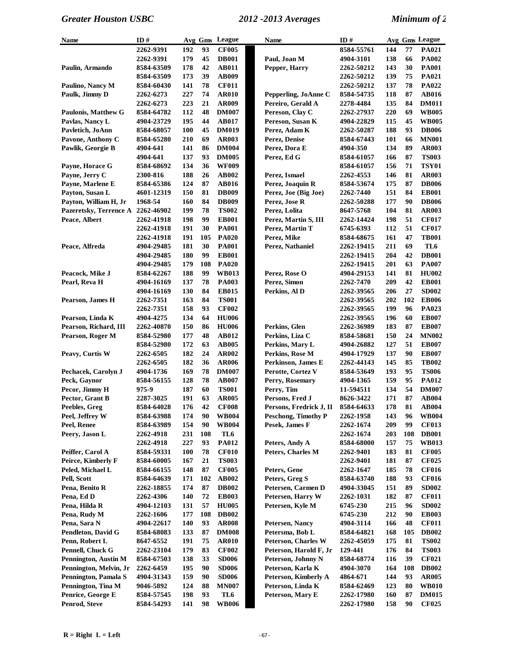| Name                        | ID#        | Avg Gms    |     | League       | <b>Name</b>                | ID#               |     |     | Avg Gms League |
|-----------------------------|------------|------------|-----|--------------|----------------------------|-------------------|-----|-----|----------------|
|                             | 2262-9391  | 192        | 93  | <b>CF005</b> |                            | 8584-55761        | 144 | 77  | <b>PA021</b>   |
|                             | 2262-9391  | 179        | 45  | <b>DB001</b> | Paul, Joan M               | 4904-3101         | 138 | 66  | <b>PA002</b>   |
| Paulin, Armando             | 8584-63509 | 178        | 42  | <b>AB011</b> | Pepper, Harry              | 2262-50212        | 143 | 30  | <b>PA001</b>   |
|                             | 8584-63509 | 173        | 39  | <b>AB009</b> |                            | 2262-50212        | 139 | 75  | PA021          |
| Paulino, Nancy M            | 8584-60430 | 141        | 78  | <b>CF011</b> |                            | 2262-50212        | 137 | 78  | PA022          |
| Paulk, Jimmy D              | 2262-6273  | 227        | 74  | <b>AR010</b> | Pepperling, JoAnne C       | 8584-54735        | 118 | 87  | <b>AB016</b>   |
|                             | 2262-6273  | 223        | 21  | <b>AR009</b> | Pereiro, Gerald A          | 2278-4484         | 135 | 84  | <b>DM011</b>   |
| <b>Paulonis, Matthew G</b>  | 8584-64782 | 112        | 48  | <b>DM007</b> | Pereson, Clay C            | 2262-27937        | 220 | 69  | <b>WB005</b>   |
| Pavlas, Nancy L             | 4904-23729 | 195        | 44  | <b>AB017</b> | Pereson, Susan K           | 4904-22829        | 115 | 45  | <b>WB005</b>   |
| Pavletich, JoAnn            | 8584-68057 | 100        | 45  | <b>DM019</b> | Perez, Adam K              | 2262-50287        | 188 | 93  | <b>DB006</b>   |
|                             | 8584-65280 | 210        | 69  | <b>AR003</b> |                            |                   | 101 | 66  | <b>MN001</b>   |
| Pavone, Anthony C           |            |            |     |              | Perez, Denise              | 8584-67443        |     |     |                |
| Pawlik, Georgie B           | 4904-641   | 141        | 86  | <b>DM004</b> | Perez, Dora E              | 4904-350          | 134 | 89  | <b>AR003</b>   |
|                             | 4904-641   | 137        | 93  | <b>DM005</b> | Perez, Ed G                | 8584-61057        | 166 | 87  | <b>TS003</b>   |
| Payne, Horace G             | 8584-68692 | 134        | 36  | <b>WF009</b> |                            | 8584-61057        | 156 | 71  | <b>TSY01</b>   |
| Payne, Jerry C              | 2300-816   | 188        | 26  | <b>AB002</b> | Perez, Ismael              | 2262-4553         | 146 | 81  | <b>AR003</b>   |
| Payne, Marlene E            | 8584-65386 | 124        | 87  | <b>AB016</b> | Perez, Joaquin R           | 8584-53674        | 175 | 87  | <b>DB006</b>   |
| Payton, Susan L             | 4601-12319 | 150        | 81  | <b>DB009</b> | Perez, Joe (Big Joe)       | <b>2262-7440</b>  | 151 | 84  | <b>EB001</b>   |
| Payton, William H, Jr       | 1968-54    | 160        | 84  | <b>DB009</b> | Perez, Jose R              | <b>2262-50288</b> | 177 | 90  | <b>DB006</b>   |
| Pazeretsky, Terrence A      | 2262-46902 | 199        | 78  | <b>TS002</b> | Perez, Lolita              | 8647-5768         | 104 | 81  | <b>AR003</b>   |
| Peace, Albert               | 2262-41918 | 198        | 99  | <b>EB001</b> | Perez, Martin S, III       | 2262-14424        | 198 | 51  | <b>CF017</b>   |
|                             | 2262-41918 | 191        | 30  | <b>PA001</b> | Perez, Martin T            | 6745-6393         | 112 | 51  | <b>CF017</b>   |
|                             | 2262-41918 | 191        | 105 | <b>PA020</b> | Perez, Mike                | 8584-68675        | 161 | 47  | <b>TB001</b>   |
| Peace, Alfreda              | 4904-29485 | 181        | 30  | <b>PA001</b> | Perez, Nathaniel           | 2262-19415        | 211 | 69  | TL6            |
|                             | 4904-29485 | 180        | 99  | <b>EB001</b> |                            | 2262-19415        | 204 | 42  | <b>DB001</b>   |
|                             | 4904-29485 | 179        | 108 | <b>PA020</b> |                            | 2262-19415        | 201 | 63  | <b>PA007</b>   |
| Peacock, Mike J             | 8584-62267 | 188        | 99  | <b>WB013</b> | Perez, Rose O              | 4904-29153        | 141 | 81  | <b>HU002</b>   |
| Pearl, Reva H               | 4904-16169 | 137        | 78  | <b>PA003</b> | Perez, Simon               | <b>2262-7470</b>  | 209 | 42  | <b>EB001</b>   |
|                             | 4904-16169 | 130        | 84  | <b>EB015</b> | Perkins, Al D              | 2262-39565        | 206 | 27  | <b>SD002</b>   |
|                             |            |            | 84  |              |                            |                   |     | 102 |                |
| Pearson, James H            | 2262-7351  | 163        |     | <b>TS001</b> |                            | 2262-39565        | 202 |     | <b>EB006</b>   |
|                             | 2262-7351  | 158        | 93  | <b>CF002</b> |                            | 2262-39565        | 199 | 96  | PA023          |
| Pearson, Linda K            | 4904-4275  | 134        | 64  | <b>HU006</b> |                            | 2262-39565        | 196 | 60  | <b>EB007</b>   |
| Pearson, Richard, III       | 2262-40870 | 150        | 86  | <b>HU006</b> | Perkins, Glen              | 2262-36989        | 183 | 87  | <b>EB007</b>   |
| Pearson, Roger M            | 8584-52980 | 177        | 48  | <b>AB012</b> | Perkins, Liza C            | 8584-58681        | 150 | 24  | <b>MN002</b>   |
|                             | 8584-52980 | 172        | 63  | <b>AB005</b> | Perkins, Mary L            | 4904-26882        | 127 | 51  | <b>EB007</b>   |
| Peavy, Curtis W             | 2262-6505  | 182        | 24  | <b>AR002</b> | Perkins, Rose M            | 4904-17929        | 137 | 90  | <b>EB007</b>   |
|                             | 2262-6505  | 182        | 36  | <b>AR006</b> | Perkinson, James E         | 2262-44143        | 145 | 85  | <b>TB002</b>   |
| Pechacek, Carolyn J         | 4904-1736  | 169        | 78  | <b>DM007</b> | Perotte, Cortez V          | 8584-53649        | 193 | 95  | <b>TS006</b>   |
| Peck, Gaynor                | 8584-56155 | 128        | 78  | <b>AB007</b> | Perry, Rosemary            | 4904-1365         | 159 | 95  | PA012          |
| Pecor, Jimmy H              | 975-9      | 187        | 60  | <b>TS001</b> | Perry, Tim                 | 11-594511         | 134 | 54  | <b>DM007</b>   |
| Pector, Grant B             | 2287-3025  | 191        | 63  | <b>AR005</b> | Persons, Fred J            | 8626-3422         | 171 | 87  | AB004          |
| Peebles, Greg               | 8584-64028 | 176        | 42  | <b>CF008</b> | Persons, Fredrick J, II    | 8584-64633        | 178 | 81  | AB004          |
| Peel, Jeffrey W             | 8584-63988 | 174        | 90  | <b>WB004</b> | <b>Peschong, Timothy P</b> | 2262-1958         | 143 | 96  | <b>WB004</b>   |
| Peel, Renee                 | 8584-63989 | 154        | 90  | <b>WB004</b> | Pesek, James F             | 2262-1674         | 209 | 99  | <b>CF013</b>   |
| Peery, Jason L              | 2262-4918  | 231        | 108 | TL6          |                            | 2262-1674         | 203 | 108 | <b>DB001</b>   |
|                             | 2262-4918  | 227        | 93  | <b>PA012</b> | Peters, Andy A             | 8584-68000        | 157 | 75  | <b>WB013</b>   |
| Peiffer, Carol A            | 8584-59331 | <b>100</b> | 78  | <b>CF010</b> | Peters, Charles M          | 2262-9401         | 183 | 81  | <b>CF005</b>   |
| Peirce, Kimberly F          | 8584-60005 | 167        | 21  | <b>TS003</b> |                            | 2262-9401         | 181 | 87  | <b>CF025</b>   |
| Peled, Michael L            | 8584-66155 | 148        | 87  | <b>CF005</b> | Peters, Gene               | 2262-1647         | 185 | 78  | <b>CF016</b>   |
| Pell, Scott                 | 8584-64639 | 171        | 102 | AB002        | Peters, Greg S             | 8584-63740        | 188 | 93  | <b>CF016</b>   |
|                             |            |            | 87  |              |                            |                   |     | 89  |                |
| Pena, Benito R              | 2262-18855 | 174        |     | <b>DB002</b> | Petersen, Carmen D         | 4904-33045        | 151 |     | <b>SD002</b>   |
| Pena, Ed D                  | 2262-4306  | 140        | 72  | <b>EB003</b> | Petersen, Harry W          | <b>2262-1031</b>  | 182 | 87  | <b>CF011</b>   |
| Pena, Hilda R               | 4904-12103 | 131        | 57  | <b>HU005</b> | Petersen, Kyle M           | <b>6745-230</b>   | 215 | 96  | <b>SD002</b>   |
| Pena, Rudy M                | 2262-1606  | 177        | 108 | <b>DB002</b> |                            | 6745-230          | 212 | 90  | <b>EB003</b>   |
| Pena, Sara N                | 4904-22617 | 140        | 93  | <b>AR008</b> | Petersen, Nancy            | 4904-3114         | 166 | 48  | <b>CF011</b>   |
| Pendleton, David G          | 8584-68083 | 133        | 87  | <b>DM008</b> | Petersma, Bob L            | 8584-64821        | 168 | 105 | <b>DB002</b>   |
| Penn, Robert L              | 8647-6552  | 191        | 75  | <b>AR010</b> | <b>Peterson, Charles W</b> | 2262-45059        | 175 | 81  | <b>TS002</b>   |
| Pennell, Chuck G            | 2262-23104 | 179        | 83  | <b>CF002</b> | Peterson, Harold F, Jr     | 129-441           | 176 | 84  | <b>TS003</b>   |
| <b>Pennington, Austin M</b> | 8584-67503 | 138        | 33  | <b>SD006</b> | Peterson, Johnny N         | 8584-68774        | 116 | 39  | <b>CF021</b>   |
| Pennington, Melvin, Jr      | 2262-6459  | 195        | 90  | <b>SD006</b> | Peterson, Karla K          | 4904-3070         | 164 | 108 | <b>DB002</b>   |
| Pennington, Pamala S        | 4904-31343 | 159        | 90  | <b>SD006</b> | Peterson, Kimberly A       | 4864-671          | 144 | 93  | <b>AR005</b>   |
| Pennington, Tina M          | 9046-5892  | 124        | 88  | <b>MN007</b> | Peterson, Linda K          | 8584-62469        | 123 | 80  | <b>WB010</b>   |
| Penrice, George E           | 8584-57545 | 198        | 93  | TL6          | Peterson, Mary E           | 2262-17980        | 160 | 87  | <b>DM015</b>   |
| Penrod, Steve               | 8584-54293 | 141        | 98  | <b>WB006</b> |                            | 2262-17980        | 158 | 90  | <b>CF025</b>   |
|                             |            |            |     |              |                            |                   |     |     |                |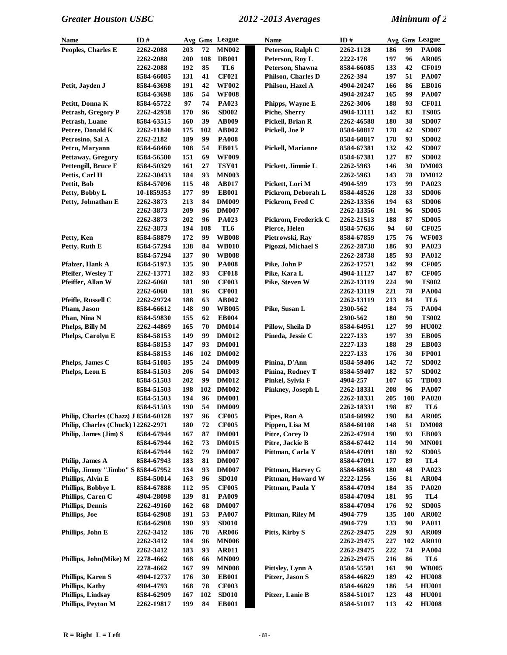| Name                                 | ID#                     |     |     | Avg Gms League | Name                 | ID#        |     |     | Avg Gms League  |
|--------------------------------------|-------------------------|-----|-----|----------------|----------------------|------------|-----|-----|-----------------|
| Peoples, Charles E                   | 2262-2088               | 203 | 72  | <b>MN002</b>   | Peterson, Ralph C    | 2262-1128  | 186 | 99  | <b>PA008</b>    |
|                                      | 2262-2088               | 200 | 108 | <b>DB001</b>   | Peterson, Roy L      | 2222-176   | 197 | 96  | <b>AR005</b>    |
|                                      | 2262-2088               | 192 | 85  | TL6            | Peterson, Shawna     | 8584-66085 | 133 | 42  | <b>CF019</b>    |
|                                      | 8584-66085              | 131 | 41  | <b>CF021</b>   | Philson, Charles D   | 2262-394   | 197 | 51  | <b>PA007</b>    |
| Petit, Jayden J                      | 8584-63698              | 191 | 42  | <b>WF002</b>   | Philson, Hazel A     | 4904-20247 | 166 | 86  | <b>EB016</b>    |
|                                      | 8584-63698              | 186 | 54  | <b>WF008</b>   |                      | 4904-20247 | 165 | 99  | <b>PA007</b>    |
| Petitt, Donna K                      | 8584-65722              | 97  | 74  | PA023          | Phipps, Wayne E      | 2262-3006  | 188 | 93  | <b>CF011</b>    |
| <b>Petrash, Gregory P</b>            | 2262-42938              | 170 | 96  | <b>SD002</b>   | Piche, Sherry        | 4904-13111 | 142 | 83  | <b>TS005</b>    |
| Petrash, Luane                       | 8584-63515              | 160 | 39  | <b>AB009</b>   | Pickell, Brian R     | 2262-46588 | 180 | 38  | <b>SD007</b>    |
| Petree, Donald K                     | 2262-11840              | 175 | 102 | <b>AB002</b>   | Pickell, Joe P       | 8584-60817 | 178 | 42  | <b>SD007</b>    |
| Petrosino, Sal A                     | 2262-2182               | 189 | 99  | <b>PA008</b>   |                      | 8584-60817 | 178 | 93  | <b>SD002</b>    |
| Petru, Maryann                       | 8584-68460              | 108 | 54  | <b>EB015</b>   | Pickell, Marianne    | 8584-67381 | 132 | 42  | <b>SD007</b>    |
| Pettaway, Gregory                    | 8584-56580              | 151 | 69  | <b>WF009</b>   |                      | 8584-67381 | 127 | 87  | <b>SD002</b>    |
| Pettengill, Bruce E                  | 8584-50329              | 161 | 27  | <b>TSY01</b>   | Pickett, Jimmie L    | 2262-5963  | 146 | 30  | <b>DM003</b>    |
| Pettis, Carl H                       | 2262-30433              | 184 | 93  | <b>MN003</b>   |                      | 2262-5963  | 143 | 78  | <b>DM012</b>    |
| Pettit, Bob                          | 8584-57096              | 115 | 48  | AB017          | Pickett, Lori M      | 4904-599   | 173 | 99  | PA023           |
| Petty, Bobby L                       | 10-1859353              | 177 | 99  | <b>EB001</b>   | Pickrom, Deborah L   | 8584-48526 | 128 | 33  | <b>SD006</b>    |
| Petty, Johnathan E                   | 2262-3873               | 213 | 84  | <b>DM009</b>   | Pickrom, Fred C      | 2262-13356 | 194 | 63  | <b>SD006</b>    |
|                                      | 2262-3873               | 209 | 96  | <b>DM007</b>   |                      | 2262-13356 | 191 | 96  | <b>SD005</b>    |
|                                      | 2262-3873               | 202 | 96  | PA023          | Pickrom, Frederick C | 2262-21513 | 188 | 87  | <b>SD005</b>    |
|                                      |                         | 194 | 108 | TL6            | Pierce, Helen        | 8584-57636 | 94  | 60  | <b>CF025</b>    |
| Petty, Ken                           | 2262-3873<br>8584-58879 | 172 | 99  | <b>WB008</b>   | Pietrowski, Ray      |            | 175 | 76  | <b>WF003</b>    |
| Petty, Ruth E                        |                         |     | 84  |                |                      | 8584-67859 |     | 93  |                 |
|                                      | 8584-57294              | 138 |     | <b>WB010</b>   | Pigozzi, Michael S   | 2262-28738 | 186 |     | PA023           |
|                                      | 8584-57294              | 137 | 90  | <b>WB008</b>   |                      | 2262-28738 | 185 | 93  | PA012           |
| Pfalzer, Hank A                      | 8584-51973              | 135 | 90  | <b>PA008</b>   | Pike, John P         | 2262-17571 | 142 | 99  | <b>CF005</b>    |
| Pfeifer, Weslev T                    | 2262-13771              | 182 | 93  | <b>CF018</b>   | Pike, Kara L         | 4904-11127 | 147 | 87  | <b>CF005</b>    |
| Pfeiffer, Allan W                    | 2262-6060               | 181 | 90  | <b>CF003</b>   | Pike, Steven W       | 2262-13119 | 224 | 90  | <b>TS002</b>    |
|                                      | 2262-6060               | 181 | 96  | <b>CF001</b>   |                      | 2262-13119 | 221 | 78  | <b>PA004</b>    |
| Pfeifle, Russell C                   | 2262-29724              | 188 | 63  | <b>AB002</b>   |                      | 2262-13119 | 213 | 84  | TL6             |
| Pham, Jason                          | 8584-66612              | 148 | 90  | <b>WB005</b>   | Pike, Susan L        | 2300-562   | 184 | 75  | <b>PA004</b>    |
| Phan, Nina N                         | 8584-59830              | 155 | 62  | <b>EB004</b>   |                      | 2300-562   | 180 | 90  | <b>TS002</b>    |
| Phelps, Billy M                      | 2262-44869              | 165 | 70  | <b>DM014</b>   | Pillow, Sheila D     | 8584-64951 | 127 | 99  | <b>HU002</b>    |
| Phelps, Carolyn E                    | 8584-58153              | 149 | 99  | <b>DM012</b>   | Pineda, Jessie C     | 2227-133   | 197 | 39  | <b>EB005</b>    |
|                                      | 8584-58153              | 147 | 93  | <b>DM001</b>   |                      | 2227-133   | 188 | 29  | <b>EB003</b>    |
|                                      | 8584-58153              | 146 | 102 | <b>DM002</b>   |                      | 2227-133   | 176 | 30  | <b>FP001</b>    |
| Phelps, James C                      | 8584-51085              | 195 | 24  | <b>DM009</b>   | Pinina, D'Ann        | 8584-59406 | 142 | 72  | <b>SD002</b>    |
| Phelps, Leon E                       | 8584-51503              | 206 | 54  | <b>DM003</b>   | Pinina, Rodney T     | 8584-59407 | 182 | 57  | <b>SD002</b>    |
|                                      | 8584-51503              | 202 | 99  | <b>DM012</b>   | Pinkel, Sylvia F     | 4904-257   | 107 | 65  | <b>TB003</b>    |
|                                      | 8584-51503              | 198 | 102 | <b>DM002</b>   | Pinkney, Joseph L    | 2262-18331 | 208 | 96  | <b>PA007</b>    |
|                                      | 8584-51503              | 194 | 96  | <b>DM001</b>   |                      | 2262-18331 | 205 | 108 | <b>PA020</b>    |
|                                      | 8584-51503              | 190 | 54  | <b>DM009</b>   |                      | 2262-18331 | 198 | 87  | TL6             |
| Philip, Charles (Chazz) J 8584-60128 |                         | 197 | 96  | <b>CF005</b>   | Pipes, Ron A         | 8584-60992 | 198 | 84  | <b>AR005</b>    |
| Philip, Charles (Chuck) 12262-2971   |                         | 180 | 72  | <b>CF005</b>   | Pippen, Lisa M       | 8584-60108 | 148 | 51  | <b>DM008</b>    |
| Philip, James (Jim) S                | 8584-67944              | 167 | 87  | <b>DM001</b>   | Pitre, Corey D       | 2262-47914 | 190 | 93  | <b>EB003</b>    |
|                                      | 8584-67944              | 162 | 73  | <b>DM015</b>   | Pitre, Jackie B      | 8584-67442 | 114 | 90  | <b>MN001</b>    |
|                                      | 8584-67944              | 162 | 79  | <b>DM007</b>   | Pittman, Carla Y     | 8584-47091 | 180 | 92  | <b>SD005</b>    |
| Philip, James A                      | 8584-67943              | 183 | 81  | <b>DM007</b>   |                      | 8584-47091 | 177 | 89  | TL <sub>4</sub> |
| Philip, Jimmy "Jimbo" S 8584-67952   |                         | 134 | 93  | <b>DM007</b>   | Pittman, Harvey G    | 8584-68643 | 180 | 48  | PA023           |
| Phillips, Alvin E                    | 8584-50014              | 163 | 96  | <b>SD010</b>   | Pittman, Howard W    | 2222-1256  | 156 | 81  | <b>AR004</b>    |
| Phillips, Bobbye L                   | 8584-67888              | 112 | 95  | <b>CF005</b>   | Pittman, Paula Y     | 8584-47094 | 184 | 35  | <b>PA020</b>    |
| Phillips, Caren C                    | 4904-28098              | 139 | 81  | <b>PA009</b>   |                      | 8584-47094 | 181 | 95  | TL <sub>4</sub> |
| <b>Phillips, Dennis</b>              | 2262-49160              | 162 | 68  | <b>DM007</b>   |                      | 8584-47094 | 176 | 92  | <b>SD005</b>    |
| Phillips, Joe                        | 8584-62908              | 191 | 53  | <b>PA007</b>   | Pittman, Riley M     | 4904-779   | 135 | 100 | <b>AR002</b>    |
|                                      | 8584-62908              | 190 | 93  | <b>SD010</b>   |                      | 4904-779   | 133 | 90  | <b>PA011</b>    |
| Phillips, John E                     | 2262-3412               | 186 | 78  | <b>AR006</b>   | Pitts, Kirby S       | 2262-29475 | 229 | 93  | AR009           |
|                                      | 2262-3412               | 184 | 96  | <b>MN006</b>   |                      | 2262-29475 | 227 | 102 | <b>AR010</b>    |
|                                      | 2262-3412               | 183 | 93  | <b>AR011</b>   |                      | 2262-29475 | 222 | 74  | <b>PA004</b>    |
| Phillips, John(Mike) M               | 2278-4662               | 168 | 66  | <b>MN009</b>   |                      | 2262-29475 | 216 | 86  | TL6             |
|                                      | 2278-4662               | 167 | 99  | <b>MN008</b>   | Pittsley, Lynn A     | 8584-55501 | 161 | 90  | <b>WB005</b>    |
| <b>Phillips, Karen S</b>             | 4904-12737              | 176 | 30  | <b>EB001</b>   | Pitzer, Jason S      | 8584-46829 | 189 | 42  | <b>HU008</b>    |
| <b>Phillips, Kathy</b>               | 4904-4793               | 168 | 78  | <b>CF003</b>   |                      | 8584-46829 | 186 | 54  | <b>HU001</b>    |
| <b>Phillips, Lindsay</b>             | 8584-62909              | 167 | 102 | <b>SD010</b>   | Pitzer, Lanie B      | 8584-51017 | 123 | 48  | <b>HU001</b>    |
| Phillips, Peyton M                   | 2262-19817              | 199 | 84  | <b>EB001</b>   |                      | 8584-51017 | 113 | 42  | <b>HU008</b>    |
|                                      |                         |     |     |                |                      |            |     |     |                 |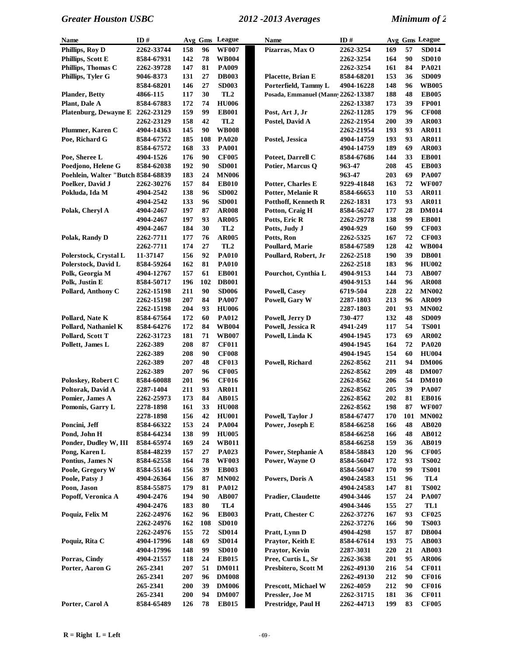| Name                               | ID#        |            |                 | Avg Gms League  | <b>Name</b>                       | ID#               |     |     | Avg Gms League |
|------------------------------------|------------|------------|-----------------|-----------------|-----------------------------------|-------------------|-----|-----|----------------|
| Phillips, Roy D                    | 2262-33744 | 158        | 96              | <b>WF007</b>    | Pizarras, Max O                   | 2262-3254         | 169 | 57  | <b>SD014</b>   |
| Phillips, Scott E                  | 8584-67931 | 142        | 78              | <b>WB004</b>    |                                   | 2262-3254         | 164 | 90  | <b>SD010</b>   |
| Phillips, Thomas C                 | 2262-39728 | 147        | 81              | <b>PA009</b>    |                                   | 2262-3254         | 161 | 84  | <b>PA021</b>   |
| Phillips, Tyler G                  | 9046-8373  | 131        | 27              | <b>DB003</b>    | Placette, Brian E                 | 8584-68201        | 153 | 36  | <b>SD009</b>   |
|                                    | 8584-68201 | 146        | 27              | <b>SD003</b>    | Porterfield, Tammy L              | 4904-16228        | 148 | 96  | <b>WB005</b>   |
| <b>Plander, Betty</b>              | 4866-115   | 117        | 30              | TL <sub>2</sub> | Posada, Emmanuel (Mann 2262-13387 |                   | 188 | 48  | <b>EB005</b>   |
| Plant, Dale A                      | 8584-67883 | 172        | 74              | <b>HU006</b>    |                                   | 2262-13387        | 173 | 39  | <b>FP001</b>   |
| Platenburg, Dewayne E              | 2262-23129 | 159        | 99              | <b>EB001</b>    | Post, Art J, Jr                   | 2262-11285        | 179 | 96  | <b>CF008</b>   |
|                                    | 2262-23129 | 158        | 42              | TL <sub>2</sub> | Postel, David A                   | 2262-21954        | 200 | 39  | <b>AR003</b>   |
| Plummer, Karen C                   | 4904-14363 | 145        | 90              | <b>WB008</b>    |                                   | 2262-21954        | 193 | 93  | <b>AR011</b>   |
| Poe, Richard G                     | 8584-67572 | 185        | 108             | <b>PA020</b>    | Postel, Jessica                   | 4904-14759        | 193 | 93  | <b>AR011</b>   |
|                                    | 8584-67572 | 168        | 33              | <b>PA001</b>    |                                   | 4904-14759        | 189 | 69  | <b>AR003</b>   |
| Poe, Sheree L                      | 4904-1526  | 176        | 90              | <b>CF005</b>    | Poteet, Darrell C                 | 8584-67686        | 144 | 33  | <b>EB001</b>   |
| Poedjono, Helene G                 | 8584-62038 | 192        | 90              | <b>SD001</b>    | Potier, Marcus Q                  | 963-47            | 208 | 45  | <b>EB003</b>   |
| Poehlein, Walter "Butch 8584-68839 |            | 183        | 24              | <b>MN006</b>    |                                   | 963-47            | 203 | 69  | <b>PA007</b>   |
| Poelker, David J                   | 2262-30276 | 157        | 84              | <b>EB010</b>    | Potter, Charles E                 | 9229-41848        | 163 | 72  | <b>WF007</b>   |
| Pokluda, Ida M                     | 4904-2542  | 138        | 96              | <b>SD002</b>    | Potter, Melanie R                 | 8584-66653        | 110 | 53  | <b>AR011</b>   |
|                                    | 4904-2542  | 133        | 96              | <b>SD001</b>    | <b>Potthoff, Kenneth R</b>        | 2262-1831         | 173 | 93  | <b>AR011</b>   |
| Polak, Cheryl A                    | 4904-2467  | 197        | 87              | <b>AR008</b>    | Potton, Craig H                   | 8584-56247        | 177 | 28  | <b>DM014</b>   |
|                                    | 4904-2467  | 197        | 93              | <b>AR005</b>    | Potts, Eric R                     | 2262-29778        | 138 | 99  | <b>EB001</b>   |
|                                    | 4904-2467  | 184        | 30              | TL <sub>2</sub> | Potts, Judy J                     | 4904-929          | 160 | 99  | <b>CF003</b>   |
| Polak, Randy D                     | 2262-7711  | 177        | 76              | <b>AR005</b>    | Potts, Ron                        | 2262-5325         | 167 | 72  | <b>CF003</b>   |
|                                    | 2262-7711  | 174        | 27              | TL <sub>2</sub> | Poullard, Marie                   | 8584-67589        | 128 | 42  | <b>WB004</b>   |
| Polerstock, Crystal L              | 11-37147   | 156        | 92              | <b>PA010</b>    | Poullard, Robert, Jr              | 2262-2518         | 190 | 39  | <b>DB001</b>   |
| Polerstock, David L                | 8584-59264 | 162        | 81              | <b>PA010</b>    |                                   | 2262-2518         | 183 | 96  | <b>HU002</b>   |
| Polk, Georgia M                    | 4904-12767 | 157        | 61              | <b>EB001</b>    | Pourchot, Cynthia L               | 4904-9153         | 144 | 73  | AB007          |
| Polk, Justin E                     | 8584-50717 | 196        | 102             | <b>DB001</b>    |                                   | 4904-9153         | 144 | 96  | <b>AR008</b>   |
| Pollard, Anthony C                 | 2262-15198 | 211        | 90              | <b>SD006</b>    | <b>Powell, Casey</b>              | 6719-504          | 228 | 22  | <b>MN002</b>   |
|                                    | 2262-15198 | 207        | 84              | <b>PA007</b>    | Powell, Gary W                    | <b>2287-1803</b>  | 213 | 96  | <b>AR009</b>   |
|                                    | 2262-15198 | 204        | 93              | <b>HU006</b>    |                                   | 2287-1803         | 201 | 93  | <b>MN002</b>   |
| Pollard, Nate K                    | 8584-67564 | 172        | 60              | <b>PA012</b>    | Powell, Jerry D                   | 730-477           | 132 | 48  | <b>SD009</b>   |
| Pollard, Nathaniel K               | 8584-64276 | 172        | 84              | <b>WB004</b>    | Powell, Jessica R                 | 4941-249          | 117 | 54  | <b>TS001</b>   |
| Pollard, Scott T                   | 2262-31723 | 181        | 71              | <b>WB007</b>    | Powell, Linda K                   | 4904-1945         | 173 | 69  | <b>AR002</b>   |
| Pollett, James L                   | 2262-389   | 208        | 87              | <b>CF011</b>    |                                   | 4904-1945         | 164 | 72  | <b>PA020</b>   |
|                                    | 2262-389   | 208        | 90              | <b>CF008</b>    |                                   | 4904-1945         | 154 | 60  | <b>HU004</b>   |
|                                    | 2262-389   | 207        | 48              | <b>CF013</b>    | Powell, Richard                   | 2262-8562         | 211 | 94  | <b>DM006</b>   |
|                                    | 2262-389   | 207        | 96              | <b>CF005</b>    |                                   | 2262-8562         | 209 | 48  | <b>DM007</b>   |
| Poloskey, Robert C                 | 8584-60088 | 201        | 96              | <b>CF016</b>    |                                   | 2262-8562         | 206 | 54  | <b>DM010</b>   |
| Poltorak, David A                  | 2287-1404  | 211        | 93              | <b>AR011</b>    |                                   | 2262-8562         | 205 | 39  | <b>PA007</b>   |
| Pomier, James A                    | 2262-25973 | 173        | 84              | <b>AB015</b>    |                                   | 2262-8562         | 202 | 81  | <b>EB016</b>   |
| Pomonis, Garry L                   | 2278-1898  | 161        | 33 <sup>3</sup> | <b>HU008</b>    |                                   | 2262-8562         | 198 | 87  | <b>WF007</b>   |
|                                    | 2278-1898  | 156        | 42              | <b>HU001</b>    | Powell, Taylor J                  | 8584-67477        | 170 | 101 | <b>MN002</b>   |
| Poncini, Jeff                      | 8584-66322 | 153        | 24              | <b>PA004</b>    | Power, Joseph E                   | 8584-66258        | 166 | 48  | <b>AB020</b>   |
| Pond, John H                       | 8584-64234 | 138        | 99              | <b>HU005</b>    |                                   | 8584-66258        | 166 | 48  | AB012          |
| Ponder, Dudley W, III              | 8584-65974 | 169        | 24              | <b>WB011</b>    |                                   | 8584-66258        | 159 | 36  | AB019          |
| Pong, Karen L                      | 8584-48239 | 157        | 27              | <b>PA023</b>    | Power, Stephanie A                | 8584-58843        | 120 | 96  | <b>CF005</b>   |
| Pontius, James N                   | 8584-62558 | 164        | 78              | <b>WF003</b>    | Power, Wayne O                    | 8584-56047        | 172 | 93  | <b>TS002</b>   |
| Poole, Gregory W                   | 8584-55146 | 156        | 39              | <b>EB003</b>    |                                   | 8584-56047        | 170 | 99  | <b>TS001</b>   |
| Poole, Patsy J                     | 4904-26364 | 156        | 87              | <b>MN002</b>    | Powers, Doris A                   | 4904-24583        | 151 | 96  | TL4            |
| Poon, Jason                        | 8584-55875 | 179        | 81              | <b>PA012</b>    |                                   | 4904-24583        | 147 | 81  | <b>TS002</b>   |
| Popoff, Veronica A                 | 4904-2476  | 194        | 90              | <b>AB007</b>    | <b>Pradier, Claudette</b>         | 4904-3446         | 157 | 24  | <b>PA007</b>   |
|                                    | 4904-2476  | 183        | 80              | TL <sub>4</sub> |                                   | 4904-3446         | 155 | 27  | TL1            |
| Poquiz, Felix M                    | 2262-24976 | 162        | 96              | <b>EB003</b>    | Pratt, Chester C                  | 2262-37276        | 167 | 93  | <b>CF025</b>   |
|                                    | 2262-24976 | 162        | 108             | <b>SD010</b>    |                                   | 2262-37276        | 166 | 90  | <b>TS003</b>   |
|                                    | 2262-24976 | 155        | 72              | <b>SD014</b>    | Pratt, Lynn D                     | 4904-4298         | 157 | 87  | <b>DB004</b>   |
| Poquiz, Rita C                     | 4904-17996 | 148        | 69              | <b>SD014</b>    | Praytor, Keith E                  | 8584-67614        | 193 | 75  | <b>AB003</b>   |
|                                    | 4904-17996 | 148        | 99              | <b>SD010</b>    | Praytor, Kevin                    | 2287-3031         | 220 | 21  | <b>AB003</b>   |
| Porras, Cindy                      | 4904-21557 | 118        | 24              | <b>EB015</b>    | Pree, Curtis L, Sr                | 2262-3638         | 201 | 95  | <b>AR006</b>   |
| Porter, Aaron G                    | 265-2341   | 207        | 51              | <b>DM011</b>    | Presbitero, Scott M               | <b>2262-49130</b> | 216 | 54  | <b>CF011</b>   |
|                                    | 265-2341   | 207        | 96              | <b>DM008</b>    |                                   | 2262-49130        | 212 | 90  | <b>CF016</b>   |
|                                    | 265-2341   | 200        | 39              | <b>DM006</b>    | Prescott, Michael W               | 2262-4059         | 212 | 90  | <b>CF016</b>   |
|                                    | 265-2341   | <b>200</b> | 94              | <b>DM007</b>    | Pressler, Joe M                   | 2262-31715        | 181 | 36  | <b>CF011</b>   |
| Porter, Carol A                    | 8584-65489 | 126        | 78              | <b>EB015</b>    | <b>Prestridge, Paul H</b>         | 2262-44713        | 199 | 83  | <b>CF005</b>   |
|                                    |            |            |                 |                 |                                   |                   |     |     |                |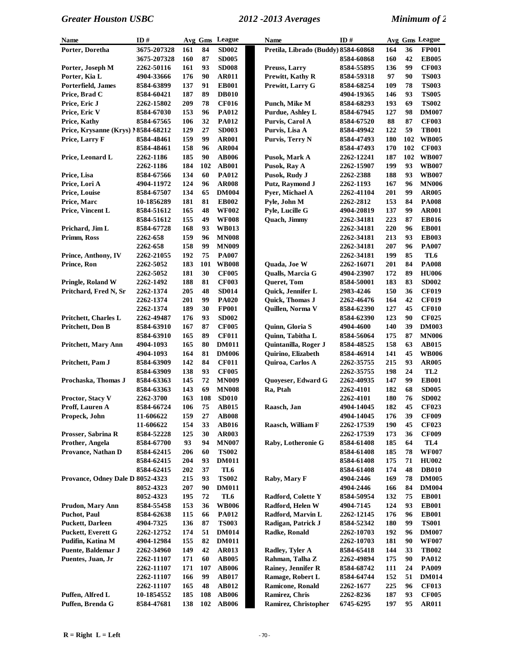| Name                                            | ID#                     |            |          | Avg Gms League               | <b>Name</b>                              | ID#                      |            |          | Avg Gms League               |
|-------------------------------------------------|-------------------------|------------|----------|------------------------------|------------------------------------------|--------------------------|------------|----------|------------------------------|
| Porter, Doretha                                 | 3675-207328             | 161        | 84       | <b>SD002</b>                 | Pretila, Librado (Buddy) 8584-60868      |                          | 164        | 36       | <b>FP001</b>                 |
|                                                 | 3675-207328             | 160        | 87       | <b>SD005</b>                 |                                          | 8584-60868               | 160        | 42       | <b>EB005</b>                 |
| Porter, Joseph M                                | 2262-50116              | 161        | 93       | <b>SD008</b>                 | Preuss, Larry                            | 8584-55895               | 136        | 99       | <b>CF003</b>                 |
| Porter, Kia L                                   | 4904-33666              | 176        | 90       | <b>AR011</b>                 | Prewitt, Kathy R                         | 8584-59318               | 97         | 90       | <b>TS003</b>                 |
| Porterfield, James                              | 8584-63899              | 137        | 91       | <b>EB001</b>                 | Prewitt, Larry G                         | 8584-68254               | 109        | 78       | <b>TS003</b>                 |
| Price, Brad C                                   | 8584-60421              | 187        | 89       | <b>DB010</b>                 |                                          | 4904-19365               | 146        | 93       | <b>TS005</b>                 |
| Price, Eric J                                   | 2262-15802              | 209        | 78       | <b>CF016</b>                 | Punch, Mike M                            | 8584-68293               | 193        | 69       | <b>TS002</b>                 |
| Price, Eric V                                   | 8584-67030              | 153        | 96       | <b>PA012</b>                 | Purdue, Ashley L                         | 8584-67945               | 127        | 98       | <b>DM007</b>                 |
| Price, Kathy                                    | 8584-67565              | 106        | 32       | <b>PA012</b>                 | Purvis, Carol A                          | 8584-67520               | 88         | 87       | <b>CF003</b>                 |
| Price, Krysanne (Krys) 18584-68212              |                         | 129        | 27       | <b>SD003</b>                 | Purvis, Lisa A                           | 8584-49942               | 122        | 59       | <b>TB001</b>                 |
| Price, Larry F                                  | 8584-48461              | 159        | 99       | <b>AR001</b>                 | Purvis, Terry N                          | 8584-47493               | 180        | 102      | <b>WB005</b>                 |
|                                                 | 8584-48461              | 158        | 96       | <b>AR004</b>                 |                                          | 8584-47493               | 170        | 102      | <b>CF003</b>                 |
| Price, Leonard L                                | 2262-1186               | 185        | 90       | <b>AB006</b>                 | Pusok, Mark A                            | 2262-12241               | 187        | 102      | <b>WB007</b>                 |
|                                                 | 2262-1186               | 184        | 102      | <b>AB001</b>                 | Pusok, Ray A                             | 2262-15907               | 199        | 93       | <b>WB007</b>                 |
| Price, Lisa                                     | 8584-67566              | 134        | 60       | <b>PA012</b>                 | Pusok, Rudy J                            | 2262-2388                | 188        | 93       | <b>WB007</b>                 |
| Price, Lori A                                   | 4904-11972              | 124        | 96       | <b>AR008</b>                 | Putz, Raymond J                          | 2262-1193                | 167        | 96       | <b>MN006</b>                 |
| Price, Louise                                   | 8584-67507              | 134        | 65       | <b>DM004</b>                 | Pyer, Michael A                          | 2262-41104               | 201        | 99       | <b>AR005</b>                 |
| Price, Marc                                     | 10-1856289              | 181        | 81       | <b>EB002</b>                 | Pyle, John M                             | 2262-2812                | 153        | 84       | <b>PA008</b>                 |
| Price, Vincent L                                | 8584-51612              | 165        | 48       | <b>WF002</b>                 | Pyle, Lucille G                          | 4904-20819               | 137        | 99       | <b>AR001</b>                 |
|                                                 | 8584-51612              | 155        | 49       | <b>WF008</b>                 | Quach, Jimmy                             | 2262-34181               | 223        | 87       | <b>EB016</b>                 |
| Prichard, Jim L                                 | 8584-67728              | 168        | 93       | <b>WB013</b>                 |                                          | 2262-34181               | 220        | 96       | <b>EB001</b>                 |
| Primm, Ross                                     | 2262-658                | 159        | 96       | <b>MN008</b>                 |                                          | 2262-34181               | 213        | 93       | <b>EB003</b>                 |
|                                                 | 2262-658                | 158        | 99       | <b>MN009</b>                 |                                          | 2262-34181               | 207        | 96       | <b>PA007</b>                 |
| Prince, Anthony, IV                             | 2262-21055              | 192        | 75       | <b>PA007</b>                 |                                          | 2262-34181               | 199        | 85       | TL6                          |
| Prince, Ron                                     | 2262-5052               | 183        | 101      | <b>WB008</b>                 | Quada, Joe W                             | 2262-16071               | 201        | 84       | <b>PA008</b>                 |
|                                                 | 2262-5052               | 181        | 30       | <b>CF005</b>                 | Qualls, Marcia G                         | 4904-23907               | 172        | 89       | <b>HU006</b>                 |
| <b>Pringle, Roland W</b>                        | 2262-1492               | 188        | 81       | <b>CF003</b>                 | Queret, Tom                              | 8584-50001               | 183        | 83       | <b>SD002</b>                 |
| Pritchard, Fred N, Sr                           | 2262-1374               | 205        | 48       | <b>SD014</b>                 | Quick, Jennifer L                        | 2983-4246                | 150        | 36       | <b>CF019</b>                 |
|                                                 | 2262-1374               | 201        | 99       | <b>PA020</b>                 | Quick, Thomas J                          | 2262-46476               | 164        | 42       | <b>CF019</b>                 |
|                                                 | 2262-1374               | 189        | 30       | <b>FP001</b>                 | Quillen, Norma V                         | 8584-62390               | 127        | 45       | <b>CF010</b>                 |
| <b>Pritchett, Charles L</b><br>Pritchett, Don B | 2262-49487              | 176<br>167 | 93<br>87 | <b>SD002</b><br><b>CF005</b> | Quinn, Gloria S                          | 8584-62390               | 123<br>140 | 90<br>39 | <b>CF025</b><br><b>DM003</b> |
|                                                 | 8584-63910              | 165        | 89       | <b>CF011</b>                 |                                          | 4904-4600                | 175        | 87       | <b>MN006</b>                 |
| <b>Pritchett, Mary Ann</b>                      | 8584-63910              | 165        | 80       | <b>DM011</b>                 | Quinn, Tabitha L<br>Quintanilla, Roger J | 8584-56064               | 158        | 63       | AB015                        |
|                                                 | 4904-1093               | 164        | 81       | <b>DM006</b>                 | Quirino, Elizabeth                       | 8584-48525               | 141        | 45       | <b>WB006</b>                 |
| Pritchett, Pam J                                | 4904-1093<br>8584-63909 | 142        | 84       | <b>CF011</b>                 | Quiroa, Carlos A                         | 8584-46914<br>2262-35755 | 215        | 93       | <b>AR005</b>                 |
|                                                 | 8584-63909              | 138        | 93       | <b>CF005</b>                 |                                          | 2262-35755               | 198        | 24       | TL <sub>2</sub>              |
| Prochaska, Thomas J                             | 8584-63363              | 145        | 72       | <b>MN009</b>                 | Quoyeser, Edward G                       | 2262-40935               | 147        | 99       | <b>EB001</b>                 |
|                                                 | 8584-63363              | 143        | 69       | <b>MN008</b>                 | Ra, Ptah                                 | 2262-4101                | 182        | 68       | <b>SD005</b>                 |
| Proctor, Stacy V                                | 2262-3700               | 163        | 108      | <b>SD010</b>                 |                                          | <b>2262-4101</b>         | 180        | 76       | <b>SD002</b>                 |
| Proff, Lauren A                                 | 8584-66724              | 106        | 75       | AB015                        | Raasch, Jan                              | 4904-14045               | 182        | 45       | <b>CF023</b>                 |
| Propeck, John                                   | 11-606622               | 159        | 27       | <b>AB008</b>                 |                                          | 4904-14045               | 176        | 39       | <b>CF009</b>                 |
|                                                 | 11-606622               | 154        | 33       | <b>AB016</b>                 | Raasch, William F                        | 2262-17539               | 190        | 45       | <b>CF023</b>                 |
| Prosser, Sabrina R                              | 8584-52228              | 125        | 30       | <b>AR003</b>                 |                                          | 2262-17539               | 173        | 36       | <b>CF009</b>                 |
| Prother, Angela                                 | 8584-67700              | 93         | 94       | <b>MN007</b>                 | Raby, Lotheronie G                       | 8584-61408               | 185        | 64       | TL4                          |
| Provance, Nathan D                              | 8584-62415              | 206        | 60       | <b>TS002</b>                 |                                          | 8584-61408               | 185        | 78       | <b>WF007</b>                 |
|                                                 | 8584-62415              | 204        | 93       | <b>DM011</b>                 |                                          | 8584-61408               | 175        | 71       | <b>HU002</b>                 |
|                                                 | 8584-62415              | 202        | 37       | TL6                          |                                          | 8584-61408               | 174        | 48       | <b>DB010</b>                 |
| Provance, Odney Dale D 8052-4323                |                         | 215        | 93       | <b>TS002</b>                 | Raby, Mary F                             | 4904-2446                | 169        | 78       | <b>DM005</b>                 |
|                                                 | 8052-4323               | 207        | 90       | <b>DM011</b>                 |                                          | 4904-2446                | 166        | 84       | <b>DM004</b>                 |
|                                                 | 8052-4323               | 195        | 72       | TL6                          | Radford, Colette Y                       | 8584-50954               | 132        | 75       | <b>EB001</b>                 |
| Prudon, Mary Ann                                | 8584-55458              | 153        | 36       | <b>WB006</b>                 | Radford, Helen W                         | 4904-7145                | 124        | 93       | <b>EB001</b>                 |
| <b>Puchot</b> , Paul                            | 8584-62638              | 115        | 66       | <b>PA012</b>                 | Radford, Marvin L                        | 2262-12145               | 176        | 96       | <b>EB001</b>                 |
| <b>Puckett, Darleen</b>                         | 4904-7325               | 136        | 87       | <b>TS003</b>                 | Radigan, Patrick J                       | 8584-52342               | 180        | 99       | <b>TS001</b>                 |
| <b>Puckett, Everett G</b>                       | 2262-12752              | 174        | 51       | <b>DM014</b>                 | Radke, Ronald                            | 2262-10703               | 192        | 96       | <b>DM007</b>                 |
| Pudifin, Katina M                               | 4904-12984              | 155        | 82       | <b>DM011</b>                 |                                          | 2262-10703               | 181        | 90       | <b>WF007</b>                 |
| Puente, Baldemar J                              | 2262-34960              | 149        | 42       | AR013                        | Radley, Tyler A                          | 8584-65418               | 144        | 33       | <b>TB002</b>                 |
| Puentes, Juan, Jr                               | 2262-11107              | 171        | 60       | <b>AB005</b>                 | Rahman, Talha Z                          | 2262-49894               | 175        | 90       | <b>PA012</b>                 |
|                                                 | 2262-11107              | 171        | 107      | <b>AB006</b>                 | Rainey, Jennifer R                       | 8584-68742               | 111        | 24       | <b>PA009</b>                 |
|                                                 | 2262-11107              | 166        | 99       | <b>AB017</b>                 | Ramage, Robert L                         | 8584-64744               | 152        | 51       | <b>DM014</b>                 |
|                                                 | 2262-11107              | 165        | 48       | <b>AB012</b>                 | <b>Ramicone, Ronald</b>                  | 2262-1677                | 225        | 96       | <b>CF013</b>                 |
| Puffen, Alfred L                                | 10-1854552              | 185        | 108      | <b>AB006</b>                 | Ramirez, Chris                           | 2262-8236                | 187        | 93       | <b>CF005</b>                 |
| Puffen, Brenda G                                | 8584-47681              | 138        | 102      | <b>AB006</b>                 | Ramirez, Christopher                     | 6745-6295                | 197        | 95       | <b>AR011</b>                 |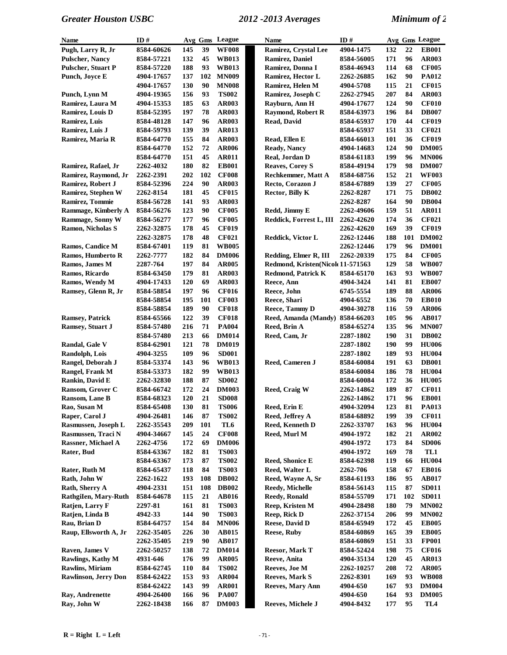| Name                        | ID#        |     |     | Avg Gms League | Name                              | ID#        |     |     | Avg Gms League  |
|-----------------------------|------------|-----|-----|----------------|-----------------------------------|------------|-----|-----|-----------------|
| Pugh, Larry R, Jr           | 8584-60626 | 145 | 39  | <b>WF008</b>   | Ramirez, Crystal Lee              | 4904-1475  | 132 | 22  | <b>EB001</b>    |
| <b>Pulscher, Nancy</b>      | 8584-57221 | 132 | 45  | <b>WB013</b>   | Ramirez, Daniel                   | 8584-56005 | 171 | 96  | <b>AR003</b>    |
| <b>Pulscher, Stuart P</b>   | 8584-57220 | 188 | 93  | <b>WB013</b>   | Ramirez, Donna I                  | 8584-46943 | 114 | 68  | <b>CF005</b>    |
| Punch, Joyce E              | 4904-17657 | 137 | 102 | <b>MN009</b>   | Ramirez, Hector L                 | 2262-26885 | 162 | 90  | <b>PA012</b>    |
|                             | 4904-17657 | 130 | 90  | <b>MN008</b>   | Ramirez, Helen M                  | 4904-5708  | 115 | 21  | <b>CF015</b>    |
| Punch, Lynn M               | 4904-19365 | 156 | 93  | <b>TS002</b>   | Ramirez, Joseph C                 | 2262-27945 | 207 | 84  | <b>AR003</b>    |
| Ramirez, Laura M            | 4904-15353 | 185 | 63  | <b>AR003</b>   | Rayburn, Ann H                    | 4904-17677 | 124 | 90  | <b>CF010</b>    |
| Ramirez, Louis D            | 8584-52395 | 197 | 78  | <b>AR003</b>   | <b>Raymond, Robert R</b>          | 8584-63973 | 196 | 84  | <b>DB007</b>    |
| Ramirez, Luis               | 8584-48128 | 147 | 96  | <b>AR003</b>   | Read, David                       | 8584-65937 | 170 | 44  | <b>CF019</b>    |
| Ramirez, Luis J             | 8584-59793 | 139 | 39  | <b>AR013</b>   |                                   | 8584-65937 | 151 | 33  | <b>CF021</b>    |
| Ramirez, Maria R            | 8584-64770 | 155 | 84  | <b>AR003</b>   | Read, Ellen E                     | 8584-66013 | 101 | 36  | <b>CF019</b>    |
|                             | 8584-64770 | 152 | 72  | <b>AR006</b>   | <b>Ready, Nancy</b>               | 4904-14683 | 124 | 90  | <b>DM005</b>    |
|                             | 8584-64770 | 151 | 45  | <b>AR011</b>   | Real, Jordan D                    | 8584-61183 | 199 | 96  | <b>MN006</b>    |
| Ramirez, Rafael, Jr         | 2262-4032  | 180 | 82  | <b>EB001</b>   | <b>Reaves, Corey S</b>            | 8584-49194 | 179 | 98  | <b>DM007</b>    |
| Ramirez, Raymond, Jr        | 2262-2391  | 202 | 102 | <b>CF008</b>   | <b>Rechkemmer</b> , Matt A        | 8584-68756 | 152 | 21  | <b>WF003</b>    |
| Ramirez, Robert J           | 8584-52396 | 224 | 90  | <b>AR003</b>   | Recto, Corazon J                  | 8584-67889 | 139 | 27  | <b>CF005</b>    |
| Ramirez, Stephen W          | 2262-8154  | 181 | 45  | <b>CF015</b>   | Rector, Billy K                   | 2262-8287  | 171 | 75  | <b>DB002</b>    |
| Ramirez, Tommie             | 8584-56728 | 141 | 93  | <b>AR003</b>   |                                   | 2262-8287  | 164 | 90  | <b>DB004</b>    |
| Rammage, Kimberly A         | 8584-56276 | 123 | 90  | <b>CF005</b>   | Redd, Jimmy E                     | 2262-49606 | 159 | 51  | <b>AR011</b>    |
| Rammage, Sonny W            | 8584-56277 | 177 | 96  | <b>CF005</b>   | Reddick, Forrest L, III           | 2262-42620 | 174 | 36  | <b>CF021</b>    |
| <b>Ramon, Nicholas S</b>    | 2262-32875 | 178 | 45  | <b>CF019</b>   |                                   | 2262-42620 | 169 | 39  | <b>CF019</b>    |
|                             | 2262-32875 | 178 | 48  | <b>CF021</b>   | Reddick, Victor L                 | 2262-12446 | 188 | 101 | <b>DM002</b>    |
| Ramos, Candice M            | 8584-67401 | 119 | 81  | <b>WB005</b>   |                                   | 2262-12446 | 179 | 96  | <b>DM001</b>    |
| Ramos, Humberto R           | 2262-7777  | 182 | 84  | <b>DM006</b>   | Redding, Elmer R, III             | 2262-20339 | 175 | 84  | <b>CF005</b>    |
| Ramos, James M              | 2287-764   | 197 | 84  | <b>AR005</b>   | Redmond, Kristen(Nicole 11-571563 |            | 129 | 58  | <b>WB007</b>    |
| Ramos, Ricardo              | 8584-63450 | 179 | 81  | <b>AR003</b>   | <b>Redmond, Patrick K</b>         | 8584-65170 | 163 | 93  | <b>WB007</b>    |
| Ramos, Wendy M              | 4904-17433 | 120 | 69  | <b>AR003</b>   | Reece, Ann                        | 4904-3424  | 141 | 81  | <b>EB007</b>    |
| Ramsey, Glenn R, Jr         | 8584-58854 | 197 | 96  | <b>CF016</b>   | Reece, John                       | 6745-5554  | 189 | 88  | <b>AR006</b>    |
|                             | 8584-58854 | 195 | 101 | <b>CF003</b>   | Reece, Shari                      | 4904-6552  | 136 | 70  | <b>EB010</b>    |
|                             | 8584-58854 | 189 | 90  | <b>CF018</b>   | Reece, Tammy D                    | 4904-30278 | 116 | 59  | <b>AR006</b>    |
| <b>Ramsey, Patrick</b>      | 8584-65566 | 122 | 39  | <b>CF018</b>   | Reed, Amanda (Mandy) 8584-66203   |            | 105 | 96  | <b>AB017</b>    |
| Ramsey, Stuart J            | 8584-57480 | 216 | 71  | <b>PA004</b>   | Reed, Brin A                      | 8584-65274 | 135 | 96  | <b>MN007</b>    |
|                             | 8584-57480 | 213 | 66  | <b>DM014</b>   | Reed, Cam, Jr                     | 2287-1802  | 190 | 31  | <b>DB002</b>    |
| Randal, Gale V              | 8584-62901 | 121 | 78  | <b>DM019</b>   |                                   | 2287-1802  | 190 | 99  | <b>HU006</b>    |
| Randolph, Lois              | 4904-3255  | 109 | 96  | <b>SD001</b>   |                                   | 2287-1802  | 189 | 93  | <b>HU004</b>    |
| Rangel, Deborah J           | 8584-53374 | 143 | 96  | <b>WB013</b>   | Reed, Cameren J                   | 8584-60084 | 191 | 63  | <b>DB001</b>    |
| Rangel, Frank M             | 8584-53373 | 182 | 99  | <b>WB013</b>   |                                   | 8584-60084 | 186 | 78  | <b>HU004</b>    |
| Rankin, David E             | 2262-32830 | 188 | 87  | <b>SD002</b>   |                                   | 8584-60084 | 172 | 36  | <b>HU005</b>    |
| Ransom, Grover C            | 8584-66742 | 172 | 24  | <b>DM003</b>   | Reed, Craig W                     | 2262-14862 | 189 | 87  | <b>CF011</b>    |
| Ransom, Lane B              | 8584-68323 | 120 | 21  | <b>SD008</b>   |                                   | 2262-14862 | 171 | 96  | <b>EB001</b>    |
| Rao, Susan M                | 8584-65408 | 130 | 81  | <b>TS006</b>   | Reed, Erin E                      | 4904-32094 | 123 | 81  | PA013           |
| Raper, Carol J              | 4904-26481 | 146 | 87  | <b>TS002</b>   | Reed, Jeffrey A                   | 8584-68892 | 199 | 39  | <b>CF011</b>    |
| Rasmussen, Joseph L         | 2262-35543 | 209 | 101 | TL6            | <b>Reed, Kenneth D</b>            | 2262-33707 | 163 | 96  | <b>HU004</b>    |
| Rasmussen, Traci N          | 4904-34667 | 145 | 24  | <b>CF008</b>   | Reed, Murl M                      | 4904-1972  | 182 | 21  | <b>AR002</b>    |
| Rassner, Michael A          | 2262-4756  | 172 | 69  | <b>DM006</b>   |                                   | 4904-1972  | 173 | 84  | <b>SD006</b>    |
| Rater, Bud                  | 8584-63367 | 182 | 81  | <b>TS003</b>   |                                   | 4904-1972  | 169 | 78  | TL1             |
|                             | 8584-63367 | 173 | 87  | <b>TS002</b>   | <b>Reed, Shonice E</b>            | 8584-62398 | 119 | 66  | <b>HU004</b>    |
| Rater, Ruth M               | 8584-65437 | 118 | 84  | <b>TS003</b>   | Reed, Walter L                    | 2262-706   | 158 | 67  | <b>EB016</b>    |
| Rath, John W                | 2262-1622  | 193 | 108 | <b>DB002</b>   | Reed, Wayne A, Sr                 | 8584-61193 | 186 | 95  | <b>AB017</b>    |
| Rath, Sherry A              | 4904-2331  | 151 | 108 | <b>DB002</b>   | Reedy, Michelle                   | 8584-56143 | 115 | 87  | <b>SD011</b>    |
| Rathgilen, Mary-Ruth        | 8584-64678 | 115 | 21  | <b>AB016</b>   | <b>Reedy, Ronald</b>              | 8584-55709 | 171 | 102 | <b>SD011</b>    |
| Ratjen, Larry F             | 2297-81    | 161 | 81  | <b>TS003</b>   | Reep, Kristen M                   | 4904-28498 | 180 | 79  | <b>MN002</b>    |
| Ratjen, Linda B             | 4942-33    | 144 | 90  | <b>TS003</b>   | Reep, Rick D                      | 2262-37154 | 206 | 99  | <b>MN002</b>    |
| Rau, Brian D                | 8584-64757 | 154 | 84  | <b>MN006</b>   | Reese, David D                    | 8584-65949 | 172 | 45  | <b>EB005</b>    |
| Raup, Ellsworth A, Jr       | 2262-35405 | 226 | 30  | <b>AB015</b>   | <b>Reese, Ruby</b>                | 8584-60869 | 165 | 39  | <b>EB005</b>    |
|                             | 2262-35405 | 219 | 90  | <b>AB017</b>   |                                   | 8584-60869 | 151 | 33  | <b>FP001</b>    |
| Raven, James V              | 2262-50257 | 138 | 72  | <b>DM014</b>   | <b>Reesor, Mark T</b>             | 8584-52424 | 198 | 75  | <b>CF016</b>    |
| Rawlings, Kathy M           | 4931-646   | 176 | 99  | <b>AR005</b>   | Reeve, Anita                      | 4904-35134 | 120 | 45  | AR013           |
| <b>Rawlins, Miriam</b>      | 8584-62745 | 110 | 84  | <b>TS002</b>   | Reeves, Joe M                     | 2262-10257 | 208 | 72  | <b>AR005</b>    |
| <b>Rawlinson, Jerry Don</b> | 8584-62422 | 153 | 93  | <b>AR004</b>   | Reeves, Mark S                    | 2262-8301  | 169 | 93  | <b>WB008</b>    |
|                             | 8584-62422 | 143 | 99  | <b>AR001</b>   | Reeves, Mary Ann                  | 4904-650   | 167 | 93  | <b>DM004</b>    |
| Ray, Andrenette             | 4904-26400 | 166 | 96  | <b>PA007</b>   |                                   | 4904-650   | 164 | 93  | <b>DM005</b>    |
| Ray, John W                 | 2262-18438 | 166 | 87  | <b>DM003</b>   | Reeves, Michele J                 | 4904-8432  | 177 | 95  | TL <sub>4</sub> |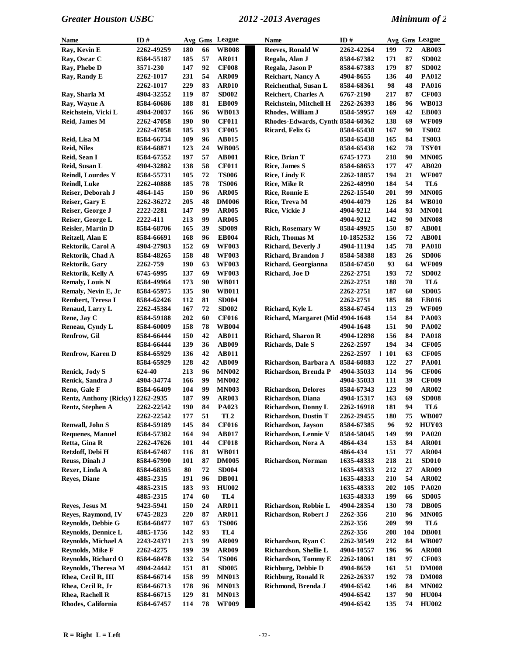| Name                              | ID#              |            |    | Avg Gms League  | <b>Name</b>                       | ID#               |      |     | Avg Gms League |
|-----------------------------------|------------------|------------|----|-----------------|-----------------------------------|-------------------|------|-----|----------------|
| Ray, Kevin E                      | 2262-49259       | 180        | 66 | <b>WB008</b>    | <b>Reeves, Ronald W</b>           | 2262-42264        | 199  | 72  | AB003          |
| Ray, Oscar C                      | 8584-55187       | 185        | 57 | <b>AR011</b>    | Regala, Alan J                    | 8584-67382        | 171  | 87  | <b>SD002</b>   |
| Ray, Phebe D                      | <b>3571-230</b>  | 147        | 92 | <b>CF008</b>    | Regala, Jason P                   | 8584-67383        | 179  | 87  | <b>SD002</b>   |
| Ray, Randy E                      | <b>2262-1017</b> | 231        | 54 | <b>AR009</b>    | <b>Reichart, Nancy A</b>          | 4904-8655         | 136  | 40  | <b>PA012</b>   |
|                                   | <b>2262-1017</b> | 229        | 83 | <b>AR010</b>    | Reichenthal, Susan L              | 8584-68361        | 98   | 48  | <b>PA016</b>   |
| Ray, Sharla M                     | 4904-32552       | 119        | 87 | <b>SD002</b>    | <b>Reichert, Charles A</b>        | 6767-2190         | 217  | 87  | <b>CF003</b>   |
| Ray, Wayne A                      | 8584-60686       | 188        | 81 | <b>EB009</b>    | Reichstein, Mitchell H            | 2262-26393        | 186  | 96  | <b>WB013</b>   |
| Reichstein, Vicki L               | 4904-20037       | 166        | 96 | <b>WB013</b>    | Rhodes, William J                 | 8584-59957        | 169  | 42  | <b>EB003</b>   |
| Reid, James M                     | 2262-47058       | 190        | 90 | <b>CF011</b>    | Rhodes-Edwards, Cynthi 8584-60362 |                   | 138  | 69  | <b>WF009</b>   |
|                                   | 2262-47058       | 185        | 93 | <b>CF005</b>    | Ricard, Felix G                   | 8584-65438        | 167  | 90  | <b>TS002</b>   |
| Reid, Lisa M                      | 8584-66734       | 109        | 96 | AB015           |                                   | 8584-65438        | 165  | 84  | <b>TS003</b>   |
| <b>Reid, Niles</b>                | 8584-68871       | 123        | 24 | <b>WB005</b>    |                                   | 8584-65438        | 162  | 78  | <b>TSY01</b>   |
| Reid, Sean I                      | 8584-67552       | 197        | 57 | <b>AB001</b>    | Rice, Brian T                     | 6745-1773         | 218  | 90  | <b>MN005</b>   |
| Reid, Susan L                     | 4904-32882       | 138        | 58 | <b>CF011</b>    | <b>Rice, James S</b>              | 8584-68653        | 177  | 47  | <b>AB020</b>   |
| <b>Reindl, Lourdes Y</b>          |                  | 105        | 72 | <b>TS006</b>    | <b>Rice, Lindy E</b>              |                   | 194  | 21  | <b>WF007</b>   |
|                                   | 8584-55731       |            | 78 |                 |                                   | 2262-18857        | 184  | 54  |                |
| <b>Reindl, Luke</b>               | 2262-40888       | 185        |    | <b>TS006</b>    | <b>Rice, Mike R</b>               | 2262-48990        |      |     | TL6            |
| Reiser, Deborah J                 | 4864-145         | 150        | 96 | <b>AR005</b>    | Rice, Ronnie E                    | <b>2262-15540</b> | 201  | 99  | <b>MN005</b>   |
| Reiser, Gary E                    | 2262-36272       | 205        | 48 | <b>DM006</b>    | Rice, Treva M                     | 4904-4079         | 126  | 84  | <b>WB010</b>   |
| Reiser, George J                  | 2222-2281        | 147        | 99 | <b>AR005</b>    | Rice, Vickie J                    | 4904-9212         | 144  | 93  | <b>MN001</b>   |
| Reiser, George L                  | 2222-411         | 213        | 99 | <b>AR005</b>    |                                   | 4904-9212         | 142  | 90  | <b>MN008</b>   |
| Reisler, Martin D                 | 8584-68706       | 165        | 39 | <b>SD009</b>    | <b>Rich, Rosemary W</b>           | 8584-49925        | 150  | 87  | <b>AB001</b>   |
| Reitzell, Alan E                  | 8584-66691       | 168        | 96 | <b>EB004</b>    | Rich, Thomas M                    | 10-1852532        | 156  | 72  | <b>AB001</b>   |
| Rektorik, Carol A                 | 4904-27983       | 152        | 69 | <b>WF003</b>    | Richard, Beverly J                | 4904-11194        | 145  | 78  | <b>PA018</b>   |
| Rektorik, Chad A                  | 8584-48265       | 158        | 48 | <b>WF003</b>    | Richard, Brandon J                | 8584-58388        | 183  | 26  | <b>SD006</b>   |
| Rektorik, Gary                    | 2262-759         | <b>190</b> | 63 | <b>WF003</b>    | Richard, Georgianna               | 8584-67450        | 93   | 64  | <b>WF009</b>   |
| Rektorik, Kelly A                 | 6745-6995        | 137        | 69 | <b>WF003</b>    | Richard, Joe D                    | 2262-2751         | 193  | 72  | <b>SD002</b>   |
| <b>Remaly, Louis N</b>            | 8584-49964       | 173        | 90 | <b>WB011</b>    |                                   | 2262-2751         | 188  | 70  | TL6            |
| Remaly, Nevin E, Jr               | 8584-65975       | 135        | 90 | <b>WB011</b>    |                                   | 2262-2751         | 187  | 60  | <b>SD005</b>   |
| <b>Rembert, Teresa I</b>          | 8584-62426       | 112        | 81 | <b>SD004</b>    |                                   | 2262-2751         | 185  | 88  | <b>EB016</b>   |
| <b>Renaud, Larry L</b>            | 2262-45384       | 167        | 72 | <b>SD002</b>    | Richard, Kyle L                   | 8584-67454        | 113  | 29  | <b>WF009</b>   |
| Rene, Jay C                       | 8584-59188       | 202        | 60 | <b>CF016</b>    | Richard, Margaret (Mid 4904-1648  |                   | 154  | 84  | <b>PA003</b>   |
| Reneau, Cyndy L                   | 8584-60009       | 158        | 78 | <b>WB004</b>    |                                   | 4904-1648         | 151  | 90  | <b>PA002</b>   |
| Renfrow, Gil                      | 8584-66444       | 150        | 42 | <b>AB011</b>    | Richard, Sharon R                 | 4904-12898        | 156  | 84  | <b>PA018</b>   |
|                                   | 8584-66444       | 139        | 36 | <b>AB009</b>    | <b>Richards, Dale S</b>           | 2262-2597         | 194  | 34  | <b>CF005</b>   |
| <b>Renfrow, Karen D</b>           | 8584-65929       | 136        | 42 | <b>AB011</b>    |                                   | 2262-2597         | 1101 | 63  | <b>CF005</b>   |
|                                   | 8584-65929       | 128        | 42 | <b>AB009</b>    | Richardson, Barbara A             | 8584-60883        | 122  | 27  | <b>PA001</b>   |
| <b>Renick, Jody S</b>             | 624-40           | 213        | 96 | <b>MN002</b>    | Richardson, Brenda P              | 4904-35033        | 114  | 96  | <b>CF006</b>   |
| Renick, Sandra J                  | 4904-34774       | 166        | 99 | <b>MN002</b>    |                                   | 4904-35033        | 111  | 39  | <b>CF009</b>   |
| Reno, Gale F                      | 8584-66409       | 104        | 99 | <b>MN003</b>    | <b>Richardson, Delores</b>        | 8584-67343        | 123  | 90  | <b>AR002</b>   |
| Rentz, Anthony (Ricky) 12262-2935 |                  | 187        | 99 | <b>AR003</b>    | Richardson, Diana                 | 4904-15317        | 163  | 69  | <b>SD008</b>   |
| Rentz, Stephen A                  | 2262-22542       | 190        | 84 | PA023           | Richardson, Donny L               | 2262-16918        | 181  | 94  | TL6            |
|                                   | 2262-22542       | 177        | 51 | TL <sub>2</sub> | <b>Richardson, Dustin T</b>       | 2262-29455        | 180  | 75  | <b>WB007</b>   |
| <b>Renwall, John S</b>            | 8584-59189       | 145        | 84 | <b>CF016</b>    | Richardson, Jayson                | 8584-67385        | 96   | 92  | HUY03          |
| <b>Requenes, Manuel</b>           | 8584-57382       | 164        | 94 | <b>AB017</b>    | Richardson, Lennie V              | 8584-58045        | 149  | 99  | <b>PA020</b>   |
| Retta, Gina R                     | 2262-47626       | 101        | 44 | <b>CF018</b>    | Richardson, Nora A                | 4864-434          | 153  | 84  | <b>AR001</b>   |
| Retzloff, Debi H                  | 8584-67487       | 116        | 81 | <b>WB011</b>    |                                   | 4864-434          | 151  | 77  | <b>AR004</b>   |
| Reuss, Dinah J                    | 8584-67990       | 101        | 87 | <b>DM005</b>    | Richardson, Norman                | 1635-48333        | 218  | 21  | <b>SD010</b>   |
| Rexer, Linda A                    | 8584-68305       | 80         | 72 | <b>SD004</b>    |                                   | 1635-48333        | 212  | 27  | <b>AR009</b>   |
| <b>Reyes, Diane</b>               | 4885-2315        | 191        | 96 | <b>DB001</b>    |                                   | 1635-48333        | 210  | 54  | <b>AR002</b>   |
|                                   |                  |            | 93 |                 |                                   |                   | 202  | 105 |                |
|                                   | 4885-2315        | 183        |    | <b>HU002</b>    |                                   | 1635-48333        |      |     | <b>PA020</b>   |
|                                   | 4885-2315        | 174        | 60 | TL4             |                                   | 1635-48333        | 199  | 66  | <b>SD005</b>   |
| Reves, Jesus M                    | 9423-5941        | 150        | 24 | <b>AR011</b>    | Richardson, Robbie L              | 4904-28354        | 130  | 78  | <b>DB005</b>   |
| Reyes, Raymond, IV                | 6745-2823        | 220        | 87 | <b>AR011</b>    | Richardson, Robert J              | 2262-356          | 210  | 96  | <b>MN005</b>   |
| <b>Reynolds, Debbie G</b>         | 8584-68477       | 107        | 63 | <b>TS006</b>    |                                   | 2262-356          | 209  | 99  | TL6            |
| <b>Reynolds, Dennice L</b>        | 4885-1756        | 142        | 93 | TL4             |                                   | 2262-356          | 208  | 104 | <b>DB001</b>   |
| <b>Reynolds, Michael A</b>        | 2243-24371       | 213        | 99 | <b>AR009</b>    | Richardson, Ryan C                | 2262-30549        | 212  | 84  | <b>WB007</b>   |
| <b>Reynolds, Mike F</b>           | 2262-4275        | 199        | 39 | <b>AR009</b>    | Richardson, Shellie L             | 4904-10557        | 196  | 96  | <b>AR008</b>   |
| Reynolds, Richard O               | 8584-68478       | 132        | 54 | <b>TS006</b>    | Richardson, Tommy E               | 2262-18061        | 181  | 97  | <b>CF003</b>   |
| <b>Reynolds, Theresa M</b>        | 4904-24442       | 151        | 81 | <b>SD005</b>    | Richburg, Debbie D                | 4904-8659         | 161  | 51  | <b>DM008</b>   |
| Rhea, Cecil R, III                | 8584-66714       | 158        | 99 | <b>MN013</b>    | <b>Richburg, Ronald R</b>         | 2262-26337        | 192  | 78  | <b>DM008</b>   |
| Rhea, Cecil R, Jr                 | 8584-66713       | 178        | 96 | <b>MN013</b>    | Richmond, Brenda J                | 4904-6542         | 146  | 84  | <b>MN002</b>   |
| Rhea, Rachell R                   | 8584-66715       | 129        | 81 | <b>MN013</b>    |                                   | 4904-6542         | 137  | 90  | <b>HU004</b>   |
| Rhodes, California                | 8584-67457       | 114        | 78 | <b>WF009</b>    |                                   | 4904-6542         | 135  | 74  | <b>HU002</b>   |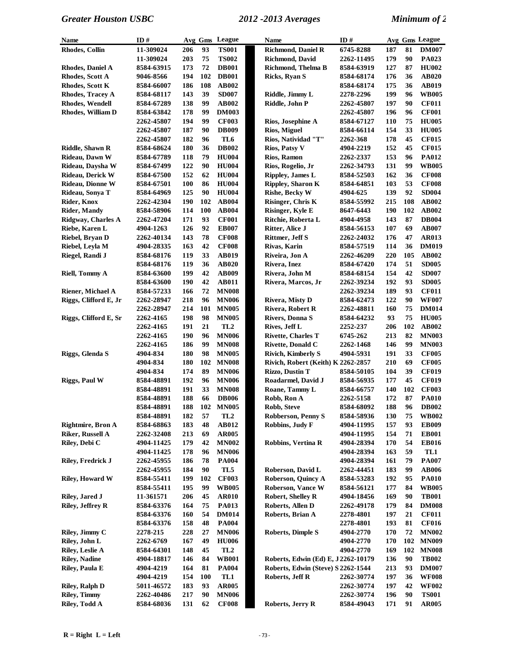| <b>Name</b>              | ID#        |            |     | Avg Gms League  | <b>Name</b>                        | ID#        |            |     | Avg Gms League |
|--------------------------|------------|------------|-----|-----------------|------------------------------------|------------|------------|-----|----------------|
| Rhodes, Collin           | 11-309024  | 206        | 93  | <b>TS001</b>    | Richmond, Daniel R                 | 6745-8288  | 187        | 81  | <b>DM007</b>   |
|                          | 11-309024  | 203        | 75  | <b>TS002</b>    | <b>Richmond, David</b>             | 2262-11495 | 179        | 90  | PA023          |
| <b>Rhodes, Daniel A</b>  | 8584-63915 | 173        | 72  | <b>DB001</b>    | Richmond, Thelma B                 | 8584-63919 | 127        | 87  | <b>HU002</b>   |
| Rhodes, Scott A          | 9046-8566  | 194        | 102 | <b>DB001</b>    | Ricks, Ryan S                      | 8584-68174 | 176        | 36  | <b>AB020</b>   |
| Rhodes, Scott K          | 8584-66007 | 186        | 108 | <b>AB002</b>    |                                    | 8584-68174 | 175        | 36  | <b>AB019</b>   |
| Rhodes, Tracey A         | 8584-68117 | 143        | 39  | <b>SD007</b>    | Riddle, Jimmy L                    | 2278-2296  | 199        | 96  | <b>WB005</b>   |
| <b>Rhodes, Wendell</b>   | 8584-67289 | 138        | 99  | AB002           | Riddle, John P                     | 2262-45807 | 197        | 90  | <b>CF011</b>   |
| Rhodes, William D        | 8584-63842 | 178        | 99  | <b>DM003</b>    |                                    | 2262-45807 | 196        | 96  | <b>CF001</b>   |
|                          | 2262-45807 | 194        | 99  | <b>CF003</b>    | Rios, Josephine A                  | 8584-67127 | 110        | 75  | <b>HU005</b>   |
|                          | 2262-45807 | 187        | 90  | <b>DB009</b>    | Rios, Miguel                       | 8584-66114 | 154        | 33  | <b>HU005</b>   |
|                          | 2262-45807 | 182        | 96  | TL <sub>6</sub> | Rios, Natividad "T"                | 2262-368   | 178        | 45  | <b>CF015</b>   |
| <b>Riddle, Shawn R</b>   | 8584-68624 | 180        | 36  | <b>DB002</b>    | Rios, Patsy V                      | 4904-2219  | 152        | 45  | <b>CF015</b>   |
| Rideau, Dawn W           | 8584-67789 | 118        | 79  | <b>HU004</b>    | Rios, Ramon                        | 2262-2337  | 153        | 96  | PA012          |
| Rideau, Daysha W         | 8584-67499 | 122        | 90  | <b>HU004</b>    | Rios, Rogelio, Jr                  | 2262-34793 | 131        | 99  | <b>WB005</b>   |
| Rideau, Derick W         | 8584-67500 | 152        | 62  | <b>HU004</b>    | <b>Rippley, James L</b>            | 8584-52503 | 162        | 36  | <b>CF008</b>   |
| <b>Rideau, Dionne W</b>  | 8584-67501 | <b>100</b> | 86  | <b>HU004</b>    | <b>Rippley, Sharon K</b>           | 8584-64851 | 103        | 53  | <b>CF008</b>   |
| Rideau, Sonya T          | 8584-64969 | 125        | 90  | <b>HU004</b>    | <b>Rishe, Becky W</b>              | 4904-625   | 139        | 92  | <b>SD004</b>   |
| Rider, Knox              | 2262-42304 | 190        | 102 | <b>AB004</b>    | Risinger, Chris K                  | 8584-55992 | 215        | 108 | <b>AB002</b>   |
| <b>Rider, Mandy</b>      | 8584-58906 | 114        | 100 | <b>AB004</b>    | Risinger, Kyle E                   | 8647-6443  | 190        | 102 | <b>AB002</b>   |
| Ridgway, Charles A       | 2262-47204 | 171        | 93  | <b>CF001</b>    | Ritchie, Roberta L                 | 4904-4958  | 143        | 87  | <b>DB004</b>   |
| Riebe, Karen L           | 4904-1263  | 126        | 92  | <b>EB007</b>    | Ritter, Alice J                    | 8584-56153 | 107        | 69  | <b>AB007</b>   |
| Riebel, Bryan D          | 2262-40134 | 143        | 78  | <b>CF008</b>    | <b>Rittmer, Jeff S</b>             | 2262-24032 | 176        | 47  | <b>AR013</b>   |
| Riebel, Leyla M          | 4904-28335 | 163        | 42  | <b>CF008</b>    | Rivas, Karin                       | 8584-57519 | 114        | 36  | <b>DM019</b>   |
| Riegel, Randi J          | 8584-68176 | 119        | 33  | <b>AB019</b>    | Riveira, Jon A                     | 2262-46209 | 220        | 105 | <b>AB002</b>   |
|                          | 8584-68176 | 119        | 36  | AB020           | Rivera, Inez                       | 8584-67420 | 174        | 51  | <b>SD005</b>   |
| Riell, Tommy A           | 8584-63600 | 199        | 42  | <b>AB009</b>    | Rivera, John M                     | 8584-68154 | 154        | 42  | <b>SD007</b>   |
|                          | 8584-63600 | 190        | 42  | <b>AB011</b>    | Rivera, Marcos, Jr                 | 2262-39234 | 192        | 93  | <b>SD005</b>   |
| Riener, Michael A        | 8584-57233 | 166        | 72  | <b>MN008</b>    |                                    | 2262-39234 | 189        | 93  | <b>CF011</b>   |
| Riggs, Clifford E, Jr    | 2262-28947 | 218        | 96  | <b>MN006</b>    | <b>Rivera, Misty D</b>             | 8584-62473 | 122        | 90  | <b>WF007</b>   |
|                          | 2262-28947 | 214        | 101 | <b>MN005</b>    | <b>Rivera, Robert R</b>            | 2262-48811 | 160        | 75  | <b>DM014</b>   |
| Riggs, Clifford E, Sr    | 2262-4165  | 198        | 98  | <b>MN005</b>    | <b>Rivers, Donna S</b>             | 8584-64232 | 93         | 75  | <b>HU005</b>   |
|                          | 2262-4165  | 191        | 21  | TL <sub>2</sub> | Rives, Jeff L                      | 2252-237   | 206        | 102 | <b>AB002</b>   |
|                          | 2262-4165  | 190        | 96  | <b>MN006</b>    | <b>Rivette, Charles T</b>          | 6745-262   | 213        | 82  | <b>MN003</b>   |
|                          | 2262-4165  | 186        | 99  | <b>MN008</b>    | Rivette, Donald C                  | 2262-1468  | 146        | 99  | <b>MN003</b>   |
| Riggs, Glenda S          | 4904-834   | 180        | 98  | <b>MN005</b>    | <b>Rivich, Kimberly S</b>          | 4904-5931  | 191        | 33  | <b>CF005</b>   |
|                          | 4904-834   | 180        | 102 | <b>MN008</b>    | Rivich, Robert (Keith) K 2262-2857 |            | 210        | 69  | <b>CF005</b>   |
|                          | 4904-834   | 174        | 89  | <b>MN006</b>    | <b>Rizzo, Dustin T</b>             | 8584-50105 | 104        | 39  | <b>CF019</b>   |
| <b>Riggs, Paul W</b>     | 8584-48891 | 192        | 96  | <b>MN006</b>    | Roadarmel, David J                 | 8584-56935 | 177        | 45  | <b>CF019</b>   |
|                          | 8584-48891 | 191        | 33  | <b>MN008</b>    | Roane, Tammy L                     | 8584-66757 | 140        | 102 | <b>CF003</b>   |
|                          | 8584-48891 | 188        | 66  | <b>DB006</b>    | Robb, Ron A                        | 2262-5158  | 172        | 87  | <b>PA010</b>   |
|                          | 8584-48891 | 188        |     | 102 MN005       | Robb, Steve                        | 8584-68092 | 188        | 96  | <b>DB002</b>   |
|                          | 8584-48891 | 182        | 57  | TL <sub>2</sub> | Robberson, Penny S                 | 8584-58936 | <b>130</b> | 75  | <b>WB002</b>   |
| <b>Rightmire, Bron A</b> | 8584-68863 | 183        | 48  | AB012           | Robbins, Judy F                    | 4904-11995 | 157        | 93  | <b>EB009</b>   |
| <b>Riker, Russell A</b>  | 2262-32408 | 213        | 69  | <b>AR005</b>    |                                    | 4904-11995 | 154        | 71  | <b>EB001</b>   |
| Riley, Debi C            | 4904-11425 | 179        | 42  | <b>MN002</b>    | <b>Robbins, Vertina R</b>          | 4904-28394 | 170        | 54  | <b>EB016</b>   |
|                          | 4904-11425 | 178        | 96  | <b>MN006</b>    |                                    | 4904-28394 | 163        | 59  | TL1            |
| Riley, Fredrick J        | 2262-45955 | 186        | 78  | <b>PA004</b>    |                                    | 4904-28394 | 161        | 79  | <b>PA007</b>   |
|                          | 2262-45955 | 184        | 90  | TL5             | Roberson, David L                  | 2262-44451 | 183        | 99  | <b>AB006</b>   |
| <b>Riley, Howard W</b>   | 8584-55411 | 199        | 102 | <b>CF003</b>    | Roberson, Quincy A                 | 8584-53283 | 192        | 95  | <b>PA010</b>   |
|                          | 8584-55411 | 195        | 99  | <b>WB005</b>    | Roberson, Vance W                  | 8584-56121 | 177        | 84  | <b>WB005</b>   |
| Riley, Jared J           | 11-361571  | 206        | 45  | <b>AR010</b>    | <b>Robert, Shelley R</b>           | 4904-18456 | 169        | 90  | <b>TB001</b>   |
| <b>Riley, Jeffrey R</b>  | 8584-63376 | 164        | 75  | <b>PA013</b>    | Roberts, Allen D                   | 2262-49178 | 179        | 84  | <b>DM008</b>   |
|                          | 8584-63376 | 160        | 54  | <b>DM014</b>    | Roberts, Brian A                   | 2278-4801  | 197        | 21  | <b>CF011</b>   |
|                          | 8584-63376 | 158        | 48  | <b>PA004</b>    |                                    | 2278-4801  | 193        | 81  | <b>CF016</b>   |
| Riley, Jimmy C           | 2278-215   | 228        | 27  | <b>MN006</b>    | <b>Roberts, Dimple S</b>           | 4904-2770  | 170        | 72  | <b>MN002</b>   |
| Riley, John L            | 2262-6769  | 167        | 49  | <b>HU006</b>    |                                    | 4904-2770  | 170        | 102 | <b>MN009</b>   |
| <b>Riley, Leslie A</b>   | 8584-64301 | 148        | 45  | TL <sub>2</sub> |                                    | 4904-2770  | 169        | 102 | <b>MN008</b>   |
| <b>Riley, Nadine</b>     | 4904-18817 | 146        | 84  | <b>WB001</b>    | Roberts, Edwin (Ed) E, J2262-10179 |            | 136        | 90  | <b>TB002</b>   |
| Riley, Paula E           | 4904-4219  | 164        | 81  | <b>PA004</b>    | Roberts, Edwin (Steve) S 2262-1544 |            | 213        | 93  | <b>DM007</b>   |
|                          | 4904-4219  | 154        | 100 | TL1             | Roberts, Jeff R                    | 2262-30774 | 197        | 36  | <b>WF008</b>   |
| <b>Riley, Ralph D</b>    | 5011-46572 | 183        | 93  | <b>AR005</b>    |                                    | 2262-30774 | 197        | 42  | <b>WF002</b>   |
| <b>Riley, Timmy</b>      | 2262-40486 | 217        | 90  | <b>MN006</b>    |                                    | 2262-30774 | 196        | 90  | <b>TS001</b>   |
| Riley, Todd A            | 8584-68036 | 131        | 62  | <b>CF008</b>    | Roberts, Jerry R                   | 8584-49043 | 171        | 91  | <b>AR005</b>   |
|                          |            |            |     |                 |                                    |            |            |     |                |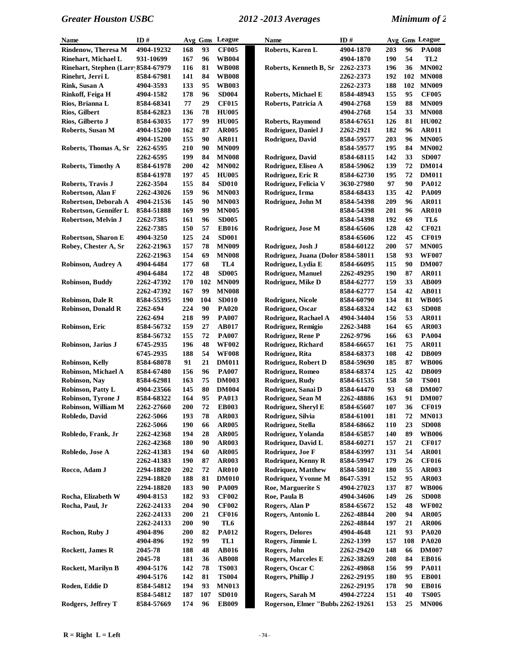| Name                               | ID#               |            |            | Avg Gms League | <b>Name</b>                        | ID#        |     |     | Avg Gms League               |
|------------------------------------|-------------------|------------|------------|----------------|------------------------------------|------------|-----|-----|------------------------------|
| <b>Rindenow, Theresa M</b>         | 4904-19232        | 168        | 93         | <b>CF005</b>   | Roberts, Karen L                   | 4904-1870  | 203 | 96  | <b>PA008</b>                 |
| Rinehart, Michael L                | 931-10699         | 167        | 96         | <b>WB004</b>   |                                    | 4904-1870  | 190 | 54  | TL <sub>2</sub>              |
| Rinehart, Stephen (Larr 8584-67979 |                   | 116        | 81         | <b>WB008</b>   | Roberts, Kenneth B, Sr             | 2262-2373  | 196 | 36  | <b>MN002</b>                 |
| Rinehrt, Jerri L                   | 8584-67981        | 141        | 84         | <b>WB008</b>   |                                    | 2262-2373  | 192 | 102 | <b>MN008</b>                 |
| Rink, Susan A                      | 4904-3593         | 133        | 95         | <b>WB003</b>   |                                    | 2262-2373  | 188 | 102 | <b>MN009</b>                 |
| Rinkoff, Feiga H                   | 4904-1582         | 178        | 96         | <b>SD004</b>   | <b>Roberts, Michael E</b>          | 8584-48943 | 155 | 95  | <b>CF005</b>                 |
| Rios, Brianna L                    | 8584-68341        | 77         | 29         | <b>CF015</b>   | Roberts, Patricia A                | 4904-2768  | 159 | 88  | <b>MN009</b>                 |
| Rios, Gilbert                      | 8584-62823        | 136        | 78         | <b>HU005</b>   |                                    | 4904-2768  | 154 | 33  | <b>MN008</b>                 |
| Rios, Gilberto J                   | 8584-63035        | 177        | 99         | <b>HU005</b>   | Roberts, Raymond                   | 8584-67651 | 126 | 81  | <b>HU002</b>                 |
| Roberts, Susan M                   | 4904-15200        | 162        | 87         | <b>AR005</b>   | Rodriguez, Daniel J                | 2262-2921  | 182 | 96  | <b>AR011</b>                 |
|                                    | 4904-15200        | 155        | 90         | <b>AR011</b>   | Rodriguez, David                   | 8584-59577 | 203 | 96  | <b>MN005</b>                 |
| Roberts, Thomas A, Sr              | 2262-6595         | 210        | 90         | <b>MN009</b>   |                                    | 8584-59577 | 195 | 84  | <b>MN002</b>                 |
|                                    | 2262-6595         | 199        | 84         | <b>MN008</b>   | Rodriguez, David                   | 8584-68115 | 142 | 33  | <b>SD007</b>                 |
| <b>Roberts, Timothy A</b>          | 8584-61978        | 200        | 42         | <b>MN002</b>   | Rodriguez, Eliseo A                | 8584-59062 | 139 | 72  | <b>DM014</b>                 |
|                                    | 8584-61978        | 197        | 45         | <b>HU005</b>   | Rodriguez, Eric R                  | 8584-62730 | 195 | 72  | <b>DM011</b>                 |
| Roberts, Travis J                  | 2262-3504         | 155        | 84         | <b>SD010</b>   | Rodriguez, Felicia V               | 3630-27980 | 97  | 90  | <b>PA012</b>                 |
| Robertson, Alan F                  | 2262-43026        | 159        | 96         | <b>MN003</b>   | Rodriguez, Irma                    | 8584-68433 | 135 | 42  | PA009                        |
| Robertson, Deborah A               | 4904-21536        | 145        | 90         | <b>MN003</b>   | Rodriguez, John M                  | 8584-54398 | 209 | 96  | <b>AR011</b>                 |
| Robertson, Gennifer L              | 8584-51888        | 169        | 99         | <b>MN005</b>   |                                    | 8584-54398 | 201 | 96  | <b>AR010</b>                 |
| Robertson, Melvin J                | 2262-7385         | 161        | 96         | <b>SD005</b>   |                                    | 8584-54398 | 192 | 69  | TL6                          |
|                                    | 2262-7385         | 150        | 57         | <b>EB016</b>   | Rodriguez, Jose M                  | 8584-65606 | 128 | 42  | <b>CF021</b>                 |
| Robertson, Sharon E                | 4904-3250         | 125        | 24         | <b>SD001</b>   |                                    | 8584-65606 | 122 | 45  | <b>CF019</b>                 |
| Robey, Chester A, Sr               | 2262-21963        | 157        | 78         | <b>MN009</b>   | Rodriguez, Josh J                  | 8584-60122 | 200 | 57  | <b>MN005</b>                 |
|                                    | 2262-21963        | 154        | 69         | <b>MN008</b>   | Rodriguez, Juana (Dolor 8584-58011 |            | 158 | 93  | <b>WF007</b>                 |
| Robinson, Audrey A                 | 4904-6484         | 177        | 68         | TL4            | Rodriguez, Lydia E                 | 8584-66095 | 115 | 90  | <b>DM007</b>                 |
|                                    | 4904-6484         | 172        | 48         | <b>SD005</b>   | Rodriguez, Manuel                  | 2262-49295 | 190 | 87  | <b>AR011</b>                 |
| Robinson, Buddy                    | 2262-47392        | 170        | 102        | <b>MN009</b>   | Rodriguez, Mike D                  | 8584-62777 | 159 | 33  | <b>AB009</b>                 |
|                                    | 2262-47392        | 167        | 99         | <b>MN008</b>   |                                    | 8584-62777 | 154 | 42  | <b>AB011</b>                 |
| Robinson, Dale R                   | 8584-55395        | 190        | 104        | <b>SD010</b>   | Rodriguez, Nicole                  | 8584-60790 | 134 | 81  | <b>WB005</b>                 |
| <b>Robinson, Donald R</b>          | 2262-694          | 224        | 90         | <b>PA020</b>   | Rodriguez, Oscar                   | 8584-68324 | 142 | 63  | <b>SD008</b>                 |
|                                    | 2262-694          | 218        | 99         | <b>PA007</b>   | Rodriguez, Rachael A               | 4904-34404 | 156 | 53  | <b>AR011</b>                 |
| Robinson, Eric                     | 8584-56732        | 159        | 27         | <b>AB017</b>   | Rodriguez, Remigio                 | 2262-3488  | 164 | 65  | <b>AR003</b>                 |
|                                    | 8584-56732        | 155        | 72         | <b>PA007</b>   | Rodriguez, Rene P                  | 2262-9796  | 166 | 63  | <b>PA004</b>                 |
| Robinson, Jarius J                 | 6745-2935         | 196        | 48         | <b>WF002</b>   | Rodriguez, Richard                 | 8584-66657 | 161 | 75  | <b>AR011</b>                 |
|                                    | 6745-2935         | 188        | 54         | <b>WF008</b>   | Rodriguez, Rita                    | 8584-68373 | 108 | 42  | <b>DB009</b>                 |
| Robinson, Kelly                    | 8584-68078        | 91         | 21         | <b>DM011</b>   | Rodriguez, Robert D                | 8584-59690 | 185 | 87  | <b>WB006</b>                 |
| Robinson, Michael A                | 8584-67480        | 156        | 96         | <b>PA007</b>   | Rodriguez, Romeo                   | 8584-68374 | 125 | 42  | <b>DB009</b>                 |
| Robinson, Nay                      | 8584-62981        | 163        | 75         | <b>DM003</b>   | Rodriguez, Rudy                    | 8584-61535 | 158 | 50  | <b>TS001</b>                 |
| Robinson, Patty L                  | 4904-23566        | 145        | 80         | <b>DM004</b>   | Rodriguez, Sanai D                 | 8584-64470 | 93  | 68  | <b>DM007</b>                 |
| Robinson, Tyrone J                 | 8584-68322        | 164        | 95         | <b>PA013</b>   | Rodriguez, Sean M                  | 2262-48886 | 163 | 91  | <b>DM007</b>                 |
| Robinson, William M                | 2262-27660        | 200        | ${\bf 72}$ | <b>EB003</b>   | Rodriguez, Sheryl E                | 8584-65607 | 107 |     | 36 CF019                     |
| Robledo, David                     | 2262-5066         | 193        | 78         | <b>AR003</b>   | Rodriguez, Silvia                  | 8584-61001 | 181 | 72  | <b>MN013</b>                 |
|                                    | 2262-5066         | 190        | 66         | <b>AR005</b>   | Rodriguez, Stella                  | 8584-68662 | 110 | 23  | <b>SD008</b>                 |
| Robledo, Frank, Jr                 | 2262-42368        | 194        | 28         | <b>AR005</b>   | Rodriguez, Yolanda                 | 8584-65857 | 140 | 89  | <b>WB006</b>                 |
|                                    | 2262-42368        | 180        | 90         | <b>AR003</b>   | Rodriquez, David L                 | 8584-60271 | 157 | 21  | <b>CF017</b>                 |
| Robledo, Jose A                    | 2262-41383        | 194        | 60         | <b>AR005</b>   | Rodriquez, Joe F                   | 8584-63997 | 131 | 54  | <b>AR001</b>                 |
|                                    | 2262-41383        | 190        | 87         | AR003          | Rodriquez, Kenny R                 | 8584-59947 | 179 | 26  | <b>CF016</b>                 |
| Rocco, Adam J                      | <b>2294-18820</b> | 202        | 72         | <b>AR010</b>   | <b>Rodriquez, Matthew</b>          | 8584-58012 | 180 | 55  | <b>AR003</b>                 |
|                                    | 2294-18820        | 188        | 81         | <b>DM010</b>   | Rodriquez, Yvonne M                | 8647-5391  | 152 | 95  | AR003                        |
|                                    | 2294-18820        | 183        | 90         | <b>PA009</b>   | Roe, Marguerite S                  | 4904-27023 | 137 | 87  | <b>WB006</b>                 |
| Rocha, Elizabeth W                 | 4904-8153         | 182        | 93         | <b>CF002</b>   | Roe, Paula B                       | 4904-34606 | 149 | 26  | <b>SD008</b>                 |
| Rocha, Paul, Jr                    | 2262-24133        | 204        | 90         | <b>CF002</b>   | Rogers, Alan P                     | 8584-65672 | 152 | 48  | <b>WF002</b>                 |
|                                    | 2262-24133        | <b>200</b> | 21         | <b>CF016</b>   | Rogers, Antonio L                  | 2262-48844 | 200 | 94  | <b>AR005</b>                 |
|                                    | 2262-24133        | <b>200</b> | 90         | TL6            |                                    | 2262-48844 | 197 | 21  | <b>AR006</b>                 |
| Rochon, Ruby J                     | 4904-896          | 200        | 82         | <b>PA012</b>   | <b>Rogers, Delores</b>             | 4904-4648  | 121 | 93  | <b>PA020</b>                 |
|                                    | 4904-896          | 192        | 99         | TL1            | Rogers, Jimmie L                   | 2262-1399  | 157 | 108 | <b>PA020</b>                 |
| <b>Rockett, James R</b>            | 2045-78           | 188        | 48         | <b>AB016</b>   | Rogers, John                       | 2262-29420 | 148 | 66  | <b>DM007</b>                 |
|                                    | 2045-78           | 181        | 36         | <b>AB008</b>   | <b>Rogers, Marceles E</b>          | 2262-38269 | 208 | 84  | <b>EB016</b>                 |
| Rockett, Marilyn B                 | 4904-5176         | 142        | 78         | <b>TS003</b>   | Rogers, Oscar C                    | 2262-49868 | 156 | 99  | <b>PA011</b>                 |
|                                    | 4904-5176         | 142        | 81         | <b>TS004</b>   | Rogers, Phillip J                  | 2262-29195 | 180 | 95  | <b>EB001</b>                 |
| Roden, Eddie D                     | 8584-54812        | 194        | 93         | <b>MN013</b>   |                                    | 2262-29195 | 178 | 90  | <b>EB016</b>                 |
| <b>Rodgers, Jeffrey T</b>          | 8584-54812        | 187        | 107        | <b>SD010</b>   | Rogers, Sarah M                    | 4904-27224 | 151 | 40  | <b>TS005</b><br><b>MN006</b> |
|                                    | 8584-57669        | 174        | 96         | <b>EB009</b>   | Rogerson, Elmer "Bubba 2262-19261  |            | 153 | 25  |                              |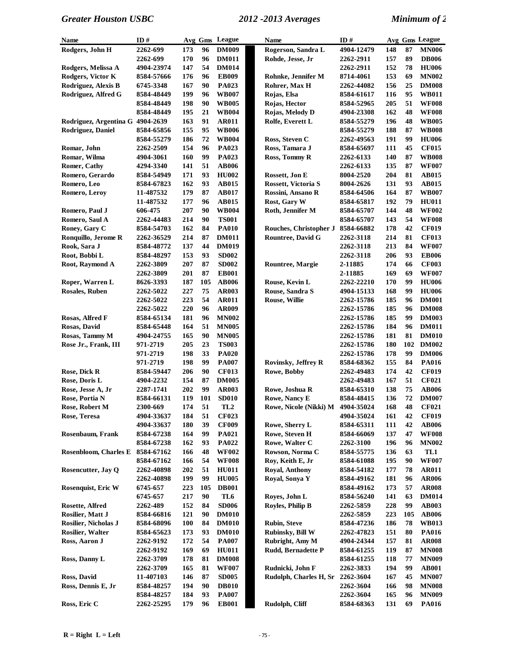| Name                         | ID#        |            |     | Avg Gms League  | Name                              | ID#        |     |     | Avg Gms League |
|------------------------------|------------|------------|-----|-----------------|-----------------------------------|------------|-----|-----|----------------|
| Rodgers, John H              | 2262-699   | 173        | 96  | <b>DM009</b>    | Rogerson, Sandra L                | 4904-12479 | 148 | 87  | <b>MN006</b>   |
|                              | 2262-699   | 170        | 96  | <b>DM011</b>    | Rohde, Jesse, Jr                  | 2262-2911  | 157 | 89  | <b>DB006</b>   |
| Rodgers, Melissa A           | 4904-23974 | 147        | 54  | <b>DM014</b>    |                                   | 2262-2911  | 152 | 78  | <b>HU006</b>   |
| Rodgers, Victor K            | 8584-57666 | 176        | 96  | <b>EB009</b>    | Rohnke, Jennifer M                | 8714-4061  | 153 | 69  | <b>MN002</b>   |
| Rodriguez, Alexis B          | 6745-3348  | 167        | 90  | PA023           | Rohrer, Max H                     | 2262-44082 | 156 | 25  | <b>DM008</b>   |
| Rodriguez, Alfred G          | 8584-48449 | 199        | 96  | <b>WB007</b>    | Rojas, Elsa                       | 8584-61617 | 116 | 95  | <b>WB011</b>   |
|                              | 8584-48449 | 198        | 90  | <b>WB005</b>    | Rojas, Hector                     | 8584-52965 | 205 | 51  | <b>WF008</b>   |
|                              | 8584-48449 | 195        | 21  | <b>WB004</b>    | Rojas, Melody D                   | 4904-23308 | 162 | 48  | <b>WF008</b>   |
| Rodriguez, Argentina G       | 4904-2639  | 163        | 91  | <b>AR011</b>    | Rolfe, Everett L                  | 8584-55279 | 196 | 48  | <b>WB005</b>   |
| Rodriguez, Daniel            | 8584-65856 | 155        | 95  | <b>WB006</b>    |                                   | 8584-55279 | 188 | 87  | <b>WB008</b>   |
|                              | 8584-55279 | 186        | 72  | <b>WB004</b>    | Ross, Steven C                    | 2262-49563 | 191 | 99  | <b>HU006</b>   |
| Romar, John                  | 2262-2509  | 154        | 96  | PA023           | Ross, Tamara J                    | 8584-65697 | 111 | 45  | <b>CF015</b>   |
| Romar, Wilma                 | 4904-3061  | 160        | 99  | PA023           | Ross, Tommy R                     | 2262-6133  | 140 | 87  | <b>WB008</b>   |
| <b>Romer, Cathy</b>          | 4294-3340  | 141        | 51  | <b>AB006</b>    |                                   | 2262-6133  | 135 | 87  | <b>WF007</b>   |
| Romero, Gerardo              | 8584-54949 | 171        | 93  | <b>HU002</b>    | Rossett, Jon E                    | 8004-2520  | 204 | 81  | <b>AB015</b>   |
| Romero, Leo                  | 8584-67823 | 162        | 93  | <b>AB015</b>    | Rossett, Victoria S               | 8004-2626  | 131 | 93  | <b>AB015</b>   |
| Romero, Leroy                | 11-487532  | 179        | 87  | <b>AB017</b>    | Rossini, Ansano R                 | 8584-64506 | 164 | 87  | <b>WB007</b>   |
|                              | 11-487532  | 177        | 96  | <b>AB015</b>    | Rost, Gary W                      | 8584-65817 | 192 | 79  | <b>HU011</b>   |
| Romero, Paul J               | 606-475    | 207        | 90  | <b>WB004</b>    | Roth, Jennifer M                  | 8584-65707 | 144 | 48  | <b>WF002</b>   |
| Romero, Saul A               | 2262-44483 | 214        | 90  | <b>TS001</b>    |                                   | 8584-65707 | 143 | 54  | <b>WF008</b>   |
| Roney, Gary C                | 8584-54703 | 162        | 84  | <b>PA010</b>    | Rouches, Christopher J            | 8584-66882 | 178 | 42  | <b>CF019</b>   |
| Ronquillo, Jerome R          | 2262-36529 | 214        | 87  | <b>DM011</b>    | <b>Rountree, David G</b>          | 2262-3118  | 214 | 81  | <b>CF013</b>   |
| Rook, Sara J                 | 8584-48772 | 137        | 44  | <b>DM019</b>    |                                   | 2262-3118  | 213 | 84  | <b>WF007</b>   |
| Root, Bobbi L                | 8584-48297 | 153        | 93  | <b>SD002</b>    |                                   | 2262-3118  | 206 | 93  | <b>EB006</b>   |
| Root, Raymond A              | 2262-3809  | 207        | 87  | <b>SD002</b>    | Rountree, Margie                  | 2-11885    | 174 | 66  | <b>CF003</b>   |
|                              | 2262-3809  | 201        | 87  | <b>EB001</b>    |                                   | 2-11885    | 169 | 69  | <b>WF007</b>   |
| Roper, Warren L              | 8626-3393  | 187        | 105 | <b>AB006</b>    | Rouse, Kevin L                    | 2262-22210 | 170 | 99  | <b>HU006</b>   |
| <b>Rosales, Ruben</b>        | 2262-5022  | 227        | 75  | <b>AR003</b>    | Rouse, Sandra S                   | 4904-15133 | 168 | 99  | <b>HU006</b>   |
|                              | 2262-5022  | 223        | 54  | <b>AR011</b>    | Rouse, Willie                     | 2262-15786 | 185 | 96  | <b>DM001</b>   |
|                              | 2262-5022  | 220        | 96  | <b>AR009</b>    |                                   | 2262-15786 | 185 | 96  | <b>DM008</b>   |
| Rosas, Alfred F              | 8584-65134 | 181        | 96  | <b>MN002</b>    |                                   | 2262-15786 | 185 | 99  | <b>DM003</b>   |
| Rosas, David                 | 8584-65448 | 164        | 51  | <b>MN005</b>    |                                   | 2262-15786 | 184 | 96  | <b>DM011</b>   |
| Rosas, Tammy M               | 4904-24755 | 165        | 90  | <b>MN005</b>    |                                   | 2262-15786 | 181 | 81  | <b>DM010</b>   |
| Rose Jr., Frank, III         | 971-2719   | 205        | 23  | <b>TS003</b>    |                                   | 2262-15786 | 180 | 102 | <b>DM002</b>   |
|                              | 971-2719   | 198        | 33  | <b>PA020</b>    |                                   | 2262-15786 | 178 | 99  | <b>DM006</b>   |
|                              | 971-2719   | 198        | 99  | <b>PA007</b>    | <b>Rovinsky, Jeffrey R</b>        | 8584-68362 | 155 | 84  | <b>PA016</b>   |
| Rose, Dick R                 | 8584-59447 | 206        | 90  | <b>CF013</b>    | Rowe, Bobby                       | 2262-49483 | 174 | 42  | <b>CF019</b>   |
| Rose, Doris L                | 4904-2232  | 154        | 87  | <b>DM005</b>    |                                   | 2262-49483 | 167 | 51  | <b>CF021</b>   |
| Rose, Jesse A, Jr            | 2287-1741  | 202        | 99  | <b>AR003</b>    | Rowe, Joshua R                    | 8584-65310 | 138 | 75  | <b>AB006</b>   |
| Rose, Portia N               | 8584-66131 | 119        | 101 | <b>SD010</b>    | Rowe, Nancy E                     | 8584-48415 | 136 | 72  | <b>DM007</b>   |
| Rose, Robert M               | 2300-669   | 174        | 51  | TL <sub>2</sub> | Rowe, Nicole (Nikki) M 4904-35024 |            | 168 | 48  | <b>CF021</b>   |
| Rose, Teresa                 | 4904-33637 | 184        | 51  | <b>CF023</b>    |                                   | 4904-35024 | 161 | 42  | <b>CF019</b>   |
|                              | 4904-33637 | 180        | 39  | <b>CF009</b>    | Rowe, Sherry L                    | 8584-65311 | 111 | 42  | <b>AB006</b>   |
| <b>Rosenbaum, Frank</b>      | 8584-67238 | 164        | 99  | <b>PA021</b>    | Rowe, Steven H                    | 8584-66069 | 137 | 47  | <b>WF008</b>   |
|                              | 8584-67238 | 162        | 93  | PA022           | Rowe, Walter C                    | 2262-3100  | 196 | 96  | <b>MN002</b>   |
| <b>Rosenbloom, Charles E</b> | 8584-67162 | 166        | 48  | <b>WF002</b>    | Rowson, Norma C                   | 8584-55775 | 136 | 63  | TL1            |
|                              | 8584-67162 | 166        | 54  | <b>WF008</b>    | Roy, Keith E, Jr                  | 8584-61088 | 195 | 90  | <b>WF007</b>   |
| Rosencutter, Jay Q           | 2262-40898 | 202        | 51  | <b>HU011</b>    | Royal, Anthony                    | 8584-54182 | 177 | 78  | <b>AR011</b>   |
|                              | 2262-40898 | 199        | 99  | <b>HU005</b>    | Royal, Sonya Y                    | 8584-49162 | 181 | 96  | <b>AR006</b>   |
| Rosenquist, Eric W           | 6745-657   | 223        | 105 | <b>DB001</b>    |                                   | 8584-49162 | 173 | 57  | <b>AR008</b>   |
|                              | 6745-657   | 217        | 90  | TL6             | Royes, John L                     | 8584-56240 | 141 | 63  | <b>DM014</b>   |
| Rosette, Alfred              | 2262-489   | 152        | 84  | <b>SD006</b>    | Royles, Philip B                  | 2262-5859  | 228 | 99  | <b>AB003</b>   |
| Rosilier, Matt J             | 8584-66816 | 121        | 90  | <b>DM010</b>    |                                   | 2262-5859  | 223 | 105 | <b>AB006</b>   |
| Rosilier, Nicholas J         | 8584-68096 | <b>100</b> | 84  | <b>DM010</b>    | <b>Rubin, Steve</b>               | 8584-47236 | 186 | 78  | <b>WB013</b>   |
| Rosilier, Walter             | 8584-65623 | 173        | 93  | <b>DM010</b>    | Rubinsky, Bill W                  | 2262-47823 | 151 | 80  | <b>PA016</b>   |
| Ross, Aaron J                | 2262-9192  | 172        | 54  | <b>PA007</b>    | Rubright, Amy M                   | 4904-24344 | 157 | 81  | <b>AR008</b>   |
|                              | 2262-9192  | 169        | 69  | <b>HU011</b>    | Rudd, Bernadette P                | 8584-61255 | 119 | 87  | <b>MN008</b>   |
| Ross, Danny L                | 2262-3709  | 178        | 81  | <b>DM008</b>    |                                   | 8584-61255 | 118 | 77  | <b>MN009</b>   |
|                              | 2262-3709  | 165        | 81  | <b>WF007</b>    | Rudnicki, John F                  | 2262-3833  | 194 | 99  | <b>AB001</b>   |
| Ross, David                  | 11-407103  | 146        | 87  | <b>SD005</b>    | Rudolph, Charles H, Sr            | 2262-3604  | 167 | 45  | <b>MN007</b>   |
| Ross, Dennis E, Jr           | 8584-48257 | 194        | 90  | <b>DB010</b>    |                                   | 2262-3604  | 166 | 98  | <b>MN008</b>   |
|                              | 8584-48257 | 184        | 93  | <b>PA007</b>    |                                   | 2262-3604  | 165 | 96  | <b>MN009</b>   |
| Ross, Eric C                 | 2262-25295 | 179        | 96  | <b>EB001</b>    | Rudolph, Cliff                    | 8584-68363 | 131 | 69  | <b>PA016</b>   |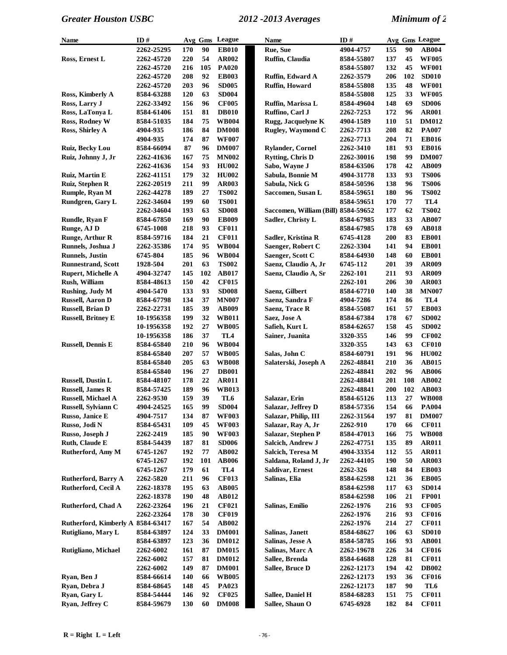| <b>Name</b>                       | ID#        |     |     | Avg Gms League  | <b>Name</b>                         | ID#        |     |     | Avg Gms League |
|-----------------------------------|------------|-----|-----|-----------------|-------------------------------------|------------|-----|-----|----------------|
|                                   | 2262-25295 | 170 | 90  | <b>EB010</b>    | Rue, Sue                            | 4904-4757  | 155 | 90  | <b>AB004</b>   |
| Ross, Ernest L                    | 2262-45720 | 220 | 54  | AR002           | Ruffin, Claudia                     | 8584-55807 | 137 | 45  | <b>WF005</b>   |
|                                   | 2262-45720 | 216 | 105 | <b>PA020</b>    |                                     | 8584-55807 | 132 | 45  | <b>WF001</b>   |
|                                   | 2262-45720 | 208 | 92  | <b>EB003</b>    | Ruffin, Edward A                    | 2262-3579  | 206 | 102 | <b>SD010</b>   |
|                                   | 2262-45720 | 203 | 96  | <b>SD005</b>    | <b>Ruffin, Howard</b>               | 8584-55808 | 135 | 48  | <b>WF001</b>   |
| Ross, Kimberly A                  | 8584-63288 | 120 | 63  | <b>SD004</b>    |                                     | 8584-55808 | 125 | 33  | <b>WF005</b>   |
| Ross, Larry J                     | 2262-33492 | 156 | 96  | <b>CF005</b>    | Ruffin, Marissa L                   | 8584-49604 | 148 | 69  | <b>SD006</b>   |
| Ross, LaTonya L                   | 8584-61406 | 151 | 81  | <b>DB010</b>    | Ruffino, Carl J                     | 2262-7253  | 172 | 96  | <b>AR001</b>   |
| Ross, Rodney W                    | 8584-51035 | 184 | 75  | <b>WB004</b>    | Rugg, Jacquelyne K                  | 4904-1589  | 110 | 51  | <b>DM012</b>   |
| Ross, Shirley A                   | 4904-935   | 186 | 84  | <b>DM008</b>    | Rugley, Waymond C                   | 2262-7713  | 208 | 82  | <b>PA007</b>   |
|                                   | 4904-935   | 174 | 87  | <b>WF007</b>    |                                     | 2262-7713  | 204 | 71  | <b>EB016</b>   |
| Ruiz, Becky Lou                   | 8584-66094 | 87  | 96  | <b>DM007</b>    | <b>Rylander, Cornel</b>             | 2262-3410  | 181 | 93  | <b>EB016</b>   |
| Ruiz, Johnny J, Jr                | 2262-41636 | 167 | 75  | <b>MN002</b>    | <b>Rytting, Chris D</b>             | 2262-30016 | 198 | 99  | <b>DM007</b>   |
|                                   | 2262-41636 | 154 | 93  | <b>HU002</b>    | Sabo, Wayne J                       | 8584-63506 | 178 | 42  | <b>AB009</b>   |
| Ruiz, Martin E                    | 2262-41151 | 179 | 32  | <b>HU002</b>    | Sabula, Bonnie M                    | 4904-31778 | 133 | 93  | <b>TS006</b>   |
| Ruiz, Stephen R                   | 2262-20519 | 211 | 99  | <b>AR003</b>    | Sabula, Nick G                      | 8584-50596 | 138 | 96  | <b>TS006</b>   |
| Rumple, Ryan M                    | 2262-44278 | 189 | 27  | TS002           | Saccomen, Susan L                   | 8584-59651 | 180 | 96  | <b>TS002</b>   |
| Rundgren, Gary L                  | 2262-34604 | 199 | 60  | <b>TS001</b>    |                                     | 8584-59651 | 170 | 77  | TL4            |
|                                   | 2262-34604 | 193 | 63  | <b>SD008</b>    | Saccomen, William (Bill) 8584-59652 |            | 177 | 62  | <b>TS002</b>   |
| Rundle, Ryan F                    | 8584-67850 | 169 | 90  | <b>EB009</b>    | Sadler, Christy L                   | 8584-67985 | 183 | 33  | <b>AB007</b>   |
| Runge, AJ D                       | 6745-1008  | 218 | 93  | <b>CF011</b>    |                                     | 8584-67985 | 178 | 69  | <b>AB018</b>   |
| <b>Runge, Arthur R</b>            | 8584-59716 | 184 | 21  | <b>CF011</b>    | Sadler, Kristina R                  | 6745-4128  | 200 | 83  | <b>EB001</b>   |
| Runnels, Joshua J                 | 2262-35386 | 174 | 95  | <b>WB004</b>    | Saenger, Robert C                   | 2262-3304  | 141 | 94  | <b>EB001</b>   |
| <b>Runnels</b> , Justin           | 6745-804   | 185 | 96  | <b>WB004</b>    | Saenger, Scott C                    | 8584-64930 | 148 | 60  | <b>EB001</b>   |
| <b>Runnestrand, Scott</b>         | 1928-504   | 201 | 63  | <b>TS002</b>    | Saenz, Claudio A, Jr                | 6745-112   | 201 | 39  | <b>AR009</b>   |
| <b>Rupert, Michelle A</b>         | 4904-32747 | 145 | 102 | <b>AB017</b>    | Saenz, Claudio A, Sr                | 2262-101   | 211 | 93  | <b>AR009</b>   |
| Rush, William                     | 8584-48613 | 150 | 42  | <b>CF015</b>    |                                     | 2262-101   | 206 | 30  | <b>AR003</b>   |
| Rushing, Judy M                   | 4904-5470  | 133 | 93  | <b>SD008</b>    | Saenz, Gilbert                      | 8584-67710 | 140 | 38  | <b>MN007</b>   |
| <b>Russell, Aaron D</b>           | 8584-67798 | 134 | 37  | <b>MN007</b>    | Saenz, Sandra F                     | 4904-7286  | 174 | 86  | TL4            |
| <b>Russell, Brian D</b>           | 2262-22731 | 185 | 39  | AB009           | Saenz, Trace R                      | 8584-55087 | 161 | 57  | <b>EB003</b>   |
| <b>Russell, Britney E</b>         | 10-1956358 | 199 | 32  | <b>WB011</b>    | Saez, Jose A                        | 8584-67384 | 178 | 67  | <b>SD002</b>   |
|                                   | 10-1956358 | 192 | 27  | <b>WB005</b>    | Safieh, Kurt L                      | 8584-62657 | 158 | 45  | <b>SD002</b>   |
|                                   | 10-1956358 | 186 | 37  | TL <sub>4</sub> | Sainer, Juanita                     | 3320-355   | 146 | 99  | <b>CF002</b>   |
| <b>Russell, Dennis E</b>          | 8584-65840 | 210 | 96  | <b>WB004</b>    |                                     | 3320-355   | 143 | 63  | <b>CF010</b>   |
|                                   | 8584-65840 | 207 | 57  | <b>WB005</b>    | Salas, John C                       | 8584-60791 | 191 | 96  | <b>HU002</b>   |
|                                   | 8584-65840 | 205 | 63  | <b>WB008</b>    | Salaterski, Joseph A                | 2262-48841 | 210 | 36  | <b>AB015</b>   |
|                                   | 8584-65840 | 196 | 27  | <b>DB001</b>    |                                     | 2262-48841 | 202 | 96  | <b>AB006</b>   |
| <b>Russell, Dustin L</b>          | 8584-48107 | 178 | 22  | <b>AR011</b>    |                                     | 2262-48841 | 201 | 108 | AB002          |
| <b>Russell, James R</b>           | 8584-57425 | 189 | 96  | <b>WB013</b>    |                                     | 2262-48841 | 200 | 102 | <b>AB003</b>   |
| <b>Russell, Michael A</b>         | 2262-9530  | 159 | 39  | TL <sub>6</sub> | Salazar, Erin                       | 8584-65126 | 113 | 27  | <b>WB008</b>   |
| Russell, Sylviann C               | 4904-24525 | 165 | 99  | <b>SD004</b>    | Salazar, Jeffrey D                  | 8584-57356 | 154 | 66  | <b>PA004</b>   |
| Russo, Janice E                   | 4904-7517  | 134 | 87  | <b>WF003</b>    | Salazar, Philip, III                | 2262-31564 | 197 | 81  | <b>DM007</b>   |
| Russo, Jodi N                     | 8584-65431 | 109 | 45  | <b>WF003</b>    | Salazar, Ray A, Jr                  | 2262-910   | 170 | 66  | <b>CF011</b>   |
| Russo, Joseph J                   | 2262-2419  | 185 | 90  | <b>WF003</b>    | Salazar, Stephen P                  | 8584-47013 | 166 | 75  | <b>WB008</b>   |
| Ruth, Claude E                    | 8584-54439 | 187 | 81  | <b>SD006</b>    | Salcich, Andrew J                   | 2262-47751 | 135 | 89  | <b>AR011</b>   |
| Rutherford, Amy M                 | 6745-1267  | 192 | 77  | AB002           | Salcich, Teresa M                   | 4904-33354 | 112 | 55  | AR011          |
|                                   | 6745-1267  | 192 | 101 | <b>AB006</b>    | Saldana, Roland J, Jr               | 2262-44105 | 190 | 50  | <b>AR003</b>   |
|                                   | 6745-1267  | 179 | 61  | TL4             | <b>Saldivar, Ernest</b>             | 2262-326   | 148 | 84  | <b>EB003</b>   |
| <b>Rutherford, Barry A</b>        | 2262-5820  | 211 | 96  | <b>CF013</b>    | Salinas, Elia                       | 8584-62598 | 121 | 36  | <b>EB005</b>   |
| Rutherford, Cecil A               | 2262-18378 | 195 | 63  | AB005           |                                     | 8584-62598 | 117 | 63  | <b>SD014</b>   |
|                                   | 2262-18378 | 190 | 48  | AB012           |                                     | 8584-62598 | 106 | 21  | <b>FP001</b>   |
| Rutherford, Chad A                | 2262-23264 | 196 | 21  | <b>CF021</b>    | Salinas, Emilio                     | 2262-1976  | 216 | 93  | <b>CF005</b>   |
|                                   | 2262-23264 | 178 | 30  | <b>CF019</b>    |                                     | 2262-1976  | 216 | 93  | <b>CF016</b>   |
| Rutherford, Kimberly A 8584-63417 |            | 167 | 54  | AB002           |                                     | 2262-1976  | 214 | 27  | <b>CF011</b>   |
| Rutigliano, Mary L                | 8584-63897 | 124 | 33  | <b>DM001</b>    | Salinas, Janett                     | 8584-68627 | 106 | 63  | <b>SD010</b>   |
|                                   | 8584-63897 | 123 | 36  | <b>DM012</b>    | Salinas, Jesse A                    | 8584-58785 | 166 | 93  | <b>AB001</b>   |
| Rutigliano, Michael               | 2262-6002  | 161 | 87  | <b>DM015</b>    | Salinas, Marc A                     | 2262-19678 | 226 | 34  | <b>CF016</b>   |
|                                   | 2262-6002  | 157 | 81  | <b>DM012</b>    | Sallee, Brenda                      | 8584-64688 | 128 | 81  | <b>CF011</b>   |
|                                   | 2262-6002  | 149 | 87  | <b>DM001</b>    | Sallee, Bruce D                     | 2262-12173 | 194 | 42  | <b>DB002</b>   |
| Ryan, Ben J                       | 8584-66614 | 140 | 66  | <b>WB005</b>    |                                     | 2262-12173 | 193 | 36  | <b>CF016</b>   |
| Ryan, Debra J                     | 8584-68645 | 148 | 45  | PA023           |                                     | 2262-12173 | 187 | 90  | TL6            |
| Ryan, Gary L                      | 8584-54444 | 146 | 92  | <b>CF025</b>    | Sallee, Daniel H                    | 8584-68283 | 151 | 75  | <b>CF011</b>   |
| Ryan, Jeffrey C                   | 8584-59679 | 130 | 60  | <b>DM008</b>    | Sallee, Shaun O                     | 6745-6928  | 182 | 84  | <b>CF011</b>   |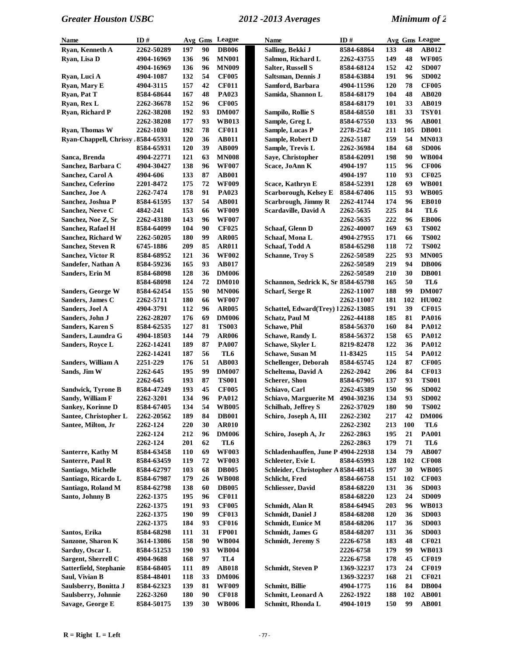| Name                                       | ID#        |     |    | Avg Gms League        | Name                                | ID#                     |            |     | Avg Gms League        |
|--------------------------------------------|------------|-----|----|-----------------------|-------------------------------------|-------------------------|------------|-----|-----------------------|
| Ryan, Kenneth A                            | 2262-50289 | 197 | 90 | <b>DB006</b>          | Salling, Bekki J                    | 8584-68864              | 133        | 48  | AB012                 |
| Ryan, Lisa D                               | 4904-16969 | 136 | 96 | <b>MN001</b>          | Salmon, Richard L                   | 2262-43755              | 149        | 48  | <b>WF005</b>          |
|                                            | 4904-16969 | 136 | 96 | <b>MN009</b>          | <b>Salter, Russell S</b>            | 8584-68124              | 152        | 42  | <b>SD007</b>          |
| Ryan, Luci A                               | 4904-1087  | 132 | 54 | <b>CF005</b>          | Saltsman, Dennis J                  | 8584-63884              | 191        | 96  | <b>SD002</b>          |
| Ryan, Mary E                               | 4904-3115  | 157 | 42 | <b>CF011</b>          | Samford, Barbara                    | 4904-11596              | 120        | 78  | <b>CF005</b>          |
| Rvan, Pat T                                | 8584-68644 | 167 | 48 | PA023                 | Samida, Shannon L                   | 8584-68179              | 104        | 48  | <b>AB020</b>          |
| Ryan, Rex L                                | 2262-36678 | 152 | 96 | <b>CF005</b>          |                                     | 8584-68179              | 101        | 33  | <b>AB019</b>          |
| Ryan, Richard P                            | 2262-38208 | 192 | 93 | <b>DM007</b>          | Sampilo, Rollie S                   | 8584-68550              | 181        | 33  | <b>TSY01</b>          |
|                                            | 2262-38208 | 177 | 93 | <b>WB013</b>          | Sample, Greg L                      | 8584-67550              | 133        | 96  | <b>AB001</b>          |
| Ryan, Thomas W                             | 2262-1030  | 192 | 78 | <b>CF011</b>          | Sample, Lucas P                     | 2278-2542               | 211        | 105 | <b>DB001</b>          |
| Ryan-Chappell, Chrissy .8584-65931         |            | 120 | 36 | <b>AB011</b>          | Sample, Robert D                    | 2262-5187               | 159        | 54  | <b>MN013</b>          |
|                                            | 8584-65931 | 120 | 39 | <b>AB009</b>          | Sample, Trevis L                    | 2262-36984              | 184        | 68  | <b>SD006</b>          |
| Sanca, Brenda                              | 4904-22771 | 121 | 63 | <b>MN008</b>          | Saye, Christopher                   | 8584-62091              | 198        | 90  | <b>WB004</b>          |
| Sanchez, Barbara C                         | 4904-30427 | 138 | 96 | <b>WF007</b>          | Scace, JoAnn K                      | 4904-197                | 115        | 96  | <b>CF006</b>          |
| Sanchez, Carol A                           | 4904-606   | 133 | 87 | <b>AB001</b>          |                                     | 4904-197                | 110        | 93  | <b>CF025</b>          |
| Sanchez, Ceferino                          | 2201-8472  | 175 | 72 | <b>WF009</b>          | Scace, Kathryn E                    | 8584-52391              | 128        | 69  | <b>WB001</b>          |
| Sanchez, Joe A                             | 2262-7474  | 178 | 91 | PA023                 | Scarborough, Kelsey E               | 8584-67406              | 115        | 93  | <b>WB005</b>          |
| Sanchez, Joshua P                          | 8584-61595 | 137 | 54 | <b>AB001</b>          | <b>Scarbrough, Jimmy R</b>          | 2262-41744              | 174        | 96  | <b>EB010</b>          |
| Sanchez, Neeve C                           | 4842-241   | 153 | 66 | <b>WF009</b>          | Scardaville, David A                | 2262-5635               | 225        | 84  | TL6                   |
| Sanchez, Noe Z, Sr                         | 2262-43180 | 143 | 96 | <b>WF007</b>          |                                     | 2262-5635               | 222        | 96  | <b>EB006</b>          |
| Sanchez, Rafael H                          | 8584-64099 | 104 | 90 | <b>CF025</b>          | Schaaf, Glenn D                     | 2262-40007              | 169        | 63  | <b>TS002</b>          |
| Sanchez, Richard W                         | 2262-50205 | 180 | 99 | <b>AR005</b>          | Schaaf, Mona L                      | 4904-27955              | 171        | 66  | <b>TS002</b>          |
| <b>Sanchez, Steven R</b>                   | 6745-1886  | 209 | 85 | <b>AR011</b>          | Schaaf, Todd A                      | 8584-65298              | 118        | 72  | <b>TS002</b>          |
| <b>Sanchez, Victor R</b>                   | 8584-68952 | 121 | 36 | <b>WF002</b>          | <b>Schanne, Troy S</b>              | 2262-50589              | 225        | 93  | <b>MN005</b>          |
| Sandefer, Nathan A                         | 8584-59236 | 165 | 93 | <b>AB017</b>          |                                     | 2262-50589              | 219        | 94  | <b>DB006</b>          |
| <b>Sanders, Erin M</b>                     | 8584-68098 | 128 | 36 | <b>DM006</b>          |                                     | 2262-50589              | 210        | 30  | <b>DB001</b>          |
|                                            | 8584-68098 | 124 | 72 | <b>DM010</b>          | Schannon, Sedrick K, Sr 8584-65798  |                         | 165        | 50  | TL6                   |
| <b>Sanders, George W</b>                   | 8584-62454 | 155 | 90 | <b>MN006</b>          | <b>Scharf, Serge R</b>              | 2262-11007              | 188        | 99  | <b>DM007</b>          |
| Sanders, James C                           | 2262-5711  | 180 | 66 | <b>WF007</b>          |                                     | 2262-11007              | 181        | 102 | <b>HU002</b>          |
| Sanders, Joel A                            | 4904-3791  | 112 | 96 | <b>AR005</b>          | Schattel, Edward(Trey) 12262-13085  |                         | 191        | 39  | <b>CF015</b>          |
| Sanders, John J                            | 2262-28207 | 176 | 69 | <b>DM006</b>          | <b>Schatz, Paul M</b>               | 2262-44188              | 185        | 81  | PA016                 |
| <b>Sanders, Karen S</b>                    | 8584-62535 | 127 | 81 | <b>TS003</b>          | <b>Schawe</b> , Phil                | 8584-56370              | 160        | 84  | <b>PA012</b>          |
| Sanders, Laundra G                         | 4904-18503 | 144 | 79 | <b>AR006</b>          | <b>Schawe, Randy L</b>              | 8584-56372              | 158        | 65  | <b>PA012</b>          |
| Sanders, Royce L                           | 2262-14241 | 189 | 87 | <b>PA007</b>          | Schawe, Skyler L                    | 8219-82478              | 122        | 36  | <b>PA012</b>          |
|                                            | 2262-14241 | 187 | 56 | TL6                   | Schawe, Susan M                     | 11-83425                | 115        | 54  | <b>PA012</b>          |
| Sanders, William A                         | 2251-229   | 176 | 51 | <b>AB003</b>          | Schellenger, Deborah                | 8584-65745              | 124        | 87  | <b>CF005</b>          |
| Sands, Jim W                               | 2262-645   | 195 | 99 | <b>DM007</b>          | Scheltema, David A                  | 2262-2042               | 206        | 84  | <b>CF013</b>          |
|                                            | 2262-645   | 193 | 87 | <b>TS001</b>          | Scherer, Shon                       | 8584-67905              | 137        | 93  | <b>TS001</b>          |
| Sandwick, Tyrone B                         | 8584-47249 | 193 | 45 | <b>CF005</b>          | Schiavo, Carl                       | 2262-45389              | 150        | 96  | <b>SD002</b>          |
| Sandy, William F                           | 2262-3201  | 134 | 96 | <b>PA012</b>          | Schiavo, Marguerite M               | 4904-30236              | 134        | 93  | <b>SD002</b>          |
|                                            | 8584-67405 | 134 | 54 |                       | <b>Schilhab, Jeffrey S</b>          |                         |            | 90  |                       |
| Sankey, Korinne D<br>Santee, Christopher L | 2262-20562 | 189 | 84 | WB005<br><b>DB001</b> | Schiro, Joseph A, III               | 2262-37029<br>2262-2302 | 180<br>217 | 42  | TS002<br><b>DM006</b> |
| Santee, Milton, Jr                         | 2262-124   | 220 | 30 | <b>AR010</b>          |                                     | 2262-2302               | 213        | 100 | TL6                   |
|                                            | 2262-124   | 212 | 96 | <b>DM006</b>          | Schiro, Joseph A, Jr                | 2262-2863               | 195        | 21  | <b>PA001</b>          |
|                                            | 2262-124   | 201 | 62 | TL6                   |                                     | 2262-2863               | 179        | 71  | TL6                   |
| Santerre, Kathy M                          | 8584-63458 | 110 | 69 | <b>WF003</b>          | Schladenhauffen, June P 4904-22938  |                         | 134        | 79  | AB007                 |
| <b>Santerre, Paul R</b>                    | 8584-63459 | 119 | 72 | <b>WF003</b>          | Schleeter, Evie L                   | 8584-65993              | 128        | 102 | <b>CF008</b>          |
| Santiago, Michelle                         | 8584-62797 | 103 | 68 | <b>DB005</b>          | Schleider, Christopher A 8584-48145 |                         | 197        | 30  | <b>WB005</b>          |
| Santiago, Ricardo L                        | 8584-67987 | 179 | 26 | <b>WB008</b>          | Schlicht, Fred                      | 8584-66758              | 151        | 102 | <b>CF003</b>          |
| Santiago, Roland M                         | 8584-62798 | 138 | 60 | <b>DB005</b>          | <b>Schliesser</b> , David           | 8584-68220              | 131        | 36  | <b>SD003</b>          |
| Santo, Johnny B                            | 2262-1375  | 195 | 96 | <b>CF011</b>          |                                     | 8584-68220              | 123        | 24  | <b>SD009</b>          |
|                                            | 2262-1375  | 191 | 93 | <b>CF005</b>          | Schmidt, Alan R                     | 8584-64945              | 203        | 96  | <b>WB013</b>          |
|                                            | 2262-1375  | 190 | 99 | <b>CF013</b>          | Schmidt, Daniel J                   | 8584-68208              | 120        | 36  | <b>SD003</b>          |
|                                            | 2262-1375  | 184 | 93 | <b>CF016</b>          | Schmidt, Eunice M                   | 8584-68206              | 117        | 36  | <b>SD003</b>          |
| Santos, Erika                              | 8584-68298 | 111 | 31 | <b>FP001</b>          | Schmidt, James G                    | 8584-68207              | 131        | 36  | <b>SD003</b>          |
| Sanzone, Sharon K                          | 3614-13086 | 158 | 90 | <b>WB004</b>          | <b>Schmidt</b> , Jeremy S           | 2226-6758               | 183        | 48  | <b>CF021</b>          |
| Sarduy, Oscar L                            | 8584-51253 | 190 | 93 | <b>WB004</b>          |                                     | 2226-6758               | 179        | 99  | <b>WB013</b>          |
| Sargent, Sherrell C                        | 4904-9688  | 168 | 97 | TL <sub>4</sub>       |                                     | 2226-6758               | 178        | 45  | <b>CF019</b>          |
| Satterfield, Stephanie                     | 8584-68405 | 111 | 89 | <b>AB018</b>          | <b>Schmidt</b> , Steven P           | 1369-32237              | 173        | 24  | <b>CF019</b>          |
| Saul, Vivian B                             | 8584-48401 | 118 | 33 | <b>DM006</b>          |                                     | 1369-32237              | 168        | 21  | <b>CF021</b>          |
| Saulsberry, Bonitta J                      | 8584-62323 | 139 | 81 | <b>WF009</b>          | Schmitt, Billie                     | 4904-1775               | 116        | 84  | <b>DB004</b>          |
| Saulsberry, Johnnie                        | 2262-3260  | 180 | 90 | <b>CF018</b>          | Schmitt, Leonard A                  | 2262-1922               | 188        | 102 | <b>AB001</b>          |
| Savage, George E                           | 8584-50175 | 139 | 30 | <b>WB006</b>          | Schmitt, Rhonda L                   | 4904-1019               | 150        | 99  | <b>AB001</b>          |
|                                            |            |     |    |                       |                                     |                         |            |     |                       |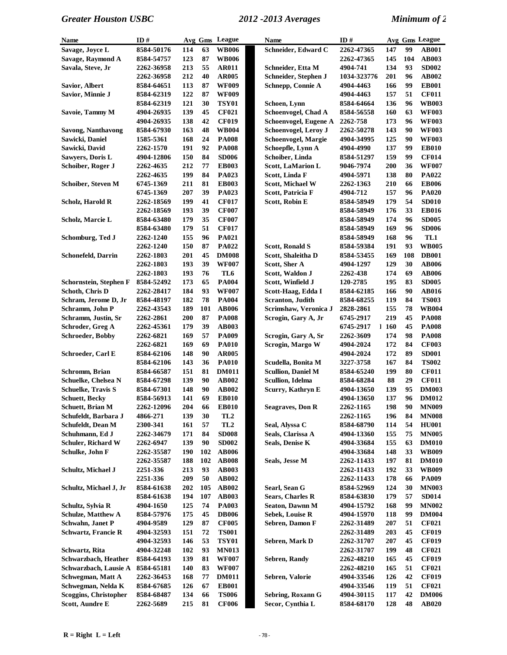| Name                         | ID#                    |            |          | Avg Gms League               | <b>Name</b>               | ID#                      |            |          | Avg Gms League               |
|------------------------------|------------------------|------------|----------|------------------------------|---------------------------|--------------------------|------------|----------|------------------------------|
| Savage, Joyce L              | 8584-50176             | 114        | 63       | <b>WB006</b>                 | Schneider, Edward C       | 2262-47365               | 147        | 99       | <b>AB001</b>                 |
| Savage, Raymond A            | 8584-54757             | 123        | 87       | <b>WB006</b>                 |                           | 2262-47365               | 145        | 104      | <b>AB003</b>                 |
| Savala, Steve, Jr            | 2262-36958             | 213        | 55       | <b>AR011</b>                 | Schneider, Etta M         | 4904-741                 | 134        | 93       | <b>SD002</b>                 |
|                              | 2262-36958             | 212        | 40       | <b>AR005</b>                 | Schneider, Stephen J      | 1034-323776              | 201        | 96       | AB002                        |
| Savior, Albert               | 8584-64651             | 113        | 87       | <b>WF009</b>                 | Schnepp, Connie A         | 4904-4463                | 166        | 99       | <b>EB001</b>                 |
| Savior, Minnie J             | 8584-62319             | 122        | 87       | <b>WF009</b>                 |                           | 4904-4463                | 157        | 51       | <b>CF011</b>                 |
|                              | 8584-62319             | 121        | 30       | <b>TSY01</b>                 | Schoen, Lynn              | 8584-64664               | 136        | 96       | <b>WB003</b>                 |
| Savoie, Tammy M              | 4904-26935             | 139        | 45       | <b>CF021</b>                 | Schoenvogel, Chad A       | 8584-56558               | 160        | 63       | <b>WF003</b>                 |
|                              | 4904-26935             | 138        | 42       | <b>CF019</b>                 | Schoenvogel, Eugene A     | 2262-758                 | 173        | 96       | <b>WF003</b>                 |
| Savong, Nanthavong           | 8584-67930             | 163        | 48       | <b>WB004</b>                 | Schoenvogel, Leroy J      | <b>2262-50278</b>        | 143        | 90       | <b>WF003</b>                 |
| Sawicki, Daniel              | 1585-5361              | 168        | 24       | <b>PA008</b>                 | Schoenvogel, Margie       | 4904-34995               | 125        | 90       | <b>WF003</b>                 |
| Sawicki, David               | 2262-1570              | 191        | 92       | <b>PA008</b>                 | Schoepfle, Lynn A         | 4904-4990                | 137        | 99       | <b>EB010</b>                 |
| Sawyers, Doris L             | 4904-12806             | 150        | 84       | <b>SD006</b>                 | Schoiber, Linda           | 8584-51297               | 159        | 99       | <b>CF014</b>                 |
| Schoiber, Roger J            | 2262-4635              | 212        | 77       | <b>EB003</b>                 | <b>Scott, LaMarion L</b>  | 9046-7974                | 200        | 36       | <b>WF007</b>                 |
|                              | 2262-4635              | 199        | 84       | PA023                        | Scott, Linda F            | 4904-5971                | 138        | 80       | <b>PA022</b>                 |
| Schoiber, Steven M           | 6745-1369              | 211        | 81       | <b>EB003</b>                 | Scott, Michael W          | 2262-1363                | 210        | 66       | <b>EB006</b>                 |
|                              | 6745-1369              | 207        | 39       | PA023                        | Scott, Patricia F         | 4904-712                 | 157        | 96       | <b>PA020</b>                 |
| Scholz, Harold R             | 2262-18569             | 199        | 41<br>39 | <b>CF017</b>                 | Scott, Robin E            | 8584-58949               | 179        | 54<br>33 | <b>SD010</b>                 |
|                              | 2262-18569             | 193        | 35       | <b>CF007</b>                 |                           | 8584-58949               | 176<br>174 |          | <b>EB016</b><br><b>SD005</b> |
| Scholz, Marcie L             | 8584-63480             | 179        | 51       | <b>CF007</b>                 |                           | 8584-58949               |            | 96<br>96 |                              |
|                              | 8584-63480             | 179<br>155 | 96       | <b>CF017</b><br><b>PA021</b> |                           | 8584-58949               | 169<br>168 | 96       | <b>SD006</b><br>TL1          |
| Schomburg, Ted J             | 2262-1240              | 150        | 87       | PA022                        | <b>Scott, Ronald S</b>    | 8584-58949<br>8584-59384 | 191        | 93       | <b>WB005</b>                 |
| <b>Schonefeld, Darrin</b>    | 2262-1240<br>2262-1803 | 201        | 45       | <b>DM008</b>                 | Scott, Shaleitha D        | 8584-53455               | 169        | 108      | <b>DB001</b>                 |
|                              | 2262-1803              | 193        | 39       | <b>WF007</b>                 | Scott, Sher A             | 4904-1297                | 129        | 30       | <b>AB006</b>                 |
|                              | 2262-1803              | 193        | 76       | TL6                          | Scott, Waldon J           | 2262-438                 | 174        | 69       | <b>AB006</b>                 |
| Schornstein, Stephen F       | 8584-52492             | 173        | 65       | <b>PA004</b>                 | Scott, Winfield J         | 120-2785                 | 195        | 83       | <b>SD005</b>                 |
| Schoth, Chris D              | 2262-28417             | 184        | 93       | <b>WF007</b>                 | Scott-Haag, Edda I        | 8584-62185               | 166        | 90       | <b>AB016</b>                 |
| Schram, Jerome D, Jr         | 8584-48197             | 182        | 78       | <b>PA004</b>                 | <b>Scranton</b> , Judith  | 8584-68255               | 119        | 84       | <b>TS003</b>                 |
| Schramm, John P              | 2262-43543             | 189        | 101      | <b>AB006</b>                 | Scrimshaw, Veronica J     | 2828-2861                | 155        | 78       | <b>WB004</b>                 |
| Schramm, Justin, Sr          | 2262-2861              | 200        | 87       | <b>PA008</b>                 | Scrogin, Gary A, Jr       | 6745-2917                | 219        | 45       | <b>PA008</b>                 |
| Schroder, Greg A             | 2262-45361             | 179        | 39       | <b>AB003</b>                 |                           | 6745-2917                | 1160       | 45       | <b>PA008</b>                 |
| <b>Schroeder, Bobby</b>      | 2262-6821              | 169        | 57       | <b>PA009</b>                 | Scrogin, Gary A, Sr       | 2262-3609                | 174        | 98       | <b>PA008</b>                 |
|                              | 2262-6821              | 169        | 69       | <b>PA010</b>                 | Scrogin, Margo W          | 4904-2024                | 172        | 84       | <b>CF003</b>                 |
| Schroeder, Carl E            | 8584-62106             | 148        | 90       | <b>AR005</b>                 |                           | 4904-2024                | 172        | 89       | <b>SD001</b>                 |
|                              | 8584-62106             | 143        | 36       | <b>PA010</b>                 | Scudella, Bonita M        | 3227-3758                | 167        | 84       | <b>TS002</b>                 |
| Schromm, Brian               | 8584-66587             | 151        | 81       | <b>DM011</b>                 | <b>Scullion, Daniel M</b> | 8584-65240               | 199        | 80       | <b>CF011</b>                 |
| Schuelke, Chelsea N          | 8584-67298             | 139        | 90       | AB002                        | Scullion, Idelma          | 8584-68284               | 88         | 29       | <b>CF011</b>                 |
| <b>Schuelke, Travis S</b>    | 8584-67301             | 148        | 90       | AB002                        | Scurry, Kathryn E         | 4904-13650               | 139        | 95       | <b>DM003</b>                 |
| <b>Schuett, Becky</b>        | 8584-56913             | 141        | 69       | <b>EB010</b>                 |                           | 4904-13650               | 137        | 96       | <b>DM012</b>                 |
| Schuett, Brian M             | <b>2262-12096</b>      | 204        | 66       | <b>EB010</b>                 | Seagraves, Don R          | 2262-1165                | 198        | 90       | <b>MN009</b>                 |
| Schufeldt, Barbara J         | 4866-271               | 139        | 30       | TL <sub>2</sub>              |                           | 2262-1165                | 196        | 84       | <b>MN008</b>                 |
| Schufeldt, Dean M            | 2300-341               | 161        | 57       | TL <sub>2</sub>              | Seal, Alyssa C            | 8584-68790               | 114        | 54       | <b>HU001</b>                 |
| Schuhmann, Ed J              | 2262-34679             | 171        | 84       | <b>SD008</b>                 | Seals, Clarissa A         | 4904-13360               | 155        | 75       | <b>MN005</b>                 |
| <b>Schuler, Richard W</b>    | 2262-6947              | 139        | 90       | <b>SD002</b>                 | <b>Seals, Denise K</b>    | 4904-33684               | 155        | 63       | <b>DM010</b>                 |
| Schulke, John F              | 2262-35587             | 190        | 102      | <b>AB006</b>                 |                           | 4904-33684               | 148        | 33       | <b>WB009</b>                 |
|                              | 2262-35587             | 188        | 102      | <b>AB008</b>                 | Seals, Jesse M            | 2262-11433               | 197        | 81       | <b>DM010</b>                 |
| Schultz, Michael J           | 2251-336               | 213        | 93       | <b>AB003</b>                 |                           | 2262-11433               | 192        | 33       | <b>WB009</b>                 |
|                              | 2251-336               | 209        | 50       | AB002                        |                           | 2262-11433               | 178        | 66       | <b>PA009</b>                 |
| Schultz, Michael J, Jr       | 8584-61638             | 202        | 105      | AB002                        | Searl, Sean G             | 8584-52969               | 124        | 30       | <b>MN003</b>                 |
|                              | 8584-61638             | 194        | 107      | <b>AB003</b>                 | <b>Sears, Charles R</b>   | 8584-63830               | 179        | 57       | <b>SD014</b>                 |
| Schultz, Sylvia R            | 4904-1650              | 125        | 74       | <b>PA003</b>                 | <b>Seaton, Dawnn M</b>    | 4904-15792               | 168        | 99       | <b>MN002</b>                 |
| <b>Schulze, Matthew A</b>    | 8584-57976             | 175        | 45       | <b>DB006</b>                 | Sebek, Louise R           | 4904-15970               | 118        | 99       | <b>DM004</b>                 |
| Schwahn, Janet P             | 4904-9589              | 129        | 87       | <b>CF005</b>                 | Sebren, Damon F           | 2262-31489               | 207        | 51       | <b>CF021</b>                 |
| <b>Schwartz, Francie R</b>   | 4904-32593             | 151        | 72       | <b>TS001</b>                 |                           | 2262-31489               | 203        | 45       | <b>CF019</b>                 |
|                              | 4904-32593             | 146        | 53       | <b>TSY01</b>                 | Sebren, Mark D            | 2262-31707               | 207        | 45       | <b>CF019</b>                 |
| Schwartz, Rita               | 4904-32248             | 102        | 93       | <b>MN013</b>                 |                           | 2262-31707               | 199        | 48       | <b>CF021</b>                 |
| Schwarzbach, Heather         | 8584-64193             | 139        | 81       | <b>WF007</b>                 | <b>Sebren, Randy</b>      | 2262-48210               | 165        | 45       | <b>CF019</b>                 |
| Schwarzbach, Lausie A        | 8584-65181             | 140        | 83       | <b>WF007</b>                 |                           | 2262-48210               | 165        | 51       | <b>CF021</b>                 |
| Schwegman, Matt A            | 2262-36453             | 168        | 77       | <b>DM011</b>                 | Sebren, Valorie           | 4904-33546               | 126        | 42       | <b>CF019</b>                 |
| Schwegman, Nelda K           | 8584-67685             | 126        | 67       | <b>EB001</b>                 |                           | 4904-33546               | 119        | 51       | <b>CF021</b>                 |
| <b>Scoggins, Christopher</b> | 8584-68487             | 134        | 66       | <b>TS006</b>                 | Sebring, Roxann G         | 4904-30115               | 117        | 42       | <b>DM006</b>                 |
| <b>Scott, Aundre E</b>       | 2262-5689              | 215        | 81       | <b>CF006</b>                 | Secor, Cynthia L          | 8584-68170               | 128        | 48       | <b>AB020</b>                 |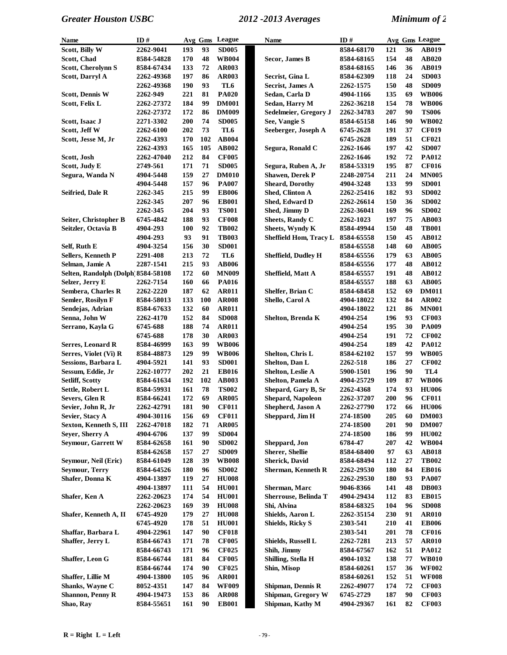| Name                               | ID#        |     |            | Avg Gms League | <b>Name</b>                   | ID#        |     |    | Avg Gms League |
|------------------------------------|------------|-----|------------|----------------|-------------------------------|------------|-----|----|----------------|
| Scott, Billy W                     | 2262-9041  | 193 | 93         | <b>SD005</b>   |                               | 8584-68170 | 121 | 36 | <b>AB019</b>   |
| Scott, Chad                        | 8584-54828 | 170 | 48         | <b>WB004</b>   | Secor, James B                | 8584-68165 | 154 | 48 | <b>AB020</b>   |
| <b>Scott, Cherolynn S</b>          | 8584-67434 | 133 | 72         | <b>AR003</b>   |                               | 8584-68165 | 146 | 36 | <b>AB019</b>   |
| Scott, Darryl A                    | 2262-49368 | 197 | 86         | <b>AR003</b>   | Secrist, Gina L               | 8584-62309 | 118 | 24 | <b>SD003</b>   |
|                                    | 2262-49368 | 190 | 93         | TL6            | <b>Secrist, James A</b>       | 2262-1575  | 150 | 48 | <b>SD009</b>   |
| <b>Scott, Dennis W</b>             | 2262-949   | 221 | 81         | <b>PA020</b>   | Sedan, Carla D                | 4904-1166  | 135 | 69 | <b>WB006</b>   |
| Scott, Felix L                     | 2262-27372 | 184 | 99         | <b>DM001</b>   | Sedan, Harry M                | 2262-36218 | 154 | 78 | <b>WB006</b>   |
|                                    | 2262-27372 | 172 | 86         | <b>DM009</b>   | Sedelmeier, Gregory J         | 2262-34783 | 207 | 90 | <b>TS006</b>   |
| Scott, Isaac J                     | 2271-3302  | 200 | 74         | <b>SD005</b>   | See, Vangie S                 | 8584-65158 | 146 | 90 | <b>WB002</b>   |
| Scott, Jeff W                      | 2262-6100  | 202 | 73         | TL6            | Seeberger, Joseph A           | 6745-2628  | 191 | 37 | <b>CF019</b>   |
| Scott, Jesse M, Jr                 | 2262-4393  | 170 | 102        | <b>AB004</b>   |                               | 6745-2628  | 189 | 51 | <b>CF021</b>   |
|                                    | 2262-4393  | 165 | 105        | <b>AB002</b>   | Segura, Ronald C              | 2262-1646  | 197 | 42 | <b>SD007</b>   |
| Scott, Josh                        | 2262-47040 | 212 | 84         | <b>CF005</b>   |                               | 2262-1646  | 192 | 72 | <b>PA012</b>   |
| Scott, Judy E                      | 2749-561   | 171 | 71         | <b>SD005</b>   | Segura, Ruben A, Jr           | 8584-53319 | 195 | 87 | <b>CF016</b>   |
| Segura, Wanda N                    | 4904-5448  | 159 | 27         | <b>DM010</b>   | <b>Shawen, Derek P</b>        | 2248-20754 | 211 | 24 | <b>MN005</b>   |
|                                    | 4904-5448  | 157 | 96         | <b>PA007</b>   | <b>Sheard, Dorothy</b>        | 4904-3248  | 133 | 99 | <b>SD001</b>   |
| <b>Seifried, Dale R</b>            | 2262-345   | 215 | 99         | <b>EB006</b>   | Shed, Clinton A               | 2262-25416 | 182 | 93 | <b>SD002</b>   |
|                                    | 2262-345   | 207 | 96         | <b>EB001</b>   | Shed, Edward D                | 2262-26614 | 150 | 36 | <b>SD002</b>   |
|                                    |            | 204 | 93         | <b>TS001</b>   | Shed, Jimmy D                 |            | 169 | 96 | <b>SD002</b>   |
|                                    | 2262-345   |     | 93         | <b>CF008</b>   | <b>Sheets, Randy C</b>        | 2262-36041 |     |    |                |
| Seiter, Christopher B              | 6745-4842  | 188 |            |                |                               | 2262-1023  | 197 | 75 | <b>AB003</b>   |
| Seitzler, Octavia B                | 4904-293   | 100 | 92         | <b>TB002</b>   | <b>Sheets, Wyndy K</b>        | 8584-49944 | 150 | 48 | <b>TB001</b>   |
|                                    | 4904-293   | 93  | 91         | <b>TB003</b>   | <b>Sheffield Hom, Tracy L</b> | 8584-65558 | 150 | 45 | AB012          |
| Self, Ruth E                       | 4904-3254  | 156 | 30         | <b>SD001</b>   |                               | 8584-65558 | 148 | 60 | <b>AB005</b>   |
| <b>Sellers, Kenneth P</b>          | 2291-408   | 213 | 72         | TL6            | <b>Sheffield, Dudley H</b>    | 8584-65556 | 179 | 63 | <b>AB005</b>   |
| Selman, Jamie A                    | 2287-1541  | 215 | 93         | <b>AB006</b>   |                               | 8584-65556 | 177 | 48 | AB012          |
| Selten, Randolph (Dolph 8584-58108 |            | 172 | 60         | <b>MN009</b>   | Sheffield, Matt A             | 8584-65557 | 191 | 48 | AB012          |
| Selzer, Jerry E                    | 2262-7154  | 160 | 66         | <b>PA016</b>   |                               | 8584-65557 | 188 | 63 | <b>AB005</b>   |
| Sembera, Charles R                 | 2262-2220  | 187 | 62         | <b>AR011</b>   | Shelfer, Brian C              | 8584-68458 | 152 | 69 | <b>DM011</b>   |
| Semler, Rosilyn F                  | 8584-58013 | 133 | <b>100</b> | <b>AR008</b>   | Shello, Carol A               | 4904-18022 | 132 | 84 | <b>AR002</b>   |
| Sendejas, Adrian                   | 8584-67633 | 132 | 60         | <b>AR011</b>   |                               | 4904-18022 | 121 | 86 | <b>MN001</b>   |
| Senna, John W                      | 2262-4170  | 152 | 84         | <b>SD008</b>   | Shelton, Brenda K             | 4904-254   | 196 | 93 | <b>CF003</b>   |
| Serrano, Kayla G                   | 6745-688   | 188 | 74         | <b>AR011</b>   |                               | 4904-254   | 195 | 30 | <b>PA009</b>   |
|                                    | 6745-688   | 178 | 30         | <b>AR003</b>   |                               | 4904-254   | 191 | 72 | <b>CF002</b>   |
| Serres, Leonard R                  | 8584-46999 | 163 | 99         | <b>WB006</b>   |                               | 4904-254   | 189 | 42 | <b>PA012</b>   |
| Serres, Violet (Vi) R              | 8584-48873 | 129 | 99         | <b>WB006</b>   | Shelton, Chris L              | 8584-62102 | 157 | 99 | <b>WB005</b>   |
| Sessions, Barbara L                | 4904-5921  | 141 | 93         | <b>SD001</b>   | Shelton, Dan L                | 2262-518   | 186 | 27 | <b>CF002</b>   |
| Sessum, Eddie, Jr                  | 2262-10777 | 202 | 21         | <b>EB016</b>   | Shelton, Leslie A             | 5900-1501  | 196 | 90 | TL4            |
| <b>Setliff, Scotty</b>             | 8584-61634 | 192 | 102        | <b>AB003</b>   | Shelton, Pamela A             | 4904-25729 | 109 | 87 | <b>WB006</b>   |
| Settle, Robert L                   | 8584-59931 | 161 | 78         | <b>TS002</b>   | Shepard, Gary B, Sr           | 2262-4368  | 174 | 93 | <b>HU006</b>   |
| Severs, Glen R                     | 8584-66241 | 172 | 69         | <b>AR005</b>   | <b>Shepard, Napoleon</b>      | 2262-37207 | 200 | 96 | <b>CF011</b>   |
| Sevier, John R, Jr                 | 2262-42791 | 181 | 90         | <b>CF011</b>   | Shepherd, Jason A             | 2262-27790 | 172 | 66 | <b>HU006</b>   |
| Sevier, Stacy A                    | 4904-30116 | 156 | 69         | <b>CF011</b>   | Sheppard, Jim H               | 274-18500  | 205 | 60 | <b>DM003</b>   |
| Sexton, Kenneth S, III             | 2262-47018 | 182 | 71         | <b>AR005</b>   |                               | 274-18500  | 201 | 90 | <b>DM007</b>   |
| Seyer, Sherry A                    | 4904-6706  | 137 | 99         | <b>SD004</b>   |                               | 274-18500  | 186 | 99 | <b>HU002</b>   |
| <b>Seymour, Garrett W</b>          | 8584-62658 | 161 | 90         | <b>SD002</b>   | Sheppard, Jon                 | 6784-47    | 207 | 42 | <b>WB004</b>   |
|                                    | 8584-62658 | 157 | 27         | <b>SD009</b>   | <b>Sherer, Shellie</b>        | 8584-68400 | 97  | 63 | <b>AB018</b>   |
| Seymour, Neil (Eric)               | 8584-61049 | 128 | 39         | <b>WB008</b>   | <b>Sherick, David</b>         | 8584-68494 | 112 | 27 | <b>TB002</b>   |
| <b>Seymour, Terry</b>              | 8584-64526 | 180 | 96         | <b>SD002</b>   | <b>Sherman, Kenneth R</b>     | 2262-29530 | 180 | 84 | <b>EB016</b>   |
| Shafer, Donna K                    | 4904-13897 | 119 | 27         | <b>HU008</b>   |                               | 2262-29530 | 180 | 93 | <b>PA007</b>   |
|                                    | 4904-13897 | 111 | 54         | <b>HU001</b>   | Sherman, Marc                 | 9046-8366  | 141 | 48 | <b>DB003</b>   |
| Shafer, Ken A                      | 2262-20623 | 174 | 54         | <b>HU001</b>   | Sherrouse, Belinda T          | 4904-29434 | 112 | 83 | <b>EB015</b>   |
|                                    | 2262-20623 | 169 | 39         | <b>HU008</b>   | Shi, Alvina                   | 8584-68325 | 104 | 96 | <b>SD008</b>   |
| Shafer, Kenneth A, II              | 6745-4920  | 179 | 27         | <b>HU008</b>   | Shields, Aaron L              | 2262-35154 | 230 | 91 | <b>AR010</b>   |
|                                    | 6745-4920  | 178 | 51         | <b>HU001</b>   | <b>Shields, Ricky S</b>       | 2303-541   | 210 | 41 | <b>EB006</b>   |
| Shaffar, Barbara L                 | 4904-22961 | 147 | 90         | <b>CF018</b>   |                               | 2303-541   | 201 | 78 | <b>CF016</b>   |
| Shaffer, Jerry L                   | 8584-66743 | 171 | 78         | <b>CF005</b>   | Shields, Russell L            | 2262-7281  | 213 | 57 | <b>AR010</b>   |
|                                    | 8584-66743 | 171 | 96         | <b>CF025</b>   | Shih, Jimmy                   | 8584-67567 | 162 | 51 | PA012          |
| Shaffer, Leon G                    | 8584-66744 | 181 | 84         | <b>CF005</b>   | Shilling, Stella H            | 4904-1032  | 138 | 77 | <b>WB010</b>   |
|                                    | 8584-66744 | 174 | 90         | <b>CF025</b>   | Shin, Misop                   | 8584-60261 | 157 | 36 | <b>WF002</b>   |
| Shaffer, Lillie M                  | 4904-13800 | 105 | 96         | <b>AR001</b>   |                               | 8584-60261 | 152 | 51 | <b>WF008</b>   |
| Shanks, Wayne C                    | 8052-4351  | 147 | 84         | <b>WF009</b>   | Shipman, Dennis R             | 2262-49077 | 174 | 72 | <b>CF003</b>   |
| <b>Shannon, Penny R</b>            | 4904-19473 | 153 | 86         | <b>AR008</b>   | Shipman, Gregory W            | 6745-2729  | 187 | 90 | <b>CF003</b>   |
| Shao, Ray                          | 8584-55651 | 161 | 90         | <b>EB001</b>   | Shipman, Kathy M              | 4904-29367 | 161 | 82 | <b>CF003</b>   |
|                                    |            |     |            |                |                               |            |     |    |                |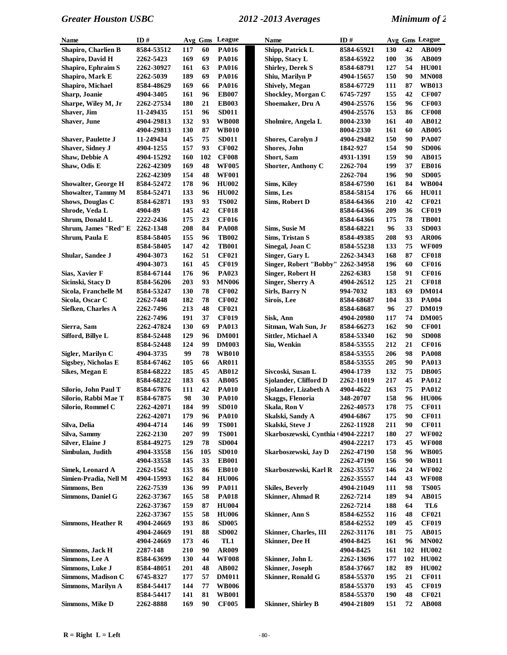| Name                       | ID#        |     |     | Avg Gms League | <b>Name</b>                              | ID#        |            |     | Avg Gms League |
|----------------------------|------------|-----|-----|----------------|------------------------------------------|------------|------------|-----|----------------|
| Shapiro, Charlien B        | 8584-53512 | 117 | 60  | <b>PA016</b>   | Shipp, Patrick L                         | 8584-65921 | 130        | 42  | <b>AB009</b>   |
| Shapiro, David H           | 2262-5423  | 169 | 69  | <b>PA016</b>   | Shipp, Stacy L                           | 8584-65922 | 100        | 36  | AB009          |
| Shapiro, Ephraim S         | 2262-30927 | 161 | 63  | <b>PA016</b>   | <b>Shirley, Derek S</b>                  | 8584-68791 | 127        | 54  | <b>HU001</b>   |
| Shapiro, Mark E            | 2262-5039  | 189 | 69  | <b>PA016</b>   | Shiu, Marilyn P                          | 4904-15657 | 150        | 90  | <b>MN008</b>   |
| Shapiro, Michael           | 8584-48629 | 169 | 66  | <b>PA016</b>   | Shively, Megan                           | 8584-67729 | 111        | 87  | <b>WB013</b>   |
| Sharp, Joanie              | 4904-3405  | 161 | 96  | <b>EB007</b>   | Shockley, Morgan C                       | 6745-7297  | 155        | 42  | <b>CF007</b>   |
| Sharpe, Wiley M, Jr        | 2262-27534 | 180 | 21  | <b>EB003</b>   | Shoemaker, Dru A                         | 4904-25576 | 156        | 96  | <b>CF003</b>   |
| Shaver, Jim                | 11-249435  | 151 | 96  | <b>SD011</b>   |                                          | 4904-25576 | 153        | 86  | <b>CF008</b>   |
| Shaver, June               | 4904-29813 | 132 | 93  | <b>WB008</b>   | Sholmire, Angela L                       | 8004-2330  | 161        | 40  | <b>AB012</b>   |
|                            | 4904-29813 | 130 | 87  | <b>WB010</b>   |                                          | 8004-2330  | 161        | 60  | AB005          |
| <b>Shaver, Paulette J</b>  | 11-249434  | 145 | 75  | <b>SD011</b>   | <b>Shores, Carolyn J</b>                 | 4904-29482 | 150        | 90  | <b>PA007</b>   |
| Shaver, Sidney J           | 4904-1255  | 157 | 93  | <b>CF002</b>   | Shores, John                             | 1842-927   | 154        | 90  | <b>SD006</b>   |
| Shaw, Debbie A             | 4904-15292 | 160 | 102 | <b>CF008</b>   | Short, Sam                               | 4931-1391  | 159        | 90  | AB015          |
| Shaw, Odis E               | 2262-42309 | 169 | 48  | <b>WF005</b>   | <b>Shorter, Anthony C</b>                | 2262-704   | 199        | 37  | <b>EB016</b>   |
|                            | 2262-42309 | 154 | 48  | <b>WF001</b>   |                                          | 2262-704   | 196        | 90  | <b>SD005</b>   |
| <b>Showalter, George H</b> | 8584-52472 | 178 | 96  | <b>HU002</b>   | <b>Sims, Kiley</b>                       | 8584-67590 | 161        | 84  | <b>WB004</b>   |
| Showalter, Tammy M         | 8584-52471 | 133 | 96  | <b>HU002</b>   | Sims, Les                                | 8584-58154 | 176        | 66  | <b>HU011</b>   |
| Shows, Douglas C           | 8584-62871 | 193 | 93  | <b>TS002</b>   | Sims, Robert D                           | 8584-64366 | 210        | 42  | <b>CF021</b>   |
| Shrode, Veda L             | 4904-89    | 145 | 42  | <b>CF018</b>   |                                          | 8584-64366 | 209        | 36  | <b>CF019</b>   |
| Shrum, Donald L            | 2222-2436  | 175 | 23  | <b>CF016</b>   |                                          | 8584-64366 | 175        | 78  | <b>TB001</b>   |
| Shrum, James "Red" E       | 2262-1348  | 208 | 84  | <b>PA008</b>   | Sims, Susie M                            | 8584-68221 | 96         | 33  | <b>SD003</b>   |
| Shrum, Paula E             | 8584-58405 | 155 | 96  | <b>TB002</b>   | Sims, Tristan S                          | 8584-49385 | 208        | 93  | <b>AR006</b>   |
|                            | 8584-58405 | 147 | 42  | <b>TB001</b>   | Sinegal, Joan C                          | 8584-55238 | 133        | 75  | <b>WF009</b>   |
| Shular, Sandee J           | 4904-3073  | 162 | 51  | <b>CF021</b>   |                                          |            | 168        | 87  | <b>CF018</b>   |
|                            | 4904-3073  | 161 | 45  | <b>CF019</b>   | Singer, Gary L<br>Singer, Robert "Bobby" | 2262-34343 | 196        | 60  | <b>CF016</b>   |
|                            |            |     | 96  |                | <b>Singer, Robert H</b>                  | 2262-34958 |            | 91  | <b>CF016</b>   |
| Sias, Xavier F             | 8584-67144 | 176 |     | PA023          |                                          | 2262-6383  | 158        |     |                |
| Sicinski, Stacy D          | 8584-56206 | 203 | 93  | <b>MN006</b>   | Singer, Sherry A                         | 4904-26512 | 125<br>183 | 21  | <b>CF018</b>   |
| Sicola, Franchelle M       | 8584-53247 | 130 | 78  | <b>CF002</b>   | Sirls, Barry N                           | 994-7032   |            | 69  | <b>DM014</b>   |
| Sicola, Oscar C            | 2262-7448  | 182 | 78  | <b>CF002</b>   | Sirois, Lee                              | 8584-68687 | 104        | 33  | <b>PA004</b>   |
| Siefken, Charles A         | 2262-7496  | 213 | 48  | <b>CF021</b>   |                                          | 8584-68687 | 96         | 27  | <b>DM019</b>   |
|                            | 2262-7496  | 191 | 37  | <b>CF019</b>   | Sisk, Ann                                | 4904-20980 | 117        | 74  | <b>DM005</b>   |
| Sierra, Sam                | 2262-47824 | 130 | 69  | <b>PA013</b>   | Sitman, Wah Sun, Jr                      | 8584-66273 | 162        | 90  | <b>CF001</b>   |
| Sifford, Billye L          | 8584-52448 | 129 | 96  | <b>DM001</b>   | Sittler, Michael A                       | 8584-53340 | 162        | 90  | <b>SD008</b>   |
|                            | 8584-52448 | 124 | 99  | <b>DM003</b>   | Siu, Wenkin                              | 8584-53555 | 212        | 21  | <b>CF016</b>   |
| Sigler, Marilyn C          | 4904-3735  | 99  | 78  | <b>WB010</b>   |                                          | 8584-53555 | 206        | 98  | <b>PA008</b>   |
| <b>Sigsbey, Nicholas E</b> | 8584-67462 | 105 | 66  | <b>AR011</b>   |                                          | 8584-53555 | 205        | 90  | <b>PA013</b>   |
| Sikes, Megan E             | 8584-68222 | 185 | 45  | <b>AB012</b>   | Sivcoski, Susan L                        | 4904-1739  | 132        | 75  | <b>DB005</b>   |
|                            | 8584-68222 | 183 | 63  | <b>AB005</b>   | Sjolander, Clifford D                    | 2262-11019 | 217        | 45  | <b>PA012</b>   |
| Silorio, John Paul T       | 8584-67876 | 111 | 42  | <b>PA010</b>   | Sjolander, Lizabeth A                    | 4904-4622  | 163        | 75  | <b>PA012</b>   |
| Silorio, Rabbi Mae T       | 8584-67875 | 98  | 30  | <b>PA010</b>   | <b>Skaggs, Flenoria</b>                  | 348-20707  | 158        | 96  | <b>HU006</b>   |
| Silorio, Rommel C          | 2262-42071 | 184 | 99  | <b>SD010</b>   | Skala, Ron V                             | 2262-40573 | 178        | 75  | <b>CF011</b>   |
|                            | 2262-42071 | 179 | 96  | <b>PA010</b>   | Skalski, Sandy A                         | 4904-6867  | 175        | 90  | <b>CF011</b>   |
| Silva, Delia               | 4904-4714  | 146 | 99  | <b>TS001</b>   | Skalski, Steve J                         | 2262-11928 | 211        | 90  | <b>CF011</b>   |
| Silva, Sammy               | 2262-2130  | 207 | 99  | <b>TS001</b>   | Skarboszewski, Cynthia (4904-22217       |            | 180        | 27  | <b>WF002</b>   |
| Silver, Elaine J           | 8584-49275 | 129 | 78  | <b>SD004</b>   |                                          | 4904-22217 | 173        | 45  | <b>WF008</b>   |
| Simbulan, Judith           | 4904-33558 | 156 | 105 | <b>SD010</b>   | Skarboszewski, Jay D                     | 2262-47190 | 158        | 96  | <b>WB005</b>   |
|                            | 4904-33558 | 145 | 33  | <b>EB001</b>   |                                          | 2262-47190 | 156        | 90  | <b>WB011</b>   |
| Simek, Leonard A           | 2262-1562  | 135 | 86  | <b>EB010</b>   | Skarboszewski, Karl R                    | 2262-35557 | 146        | 24  | <b>WF002</b>   |
| Simien-Pradia, Nell M      | 4904-15993 | 162 | 84  | <b>HU006</b>   |                                          | 2262-35557 | 144        | 43  | <b>WF008</b>   |
| Simmons, Ben               | 2262-7539  | 136 | 99  | <b>PA011</b>   | <b>Skiles, Beverly</b>                   | 4904-21049 | 111        | 98  | <b>TS005</b>   |
| Simmons, Daniel G          | 2262-37367 | 165 | 58  | <b>PA018</b>   | <b>Skinner, Ahmad R</b>                  | 2262-7214  | 189        | 94  | AB015          |
|                            | 2262-37367 | 159 | 87  | <b>HU004</b>   |                                          | 2262-7214  | 188        | 64  | TL6            |
|                            | 2262-37367 | 155 | 58  | <b>HU006</b>   | <b>Skinner</b> , Ann S                   | 8584-62552 | 116        | 48  | <b>CF021</b>   |
| <b>Simmons, Heather R</b>  | 4904-24669 | 193 | 86  | <b>SD005</b>   |                                          | 8584-62552 | 109        | 45  | <b>CF019</b>   |
|                            | 4904-24669 | 191 | 88  | <b>SD002</b>   | Skinner, Charles, III                    | 2262-31176 | 181        | 75  | AB015          |
|                            | 4904-24669 | 173 | 46  | TL1            | <b>Skinner</b> , Dee H                   | 4904-8425  | 161        | 96  | <b>MN002</b>   |
| Simmons, Jack H            | 2287-148   | 210 | 90  | <b>AR009</b>   |                                          | 4904-8425  | 161        | 102 | <b>HU002</b>   |
| Simmons, Lee A             | 8584-63699 | 130 | 44  | <b>WF008</b>   | Skinner, John L                          | 2262-13696 | 177        | 102 | <b>HU002</b>   |
| Simmons, Luke J            | 8584-48051 | 201 | 48  | AB002          | <b>Skinner</b> , Joseph                  | 8584-37667 | 182        | 89  | <b>HU002</b>   |
| Simmons, Madison C         | 6745-8327  | 177 | 57  | <b>DM011</b>   | <b>Skinner, Ronald G</b>                 | 8584-55370 | 195        | 21  | <b>CF011</b>   |
| Simmons, Marilyn A         | 8584-54417 | 144 | 77  | <b>WB006</b>   |                                          | 8584-55370 | 193        | 45  | <b>CF019</b>   |
|                            | 8584-54417 | 141 | 81  | <b>WB001</b>   |                                          | 8584-55370 | 190        | 48  | <b>CF021</b>   |
| Simmons, Mike D            | 2262-8888  | 169 | 90  | <b>CF005</b>   | <b>Skinner</b> , Shirley B               | 4904-21809 | 151        | 72  | <b>AB008</b>   |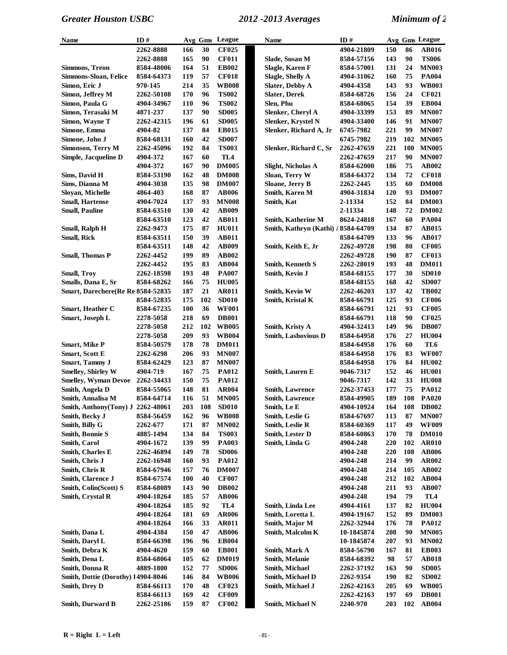| <b>Name</b>                        | ID#        | Avg Gms    |     | League          | Name                                | ID#        |     |     | Avg Gms League |
|------------------------------------|------------|------------|-----|-----------------|-------------------------------------|------------|-----|-----|----------------|
|                                    | 2262-8888  | 166        | 30  | <b>CF025</b>    |                                     | 4904-21809 | 150 | 86  | <b>AB016</b>   |
|                                    | 2262-8888  | 165        | 90  | <b>CF011</b>    | Slade, Susan M                      | 8584-57156 | 143 | 90  | <b>TS006</b>   |
| Simmons, Treon                     | 8584-48006 | 164        | 51  | <b>EB002</b>    | Slagle, Karen F                     | 8584-57001 | 131 | 24  | <b>MN003</b>   |
| <b>Simmons-Sloan, Felice</b>       | 8584-64373 | 119        | 57  | <b>CF018</b>    | Slagle, Shelly A                    | 4904-31062 | 160 | 75  | <b>PA004</b>   |
| Simon, Eric J                      | 970-145    | 214        | 35  | <b>WB008</b>    | <b>Slater, Debby A</b>              | 4904-4358  | 143 | 93  | <b>WB003</b>   |
| Simon, Jeffrey M                   | 2262-50108 | 170        | 96  | <b>TS002</b>    | <b>Slater, Derek</b>                | 8584-68726 | 156 | 24  | <b>CF021</b>   |
| Simon, Paula G                     | 4904-34967 | 110        | 96  | <b>TS002</b>    | Slen, Phu                           | 8584-68065 | 154 | 39  | <b>EB004</b>   |
| Simon, Terasaki M                  | 4871-237   | 137        | 90  | <b>SD005</b>    | Slenker, Cheryl A                   | 4904-33399 | 153 | 89  | <b>MN007</b>   |
| Simon, Wayne T                     | 2262-42315 | 196        | 61  | <b>SD005</b>    | Slenker, Krystel N                  | 4904-33400 | 146 | 91  | <b>MN007</b>   |
| Simone, Emma                       | 4904-82    | 137        | 84  | <b>EB015</b>    | Slenker, Richard A, Jr              | 6745-7982  | 221 | 99  | <b>MN007</b>   |
| Simone, John J                     | 8584-68131 | 160        | 42  | <b>SD007</b>    |                                     | 6745-7982  | 219 | 102 | <b>MN005</b>   |
| Simonson, Terry M                  | 2262-45096 | 192        | 84  | <b>TS003</b>    | Slenker, Richard C, Sr              | 2262-47659 | 221 | 100 | <b>MN005</b>   |
| Simple, Jacqueline D               | 4904-372   | 167        | 60  | TL <sub>4</sub> |                                     | 2262-47659 | 217 | 90  | <b>MN007</b>   |
|                                    | 4904-372   | 167        | 90  | <b>DM005</b>    | Slight, Nicholas A                  | 8584-62000 | 186 | 75  | AB002          |
| Sims, David H                      | 8584-53190 | 162        | 48  | <b>DM008</b>    | Sloan, Terry W                      | 8584-64372 | 134 | 72  | <b>CF018</b>   |
| Sims, Dianna M                     | 4904-3038  | 135        | 98  | <b>DM007</b>    | Sloane, Jerry B                     | 2262-2445  | 135 | 60  | <b>DM008</b>   |
| Sloyan, Michelle                   | 4864-403   | 168        | 87  | <b>AB006</b>    | Smith, Karen M                      | 4904-31834 | 120 | 93  | <b>DM007</b>   |
| <b>Small, Hartense</b>             | 4904-7024  | 137        | 93  | <b>MN008</b>    | Smith, Kat                          | 2-11334    | 152 | 84  | <b>DM003</b>   |
| <b>Small, Pauline</b>              | 8584-63510 | 130        | 42  | <b>AB009</b>    |                                     | 2-11334    | 148 | 72  | <b>DM002</b>   |
|                                    | 8584-63510 | 123        | 42  | <b>AB011</b>    | <b>Smith, Katherine M</b>           | 8624-24818 | 167 | 60  | <b>PA004</b>   |
| Small, Ralph H                     | 2262-9473  | 175        | 87  | <b>HU011</b>    | Smith, Kathryn (Kathi) / 8584-64709 |            | 134 | 87  | <b>AB015</b>   |
| <b>Small, Rick</b>                 | 8584-63511 | 150        | 39  | <b>AB011</b>    |                                     | 8584-64709 | 133 | 96  | <b>AB017</b>   |
|                                    | 8584-63511 | 148        | 42  | <b>AB009</b>    | Smith, Keith E, Jr                  | 2262-49728 | 198 | 80  | <b>CF005</b>   |
| <b>Small, Thomas P</b>             | 2262-4452  | 199        | 89  | <b>AB002</b>    |                                     | 2262-49728 | 190 | 87  | <b>CF013</b>   |
|                                    | 2262-4452  | 195        | 83  | <b>AB004</b>    | <b>Smith, Kenneth S</b>             | 2262-28019 | 193 | 48  | <b>DM011</b>   |
| <b>Small, Troy</b>                 | 2262-18598 | 193        | 48  | <b>PA007</b>    | Smith, Kevin J                      | 8584-68155 | 177 | 30  | <b>SD010</b>   |
| Smalls, Dana E, Sr                 | 8584-68262 | 166        | 75  | <b>HU005</b>    |                                     | 8584-68155 | 168 | 42  | <b>SD007</b>   |
| Smart, Darechere(Re Re 8584-52835  |            | 187        | 21  | <b>AR011</b>    | Smith, Kevin W                      | 2262-46203 | 137 | 42  | <b>TB002</b>   |
|                                    | 8584-52835 | 175        | 102 | <b>SD010</b>    | Smith, Kristal K                    | 8584-66791 | 125 | 93  | <b>CF006</b>   |
| Smart, Heather C                   | 8584-67235 | 100        | 36  | <b>WF001</b>    |                                     | 8584-66791 | 121 | 93  | <b>CF005</b>   |
| Smart, Joseph L                    | 2278-5058  | 218        | 69  | <b>DB001</b>    |                                     | 8584-66791 | 118 | 90  | <b>CF025</b>   |
|                                    | 2278-5058  | 212        | 102 | <b>WB005</b>    | Smith, Kristy A                     | 4904-32413 | 149 | 96  | <b>DB007</b>   |
|                                    | 2278-5058  | 209        | 93  | <b>WB004</b>    | <b>Smith, Lashovious D</b>          | 8584-64958 | 176 | 27  | <b>HU004</b>   |
| <b>Smart, Mike P</b>               | 8584-50579 | 178        | 78  | <b>DM011</b>    |                                     | 8584-64958 | 176 | 60  | TL6            |
| <b>Smart, Scott E</b>              | 2262-6298  | 206        | 93  | <b>MN007</b>    |                                     | 8584-64958 | 176 | 83  | <b>WF007</b>   |
| <b>Smart</b> , Tammy J             | 8584-62429 | 123        | 87  | <b>MN007</b>    |                                     | 8584-64958 | 176 | 84  | <b>HU002</b>   |
| <b>Smelley, Shirley W</b>          | 4904-719   | 167        | 75  | <b>PA012</b>    | Smith, Lauren E                     | 9046-7317  | 152 | 46  | <b>HU001</b>   |
| <b>Smelley, Wyman Devoe</b>        | 2262-34433 | 150        | 75  | <b>PA012</b>    |                                     | 9046-7317  | 142 | 33  | <b>HU008</b>   |
| Smith, Angela D                    | 8584-55065 | 148        | 81  | AR004           | <b>Smith, Lawrence</b>              | 2262-37453 | 177 | 75  | PA012          |
| Smith, Annalisa M                  | 8584-64714 | 116        | 51  | <b>MN005</b>    | <b>Smith, Lawrence</b>              | 8584-49905 | 189 | 108 | <b>PA020</b>   |
| Smith, Anthony(Tony) J 2262-48061  |            | 203        | 108 | <b>SD010</b>    | Smith, Le E                         | 4904-10924 | 164 |     | 108 DB002      |
| Smith, Becky J                     | 8584-56459 | 162        | 96  | <b>WB008</b>    | Smith, Leslie G                     | 8584-67697 | 113 | 87  | <b>MN007</b>   |
| Smith, Billy G                     | 2262-677   | 171        | 87  | <b>MN002</b>    | <b>Smith, Leslie R</b>              | 8584-60369 | 117 | 49  | <b>WF009</b>   |
| <b>Smith, Bonnie S</b>             | 4885-1494  | 134        | 84  | <b>TS003</b>    | Smith, Lester D                     | 8584-60863 | 170 | 78  | <b>DM010</b>   |
| <b>Smith, Carol</b>                | 4904-1672  | 139        | 99  | <b>PA003</b>    | Smith, Linda G                      | 4904-248   | 220 | 102 | <b>AR010</b>   |
| Smith, Charles E                   | 2262-46894 | 149        | 78  | <b>SD006</b>    |                                     | 4904-248   | 220 | 108 | <b>AB006</b>   |
| Smith, Chris J                     | 2262-16948 | 160        | 93  | <b>PA012</b>    |                                     | 4904-248   | 214 | 99  | AR002          |
| Smith, Chris R                     | 8584-67946 | 157        | 76  | <b>DM007</b>    |                                     | 4904-248   | 214 | 105 | AB002          |
| Smith, Clarence J                  | 8584-67574 | <b>100</b> | 40  | <b>CF007</b>    |                                     | 4904-248   | 212 | 102 | AB004          |
| Smith, Colin(Scott) S              | 8584-68089 | 143        | 90  | <b>DB002</b>    |                                     | 4904-248   | 211 | 93  | <b>AB007</b>   |
| Smith, Crystal R                   | 4904-18264 | 185        | 57  | <b>AB006</b>    |                                     | 4904-248   | 194 | 79  | TL4            |
|                                    | 4904-18264 | 185        | 92  | TL4             | Smith, Linda Lee                    | 4904-4161  | 137 | 82  | <b>HU004</b>   |
|                                    | 4904-18264 | 181        | 69  | <b>AR006</b>    | Smith, Loretta L                    | 4904-19167 | 152 | 89  | <b>DM003</b>   |
|                                    | 4904-18264 | 166        | 33  | <b>AR011</b>    | Smith, Major M                      | 2262-32944 | 176 | 78  | <b>PA012</b>   |
| Smith, Dana L                      | 4904-4384  | 150        | 47  | <b>AB006</b>    | Smith, Malcolm K                    | 10-1845874 | 208 | 90  | <b>MN005</b>   |
| Smith, Daryl L                     | 8584-66398 | 196        | 96  | <b>EB004</b>    |                                     | 10-1845874 | 207 | 93  | <b>MN002</b>   |
| Smith, Debra K                     | 4904-4620  | 159        | 60  | <b>EB001</b>    | Smith, Mark A                       | 8584-56790 | 167 | 81  | <b>EB003</b>   |
| Smith, Dena L                      | 8584-68064 | 105        | 62  | <b>DM019</b>    | Smith, Melanie                      | 8584-68392 | 98  | 57  | <b>AB018</b>   |
| Smith, Donna R                     | 4889-1800  | 152        | 77  | <b>SD006</b>    | Smith, Michael                      | 2262-37192 | 163 | 90  | <b>SD005</b>   |
| Smith, Dottie (Dorothy) 14904-8046 |            | 146        | 84  | <b>WB006</b>    | Smith, Michael D                    | 2262-9354  | 190 | 82  | <b>SD002</b>   |
| Smith, Drey D                      | 8584-66113 | 170        | 48  | <b>CF023</b>    | Smith, Michael J                    | 2262-42163 | 205 | 69  | <b>WB005</b>   |
|                                    | 8584-66113 | 169        | 42  | <b>CF009</b>    |                                     | 2262-42163 | 197 | 69  | <b>DB001</b>   |
| <b>Smith, Durward B</b>            | 2262-25186 | 159        | 87  | <b>CF002</b>    | Smith, Michael N                    | 2240-970   | 203 | 102 | <b>AB004</b>   |
|                                    |            |            |     |                 |                                     |            |     |     |                |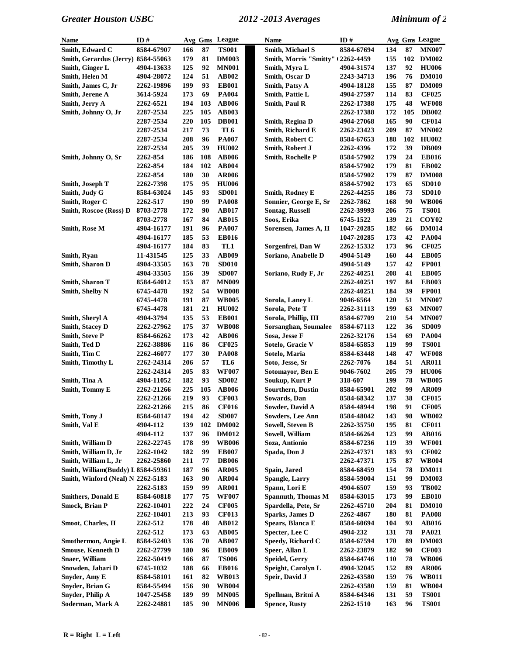| Name                               | ID#               |     |     | Avg Gms League | Name                                      | ID#        |            |     | Avg Gms League    |
|------------------------------------|-------------------|-----|-----|----------------|-------------------------------------------|------------|------------|-----|-------------------|
| Smith, Edward C                    | 8584-67907        | 166 | 87  | <b>TS001</b>   | Smith, Michael S                          | 8584-67694 | 134        | 87  | <b>MN007</b>      |
| Smith, Gerardus (Jerry) 8584-55063 |                   | 179 | 81  | <b>DM003</b>   | <b>Smith, Morris "Smitty" (2262-4459)</b> |            | 155        | 102 | <b>DM002</b>      |
| Smith, Ginger L                    | 4904-13633        | 125 | 92  | <b>MN001</b>   | Smith, Myra L                             | 4904-31574 | 137        | 92  | <b>HU006</b>      |
| Smith, Helen M                     | 4904-28072        | 124 | 51  | <b>AB002</b>   | Smith, Oscar D                            | 2243-34713 | 196        | 76  | <b>DM010</b>      |
| Smith, James C, Jr                 | 2262-19896        | 199 | 93  | <b>EB001</b>   | Smith, Patsy A                            | 4904-18128 | 155        | 87  | <b>DM009</b>      |
| Smith, Jerene A                    | 3614-5924         | 173 | 69  | <b>PA004</b>   | Smith, Pattie L                           | 4904-27597 | 114        | 83  | <b>CF025</b>      |
| Smith, Jerry A                     | 2262-6521         | 194 | 103 | <b>AB006</b>   | Smith, Paul R                             | 2262-17388 | 175        | 48  | <b>WF008</b>      |
| Smith, Johnny O, Jr                | 2287-2534         | 225 | 105 | <b>AB003</b>   |                                           | 2262-17388 | 172        | 105 | <b>DB002</b>      |
|                                    | 2287-2534         | 220 | 105 | <b>DB001</b>   | Smith, Regina D                           | 4904-27068 | 165        | 90  | <b>CF014</b>      |
|                                    | 2287-2534         | 217 | 73  | TL6            | Smith, Richard E                          | 2262-23423 | 209        | 87  | <b>MN002</b>      |
|                                    | 2287-2534         | 208 | 96  | <b>PA007</b>   | Smith, Robert C                           | 8584-67653 | 188        | 102 | <b>HU002</b>      |
|                                    | 2287-2534         | 205 | 39  | <b>HU002</b>   | Smith, Robert J                           | 2262-4396  | 172        | 39  | <b>DB009</b>      |
| Smith, Johnny O, Sr                | 2262-854          | 186 | 108 | <b>AB006</b>   | Smith, Rochelle P                         | 8584-57902 | 179        | 24  | <b>EB016</b>      |
|                                    | 2262-854          | 184 | 102 | <b>AB004</b>   |                                           | 8584-57902 | 179        | 81  | <b>EB002</b>      |
|                                    | 2262-854          | 180 | 30  | <b>AR006</b>   |                                           | 8584-57902 | 179        | 87  | <b>DM008</b>      |
| Smith, Joseph T                    | 2262-7398         | 175 | 95  | <b>HU006</b>   |                                           | 8584-57902 | 173        | 65  | <b>SD010</b>      |
| Smith, Judy G                      | 8584-63024        | 145 | 93  | <b>SD001</b>   | Smith, Rodney E                           | 2262-44255 | 186        | 73  | <b>SD010</b>      |
| Smith, Roger C                     | 2262-517          | 190 | 99  | <b>PA008</b>   | Sonnier, George E, Sr                     | 2262-7862  | 168        | 90  | <b>WB006</b>      |
| Smith, Roscoe (Ross) D             | 8703-2778         | 172 | 90  | <b>AB017</b>   | <b>Sontag, Russell</b>                    | 2262-39993 | 206        | 75  | <b>TS001</b>      |
|                                    | 8703-2778         | 167 | 84  | <b>AB015</b>   | Soos, Erika                               | 6745-1522  | 139        | 21  | COY <sub>02</sub> |
| <b>Smith, Rose M</b>               | 4904-16177        | 191 | 96  | <b>PA007</b>   | Sorensen, James A, II                     | 1047-20285 | 182        | 66  | <b>DM014</b>      |
|                                    | 4904-16177        | 185 | 53  | <b>EB016</b>   |                                           | 1047-20285 | 173        | 42  | <b>PA004</b>      |
|                                    | 4904-16177        | 184 | 83  | TL1            | Sorgenfrei, Dan W                         | 2262-15332 | 173        | 96  | <b>CF025</b>      |
| Smith, Ryan                        | 11-431545         | 125 | 33  | AB009          | Soriano, Anabelle D                       | 4904-5149  | 160        | 44  | <b>EB005</b>      |
| Smith, Sharon D                    | 4904-33505        | 163 | 78  | <b>SD010</b>   |                                           | 4904-5149  | 157        | 42  | <b>FP001</b>      |
|                                    | 4904-33505        | 156 | 39  | <b>SD007</b>   | Soriano, Rudy F, Jr                       | 2262-40251 | 208        | 41  | <b>EB005</b>      |
| Smith, Sharon T                    | 8584-64012        | 153 | 87  | <b>MN009</b>   |                                           | 2262-40251 | 197        | 84  | <b>EB003</b>      |
| <b>Smith, Shelby N</b>             | 6745-4478         | 192 | 54  | <b>WB008</b>   |                                           | 2262-40251 | 184        | 39  | <b>FP001</b>      |
|                                    | 6745-4478         | 191 | 87  | <b>WB005</b>   | Sorola, Laney L                           | 9046-6564  | 120        | 51  | <b>MN007</b>      |
|                                    | 6745-4478         | 181 | 21  | <b>HU002</b>   | Sorola, Pete T                            | 2262-31113 | 199        | 63  | <b>MN007</b>      |
| Smith, Sheryl A                    | 4904-3794         | 135 | 53  | <b>EB001</b>   | Sorola, Phillip, III                      | 8584-67709 | 210        | 54  | <b>MN007</b>      |
| <b>Smith, Stacey D</b>             | 2262-27962        | 175 | 37  | <b>WB008</b>   | Sorsanghan, Soumalee                      | 8584-67113 | 122        | 36  | <b>SD009</b>      |
| <b>Smith, Steve P</b>              | 8584-66262        | 173 | 42  | <b>AB006</b>   | Sosa, Jesse F                             | 2262-32176 | 154        | 69  | <b>PA004</b>      |
| Smith, Ted D                       | 2262-38886        | 116 | 86  | <b>CF025</b>   | Sotelo, Gracie V                          | 8584-65853 | 119        | 99  | <b>TS001</b>      |
| Smith, Tim C                       | 2262-46077        | 177 | 30  | <b>PA008</b>   | Sotelo, Maria                             | 8584-63448 | 148        | 47  | <b>WF008</b>      |
| Smith, Timothy L                   | 2262-24314        | 206 | 57  | TL6            | Soto, Jesse, Sr                           | 2262-7076  | 184        | 51  | <b>AR011</b>      |
|                                    | 2262-24314        | 205 | 83  | <b>WF007</b>   | Sotomayor, Ben E                          | 9046-7602  | 205        | 79  | <b>HU006</b>      |
| Smith, Tina A                      | 4904-11052        | 182 | 93  | <b>SD002</b>   | Soukup, Kurt P                            | 318-607    | 199        | 78  | <b>WB005</b>      |
| Smith, Tommy E                     | 2262-21266        | 225 | 105 | <b>AB006</b>   | <b>Sourthern, Dustin</b>                  | 8584-65901 | 202        | 99  | <b>AR009</b>      |
|                                    | 2262-21266        | 219 | 93  | <b>CF003</b>   | Sowards, Dan                              | 8584-68342 | 137        | 38  | <b>CF015</b>      |
|                                    | 2262-21266        | 215 | 86  | <b>CF016</b>   | Sowder, David A                           | 8584-48944 | 198        | 91  | <b>CF005</b>      |
| Smith, Tony J                      | 8584-68147        | 194 | 42  | <b>SD007</b>   | <b>Sowders, Lee Ann</b>                   | 8584-48042 | 143        | 98  | <b>WB002</b>      |
| Smith, Val E                       | 4904-112          | 139 | 102 | <b>DM002</b>   | <b>Sowell, Steven B</b>                   | 2262-35750 | 195        | 81  | <b>CF011</b>      |
|                                    | 4904-112          | 137 | 96  | <b>DM012</b>   | Sowell, William                           | 8584-66264 | 123        | 99  | <b>AB016</b>      |
| Smith, William D                   | 2262-22745        | 178 | 99  | <b>WB006</b>   | Soza, Antionio                            | 8584-67236 | 119        | 39  | <b>WF001</b>      |
| Smith, William D, Jr               | 2262-1042         | 182 | 99  | <b>EB007</b>   | Spada, Don J                              | 2262-47371 | 183        | 93  | <b>CF002</b>      |
| Smith, William L, Jr               | 2262-25860        | 211 | 77  | <b>DB006</b>   |                                           | 2262-47371 | 175        | 87  | <b>WB004</b>      |
| Smith, William(Buddy) L 8584-59361 |                   | 187 | 96  | <b>AR005</b>   | Spain, Jared                              | 8584-68459 | 154        | 78  | <b>DM011</b>      |
| Smith, Winford (Neal) N 2262-5183  |                   | 163 | 90  | <b>AR004</b>   | <b>Spangle, Larry</b>                     | 8584-59004 | 151        | 99  | <b>DM003</b>      |
|                                    | 2262-5183         | 159 | 99  | <b>AR001</b>   | Spann, Lori E                             | 4904-6507  | 159        | 93  | <b>TB002</b>      |
| <b>Smithers, Donald E</b>          | 8584-60818        | 177 | 75  | <b>WF007</b>   | <b>Spannuth, Thomas M</b>                 | 8584-63015 | 173        | 99  | <b>EB010</b>      |
| <b>Smock, Brian P</b>              | 2262-10401        | 222 | 24  | <b>CF005</b>   | Spardella, Pete, Sr                       | 2262-45710 | 204        | 81  | <b>DM010</b>      |
|                                    | <b>2262-10401</b> | 213 | 93  | <b>CF013</b>   | <b>Sparks, James D</b>                    | 2262-4867  | 180        | 81  | <b>PA008</b>      |
| Smoot, Charles, II                 | 2262-512          | 178 | 48  | <b>AB012</b>   | Spears, Blanca E                          | 8584-60694 | 104        | 93  | <b>AB016</b>      |
|                                    | 2262-512          | 173 | 63  | <b>AB005</b>   | Specter, Lee C                            | 4904-232   | 131        | 78  | <b>PA021</b>      |
| Smothermon, Angie L                | 8584-52403        | 136 | 70  | <b>AB007</b>   | Speedy, Richard C                         | 8584-67594 | 170        | 89  | <b>DM003</b>      |
| <b>Smouse, Kenneth D</b>           | 2262-27799        | 180 | 96  | <b>EB009</b>   | Speer, Allan L                            | 2262-23879 | 182        | 90  | <b>CF003</b>      |
| Snaer, William                     | 2262-50419        | 166 | 87  | <b>TS006</b>   | Speidel, Gerry                            | 8584-64746 | <b>110</b> | 78  | <b>WB006</b>      |
| Snowden, Jabari D                  | 6745-1032         | 188 | 66  | <b>EB016</b>   | Speight, Carolyn L                        | 4904-32045 | 152        | 89  | <b>AR006</b>      |
| Snyder, Amy E                      | 8584-58101        | 161 | 82  | <b>WB013</b>   | Speir, David J                            | 2262-43580 | 159        | 76  | <b>WB011</b>      |
| Snyder, Brian G                    | 8584-55494        | 156 | 90  | <b>WB004</b>   |                                           | 2262-43580 | 159        | 81  | <b>WB004</b>      |
| Snyder, Philip A                   | 1047-25458        | 189 | 99  | <b>MN005</b>   | Spellman, Britni A                        | 8584-64346 | 131        | 59  | <b>TS001</b>      |
| Soderman, Mark A                   | 2262-24881        | 185 | 90  | <b>MN006</b>   | <b>Spence, Rusty</b>                      | 2262-1510  | 163        | 96  | <b>TS001</b>      |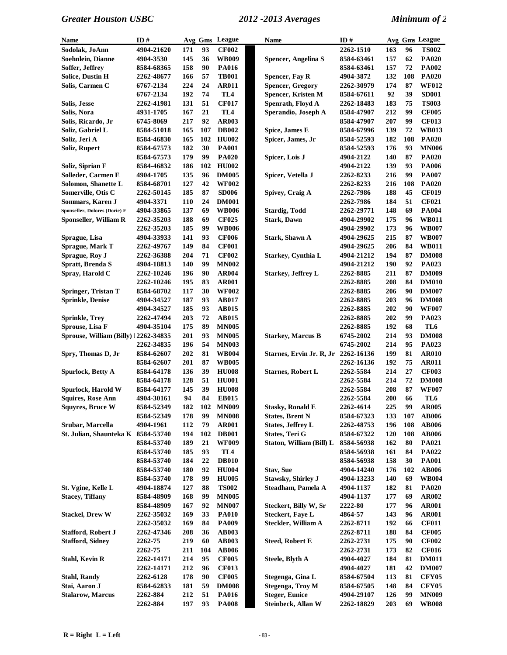| Name                                 | ID#        |            | Avg Gms | League          | <b>Name</b>               | ID#        |     |     | Avg Gms League |
|--------------------------------------|------------|------------|---------|-----------------|---------------------------|------------|-----|-----|----------------|
| Sodolak, JoAnn                       | 4904-21620 | 171        | 93      | <b>CF002</b>    |                           | 2262-1510  | 163 | 96  | <b>TS002</b>   |
| Soehnlein, Dianne                    | 4904-3530  | 145        | 36      | <b>WB009</b>    | Spencer, Angelina S       | 8584-63461 | 157 | 62  | <b>PA020</b>   |
| Soffer, Jeffrey                      | 8584-68365 | 158        | 90      | <b>PA016</b>    |                           | 8584-63461 | 157 | 72  | <b>PA002</b>   |
| <b>Solice, Dustin H</b>              | 2262-48677 | 166        | 57      | <b>TB001</b>    | Spencer, Fay R            | 4904-3872  | 132 | 108 | <b>PA020</b>   |
| Solis, Carmen C                      | 6767-2134  | 224        | 24      | <b>AR011</b>    | <b>Spencer, Gregory</b>   | 2262-30979 | 174 | 87  | <b>WF012</b>   |
|                                      | 6767-2134  | 192        | 74      | TL <sub>4</sub> | Spencer, Kristen M        | 8584-67611 | 92  | 39  | <b>SD001</b>   |
| Solis, Jesse                         | 2262-41981 | 131        | 51      | <b>CF017</b>    | Spenrath, Floyd A         | 2262-18483 | 183 | 75  | <b>TS003</b>   |
| Solis, Nora                          | 4931-1705  | 167        | 21      | TL4             | Sperandio, Joseph A       | 8584-47907 | 212 | 99  | <b>CF005</b>   |
| Solis, Ricardo, Jr                   | 6745-8069  | 217        | 92      | <b>AR003</b>    |                           | 8584-47907 | 207 | 99  | <b>CF013</b>   |
| Soliz, Gabriel L                     | 8584-51018 | 165        | 107     | <b>DB002</b>    | Spice, James E            | 8584-67996 | 139 | 72  | <b>WB013</b>   |
| Soliz, Jeri A                        | 8584-46830 | 165        | 102     | <b>HU002</b>    | Spicer, James, Jr         | 8584-52593 | 182 | 108 | <b>PA020</b>   |
| Soliz, Rupert                        | 8584-67573 | 182        | 30      | <b>PA001</b>    |                           | 8584-52593 | 176 | 93  | <b>MN006</b>   |
|                                      | 8584-67573 | 179        | 99      | <b>PA020</b>    | Spicer, Lois J            | 4904-2122  | 140 | 87  | <b>PA020</b>   |
| Soliz, Siprian F                     | 8584-46832 | 186        | 102     | <b>HU002</b>    |                           | 4904-2122  | 139 | 93  | <b>PA006</b>   |
| Solleder, Carmen E                   | 4904-1705  | 135        | 96      | <b>DM005</b>    | Spicer, Vetella J         | 2262-8233  | 216 | 99  | <b>PA007</b>   |
| Solomon, Shanette L                  | 8584-68701 | 127        | 42      | <b>WF002</b>    |                           | 2262-8233  | 216 | 108 | <b>PA020</b>   |
| Somerville, Otis C                   | 2262-50145 | 185        | 87      | <b>SD006</b>    | Spivey, Craig A           | 2262-7986  | 188 | 45  | <b>CF019</b>   |
| Sommars, Karen J                     | 4904-3371  | 110        | 24      | <b>DM001</b>    |                           | 2262-7986  | 184 | 51  | <b>CF021</b>   |
| Sponseller, Dolores (Dorie) F        | 4904-33865 | 137        | 69      | <b>WB006</b>    |                           | 2262-29771 | 148 | 69  | <b>PA004</b>   |
| <b>Sponseller, William R</b>         |            |            | 69      |                 | <b>Stardig, Todd</b>      |            |     | 96  | <b>WB011</b>   |
|                                      | 2262-35203 | 188        |         | <b>CF025</b>    | <b>Stark, Dawn</b>        | 4904-29902 | 175 |     |                |
|                                      | 2262-35203 | 185        | 99      | <b>WB006</b>    |                           | 4904-29902 | 173 | 96  | <b>WB007</b>   |
| Sprague, Lisa                        | 4904-33933 | 141        | 93      | <b>CF006</b>    | <b>Stark, Shawn A</b>     | 4904-29625 | 215 | 87  | <b>WB007</b>   |
| Sprague, Mark T                      | 2262-49767 | 149        | 84      | <b>CF001</b>    |                           | 4904-29625 | 206 | 84  | <b>WB011</b>   |
| Sprague, Roy J                       | 2262-36388 | 204        | 71      | <b>CF002</b>    | Starkey, Cynthia L        | 4904-21212 | 194 | 87  | <b>DM008</b>   |
| Spratt, Brenda S                     | 4904-18813 | 140        | 99      | <b>MN002</b>    |                           | 4904-21212 | 190 | 92  | PA023          |
| Spray, Harold C                      | 2262-10246 | 196        | 90      | <b>AR004</b>    | <b>Starkey, Jeffrey L</b> | 2262-8885  | 211 | 87  | <b>DM009</b>   |
|                                      | 2262-10246 | 195        | 83      | <b>AR001</b>    |                           | 2262-8885  | 208 | 84  | <b>DM010</b>   |
| Springer, Tristan T                  | 8584-68702 | 117        | 30      | <b>WF002</b>    |                           | 2262-8885  | 206 | 90  | <b>DM007</b>   |
| <b>Sprinkle, Denise</b>              | 4904-34527 | 187        | 93      | <b>AB017</b>    |                           | 2262-8885  | 203 | 96  | <b>DM008</b>   |
|                                      | 4904-34527 | 185        | 93      | AB015           |                           | 2262-8885  | 202 | 90  | <b>WF007</b>   |
| <b>Sprinkle, Trey</b>                | 2262-47494 | 203        | 72      | <b>AB015</b>    |                           | 2262-8885  | 202 | 99  | PA023          |
| Sprouse, Lisa F                      | 4904-35104 | 175        | 89      | <b>MN005</b>    |                           | 2262-8885  | 192 | 68  | TL6            |
| Sprouse, William (Billy) 12262-34835 |            | 201        | 93      | <b>MN005</b>    | <b>Starkey, Marcus B</b>  | 6745-2002  | 214 | 93  | <b>DM008</b>   |
|                                      | 2262-34835 | 196        | 54      | <b>MN003</b>    |                           | 6745-2002  | 214 | 95  | PA023          |
| Spry, Thomas D, Jr                   | 8584-62607 | 202        | 81      | <b>WB004</b>    | Starnes, Ervin Jr. R, Jr  | 2262-16136 | 199 | 81  | <b>AR010</b>   |
|                                      | 8584-62607 | 201        | 87      | <b>WB005</b>    |                           | 2262-16136 | 192 | 75  | <b>AR011</b>   |
| Spurlock, Betty A                    | 8584-64178 | 136        | 39      | <b>HU008</b>    | <b>Starnes, Robert L</b>  | 2262-5584  | 214 | 27  | <b>CF003</b>   |
|                                      | 8584-64178 | 128        | 51      | <b>HU001</b>    |                           | 2262-5584  | 214 | 72  | <b>DM008</b>   |
| Spurlock, Harold W                   | 8584-64177 | 145        | 39      | <b>HU008</b>    |                           | 2262-5584  | 208 | 87  | <b>WF007</b>   |
| <b>Squires, Rose Ann</b>             | 4904-30161 | 94         | 84      | <b>EB015</b>    |                           | 2262-5584  | 200 | 66  | TL6            |
| <b>Squyres, Bruce W</b>              | 8584-52349 | 182        |         | 102 MN009       | <b>Stasky, Ronald E</b>   | 2262-4614  | 225 | 99  | <b>AR005</b>   |
|                                      | 8584-52349 | 178        | 99      | <b>MN008</b>    | <b>States, Brent N</b>    | 8584-67323 | 133 | 107 | <b>AB006</b>   |
| Srubar, Marcella                     | 4904-1961  | 112        | 79      | <b>AR001</b>    | <b>States, Jeffrey L</b>  | 2262-48753 | 196 | 108 | <b>AB006</b>   |
| St. Julian, Shaunteka K 8584-53740   |            | 194        | 102     | <b>DB001</b>    | <b>States, Teri G</b>     | 8584-67322 | 120 | 108 | <b>AB006</b>   |
|                                      | 8584-53740 | 189        | 21      | <b>WF009</b>    | Staton, William (Bill) L  | 8584-56938 | 162 | 80  | <b>PA021</b>   |
|                                      | 8584-53740 | 185        | 93      | TL4             |                           | 8584-56938 | 161 | 84  | PA022          |
|                                      | 8584-53740 | 184        | 22      | <b>DB010</b>    |                           | 8584-56938 | 158 | 30  | <b>PA001</b>   |
|                                      | 8584-53740 | <b>180</b> | 92      | <b>HU004</b>    | <b>Stav, Sue</b>          | 4904-14240 | 176 | 102 | <b>AB006</b>   |
|                                      | 8584-53740 | 178        | 99      | <b>HU005</b>    | Stawsky, Shirley J        | 4904-13233 | 140 | 69  | <b>WB004</b>   |
| St. Vgine, Kelle L                   | 4904-18874 | 127        | 88      | <b>TS002</b>    | Steadham, Pamela A        | 4904-1137  | 182 | 81  | <b>PA020</b>   |
| <b>Stacey, Tiffany</b>               | 8584-48909 | 168        | 99      | <b>MN005</b>    |                           | 4904-1137  | 177 | 69  | AR002          |
|                                      | 8584-48909 | 167        | 92      | <b>MN007</b>    | Steckert, Billy W, Sr     | 2222-80    | 177 | 96  | <b>AR001</b>   |
| <b>Stackel, Drew W</b>               | 2262-35032 | 169        | 33      | <b>PA010</b>    | <b>Steckert, Faye L</b>   | 4864-57    | 143 | 96  | <b>AR001</b>   |
|                                      | 2262-35032 | 169        | 84      | <b>PA009</b>    | Steckler, William A       | 2262-8711  | 192 | 66  | <b>CF011</b>   |
| <b>Stafford, Robert J</b>            | 2262-47346 | 208        | 36      | <b>AB003</b>    |                           | 2262-8711  | 188 | 84  | <b>CF005</b>   |
| <b>Stafford, Sidney</b>              | 2262-75    | 219        | 60      | <b>AB003</b>    | <b>Steed, Robert E</b>    | 2262-2731  | 175 | 90  | <b>CF002</b>   |
|                                      | 2262-75    | 211        | 104     | <b>AB006</b>    |                           | 2262-2731  | 173 | 82  | <b>CF016</b>   |
| Stahl, Kevin R                       | 2262-14171 | 214        | 95      | <b>CF005</b>    | Steele, Blyth A           | 4904-4027  | 184 | 81  | <b>DM011</b>   |
|                                      | 2262-14171 | 212        | 96      | <b>CF013</b>    |                           | 4904-4027  | 181 | 42  | <b>DM007</b>   |
| <b>Stahl, Randy</b>                  | 2262-6128  | 178        | 90      | <b>CF005</b>    | Stegenga, Gina L          | 8584-67504 | 113 | 81  | <b>CFY05</b>   |
| Stai, Aaron J                        | 8584-62833 | 181        | 59      | <b>DM008</b>    | <b>Stegenga</b> , Troy M  | 8584-67505 | 148 | 84  | <b>CFY05</b>   |
| <b>Stalarow</b> , Marcus             | 2262-884   | 212        | 51      |                 | <b>Steger, Eunice</b>     |            | 126 | 99  | <b>MN009</b>   |
|                                      |            | 197        | 93      | <b>PA016</b>    |                           | 4904-29107 | 203 | 69  | <b>WB008</b>   |
|                                      | 2262-884   |            |         | <b>PA008</b>    | Steinbeck, Allan W        | 2262-18829 |     |     |                |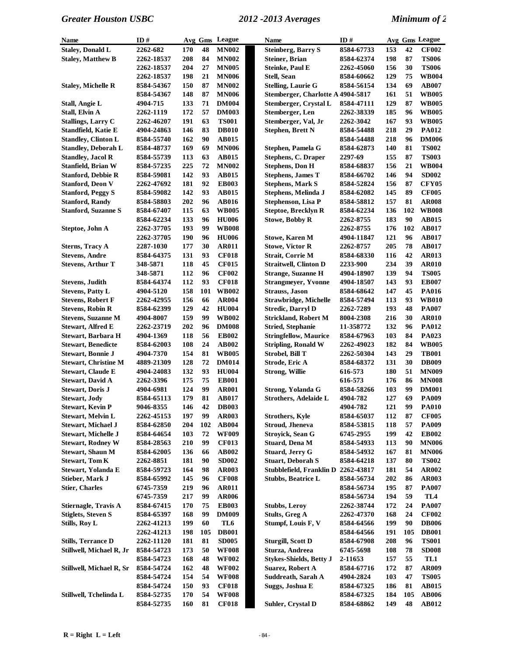| <b>Name</b>                                            | ID#                      |            |          | Avg Gms League | <b>Name</b>                                              | ID#                    |            |          | Avg Gms League        |
|--------------------------------------------------------|--------------------------|------------|----------|----------------|----------------------------------------------------------|------------------------|------------|----------|-----------------------|
| <b>Staley, Donald L</b>                                | 2262-682                 | 170        | 48       | <b>MN002</b>   | <b>Steinberg, Barry S</b>                                | 8584-67733             | 153        | 42       | <b>CF002</b>          |
| <b>Staley, Matthew B</b>                               | 2262-18537               | 208        | 84       | <b>MN002</b>   | <b>Steiner, Brian</b>                                    | 8584-62374             | 198        | 87       | <b>TS006</b>          |
|                                                        | 2262-18537               | 204        | 27       | <b>MN005</b>   | <b>Steinke, Paul E</b>                                   | 2262-45060             | 156        | 30       | <b>TS006</b>          |
|                                                        | 2262-18537               | 198        | 21       | <b>MN006</b>   | <b>Stell, Sean</b>                                       | 8584-60662             | 129        | 75       | <b>WB004</b>          |
| <b>Staley, Michelle R</b>                              | 8584-54367               | 150        | 87       | <b>MN002</b>   | <b>Stelling, Laurie G</b>                                | 8584-56154             | 134        | 69       | <b>AB007</b>          |
|                                                        | 8584-54367               | 148        | 87       | <b>MN006</b>   | Stemberger, Charlotte A 4904-5817                        |                        | 161        | 51       | <b>WB005</b>          |
| Stall, Angie L                                         | 4904-715                 | 133        | 71       | <b>DM004</b>   | Stemberger, Crystal L                                    | 8584-47111             | 129        | 87       | <b>WB005</b>          |
| <b>Stall, Elvin A</b>                                  | 2262-1119                | 172        | 57       | <b>DM003</b>   | Stemberger, Len                                          | 2262-38339             | 185        | 96       | <b>WB005</b>          |
| <b>Stallings, Larry C</b>                              | 2262-46207               | 191        | 63       | <b>TS001</b>   | Stemberger, Val, Jr                                      | 2262-3042              | 167        | 93       | <b>WB005</b>          |
| <b>Standfield, Katie E</b>                             | 4904-24863               | 146        | 83       | <b>DB010</b>   | <b>Stephen, Brett N</b>                                  | 8584-54488             | 218        | 29       | <b>PA012</b>          |
| <b>Standley, Clinton L</b>                             | 8584-55740               | 162        | 90       | <b>AB015</b>   |                                                          | 8584-54488             | 218        | 96       | <b>DM006</b>          |
| <b>Standley, Deborah L</b>                             | 8584-48737               | 169        | 69       | <b>MN006</b>   | Stephen, Pamela G                                        | 8584-62873             | 140        | 81       | <b>TS002</b>          |
| <b>Standley, Jacol R</b>                               | 8584-55739               | 113        | 63       | <b>AB015</b>   | <b>Stephens, C. Draper</b>                               | 2297-69                | 155        | 87       | <b>TS003</b>          |
| Stanfield, Brian W                                     | 8584-57235               | 225        | 72       | <b>MN002</b>   | <b>Stephens, Don H</b>                                   | 8584-68837             | 156        | 21       | <b>WB004</b>          |
| <b>Stanford, Debbie R</b>                              | 8584-59081               | 142        | 93       | <b>AB015</b>   | <b>Stephens, James T</b>                                 | 8584-66702             | 146        | 94       | <b>SD002</b>          |
| <b>Stanford, Deon V</b>                                | 2262-47692               | 181        | 92       | <b>EB003</b>   | <b>Stephens, Mark S</b>                                  | 8584-52824             | 156        | 87       | <b>CFY05</b>          |
| <b>Stanford, Peggy S</b>                               | 8584-59082               | 142        | 93       | <b>AB015</b>   | Stephens, Melinda J                                      | 8584-62082             | 145        | 89       | <b>CF005</b>          |
| <b>Stanford, Randy</b>                                 | 8584-58803               | 202        | 96       | <b>AB016</b>   | <b>Stephenson, Lisa P</b>                                | 8584-58812             | 157        | 81       | <b>AR008</b>          |
| <b>Stanford, Suzanne S</b>                             | 8584-67407               | 115        | 63       | <b>WB005</b>   | <b>Steptoe, Brecklyn R</b>                               | 8584-62234             | 136        | 102      | <b>WB008</b>          |
|                                                        | 8584-62234               | 133        | 96       | <b>HU006</b>   | <b>Stowe, Bobby R</b>                                    | 2262-8755              | 183        | 90       | <b>AB015</b>          |
| Steptoe, John A                                        | 2262-37705               | 193        | 99       | <b>WB008</b>   |                                                          | 2262-8755              | 176        | 102      | AB017                 |
|                                                        | 2262-37705               | 190        | 96       | <b>HU006</b>   | <b>Stowe, Karen M</b>                                    | 4904-11847             | 121        | 96       | <b>AB017</b>          |
| <b>Sterns, Tracy A</b>                                 | 2287-1030                | 177        | 30       | <b>AR011</b>   | <b>Stowe, Victor R</b>                                   | 2262-8757              | 205        | 78       | <b>AB017</b>          |
| <b>Stevens, Andre</b>                                  | 8584-64375               | 131        | 93       | <b>CF018</b>   | <b>Strait, Corrie M</b>                                  | 8584-68330             | 116        | 42       | AR013                 |
| <b>Stevens, Arthur T</b>                               | 348-5871                 | 118        | 45       | <b>CF015</b>   | <b>Straitwell, Clinton D</b>                             | 2233-900               | 234        | 39       | <b>AR010</b>          |
|                                                        | 348-5871                 | 112        | 96       | <b>CF002</b>   | <b>Strange, Suzanne H</b>                                | 4904-18907             | 139        | 94       | <b>TS005</b>          |
| <b>Stevens, Judith</b>                                 | 8584-64374               | 112        | 93       | <b>CF018</b>   | <b>Strangmeyer, Yvonne</b>                               | 4904-18507             | 143        | 93       | <b>EB007</b>          |
| <b>Stevens, Patty L</b>                                | 4904-5120                | 158        | 101      | <b>WB002</b>   | <b>Strauss</b> , Jason                                   | 8584-68642             | 147        | 45       | <b>PA016</b>          |
| <b>Stevens, Robert F</b>                               |                          | 156        | 66       | <b>AR004</b>   |                                                          | 8584-57494             | 113        | 93       | <b>WB010</b>          |
| <b>Stevens, Robin R</b>                                | 2262-42955<br>8584-62399 | 129        | 42       | <b>HU004</b>   | <b>Strawbridge, Michelle</b><br><b>Stredic, Darryl D</b> | 2262-7289              | 193        | 48       | <b>PA007</b>          |
| <b>Stevens, Suzanne M</b>                              |                          | 159        | 99       | <b>WB002</b>   | <b>Strickland, Robert M</b>                              |                        | 216        | 30       | <b>AR010</b>          |
| <b>Stewart, Alfred E</b>                               | 4904-8007<br>2262-23719  | 202        | 96       | <b>DM008</b>   | <b>Stried, Stephanie</b>                                 | 8004-2308<br>11-358772 | 132        | 96       | <b>PA012</b>          |
|                                                        |                          | 118        | 56       | <b>EB002</b>   |                                                          |                        | 103        | 84       | PA023                 |
| Stewart, Barbara H                                     | 4904-1369                | 108        | 24       | <b>AB002</b>   | <b>Stringfellow, Maurice</b>                             | 8584-67963             | 182        | 84       | <b>WB005</b>          |
| <b>Stewart, Benedicte</b><br><b>Stewart</b> , Bonnie J | 8584-62003               | 154        | 81       | <b>WB005</b>   | <b>Stripling, Ronald W</b><br>Strobel, Bill T            | 2262-49023             | 143        | 29       | <b>TB001</b>          |
| <b>Stewart, Christine M</b>                            | 4904-7370                | 128        | 72       | <b>DM014</b>   |                                                          | <b>2262-50304</b>      | 131        | 30       | <b>DB009</b>          |
|                                                        | 4889-21309               | 132        | 93       | <b>HU004</b>   | Strode, Eric A<br><b>Strong, Willie</b>                  | 8584-68372<br>616-573  | 180        | 51       | <b>MN009</b>          |
| <b>Stewart, Claude E</b>                               | 4904-24083<br>2262-3396  | 175        | 75       | <b>EB001</b>   |                                                          |                        | 176        | 86       | <b>MN008</b>          |
| <b>Stewart, David A</b>                                |                          |            | 99       |                |                                                          | 616-573                |            | 99       |                       |
| <b>Stewart, Doris J</b>                                | 4904-6981                | 124        | 81       | <b>AR001</b>   | Strong, Yolanda G                                        | 8584-58266             | 103        |          | <b>DM001</b>          |
| <b>Stewart, Jody</b>                                   | 8584-65113               | 179        |          | <b>AB017</b>   | <b>Strothers, Adelaide L</b>                             | 4904-782               | 127        | 69       | <b>PA009</b>          |
| Stewart, Kevin P                                       | 9046-8355                | 146        | 42       | <b>DB003</b>   |                                                          | 4904-782               | 121        | 99       | <b>PA010</b>          |
| <b>Stewart, Melvin L</b>                               | 2262-45153               | 197        | 99       | <b>AR003</b>   | <b>Strothers, Kyle</b>                                   | 8584-65037             | 112        | 87       | <b>CF005</b>          |
| <b>Stewart, Michael J</b>                              | 8584-62850               | 204        | 102      | <b>AB004</b>   | <b>Stroud, Jheneva</b>                                   | 8584-53815             | 118        | 57       | <b>PA009</b>          |
| <b>Stewart, Michelle J</b>                             | 8584-64654               | 103        | 72       | <b>WF009</b>   | Stroyick, Sean G                                         | 6745-2955              | 199        | 42       | <b>EB002</b>          |
| <b>Stewart, Rodney W</b>                               | 8584-28563               | 210        | 99       | <b>CF013</b>   | Stuard, Dena M                                           | 8584-54933             | 113        | 90       | <b>MN006</b>          |
| <b>Stewart, Shaun M</b><br><b>Stewart, Tom K</b>       | 8584-62005               | 136        | 66       | AB002          | Stuard, Jerry G                                          | 8584-54932             | 167        | 81       | <b>MN006</b>          |
| Stewart, Yolanda E                                     | 2262-8851                | 181<br>164 | 90<br>98 | SD002          | <b>Stuart, Deborah S</b><br>Stubblefield, Franklin D     | 8584-64218             | 137<br>181 | 80<br>54 | <b>TS002</b>          |
| Stieber, Mark J                                        | 8584-59723               | 145        | 96       | <b>AR003</b>   |                                                          | 2262-43817             | 202        |          | AR002<br><b>AR003</b> |
|                                                        | 8584-65992               |            |          | <b>CF008</b>   | Stubbs, Beatrice L                                       | 8584-56734             |            | 86       |                       |
| <b>Stier, Charles</b>                                  | 6745-7359                | 219        | 96       | <b>AR011</b>   |                                                          | 8584-56734             | 195        | 87       | <b>PA007</b>          |
|                                                        | 6745-7359                | 217        | 99       | <b>AR006</b>   |                                                          | 8584-56734             | 194        | 59       | TL4                   |
| Stiernagle, Travis A                                   | 8584-67415               | 170        | 75       | <b>EB003</b>   | <b>Stubbs, Leroy</b>                                     | 2262-38744             | 172        | 24       | <b>PA007</b>          |
| <b>Stiglets, Steven S</b>                              | 8584-65397               | 168        | 99       | <b>DM009</b>   | <b>Stults, Greg A</b>                                    | 2262-47370             | 168<br>199 | 24       | <b>CF002</b>          |
| Stills, Roy L                                          | 2262-41213               | 199        | 60       | TL6            | Stumpf, Louis F, V                                       | 8584-64566             |            | 90       | <b>DB006</b>          |
|                                                        | 2262-41213               | 198        | 105      | <b>DB001</b>   |                                                          | 8584-64566             | 191        | 105      | <b>DB001</b>          |
| <b>Stills, Terrance D</b>                              | 2262-11120               | 181        | 81       | <b>SD005</b>   | <b>Sturgill, Scott D</b>                                 | 8584-67908             | 208        | 96       | <b>TS001</b>          |
| Stillwell, Michael R, Jr                               | 8584-54723               | 173        | 50       | <b>WF008</b>   | Sturza, Andreea                                          | 6745-5698              | 108        | 78       | <b>SD008</b>          |
|                                                        | 8584-54723               | 168        | 48       | <b>WF002</b>   | <b>Stykes-Shields, Betty J</b>                           | 2-11653                | 157        | 55       | TL1                   |
| Stillwell, Michael R, Sr                               | 8584-54724               | 162        | 48       | <b>WF002</b>   | <b>Suarez, Robert A</b>                                  | 8584-67716             | 172        | 87       | <b>AR009</b>          |
|                                                        | 8584-54724               | 154        | 54       | <b>WF008</b>   | Suddreath, Sarah A                                       | 4904-2824              | 103        | 47       | <b>TS005</b>          |
|                                                        | 8584-54724               | 150        | 93       | <b>CF018</b>   | Suggs, Joshua E                                          | 8584-67325             | 186        | 81       | AB015                 |
| Stillwell, Tchelinda L                                 | 8584-52735               | 170        | 54       | <b>WF008</b>   |                                                          | 8584-67325             | 184        | 105      | <b>AB006</b>          |
|                                                        | 8584-52735               | 160        | 81       | <b>CF018</b>   | Suhler, Crystal D                                        | 8584-68862             | 149        | 48       | AB012                 |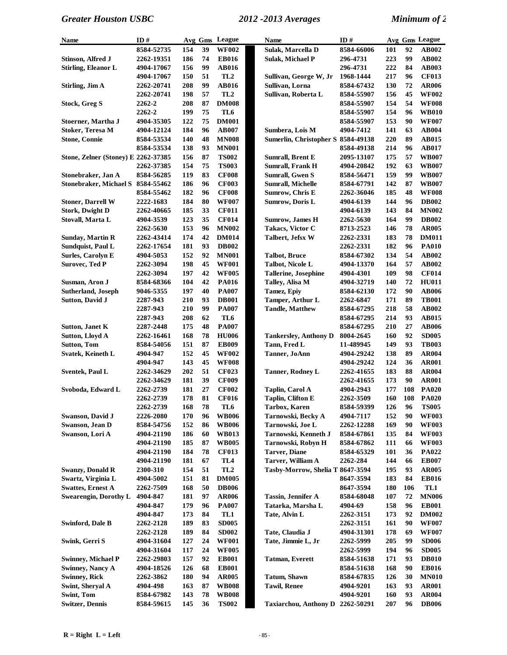| Name                                | ID#              |     | Avg Gms | League          | Name                               | ID#               |            |     | Avg Gms League |
|-------------------------------------|------------------|-----|---------|-----------------|------------------------------------|-------------------|------------|-----|----------------|
|                                     | 8584-52735       | 154 | 39      | <b>WF002</b>    | Sulak, Marcella D                  | 8584-66006        | 101        | 92  | AB002          |
| Stinson, Alfred J                   | 2262-19351       | 186 | 74      | <b>EB016</b>    | <b>Sulak, Michael P</b>            | 296-4731          | 223        | 99  | <b>AB002</b>   |
| <b>Stirling, Eleanor L</b>          | 4904-17067       | 156 | 99      | <b>AB016</b>    |                                    | 296-4731          | 222        | 84  | <b>AB003</b>   |
|                                     | 4904-17067       | 150 | 51      | TL <sub>2</sub> | Sullivan, George W, Jr             | 1968-1444         | 217        | 96  | <b>CF013</b>   |
| Stirling, Jim A                     | 2262-20741       | 208 | 99      | AB016           | Sullivan, Lorna                    | 8584-67432        | 130        | 72  | <b>AR006</b>   |
|                                     | 2262-20741       | 198 | 57      | TL <sub>2</sub> | Sullivan, Roberta L                | 8584-55907        | 156        | 45  | <b>WF002</b>   |
| Stock, Greg S                       | 2262-2           | 208 | 87      | <b>DM008</b>    |                                    | 8584-55907        | 154        | 54  | <b>WF008</b>   |
|                                     | 2262-2           | 199 | 75      | TL6             |                                    | 8584-55907        | 154        | 96  | <b>WB010</b>   |
| Stoerner, Martha J                  | 4904-35305       | 122 | 75      | <b>DM001</b>    |                                    | 8584-55907        | 153        | 90  | <b>WF007</b>   |
| <b>Stoker, Teresa M</b>             | 4904-12124       | 184 | 96      | <b>AB007</b>    | Sumbera, Lois M                    | 4904-7412         | 141        | 63  | <b>AB004</b>   |
| <b>Stone, Connie</b>                | 8584-53534       | 140 | 48      | <b>MN008</b>    | Sumerlin, Christopher S 8584-49138 |                   | 220        | 89  | <b>AB015</b>   |
|                                     | 8584-53534       | 138 | 93      | <b>MN001</b>    |                                    | 8584-49138        | 214        | 96  | <b>AB017</b>   |
| Stone, Zelner (Stoney) E 2262-37385 |                  | 156 | 87      | <b>TS002</b>    | Sumrall, Brent E                   | <b>2095-13107</b> | 175        | 57  | <b>WB007</b>   |
|                                     | 2262-37385       | 154 | 75      | <b>TS003</b>    | <b>Sumrall, Frank H</b>            | 4904-20842        | 192        | 63  | <b>WB007</b>   |
| Stonebraker, Jan A                  | 8584-56285       | 119 | 83      | <b>CF008</b>    | <b>Sumrall, Gwen S</b>             | 8584-56471        | 159        | 99  | <b>WB007</b>   |
| <b>Stonebraker, Michael S</b>       | 8584-55462       | 186 | 96      | <b>CF003</b>    | <b>Sumrall, Michelle</b>           | 8584-67791        | 142        | 87  | <b>WB007</b>   |
|                                     | 8584-55462       | 182 | 96      | <b>CF008</b>    | Sumrow, Chris E                    | 2262-36046        | 185        | 48  | <b>WF008</b>   |
| <b>Stoner, Darrell W</b>            | 2222-1683        | 184 | 80      | <b>WF007</b>    | Sumrow, Doris L                    | 4904-6139         | 144        | 96  | <b>DB002</b>   |
| <b>Stork, Dwight D</b>              | 2262-40665       | 185 | 33      | <b>CF011</b>    |                                    | 4904-6139         | 143        | 84  | <b>MN002</b>   |
| Stovall, Marta L                    | 4904-3539        | 123 | 35      | <b>CF014</b>    | <b>Sumrow, James H</b>             | 2262-5630         | 164        | 99  | <b>DB002</b>   |
|                                     | 2262-5630        | 153 | 96      | <b>MN002</b>    | Takacs, Victor C                   |                   | 146        | 78  | <b>AR005</b>   |
|                                     |                  | 174 | 42      | <b>DM014</b>    | Talbert, Jefsx W                   | 8713-2523         | 183        | 78  | <b>DM011</b>   |
| Sunday, Martin R                    | 2262-43414       |     |         |                 |                                    | 2262-2331         |            |     |                |
| Sundquist, Paul L                   | 2262-17654       | 181 | 93      | <b>DB002</b>    |                                    | 2262-2331         | 182        | 96  | <b>PA010</b>   |
| <b>Surles, Carolyn E</b>            | 4904-5053        | 152 | 92      | <b>MN001</b>    | <b>Talbot</b> , Bruce              | 8584-67302        | 134        | 54  | AB002          |
| <b>Surovec, Ted P</b>               | 2262-3094        | 198 | 45      | <b>WF001</b>    | <b>Talbot, Nicole L</b>            | 4904-13370        | 164        | 57  | AB002          |
|                                     | 2262-3094        | 197 | 42      | <b>WF005</b>    | <b>Tallerine, Josephine</b>        | 4904-4301         | 109        | 98  | <b>CF014</b>   |
| Susman, Aron J                      | 8584-68366       | 104 | 42      | <b>PA016</b>    | Talley, Alisa M                    | 4904-32719        | 140        | 72  | <b>HU011</b>   |
| <b>Sutherland, Joseph</b>           | 9046-5355        | 197 | 40      | <b>PA007</b>    | <b>Tamez</b> , Epiy                | 8584-62130        | 172        | 90  | <b>AB006</b>   |
| <b>Sutton, David J</b>              | 2287-943         | 210 | 93      | <b>DB001</b>    | Tamper, Arthur L                   | 2262-6847         | 171        | 89  | <b>TB001</b>   |
|                                     | 2287-943         | 210 | 99      | <b>PA007</b>    | <b>Tandle, Matthew</b>             | 8584-67295        | 218        | 58  | AB002          |
|                                     | 2287-943         | 208 | 62      | TL6             |                                    | 8584-67295        | 214        | 93  | AB015          |
| Sutton, Janet K                     | 2287-2448        | 175 | 48      | <b>PA007</b>    |                                    | 8584-67295        | 210        | 27  | <b>AB006</b>   |
| <b>Sutton, Lloyd A</b>              | 2262-16461       | 168 | 78      | <b>HU006</b>    | <b>Tankersley, Anthony D</b>       | 8004-2645         | 160        | 92  | <b>SD005</b>   |
| <b>Sutton, Tom</b>                  | 8584-54056       | 151 | 87      | <b>EB009</b>    | Tann, Fred L                       | 11-489945         | 149        | 93  | <b>TB003</b>   |
| Svatek, Keineth L                   | 4904-947         | 152 | 45      | <b>WF002</b>    | Tanner, JoAnn                      | 4904-29242        | 138        | 89  | <b>AR004</b>   |
|                                     | 4904-947         | 143 | 45      | <b>WF008</b>    |                                    | 4904-29242        | 124        | 36  | <b>AR001</b>   |
| <b>Sventek, Paul L</b>              | 2262-34629       | 202 | 51      | <b>CF023</b>    | <b>Tanner, Rodney L</b>            | 2262-41655        | 183        | 88  | <b>AR004</b>   |
|                                     | 2262-34629       | 181 | 39      | <b>CF009</b>    |                                    | 2262-41655        | 173        | 90  | <b>AR001</b>   |
| Svoboda, Edward L                   | 2262-2739        | 181 | 27      | <b>CF002</b>    | Taplin, Carol A                    | 4904-2943         | 177        | 108 | <b>PA020</b>   |
|                                     | 2262-2739        | 178 | 81      | <b>CF016</b>    | Taplin, Clifton E                  | 2262-3509         | 160        | 108 | <b>PA020</b>   |
|                                     | 2262-2739        | 168 | 78      | TL6             | Tarbox, Karen                      | 8584-59399        | 126        | 96  | <b>TS005</b>   |
| <b>Swanson, David J</b>             | <b>2226-2080</b> | 170 | 96      | <b>WB006</b>    | Tarnowski, Becky A                 | 4904-7117         | 152        | 90  | <b>WF003</b>   |
| Swanson, Jean D                     | 8584-54756       | 152 | 86      | <b>WB006</b>    | Tarnowski, Joe L                   | 2262-12288        | 169        | 90  | <b>WF003</b>   |
| Swanson, Lori A                     | 4904-21190       | 186 | 60      | <b>WB013</b>    | Tarnowski, Kenneth J               | 8584-67861        | 135        | 84  | <b>WF003</b>   |
|                                     | 4904-21190       | 185 | 87      | <b>WB005</b>    | Tarnowski, Robyn H                 | 8584-67862        | 111        | 66  | <b>WF003</b>   |
|                                     | 4904-21190       | 184 | 78      | <b>CF013</b>    | <b>Tarver</b> , Diane              | 8584-65329        | <b>101</b> | 36  | <b>PA022</b>   |
|                                     | 4904-21190       | 181 | 67      | TL4             | Tarver, William A                  | 2262-284          | 144        | 66  | <b>EB007</b>   |
| <b>Swanzy, Donald R</b>             | 2300-310         | 154 | 51      | TL <sub>2</sub> | Tasby-Morrow, Shelia T 8647-3594   |                   | 195        | 93  | <b>AR005</b>   |
| Swartz, Virginia L                  | 4904-5002        | 151 | 81      | <b>DM005</b>    |                                    | 8647-3594         | 183        | 84  | <b>EB016</b>   |
| <b>Swattes, Ernest A</b>            | 2262-7509        | 168 | 50      | <b>DB006</b>    |                                    | 8647-3594         | 180        | 106 | TL1            |
| <b>Swearengin, Dorothy L</b>        | 4904-847         | 181 | 97      | <b>AR006</b>    | <b>Tassin, Jennifer A</b>          | 8584-68048        | 107        | 72  | <b>MN006</b>   |
|                                     | 4904-847         | 179 | 96      | <b>PA007</b>    | Tatarka, Marsha L                  | 4904-69           | 158        | 96  | <b>EB001</b>   |
|                                     | 4904-847         | 173 | 84      | TL1             | Tate, Alvin L                      | 2262-3151         | 173        | 92  | <b>DM002</b>   |
| <b>Swinford, Dale B</b>             | 2262-2128        | 189 | 83      | <b>SD005</b>    |                                    | 2262-3151         | 161        | 90  | <b>WF007</b>   |
|                                     | 2262-2128        | 189 | 84      | <b>SD002</b>    | Tate, Claudia J                    | 4904-31301        | 178        | 69  | <b>WF007</b>   |
| Swink, Gerri S                      | 4904-31604       | 127 | 24      | <b>WF001</b>    | Tate, Jimmie L, Jr                 | 2262-5999         | 205        | 99  | <b>SD006</b>   |
|                                     | 4904-31604       | 117 | 24      | <b>WF005</b>    |                                    | 2262-5999         | 194        | 96  | <b>SD005</b>   |
| <b>Swinney, Michael P</b>           | 2262-29803       | 157 | 92      | <b>EB001</b>    | <b>Tatman, Everett</b>             | 8584-51638        | 171        | 93  | <b>DB010</b>   |
| <b>Swinney, Nancy A</b>             | 4904-18526       | 126 | 68      | <b>EB001</b>    |                                    | 8584-51638        | 168        | 90  | <b>EB016</b>   |
| <b>Swinney, Rick</b>                | 2262-3862        | 180 | 94      | <b>AR005</b>    | <b>Tatum, Shawn</b>                | 8584-67835        | 126        | 30  | <b>MN010</b>   |
| Swint, Sheryal A                    | 4904-498         | 163 | 87      | <b>WB008</b>    | <b>Tawil, Renee</b>                | 4904-9201         | 163        | 93  | <b>AR001</b>   |
| Swint, Tom                          | 8584-67982       | 143 | 78      | <b>WB008</b>    |                                    | 4904-9201         | 160        | 93  | <b>AR004</b>   |
| <b>Switzer</b> , Dennis             | 8584-59615       | 145 | 36      | <b>TS002</b>    | Taxiarchou, Anthony D 2262-50291   |                   | 207        | 96  | <b>DB006</b>   |
|                                     |                  |     |         |                 |                                    |                   |            |     |                |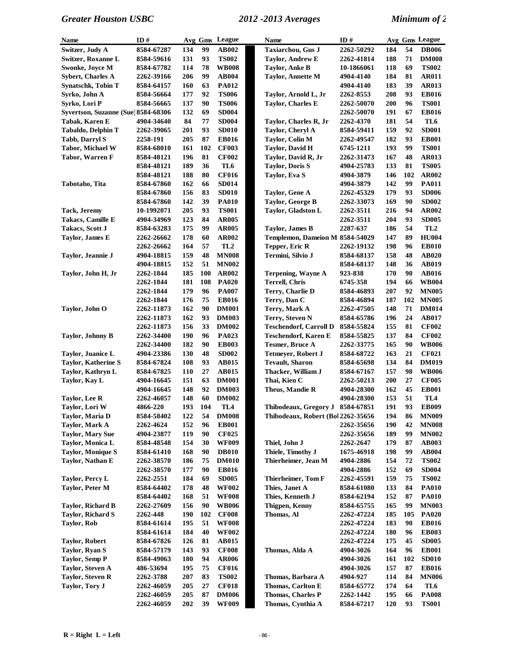| Name                                | ID#        |            |     | Avg Gms League  | <b>Name</b>                        | ID#        |            |     | Avg Gms League  |
|-------------------------------------|------------|------------|-----|-----------------|------------------------------------|------------|------------|-----|-----------------|
| Switzer, Judy A                     | 8584-67287 | 134        | 99  | AB002           | <b>Taxiarchou, Gus J</b>           | 2262-50292 | 184        | 54  | <b>DB006</b>    |
| Switzer, Roxanne L                  | 8584-59616 | 131        | 93  | <b>TS002</b>    | <b>Taylor, Andrew E</b>            | 2262-41814 | 188        | 71  | <b>DM008</b>    |
| Swonke, Joyce M                     | 8584-67782 | 114        | 78  | <b>WB008</b>    | <b>Taylor, Anke B</b>              | 10-1866061 | 118        | 69  | <b>TS002</b>    |
| <b>Sybert, Charles A</b>            | 2262-39166 | 206        | 99  | <b>AB004</b>    | <b>Taylor, Annette M</b>           | 4904-4140  | 184        | 81  | <b>AR011</b>    |
| <b>Synatschk, Tobin T</b>           | 8584-64157 | 160        | 63  | <b>PA012</b>    |                                    | 4904-4140  | 183        | 39  | AR013           |
| Syrko, John A                       | 8584-56664 | 177        | 92  | <b>TS006</b>    | Taylor, Arnold L, Jr               | 2262-8553  | 208        | 93  | <b>EB016</b>    |
| Syrko, Lori P                       | 8584-56665 | 137        | 90  | <b>TS006</b>    | <b>Taylor, Charles E</b>           | 2262-50070 | 200        | 96  | <b>TS001</b>    |
| Syvertson, Suzanne (Sue) 8584-68306 |            | 132        | 69  | <b>SD004</b>    |                                    | 2262-50070 | 191        | 67  | <b>EB016</b>    |
| Tabak, Karen E                      | 4904-34640 | 84         | 77  | <b>SD004</b>    | Taylor, Charles R, Jr              | 2262-4370  | 181        | 54  | TL6             |
| Tabaldo, Delphin T                  | 2262-39065 | 201        | 93  | <b>SD010</b>    | Taylor, Cheryl A                   | 8584-59411 | 159        | 92  | <b>SD001</b>    |
| <b>Tabb, Darryl S</b>               | 2258-191   | 205        | 87  | <b>EB016</b>    | Taylor, Colin M                    | 2262-49547 | 182        | 93  | <b>EB001</b>    |
| Tabor, Michael W                    | 8584-68010 | 161        | 102 | <b>CF003</b>    | <b>Taylor, David H</b>             | 6745-1211  | 193        | 99  | <b>TS001</b>    |
| Tabor, Warren F                     | 8584-48121 | 196        | 81  | <b>CF002</b>    | Taylor, David R, Jr                | 2262-31473 | 167        | 48  | AR013           |
|                                     | 8584-48121 | 189        | 36  | TL6             | <b>Taylor, Doris S</b>             | 4904-25783 | 133        | 81  | <b>TS005</b>    |
|                                     | 8584-48121 | 188        | 80  | <b>CF016</b>    | Taylor, Eva S                      | 4904-3879  | 146        | 102 | AR002           |
| Tabotabo, Tita                      | 8584-67860 | 162        | 66  | <b>SD014</b>    |                                    | 4904-3879  | 142        | 99  | <b>PA011</b>    |
|                                     | 8584-67860 | 156        | 83  | <b>SD010</b>    | Taylor, Gene A                     | 2262-45329 | 179        | 93  | <b>SD006</b>    |
|                                     | 8584-67860 | 142        | 39  | <b>PA010</b>    | Taylor, George B                   | 2262-33073 | 169        | 90  | <b>SD002</b>    |
| Tack, Jeremy                        | 10-1992071 | 205        | 93  | <b>TS001</b>    | Taylor, Gladston L                 | 2262-3511  | 216        | 94  | <b>AR002</b>    |
| Takacs, Camille E                   | 4904-34969 | 123        | 84  | <b>AR005</b>    |                                    | 2262-3511  | 204        | 93  | <b>SD005</b>    |
| Takacs, Scott J                     | 8584-63283 | 175        | 99  | <b>AR005</b>    | <b>Taylor, James B</b>             | 2287-637   | 186        | 54  | TL <sub>2</sub> |
| Taylor, James E                     | 2262-26662 | 178        | 60  | AR002           | Templemon, Dameion M 8584-54029    |            | 147        | 89  | <b>HU004</b>    |
|                                     | 2262-26662 | 164        | 57  | TL <sub>2</sub> | Tepper, Eric R                     | 2262-19132 | 198        | 96  | <b>EB010</b>    |
| Taylor, Jeannie J                   | 4904-18815 | 159        | 48  | <b>MN008</b>    | Termini, Silvio J                  | 8584-68137 | 158        | 48  | <b>AB020</b>    |
|                                     | 4904-18815 | 152        | 51  | <b>MN002</b>    |                                    | 8584-68137 | 148        | 36  | <b>AB019</b>    |
| Taylor, John H, Jr                  | 2262-1844  | 185        | 100 | <b>AR002</b>    | <b>Terpening, Wayne A</b>          | 923-838    | 170        | 90  | <b>AB016</b>    |
|                                     | 2262-1844  | 181        | 108 | <b>PA020</b>    | <b>Terrell, Chris</b>              | 6745-358   | 194        | 66  | <b>WB004</b>    |
|                                     | 2262-1844  | 179        | 96  | <b>PA007</b>    | Terry, Charlie D                   | 8584-46893 | 207        | 92  | <b>MN005</b>    |
|                                     | 2262-1844  | 176        | 75  | <b>EB016</b>    | Terry, Dan C                       | 8584-46894 | 187        | 102 | <b>MN005</b>    |
| Taylor, John O                      | 2262-11873 | 162        | 90  | <b>DM001</b>    | Terry, Mark A                      | 2262-47505 | 148        | 71  | <b>DM014</b>    |
|                                     | 2262-11873 | 162        | 93  | <b>DM003</b>    | Terry, Steven N                    | 8584-65786 | 196        | 24  | AB017           |
|                                     | 2262-11873 | 156        | 33  | <b>DM002</b>    | <b>Teschendorf, Carroll D</b>      | 8584-55824 | 155        | 81  | <b>CF002</b>    |
| <b>Taylor, Johnny B</b>             | 2262-34400 | 190        | 96  | PA023           | <b>Teschendorf, Karen E</b>        | 8584-55825 | 137        | 84  | <b>CF002</b>    |
|                                     | 2262-34400 | 182        | 90  | <b>EB003</b>    | <b>Tesmer, Bruce A</b>             | 2262-33775 | 165        | 90  | <b>WB006</b>    |
| Taylor, Juanice L                   | 4904-23386 | 130        | 48  | <b>SD002</b>    | Tetmeyer, Robert J                 | 8584-68722 | 163        | 21  | <b>CF021</b>    |
| <b>Taylor, Katherine S</b>          | 8584-67824 | 108        | 93  | <b>AB015</b>    | <b>Tevault</b> , Sharon            | 8584-65698 | 134        | 84  | <b>DM019</b>    |
| Taylor, Kathryn L                   | 8584-67825 | 110        | 27  | AB015           | Thacker, William J                 | 8584-67167 | 157        | 98  | <b>WB006</b>    |
| Taylor, Kay L                       | 4904-16645 | 151        | 63  | <b>DM001</b>    | Thai, Kien C                       | 2262-50213 | 200        | 27  | <b>CF005</b>    |
|                                     | 4904-16645 | 148        | 92  | <b>DM003</b>    | Theus, Mandie R                    | 4904-28300 | 162        | 45  | <b>EB001</b>    |
| Taylor, Lee R                       | 2262-46057 | 148        | 60  | <b>DM002</b>    |                                    | 4904-28300 | 153        | 51  | TL <sub>4</sub> |
| Taylor, Lori W                      | 4866-220   | 193        | 104 | TL4             | Thibodeaux, Gregory J 8584-67851   |            | 191        | 93  | <b>EB009</b>    |
| Taylor, Maria D                     | 8584-58402 | 122        | 54  | <b>DM008</b>    | Thibodeaux, Robert (Bol 2262-35656 |            | 194        | 86  | <b>MN009</b>    |
| Taylor, Mark A                      | 2262-4624  | 152        | 96  | <b>EB001</b>    |                                    | 2262-35656 | 190        | 42  | <b>MN008</b>    |
| <b>Taylor, Mary Sue</b>             | 4904-23877 | 119        | 90  | <b>CF025</b>    |                                    | 2262-35656 | 189        | 99  | <b>MN002</b>    |
| Taylor, Monica L                    | 8584-48548 | 154        | 30  | <b>WF009</b>    | Thiel, John J                      | 2262-2647  | 179        | 87  | <b>AB003</b>    |
| <b>Taylor, Monique S</b>            | 8584-61410 | 168        | 90  | <b>DB010</b>    | Thiele, Timothy J                  | 1675-46918 | 198        | 99  | <b>AB004</b>    |
| Taylor, Nathan E                    | 2262-38570 | 186        | 75  | <b>DM010</b>    | Thierheimer, Jean M                | 4904-2886  | 154        | 72  | <b>TS002</b>    |
|                                     | 2262-38570 | 177        | 90  | <b>EB016</b>    |                                    | 4904-2886  | 152        | 69  | <b>SD004</b>    |
| Taylor, Percy L                     | 2262-2551  | 184        | 69  | <b>SD005</b>    | Thierheimer, Tom F                 | 2262-45591 | 159        | 75  | <b>TS002</b>    |
| Taylor, Peter M                     | 8584-64402 | 178        | 48  | <b>WF002</b>    | Thies, Janet A                     | 8584-61080 | 133        | 84  | <b>PA010</b>    |
|                                     | 8584-64402 | 168        | 51  | <b>WF008</b>    | Thies, Kenneth J                   | 8584-62194 | 152        | 87  | <b>PA010</b>    |
| Taylor, Richard B                   | 2262-27609 | 156        | 90  | <b>WB006</b>    | <b>Thigpen, Kenny</b>              | 8584-65755 | 165        | 99  | <b>MN003</b>    |
| Taylor, Richard S                   | 2262-448   | <b>190</b> | 102 | <b>CF008</b>    | Thomas, Al                         | 2262-47224 | 185        | 105 | <b>PA020</b>    |
| Taylor, Rob                         | 8584-61614 | 195        | 51  | <b>WF008</b>    |                                    | 2262-47224 | 183        | 90  | <b>EB016</b>    |
|                                     | 8584-61614 | 184        | 40  | <b>WF002</b>    |                                    | 2262-47224 | <b>180</b> | 96  | <b>EB003</b>    |
| <b>Taylor, Robert</b>               | 8584-67826 | 126        | 81  | <b>AB015</b>    |                                    | 2262-47224 | 175        | 45  | <b>SD005</b>    |
| Taylor, Ryan S                      | 8584-57179 | 143        | 93  | <b>CF008</b>    | Thomas, Alda A                     | 4904-3026  | 164        | 96  | <b>EB001</b>    |
| <b>Taylor, Semp P</b>               | 8584-49063 | 180        | 94  | <b>AR006</b>    |                                    | 4904-3026  | 161        | 102 | <b>SD010</b>    |
| <b>Taylor, Steven A</b>             | 486-53694  | 195        | 75  | <b>CF016</b>    |                                    | 4904-3026  | 157        | 87  | <b>EB016</b>    |
| <b>Taylor, Steven R</b>             | 2262-3788  | 207        | 83  | <b>TS002</b>    | Thomas, Barbara A                  | 4904-927   | 114        | 84  | <b>MN006</b>    |
| Taylor, Tory J                      | 2262-46059 | 205        | 27  | <b>CF018</b>    | Thomas, Carlton E                  | 8584-65772 | 174        | 64  | TL6             |
|                                     | 2262-46059 | 205        | 87  | <b>DM006</b>    | <b>Thomas, Charles P</b>           | 2262-1442  | 195        | 66  | <b>PA008</b>    |
|                                     | 2262-46059 | 202        | 39  | <b>WF009</b>    | Thomas, Cynthia A                  | 8584-67217 | 120        | 93  | <b>TS001</b>    |
|                                     |            |            |     |                 |                                    |            |            |     |                 |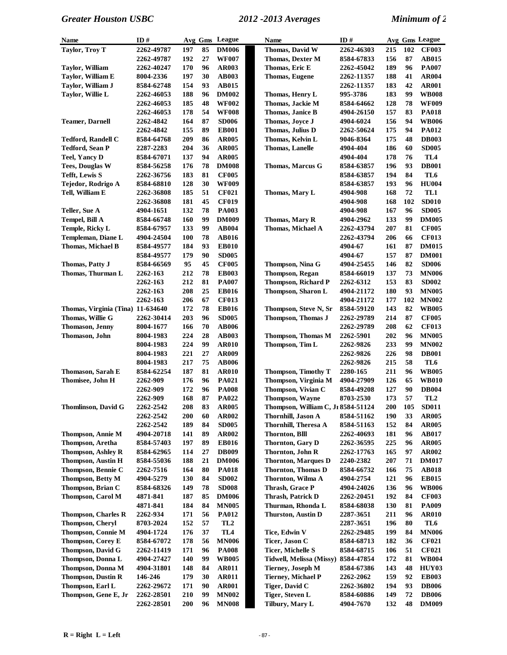| <b>Name</b>                       | ID#        |     |    | Avg Gms League  | <b>Name</b>                        | ID#        |     |     | Avg Gms League  |
|-----------------------------------|------------|-----|----|-----------------|------------------------------------|------------|-----|-----|-----------------|
| <b>Taylor, Troy T</b>             | 2262-49787 | 197 | 85 | <b>DM006</b>    | Thomas, David W                    | 2262-46303 | 215 | 102 | <b>CF003</b>    |
|                                   | 2262-49787 | 192 | 27 | <b>WF007</b>    | <b>Thomas, Dexter M</b>            | 8584-67833 | 156 | 87  | <b>AB015</b>    |
| <b>Taylor, William</b>            | 2262-40247 | 170 | 96 | <b>AR003</b>    | Thomas, Eric E                     | 2262-45042 | 189 | 96  | <b>PA007</b>    |
| Taylor, William E                 | 8004-2336  | 197 | 30 | <b>AB003</b>    | <b>Thomas, Eugene</b>              | 2262-11357 | 188 | 41  | <b>AR004</b>    |
| Taylor, William J                 | 8584-62748 | 154 | 93 | AB015           |                                    | 2262-11357 | 183 | 42  | <b>AR001</b>    |
| Taylor, Willie L                  | 2262-46053 | 188 | 96 | <b>DM002</b>    | Thomas, Henry L                    | 995-3786   | 183 | 99  | <b>WB008</b>    |
|                                   | 2262-46053 | 185 | 48 | <b>WF002</b>    | Thomas, Jackie M                   | 8584-64662 | 128 | 78  | <b>WF009</b>    |
|                                   | 2262-46053 | 178 | 54 | <b>WF008</b>    | Thomas, Janice B                   | 4904-26150 | 157 | 83  | <b>PA018</b>    |
| <b>Teamer, Darnell</b>            | 2262-4842  | 164 | 87 | <b>SD006</b>    | Thomas, Joyce J                    | 4904-6024  | 156 | 94  | <b>WB006</b>    |
|                                   | 2262-4842  | 155 | 89 | <b>EB001</b>    | Thomas, Julius D                   | 2262-50624 | 175 | 94  | PA012           |
| <b>Tedford, Randell C</b>         | 8584-64768 | 209 | 86 | <b>AR005</b>    | Thomas, Kelvin L                   | 9046-8364  | 175 | 48  | <b>DB003</b>    |
| <b>Tedford, Sean P</b>            | 2287-2283  | 204 | 36 | <b>AR005</b>    | Thomas, Lanelle                    | 4904-404   | 186 | 60  | <b>SD005</b>    |
| <b>Teel, Yancy D</b>              | 8584-67071 | 137 | 94 | <b>AR005</b>    |                                    | 4904-404   | 178 | 76  | TL <sub>4</sub> |
| <b>Tees, Douglas W</b>            | 8584-56258 | 176 | 78 | <b>DM008</b>    | <b>Thomas, Marcus G</b>            | 8584-63857 | 196 | 93  | <b>DB001</b>    |
| <b>Tefft, Lewis S</b>             | 2262-36756 | 183 | 81 | <b>CF005</b>    |                                    | 8584-63857 | 194 | 84  | TL6             |
| Tejedor, Rodrigo A                | 8584-68810 | 128 | 30 | <b>WF009</b>    |                                    | 8584-63857 | 193 | 96  | <b>HU004</b>    |
| Tell, William E                   | 2262-36808 | 185 | 51 | <b>CF021</b>    | Thomas, Mary L                     | 4904-908   | 168 | 72  | TL1             |
|                                   | 2262-36808 | 181 | 45 | <b>CF019</b>    |                                    | 4904-908   | 168 | 102 | <b>SD010</b>    |
| Teller, Sue A                     | 4904-1651  | 132 | 78 | <b>PA003</b>    |                                    | 4904-908   | 167 | 96  | <b>SD005</b>    |
| <b>Tempel, Bill A</b>             | 8584-66748 | 160 | 99 | <b>DM009</b>    | Thomas, Mary R                     | 4904-2962  | 133 | 99  | <b>DM005</b>    |
| <b>Temple, Ricky L</b>            | 8584-67957 | 133 | 99 | AB004           | Thomas, Michael A                  | 2262-43794 | 207 | 81  | <b>CF005</b>    |
| Templeman, Diane L                | 4904-24504 | 100 | 78 | <b>AB016</b>    |                                    | 2262-43794 | 206 | 66  | <b>CF013</b>    |
| Thomas, Michael B                 | 8584-49577 | 184 | 93 | <b>EB010</b>    |                                    | 4904-67    | 161 | 87  | <b>DM015</b>    |
|                                   | 8584-49577 | 179 | 90 | <b>SD005</b>    |                                    | 4904-67    | 157 | 87  | <b>DM001</b>    |
| Thomas, Patty J                   | 8584-66569 | 95  | 45 | <b>CF005</b>    | <b>Thompson, Nina G</b>            | 4904-25455 | 146 | 82  | <b>SD006</b>    |
| Thomas, Thurman L                 | 2262-163   | 212 | 78 | <b>EB003</b>    | <b>Thompson, Regan</b>             | 8584-66019 | 137 | 73  | <b>MN006</b>    |
|                                   | 2262-163   | 212 | 81 | <b>PA007</b>    | <b>Thompson, Richard P</b>         | 2262-6312  | 153 | 83  | <b>SD002</b>    |
|                                   | 2262-163   | 208 | 25 | <b>EB016</b>    | Thompson, Sharon L                 | 4904-21172 | 180 | 93  | <b>MN005</b>    |
|                                   | 2262-163   | 206 | 67 | <b>CF013</b>    |                                    | 4904-21172 | 177 | 102 | <b>MN002</b>    |
| Thomas, Virginia (Tina) 11-634640 |            | 172 | 78 | <b>EB016</b>    | Thompson, Steve N, Sr              | 8584-59120 | 143 | 82  | <b>WB005</b>    |
| Thomas, Willie G                  | 2262-30414 | 203 | 96 | <b>SD005</b>    | <b>Thompson, Thomas J</b>          | 2262-29789 | 214 | 87  | <b>CF005</b>    |
| Thomason, Jenny                   | 8004-1677  | 166 | 70 | <b>AB006</b>    |                                    | 2262-29789 | 208 | 62  | <b>CF013</b>    |
| Thomason, John                    | 8004-1983  | 224 | 28 | <b>AB003</b>    | <b>Thompson, Thomas M</b>          | 2262-5901  | 202 | 96  | <b>MN005</b>    |
|                                   | 8004-1983  | 224 | 99 | <b>AR010</b>    | Thompson, Tim L                    | 2262-9826  | 233 | 99  | <b>MN002</b>    |
|                                   | 8004-1983  | 221 | 27 | <b>AR009</b>    |                                    | 2262-9826  | 226 | 98  | <b>DB001</b>    |
|                                   | 8004-1983  | 217 | 75 | <b>AB006</b>    |                                    | 2262-9826  | 215 | 58  | TL6             |
| Thomason, Sarah E                 | 8584-62254 | 187 | 81 | <b>AR010</b>    | <b>Thompson, Timothy T</b>         | 2280-165   | 211 | 96  | <b>WB005</b>    |
| Thomisee, John H                  | 2262-909   | 176 | 96 | <b>PA021</b>    | Thompson, Virginia M               | 4904-27909 | 126 | 65  | <b>WB010</b>    |
|                                   | 2262-909   | 172 | 96 | <b>PA008</b>    | Thompson, Vivian C                 | 8584-49208 | 127 | 90  | <b>DB004</b>    |
|                                   | 2262-909   | 168 | 87 | PA022           | <b>Thompson, Wayne</b>             | 8703-2530  | 173 | 57  | TL <sub>2</sub> |
| Thomlinson, David G               | 2262-2542  | 208 | 83 | <b>AR005</b>    | Thompson, William C, Jr 8584-51124 |            | 200 | 105 | <b>SD011</b>    |
|                                   | 2262-2542  | 200 | 60 | <b>AR002</b>    | Thornhill, Jason A                 | 8584-51162 | 190 | 33  | <b>AR005</b>    |
|                                   | 2262-2542  | 189 | 84 | <b>SD005</b>    | Thornhill, Theresa A               | 8584-51163 | 152 | 84  | <b>AR005</b>    |
| Thompson, Annie M                 | 4904-20718 | 141 | 89 | <b>AR002</b>    | <b>Thornton, Blll</b>              | 2262-40693 | 181 | 96  | AB017           |
| Thompson, Aretha                  | 8584-57403 | 197 | 89 | <b>EB016</b>    | <b>Thornton, Gary D</b>            | 2262-36595 | 225 | 96  | <b>AR005</b>    |
| <b>Thompson, Ashley R</b>         | 8584-62965 | 114 | 27 | <b>DB009</b>    | Thornton, John R                   | 2262-17763 | 165 | 97  | AR002           |
| <b>Thompson, Austin H</b>         | 8584-55036 | 188 | 21 | <b>DM006</b>    | <b>Thornton, Marques D</b>         | 2240-2382  | 207 | 71  | <b>DM017</b>    |
| Thompson, Bennie C                | 2262-7516  | 164 | 80 | <b>PA018</b>    | Thornton, Thomas D                 | 8584-66732 | 166 | 75  | <b>AB018</b>    |
| Thompson, Betty M                 | 4904-5279  | 130 | 84 | <b>SD002</b>    | Thornton, Wilma A                  | 4904-2754  | 121 | 96  | <b>EB015</b>    |
| Thompson, Brian C                 | 8584-68326 | 149 | 78 | <b>SD008</b>    | Thrash, Grace P                    | 4904-24026 | 136 | 96  | <b>WB006</b>    |
| Thompson, Carol M                 | 4871-841   | 187 | 85 | <b>DM006</b>    | Thrash, Patrick D                  | 2262-20451 | 192 | 84  | <b>CF003</b>    |
|                                   | 4871-841   | 184 | 84 | <b>MN005</b>    | Thurman, Rhonda L                  | 8584-68038 | 130 | 81  | <b>PA009</b>    |
| Thompson, Charles R               | 2262-934   | 171 | 56 | <b>PA012</b>    | Thurston, Austin D                 | 2287-3651  | 211 | 96  | <b>AR010</b>    |
| <b>Thompson, Cheryl</b>           | 8703-2024  | 152 | 57 | TL <sub>2</sub> |                                    | 2287-3651  | 196 | 80  | TL6             |
| Thompson, Connie M                | 4904-1724  | 176 | 37 | TL <sub>4</sub> | Tice, Edwin V                      | 2262-29485 | 199 | 84  | <b>MN006</b>    |
| Thompson, Corey E                 | 8584-67072 | 178 | 56 | <b>MN006</b>    | Ticer, Jason C                     | 8584-68713 | 182 | 36  | <b>CF021</b>    |
| <b>Thompson, David G</b>          | 2262-11419 | 171 | 96 | <b>PA008</b>    | <b>Ticer, Michelle S</b>           | 8584-68715 | 106 | 51  | <b>CF021</b>    |
| Thompson, Donna L                 | 4904-27427 | 140 | 99 | <b>WB005</b>    | Tidwell, Melissa (Missy)           | 8584-47854 | 172 | 81  | <b>WB004</b>    |
| Thompson, Donna M                 | 4904-31801 | 148 | 84 | <b>AR011</b>    | <b>Tierney, Joseph M</b>           | 8584-67386 | 143 | 48  | HUY03           |
| <b>Thompson, Dustin R</b>         | 146-246    | 179 | 30 | <b>AR011</b>    | <b>Tierney, Michael P</b>          | 2262-2062  | 159 | 92  | <b>EB003</b>    |
| Thompson, Earl L                  | 2262-29672 | 171 | 90 | <b>AR001</b>    | Tiger, David C                     | 2262-36802 | 194 | 93  | <b>DB006</b>    |
| Thompson, Gene E, Jr              | 2262-28501 | 210 | 99 | <b>MN002</b>    | Tiger, Steven L                    | 8584-60886 | 149 | 72  | <b>DB006</b>    |
|                                   | 2262-28501 | 200 | 96 | <b>MN008</b>    | Tilbury, Mary L                    | 4904-7670  | 132 | 48  | <b>DM009</b>    |
|                                   |            |     |    |                 |                                    |            |     |     |                 |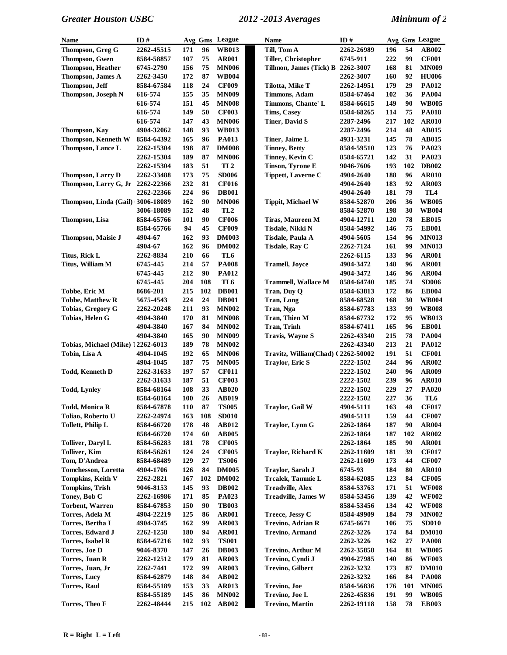| <b>Name</b>                       | ID#        |     |     | Avg Gms League  | <b>Name</b>                        | ID#        |     |     | Avg Gms League |
|-----------------------------------|------------|-----|-----|-----------------|------------------------------------|------------|-----|-----|----------------|
| Thompson, Greg G                  | 2262-45515 | 171 | 96  | <b>WB013</b>    | Till, Tom A                        | 2262-26989 | 196 | 54  | AB002          |
| <b>Thompson, Gwen</b>             | 8584-58857 | 107 | 75  | <b>AR001</b>    | Tiller, Christopher                | 6745-911   | 222 | 99  | <b>CF001</b>   |
| <b>Thompson, Heather</b>          | 6745-2790  | 156 | 75  | <b>MN006</b>    | Tillmon, James (Tick) B 2262-3007  |            | 168 | 81  | <b>MN009</b>   |
| Thompson, James A                 | 2262-3450  | 172 | 87  | <b>WB004</b>    |                                    | 2262-3007  | 160 | 92  | <b>HU006</b>   |
| Thompson, Jeff                    | 8584-67584 | 118 | 24  | <b>CF009</b>    | Tilotta, Mike T                    | 2262-14951 | 179 | 29  | PA012          |
| Thompson, Joseph N                | 616-574    | 155 | 35  | <b>MN009</b>    | <b>Timmons, Adam</b>               | 8584-67464 | 102 | 36  | <b>PA004</b>   |
|                                   | 616-574    | 151 | 45  | <b>MN008</b>    | Timmons, Chante' L                 | 8584-66615 | 149 | 90  | <b>WB005</b>   |
|                                   | 616-574    | 149 | 50  | <b>CF003</b>    | <b>Tims, Casey</b>                 | 8584-68265 | 114 | 75  | <b>PA018</b>   |
|                                   | 616-574    | 147 | 43  | <b>MN006</b>    | <b>Tiner, David S</b>              | 2287-2496  | 217 | 102 | <b>AR010</b>   |
| Thompson, Kav                     | 4904-32062 | 148 | 93  | <b>WB013</b>    |                                    | 2287-2496  | 214 | 48  | AB015          |
| <b>Thompson, Kenneth W</b>        | 8584-64392 | 165 | 96  | <b>PA013</b>    | Tiner, Jaime L                     | 4931-3231  | 145 | 78  | AB015          |
|                                   |            | 198 | 87  | <b>DM008</b>    |                                    | 8584-59510 | 123 | 76  | PA023          |
| Thompson, Lance L                 | 2262-15304 |     |     |                 | <b>Tinney, Betty</b>               |            |     |     |                |
|                                   | 2262-15304 | 189 | 87  | <b>MN006</b>    | Tinney, Kevin C                    | 8584-65721 | 142 | 31  | PA023          |
|                                   | 2262-15304 | 183 | 51  | TL <sub>2</sub> | Tinson, Tyrone E                   | 9046-7606  | 193 | 102 | <b>DB002</b>   |
| <b>Thompson, Larry D</b>          | 2262-33488 | 173 | 75  | <b>SD006</b>    | <b>Tippett, Laverne C</b>          | 4904-2640  | 188 | 96  | <b>AR010</b>   |
| Thompson, Larry G, Jr             | 2262-22366 | 232 | 81  | <b>CF016</b>    |                                    | 4904-2640  | 183 | 92  | <b>AR003</b>   |
|                                   | 2262-22366 | 224 | 96  | <b>DB001</b>    |                                    | 4904-2640  | 181 | 79  | TL4            |
| Thompson, Linda (Gail) 3006-18089 |            | 162 | 90  | <b>MN006</b>    | <b>Tippit, Michael W</b>           | 8584-52870 | 206 | 36  | <b>WB005</b>   |
|                                   | 3006-18089 | 152 | 48  | TL <sub>2</sub> |                                    | 8584-52870 | 198 | 30  | <b>WB004</b>   |
| Thompson, Lisa                    | 8584-65766 | 101 | 90  | <b>CF006</b>    | Tiras, Maureen M                   | 4904-12711 | 120 | 78  | <b>EB015</b>   |
|                                   | 8584-65766 | 94  | 45  | <b>CF009</b>    | Tisdale, Nikki N                   | 8584-54992 | 146 | 75  | <b>EB001</b>   |
| <b>Thompson, Maisie J</b>         | 4904-67    | 162 | 93  | <b>DM003</b>    | Tisdale, Paula A                   | 4904-5605  | 154 | 96  | <b>MN013</b>   |
|                                   | 4904-67    | 162 | 96  | <b>DM002</b>    | <b>Tisdale, Ray C</b>              | 2262-7124  | 161 | 99  | <b>MN013</b>   |
| Titus, Rick L                     | 2262-8834  | 210 | 66  | TL6             |                                    | 2262-6115  | 133 | 96  | <b>AR001</b>   |
| Titus, William M                  | 6745-445   | 214 | 57  | <b>PA008</b>    | <b>Tramell, Joyce</b>              | 4904-3472  | 148 | 96  | <b>AR001</b>   |
|                                   | 6745-445   | 212 | 90  | <b>PA012</b>    |                                    | 4904-3472  | 146 | 96  | <b>AR004</b>   |
|                                   | 6745-445   | 204 | 108 | TL6             | <b>Trammell, Wallace M</b>         | 8584-64740 | 185 | 74  | <b>SD006</b>   |
| Tobbe, Eric M                     | 8686-201   | 215 | 102 | <b>DB001</b>    | Tran, Duy Q                        | 8584-63813 | 172 | 86  | <b>EB004</b>   |
| <b>Tobbe, Matthew R</b>           | 5675-4543  | 224 | 24  | <b>DB001</b>    | <b>Tran, Long</b>                  | 8584-68528 | 168 | 30  | <b>WB004</b>   |
| Tobias, Gregory G                 | 2262-20248 | 211 | 93  | <b>MN002</b>    | Tran, Nga                          | 8584-67783 | 133 | 99  | <b>WB008</b>   |
| Tobias, Helen G                   | 4904-3840  | 170 | 81  | <b>MN008</b>    | Tran, Thien M                      | 8584-67732 | 172 | 95  | <b>WB013</b>   |
|                                   | 4904-3840  | 167 | 84  | <b>MN002</b>    | <b>Tran, Trinh</b>                 | 8584-67411 | 165 | 96  | <b>EB001</b>   |
|                                   | 4904-3840  | 165 | 90  | <b>MN009</b>    | Travis, Wayne S                    | 2262-43340 | 215 | 78  | <b>PA004</b>   |
| Tobias, Michael (Mike) 12262-6013 |            | 189 | 78  | <b>MN002</b>    |                                    | 2262-43340 | 213 | 21  | <b>PA012</b>   |
| Tobin, Lisa A                     | 4904-1045  | 192 | 65  | <b>MN006</b>    | Travitz, William(Chad) (2262-50002 |            | 191 | 51  | <b>CF001</b>   |
|                                   |            |     |     |                 |                                    |            |     |     |                |
|                                   | 4904-1045  | 187 | 75  | <b>MN005</b>    | <b>Traylor, Eric S</b>             | 2222-1502  | 244 | 96  | AR002          |
| <b>Todd, Kenneth D</b>            | 2262-31633 | 197 | 57  | <b>CF011</b>    |                                    | 2222-1502  | 240 | 96  | <b>AR009</b>   |
|                                   | 2262-31633 | 187 | 51  | <b>CF003</b>    |                                    | 2222-1502  | 239 | 96  | <b>AR010</b>   |
| <b>Todd, Lynley</b>               | 8584-68164 | 108 | 33  | <b>AB020</b>    |                                    | 2222-1502  | 229 | 27  | <b>PA020</b>   |
|                                   | 8584-68164 | 100 | 26  | <b>AB019</b>    |                                    | 2222-1502  | 227 | 36  | TL6            |
| <b>Todd, Monica R</b>             | 8584-67878 | 110 | 87  | <b>TS005</b>    | Traylor, Gail W                    | 4904-5111  | 163 | 48  | <b>CF017</b>   |
| Toliao, Roberto U                 | 2262-24974 | 163 | 108 | <b>SD010</b>    |                                    | 4904-5111  | 159 | 44  | <b>CF007</b>   |
| <b>Tollett, Philip L</b>          | 8584-66720 | 178 | 48  | AB012           | <b>Traylor, Lynn G</b>             | 2262-1864  | 187 | 90  | <b>AR004</b>   |
|                                   | 8584-66720 | 174 | 60  | <b>AB005</b>    |                                    | 2262-1864  | 187 | 102 | AR002          |
| <b>Tolliver, Daryl L</b>          | 8584-56283 | 181 | 78  | <b>CF005</b>    |                                    | 2262-1864  | 185 | 90  | <b>AR001</b>   |
| <b>Tolliver, Kim</b>              | 8584-56261 | 124 | 24  | <b>CF005</b>    | <b>Traylor, Richard K</b>          | 2262-11609 | 181 | 39  | <b>CF017</b>   |
| Tom, D'Andrea                     | 8584-68489 | 129 | 27  | <b>TS006</b>    |                                    | 2262-11609 | 173 | 44  | <b>CF007</b>   |
| Tomchesson, Loretta               | 4904-1706  | 126 | 84  | <b>DM005</b>    | Traylor, Sarah J                   | 6745-93    | 184 | 80  | <b>AR010</b>   |
| Tompkins, Keith V                 | 2262-2821  | 167 | 102 | <b>DM002</b>    | Trcalek, Tammie L                  | 8584-62085 | 123 | 84  | <b>CF005</b>   |
| <b>Tompkins, Trish</b>            | 9046-8153  | 145 | 93  | <b>DB002</b>    | <b>Treadville, Alex</b>            | 8584-53763 | 171 | 51  | <b>WF008</b>   |
| Toney, Bob C                      | 2262-16986 | 171 | 85  | PA023           | <b>Treadville, James W</b>         | 8584-53456 | 139 | 42  | <b>WF002</b>   |
| <b>Torbent, Warren</b>            | 8584-67853 | 150 | 90  | <b>TB003</b>    |                                    | 8584-53456 | 134 | 42  | <b>WF008</b>   |
| Torres, Adela M                   | 4904-22219 | 125 | 86  | <b>AR001</b>    | Treece, Jessy C                    | 8584-49909 | 184 | 79  | <b>MN002</b>   |
| Torres, Bertha I                  | 4904-3745  | 162 | 99  | AR003           | Trevino, Adrian R                  | 6745-6671  | 106 | 75  | <b>SD010</b>   |
| Torres, Edward J                  | 2262-1258  | 180 | 94  | <b>AR001</b>    | <b>Trevino, Armand</b>             | 2262-3226  | 174 | 84  | <b>DM010</b>   |
| <b>Torres, Isabel R</b>           | 8584-67216 | 102 | 93  | <b>TS001</b>    |                                    | 2262-3226  | 162 | 27  | <b>PA008</b>   |
| Torres, Joe D                     | 9046-8370  | 147 | 26  | <b>DB003</b>    | Trevino, Arthur M                  | 2262-35858 | 164 | 81  | <b>WB005</b>   |
| Torres, Juan R                    | 2262-12512 | 179 | 81  | AR003           | Trevino, Cyndi J                   | 4904-27985 | 140 | 86  | <b>WF003</b>   |
|                                   |            |     | 99  |                 | <b>Trevino, Gilbert</b>            |            |     |     |                |
| Torres, Juan, Jr                  | 2262-7441  | 172 |     | AR003           |                                    | 2262-3232  | 173 | 87  | <b>DM010</b>   |
| <b>Torres, Lucy</b>               | 8584-62879 | 148 | 84  | AB002           |                                    | 2262-3232  | 166 | 84  | <b>PA008</b>   |
| <b>Torres, Raul</b>               | 8584-55189 | 153 | 33  | AR013           | Trevino, Joe                       | 8584-56836 | 176 | 101 | <b>MN005</b>   |
|                                   | 8584-55189 | 145 | 86  | <b>MN002</b>    | Trevino, Joe L                     | 2262-45836 | 191 | 99  | <b>WB005</b>   |
| Torres, Theo F                    | 2262-48444 | 215 | 102 | <b>AB002</b>    | <b>Trevino, Martin</b>             | 2262-19118 | 158 | 78  | <b>EB003</b>   |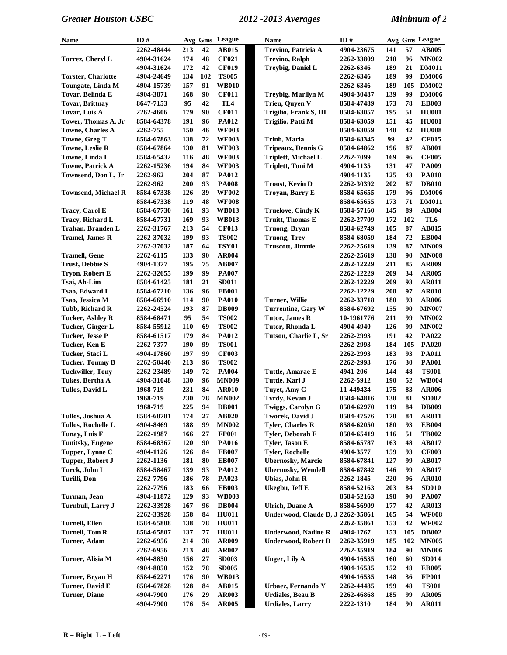| Name                       | ID#        |     |     | Avg Gms League | Name                              | ID#        |     |     | Avg Gms League |
|----------------------------|------------|-----|-----|----------------|-----------------------------------|------------|-----|-----|----------------|
|                            | 2262-48444 | 213 | 42  | <b>AB015</b>   | Trevino, Patricia A               | 4904-23675 | 141 | 57  | <b>AB005</b>   |
| Torrez, Cheryl L           | 4904-31624 | 174 | 48  | <b>CF021</b>   | <b>Trevino, Ralph</b>             | 2262-33809 | 218 | 96  | <b>MN002</b>   |
|                            | 4904-31624 | 172 | 42  | <b>CF019</b>   | Treybig, Daniel L                 | 2262-6346  | 189 | 21  | <b>DM011</b>   |
| <b>Torster, Charlotte</b>  | 4904-24649 | 134 | 102 | <b>TS005</b>   |                                   | 2262-6346  | 189 | 99  | <b>DM006</b>   |
| Toungate, Linda M          | 4904-15739 | 157 | 91  | <b>WB010</b>   |                                   | 2262-6346  | 189 | 105 | <b>DM002</b>   |
| Tovar, Belinda E           | 4904-3871  | 168 | 90  | <b>CF011</b>   | Treybig, Marilyn M                | 4904-30487 | 139 | 99  | <b>DM006</b>   |
| <b>Tovar, Brittnay</b>     | 8647-7153  | 95  | 42  | TL4            | Trieu, Quyen V                    | 8584-47489 | 173 | 78  | <b>EB003</b>   |
| Tovar, Luis A              | 2262-4606  | 179 | 90  | <b>CF011</b>   | Trigilio, Frank S, III            | 8584-63057 | 195 | 51  | <b>HU001</b>   |
| Tower, Thomas A, Jr        | 8584-64378 | 191 | 96  | <b>PA012</b>   | Trigilio, Patti M                 | 8584-63059 | 151 | 45  | <b>HU001</b>   |
| <b>Towne, Charles A</b>    | 2262-755   | 150 | 46  | <b>WF003</b>   |                                   | 8584-63059 | 148 | 42  | <b>HU008</b>   |
| Towne, Greg T              | 8584-67863 | 138 | 72  | <b>WF003</b>   | <b>Trinh, Maria</b>               | 8584-68345 | 99  | 42  | <b>CF015</b>   |
| <b>Towne, Leslie R</b>     | 8584-67864 | 130 | 81  | <b>WF003</b>   | Tripeaux, Dennis G                | 8584-64862 | 196 | 87  | <b>AB001</b>   |
| Towne, Linda L             | 8584-65432 | 116 | 48  | <b>WF003</b>   | Triplett, Michael L               | 2262-7099  | 169 | 96  | <b>CF005</b>   |
| <b>Towne, Patrick A</b>    | 2262-15236 | 194 | 84  | <b>WF003</b>   | Triplett, Toni M                  | 4904-1135  | 131 | 47  | <b>PA009</b>   |
| Townsend, Don L, Jr        | 2262-962   | 204 | 87  | <b>PA012</b>   |                                   | 4904-1135  | 125 | 43  | <b>PA010</b>   |
|                            | 2262-962   | 200 | 93  | <b>PA008</b>   | <b>Troost, Kevin D</b>            | 2262-30392 | 202 | 87  | <b>DB010</b>   |
| <b>Townsend, Michael R</b> | 8584-67338 | 126 | 39  | <b>WF002</b>   | Troyan, Barry E                   | 8584-65655 | 179 | 96  | <b>DM006</b>   |
|                            | 8584-67338 | 119 | 48  | <b>WF008</b>   |                                   | 8584-65655 | 173 | 71  | <b>DM011</b>   |
| <b>Tracy, Carol E</b>      | 8584-67730 | 161 | 93  | <b>WB013</b>   | <b>Truelove, Cindy K</b>          | 8584-57160 | 145 | 89  | <b>AB004</b>   |
| Tracy, Richard L           | 8584-67731 | 169 | 93  | <b>WB013</b>   | <b>Truitt, Thomas E</b>           | 2262-27709 | 172 | 102 | TL6            |
| Trahan, Branden L          | 2262-31767 | 213 | 54  | <b>CF013</b>   | Truong, Bryan                     | 8584-62749 | 105 | 87  | <b>AB015</b>   |
| <b>Tramel, James R</b>     | 2262-37032 | 199 | 93  | <b>TS002</b>   | <b>Truong, Trey</b>               | 8584-68059 | 184 | 72  | <b>EB004</b>   |
|                            | 2262-37032 | 187 | 64  | <b>TSY01</b>   | <b>Truscott, Jimmie</b>           | 2262-25619 | 139 | 87  | <b>MN009</b>   |
| Tramell, Gene              | 2262-6115  | 133 | 90  | AR004          |                                   | 2262-25619 | 138 | 90  | <b>MN008</b>   |
| <b>Trust, Debbie S</b>     | 4904-1377  | 195 | 75  | <b>AB007</b>   |                                   | 2262-12229 | 211 | 85  | <b>AR009</b>   |
| Trvon, Robert E            | 2262-32655 | 199 | 99  | <b>PA007</b>   |                                   | 2262-12229 | 209 | 34  | <b>AR005</b>   |
| Tsai, Ah-Lim               | 8584-61425 | 181 | 21  | SD011          |                                   | 2262-12229 | 209 | 93  | <b>AR011</b>   |
| Tsao, Edward I             | 8584-67210 | 136 | 96  | <b>EB001</b>   |                                   | 2262-12229 | 208 | 97  | <b>AR010</b>   |
| Tsao, Jessica M            | 8584-66910 | 114 | 90  | <b>PA010</b>   | Turner, Willie                    | 2262-33718 | 180 | 93  | <b>AR006</b>   |
| Tubb, Richard R            | 2262-24524 | 193 | 87  | <b>DB009</b>   | Turrentine, Gary W                | 8584-67692 | 155 | 90  | <b>MN007</b>   |
| <b>Tucker, Ashley R</b>    | 8584-68471 | 95  | 54  | <b>TS002</b>   | Tutor, James R                    | 10-1961776 | 211 | 99  | <b>MN002</b>   |
| Tucker, Ginger L           | 8584-55912 | 110 | 69  | <b>TS002</b>   | Tutor, Rhonda L                   | 4904-4940  | 126 | 99  | <b>MN002</b>   |
| <b>Tucker, Jesse P</b>     | 8584-61517 | 179 | 84  | <b>PA012</b>   | Tutson, Charlie L, Sr             | 2262-2993  | 191 | 42  | PA022          |
| Tucker, Ken E              | 2262-7377  | 190 | 99  | <b>TS001</b>   |                                   | 2262-2993  | 184 | 105 | <b>PA020</b>   |
| Tucker, Staci L            | 4904-17860 | 197 | 99  | <b>CF003</b>   |                                   | 2262-2993  | 183 | 93  | <b>PA011</b>   |
| <b>Tucker, Tommy B</b>     | 2262-50440 | 213 | 96  | <b>TS002</b>   |                                   | 2262-2993  | 176 | 30  | <b>PA001</b>   |
| <b>Tuckwiller, Tony</b>    | 2262-23489 | 149 | 72  | <b>PA004</b>   | Tuttle, Amarae E                  | 4941-206   | 144 | 48  | <b>TS001</b>   |
| Tukes, Bertha A            | 4904-31048 | 130 | 96  | <b>MN009</b>   | <b>Tuttle, Karl J</b>             | 2262-5912  | 190 | 52  | <b>WB004</b>   |
| Tullos, David L            | 1968-719   | 231 | 84  | <b>AR010</b>   | Tuyet, Amy C                      | 11-449434  | 175 | 83  | <b>AR006</b>   |
|                            | 1968-719   | 230 | 78  | <b>MN002</b>   | Tvrdy, Kevan J                    | 8584-64816 | 138 | 81  | <b>SD002</b>   |
|                            | 1968-719   | 225 | 94  | <b>DB001</b>   | Twiggs, Carolyn G                 | 8584-62970 | 119 | 84  | <b>DB009</b>   |
| Tullos, Joshua A           | 8584-68781 | 174 | 27  | AB020          | <b>Tworek, David J</b>            | 8584-47576 | 170 | 84  | <b>AR011</b>   |
| Tullos, Rochelle L         | 4904-8469  | 188 | 99  | <b>MN002</b>   | <b>Tyler, Charles R</b>           | 8584-62050 | 180 | 93  | <b>EB004</b>   |
| Tunay, Luis F              | 2262-1987  | 166 | 27  | <b>FP001</b>   | Tyler, Deborah F                  | 8584-65419 | 116 | 51  | <b>TB002</b>   |
| <b>Tunitsky, Eugene</b>    | 8584-68367 | 120 | 90  | <b>PA016</b>   | Tyler, Jason E                    | 8584-65787 | 163 | 48  | AB017          |
| Tupper, Lynne C            | 4904-1126  | 126 | 84  | <b>EB007</b>   | <b>Tyler, Rochelle</b>            | 4904-3577  | 159 | 93  | <b>CF003</b>   |
| Tupper, Robert J           | 2262-1136  | 181 | 80  | <b>EB007</b>   | <b>Ubernosky</b> , Marcie         | 8584-67841 | 127 | 99  | <b>AB017</b>   |
| Turck, John L              | 8584-58467 | 139 | 93  | <b>PA012</b>   | <b>Ubernosky, Wendell</b>         | 8584-67842 | 146 | 99  | <b>AB017</b>   |
| <b>Turilli, Don</b>        | 2262-7796  | 186 | 78  | PA023          | Ubias, John R                     | 2262-1845  | 220 | 96  | <b>AR010</b>   |
|                            | 2262-7796  | 183 | 66  | <b>EB003</b>   | Ukegbu, Jeff E                    | 8584-52163 | 203 | 84  | <b>SD010</b>   |
| Turman, Jean               | 4904-11872 | 129 | 93  | <b>WB003</b>   |                                   | 8584-52163 | 198 | 90  | <b>PA007</b>   |
| <b>Turnbull, Larry J</b>   | 2262-33928 | 167 | 96  | <b>DB004</b>   | <b>Ulrich, Duane A</b>            | 8584-56909 | 177 | 42  | <b>AR013</b>   |
|                            | 2262-33928 | 158 | 84  | <b>HU011</b>   | Underwood, Claude D, J 2262-35861 |            | 165 | 54  | <b>WF008</b>   |
| Turnell, Ellen             | 8584-65808 | 138 | 78  | <b>HU011</b>   |                                   | 2262-35861 | 153 | 42  | <b>WF002</b>   |
| <b>Turnell, Tom R</b>      | 8584-65807 | 137 | 77  | <b>HU011</b>   | <b>Underwood, Nadine R</b>        | 4904-1767  | 153 | 105 | <b>DB002</b>   |
| Turner, Adam               | 2262-6956  | 214 | 38  | AR009          | <b>Underwood, Robert D</b>        | 2262-35919 | 185 | 102 | <b>MN005</b>   |
|                            | 2262-6956  | 213 | 48  | AR002          |                                   | 2262-35919 | 184 | 90  | <b>MN006</b>   |
| Turner, Alisia M           | 4904-8850  | 156 | 27  | <b>SD003</b>   | Unger, Lily A                     | 4904-16535 | 160 | 60  | <b>SD014</b>   |
|                            | 4904-8850  | 152 | 78  | <b>SD005</b>   |                                   | 4904-16535 | 152 | 48  | <b>EB005</b>   |
| Turner, Bryan H            | 8584-62271 | 176 | 90  | <b>WB013</b>   |                                   | 4904-16535 | 148 | 36  | <b>FP001</b>   |
| Turner, David E            | 8584-67828 | 128 | 84  | AB015          | Urbaez, Fernando Y                | 2262-44485 | 199 | 48  | <b>TS001</b>   |
| <b>Turner</b> , Diane      | 4904-7900  | 176 | 29  | <b>AR003</b>   | <b>Urdiales, Beau B</b>           | 2262-46868 | 185 | 99  | <b>AR005</b>   |
|                            | 4904-7900  | 176 | 54  | <b>AR005</b>   | <b>Urdiales, Larry</b>            | 2222-1310  | 184 | 90  | <b>AR011</b>   |
|                            |            |     |     |                |                                   |            |     |     |                |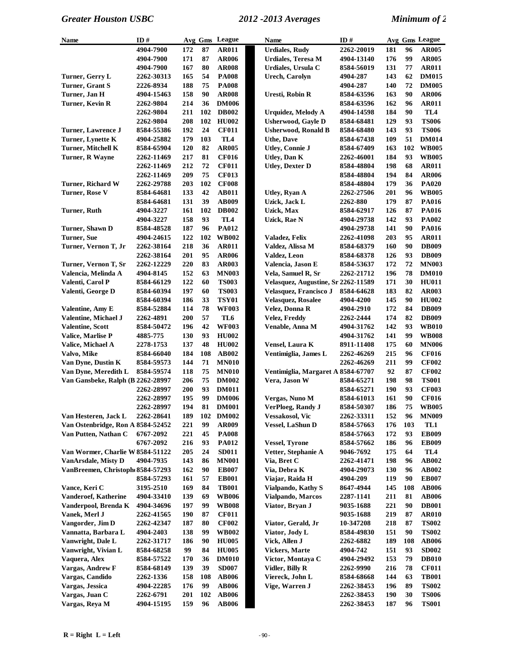| Name                              | ID#        |     |     | Avg Gms League | <b>Name</b>                         | ID#        |     |     | Avg Gms League |
|-----------------------------------|------------|-----|-----|----------------|-------------------------------------|------------|-----|-----|----------------|
|                                   | 4904-7900  | 172 | 87  | <b>AR011</b>   | <b>Urdiales, Rudy</b>               | 2262-20019 | 181 | 96  | <b>AR005</b>   |
|                                   | 4904-7900  | 171 | 87  | <b>AR006</b>   | <b>Urdiales, Teresa M</b>           | 4904-13140 | 176 | 99  | <b>AR005</b>   |
|                                   | 4904-7900  | 167 | 80  | <b>AR008</b>   | Urdiales, Ursula C                  | 8584-56019 | 131 | 77  | <b>AR011</b>   |
| Turner, Gerry L                   | 2262-30313 | 165 | 54  | <b>PA008</b>   | <b>Urech, Carolyn</b>               | 4904-287   | 143 | 62  | <b>DM015</b>   |
| Turner, Grant S                   | 2226-8934  | 188 | 75  | <b>PA008</b>   |                                     | 4904-287   | 140 | 72  | <b>DM005</b>   |
| Turner, Jan H                     | 4904-15463 | 158 | 90  | <b>AR008</b>   | Uresti, Robin R                     | 8584-63596 | 163 | 90  | <b>AR006</b>   |
| Turner, Kevin R                   | 2262-9804  | 214 | 36  | <b>DM006</b>   |                                     | 8584-63596 | 162 | 96  | <b>AR011</b>   |
|                                   | 2262-9804  | 211 | 102 | <b>DB002</b>   | Urquidez, Melody A                  | 4904-14598 | 184 | 90  | TL4            |
|                                   | 2262-9804  | 208 | 102 | <b>HU002</b>   | <b>Usherwood, Gayle D</b>           | 8584-68481 | 129 | 93  | <b>TS006</b>   |
| <b>Turner, Lawrence J</b>         | 8584-55386 | 192 | 24  | <b>CF011</b>   | <b>Usherwood, Ronald B</b>          | 8584-68480 | 143 | 93  | <b>TS006</b>   |
| Turner, Lynette K                 | 4904-25882 | 179 | 103 | TL4            | <b>Uthe, Dave</b>                   | 8584-67438 | 109 | 51  | <b>DM014</b>   |
| Turner, Mitchell K                | 8584-65904 | 120 | 82  | <b>AR005</b>   | <b>Utley, Connie J</b>              | 8584-67409 | 163 | 102 | <b>WB005</b>   |
| Turner, R Wayne                   | 2262-11469 | 217 | 81  | <b>CF016</b>   | Utley, Dan K                        | 2262-46001 | 184 | 93  | <b>WB005</b>   |
|                                   | 2262-11469 | 212 | 72  | <b>CF011</b>   | <b>Utley, Dexter D</b>              | 8584-48804 | 198 | 68  | <b>AR011</b>   |
|                                   | 2262-11469 | 209 | 75  | <b>CF013</b>   |                                     | 8584-48804 | 194 | 84  | <b>AR006</b>   |
| <b>Turner, Richard W</b>          | 2262-29788 | 203 | 102 | <b>CF008</b>   |                                     | 8584-48804 | 179 | 36  | <b>PA020</b>   |
| Turner, Rose V                    | 8584-64681 | 133 | 42  | <b>AB011</b>   | Utley, Ryan A                       | 2262-27506 | 201 | 96  | <b>WB005</b>   |
|                                   | 8584-64681 | 131 | 39  | <b>AB009</b>   | Uzick, Jack L                       | 2262-880   | 179 | 87  | <b>PA016</b>   |
| Turner, Ruth                      | 4904-3227  | 161 | 102 | <b>DB002</b>   | Uzick, Max                          | 8584-62917 | 126 | 87  | <b>PA016</b>   |
|                                   | 4904-3227  | 158 | 93  | TL4            | Uzick, Rae N                        | 4904-29738 | 142 | 93  | <b>PA002</b>   |
| Turner, Shawn D                   | 8584-48528 | 187 | 96  | PA012          |                                     | 4904-29738 | 141 | 90  | PA016          |
| Turner, Sue                       | 4904-24615 | 122 | 102 | <b>WB002</b>   | Valadez, Felix                      | 2262-41098 | 203 | 95  | <b>AR011</b>   |
| Turner, Vernon T, Jr              | 2262-38164 | 218 | 36  | <b>AR011</b>   | Valdez, Alissa M                    | 8584-68379 | 160 | 90  | <b>DB009</b>   |
|                                   | 2262-38164 | 201 | 95  | <b>AR006</b>   | Valdez, Leon                        | 8584-68378 | 126 | 93  | <b>DB009</b>   |
| Turner, Vernon T, Sr              | 2262-12229 | 220 | 83  | <b>AR003</b>   | Valencia, Jason E                   | 8584-53637 | 172 | 72  | <b>MN003</b>   |
| Valencia, Melinda A               | 4904-8145  | 152 | 63  | <b>MN003</b>   | Vela, Samuel R, Sr                  | 2262-21712 | 196 | 78  | <b>DM010</b>   |
| Valenti, Carol P                  | 8584-66129 | 122 | 60  | <b>TS003</b>   | Velasquez, Augustine, Sr 2262-11589 |            | 171 | 30  | <b>HU011</b>   |
| Valenti, George D                 | 8584-60394 | 197 | 60  | <b>TS003</b>   | Velasquez, Francisco J              | 8584-64628 | 183 | 82  | <b>AR003</b>   |
|                                   | 8584-60394 | 186 | 33  | <b>TSY01</b>   | Velasquez, Rosalee                  | 4904-4200  | 145 | 90  | <b>HU002</b>   |
| Valentine, Amy E                  | 8584-52884 | 114 | 78  | <b>WF003</b>   | Velez, Donna R                      | 4904-2910  | 172 | 84  | <b>DB009</b>   |
| Valentine, Michael J              | 2262-4891  | 200 | 57  | TL6            | <b>Velez, Freddy</b>                | 2262-2444  | 174 | 82  | <b>DB009</b>   |
| <b>Valentine, Scott</b>           | 8584-50472 | 196 | 42  | <b>WF003</b>   | Venable, Anna M                     | 4904-31762 | 142 | 93  | <b>WB010</b>   |
| Valice, Marlise P                 | 4885-775   | 130 | 93  | <b>HU002</b>   |                                     | 4904-31762 | 141 | 99  | <b>WB008</b>   |
| Valice, Michael A                 | 2278-1753  | 137 | 48  | <b>HU002</b>   | Vensel, Laura K                     | 8911-11408 | 175 | 60  | <b>MN006</b>   |
| Valvo, Mike                       | 8584-66040 | 184 | 108 | <b>AB002</b>   | Ventimiglia, James L                | 2262-46269 | 215 | 96  | <b>CF016</b>   |
| Van Dyne, Dustin K                | 8584-59573 | 144 | 71  | <b>MN010</b>   |                                     | 2262-46269 | 211 | 99  | <b>CF002</b>   |
| Van Dyne, Meredith L              | 8584-59574 | 118 | 75  | <b>MN010</b>   | Ventimiglia, Margaret A 8584-67707  |            | 92  | 87  | <b>CF002</b>   |
| Van Gansbeke, Ralph (B 2262-28997 |            | 206 | 75  | <b>DM002</b>   | Vera, Jason W                       | 8584-65271 | 198 | 98  | <b>TS001</b>   |
|                                   | 2262-28997 | 200 | 93  | <b>DM011</b>   |                                     | 8584-65271 | 190 | 93  | <b>CF003</b>   |
|                                   | 2262-28997 | 195 | 99  | <b>DM006</b>   | Vergas, Nuno M                      | 8584-61013 | 161 | 90  | <b>CF016</b>   |
|                                   | 2262-28997 | 194 | 81  | <b>DM001</b>   | VerPloeg, Randy J                   | 8584-50307 | 186 | 75  | <b>WB005</b>   |
| Van Hesteren, Jack L              | 2262-28641 | 189 | 102 | <b>DM002</b>   | Vessakosol, Vic                     | 2262-33311 | 152 | 96  | <b>MN009</b>   |
| Van Ostenbridge, Ron A 8584-52452 |            | 221 | 99  | <b>AR009</b>   | <b>Vessel, LaShun D</b>             | 8584-57663 | 176 | 103 | TL1            |
| Van Putten, Nathan C              | 6767-2092  | 221 | 45  | <b>PA008</b>   |                                     | 8584-57663 | 172 | 93  | <b>EB009</b>   |
|                                   | 6767-2092  | 216 | 93  | <b>PA012</b>   | <b>Vessel, Tyrone</b>               | 8584-57662 | 186 | 96  | <b>EB009</b>   |
| Van Wormer, Charlie W 8584-51122  |            | 205 | 24  | <b>SD011</b>   | Vetter, Stephanie A                 | 9046-7692  | 175 | 64  | TL4            |
| <b>VanArsdale, Misty D</b>        | 4904-7935  | 143 | 86  | <b>MN001</b>   | Via, Bret C                         | 2262-41471 | 198 | 96  | AB002          |
| VanBreemen, Christoph 8584-57293  |            | 162 | 90  | <b>EB007</b>   | Via, Debra K                        | 4904-29073 | 130 | 96  | <b>AB002</b>   |
|                                   | 8584-57293 | 161 | 57  | <b>EB001</b>   | Viajar, Raida H                     | 4904-209   | 119 | 90  | <b>EB007</b>   |
| Vance, Keri C                     | 3195-2510  | 169 | 84  | <b>TB001</b>   | Vialpando, Kathy S                  | 8647-4944  | 145 | 108 | <b>AB006</b>   |
| Vanderoef, Katherine              | 4904-33410 | 139 | 69  | <b>WB006</b>   | Vialpando, Marcos                   | 2287-1141  | 211 | 81  | <b>AB006</b>   |
| Vanderpool, Brenda K              | 4904-34696 | 197 | 99  | <b>WB008</b>   | Viator, Bryan J                     | 9035-1688  | 221 | 90  | <b>DB001</b>   |
| Vanek, Merl J                     | 2262-41565 | 190 | 87  | <b>CF011</b>   |                                     | 9035-1688  | 219 | 87  | <b>AR010</b>   |
| Vangorder, Jim D                  | 2262-42347 | 187 | 80  | <b>CF002</b>   | Viator, Gerald, Jr                  | 10-347208  | 218 | 87  | <b>TS002</b>   |
| Vannatta, Barbara L               | 4904-2403  | 138 | 99  | <b>WB002</b>   | Viator, Jody L                      | 8584-49830 | 151 | 90  | <b>TS002</b>   |
| Vanwright, Dale L                 | 2262-31717 | 186 | 90  | <b>HU005</b>   | Vick, Allen J                       | 2262-6882  | 189 | 108 | <b>AB006</b>   |
| Vanwright, Vivian L               | 8584-68258 | 99  | 84  | <b>HU005</b>   | <b>Vickers, Marte</b>               | 4904-742   | 151 | 93  | <b>SD002</b>   |
| Vaquera, Alex                     | 8584-57522 | 170 | 36  | <b>DM010</b>   | Victor, Montaya C                   | 4904-29492 | 153 | 79  | <b>DB010</b>   |
| Vargas, Andrew F                  | 8584-68149 | 139 | 39  | <b>SD007</b>   | Vidler, Billy R                     | 2262-9990  | 216 | 78  | <b>CF011</b>   |
| Vargas, Candido                   | 2262-1336  | 158 | 108 | <b>AB006</b>   | Viereck, John L                     | 8584-68668 | 144 | 63  | <b>TB001</b>   |
| Vargas, Jessica                   | 4904-22285 | 176 | 99  | <b>AB006</b>   | Vige, Warren J                      | 2262-38453 | 196 | 89  | <b>TS002</b>   |
| Vargas, Juan C                    | 2262-6791  | 201 | 102 | <b>AB006</b>   |                                     | 2262-38453 | 190 | 30  | <b>TS006</b>   |
| Vargas, Reya M                    | 4904-15195 | 159 | 96  | <b>AB006</b>   |                                     | 2262-38453 | 187 | 96  | <b>TS001</b>   |
|                                   |            |     |     |                |                                     |            |     |     |                |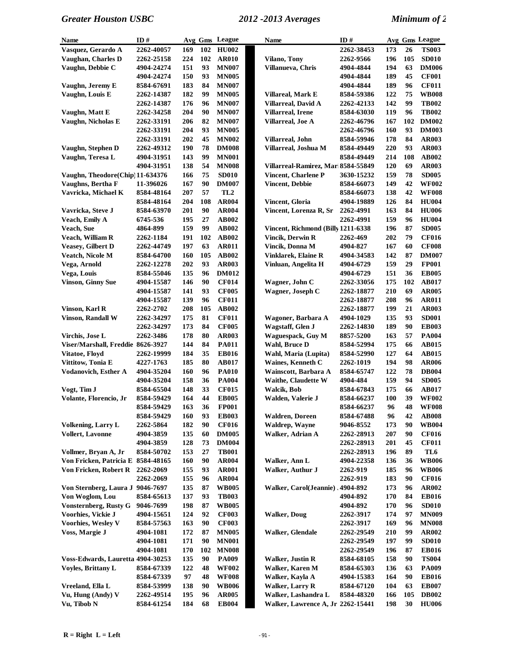| Name                               | ID#        |            |     | Avg Gms League  | <b>Name</b>                         | ID#        |     |           | Avg Gms League |
|------------------------------------|------------|------------|-----|-----------------|-------------------------------------|------------|-----|-----------|----------------|
| Vasquez, Gerardo A                 | 2262-40057 | 169        | 102 | <b>HU002</b>    |                                     | 2262-38453 | 173 | 26        | <b>TS003</b>   |
| Vaughan, Charles D                 | 2262-25158 | 224        | 102 | <b>AR010</b>    | <b>Vilano</b> , Tony                | 2262-9566  | 196 | 105       | <b>SD010</b>   |
| Vaughn, Debbie C                   | 4904-24274 | 151        | 93  | <b>MN007</b>    | Villanueva, Chris                   | 4904-4844  | 194 | 63        | <b>DM006</b>   |
|                                    | 4904-24274 | 150        | 93  | <b>MN005</b>    |                                     | 4904-4844  | 189 | 45        | <b>CF001</b>   |
| Vaughn, Jeremy E                   | 8584-67691 | 183        | 84  | <b>MN007</b>    |                                     | 4904-4844  | 189 | 96        | <b>CF011</b>   |
| Vaughn, Louis E                    | 2262-14387 | 182        | 99  | <b>MN005</b>    | Villareal, Mark E                   | 8584-59386 | 122 | 75        | <b>WB008</b>   |
|                                    | 2262-14387 | 176        | 96  | <b>MN007</b>    | Villarreal, David A                 | 2262-42133 | 142 | 99        | <b>TB002</b>   |
| Vaughn, Matt E                     | 2262-34258 | 204        | 90  | <b>MN007</b>    | <b>Villarreal, Irene</b>            | 8584-63030 | 119 | 96        | <b>TB002</b>   |
| Vaughn, Nicholas E                 | 2262-33191 | 206        | 82  | <b>MN007</b>    | Villarreal, Joe A                   | 2262-46796 | 167 | 102       | <b>DM002</b>   |
|                                    | 2262-33191 | 204        | 93  | <b>MN005</b>    |                                     | 2262-46796 | 160 | 93        | <b>DM003</b>   |
|                                    | 2262-33191 | 202        | 45  | <b>MN002</b>    | Villarreal, John                    | 8584-59946 | 178 | 84        | <b>AR003</b>   |
| Vaughn, Stephen D                  | 2262-49312 | 190        | 78  | <b>DM008</b>    | Villarreal, Joshua M                | 8584-49449 | 220 | 93        | <b>AR003</b>   |
| Vaughn, Teresa L                   | 4904-31951 | 143        | 99  | <b>MN001</b>    |                                     | 8584-49449 | 214 | 108       | AB002          |
|                                    | 4904-31951 | 138        | 54  | <b>MN008</b>    | Villarreal-Ramirez, Mari 8584-55849 |            | 120 | 69        | AR003          |
| Vaughn, Theodore(Chip) 11-634376   |            | 166        | 75  | <b>SD010</b>    | <b>Vincent, Charlene P</b>          | 3630-15232 | 159 | 78        | <b>SD005</b>   |
| Vaughns, Bertha F                  | 11-396026  | 167        | 90  | <b>DM007</b>    | <b>Vincent, Debbie</b>              | 8584-66073 | 149 | 42        | <b>WF002</b>   |
| Vavricka, Michael K                | 8584-48164 | 207        | 57  | TL <sub>2</sub> |                                     | 8584-66073 | 138 | 42        | <b>WF008</b>   |
|                                    | 8584-48164 | 204        | 108 | <b>AR004</b>    | Vincent, Gloria                     | 4904-19889 | 126 | 84        | <b>HU004</b>   |
| Vavricka, Steve J                  | 8584-63970 | 201        | 90  | <b>AR004</b>    | Vincent, Lorenza R, Sr              | 2262-4991  | 163 | 84        | <b>HU006</b>   |
| Veach, Emily A                     | 6745-536   | 195        | 27  | AB002           |                                     | 2262-4991  | 159 | 96        | <b>HU004</b>   |
| Veach, Sue                         | 4864-899   | 159        | 99  | <b>AB002</b>    | Vincent, Richmond (Billy 1211-6338) |            | 196 | 87        | <b>SD005</b>   |
| Veach, William R                   | 2262-1184  | 191        | 102 | <b>AB002</b>    | <b>Vincik, Derwin R</b>             | 2262-469   | 202 | 79        | <b>CF016</b>   |
| <b>Veasey, Gilbert D</b>           | 2262-44749 | 197        | 63  | <b>AR011</b>    | Vincik, Donna M                     | 4904-827   | 167 | 60        | <b>CF008</b>   |
| Veatch, Nicole M                   | 8584-64700 | 160        | 105 | AB002           | <b>Vinklarek, Elaine R</b>          | 4904-34583 | 142 | 87        | <b>DM007</b>   |
|                                    |            | 202        | 93  | <b>AR003</b>    | Vinluan, Angelita H                 |            | 159 | 29        | <b>FP001</b>   |
| Vega, Arnold                       | 2262-12278 | 135        |     |                 |                                     | 4904-6729  |     |           |                |
| Vega, Louis                        | 8584-55046 |            | 96  | <b>DM012</b>    |                                     | 4904-6729  | 151 | 36<br>102 | <b>EB005</b>   |
| <b>Vinson, Ginny Sue</b>           | 4904-15587 | 146        | 90  | <b>CF014</b>    | Wagner, John C                      | 2262-33056 | 175 |           | <b>AB017</b>   |
|                                    | 4904-15587 | 141        | 93  | <b>CF005</b>    | Wagner, Joseph C                    | 2262-18877 | 210 | 69        | <b>AR005</b>   |
|                                    | 4904-15587 | 139        | 96  | <b>CF011</b>    |                                     | 2262-18877 | 208 | 96        | <b>AR011</b>   |
| Vinson, Karl R                     | 2262-2702  | 208        | 105 | AB002           |                                     | 2262-18877 | 199 | 21        | <b>AR003</b>   |
| <b>Vinson, Randall W</b>           | 2262-34297 | 175        | 81  | <b>CF011</b>    | Wagoner, Barbara A                  | 4904-1029  | 135 | 93        | <b>SD001</b>   |
|                                    | 2262-34297 | 173        | 84  | <b>CF005</b>    | Wagstaff, Glen J                    | 2262-14830 | 189 | 90        | <b>EB003</b>   |
| Virchis, Jose L                    | 2262-3486  | 178        | 80  | <b>AR003</b>    | <b>Waguespack, Guy M</b>            | 8857-5200  | 163 | 57        | <b>PA004</b>   |
| Viser/Marshall, Freddie 8626-3927  |            | 144        | 84  | <b>PA011</b>    | Wahl, Bruce D                       | 8584-52994 | 175 | 66        | <b>AB015</b>   |
| Vitatoe, Floyd                     | 2262-19999 | 184        | 35  | <b>EB016</b>    | Wahl, Maria (Lupita)                | 8584-52990 | 127 | 64        | AB015          |
| Vittitow, Tonia E                  | 4227-1763  | 185        | 80  | <b>AB017</b>    | <b>Waines, Kenneth C</b>            | 2262-1019  | 194 | 98        | <b>AR006</b>   |
| Vodanovich, Esther A               | 4904-35204 | 160        | 96  | <b>PA010</b>    | Wainscott, Barbara A                | 8584-65747 | 122 | 78        | <b>DB004</b>   |
|                                    | 4904-35204 | 158        | 36  | <b>PA004</b>    | Waithe, Claudette W                 | 4904-484   | 159 | 94        | <b>SD005</b>   |
| Vogt, Tim J                        | 8584-65504 | 148        | 33  | <b>CF015</b>    | Walcik, Bob                         | 8584-67843 | 175 | 66        | <b>AB017</b>   |
| Volante, Florencio, Jr             | 8584-59429 | 164        | 44  | <b>EB005</b>    | Walden, Valerie J                   | 8584-66237 | 100 | 39        | <b>WF002</b>   |
|                                    | 8584-59429 | 163        | 36  | <b>FP001</b>    |                                     | 8584-66237 | 96  | 48        | <b>WF008</b>   |
|                                    | 8584-59429 | <b>160</b> | 93  | <b>EB003</b>    | <b>Waldren, Doreen</b>              | 8584-67488 | 96  | 42        | <b>AB008</b>   |
| <b>Volkening, Larry L</b>          | 2262-5864  | 182        | 90  | <b>CF016</b>    | Waldrep, Wayne                      | 9046-8552  | 173 | 90        | <b>WB004</b>   |
| <b>Vollert, Lavonne</b>            | 4904-3859  | 135        | 60  | <b>DM005</b>    | Walker, Adrian A                    | 2262-28913 | 207 | 90        | <b>CF016</b>   |
|                                    | 4904-3859  | 128        | 73  | <b>DM004</b>    |                                     | 2262-28913 | 201 | 45        | <b>CF011</b>   |
| Vollmer, Bryan A, Jr               | 8584-50702 | 153        | 27  | <b>TB001</b>    |                                     | 2262-28913 | 196 | 89        | TL6            |
| Von Fricken, Patricia E 8584-48165 |            | 160        | 90  | <b>AR004</b>    | Walker, Ann L                       | 4904-22358 | 136 | 36        | <b>WB006</b>   |
| Von Fricken, Robert R              | 2262-2069  | 155        | 93  | <b>AR001</b>    | Walker, Authur J                    | 2262-919   | 185 | 96        | <b>WB006</b>   |
|                                    | 2262-2069  | 155        | 96  | <b>AR004</b>    |                                     | 2262-919   | 183 | 90        | <b>CF016</b>   |
| Von Sternberg, Laura J 9046-7697   |            | 135        | 87  | <b>WB005</b>    | Valker, Carol(Jeannie), 4904-892    |            | 173 | 96        | AR002          |
| Von Woglom, Lou                    | 8584-65613 | 137        | 93  | <b>TB003</b>    |                                     | 4904-892   | 170 | 84        | <b>EB016</b>   |
| Vonsternberg, Rusty G              | 9046-7699  | 198        | 87  | <b>WB005</b>    |                                     | 4904-892   | 170 | 96        | <b>SD010</b>   |
| Voorhies, Vickie J                 | 4904-15651 | 124        | 92  | <b>CF003</b>    | <b>Walker</b> , Doug                | 2262-3917  | 174 | 97        | <b>MN009</b>   |
| Voorhies, Wesley V                 | 8584-57563 | 163        | 90  | <b>CF003</b>    |                                     | 2262-3917  | 169 | 96        | <b>MN008</b>   |
| Voss, Margie J                     | 4904-1081  | 172        | 87  | <b>MN005</b>    | Walker, Glendale                    | 2262-29549 | 210 | 99        | <b>AR002</b>   |
|                                    | 4904-1081  | 171        | 90  | <b>MN001</b>    |                                     | 2262-29549 | 197 | 99        | <b>SD010</b>   |
|                                    | 4904-1081  | 170        | 102 | <b>MN008</b>    |                                     | 2262-29549 | 196 | 87        | <b>EB016</b>   |
| Voss-Edwards, Lauretta 4904-30253  |            | 135        | 90  | <b>PA009</b>    | <b>Walker, Justin R</b>             | 8584-68105 | 158 | 90        | <b>TS004</b>   |
| <b>Voyles, Brittany L</b>          | 8584-67339 | 122        | 48  | <b>WF002</b>    | Walker, Karen M                     | 8584-65303 | 136 | 63        | <b>PA009</b>   |
|                                    | 8584-67339 | 97         | 48  | <b>WF008</b>    | Walker, Kayla A                     | 4904-15383 | 164 | 90        | <b>EB016</b>   |
| Vreeland, Ella L                   | 8584-53999 | 138        | 90  | <b>WB006</b>    | <b>Walker, Larry R</b>              | 8584-67120 | 104 | 63        | <b>EB007</b>   |
| Vu, Hung (Andy) V                  | 2262-49514 | 195        | 96  | <b>AR005</b>    | Walker, Lashandra L                 | 8584-48320 | 166 | 105       | <b>DB002</b>   |
| Vu, Tibob N                        | 8584-61254 | 184        | 68  | <b>EB004</b>    | Walker, Lawrence A, Jr 2262-15441   |            | 198 | 30        | <b>HU006</b>   |
|                                    |            |            |     |                 |                                     |            |     |           |                |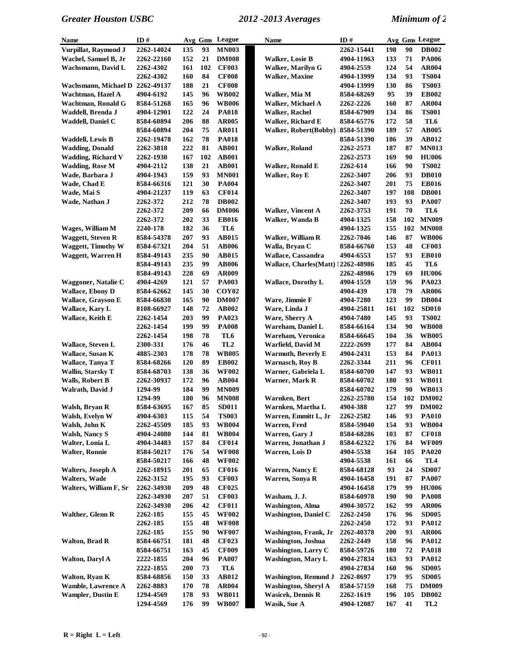| <b>Name</b>                     | ID#        |            |          | Avg Gms League    | <b>Name</b>                        | ID#        |     |     | Avg Gms League                  |
|---------------------------------|------------|------------|----------|-------------------|------------------------------------|------------|-----|-----|---------------------------------|
| Vurpillat, Raymond J            | 2262-14024 | 135        | 93       | <b>MN003</b>      |                                    | 2262-15441 | 198 | 90  | <b>DB002</b>                    |
| Wachel, Samuel B, Jr            | 2262-22160 | 152        | 21       | <b>DM008</b>      | Walker, Losie B                    | 4904-11963 | 133 | 71  | <b>PA006</b>                    |
| Wachsmann, David L              | 2262-4302  | 161        | 102      | <b>CF003</b>      | <b>Walker, Marilyn G</b>           | 4904-2559  | 124 | 54  | AR004                           |
|                                 | 2262-4302  | 160        | 84       | <b>CF008</b>      | <b>Walker, Maxine</b>              | 4904-13999 | 134 | 93  | <b>TS004</b>                    |
| Wachsmann, Michael D 2262-49137 |            | 188        | 21       | <b>CF008</b>      |                                    | 4904-13999 | 130 | 86  | <b>TS003</b>                    |
| Wachtman, Hazel A               | 4904-6192  | 145        | 96       | <b>WB002</b>      | Walker, Mia M                      | 8584-68269 | 95  | 39  | <b>EB002</b>                    |
| Wachtman, Ronald G              | 8584-51268 | 165        | 96       | <b>WB006</b>      | Walker, Michael A                  | 2262-2226  | 160 | 87  | <b>AR004</b>                    |
| Waddell, Brenda J               | 4904-12901 | 122        | 24       | <b>PA018</b>      | <b>Walker, Rachel</b>              | 8584-67909 | 134 | 86  | <b>TS001</b>                    |
| Waddell, Daniel C               | 8584-60894 | 206        | 88       | <b>AR005</b>      | Walker, Richard E                  | 8584-65776 | 172 | 58  | TL6                             |
|                                 | 8584-60894 | 204        | 75       | <b>AR011</b>      | Walker, Robert(Bobby) 18584-51390  |            | 189 | 57  | <b>AB005</b>                    |
| Waddell, Lewis B                | 2262-19478 | 162        | 78       | <b>PA018</b>      |                                    | 8584-51390 | 186 | 39  | AB012                           |
| <b>Wadding</b> , Donald         | 2262-3818  | 222        | 81       | <b>AB001</b>      | Walker, Roland                     | 2262-2573  | 187 | 87  | <b>MN013</b>                    |
| <b>Wadding, Richard V</b>       | 2262-1930  | 167        | 102      | <b>AB001</b>      |                                    | 2262-2573  | 169 | 90  | <b>HU006</b>                    |
| <b>Wadding, Rose M</b>          | 4904-2112  | 138        | 21       | <b>AB001</b>      | <b>Walker, Ronald E</b>            | 2262-614   | 166 | 90  | <b>TS002</b>                    |
| Wade, Barbara J                 | 4904-1943  | 159        | 93       | <b>MN001</b>      | <b>Walker, Roy E</b>               | 2262-3407  | 206 | 93  | <b>DB010</b>                    |
| Wade, Chad E                    | 8584-66316 | 121        | 30       | <b>PA004</b>      |                                    | 2262-3407  | 201 | 75  | <b>EB016</b>                    |
| Wade, Mai S                     | 4904-21237 | 119        | 63       | <b>CF014</b>      |                                    | 2262-3407  | 197 | 108 | <b>DB001</b>                    |
| Wade, Nathan J                  | 2262-372   | 212        | 78       | <b>DB002</b>      |                                    | 2262-3407  | 193 | 93  | <b>PA007</b>                    |
|                                 | 2262-372   | 209        | 66       | <b>DM006</b>      | <b>Walker, Vincent A</b>           | 2262-3753  | 191 | 70  | TL6                             |
|                                 | 2262-372   | 202        | 33       | <b>EB016</b>      | Walker, Wanda B                    | 4904-1325  | 158 | 102 | <b>MN009</b>                    |
| Wages, William M                | 2240-178   | 182        | 36       | TL6               |                                    | 4904-1325  | 155 | 102 | <b>MN008</b>                    |
| <b>Waggett, Steven R</b>        | 8584-54378 | 207        | 93       | AB015             | Walker, William R                  | 2262-7046  | 146 | 87  | <b>WB006</b>                    |
| <b>Waggett, Timothy W</b>       | 8584-67321 | 204        | 51       | <b>AB006</b>      | Walla, Bryan C                     | 8584-66760 | 153 | 48  | <b>CF003</b>                    |
| Waggett, Warren H               | 8584-49143 | 235        | 90       | <b>AB015</b>      | Wallace, Cassandra                 | 4904-6553  | 157 | 93  | <b>EB010</b>                    |
|                                 | 8584-49143 | 235        | 99       | <b>AB006</b>      | Wallace, Charles(Matt) 12262-48986 |            | 185 | 45  | TL6                             |
|                                 | 8584-49143 | 228        | 69       | AR009             |                                    | 2262-48986 | 179 | 69  | <b>HU006</b>                    |
| Waggoner, Natalie C             | 4904-4269  | 121        | 57       | <b>PA003</b>      | <b>Wallace, Dorothy L</b>          | 4904-1559  | 159 | 96  | PA023                           |
| <b>Wallace, Ebony D</b>         | 8584-62662 | 145        | 30       | COY <sub>02</sub> |                                    | 4904-439   | 178 | 79  | <b>AR006</b>                    |
| Wallace, Grayson E              | 8584-66830 | 165        | 90       | <b>DM007</b>      | Ware, Jimmie F                     | 4904-7280  | 123 | 99  | <b>DB004</b>                    |
| Wallace, Kary L                 | 8108-66927 | 148        | 72       | <b>AB002</b>      | Ware, Linda J                      | 4904-25811 | 161 | 102 | <b>SD010</b>                    |
| <b>Wallace, Keith E</b>         | 2262-1454  | 203        | 99       | PA023             | Ware, Sherry A                     | 4904-7480  | 145 | 93  | <b>TS002</b>                    |
|                                 | 2262-1454  | 199        | 99       | <b>PA008</b>      | Wareham, Daniel L                  | 8584-66164 | 134 | 90  | <b>WB008</b>                    |
|                                 | 2262-1454  | 198        | 78       | TL <sub>6</sub>   | Wareham, Veronica                  | 8584-66645 | 104 | 36  | <b>WB005</b>                    |
| <b>Wallace, Steven L</b>        | 2300-331   | 176        | 46       | TL <sub>2</sub>   | Warfield, David M                  | 2222-2699  | 177 | 84  | <b>AB004</b>                    |
| Wallace, Susan K                | 4885-2303  | 178        | 78       | <b>WB005</b>      | <b>Warmuth, Beverly E</b>          | 4904-2431  | 153 | 84  | PA013                           |
| Wallace, Tanya T                | 8584-68266 | 120        | 89       | <b>EB002</b>      | <b>Warnasch, Roy B</b>             | 2262-3344  | 211 | 96  | <b>CF011</b>                    |
| <b>Wallin, Starsky T</b>        | 8584-68703 | 138        | 36       | <b>WF002</b>      | Warner, Gabriela L                 | 8584-60700 | 147 | 93  | <b>WB011</b>                    |
| <b>Walls, Robert B</b>          | 2262-30937 | 172        | 96       | <b>AB004</b>      | Warner, Mark R                     | 8584-60702 | 180 | 93  | <b>WB011</b>                    |
| Walrath, David J                | 1294-99    | 184        | 99       | <b>MN009</b>      |                                    | 8584-60702 | 179 | 90  | <b>WB013</b>                    |
|                                 | 1294-99    | 180        | 96       | <b>MN008</b>      | Warnken, Bert                      | 2262-25780 | 154 | 102 | <b>DM002</b>                    |
| Walsh, Bryan R                  | 8584-63695 | 167        | 85       | <b>SD011</b>      | Warnken, Martha L                  | 4904-388   | 127 | 99  | <b>DM002</b>                    |
| Walsh, Evelyn W                 | 4904-6303  | 115        | 54       | <b>TS003</b>      | Warren, Emmitt L, Jr               | 2262-2582  | 146 | 93  | <b>PA010</b>                    |
| Walsh, John K                   | 2262-45509 | 185        | 93       | <b>WB004</b>      | Warren, Fred                       | 8584-59040 | 154 | 93  | <b>WB004</b>                    |
| <b>Walsh, Nancy S</b>           | 4904-24080 | 144        | 81       | <b>WB004</b>      | Warren, Gary J                     | 8584-68286 | 103 | 87  | <b>CF018</b>                    |
| Walter, Lonia L                 | 4904-34483 | 157        | 84       | <b>CF014</b>      | Warren, Jonathan J                 | 8584-62322 | 176 | 84  | <b>WF009</b>                    |
| <b>Walter, Ronnie</b>           | 8584-50217 | 176        | 54       | <b>WF008</b>      | Warren, Lois D                     | 4904-5538  | 164 | 105 | <b>PA020</b>                    |
|                                 | 8584-50217 | 166        | 48       | <b>WF002</b>      |                                    | 4904-5538  | 161 | 66  | TL4                             |
| <b>Walters, Joseph A</b>        | 2262-18915 | 201        | 65       | <b>CF016</b>      | <b>Warren, Nancy E</b>             | 8584-68128 | 93  | 24  | <b>SD007</b>                    |
| <b>Walters, Wade</b>            | 2262-3152  | 195        | 93       | <b>CF003</b>      | Warren, Sonya R                    | 4904-16458 | 191 | 87  | <b>PA007</b>                    |
| Walters, William F, Sr          | 2262-34930 | 209        | 48       | <b>CF025</b>      |                                    | 4904-16458 | 179 | 99  | <b>HU006</b>                    |
|                                 | 2262-34930 | 207        | 51       | <b>CF003</b>      | Washam, J. J.                      | 8584-60978 | 190 | 90  | <b>PA008</b>                    |
|                                 | 2262-34930 | 206        | 42       | <b>CF011</b>      | <b>Washington, Alma</b>            | 4904-30572 | 162 | 99  | <b>AR006</b>                    |
| <b>Walther, Glenn R</b>         | 2262-185   | 155        | 45       | <b>WF002</b>      | <b>Washington, Daniel C</b>        | 2262-2450  | 176 | 96  | <b>SD005</b>                    |
|                                 | 2262-185   | 155        | 48       | <b>WF008</b>      |                                    | 2262-2450  | 172 | 93  | <b>PA012</b>                    |
|                                 | 2262-185   | 155        | 90       | <b>WF007</b>      | Washington, Frank, Jr              | 2262-40378 | 200 | 93  | <b>AR006</b>                    |
| <b>Walton, Brad R</b>           | 8584-66751 | 181        | 48       | <b>CF023</b>      | <b>Washington</b> , Joshua         | 2262-2449  | 158 | 96  | <b>PA012</b>                    |
|                                 | 8584-66751 | 163        | 45       | <b>CF009</b>      | <b>Washington, Larry C</b>         | 8584-59726 | 180 | 72  | <b>PA018</b>                    |
| <b>Walton, Daryl A</b>          | 2222-1855  | 204        | 96       | <b>PA007</b>      | <b>Washington, Mary L</b>          | 4904-27834 | 163 | 93  | <b>PA012</b>                    |
|                                 | 2222-1855  | <b>200</b> | 73       | TL6               |                                    | 4904-27834 | 160 | 96  | <b>SD005</b>                    |
| Walton, Ryan K                  | 8584-68856 | 150        | 33       | AB012             | <b>Washington, Remund J</b>        | 2262-8697  | 179 | 95  | <b>SD005</b>                    |
| <b>Wamble, Lawrence A</b>       | 2262-8883  | 170        | 78       | <b>AR004</b>      | <b>Washington, Sheryl A</b>        | 8584-57159 | 168 | 75  | <b>DM009</b>                    |
| <b>Wampler, Dustin E</b>        | 1294-4569  | 178<br>176 | 93<br>99 | <b>WB011</b>      | <b>Wasicek, Dennis R</b>           | 2262-1619  | 196 | 105 | <b>DB002</b><br>TL <sub>2</sub> |
|                                 | 1294-4569  |            |          | <b>WB007</b>      | Wasik, Sue A                       | 4904-12087 | 167 | 41  |                                 |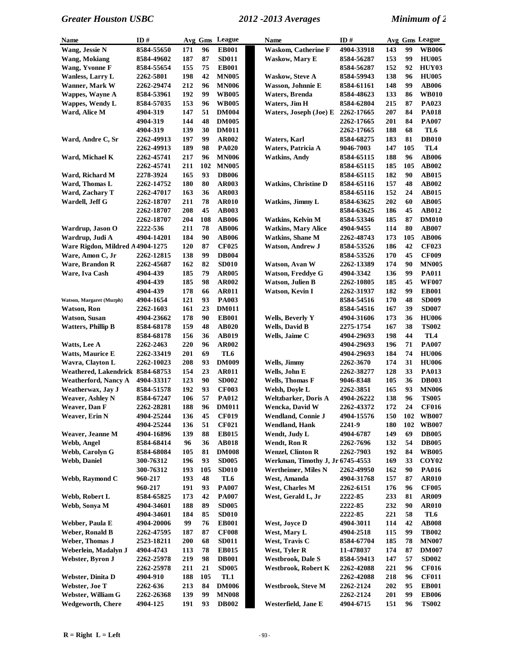| 8584-55650<br><b>EB001</b><br><b>Waskom, Catherine F</b><br>4904-33918<br>143<br>99<br><b>WB006</b><br>Wang, Jessie N<br>171<br>96<br>87<br>153<br>99<br><b>HU005</b><br>187<br><b>SD011</b><br><b>Waskow, Mary E</b><br>Wang, Mokiang<br>8584-49602<br>8584-56287<br>152<br>Wang, Yvonne F<br>155<br>75<br><b>EB001</b><br>92<br>HUY03<br>8584-55654<br>8584-56287<br><b>Wanless, Larry L</b><br>198<br>42<br><b>MN005</b><br><b>Waskow, Steve A</b><br>138<br>96<br><b>HU005</b><br><b>2262-5801</b><br>8584-59943<br>99<br>Wanner, Mark W<br>212<br>96<br><b>MN006</b><br>148<br><b>AB006</b><br>2262-29474<br>Wasson, Johnnie E<br>8584-61161<br>99<br>192<br><b>WB005</b><br><b>Waters</b> , Brenda<br>133<br>86<br><b>WB010</b><br>Wappes, Wayne A<br>8584-53961<br>8584-48623<br>153<br>96<br>Waters, Jim H<br>215<br>87<br>PA023<br>Wappes, Wendy L<br>8584-57035<br><b>WB005</b><br>8584-62804<br>Ward, Alice M<br>147<br>51<br><b>DM004</b><br>Waters, Joseph (Joe) E<br>207<br>84<br><b>PA018</b><br>4904-319<br>2262-17665<br>144<br>48<br><b>DM005</b><br>201<br>84<br><b>PA007</b><br>4904-319<br>2262-17665<br>139<br>30<br>188<br>68<br><b>DM011</b><br>TL6<br>4904-319<br>2262-17665<br>197<br>99<br>81<br><b>AR002</b><br>183<br><b>DB010</b><br>Ward, Andre C, Sr<br>2262-49913<br>Waters, Karl<br>8584-68275<br>98<br>189<br>Waters, Patricia A<br>147<br>105<br>TL4<br>2262-49913<br><b>PA020</b><br>9046-7003<br><b>AB006</b><br>Ward, Michael K<br>217<br>96<br><b>MN006</b><br><b>Watkins, Andy</b><br>188<br>96<br>2262-45741<br>8584-65115<br>211<br>102<br><b>MN005</b><br>185<br>105<br><b>AB002</b><br>2262-45741<br>8584-65115<br>165<br>182<br>93<br><b>DB006</b><br>90<br><b>AB015</b><br>Ward, Richard M<br>2278-3924<br>8584-65115<br>80<br>157<br>48<br>180<br><b>AR003</b><br><b>Watkins, Christine D</b><br><b>AB002</b><br>Ward, Thomas L<br>2262-14752<br>8584-65116<br>Ward, Zachary T<br>163<br>36<br>152<br>24<br><b>AB015</b><br>2262-47017<br><b>AR003</b><br>8584-65116<br>211<br>78<br><b>AR010</b><br>Watkins, Jimmy L<br>202<br>60<br><b>AB005</b><br>Wardell, Jeff G<br>2262-18707<br>8584-63625<br>208<br>45<br><b>AB003</b><br>186<br>45<br><b>AB012</b><br><b>2262-18707</b><br>8584-63625<br>108<br>204<br><b>AB006</b><br>185<br>87<br><b>DM010</b><br><b>2262-18707</b><br>Watkins, Kelvin M<br>8584-53346<br>78<br>80<br>2222-536<br>211<br><b>AB006</b><br><b>Watkins, Mary Alice</b><br>114<br><b>AB007</b><br>Wardrup, Jason O<br>4904-9455<br>Wardrup, Judi A<br>184<br>90<br><b>Watkins, Shane M</b><br>173<br>105<br><b>AB006</b><br>4904-14201<br><b>AB006</b><br>2262-48743<br>Ware Rigdon, Mildred A 4904-1275<br>120<br>87<br><b>CF025</b><br><b>Watson, Andrew J</b><br>186<br>42<br><b>CF023</b><br>8584-53526<br>99<br>Ware, Amon C, Jr<br>2262-12815<br>138<br><b>DB004</b><br>170<br>45<br><b>CF009</b><br>8584-53526<br>82<br>Ware, Brandon R<br>162<br><b>SD010</b><br>Watson, Avan W<br>174<br>90<br><b>MN005</b><br>2262-45687<br>2262-13389<br>185<br>79<br>99<br>Ware, Iva Cash<br><b>AR005</b><br><b>Watson, Freddye G</b><br>136<br><b>PA011</b><br>4904-439<br>4904-3342<br>185<br>98<br>Watson, Julien B<br>45<br><b>WF007</b><br>4904-439<br><b>AR002</b><br>2262-10805<br>185<br>178<br>66<br><b>AR011</b><br>182<br>99<br><b>EB001</b><br>4904-439<br>Watson, Kevin I<br>2262-31937<br>121<br>93<br><b>PA003</b><br>170<br>48<br><b>SD009</b><br>Watson, Margaret (Murph)<br>4904-1654<br>8584-54516<br>161<br>23<br><b>DM011</b><br>167<br>39<br><b>SD007</b><br>Watson, Ron<br>2262-1603<br>8584-54516<br>36<br><b>Watson, Susan</b><br>178<br>90<br><b>EB001</b><br>173<br><b>HU006</b><br>4904-23662<br>Wells, Beverly Y<br>4904-31606<br>159<br>48<br><b>Wells, David B</b><br>167<br>38<br><b>TS002</b><br><b>Watters, Phillip B</b><br>8584-68178<br><b>AB020</b><br>2275-1754<br>44<br>156<br>36<br><b>AB019</b><br>Wells, Jaime C<br>198<br>TL4<br>8584-68178<br>4904-29693<br>220<br>96<br><b>AR002</b><br>196<br>71<br><b>PA007</b><br>Watts, Lee A<br>2262-2463<br>4904-29693<br>69<br><b>Watts, Maurice E</b><br>201<br>TL <sub>6</sub><br>184<br>74<br><b>HU006</b><br>2262-33419<br>4904-29693<br>31<br>Wavra, Clayton L<br>208<br>93<br><b>DM009</b><br>Wells, Jimmy<br>174<br><b>HU006</b><br>2262-10023<br>2262-3670<br>Weathered, Lakendrick 8584-68753<br>154<br>23<br>Wells, John E<br>128<br>33<br><b>PA013</b><br><b>AR011</b><br>2262-38277<br><b>Weatherford, Nancy A</b><br>123<br>90<br><b>SD002</b><br>Wells, Thomas F<br>105<br>36<br><b>DB003</b><br>4904-33317<br>9046-8348<br>93<br>93<br>192<br><b>CF003</b><br>Welsh, Dovle L<br>165<br><b>MN006</b><br>Weatherwax, Jay J<br>8584-51578<br>2262-3851<br>57<br>138<br>96<br>106<br><b>PA012</b><br><b>TS005</b><br><b>Weaver, Ashley N</b><br>8584-67247<br>Weltzbarker, Doris A<br>4904-26222<br>188<br>96<br><b>DM011</b><br>2262-43372<br>172<br>24<br><b>CF016</b><br>2262-28281<br>Wencka, David W<br>Weaver, Dan F<br>Weaver, Erin N<br>4904-25244<br>45<br>4904-15576<br>136<br><b>CF019</b><br>Wendland, Connie J<br>150<br>102<br><b>WB007</b><br>4904-25244<br>136<br>51<br><b>CF021</b><br>Wendland, Hank<br>2241-9<br>180<br>102<br><b>WB007</b><br>139<br><b>EB015</b><br>Wendt, Judy L<br>149<br>69<br><b>DB005</b><br>Weaver, Jeanne M<br>4904-16896<br>88<br>4904-6787<br>Webb, Angel<br><b>AB018</b><br>Wendt, Ron R<br>132<br>54<br><b>DB005</b><br>8584-68414<br>96<br>36<br>2262-7696<br>Webb, Carolyn G<br>105<br>81<br><b>DM008</b><br><b>Wenzel, Clinton R</b><br>2262-7903<br>192<br>84<br><b>WB005</b><br>8584-68084<br>Webb, Daniel<br>196<br>93<br><b>SD005</b><br>Werkman, Timothy J, Jr 6745-4553<br>169<br>33<br>COY <sub>02</sub><br>300-76312<br>193<br>105<br><b>SD010</b><br>Wertheimer, Miles N<br>162<br>90<br><b>PA016</b><br>300-76312<br>2262-49950<br>Webb, Raymond C<br>193<br>48<br>TL6<br>West, Amanda<br>157<br><b>AR010</b><br>960-217<br>4904-31768<br>87<br>191<br>93<br><b>PA007</b><br><b>West, Charles M</b><br>176<br>96<br><b>CF005</b><br>960-217<br>2262-6151<br>Webb, Robert L<br>173<br>42<br>West, Gerald L, Jr<br>2222-85<br>233<br>81<br><b>AR009</b><br>8584-65825<br><b>PA007</b><br>Webb, Sonya M<br>188<br>89<br><b>SD005</b><br>2222-85<br>232<br>90<br><b>AR010</b><br>4904-34601<br>184<br>85<br><b>SD010</b><br>221<br>58<br>TL6<br>4904-34601<br>2222-85<br>99<br><b>EB001</b><br>West, Joyce D<br>42<br><b>AB008</b><br>Webber, Paula E<br>4904-20006<br>76<br>4904-3011<br>114<br>Weber, Ronald B<br>87<br><b>CF008</b><br>115<br>99<br><b>TB002</b><br>2262-47595<br>187<br>West, Mary L<br>4904-2518<br>Weber, Thomas J<br><b>200</b><br>68<br><b>SD011</b><br>West, Travis C<br>185<br>78<br><b>MN007</b><br>2523-18211<br>8584-67704<br>Weberlein, Madalyn J<br>113<br>78<br><b>EB015</b><br>West, Tyler R<br>11-478037<br>174<br>87<br><b>DM007</b><br>4904-4743<br>219<br>98<br><b>DB001</b><br><b>Westbrook, Dale S</b><br>147<br>57<br><b>SD002</b><br>Webster, Byron J<br>2262-25978<br>8584-59413<br>211<br>21<br><b>SD005</b><br>221<br><b>CF016</b><br>2262-25978<br>Westbrook, Robert K<br>2262-42088<br>96<br>Webster, Dinita D<br>188<br>105<br>TL1<br>218<br><b>CF011</b><br>4904-910<br>2262-42088<br>96<br>Webster, Joe T<br>213<br>84<br><b>DM006</b><br><b>Westbrook, Steve M</b><br>2262-2124<br>202<br>95<br><b>EB001</b><br>2262-636<br>Webster, William G<br>139<br>99<br><b>MN008</b><br>2262-2124<br>201<br>99<br><b>EB006</b><br>2262-26368<br><b>Wedgeworth, Chere</b><br>4904-125<br>191<br>93<br><b>DB002</b><br>Westerfield, Jane E<br>151<br>96<br><b>TS002</b><br>4904-6715 | Name | ID# |  | Avg Gms League | Name | ID# |  | Avg Gms League |
|---------------------------------------------------------------------------------------------------------------------------------------------------------------------------------------------------------------------------------------------------------------------------------------------------------------------------------------------------------------------------------------------------------------------------------------------------------------------------------------------------------------------------------------------------------------------------------------------------------------------------------------------------------------------------------------------------------------------------------------------------------------------------------------------------------------------------------------------------------------------------------------------------------------------------------------------------------------------------------------------------------------------------------------------------------------------------------------------------------------------------------------------------------------------------------------------------------------------------------------------------------------------------------------------------------------------------------------------------------------------------------------------------------------------------------------------------------------------------------------------------------------------------------------------------------------------------------------------------------------------------------------------------------------------------------------------------------------------------------------------------------------------------------------------------------------------------------------------------------------------------------------------------------------------------------------------------------------------------------------------------------------------------------------------------------------------------------------------------------------------------------------------------------------------------------------------------------------------------------------------------------------------------------------------------------------------------------------------------------------------------------------------------------------------------------------------------------------------------------------------------------------------------------------------------------------------------------------------------------------------------------------------------------------------------------------------------------------------------------------------------------------------------------------------------------------------------------------------------------------------------------------------------------------------------------------------------------------------------------------------------------------------------------------------------------------------------------------------------------------------------------------------------------------------------------------------------------------------------------------------------------------------------------------------------------------------------------------------------------------------------------------------------------------------------------------------------------------------------------------------------------------------------------------------------------------------------------------------------------------------------------------------------------------------------------------------------------------------------------------------------------------------------------------------------------------------------------------------------------------------------------------------------------------------------------------------------------------------------------------------------------------------------------------------------------------------------------------------------------------------------------------------------------------------------------------------------------------------------------------------------------------------------------------------------------------------------------------------------------------------------------------------------------------------------------------------------------------------------------------------------------------------------------------------------------------------------------------------------------------------------------------------------------------------------------------------------------------------------------------------------------------------------------------------------------------------------------------------------------------------------------------------------------------------------------------------------------------------------------------------------------------------------------------------------------------------------------------------------------------------------------------------------------------------------------------------------------------------------------------------------------------------------------------------------------------------------------------------------------------------------------------------------------------------------------------------------------------------------------------------------------------------------------------------------------------------------------------------------------------------------------------------------------------------------------------------------------------------------------------------------------------------------------------------------------------------------------------------------------------------------------------------------------------------------------------------------------------------------------------------------------------------------------------------------------------------------------------------------------------------------------------------------------------------------------------------------------------------------------------------------------------------------------------------------------------------------------------------------------------------------------------------------------------------------------------------------------------------------------------------------------------------------------------------------------------------------------------------------------------------------------------------------------------------------------------------------------------------------------------------------------------------------------------------------------------------------------------------------------------------------------------------------------------------------------------------------------------------------------------------------------------------------------------------------------------------------------------------------------------------------------------------------------------------------------------------------------------------------------------------------------------------------------------------------------------------------------------------------------------------------------------------------------------------------------------------------------------------------------------------------------------------------------------------------------------------------------------------------------------------------------------------------------|------|-----|--|----------------|------|-----|--|----------------|
|                                                                                                                                                                                                                                                                                                                                                                                                                                                                                                                                                                                                                                                                                                                                                                                                                                                                                                                                                                                                                                                                                                                                                                                                                                                                                                                                                                                                                                                                                                                                                                                                                                                                                                                                                                                                                                                                                                                                                                                                                                                                                                                                                                                                                                                                                                                                                                                                                                                                                                                                                                                                                                                                                                                                                                                                                                                                                                                                                                                                                                                                                                                                                                                                                                                                                                                                                                                                                                                                                                                                                                                                                                                                                                                                                                                                                                                                                                                                                                                                                                                                                                                                                                                                                                                                                                                                                                                                                                                                                                                                                                                                                                                                                                                                                                                                                                                                                                                                                                                                                                                                                                                                                                                                                                                                                                                                                                                                                                                                                                                                                                                                                                                                                                                                                                                                                                                                                                                                                                                                                                                                                                                                                                                                                                                                                                                                                                                                                                                                                                                                                                                                                                                                                                                                                                                                                                                                                                                                                                                                                                                                                                                                                                                                                                                                                                                                                                                                                                                                                                                                                                                                                                                         |      |     |  |                |      |     |  |                |
|                                                                                                                                                                                                                                                                                                                                                                                                                                                                                                                                                                                                                                                                                                                                                                                                                                                                                                                                                                                                                                                                                                                                                                                                                                                                                                                                                                                                                                                                                                                                                                                                                                                                                                                                                                                                                                                                                                                                                                                                                                                                                                                                                                                                                                                                                                                                                                                                                                                                                                                                                                                                                                                                                                                                                                                                                                                                                                                                                                                                                                                                                                                                                                                                                                                                                                                                                                                                                                                                                                                                                                                                                                                                                                                                                                                                                                                                                                                                                                                                                                                                                                                                                                                                                                                                                                                                                                                                                                                                                                                                                                                                                                                                                                                                                                                                                                                                                                                                                                                                                                                                                                                                                                                                                                                                                                                                                                                                                                                                                                                                                                                                                                                                                                                                                                                                                                                                                                                                                                                                                                                                                                                                                                                                                                                                                                                                                                                                                                                                                                                                                                                                                                                                                                                                                                                                                                                                                                                                                                                                                                                                                                                                                                                                                                                                                                                                                                                                                                                                                                                                                                                                                                                         |      |     |  |                |      |     |  |                |
|                                                                                                                                                                                                                                                                                                                                                                                                                                                                                                                                                                                                                                                                                                                                                                                                                                                                                                                                                                                                                                                                                                                                                                                                                                                                                                                                                                                                                                                                                                                                                                                                                                                                                                                                                                                                                                                                                                                                                                                                                                                                                                                                                                                                                                                                                                                                                                                                                                                                                                                                                                                                                                                                                                                                                                                                                                                                                                                                                                                                                                                                                                                                                                                                                                                                                                                                                                                                                                                                                                                                                                                                                                                                                                                                                                                                                                                                                                                                                                                                                                                                                                                                                                                                                                                                                                                                                                                                                                                                                                                                                                                                                                                                                                                                                                                                                                                                                                                                                                                                                                                                                                                                                                                                                                                                                                                                                                                                                                                                                                                                                                                                                                                                                                                                                                                                                                                                                                                                                                                                                                                                                                                                                                                                                                                                                                                                                                                                                                                                                                                                                                                                                                                                                                                                                                                                                                                                                                                                                                                                                                                                                                                                                                                                                                                                                                                                                                                                                                                                                                                                                                                                                                                         |      |     |  |                |      |     |  |                |
|                                                                                                                                                                                                                                                                                                                                                                                                                                                                                                                                                                                                                                                                                                                                                                                                                                                                                                                                                                                                                                                                                                                                                                                                                                                                                                                                                                                                                                                                                                                                                                                                                                                                                                                                                                                                                                                                                                                                                                                                                                                                                                                                                                                                                                                                                                                                                                                                                                                                                                                                                                                                                                                                                                                                                                                                                                                                                                                                                                                                                                                                                                                                                                                                                                                                                                                                                                                                                                                                                                                                                                                                                                                                                                                                                                                                                                                                                                                                                                                                                                                                                                                                                                                                                                                                                                                                                                                                                                                                                                                                                                                                                                                                                                                                                                                                                                                                                                                                                                                                                                                                                                                                                                                                                                                                                                                                                                                                                                                                                                                                                                                                                                                                                                                                                                                                                                                                                                                                                                                                                                                                                                                                                                                                                                                                                                                                                                                                                                                                                                                                                                                                                                                                                                                                                                                                                                                                                                                                                                                                                                                                                                                                                                                                                                                                                                                                                                                                                                                                                                                                                                                                                                                         |      |     |  |                |      |     |  |                |
|                                                                                                                                                                                                                                                                                                                                                                                                                                                                                                                                                                                                                                                                                                                                                                                                                                                                                                                                                                                                                                                                                                                                                                                                                                                                                                                                                                                                                                                                                                                                                                                                                                                                                                                                                                                                                                                                                                                                                                                                                                                                                                                                                                                                                                                                                                                                                                                                                                                                                                                                                                                                                                                                                                                                                                                                                                                                                                                                                                                                                                                                                                                                                                                                                                                                                                                                                                                                                                                                                                                                                                                                                                                                                                                                                                                                                                                                                                                                                                                                                                                                                                                                                                                                                                                                                                                                                                                                                                                                                                                                                                                                                                                                                                                                                                                                                                                                                                                                                                                                                                                                                                                                                                                                                                                                                                                                                                                                                                                                                                                                                                                                                                                                                                                                                                                                                                                                                                                                                                                                                                                                                                                                                                                                                                                                                                                                                                                                                                                                                                                                                                                                                                                                                                                                                                                                                                                                                                                                                                                                                                                                                                                                                                                                                                                                                                                                                                                                                                                                                                                                                                                                                                                         |      |     |  |                |      |     |  |                |
|                                                                                                                                                                                                                                                                                                                                                                                                                                                                                                                                                                                                                                                                                                                                                                                                                                                                                                                                                                                                                                                                                                                                                                                                                                                                                                                                                                                                                                                                                                                                                                                                                                                                                                                                                                                                                                                                                                                                                                                                                                                                                                                                                                                                                                                                                                                                                                                                                                                                                                                                                                                                                                                                                                                                                                                                                                                                                                                                                                                                                                                                                                                                                                                                                                                                                                                                                                                                                                                                                                                                                                                                                                                                                                                                                                                                                                                                                                                                                                                                                                                                                                                                                                                                                                                                                                                                                                                                                                                                                                                                                                                                                                                                                                                                                                                                                                                                                                                                                                                                                                                                                                                                                                                                                                                                                                                                                                                                                                                                                                                                                                                                                                                                                                                                                                                                                                                                                                                                                                                                                                                                                                                                                                                                                                                                                                                                                                                                                                                                                                                                                                                                                                                                                                                                                                                                                                                                                                                                                                                                                                                                                                                                                                                                                                                                                                                                                                                                                                                                                                                                                                                                                                                         |      |     |  |                |      |     |  |                |
|                                                                                                                                                                                                                                                                                                                                                                                                                                                                                                                                                                                                                                                                                                                                                                                                                                                                                                                                                                                                                                                                                                                                                                                                                                                                                                                                                                                                                                                                                                                                                                                                                                                                                                                                                                                                                                                                                                                                                                                                                                                                                                                                                                                                                                                                                                                                                                                                                                                                                                                                                                                                                                                                                                                                                                                                                                                                                                                                                                                                                                                                                                                                                                                                                                                                                                                                                                                                                                                                                                                                                                                                                                                                                                                                                                                                                                                                                                                                                                                                                                                                                                                                                                                                                                                                                                                                                                                                                                                                                                                                                                                                                                                                                                                                                                                                                                                                                                                                                                                                                                                                                                                                                                                                                                                                                                                                                                                                                                                                                                                                                                                                                                                                                                                                                                                                                                                                                                                                                                                                                                                                                                                                                                                                                                                                                                                                                                                                                                                                                                                                                                                                                                                                                                                                                                                                                                                                                                                                                                                                                                                                                                                                                                                                                                                                                                                                                                                                                                                                                                                                                                                                                                                         |      |     |  |                |      |     |  |                |
|                                                                                                                                                                                                                                                                                                                                                                                                                                                                                                                                                                                                                                                                                                                                                                                                                                                                                                                                                                                                                                                                                                                                                                                                                                                                                                                                                                                                                                                                                                                                                                                                                                                                                                                                                                                                                                                                                                                                                                                                                                                                                                                                                                                                                                                                                                                                                                                                                                                                                                                                                                                                                                                                                                                                                                                                                                                                                                                                                                                                                                                                                                                                                                                                                                                                                                                                                                                                                                                                                                                                                                                                                                                                                                                                                                                                                                                                                                                                                                                                                                                                                                                                                                                                                                                                                                                                                                                                                                                                                                                                                                                                                                                                                                                                                                                                                                                                                                                                                                                                                                                                                                                                                                                                                                                                                                                                                                                                                                                                                                                                                                                                                                                                                                                                                                                                                                                                                                                                                                                                                                                                                                                                                                                                                                                                                                                                                                                                                                                                                                                                                                                                                                                                                                                                                                                                                                                                                                                                                                                                                                                                                                                                                                                                                                                                                                                                                                                                                                                                                                                                                                                                                                                         |      |     |  |                |      |     |  |                |
|                                                                                                                                                                                                                                                                                                                                                                                                                                                                                                                                                                                                                                                                                                                                                                                                                                                                                                                                                                                                                                                                                                                                                                                                                                                                                                                                                                                                                                                                                                                                                                                                                                                                                                                                                                                                                                                                                                                                                                                                                                                                                                                                                                                                                                                                                                                                                                                                                                                                                                                                                                                                                                                                                                                                                                                                                                                                                                                                                                                                                                                                                                                                                                                                                                                                                                                                                                                                                                                                                                                                                                                                                                                                                                                                                                                                                                                                                                                                                                                                                                                                                                                                                                                                                                                                                                                                                                                                                                                                                                                                                                                                                                                                                                                                                                                                                                                                                                                                                                                                                                                                                                                                                                                                                                                                                                                                                                                                                                                                                                                                                                                                                                                                                                                                                                                                                                                                                                                                                                                                                                                                                                                                                                                                                                                                                                                                                                                                                                                                                                                                                                                                                                                                                                                                                                                                                                                                                                                                                                                                                                                                                                                                                                                                                                                                                                                                                                                                                                                                                                                                                                                                                                                         |      |     |  |                |      |     |  |                |
|                                                                                                                                                                                                                                                                                                                                                                                                                                                                                                                                                                                                                                                                                                                                                                                                                                                                                                                                                                                                                                                                                                                                                                                                                                                                                                                                                                                                                                                                                                                                                                                                                                                                                                                                                                                                                                                                                                                                                                                                                                                                                                                                                                                                                                                                                                                                                                                                                                                                                                                                                                                                                                                                                                                                                                                                                                                                                                                                                                                                                                                                                                                                                                                                                                                                                                                                                                                                                                                                                                                                                                                                                                                                                                                                                                                                                                                                                                                                                                                                                                                                                                                                                                                                                                                                                                                                                                                                                                                                                                                                                                                                                                                                                                                                                                                                                                                                                                                                                                                                                                                                                                                                                                                                                                                                                                                                                                                                                                                                                                                                                                                                                                                                                                                                                                                                                                                                                                                                                                                                                                                                                                                                                                                                                                                                                                                                                                                                                                                                                                                                                                                                                                                                                                                                                                                                                                                                                                                                                                                                                                                                                                                                                                                                                                                                                                                                                                                                                                                                                                                                                                                                                                                         |      |     |  |                |      |     |  |                |
|                                                                                                                                                                                                                                                                                                                                                                                                                                                                                                                                                                                                                                                                                                                                                                                                                                                                                                                                                                                                                                                                                                                                                                                                                                                                                                                                                                                                                                                                                                                                                                                                                                                                                                                                                                                                                                                                                                                                                                                                                                                                                                                                                                                                                                                                                                                                                                                                                                                                                                                                                                                                                                                                                                                                                                                                                                                                                                                                                                                                                                                                                                                                                                                                                                                                                                                                                                                                                                                                                                                                                                                                                                                                                                                                                                                                                                                                                                                                                                                                                                                                                                                                                                                                                                                                                                                                                                                                                                                                                                                                                                                                                                                                                                                                                                                                                                                                                                                                                                                                                                                                                                                                                                                                                                                                                                                                                                                                                                                                                                                                                                                                                                                                                                                                                                                                                                                                                                                                                                                                                                                                                                                                                                                                                                                                                                                                                                                                                                                                                                                                                                                                                                                                                                                                                                                                                                                                                                                                                                                                                                                                                                                                                                                                                                                                                                                                                                                                                                                                                                                                                                                                                                                         |      |     |  |                |      |     |  |                |
|                                                                                                                                                                                                                                                                                                                                                                                                                                                                                                                                                                                                                                                                                                                                                                                                                                                                                                                                                                                                                                                                                                                                                                                                                                                                                                                                                                                                                                                                                                                                                                                                                                                                                                                                                                                                                                                                                                                                                                                                                                                                                                                                                                                                                                                                                                                                                                                                                                                                                                                                                                                                                                                                                                                                                                                                                                                                                                                                                                                                                                                                                                                                                                                                                                                                                                                                                                                                                                                                                                                                                                                                                                                                                                                                                                                                                                                                                                                                                                                                                                                                                                                                                                                                                                                                                                                                                                                                                                                                                                                                                                                                                                                                                                                                                                                                                                                                                                                                                                                                                                                                                                                                                                                                                                                                                                                                                                                                                                                                                                                                                                                                                                                                                                                                                                                                                                                                                                                                                                                                                                                                                                                                                                                                                                                                                                                                                                                                                                                                                                                                                                                                                                                                                                                                                                                                                                                                                                                                                                                                                                                                                                                                                                                                                                                                                                                                                                                                                                                                                                                                                                                                                                                         |      |     |  |                |      |     |  |                |
|                                                                                                                                                                                                                                                                                                                                                                                                                                                                                                                                                                                                                                                                                                                                                                                                                                                                                                                                                                                                                                                                                                                                                                                                                                                                                                                                                                                                                                                                                                                                                                                                                                                                                                                                                                                                                                                                                                                                                                                                                                                                                                                                                                                                                                                                                                                                                                                                                                                                                                                                                                                                                                                                                                                                                                                                                                                                                                                                                                                                                                                                                                                                                                                                                                                                                                                                                                                                                                                                                                                                                                                                                                                                                                                                                                                                                                                                                                                                                                                                                                                                                                                                                                                                                                                                                                                                                                                                                                                                                                                                                                                                                                                                                                                                                                                                                                                                                                                                                                                                                                                                                                                                                                                                                                                                                                                                                                                                                                                                                                                                                                                                                                                                                                                                                                                                                                                                                                                                                                                                                                                                                                                                                                                                                                                                                                                                                                                                                                                                                                                                                                                                                                                                                                                                                                                                                                                                                                                                                                                                                                                                                                                                                                                                                                                                                                                                                                                                                                                                                                                                                                                                                                                         |      |     |  |                |      |     |  |                |
|                                                                                                                                                                                                                                                                                                                                                                                                                                                                                                                                                                                                                                                                                                                                                                                                                                                                                                                                                                                                                                                                                                                                                                                                                                                                                                                                                                                                                                                                                                                                                                                                                                                                                                                                                                                                                                                                                                                                                                                                                                                                                                                                                                                                                                                                                                                                                                                                                                                                                                                                                                                                                                                                                                                                                                                                                                                                                                                                                                                                                                                                                                                                                                                                                                                                                                                                                                                                                                                                                                                                                                                                                                                                                                                                                                                                                                                                                                                                                                                                                                                                                                                                                                                                                                                                                                                                                                                                                                                                                                                                                                                                                                                                                                                                                                                                                                                                                                                                                                                                                                                                                                                                                                                                                                                                                                                                                                                                                                                                                                                                                                                                                                                                                                                                                                                                                                                                                                                                                                                                                                                                                                                                                                                                                                                                                                                                                                                                                                                                                                                                                                                                                                                                                                                                                                                                                                                                                                                                                                                                                                                                                                                                                                                                                                                                                                                                                                                                                                                                                                                                                                                                                                                         |      |     |  |                |      |     |  |                |
|                                                                                                                                                                                                                                                                                                                                                                                                                                                                                                                                                                                                                                                                                                                                                                                                                                                                                                                                                                                                                                                                                                                                                                                                                                                                                                                                                                                                                                                                                                                                                                                                                                                                                                                                                                                                                                                                                                                                                                                                                                                                                                                                                                                                                                                                                                                                                                                                                                                                                                                                                                                                                                                                                                                                                                                                                                                                                                                                                                                                                                                                                                                                                                                                                                                                                                                                                                                                                                                                                                                                                                                                                                                                                                                                                                                                                                                                                                                                                                                                                                                                                                                                                                                                                                                                                                                                                                                                                                                                                                                                                                                                                                                                                                                                                                                                                                                                                                                                                                                                                                                                                                                                                                                                                                                                                                                                                                                                                                                                                                                                                                                                                                                                                                                                                                                                                                                                                                                                                                                                                                                                                                                                                                                                                                                                                                                                                                                                                                                                                                                                                                                                                                                                                                                                                                                                                                                                                                                                                                                                                                                                                                                                                                                                                                                                                                                                                                                                                                                                                                                                                                                                                                                         |      |     |  |                |      |     |  |                |
|                                                                                                                                                                                                                                                                                                                                                                                                                                                                                                                                                                                                                                                                                                                                                                                                                                                                                                                                                                                                                                                                                                                                                                                                                                                                                                                                                                                                                                                                                                                                                                                                                                                                                                                                                                                                                                                                                                                                                                                                                                                                                                                                                                                                                                                                                                                                                                                                                                                                                                                                                                                                                                                                                                                                                                                                                                                                                                                                                                                                                                                                                                                                                                                                                                                                                                                                                                                                                                                                                                                                                                                                                                                                                                                                                                                                                                                                                                                                                                                                                                                                                                                                                                                                                                                                                                                                                                                                                                                                                                                                                                                                                                                                                                                                                                                                                                                                                                                                                                                                                                                                                                                                                                                                                                                                                                                                                                                                                                                                                                                                                                                                                                                                                                                                                                                                                                                                                                                                                                                                                                                                                                                                                                                                                                                                                                                                                                                                                                                                                                                                                                                                                                                                                                                                                                                                                                                                                                                                                                                                                                                                                                                                                                                                                                                                                                                                                                                                                                                                                                                                                                                                                                                         |      |     |  |                |      |     |  |                |
|                                                                                                                                                                                                                                                                                                                                                                                                                                                                                                                                                                                                                                                                                                                                                                                                                                                                                                                                                                                                                                                                                                                                                                                                                                                                                                                                                                                                                                                                                                                                                                                                                                                                                                                                                                                                                                                                                                                                                                                                                                                                                                                                                                                                                                                                                                                                                                                                                                                                                                                                                                                                                                                                                                                                                                                                                                                                                                                                                                                                                                                                                                                                                                                                                                                                                                                                                                                                                                                                                                                                                                                                                                                                                                                                                                                                                                                                                                                                                                                                                                                                                                                                                                                                                                                                                                                                                                                                                                                                                                                                                                                                                                                                                                                                                                                                                                                                                                                                                                                                                                                                                                                                                                                                                                                                                                                                                                                                                                                                                                                                                                                                                                                                                                                                                                                                                                                                                                                                                                                                                                                                                                                                                                                                                                                                                                                                                                                                                                                                                                                                                                                                                                                                                                                                                                                                                                                                                                                                                                                                                                                                                                                                                                                                                                                                                                                                                                                                                                                                                                                                                                                                                                                         |      |     |  |                |      |     |  |                |
|                                                                                                                                                                                                                                                                                                                                                                                                                                                                                                                                                                                                                                                                                                                                                                                                                                                                                                                                                                                                                                                                                                                                                                                                                                                                                                                                                                                                                                                                                                                                                                                                                                                                                                                                                                                                                                                                                                                                                                                                                                                                                                                                                                                                                                                                                                                                                                                                                                                                                                                                                                                                                                                                                                                                                                                                                                                                                                                                                                                                                                                                                                                                                                                                                                                                                                                                                                                                                                                                                                                                                                                                                                                                                                                                                                                                                                                                                                                                                                                                                                                                                                                                                                                                                                                                                                                                                                                                                                                                                                                                                                                                                                                                                                                                                                                                                                                                                                                                                                                                                                                                                                                                                                                                                                                                                                                                                                                                                                                                                                                                                                                                                                                                                                                                                                                                                                                                                                                                                                                                                                                                                                                                                                                                                                                                                                                                                                                                                                                                                                                                                                                                                                                                                                                                                                                                                                                                                                                                                                                                                                                                                                                                                                                                                                                                                                                                                                                                                                                                                                                                                                                                                                                         |      |     |  |                |      |     |  |                |
|                                                                                                                                                                                                                                                                                                                                                                                                                                                                                                                                                                                                                                                                                                                                                                                                                                                                                                                                                                                                                                                                                                                                                                                                                                                                                                                                                                                                                                                                                                                                                                                                                                                                                                                                                                                                                                                                                                                                                                                                                                                                                                                                                                                                                                                                                                                                                                                                                                                                                                                                                                                                                                                                                                                                                                                                                                                                                                                                                                                                                                                                                                                                                                                                                                                                                                                                                                                                                                                                                                                                                                                                                                                                                                                                                                                                                                                                                                                                                                                                                                                                                                                                                                                                                                                                                                                                                                                                                                                                                                                                                                                                                                                                                                                                                                                                                                                                                                                                                                                                                                                                                                                                                                                                                                                                                                                                                                                                                                                                                                                                                                                                                                                                                                                                                                                                                                                                                                                                                                                                                                                                                                                                                                                                                                                                                                                                                                                                                                                                                                                                                                                                                                                                                                                                                                                                                                                                                                                                                                                                                                                                                                                                                                                                                                                                                                                                                                                                                                                                                                                                                                                                                                                         |      |     |  |                |      |     |  |                |
|                                                                                                                                                                                                                                                                                                                                                                                                                                                                                                                                                                                                                                                                                                                                                                                                                                                                                                                                                                                                                                                                                                                                                                                                                                                                                                                                                                                                                                                                                                                                                                                                                                                                                                                                                                                                                                                                                                                                                                                                                                                                                                                                                                                                                                                                                                                                                                                                                                                                                                                                                                                                                                                                                                                                                                                                                                                                                                                                                                                                                                                                                                                                                                                                                                                                                                                                                                                                                                                                                                                                                                                                                                                                                                                                                                                                                                                                                                                                                                                                                                                                                                                                                                                                                                                                                                                                                                                                                                                                                                                                                                                                                                                                                                                                                                                                                                                                                                                                                                                                                                                                                                                                                                                                                                                                                                                                                                                                                                                                                                                                                                                                                                                                                                                                                                                                                                                                                                                                                                                                                                                                                                                                                                                                                                                                                                                                                                                                                                                                                                                                                                                                                                                                                                                                                                                                                                                                                                                                                                                                                                                                                                                                                                                                                                                                                                                                                                                                                                                                                                                                                                                                                                                         |      |     |  |                |      |     |  |                |
|                                                                                                                                                                                                                                                                                                                                                                                                                                                                                                                                                                                                                                                                                                                                                                                                                                                                                                                                                                                                                                                                                                                                                                                                                                                                                                                                                                                                                                                                                                                                                                                                                                                                                                                                                                                                                                                                                                                                                                                                                                                                                                                                                                                                                                                                                                                                                                                                                                                                                                                                                                                                                                                                                                                                                                                                                                                                                                                                                                                                                                                                                                                                                                                                                                                                                                                                                                                                                                                                                                                                                                                                                                                                                                                                                                                                                                                                                                                                                                                                                                                                                                                                                                                                                                                                                                                                                                                                                                                                                                                                                                                                                                                                                                                                                                                                                                                                                                                                                                                                                                                                                                                                                                                                                                                                                                                                                                                                                                                                                                                                                                                                                                                                                                                                                                                                                                                                                                                                                                                                                                                                                                                                                                                                                                                                                                                                                                                                                                                                                                                                                                                                                                                                                                                                                                                                                                                                                                                                                                                                                                                                                                                                                                                                                                                                                                                                                                                                                                                                                                                                                                                                                                                         |      |     |  |                |      |     |  |                |
|                                                                                                                                                                                                                                                                                                                                                                                                                                                                                                                                                                                                                                                                                                                                                                                                                                                                                                                                                                                                                                                                                                                                                                                                                                                                                                                                                                                                                                                                                                                                                                                                                                                                                                                                                                                                                                                                                                                                                                                                                                                                                                                                                                                                                                                                                                                                                                                                                                                                                                                                                                                                                                                                                                                                                                                                                                                                                                                                                                                                                                                                                                                                                                                                                                                                                                                                                                                                                                                                                                                                                                                                                                                                                                                                                                                                                                                                                                                                                                                                                                                                                                                                                                                                                                                                                                                                                                                                                                                                                                                                                                                                                                                                                                                                                                                                                                                                                                                                                                                                                                                                                                                                                                                                                                                                                                                                                                                                                                                                                                                                                                                                                                                                                                                                                                                                                                                                                                                                                                                                                                                                                                                                                                                                                                                                                                                                                                                                                                                                                                                                                                                                                                                                                                                                                                                                                                                                                                                                                                                                                                                                                                                                                                                                                                                                                                                                                                                                                                                                                                                                                                                                                                                         |      |     |  |                |      |     |  |                |
|                                                                                                                                                                                                                                                                                                                                                                                                                                                                                                                                                                                                                                                                                                                                                                                                                                                                                                                                                                                                                                                                                                                                                                                                                                                                                                                                                                                                                                                                                                                                                                                                                                                                                                                                                                                                                                                                                                                                                                                                                                                                                                                                                                                                                                                                                                                                                                                                                                                                                                                                                                                                                                                                                                                                                                                                                                                                                                                                                                                                                                                                                                                                                                                                                                                                                                                                                                                                                                                                                                                                                                                                                                                                                                                                                                                                                                                                                                                                                                                                                                                                                                                                                                                                                                                                                                                                                                                                                                                                                                                                                                                                                                                                                                                                                                                                                                                                                                                                                                                                                                                                                                                                                                                                                                                                                                                                                                                                                                                                                                                                                                                                                                                                                                                                                                                                                                                                                                                                                                                                                                                                                                                                                                                                                                                                                                                                                                                                                                                                                                                                                                                                                                                                                                                                                                                                                                                                                                                                                                                                                                                                                                                                                                                                                                                                                                                                                                                                                                                                                                                                                                                                                                                         |      |     |  |                |      |     |  |                |
|                                                                                                                                                                                                                                                                                                                                                                                                                                                                                                                                                                                                                                                                                                                                                                                                                                                                                                                                                                                                                                                                                                                                                                                                                                                                                                                                                                                                                                                                                                                                                                                                                                                                                                                                                                                                                                                                                                                                                                                                                                                                                                                                                                                                                                                                                                                                                                                                                                                                                                                                                                                                                                                                                                                                                                                                                                                                                                                                                                                                                                                                                                                                                                                                                                                                                                                                                                                                                                                                                                                                                                                                                                                                                                                                                                                                                                                                                                                                                                                                                                                                                                                                                                                                                                                                                                                                                                                                                                                                                                                                                                                                                                                                                                                                                                                                                                                                                                                                                                                                                                                                                                                                                                                                                                                                                                                                                                                                                                                                                                                                                                                                                                                                                                                                                                                                                                                                                                                                                                                                                                                                                                                                                                                                                                                                                                                                                                                                                                                                                                                                                                                                                                                                                                                                                                                                                                                                                                                                                                                                                                                                                                                                                                                                                                                                                                                                                                                                                                                                                                                                                                                                                                                         |      |     |  |                |      |     |  |                |
|                                                                                                                                                                                                                                                                                                                                                                                                                                                                                                                                                                                                                                                                                                                                                                                                                                                                                                                                                                                                                                                                                                                                                                                                                                                                                                                                                                                                                                                                                                                                                                                                                                                                                                                                                                                                                                                                                                                                                                                                                                                                                                                                                                                                                                                                                                                                                                                                                                                                                                                                                                                                                                                                                                                                                                                                                                                                                                                                                                                                                                                                                                                                                                                                                                                                                                                                                                                                                                                                                                                                                                                                                                                                                                                                                                                                                                                                                                                                                                                                                                                                                                                                                                                                                                                                                                                                                                                                                                                                                                                                                                                                                                                                                                                                                                                                                                                                                                                                                                                                                                                                                                                                                                                                                                                                                                                                                                                                                                                                                                                                                                                                                                                                                                                                                                                                                                                                                                                                                                                                                                                                                                                                                                                                                                                                                                                                                                                                                                                                                                                                                                                                                                                                                                                                                                                                                                                                                                                                                                                                                                                                                                                                                                                                                                                                                                                                                                                                                                                                                                                                                                                                                                                         |      |     |  |                |      |     |  |                |
|                                                                                                                                                                                                                                                                                                                                                                                                                                                                                                                                                                                                                                                                                                                                                                                                                                                                                                                                                                                                                                                                                                                                                                                                                                                                                                                                                                                                                                                                                                                                                                                                                                                                                                                                                                                                                                                                                                                                                                                                                                                                                                                                                                                                                                                                                                                                                                                                                                                                                                                                                                                                                                                                                                                                                                                                                                                                                                                                                                                                                                                                                                                                                                                                                                                                                                                                                                                                                                                                                                                                                                                                                                                                                                                                                                                                                                                                                                                                                                                                                                                                                                                                                                                                                                                                                                                                                                                                                                                                                                                                                                                                                                                                                                                                                                                                                                                                                                                                                                                                                                                                                                                                                                                                                                                                                                                                                                                                                                                                                                                                                                                                                                                                                                                                                                                                                                                                                                                                                                                                                                                                                                                                                                                                                                                                                                                                                                                                                                                                                                                                                                                                                                                                                                                                                                                                                                                                                                                                                                                                                                                                                                                                                                                                                                                                                                                                                                                                                                                                                                                                                                                                                                                         |      |     |  |                |      |     |  |                |
|                                                                                                                                                                                                                                                                                                                                                                                                                                                                                                                                                                                                                                                                                                                                                                                                                                                                                                                                                                                                                                                                                                                                                                                                                                                                                                                                                                                                                                                                                                                                                                                                                                                                                                                                                                                                                                                                                                                                                                                                                                                                                                                                                                                                                                                                                                                                                                                                                                                                                                                                                                                                                                                                                                                                                                                                                                                                                                                                                                                                                                                                                                                                                                                                                                                                                                                                                                                                                                                                                                                                                                                                                                                                                                                                                                                                                                                                                                                                                                                                                                                                                                                                                                                                                                                                                                                                                                                                                                                                                                                                                                                                                                                                                                                                                                                                                                                                                                                                                                                                                                                                                                                                                                                                                                                                                                                                                                                                                                                                                                                                                                                                                                                                                                                                                                                                                                                                                                                                                                                                                                                                                                                                                                                                                                                                                                                                                                                                                                                                                                                                                                                                                                                                                                                                                                                                                                                                                                                                                                                                                                                                                                                                                                                                                                                                                                                                                                                                                                                                                                                                                                                                                                                         |      |     |  |                |      |     |  |                |
|                                                                                                                                                                                                                                                                                                                                                                                                                                                                                                                                                                                                                                                                                                                                                                                                                                                                                                                                                                                                                                                                                                                                                                                                                                                                                                                                                                                                                                                                                                                                                                                                                                                                                                                                                                                                                                                                                                                                                                                                                                                                                                                                                                                                                                                                                                                                                                                                                                                                                                                                                                                                                                                                                                                                                                                                                                                                                                                                                                                                                                                                                                                                                                                                                                                                                                                                                                                                                                                                                                                                                                                                                                                                                                                                                                                                                                                                                                                                                                                                                                                                                                                                                                                                                                                                                                                                                                                                                                                                                                                                                                                                                                                                                                                                                                                                                                                                                                                                                                                                                                                                                                                                                                                                                                                                                                                                                                                                                                                                                                                                                                                                                                                                                                                                                                                                                                                                                                                                                                                                                                                                                                                                                                                                                                                                                                                                                                                                                                                                                                                                                                                                                                                                                                                                                                                                                                                                                                                                                                                                                                                                                                                                                                                                                                                                                                                                                                                                                                                                                                                                                                                                                                                         |      |     |  |                |      |     |  |                |
|                                                                                                                                                                                                                                                                                                                                                                                                                                                                                                                                                                                                                                                                                                                                                                                                                                                                                                                                                                                                                                                                                                                                                                                                                                                                                                                                                                                                                                                                                                                                                                                                                                                                                                                                                                                                                                                                                                                                                                                                                                                                                                                                                                                                                                                                                                                                                                                                                                                                                                                                                                                                                                                                                                                                                                                                                                                                                                                                                                                                                                                                                                                                                                                                                                                                                                                                                                                                                                                                                                                                                                                                                                                                                                                                                                                                                                                                                                                                                                                                                                                                                                                                                                                                                                                                                                                                                                                                                                                                                                                                                                                                                                                                                                                                                                                                                                                                                                                                                                                                                                                                                                                                                                                                                                                                                                                                                                                                                                                                                                                                                                                                                                                                                                                                                                                                                                                                                                                                                                                                                                                                                                                                                                                                                                                                                                                                                                                                                                                                                                                                                                                                                                                                                                                                                                                                                                                                                                                                                                                                                                                                                                                                                                                                                                                                                                                                                                                                                                                                                                                                                                                                                                                         |      |     |  |                |      |     |  |                |
|                                                                                                                                                                                                                                                                                                                                                                                                                                                                                                                                                                                                                                                                                                                                                                                                                                                                                                                                                                                                                                                                                                                                                                                                                                                                                                                                                                                                                                                                                                                                                                                                                                                                                                                                                                                                                                                                                                                                                                                                                                                                                                                                                                                                                                                                                                                                                                                                                                                                                                                                                                                                                                                                                                                                                                                                                                                                                                                                                                                                                                                                                                                                                                                                                                                                                                                                                                                                                                                                                                                                                                                                                                                                                                                                                                                                                                                                                                                                                                                                                                                                                                                                                                                                                                                                                                                                                                                                                                                                                                                                                                                                                                                                                                                                                                                                                                                                                                                                                                                                                                                                                                                                                                                                                                                                                                                                                                                                                                                                                                                                                                                                                                                                                                                                                                                                                                                                                                                                                                                                                                                                                                                                                                                                                                                                                                                                                                                                                                                                                                                                                                                                                                                                                                                                                                                                                                                                                                                                                                                                                                                                                                                                                                                                                                                                                                                                                                                                                                                                                                                                                                                                                                                         |      |     |  |                |      |     |  |                |
|                                                                                                                                                                                                                                                                                                                                                                                                                                                                                                                                                                                                                                                                                                                                                                                                                                                                                                                                                                                                                                                                                                                                                                                                                                                                                                                                                                                                                                                                                                                                                                                                                                                                                                                                                                                                                                                                                                                                                                                                                                                                                                                                                                                                                                                                                                                                                                                                                                                                                                                                                                                                                                                                                                                                                                                                                                                                                                                                                                                                                                                                                                                                                                                                                                                                                                                                                                                                                                                                                                                                                                                                                                                                                                                                                                                                                                                                                                                                                                                                                                                                                                                                                                                                                                                                                                                                                                                                                                                                                                                                                                                                                                                                                                                                                                                                                                                                                                                                                                                                                                                                                                                                                                                                                                                                                                                                                                                                                                                                                                                                                                                                                                                                                                                                                                                                                                                                                                                                                                                                                                                                                                                                                                                                                                                                                                                                                                                                                                                                                                                                                                                                                                                                                                                                                                                                                                                                                                                                                                                                                                                                                                                                                                                                                                                                                                                                                                                                                                                                                                                                                                                                                                                         |      |     |  |                |      |     |  |                |
|                                                                                                                                                                                                                                                                                                                                                                                                                                                                                                                                                                                                                                                                                                                                                                                                                                                                                                                                                                                                                                                                                                                                                                                                                                                                                                                                                                                                                                                                                                                                                                                                                                                                                                                                                                                                                                                                                                                                                                                                                                                                                                                                                                                                                                                                                                                                                                                                                                                                                                                                                                                                                                                                                                                                                                                                                                                                                                                                                                                                                                                                                                                                                                                                                                                                                                                                                                                                                                                                                                                                                                                                                                                                                                                                                                                                                                                                                                                                                                                                                                                                                                                                                                                                                                                                                                                                                                                                                                                                                                                                                                                                                                                                                                                                                                                                                                                                                                                                                                                                                                                                                                                                                                                                                                                                                                                                                                                                                                                                                                                                                                                                                                                                                                                                                                                                                                                                                                                                                                                                                                                                                                                                                                                                                                                                                                                                                                                                                                                                                                                                                                                                                                                                                                                                                                                                                                                                                                                                                                                                                                                                                                                                                                                                                                                                                                                                                                                                                                                                                                                                                                                                                                                         |      |     |  |                |      |     |  |                |
|                                                                                                                                                                                                                                                                                                                                                                                                                                                                                                                                                                                                                                                                                                                                                                                                                                                                                                                                                                                                                                                                                                                                                                                                                                                                                                                                                                                                                                                                                                                                                                                                                                                                                                                                                                                                                                                                                                                                                                                                                                                                                                                                                                                                                                                                                                                                                                                                                                                                                                                                                                                                                                                                                                                                                                                                                                                                                                                                                                                                                                                                                                                                                                                                                                                                                                                                                                                                                                                                                                                                                                                                                                                                                                                                                                                                                                                                                                                                                                                                                                                                                                                                                                                                                                                                                                                                                                                                                                                                                                                                                                                                                                                                                                                                                                                                                                                                                                                                                                                                                                                                                                                                                                                                                                                                                                                                                                                                                                                                                                                                                                                                                                                                                                                                                                                                                                                                                                                                                                                                                                                                                                                                                                                                                                                                                                                                                                                                                                                                                                                                                                                                                                                                                                                                                                                                                                                                                                                                                                                                                                                                                                                                                                                                                                                                                                                                                                                                                                                                                                                                                                                                                                                         |      |     |  |                |      |     |  |                |
|                                                                                                                                                                                                                                                                                                                                                                                                                                                                                                                                                                                                                                                                                                                                                                                                                                                                                                                                                                                                                                                                                                                                                                                                                                                                                                                                                                                                                                                                                                                                                                                                                                                                                                                                                                                                                                                                                                                                                                                                                                                                                                                                                                                                                                                                                                                                                                                                                                                                                                                                                                                                                                                                                                                                                                                                                                                                                                                                                                                                                                                                                                                                                                                                                                                                                                                                                                                                                                                                                                                                                                                                                                                                                                                                                                                                                                                                                                                                                                                                                                                                                                                                                                                                                                                                                                                                                                                                                                                                                                                                                                                                                                                                                                                                                                                                                                                                                                                                                                                                                                                                                                                                                                                                                                                                                                                                                                                                                                                                                                                                                                                                                                                                                                                                                                                                                                                                                                                                                                                                                                                                                                                                                                                                                                                                                                                                                                                                                                                                                                                                                                                                                                                                                                                                                                                                                                                                                                                                                                                                                                                                                                                                                                                                                                                                                                                                                                                                                                                                                                                                                                                                                                                         |      |     |  |                |      |     |  |                |
|                                                                                                                                                                                                                                                                                                                                                                                                                                                                                                                                                                                                                                                                                                                                                                                                                                                                                                                                                                                                                                                                                                                                                                                                                                                                                                                                                                                                                                                                                                                                                                                                                                                                                                                                                                                                                                                                                                                                                                                                                                                                                                                                                                                                                                                                                                                                                                                                                                                                                                                                                                                                                                                                                                                                                                                                                                                                                                                                                                                                                                                                                                                                                                                                                                                                                                                                                                                                                                                                                                                                                                                                                                                                                                                                                                                                                                                                                                                                                                                                                                                                                                                                                                                                                                                                                                                                                                                                                                                                                                                                                                                                                                                                                                                                                                                                                                                                                                                                                                                                                                                                                                                                                                                                                                                                                                                                                                                                                                                                                                                                                                                                                                                                                                                                                                                                                                                                                                                                                                                                                                                                                                                                                                                                                                                                                                                                                                                                                                                                                                                                                                                                                                                                                                                                                                                                                                                                                                                                                                                                                                                                                                                                                                                                                                                                                                                                                                                                                                                                                                                                                                                                                                                         |      |     |  |                |      |     |  |                |
|                                                                                                                                                                                                                                                                                                                                                                                                                                                                                                                                                                                                                                                                                                                                                                                                                                                                                                                                                                                                                                                                                                                                                                                                                                                                                                                                                                                                                                                                                                                                                                                                                                                                                                                                                                                                                                                                                                                                                                                                                                                                                                                                                                                                                                                                                                                                                                                                                                                                                                                                                                                                                                                                                                                                                                                                                                                                                                                                                                                                                                                                                                                                                                                                                                                                                                                                                                                                                                                                                                                                                                                                                                                                                                                                                                                                                                                                                                                                                                                                                                                                                                                                                                                                                                                                                                                                                                                                                                                                                                                                                                                                                                                                                                                                                                                                                                                                                                                                                                                                                                                                                                                                                                                                                                                                                                                                                                                                                                                                                                                                                                                                                                                                                                                                                                                                                                                                                                                                                                                                                                                                                                                                                                                                                                                                                                                                                                                                                                                                                                                                                                                                                                                                                                                                                                                                                                                                                                                                                                                                                                                                                                                                                                                                                                                                                                                                                                                                                                                                                                                                                                                                                                                         |      |     |  |                |      |     |  |                |
|                                                                                                                                                                                                                                                                                                                                                                                                                                                                                                                                                                                                                                                                                                                                                                                                                                                                                                                                                                                                                                                                                                                                                                                                                                                                                                                                                                                                                                                                                                                                                                                                                                                                                                                                                                                                                                                                                                                                                                                                                                                                                                                                                                                                                                                                                                                                                                                                                                                                                                                                                                                                                                                                                                                                                                                                                                                                                                                                                                                                                                                                                                                                                                                                                                                                                                                                                                                                                                                                                                                                                                                                                                                                                                                                                                                                                                                                                                                                                                                                                                                                                                                                                                                                                                                                                                                                                                                                                                                                                                                                                                                                                                                                                                                                                                                                                                                                                                                                                                                                                                                                                                                                                                                                                                                                                                                                                                                                                                                                                                                                                                                                                                                                                                                                                                                                                                                                                                                                                                                                                                                                                                                                                                                                                                                                                                                                                                                                                                                                                                                                                                                                                                                                                                                                                                                                                                                                                                                                                                                                                                                                                                                                                                                                                                                                                                                                                                                                                                                                                                                                                                                                                                                         |      |     |  |                |      |     |  |                |
|                                                                                                                                                                                                                                                                                                                                                                                                                                                                                                                                                                                                                                                                                                                                                                                                                                                                                                                                                                                                                                                                                                                                                                                                                                                                                                                                                                                                                                                                                                                                                                                                                                                                                                                                                                                                                                                                                                                                                                                                                                                                                                                                                                                                                                                                                                                                                                                                                                                                                                                                                                                                                                                                                                                                                                                                                                                                                                                                                                                                                                                                                                                                                                                                                                                                                                                                                                                                                                                                                                                                                                                                                                                                                                                                                                                                                                                                                                                                                                                                                                                                                                                                                                                                                                                                                                                                                                                                                                                                                                                                                                                                                                                                                                                                                                                                                                                                                                                                                                                                                                                                                                                                                                                                                                                                                                                                                                                                                                                                                                                                                                                                                                                                                                                                                                                                                                                                                                                                                                                                                                                                                                                                                                                                                                                                                                                                                                                                                                                                                                                                                                                                                                                                                                                                                                                                                                                                                                                                                                                                                                                                                                                                                                                                                                                                                                                                                                                                                                                                                                                                                                                                                                                         |      |     |  |                |      |     |  |                |
|                                                                                                                                                                                                                                                                                                                                                                                                                                                                                                                                                                                                                                                                                                                                                                                                                                                                                                                                                                                                                                                                                                                                                                                                                                                                                                                                                                                                                                                                                                                                                                                                                                                                                                                                                                                                                                                                                                                                                                                                                                                                                                                                                                                                                                                                                                                                                                                                                                                                                                                                                                                                                                                                                                                                                                                                                                                                                                                                                                                                                                                                                                                                                                                                                                                                                                                                                                                                                                                                                                                                                                                                                                                                                                                                                                                                                                                                                                                                                                                                                                                                                                                                                                                                                                                                                                                                                                                                                                                                                                                                                                                                                                                                                                                                                                                                                                                                                                                                                                                                                                                                                                                                                                                                                                                                                                                                                                                                                                                                                                                                                                                                                                                                                                                                                                                                                                                                                                                                                                                                                                                                                                                                                                                                                                                                                                                                                                                                                                                                                                                                                                                                                                                                                                                                                                                                                                                                                                                                                                                                                                                                                                                                                                                                                                                                                                                                                                                                                                                                                                                                                                                                                                                         |      |     |  |                |      |     |  |                |
|                                                                                                                                                                                                                                                                                                                                                                                                                                                                                                                                                                                                                                                                                                                                                                                                                                                                                                                                                                                                                                                                                                                                                                                                                                                                                                                                                                                                                                                                                                                                                                                                                                                                                                                                                                                                                                                                                                                                                                                                                                                                                                                                                                                                                                                                                                                                                                                                                                                                                                                                                                                                                                                                                                                                                                                                                                                                                                                                                                                                                                                                                                                                                                                                                                                                                                                                                                                                                                                                                                                                                                                                                                                                                                                                                                                                                                                                                                                                                                                                                                                                                                                                                                                                                                                                                                                                                                                                                                                                                                                                                                                                                                                                                                                                                                                                                                                                                                                                                                                                                                                                                                                                                                                                                                                                                                                                                                                                                                                                                                                                                                                                                                                                                                                                                                                                                                                                                                                                                                                                                                                                                                                                                                                                                                                                                                                                                                                                                                                                                                                                                                                                                                                                                                                                                                                                                                                                                                                                                                                                                                                                                                                                                                                                                                                                                                                                                                                                                                                                                                                                                                                                                                                         |      |     |  |                |      |     |  |                |
|                                                                                                                                                                                                                                                                                                                                                                                                                                                                                                                                                                                                                                                                                                                                                                                                                                                                                                                                                                                                                                                                                                                                                                                                                                                                                                                                                                                                                                                                                                                                                                                                                                                                                                                                                                                                                                                                                                                                                                                                                                                                                                                                                                                                                                                                                                                                                                                                                                                                                                                                                                                                                                                                                                                                                                                                                                                                                                                                                                                                                                                                                                                                                                                                                                                                                                                                                                                                                                                                                                                                                                                                                                                                                                                                                                                                                                                                                                                                                                                                                                                                                                                                                                                                                                                                                                                                                                                                                                                                                                                                                                                                                                                                                                                                                                                                                                                                                                                                                                                                                                                                                                                                                                                                                                                                                                                                                                                                                                                                                                                                                                                                                                                                                                                                                                                                                                                                                                                                                                                                                                                                                                                                                                                                                                                                                                                                                                                                                                                                                                                                                                                                                                                                                                                                                                                                                                                                                                                                                                                                                                                                                                                                                                                                                                                                                                                                                                                                                                                                                                                                                                                                                                                         |      |     |  |                |      |     |  |                |
|                                                                                                                                                                                                                                                                                                                                                                                                                                                                                                                                                                                                                                                                                                                                                                                                                                                                                                                                                                                                                                                                                                                                                                                                                                                                                                                                                                                                                                                                                                                                                                                                                                                                                                                                                                                                                                                                                                                                                                                                                                                                                                                                                                                                                                                                                                                                                                                                                                                                                                                                                                                                                                                                                                                                                                                                                                                                                                                                                                                                                                                                                                                                                                                                                                                                                                                                                                                                                                                                                                                                                                                                                                                                                                                                                                                                                                                                                                                                                                                                                                                                                                                                                                                                                                                                                                                                                                                                                                                                                                                                                                                                                                                                                                                                                                                                                                                                                                                                                                                                                                                                                                                                                                                                                                                                                                                                                                                                                                                                                                                                                                                                                                                                                                                                                                                                                                                                                                                                                                                                                                                                                                                                                                                                                                                                                                                                                                                                                                                                                                                                                                                                                                                                                                                                                                                                                                                                                                                                                                                                                                                                                                                                                                                                                                                                                                                                                                                                                                                                                                                                                                                                                                                         |      |     |  |                |      |     |  |                |
|                                                                                                                                                                                                                                                                                                                                                                                                                                                                                                                                                                                                                                                                                                                                                                                                                                                                                                                                                                                                                                                                                                                                                                                                                                                                                                                                                                                                                                                                                                                                                                                                                                                                                                                                                                                                                                                                                                                                                                                                                                                                                                                                                                                                                                                                                                                                                                                                                                                                                                                                                                                                                                                                                                                                                                                                                                                                                                                                                                                                                                                                                                                                                                                                                                                                                                                                                                                                                                                                                                                                                                                                                                                                                                                                                                                                                                                                                                                                                                                                                                                                                                                                                                                                                                                                                                                                                                                                                                                                                                                                                                                                                                                                                                                                                                                                                                                                                                                                                                                                                                                                                                                                                                                                                                                                                                                                                                                                                                                                                                                                                                                                                                                                                                                                                                                                                                                                                                                                                                                                                                                                                                                                                                                                                                                                                                                                                                                                                                                                                                                                                                                                                                                                                                                                                                                                                                                                                                                                                                                                                                                                                                                                                                                                                                                                                                                                                                                                                                                                                                                                                                                                                                                         |      |     |  |                |      |     |  |                |
|                                                                                                                                                                                                                                                                                                                                                                                                                                                                                                                                                                                                                                                                                                                                                                                                                                                                                                                                                                                                                                                                                                                                                                                                                                                                                                                                                                                                                                                                                                                                                                                                                                                                                                                                                                                                                                                                                                                                                                                                                                                                                                                                                                                                                                                                                                                                                                                                                                                                                                                                                                                                                                                                                                                                                                                                                                                                                                                                                                                                                                                                                                                                                                                                                                                                                                                                                                                                                                                                                                                                                                                                                                                                                                                                                                                                                                                                                                                                                                                                                                                                                                                                                                                                                                                                                                                                                                                                                                                                                                                                                                                                                                                                                                                                                                                                                                                                                                                                                                                                                                                                                                                                                                                                                                                                                                                                                                                                                                                                                                                                                                                                                                                                                                                                                                                                                                                                                                                                                                                                                                                                                                                                                                                                                                                                                                                                                                                                                                                                                                                                                                                                                                                                                                                                                                                                                                                                                                                                                                                                                                                                                                                                                                                                                                                                                                                                                                                                                                                                                                                                                                                                                                                         |      |     |  |                |      |     |  |                |
|                                                                                                                                                                                                                                                                                                                                                                                                                                                                                                                                                                                                                                                                                                                                                                                                                                                                                                                                                                                                                                                                                                                                                                                                                                                                                                                                                                                                                                                                                                                                                                                                                                                                                                                                                                                                                                                                                                                                                                                                                                                                                                                                                                                                                                                                                                                                                                                                                                                                                                                                                                                                                                                                                                                                                                                                                                                                                                                                                                                                                                                                                                                                                                                                                                                                                                                                                                                                                                                                                                                                                                                                                                                                                                                                                                                                                                                                                                                                                                                                                                                                                                                                                                                                                                                                                                                                                                                                                                                                                                                                                                                                                                                                                                                                                                                                                                                                                                                                                                                                                                                                                                                                                                                                                                                                                                                                                                                                                                                                                                                                                                                                                                                                                                                                                                                                                                                                                                                                                                                                                                                                                                                                                                                                                                                                                                                                                                                                                                                                                                                                                                                                                                                                                                                                                                                                                                                                                                                                                                                                                                                                                                                                                                                                                                                                                                                                                                                                                                                                                                                                                                                                                                                         |      |     |  |                |      |     |  |                |
|                                                                                                                                                                                                                                                                                                                                                                                                                                                                                                                                                                                                                                                                                                                                                                                                                                                                                                                                                                                                                                                                                                                                                                                                                                                                                                                                                                                                                                                                                                                                                                                                                                                                                                                                                                                                                                                                                                                                                                                                                                                                                                                                                                                                                                                                                                                                                                                                                                                                                                                                                                                                                                                                                                                                                                                                                                                                                                                                                                                                                                                                                                                                                                                                                                                                                                                                                                                                                                                                                                                                                                                                                                                                                                                                                                                                                                                                                                                                                                                                                                                                                                                                                                                                                                                                                                                                                                                                                                                                                                                                                                                                                                                                                                                                                                                                                                                                                                                                                                                                                                                                                                                                                                                                                                                                                                                                                                                                                                                                                                                                                                                                                                                                                                                                                                                                                                                                                                                                                                                                                                                                                                                                                                                                                                                                                                                                                                                                                                                                                                                                                                                                                                                                                                                                                                                                                                                                                                                                                                                                                                                                                                                                                                                                                                                                                                                                                                                                                                                                                                                                                                                                                                                         |      |     |  |                |      |     |  |                |
|                                                                                                                                                                                                                                                                                                                                                                                                                                                                                                                                                                                                                                                                                                                                                                                                                                                                                                                                                                                                                                                                                                                                                                                                                                                                                                                                                                                                                                                                                                                                                                                                                                                                                                                                                                                                                                                                                                                                                                                                                                                                                                                                                                                                                                                                                                                                                                                                                                                                                                                                                                                                                                                                                                                                                                                                                                                                                                                                                                                                                                                                                                                                                                                                                                                                                                                                                                                                                                                                                                                                                                                                                                                                                                                                                                                                                                                                                                                                                                                                                                                                                                                                                                                                                                                                                                                                                                                                                                                                                                                                                                                                                                                                                                                                                                                                                                                                                                                                                                                                                                                                                                                                                                                                                                                                                                                                                                                                                                                                                                                                                                                                                                                                                                                                                                                                                                                                                                                                                                                                                                                                                                                                                                                                                                                                                                                                                                                                                                                                                                                                                                                                                                                                                                                                                                                                                                                                                                                                                                                                                                                                                                                                                                                                                                                                                                                                                                                                                                                                                                                                                                                                                                                         |      |     |  |                |      |     |  |                |
|                                                                                                                                                                                                                                                                                                                                                                                                                                                                                                                                                                                                                                                                                                                                                                                                                                                                                                                                                                                                                                                                                                                                                                                                                                                                                                                                                                                                                                                                                                                                                                                                                                                                                                                                                                                                                                                                                                                                                                                                                                                                                                                                                                                                                                                                                                                                                                                                                                                                                                                                                                                                                                                                                                                                                                                                                                                                                                                                                                                                                                                                                                                                                                                                                                                                                                                                                                                                                                                                                                                                                                                                                                                                                                                                                                                                                                                                                                                                                                                                                                                                                                                                                                                                                                                                                                                                                                                                                                                                                                                                                                                                                                                                                                                                                                                                                                                                                                                                                                                                                                                                                                                                                                                                                                                                                                                                                                                                                                                                                                                                                                                                                                                                                                                                                                                                                                                                                                                                                                                                                                                                                                                                                                                                                                                                                                                                                                                                                                                                                                                                                                                                                                                                                                                                                                                                                                                                                                                                                                                                                                                                                                                                                                                                                                                                                                                                                                                                                                                                                                                                                                                                                                                         |      |     |  |                |      |     |  |                |
|                                                                                                                                                                                                                                                                                                                                                                                                                                                                                                                                                                                                                                                                                                                                                                                                                                                                                                                                                                                                                                                                                                                                                                                                                                                                                                                                                                                                                                                                                                                                                                                                                                                                                                                                                                                                                                                                                                                                                                                                                                                                                                                                                                                                                                                                                                                                                                                                                                                                                                                                                                                                                                                                                                                                                                                                                                                                                                                                                                                                                                                                                                                                                                                                                                                                                                                                                                                                                                                                                                                                                                                                                                                                                                                                                                                                                                                                                                                                                                                                                                                                                                                                                                                                                                                                                                                                                                                                                                                                                                                                                                                                                                                                                                                                                                                                                                                                                                                                                                                                                                                                                                                                                                                                                                                                                                                                                                                                                                                                                                                                                                                                                                                                                                                                                                                                                                                                                                                                                                                                                                                                                                                                                                                                                                                                                                                                                                                                                                                                                                                                                                                                                                                                                                                                                                                                                                                                                                                                                                                                                                                                                                                                                                                                                                                                                                                                                                                                                                                                                                                                                                                                                                                         |      |     |  |                |      |     |  |                |
|                                                                                                                                                                                                                                                                                                                                                                                                                                                                                                                                                                                                                                                                                                                                                                                                                                                                                                                                                                                                                                                                                                                                                                                                                                                                                                                                                                                                                                                                                                                                                                                                                                                                                                                                                                                                                                                                                                                                                                                                                                                                                                                                                                                                                                                                                                                                                                                                                                                                                                                                                                                                                                                                                                                                                                                                                                                                                                                                                                                                                                                                                                                                                                                                                                                                                                                                                                                                                                                                                                                                                                                                                                                                                                                                                                                                                                                                                                                                                                                                                                                                                                                                                                                                                                                                                                                                                                                                                                                                                                                                                                                                                                                                                                                                                                                                                                                                                                                                                                                                                                                                                                                                                                                                                                                                                                                                                                                                                                                                                                                                                                                                                                                                                                                                                                                                                                                                                                                                                                                                                                                                                                                                                                                                                                                                                                                                                                                                                                                                                                                                                                                                                                                                                                                                                                                                                                                                                                                                                                                                                                                                                                                                                                                                                                                                                                                                                                                                                                                                                                                                                                                                                                                         |      |     |  |                |      |     |  |                |
|                                                                                                                                                                                                                                                                                                                                                                                                                                                                                                                                                                                                                                                                                                                                                                                                                                                                                                                                                                                                                                                                                                                                                                                                                                                                                                                                                                                                                                                                                                                                                                                                                                                                                                                                                                                                                                                                                                                                                                                                                                                                                                                                                                                                                                                                                                                                                                                                                                                                                                                                                                                                                                                                                                                                                                                                                                                                                                                                                                                                                                                                                                                                                                                                                                                                                                                                                                                                                                                                                                                                                                                                                                                                                                                                                                                                                                                                                                                                                                                                                                                                                                                                                                                                                                                                                                                                                                                                                                                                                                                                                                                                                                                                                                                                                                                                                                                                                                                                                                                                                                                                                                                                                                                                                                                                                                                                                                                                                                                                                                                                                                                                                                                                                                                                                                                                                                                                                                                                                                                                                                                                                                                                                                                                                                                                                                                                                                                                                                                                                                                                                                                                                                                                                                                                                                                                                                                                                                                                                                                                                                                                                                                                                                                                                                                                                                                                                                                                                                                                                                                                                                                                                                                         |      |     |  |                |      |     |  |                |
|                                                                                                                                                                                                                                                                                                                                                                                                                                                                                                                                                                                                                                                                                                                                                                                                                                                                                                                                                                                                                                                                                                                                                                                                                                                                                                                                                                                                                                                                                                                                                                                                                                                                                                                                                                                                                                                                                                                                                                                                                                                                                                                                                                                                                                                                                                                                                                                                                                                                                                                                                                                                                                                                                                                                                                                                                                                                                                                                                                                                                                                                                                                                                                                                                                                                                                                                                                                                                                                                                                                                                                                                                                                                                                                                                                                                                                                                                                                                                                                                                                                                                                                                                                                                                                                                                                                                                                                                                                                                                                                                                                                                                                                                                                                                                                                                                                                                                                                                                                                                                                                                                                                                                                                                                                                                                                                                                                                                                                                                                                                                                                                                                                                                                                                                                                                                                                                                                                                                                                                                                                                                                                                                                                                                                                                                                                                                                                                                                                                                                                                                                                                                                                                                                                                                                                                                                                                                                                                                                                                                                                                                                                                                                                                                                                                                                                                                                                                                                                                                                                                                                                                                                                                         |      |     |  |                |      |     |  |                |
|                                                                                                                                                                                                                                                                                                                                                                                                                                                                                                                                                                                                                                                                                                                                                                                                                                                                                                                                                                                                                                                                                                                                                                                                                                                                                                                                                                                                                                                                                                                                                                                                                                                                                                                                                                                                                                                                                                                                                                                                                                                                                                                                                                                                                                                                                                                                                                                                                                                                                                                                                                                                                                                                                                                                                                                                                                                                                                                                                                                                                                                                                                                                                                                                                                                                                                                                                                                                                                                                                                                                                                                                                                                                                                                                                                                                                                                                                                                                                                                                                                                                                                                                                                                                                                                                                                                                                                                                                                                                                                                                                                                                                                                                                                                                                                                                                                                                                                                                                                                                                                                                                                                                                                                                                                                                                                                                                                                                                                                                                                                                                                                                                                                                                                                                                                                                                                                                                                                                                                                                                                                                                                                                                                                                                                                                                                                                                                                                                                                                                                                                                                                                                                                                                                                                                                                                                                                                                                                                                                                                                                                                                                                                                                                                                                                                                                                                                                                                                                                                                                                                                                                                                                                         |      |     |  |                |      |     |  |                |
|                                                                                                                                                                                                                                                                                                                                                                                                                                                                                                                                                                                                                                                                                                                                                                                                                                                                                                                                                                                                                                                                                                                                                                                                                                                                                                                                                                                                                                                                                                                                                                                                                                                                                                                                                                                                                                                                                                                                                                                                                                                                                                                                                                                                                                                                                                                                                                                                                                                                                                                                                                                                                                                                                                                                                                                                                                                                                                                                                                                                                                                                                                                                                                                                                                                                                                                                                                                                                                                                                                                                                                                                                                                                                                                                                                                                                                                                                                                                                                                                                                                                                                                                                                                                                                                                                                                                                                                                                                                                                                                                                                                                                                                                                                                                                                                                                                                                                                                                                                                                                                                                                                                                                                                                                                                                                                                                                                                                                                                                                                                                                                                                                                                                                                                                                                                                                                                                                                                                                                                                                                                                                                                                                                                                                                                                                                                                                                                                                                                                                                                                                                                                                                                                                                                                                                                                                                                                                                                                                                                                                                                                                                                                                                                                                                                                                                                                                                                                                                                                                                                                                                                                                                                         |      |     |  |                |      |     |  |                |
|                                                                                                                                                                                                                                                                                                                                                                                                                                                                                                                                                                                                                                                                                                                                                                                                                                                                                                                                                                                                                                                                                                                                                                                                                                                                                                                                                                                                                                                                                                                                                                                                                                                                                                                                                                                                                                                                                                                                                                                                                                                                                                                                                                                                                                                                                                                                                                                                                                                                                                                                                                                                                                                                                                                                                                                                                                                                                                                                                                                                                                                                                                                                                                                                                                                                                                                                                                                                                                                                                                                                                                                                                                                                                                                                                                                                                                                                                                                                                                                                                                                                                                                                                                                                                                                                                                                                                                                                                                                                                                                                                                                                                                                                                                                                                                                                                                                                                                                                                                                                                                                                                                                                                                                                                                                                                                                                                                                                                                                                                                                                                                                                                                                                                                                                                                                                                                                                                                                                                                                                                                                                                                                                                                                                                                                                                                                                                                                                                                                                                                                                                                                                                                                                                                                                                                                                                                                                                                                                                                                                                                                                                                                                                                                                                                                                                                                                                                                                                                                                                                                                                                                                                                                         |      |     |  |                |      |     |  |                |
|                                                                                                                                                                                                                                                                                                                                                                                                                                                                                                                                                                                                                                                                                                                                                                                                                                                                                                                                                                                                                                                                                                                                                                                                                                                                                                                                                                                                                                                                                                                                                                                                                                                                                                                                                                                                                                                                                                                                                                                                                                                                                                                                                                                                                                                                                                                                                                                                                                                                                                                                                                                                                                                                                                                                                                                                                                                                                                                                                                                                                                                                                                                                                                                                                                                                                                                                                                                                                                                                                                                                                                                                                                                                                                                                                                                                                                                                                                                                                                                                                                                                                                                                                                                                                                                                                                                                                                                                                                                                                                                                                                                                                                                                                                                                                                                                                                                                                                                                                                                                                                                                                                                                                                                                                                                                                                                                                                                                                                                                                                                                                                                                                                                                                                                                                                                                                                                                                                                                                                                                                                                                                                                                                                                                                                                                                                                                                                                                                                                                                                                                                                                                                                                                                                                                                                                                                                                                                                                                                                                                                                                                                                                                                                                                                                                                                                                                                                                                                                                                                                                                                                                                                                                         |      |     |  |                |      |     |  |                |
|                                                                                                                                                                                                                                                                                                                                                                                                                                                                                                                                                                                                                                                                                                                                                                                                                                                                                                                                                                                                                                                                                                                                                                                                                                                                                                                                                                                                                                                                                                                                                                                                                                                                                                                                                                                                                                                                                                                                                                                                                                                                                                                                                                                                                                                                                                                                                                                                                                                                                                                                                                                                                                                                                                                                                                                                                                                                                                                                                                                                                                                                                                                                                                                                                                                                                                                                                                                                                                                                                                                                                                                                                                                                                                                                                                                                                                                                                                                                                                                                                                                                                                                                                                                                                                                                                                                                                                                                                                                                                                                                                                                                                                                                                                                                                                                                                                                                                                                                                                                                                                                                                                                                                                                                                                                                                                                                                                                                                                                                                                                                                                                                                                                                                                                                                                                                                                                                                                                                                                                                                                                                                                                                                                                                                                                                                                                                                                                                                                                                                                                                                                                                                                                                                                                                                                                                                                                                                                                                                                                                                                                                                                                                                                                                                                                                                                                                                                                                                                                                                                                                                                                                                                                         |      |     |  |                |      |     |  |                |
|                                                                                                                                                                                                                                                                                                                                                                                                                                                                                                                                                                                                                                                                                                                                                                                                                                                                                                                                                                                                                                                                                                                                                                                                                                                                                                                                                                                                                                                                                                                                                                                                                                                                                                                                                                                                                                                                                                                                                                                                                                                                                                                                                                                                                                                                                                                                                                                                                                                                                                                                                                                                                                                                                                                                                                                                                                                                                                                                                                                                                                                                                                                                                                                                                                                                                                                                                                                                                                                                                                                                                                                                                                                                                                                                                                                                                                                                                                                                                                                                                                                                                                                                                                                                                                                                                                                                                                                                                                                                                                                                                                                                                                                                                                                                                                                                                                                                                                                                                                                                                                                                                                                                                                                                                                                                                                                                                                                                                                                                                                                                                                                                                                                                                                                                                                                                                                                                                                                                                                                                                                                                                                                                                                                                                                                                                                                                                                                                                                                                                                                                                                                                                                                                                                                                                                                                                                                                                                                                                                                                                                                                                                                                                                                                                                                                                                                                                                                                                                                                                                                                                                                                                                                         |      |     |  |                |      |     |  |                |
|                                                                                                                                                                                                                                                                                                                                                                                                                                                                                                                                                                                                                                                                                                                                                                                                                                                                                                                                                                                                                                                                                                                                                                                                                                                                                                                                                                                                                                                                                                                                                                                                                                                                                                                                                                                                                                                                                                                                                                                                                                                                                                                                                                                                                                                                                                                                                                                                                                                                                                                                                                                                                                                                                                                                                                                                                                                                                                                                                                                                                                                                                                                                                                                                                                                                                                                                                                                                                                                                                                                                                                                                                                                                                                                                                                                                                                                                                                                                                                                                                                                                                                                                                                                                                                                                                                                                                                                                                                                                                                                                                                                                                                                                                                                                                                                                                                                                                                                                                                                                                                                                                                                                                                                                                                                                                                                                                                                                                                                                                                                                                                                                                                                                                                                                                                                                                                                                                                                                                                                                                                                                                                                                                                                                                                                                                                                                                                                                                                                                                                                                                                                                                                                                                                                                                                                                                                                                                                                                                                                                                                                                                                                                                                                                                                                                                                                                                                                                                                                                                                                                                                                                                                                         |      |     |  |                |      |     |  |                |
|                                                                                                                                                                                                                                                                                                                                                                                                                                                                                                                                                                                                                                                                                                                                                                                                                                                                                                                                                                                                                                                                                                                                                                                                                                                                                                                                                                                                                                                                                                                                                                                                                                                                                                                                                                                                                                                                                                                                                                                                                                                                                                                                                                                                                                                                                                                                                                                                                                                                                                                                                                                                                                                                                                                                                                                                                                                                                                                                                                                                                                                                                                                                                                                                                                                                                                                                                                                                                                                                                                                                                                                                                                                                                                                                                                                                                                                                                                                                                                                                                                                                                                                                                                                                                                                                                                                                                                                                                                                                                                                                                                                                                                                                                                                                                                                                                                                                                                                                                                                                                                                                                                                                                                                                                                                                                                                                                                                                                                                                                                                                                                                                                                                                                                                                                                                                                                                                                                                                                                                                                                                                                                                                                                                                                                                                                                                                                                                                                                                                                                                                                                                                                                                                                                                                                                                                                                                                                                                                                                                                                                                                                                                                                                                                                                                                                                                                                                                                                                                                                                                                                                                                                                                         |      |     |  |                |      |     |  |                |
|                                                                                                                                                                                                                                                                                                                                                                                                                                                                                                                                                                                                                                                                                                                                                                                                                                                                                                                                                                                                                                                                                                                                                                                                                                                                                                                                                                                                                                                                                                                                                                                                                                                                                                                                                                                                                                                                                                                                                                                                                                                                                                                                                                                                                                                                                                                                                                                                                                                                                                                                                                                                                                                                                                                                                                                                                                                                                                                                                                                                                                                                                                                                                                                                                                                                                                                                                                                                                                                                                                                                                                                                                                                                                                                                                                                                                                                                                                                                                                                                                                                                                                                                                                                                                                                                                                                                                                                                                                                                                                                                                                                                                                                                                                                                                                                                                                                                                                                                                                                                                                                                                                                                                                                                                                                                                                                                                                                                                                                                                                                                                                                                                                                                                                                                                                                                                                                                                                                                                                                                                                                                                                                                                                                                                                                                                                                                                                                                                                                                                                                                                                                                                                                                                                                                                                                                                                                                                                                                                                                                                                                                                                                                                                                                                                                                                                                                                                                                                                                                                                                                                                                                                                                         |      |     |  |                |      |     |  |                |
|                                                                                                                                                                                                                                                                                                                                                                                                                                                                                                                                                                                                                                                                                                                                                                                                                                                                                                                                                                                                                                                                                                                                                                                                                                                                                                                                                                                                                                                                                                                                                                                                                                                                                                                                                                                                                                                                                                                                                                                                                                                                                                                                                                                                                                                                                                                                                                                                                                                                                                                                                                                                                                                                                                                                                                                                                                                                                                                                                                                                                                                                                                                                                                                                                                                                                                                                                                                                                                                                                                                                                                                                                                                                                                                                                                                                                                                                                                                                                                                                                                                                                                                                                                                                                                                                                                                                                                                                                                                                                                                                                                                                                                                                                                                                                                                                                                                                                                                                                                                                                                                                                                                                                                                                                                                                                                                                                                                                                                                                                                                                                                                                                                                                                                                                                                                                                                                                                                                                                                                                                                                                                                                                                                                                                                                                                                                                                                                                                                                                                                                                                                                                                                                                                                                                                                                                                                                                                                                                                                                                                                                                                                                                                                                                                                                                                                                                                                                                                                                                                                                                                                                                                                                         |      |     |  |                |      |     |  |                |
|                                                                                                                                                                                                                                                                                                                                                                                                                                                                                                                                                                                                                                                                                                                                                                                                                                                                                                                                                                                                                                                                                                                                                                                                                                                                                                                                                                                                                                                                                                                                                                                                                                                                                                                                                                                                                                                                                                                                                                                                                                                                                                                                                                                                                                                                                                                                                                                                                                                                                                                                                                                                                                                                                                                                                                                                                                                                                                                                                                                                                                                                                                                                                                                                                                                                                                                                                                                                                                                                                                                                                                                                                                                                                                                                                                                                                                                                                                                                                                                                                                                                                                                                                                                                                                                                                                                                                                                                                                                                                                                                                                                                                                                                                                                                                                                                                                                                                                                                                                                                                                                                                                                                                                                                                                                                                                                                                                                                                                                                                                                                                                                                                                                                                                                                                                                                                                                                                                                                                                                                                                                                                                                                                                                                                                                                                                                                                                                                                                                                                                                                                                                                                                                                                                                                                                                                                                                                                                                                                                                                                                                                                                                                                                                                                                                                                                                                                                                                                                                                                                                                                                                                                                                         |      |     |  |                |      |     |  |                |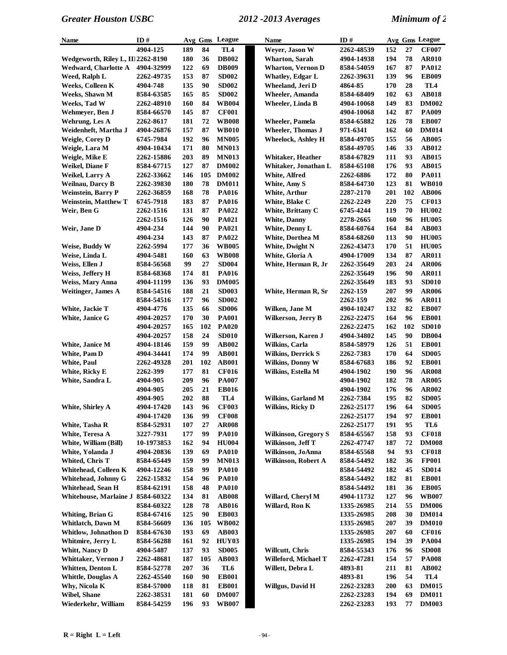| Name                               | ID#        |     |     | Avg Gms League  | Name                        | ID#        |     |     | Avg Gms League |
|------------------------------------|------------|-----|-----|-----------------|-----------------------------|------------|-----|-----|----------------|
|                                    | 4904-125   | 189 | 84  | TL <sub>4</sub> | Weyer, Jason W              | 2262-48539 | 152 | 27  | <b>CF007</b>   |
| Wedgeworth, Riley L, IIl 2262-8190 |            | 180 | 36  | <b>DB002</b>    | <b>Wharton, Sarah</b>       | 4904-14938 | 194 | 78  | <b>AR010</b>   |
| <b>Wedward, Charlotte A</b>        | 4904-32999 | 122 | 69  | <b>DB009</b>    | <b>Wharton, Vernon D</b>    | 8584-54059 | 167 | 87  | <b>PA012</b>   |
| Weed, Ralph L                      | 2262-49735 | 153 | 87  | <b>SD002</b>    | <b>Whatley, Edgar L</b>     | 2262-39631 | 139 | 96  | <b>EB009</b>   |
| <b>Weeks, Colleen K</b>            | 4904-748   | 135 | 90  | <b>SD002</b>    | Wheeland, Jeri D            | 4864-85    | 170 | 28  | TL4            |
| Weeks, Shawn M                     | 8584-63585 | 165 | 85  | <b>SD002</b>    | <b>Wheeler, Amanda</b>      | 8584-68409 | 102 | 63  | <b>AB018</b>   |
| Weeks, Tad W                       | 2262-48910 | 160 | 84  | <b>WB004</b>    | Wheeler, Linda B            | 4904-10068 | 149 | 83  | <b>DM002</b>   |
| Wehmeyer, Ben J                    | 8584-66570 | 145 | 87  | <b>CF001</b>    |                             | 4904-10068 | 142 | 87  | <b>PA009</b>   |
| Wehrung, Les A                     | 2262-8617  | 181 | 72  | <b>WB008</b>    | Wheeler, Pamela             | 8584-65882 | 126 | 78  | <b>EB007</b>   |
| Weidenheft, Martha J               | 4904-26876 | 157 | 87  | <b>WB010</b>    | <b>Wheeler, Thomas J</b>    | 971-6341   | 162 | 60  | <b>DM014</b>   |
| <b>Weigle, Corey D</b>             | 6745-7984  | 192 | 96  | <b>MN005</b>    | <b>Wheelock, Ashley H</b>   | 8584-49705 | 155 | 56  | <b>AB005</b>   |
| Weigle, Lara M                     | 4904-10434 | 171 | 80  | <b>MN013</b>    |                             | 8584-49705 | 146 | 33  | AB012          |
| Weigle, Mike E                     | 2262-15886 | 203 | 89  | <b>MN013</b>    | Whitaker, Heather           | 8584-67829 | 111 | 93  | <b>AB015</b>   |
| Weikel, Diane F                    | 8584-67715 | 127 | 87  | <b>DM002</b>    | Whitaker, Jonathan L        | 8584-65108 | 176 | 93  | <b>AB015</b>   |
| Weikel, Larry A                    | 2262-33662 | 146 | 105 | <b>DM002</b>    | White, Alfred               | 2262-6886  | 172 | 80  | <b>PA011</b>   |
| <b>Weilnau, Darcy B</b>            | 2262-39830 | 180 | 78  | <b>DM011</b>    | White, Amy S                | 8584-64730 | 123 | 81  | <b>WB010</b>   |
| <b>Weinstein, Barry P</b>          | 2262-36859 | 168 | 78  | <b>PA016</b>    | White, Arthur               | 2287-2170  | 201 | 102 | <b>AB006</b>   |
| <b>Weinstein, Matthew T</b>        | 6745-7918  | 183 | 87  | <b>PA016</b>    | White, Blake C              | 2262-2249  | 220 | 75  | <b>CF013</b>   |
| Weir, Ben G                        | 2262-1516  | 131 | 87  | <b>PA022</b>    | White, Brittany C           | 6745-4244  | 119 | 70  | <b>HU002</b>   |
|                                    | 2262-1516  | 126 | 90  | <b>PA021</b>    | <b>White, Danny</b>         | 2278-2665  | 160 | 96  | <b>HU005</b>   |
| Weir, Jane D                       | 4904-234   | 144 | 90  | PA021           | White, Denny L              | 8584-60764 | 164 | 84  | <b>AB003</b>   |
|                                    | 4904-234   | 143 | 87  | PA022           | White, Dorthea M            | 8584-68260 | 113 | 90  | <b>HU005</b>   |
| Weise, Buddy W                     | 2262-5994  | 177 | 36  | <b>WB005</b>    | White, Dwight N             | 2262-43473 | 170 | 51  | <b>HU005</b>   |
| Weise, Linda L                     | 4904-5481  | 160 | 63  | <b>WB008</b>    | White, Gloria A             | 4904-17009 | 134 | 87  | <b>AR011</b>   |
| Weiss, Ellen J                     | 8584-56568 | 99  | 27  | <b>SD004</b>    | White, Herman R, Jr         | 2262-35649 | 203 | 24  | <b>AR006</b>   |
| Weiss, Jeffery H                   | 8584-68368 | 174 | 81  | <b>PA016</b>    |                             | 2262-35649 | 196 | 90  | <b>AR011</b>   |
| Weiss, Mary Anna                   | 4904-11199 | 136 | 93  | <b>DM005</b>    |                             | 2262-35649 | 183 | 93  | <b>SD010</b>   |
| <b>Weitinger</b> , James A         | 8584-54516 | 188 | 21  | <b>SD003</b>    | White, Herman R, Sr         | 2262-159   | 207 | 99  | <b>AR006</b>   |
|                                    | 8584-54516 | 177 | 96  | <b>SD002</b>    |                             | 2262-159   | 202 | 96  | <b>AR011</b>   |
| White, Jackie T                    | 4904-4776  | 135 | 66  | <b>SD006</b>    | Wilken, Jane M              | 4904-10247 | 132 | 82  | <b>EB007</b>   |
| White, Janice G                    | 4904-20257 | 170 | 30  | <b>PA001</b>    | Wilkerson, Jerry B          | 2262-22475 | 164 | 96  | <b>EB001</b>   |
|                                    | 4904-20257 | 165 | 102 | <b>PA020</b>    |                             | 2262-22475 | 162 | 102 | <b>SD010</b>   |
|                                    | 4904-20257 | 158 | 24  | <b>SD010</b>    | Wilkerson, Karen J          | 4904-34802 | 145 | 90  | <b>DB004</b>   |
| White, Janice M                    | 4904-18146 | 159 | 99  | AB002           | <b>Wilkins</b> , Carla      | 8584-58979 | 126 | 51  | <b>EB001</b>   |
| White, Pam D                       | 4904-34441 | 174 | 99  | <b>AB001</b>    | <b>Wilkins, Derrick S</b>   | 2262-7383  | 170 | 64  | <b>SD005</b>   |
| <b>White, Paul</b>                 | 2262-49328 | 201 | 102 | <b>AB001</b>    | <b>Wilkins, Donny W</b>     | 8584-67683 | 186 | 92  | <b>EB001</b>   |
| White, Ricky E                     | 2262-399   | 177 | 81  | <b>CF016</b>    | Wilkins, Estella M          | 4904-1902  | 190 | 96  | <b>AR008</b>   |
| White, Sandra L                    | 4904-905   | 209 | 96  | <b>PA007</b>    |                             | 4904-1902  | 182 | 78  | <b>AR005</b>   |
|                                    | 4904-905   | 205 | 21  | <b>EB016</b>    |                             | 4904-1902  | 176 | 96  | <b>AR002</b>   |
|                                    | 4904-905   | 202 | 88  | TL <sub>4</sub> | <b>Wilkins, Garland M</b>   | 2262-7384  | 195 | 82  | <b>SD005</b>   |
| White, Shirley A                   | 4904-17420 | 143 | 96  | <b>CF003</b>    | Wilkins, Ricky D            | 2262-25177 | 196 | 64  | <b>SD005</b>   |
|                                    | 4904-17420 | 136 | 99  | <b>CF008</b>    |                             | 2262-25177 | 194 | 97  | <b>EB001</b>   |
| White, Tasha R                     | 8584-52931 | 107 | 27  | <b>AR008</b>    |                             | 2262-25177 | 191 | 95  | TL6            |
| White, Teresa A                    | 3227-7931  | 177 | 99  | <b>PA010</b>    | <b>Wilkinson, Gregory S</b> | 8584-65567 | 158 | 93  | <b>CF018</b>   |
| White, William (Bill)              | 10-1973853 | 162 | 94  | <b>HU004</b>    | Wilkinson, Jeff T           | 2262-47747 | 187 | 72  | <b>DM008</b>   |
| White, Yolanda J                   | 4904-20836 | 139 | 69  | <b>PA010</b>    | Wilkinson, JoAnna           | 8584-65568 | 94  | 93  | <b>CF018</b>   |
| Whited, Chris T                    | 8584-65449 | 159 | 99  | <b>MN013</b>    | Wilkinson, Robert A         | 8584-54492 | 182 | 36  | <b>FP001</b>   |
| Whitehead, Colleen K               | 4904-12246 | 158 | 99  | <b>PA010</b>    |                             | 8584-54492 | 182 | 45  | <b>SD014</b>   |
| Whitehead, Johnny G                | 2262-15832 | 154 | 96  | <b>PA010</b>    |                             | 8584-54492 | 182 | 81  | <b>EB001</b>   |
| Whitehead, Sean H                  | 8584-62191 | 158 | 48  | <b>PA010</b>    |                             | 8584-54492 | 181 | 36  | <b>EB005</b>   |
| Whitehouse, Marlaine J             | 8584-60322 | 134 | 81  | <b>AB008</b>    | Willard, Cheryl M           | 4904-11732 | 127 | 96  | <b>WB007</b>   |
|                                    | 8584-60322 | 128 | 78  | <b>AB016</b>    | Willard, Ron K              | 1335-26985 | 214 | 55  | <b>DM006</b>   |
| Whiting, Brian G                   | 8584-67416 | 125 | 90  | <b>EB003</b>    |                             | 1335-26985 | 208 | 30  | <b>DM014</b>   |
| Whitlatch, Dawn M                  | 8584-56609 | 136 | 105 | <b>WB002</b>    |                             | 1335-26985 | 207 | 39  | <b>DM010</b>   |
| Whitlow, Johnathon D               | 8584-67630 | 193 | 69  | <b>AB003</b>    |                             | 1335-26985 | 207 | 60  | <b>CF016</b>   |
| Whitmire, Jerry L                  | 8584-56288 | 161 | 92  | HUY03           |                             | 1335-26985 | 194 | 39  | <b>PA004</b>   |
| Whitt, Nancy D                     | 4904-5487  | 137 | 93  | <b>SD005</b>    | Willcutt, Chris             | 8584-55343 | 176 | 96  | <b>SD008</b>   |
| Whittaker, Vernon J                | 2262-48681 | 187 | 105 | <b>AB003</b>    | Willeford, Michael T        | 2262-47281 | 154 | 57  | <b>PA008</b>   |
| Whitten, Denton L                  | 8584-52778 | 207 | 36  | TL6             | Willett, Debra L            | 4893-81    | 211 | 81  | <b>AB002</b>   |
| <b>Whittle, Douglas A</b>          | 2262-45540 | 160 | 90  | <b>EB001</b>    |                             | 4893-81    | 196 | 54  | TL4            |
| Why, Nicola K                      | 8584-57000 | 118 | 81  | <b>EB001</b>    | Willgus, David H            | 2262-23283 | 200 | 63  | <b>DM015</b>   |
| Wibel, Shane                       | 2262-38531 | 181 | 60  | <b>DM007</b>    |                             | 2262-23283 | 194 | 69  | <b>DM011</b>   |
| Wiederkehr, William                | 8584-54259 | 196 | 93  | <b>WB007</b>    |                             | 2262-23283 | 193 | 77  | <b>DM003</b>   |
|                                    |            |     |     |                 |                             |            |     |     |                |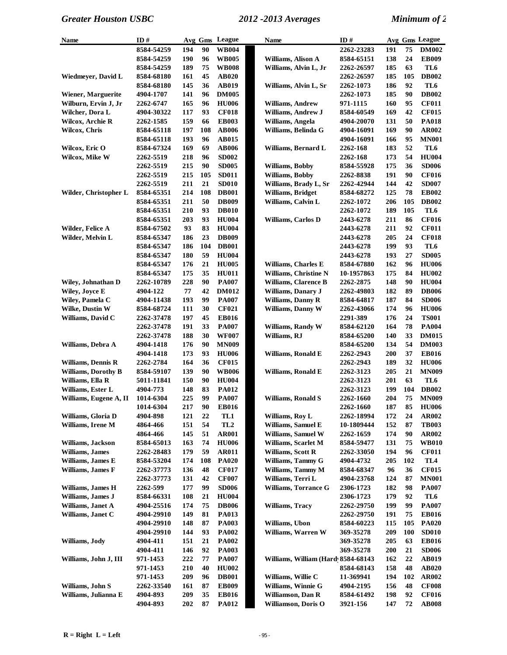| <b>Name</b>                | ID#        |     | Avg Gms | League          | <b>Name</b>                         | ID#        |     |     | Avg Gms League  |
|----------------------------|------------|-----|---------|-----------------|-------------------------------------|------------|-----|-----|-----------------|
|                            | 8584-54259 | 194 | 90      | <b>WB004</b>    |                                     | 2262-23283 | 191 | 75  | <b>DM002</b>    |
|                            | 8584-54259 | 190 | 96      | <b>WB005</b>    | Williams, Alison A                  | 8584-65151 | 138 | 24  | <b>EB009</b>    |
|                            | 8584-54259 | 189 | 75      | <b>WB008</b>    | Williams, Alvin L, Jr               | 2262-26597 | 185 | 63  | TL6             |
| Wiedmeyer, David L         | 8584-68180 | 161 | 45      | <b>AB020</b>    |                                     | 2262-26597 | 185 | 105 | <b>DB002</b>    |
|                            | 8584-68180 | 145 | 36      | <b>AB019</b>    | Williams, Alvin L, Sr               | 2262-1073  | 186 | 92  | TL6             |
| <b>Wiener, Marguerite</b>  | 4904-1707  | 141 | 96      | <b>DM005</b>    |                                     | 2262-1073  | 185 | 90  | <b>DB002</b>    |
| Wilburn, Ervin J, Jr       | 2262-6747  | 165 | 96      | <b>HU006</b>    | Williams, Andrew                    | 971-1115   | 160 | 95  | <b>CF011</b>    |
| Wilcher, Dora L            | 4904-30322 | 117 | 93      | <b>CF018</b>    | Williams, Andrew J                  | 8584-60549 | 169 | 42  | <b>CF015</b>    |
| Wilcox, Archie R           | 2262-1585  | 159 | 66      | <b>EB003</b>    | Williams, Angela                    | 4904-20070 | 131 | 50  | <b>PA018</b>    |
| Wilcox, Chris              | 8584-65118 | 197 | 108     | <b>AB006</b>    | Williams, Belinda G                 | 4904-16091 | 169 | 90  | AR002           |
|                            | 8584-65118 | 193 | 96      | AB015           |                                     | 4904-16091 | 166 | 95  | <b>MN001</b>    |
| Wilcox, Eric O             | 8584-67324 | 169 | 69      | <b>AB006</b>    | Williams, Bernard L                 | 2262-168   | 183 | 52  | TL6             |
| Wilcox, Mike W             | 2262-5519  | 218 | 96      | <b>SD002</b>    |                                     | 2262-168   | 173 | 54  | <b>HU004</b>    |
|                            | 2262-5519  | 215 | 90      | <b>SD005</b>    | Williams, Bobby                     | 8584-55928 | 175 | 36  | <b>SD006</b>    |
|                            | 2262-5519  | 215 | 105     | <b>SD011</b>    | <b>Williams</b> , Bobby             |            | 191 | 90  | <b>CF016</b>    |
|                            |            |     |         |                 |                                     | 2262-8838  |     |     |                 |
|                            | 2262-5519  | 211 | 21      | <b>SD010</b>    | Williams, Brady L, Sr               | 2262-42944 | 144 | 42  | <b>SD007</b>    |
| Wilder, Christopher L      | 8584-65351 | 214 | 108     | <b>DB001</b>    | <b>Williams</b> , Bridget           | 8584-68272 | 125 | 78  | <b>EB002</b>    |
|                            | 8584-65351 | 211 | 50      | <b>DB009</b>    | Williams, Calvin L                  | 2262-1072  | 206 | 105 | <b>DB002</b>    |
|                            | 8584-65351 | 210 | 93      | <b>DB010</b>    |                                     | 2262-1072  | 189 | 105 | TL6             |
|                            | 8584-65351 | 203 | 93      | <b>HU004</b>    | <b>Williams, Carlos D</b>           | 2443-6278  | 211 | 86  | <b>CF016</b>    |
| Wilder, Felice A           | 8584-67502 | 93  | 83      | <b>HU004</b>    |                                     | 2443-6278  | 211 | 92  | <b>CF011</b>    |
| Wilder, Melvin L           | 8584-65347 | 186 | 23      | <b>DB009</b>    |                                     | 2443-6278  | 205 | 24  | <b>CF018</b>    |
|                            | 8584-65347 | 186 | 104     | <b>DB001</b>    |                                     | 2443-6278  | 199 | 93  | TL6             |
|                            | 8584-65347 | 180 | 59      | <b>HU004</b>    |                                     | 2443-6278  | 193 | 27  | <b>SD005</b>    |
|                            | 8584-65347 | 176 | 21      | <b>HU005</b>    | <b>Williams, Charles E</b>          | 8584-67880 | 162 | 96  | <b>HU006</b>    |
|                            | 8584-65347 | 175 | 35      | <b>HU011</b>    | Williams, Christine N               | 10-1957863 | 175 | 84  | <b>HU002</b>    |
| <b>Wiley, Johnathan D</b>  | 2262-10789 | 228 | 90      | <b>PA007</b>    | <b>Williams, Clarence B</b>         | 2262-2875  | 148 | 90  | <b>HU004</b>    |
| Wiley, Joyce E             | 4904-122   | 77  | 42      | <b>DM012</b>    | Williams, Danary J                  | 2262-49803 | 182 | 89  | <b>DB006</b>    |
| Wiley, Pamela C            | 4904-11438 | 193 | 99      | <b>PA007</b>    | Williams, Danny R                   | 8584-64817 | 187 | 84  | <b>SD006</b>    |
| Wilke, Dustin W            | 8584-68724 | 111 | 30      | <b>CF021</b>    | Williams, Danny W                   | 2262-43066 | 174 | 96  | <b>HU006</b>    |
| Williams, David C          | 2262-37478 | 197 | 45      | <b>EB016</b>    |                                     | 2291-389   | 176 | 24  | <b>TS001</b>    |
|                            | 2262-37478 | 191 | 33      | <b>PA007</b>    | Williams, Randy W                   | 8584-62120 | 164 | 78  | <b>PA004</b>    |
|                            | 2262-37478 | 188 | 30      | <b>WF007</b>    | Williams, RJ                        | 8584-65200 | 140 | 33  | <b>DM015</b>    |
| Williams, Debra A          | 4904-1418  | 176 | 90      | <b>MN009</b>    |                                     | 8584-65200 | 134 | 54  | <b>DM003</b>    |
|                            | 4904-1418  | 173 | 93      | <b>HU006</b>    | Williams, Ronald E                  | 2262-2943  | 200 | 37  | <b>EB016</b>    |
| <b>Williams, Dennis R</b>  | 2262-2784  | 164 | 36      | <b>CF015</b>    |                                     | 2262-2943  | 189 | 32  | <b>HU006</b>    |
| <b>Williams, Dorothy B</b> | 8584-59107 | 139 | 90      | <b>WB006</b>    | Williams, Ronald E                  | 2262-3123  | 205 | 21  | <b>MN009</b>    |
| Williams, Ella R           | 5011-11841 | 150 | 90      | <b>HU004</b>    |                                     | 2262-3123  | 201 | 63  | TL6             |
| Williams, Ester L          | 4904-773   | 148 | 83      | <b>PA012</b>    |                                     | 2262-3123  | 199 | 104 | <b>DB002</b>    |
| Williams, Eugene A, II     | 1014-6304  | 225 | 99      | <b>PA007</b>    | <b>Williams, Ronald S</b>           | 2262-1660  | 204 | 75  | <b>MN009</b>    |
|                            | 1014-6304  | 217 | 90      | <b>EB016</b>    |                                     | 2262-1660  | 187 |     | 85 HU006        |
| Williams, Gloria D         | 4904-898   | 121 | 22      | TL1             | Williams, Roy L                     | 2262-18994 | 172 | 24  | <b>AR002</b>    |
| Williams, Irene M          | 4864-466   | 151 | 54      | TL <sub>2</sub> | Williams, Samuel E                  | 10-1809444 | 152 | 87  | <b>TB003</b>    |
|                            | 4864-466   | 145 | 51      | <b>AR001</b>    | Williams, Samuel W                  | 2262-1659  | 174 | 90  | AR002           |
| Williams, Jackson          | 8584-65013 | 163 | 74      | <b>HU006</b>    | Williams, Scarlet M                 | 8584-59477 | 131 | 75  | <b>WB010</b>    |
| Williams, James            | 2262-28483 | 179 | 59      | <b>AR011</b>    | Williams, Scott R                   | 2262-33050 | 194 | 96  | <b>CF011</b>    |
| Williams, James E          | 8584-53204 | 174 | 108     | <b>PA020</b>    | Williams, Tammy G                   | 4904-4732  | 205 | 102 | TL <sub>4</sub> |
| Williams, James F          | 2262-37773 | 136 | 48      | <b>CF017</b>    | Williams, Tammy M                   | 8584-68347 | 96  | 36  | <b>CF015</b>    |
|                            | 2262-37773 | 131 | 42      | <b>CF007</b>    | Williams, Terri L                   | 4904-23768 | 124 | 87  | <b>MN001</b>    |
| Williams, James H          | 2262-599   | 177 | 99      | <b>SD006</b>    | <b>Williams, Torrance G</b>         | 2306-1723  | 182 | 98  | <b>PA007</b>    |
| Williams, James J          | 8584-66331 | 108 | 21      | <b>HU004</b>    |                                     | 2306-1723  | 179 | 92  | TL6             |
| Williams, Janet A          | 4904-25516 | 174 | 75      | <b>DB006</b>    | <b>Williams</b> , Tracv             | 2262-29750 | 199 | 99  | <b>PA007</b>    |
| Williams, Janet C          |            |     | 81      | <b>PA013</b>    |                                     | 2262-29750 | 191 | 75  |                 |
|                            | 4904-29910 | 149 | 87      |                 | Williams, Ubon                      |            |     | 105 | <b>EB016</b>    |
|                            | 4904-29910 | 148 |         | <b>PA003</b>    |                                     | 8584-60223 | 115 |     | <b>PA020</b>    |
|                            | 4904-29910 | 144 | 93      | <b>PA002</b>    | <b>Williams, Warren W</b>           | 369-35278  | 209 | 100 | <b>SD010</b>    |
| Williams, Jody             | 4904-411   | 151 | 21      | <b>PA002</b>    |                                     | 369-35278  | 205 | 63  | <b>EB016</b>    |
|                            | 4904-411   | 146 | 92      | <b>PA003</b>    |                                     | 369-35278  | 200 | 21  | <b>SD006</b>    |
| Williams, John J, III      | 971-1453   | 222 | 77      | <b>PA007</b>    | Williams, William (Hard 8584-68143) |            | 162 | 22  | <b>AB019</b>    |
|                            | 971-1453   | 210 | 40      | <b>HU002</b>    |                                     | 8584-68143 | 158 | 48  | AB020           |
|                            | 971-1453   | 209 | 96      | <b>DB001</b>    | Williams, Willie C                  | 11-369941  | 194 | 102 | <b>AR002</b>    |
| Williams, John S           | 2262-33540 | 161 | 87      | <b>EB009</b>    | Williams, Winnie G                  | 4904-2195  | 156 | 48  | <b>CF008</b>    |
| Williams, Julianna E       | 4904-893   | 209 | 35      | <b>EB016</b>    | Williamson, Dan R                   | 8584-61492 | 198 | 92  | <b>CF016</b>    |
|                            | 4904-893   | 202 | 87      | <b>PA012</b>    | Williamson, Doris O                 | 3921-156   | 147 | 72  | <b>AB008</b>    |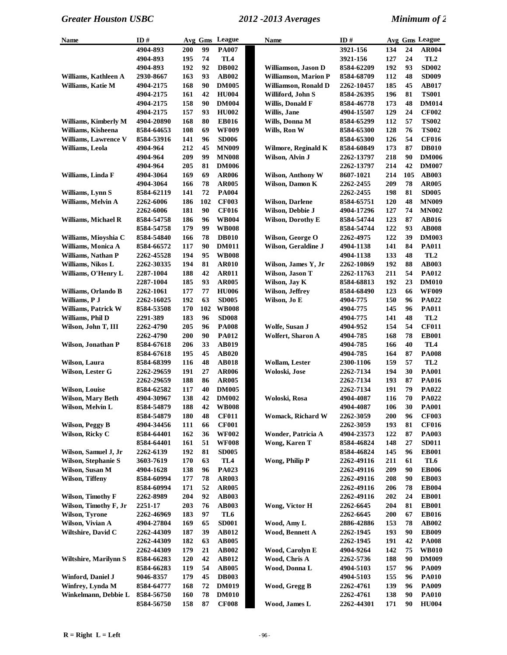| Name                         | ID#                      |            |     | Avg Gms League               | Name                        | ID#        |            |     | Avg Gms League               |
|------------------------------|--------------------------|------------|-----|------------------------------|-----------------------------|------------|------------|-----|------------------------------|
|                              | 4904-893                 | 200        | 99  | <b>PA007</b>                 |                             | 3921-156   | 134        | 24  | <b>AR004</b>                 |
|                              | 4904-893                 | 195        | 74  | TL4                          |                             | 3921-156   | 127        | 24  | TL <sub>2</sub>              |
|                              | 4904-893                 | 192        | 92  | <b>DB002</b>                 | Williamson, Jason D         | 8584-62209 | 192        | 93  | <b>SD002</b>                 |
| Williams, Kathleen A         | 2930-8667                | 163        | 93  | <b>AB002</b>                 | <b>Williamson, Marion P</b> | 8584-68709 | 112        | 48  | <b>SD009</b>                 |
| Williams, Katie M            | 4904-2175                | 168        | 90  | <b>DM005</b>                 | Williamson, Ronald D        | 2262-10457 | 185        | 45  | <b>AB017</b>                 |
|                              | 4904-2175                | 161        | 42  | <b>HU004</b>                 | Williford, John S           | 8584-26395 | 196        | 81  | <b>TS001</b>                 |
|                              | 4904-2175                | 158        | 90  | <b>DM004</b>                 | Willis, Donald F            | 8584-46778 | 173        | 48  | <b>DM014</b>                 |
|                              | 4904-2175                | 157        | 93  | <b>HU002</b>                 | Willis, Jane                | 4904-15507 | 129        | 24  | <b>CF002</b>                 |
| Williams, Kimberly M         | 4904-20890               | 168        | 80  | <b>EB016</b>                 | Wills, Donna M              | 8584-65299 | 112        | 57  | <b>TS002</b>                 |
| Williams, Kisheena           | 8584-64653               | 108        | 69  | <b>WF009</b>                 | Wills, Ron W                | 8584-65300 | 128        | 76  | <b>TS002</b>                 |
| <b>Williams, Lawrence V</b>  | 8584-53916               | 141        | 96  | <b>SD006</b>                 |                             | 8584-65300 | 126        | 54  | <b>CF016</b>                 |
| Williams, Leola              | 4904-964                 | 212        | 45  | <b>MN009</b>                 | Wilmore, Reginald K         | 8584-60849 | 173        | 87  | <b>DB010</b>                 |
|                              | 4904-964                 | 209        | 99  | <b>MN008</b>                 | Wilson, Alvin J             | 2262-13797 | 218        | 90  | <b>DM006</b>                 |
|                              | 4904-964                 | 205        | 81  | <b>DM006</b>                 |                             | 2262-13797 | 214        | 42  | <b>DM007</b>                 |
| Williams, Linda F            | 4904-3064                | 169        | 69  | <b>AR006</b>                 | Wilson, Anthony W           | 8607-1021  | 214        | 105 | <b>AB003</b>                 |
|                              | 4904-3064                | 166        | 78  | <b>AR005</b>                 | Wilson, Damon K             | 2262-2455  | 209        | 78  | <b>AR005</b>                 |
| Williams, Lynn S             | 8584-62119               | 141        | 72  | <b>PA004</b>                 |                             | 2262-2455  | 198        | 81  | <b>SD005</b>                 |
| Williams, Melvin A           | 2262-6006                | 186        | 102 | <b>CF003</b>                 | <b>Wilson, Darlene</b>      | 8584-65751 | 120        | 48  | <b>MN009</b>                 |
|                              | 2262-6006                | 181        | 90  | <b>CF016</b>                 | Wilson, Debbie J            | 4904-17296 | 127        | 74  | <b>MN002</b>                 |
|                              |                          | 186        | 96  |                              | <b>Wilson, Dorothy E</b>    | 8584-54744 | 123        | 87  | <b>AB016</b>                 |
| Williams, Michael R          | 8584-54758<br>8584-54758 |            | 99  | <b>WB004</b>                 |                             | 8584-54744 |            | 93  |                              |
|                              | 8584-54840               | 179<br>166 | 78  | <b>WB008</b><br><b>DB010</b> |                             |            | 122<br>122 | 39  | <b>AB008</b><br><b>DM003</b> |
| Williams, Mioyshia C         |                          |            |     |                              | Wilson, George O            | 2262-4975  |            |     |                              |
| Williams, Monica A           | 8584-66572               | 117        | 90  | <b>DM011</b>                 | Wilson, Geraldine J         | 4904-1138  | 141        | 84  | <b>PA011</b>                 |
| <b>Williams, Nathan P</b>    | 2262-45528               | 194        | 95  | <b>WB008</b>                 |                             | 4904-1138  | 133        | 48  | TL <sub>2</sub>              |
| Williams, Nikos L            | 2262-30335               | 194        | 81  | <b>AR010</b>                 | Wilson, James Y, Jr         | 2262-10869 | 192        | 88  | AB003                        |
| Williams, O'Henry L          | 2287-1004                | 188        | 42  | <b>AR011</b>                 | Wilson, Jason T             | 2262-11763 | 211        | 54  | <b>PA012</b>                 |
|                              | 2287-1004                | 185        | 93  | AR005                        | Wilson, Jay K               | 8584-68813 | 192        | 23  | <b>DM010</b>                 |
| Williams, Orlando B          | 2262-1061                | 177        | 77  | <b>HU006</b>                 | Wilson, Jeffrey             | 8584-68490 | 123        | 66  | <b>WF009</b>                 |
| Williams, P J                | 2262-16025               | 192        | 63  | <b>SD005</b>                 | Wilson, Jo E                | 4904-775   | 150        | 96  | PA022                        |
| <b>Williams, Patrick W</b>   | 8584-53508               | 170        | 102 | <b>WB008</b>                 |                             | 4904-775   | 145        | 96  | <b>PA011</b>                 |
| Williams, Phil D             | 2291-389                 | 183        | 96  | <b>SD008</b>                 |                             | 4904-775   | 141        | 48  | TL <sub>2</sub>              |
| Wilson, John T, III          | 2262-4790                | 205        | 96  | <b>PA008</b>                 | Wolfe, Susan J              | 4904-952   | 154        | 54  | <b>CF011</b>                 |
|                              | 2262-4790                | 200        | 90  | <b>PA012</b>                 | <b>Wolfert, Sharon A</b>    | 4904-785   | 168        | 78  | <b>EB001</b>                 |
| Wilson, Jonathan P           | 8584-67618               | 206        | 33  | <b>AB019</b>                 |                             | 4904-785   | 166        | 40  | TL <sub>4</sub>              |
|                              | 8584-67618               | 195        | 45  | AB020                        |                             | 4904-785   | 164        | 87  | <b>PA008</b>                 |
| Wilson, Laura                | 8584-68399               | 116        | 48  | <b>AB018</b>                 | <b>Wollam, Lester</b>       | 2300-1106  | 159        | 57  | TL <sub>2</sub>              |
| Wilson, Lester G             | 2262-29659               | 191        | 27  | <b>AR006</b>                 | Woloski, Jose               | 2262-7134  | 194        | 30  | <b>PA001</b>                 |
|                              | 2262-29659               | 188        | 86  | <b>AR005</b>                 |                             | 2262-7134  | 193        | 87  | <b>PA016</b>                 |
| <b>Wilson, Louise</b>        | 8584-62582               | 117        | 40  | <b>DM005</b>                 |                             | 2262-7134  | 191        | 79  | PA022                        |
| <b>Wilson, Mary Beth</b>     | 4904-30967               | 138        | 42  | <b>DM002</b>                 | Woloski, Rosa               | 4904-4087  | 116        | 70  | PA022                        |
| Wilson, Melvin L             | 8584-54879               | 188        | 42  | <b>WB008</b>                 |                             | 4904-4087  | 106        | 30  | <b>PA001</b>                 |
|                              | 8584-54879               | 180        | 48  | <b>CF011</b>                 | Womack, Richard W           | 2262-3059  | 200        | 96  | <b>CF003</b>                 |
| <b>Wilson, Peggy B</b>       | 4904-34456               | 111        | 66  | <b>CF001</b>                 |                             | 2262-3059  | 193        | 81  | <b>CF016</b>                 |
| Wilson, Ricky C              | 8584-64401               | 162        | 36  | <b>WF002</b>                 | Wonder, Patricia A          | 4904-23573 | 122        | 87  | <b>PA003</b>                 |
|                              | 8584-64401               | 161        | 51  | <b>WF008</b>                 | Wong, Karen T               | 8584-46824 | 148        | 27  | <b>SD011</b>                 |
| Wilson, Samuel J, Jr         | 2262-6139                | 192        | 81  | <b>SD005</b>                 |                             | 8584-46824 | 145        | 96  | <b>EB001</b>                 |
| <b>Wilson, Stephanie S</b>   | 3603-7619                | 170        | 63  | TL4                          | Wong, Philip P              | 2262-49116 | 211        | 61  | TL6                          |
| Wilson, Susan M              | 4904-1628                | 138        | 96  | PA023                        |                             | 2262-49116 | 209        | 90  | <b>EB006</b>                 |
| Wilson, Tiffeny              | 8584-60994               | 177        | 78  | <b>AR003</b>                 |                             | 2262-49116 | 208        | 90  | <b>EB003</b>                 |
|                              | 8584-60994               | 171        | 52  | <b>AR005</b>                 |                             | 2262-49116 | 206        | 78  | <b>EB004</b>                 |
| Wilson, Timothy F            | 2262-8989                | 204        | 92  | <b>AB003</b>                 |                             | 2262-49116 | 202        | 24  | <b>EB001</b>                 |
| Wilson, Timothy F, Jr        | 2251-17                  | 203        | 76  | <b>AB003</b>                 | Wong, Victor H              | 2262-6645  | 204        | 81  | <b>EB001</b>                 |
| Wilson, Tyrone               | 2262-46969               | 183        | 97  | TL6                          |                             | 2262-6645  | 200        | 67  | <b>EB016</b>                 |
| Wilson, Vivian A             | 4904-27804               | 169        | 65  | <b>SD001</b>                 | Wood, Amy L                 | 2886-42886 | 153        | 78  | AB002                        |
| Wiltshire, David C           | 2262-44309               | 187        | 39  | <b>AB012</b>                 | Wood, Bennett A             | 2262-1945  | 193        | 90  | <b>EB009</b>                 |
|                              | 2262-44309               | 182        | 63  | <b>AB005</b>                 |                             | 2262-1945  | 191        | 42  | <b>PA008</b>                 |
|                              | 2262-44309               | 179        | 21  | <b>AB002</b>                 | Wood, Carolyn E             | 4904-9264  | 142        | 75  | <b>WB010</b>                 |
| <b>Wiltshire, Marilynn S</b> | 8584-66283               | 120        | 42  | <b>AB012</b>                 | Wood, Chris A               | 2262-5736  | 188        | 90  | <b>DM009</b>                 |
|                              | 8584-66283               | 119        | 54  | <b>AB005</b>                 | Wood, Donna L               | 4904-5103  | 157        | 96  | <b>PA009</b>                 |
| Winford, Daniel J            | 9046-8357                | 179        | 45  | <b>DB003</b>                 |                             | 4904-5103  | 155        | 96  | <b>PA010</b>                 |
| Winfrey, Lynda M             | 8584-64777               | 168        | 72  | <b>DM019</b>                 | Wood, Gregg B               | 2262-4761  | 139        | 96  | <b>PA009</b>                 |
| Winkelmann, Debbie L         | 8584-56750               | 160        | 78  | <b>DM010</b>                 |                             | 2262-4761  | 138        | 90  | <b>PA010</b>                 |
|                              | 8584-56750               | 158        | 87  | <b>CF008</b>                 | Wood, James L               | 2262-44301 | 171        | 90  | <b>HU004</b>                 |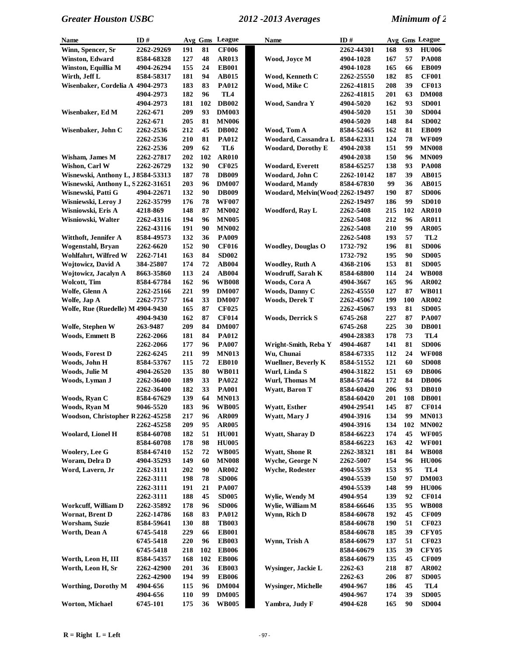| <b>Name</b>                        | ID#        |            | Avg Gms | <b>League</b>   | <b>Name</b>                                     | ID#              |     |     | Avg Gms League  |
|------------------------------------|------------|------------|---------|-----------------|-------------------------------------------------|------------------|-----|-----|-----------------|
| Winn, Spencer, Sr                  | 2262-29269 | 191        | 81      | <b>CF006</b>    |                                                 | 2262-44301       | 168 | 93  | <b>HU006</b>    |
| <b>Winston, Edward</b>             | 8584-68328 | 127        | 48      | <b>AR013</b>    | Wood, Joyce M                                   | 4904-1028        | 167 | 57  | <b>PA008</b>    |
| Winston, Equillia M                | 4904-26294 | 155        | 24      | <b>EB001</b>    |                                                 | 4904-1028        | 165 | 66  | <b>EB009</b>    |
| Wirth, Jeff L                      | 8584-58317 | 181        | 94      | <b>AB015</b>    | Wood, Kenneth C                                 | 2262-25550       | 182 | 85  | <b>CF001</b>    |
| Wisenbaker, Cordelia A 4904-2973   |            | 183        | 83      | <b>PA012</b>    | Wood, Mike C                                    | 2262-41815       | 208 | 39  | <b>CF013</b>    |
|                                    | 4904-2973  | 182        | 96      | TL <sub>4</sub> |                                                 | 2262-41815       | 201 | 63  | <b>DM008</b>    |
|                                    | 4904-2973  | 181        | 102     | <b>DB002</b>    | Wood, Sandra Y                                  | 4904-5020        | 162 | 93  | <b>SD001</b>    |
| Wisenbaker, Ed M                   | 2262-671   | 209        | 93      | <b>DM003</b>    |                                                 | 4904-5020        | 151 | 30  | <b>SD004</b>    |
|                                    | 2262-671   | 205        | 81      | <b>MN006</b>    |                                                 | 4904-5020        | 148 | 84  | <b>SD002</b>    |
| Wisenbaker, John C                 |            | 212        | 45      | <b>DB002</b>    | Wood, Tom A                                     | 8584-52465       | 162 | 81  | <b>EB009</b>    |
|                                    | 2262-2536  | 210        | 81      | <b>PA012</b>    | Woodard, Cassandra L                            |                  | 124 | 78  | <b>WF009</b>    |
|                                    | 2262-2536  |            |         |                 |                                                 | 8584-62331       |     |     |                 |
|                                    | 2262-2536  | 209        | 62      | TL6             | <b>Woodard, Dorothy E</b>                       | 4904-2038        | 151 | 99  | <b>MN008</b>    |
| Wisham, James M                    | 2262-27817 | 202        | 102     | <b>AR010</b>    |                                                 | 4904-2038        | 150 | 96  | <b>MN009</b>    |
| Wishon, Carl W                     | 2262-26729 | 132        | 90      | <b>CF025</b>    | Woodard, Everett                                | 8584-65257       | 138 | 93  | <b>PA008</b>    |
| Wisnewski, Anthony L, J8584-53313  |            | 187        | 78      | <b>DB009</b>    | Woodard, John C                                 | 2262-10142       | 187 | 39  | <b>AB015</b>    |
| Wisnewski, Anthony L, S 2262-31651 |            | 203        | 96      | <b>DM007</b>    | <b>Woodard, Mandy</b>                           | 8584-67830       | 99  | 36  | <b>AB015</b>    |
| Wisnewski, Patti G                 | 4904-22671 | 132        | 90      | <b>DB009</b>    | Woodard, Melvin(Wood 2262-19497                 |                  | 190 | 87  | <b>SD006</b>    |
| Wisniewski, Leroy J                | 2262-35799 | 176        | 78      | <b>WF007</b>    |                                                 | 2262-19497       | 186 | 99  | <b>SD010</b>    |
| Wisniowski, Eris A                 | 4218-869   | 148        | 87      | <b>MN002</b>    | Woodford, Rav L                                 | 2262-5408        | 215 | 102 | <b>AR010</b>    |
| Wisniowski, Walter                 | 2262-43116 | 194        | 96      | <b>MN005</b>    |                                                 | 2262-5408        | 212 | 96  | <b>AR011</b>    |
|                                    | 2262-43116 | 191        | 90      | <b>MN002</b>    |                                                 | 2262-5408        | 210 | 99  | <b>AR005</b>    |
| Witthoft, Jennifer A               | 8584-49573 | 132        | 36      | <b>PA009</b>    |                                                 | 2262-5408        | 193 | 57  | TL <sub>2</sub> |
| Wogenstahl, Bryan                  | 2262-6620  | 152        | 90      | <b>CF016</b>    | <b>Woodley, Douglas O</b>                       | 1732-792         | 196 | 81  | <b>SD006</b>    |
| Wohlfahrt, Wilfred W               | 2262-7141  | 163        | 84      | <b>SD002</b>    |                                                 | 1732-792         | 195 | 90  | <b>SD005</b>    |
| <b>Wojtowicz, David A</b>          | 384-25807  | 174        | 72      | <b>AB004</b>    | <b>Woodley, Ruth A</b>                          | 4368-2106        | 153 | 81  | <b>SD005</b>    |
| <b>Wojtowicz, Jacalyn A</b>        | 8663-35860 | 113        | 24      | <b>AB004</b>    | Woodruff, Sarah K                               | 8584-68800       | 114 | 24  | <b>WB008</b>    |
| <b>Wolcott</b> , Tim               | 8584-67784 | 162        | 96      | <b>WB008</b>    | Woods, Cora A                                   | 4904-3667        | 165 | 96  | <b>AR002</b>    |
|                                    |            |            |         |                 |                                                 |                  |     |     |                 |
| Wolfe, Glenn A                     | 2262-25166 | 221        | 99      | <b>DM007</b>    | Woods, Danny C                                  | 2262-45550       | 127 | 87  | <b>WB011</b>    |
| Wolfe, Jap A                       | 2262-7757  | 164        | 33      | <b>DM007</b>    | <b>Woods, Derek T</b>                           | 2262-45067       | 199 | 100 | AR002           |
| Wolfe, Rue (Ruedelle) M 4904-9430  |            | 165        | 87      | <b>CF025</b>    |                                                 | 2262-45067       | 193 | 81  | <b>SD005</b>    |
|                                    | 4904-9430  | 162        | 87      | <b>CF014</b>    | <b>Woods, Derrick S</b>                         | 6745-268         | 227 | 87  | PA007           |
| Wolfe, Stephen W                   | 263-9487   | 209        | 84      | <b>DM007</b>    |                                                 | 6745-268         | 225 | 30  | <b>DB001</b>    |
| <b>Woods, Emmett B</b>             | 2262-2066  | 181        | 84      | <b>PA012</b>    |                                                 | 4904-28383       | 178 | 73  | TL4             |
|                                    | 2262-2066  | 177        | 96      | <b>PA007</b>    | Wright-Smith, Reba Y                            | 4904-4687        | 141 | 81  | <b>SD006</b>    |
| <b>Woods, Forest D</b>             | 2262-6245  | 211        | 99      | <b>MN013</b>    | Wu, Chunai                                      | 8584-67335       | 112 | 24  | <b>WF008</b>    |
| Woods, John H                      | 8584-53767 | 115        | 72      | <b>EB010</b>    | <b>Wuellner, Beverly K</b>                      | 8584-51552       | 121 | 60  | <b>SD008</b>    |
| Woods, Julie M                     | 4904-26520 | 135        | 80      | <b>WB011</b>    | Wurl, Linda S                                   | 4904-31822       | 151 | 69  | <b>DB006</b>    |
| Woods, Lyman J                     | 2262-36400 | 189        | 33      | PA022           | Wurl, Thomas M                                  | 8584-57464       | 172 | 84  | <b>DB006</b>    |
|                                    | 2262-36400 | 182        | 33      | <b>PA001</b>    | <b>Wyatt, Baron T</b>                           | 8584-60420       | 206 | 93  | <b>DB010</b>    |
| Woods, Ryan C                      | 8584-67629 | 139        | 64      | <b>MN013</b>    |                                                 | 8584-60420       | 201 | 108 | <b>DB001</b>    |
| Woods, Ryan M                      | 9046-5520  | 183        | 96      | <b>WB005</b>    | <b>Wyatt, Esther</b>                            | 4904-29541       | 145 | 87  | <b>CF014</b>    |
| Woodson, Christopher R2262-45258   |            | 217        | 96      | <b>AR009</b>    | Wyatt, Mary J                                   | 4904-3916        | 134 | 99  | <b>MN013</b>    |
|                                    | 2262-45258 | 209        | 95      | <b>AR005</b>    |                                                 | 4904-3916        | 134 | 102 | <b>MN002</b>    |
| <b>Woolard, Lionel H</b>           | 8584-60708 | 182        | 51      | <b>HU001</b>    | <b>Wyatt, Sharay D</b>                          | 8584-66223       | 174 | 45  | <b>WF005</b>    |
|                                    | 8584-60708 | 178        | 98      | <b>HU005</b>    |                                                 | 8584-66223       | 163 | 42  | <b>WF001</b>    |
|                                    | 8584-67410 | 152        | 72      |                 |                                                 |                  |     | 84  |                 |
| <b>Woolery, Lee G</b>              |            |            |         | <b>WB005</b>    | <b>Wyatt, Shone R</b><br><b>Wyche, George N</b> | 2262-38321       | 181 |     | <b>WB008</b>    |
| Woram, Delra D                     | 4904-35293 | 149        | 60      | <b>MN008</b>    |                                                 | <b>2262-5007</b> | 154 | 96  | <b>HU006</b>    |
| Word, Lavern, Jr                   | 2262-3111  | 202        | 90      | <b>AR002</b>    | Wyche, Rodester                                 | 4904-5539        | 153 | 95  | TL4             |
|                                    | 2262-3111  | 198        | 78      | <b>SD006</b>    |                                                 | 4904-5539        | 150 | 97  | <b>DM003</b>    |
|                                    | 2262-3111  | 191        | 21      | <b>PA007</b>    |                                                 | 4904-5539        | 148 | 99  | <b>HU006</b>    |
|                                    | 2262-3111  | 188        | 45      | <b>SD005</b>    | Wylie, Wendy M                                  | 4904-954         | 139 | 92  | <b>CF014</b>    |
| Workcuff, William D                | 2262-35892 | 178        | 96      | <b>SD006</b>    | Wylie, William M                                | 8584-66646       | 135 | 95  | <b>WB008</b>    |
| Wornat, Brent D                    | 2262-14786 | 168        | 83      | <b>PA012</b>    | Wynn, Rich D                                    | 8584-60678       | 192 | 45  | <b>CF009</b>    |
| Worsham, Suzie                     | 8584-59641 | 130        | 88      | <b>TB003</b>    |                                                 | 8584-60678       | 190 | 51  | <b>CF023</b>    |
| Worth, Dean A                      | 6745-5418  | 229        | 66      | <b>EB001</b>    |                                                 | 8584-60678       | 185 | 39  | <b>CFY05</b>    |
|                                    | 6745-5418  | 220        | 96      | <b>EB003</b>    | Wynn, Trish A                                   | 8584-60679       | 137 | 51  | <b>CF023</b>    |
|                                    | 6745-5418  | 218        | 102     | <b>EB006</b>    |                                                 | 8584-60679       | 135 | 39  | <b>CFY05</b>    |
| Worth, Leon H, III                 | 8584-54357 | 168        | 102     | <b>EB006</b>    |                                                 | 8584-60679       | 135 | 45  | <b>CF009</b>    |
| Worth, Leon H, Sr                  | 2262-42900 | 201        | 36      | <b>EB003</b>    | Wysinger, Jackie L                              | 2262-63          | 218 | 87  | AR002           |
|                                    | 2262-42900 | 194        | 99      | <b>EB006</b>    |                                                 | 2262-63          | 206 | 87  | <b>SD005</b>    |
| <b>Worthing, Dorothy M</b>         | 4904-656   | 115        | 96      | <b>DM004</b>    | <b>Wysinger, Michelle</b>                       | 4904-967         | 186 | 45  | TL4             |
|                                    | 4904-656   | <b>110</b> | 99      | <b>DM005</b>    |                                                 | 4904-967         | 174 | 39  | <b>SD005</b>    |
| <b>Worton, Michael</b>             |            |            |         |                 | Yambra, Judy F                                  |                  |     | 90  |                 |
|                                    | 6745-101   | 175        | 36      | <b>WB005</b>    |                                                 | 4904-628         | 165 |     | <b>SD004</b>    |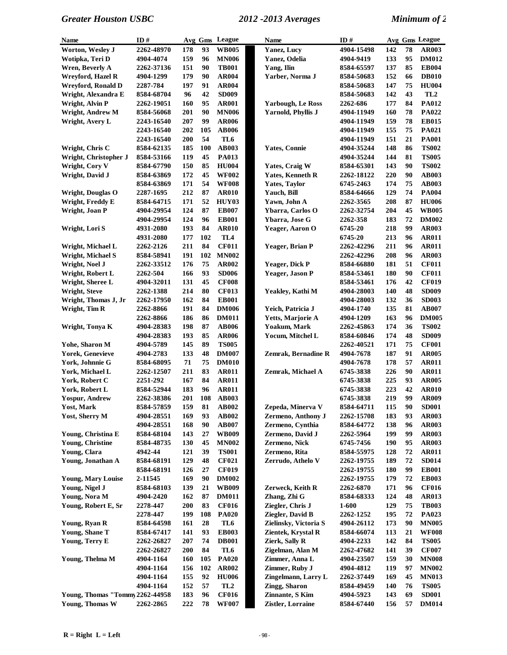| <b>Name</b>                     | ID#        |            | Avg Gms | League          | Name                      | ID#        |     |    | Avg Gms League  |
|---------------------------------|------------|------------|---------|-----------------|---------------------------|------------|-----|----|-----------------|
| Worton, Wesley J                | 2262-48970 | 178        | 93      | <b>WB005</b>    | <b>Yanez, Lucy</b>        | 4904-15498 | 142 | 78 | <b>AR003</b>    |
| Wotipka, Teri D                 | 4904-4074  | 159        | 96      | <b>MN006</b>    | Yanez, Odelia             | 4904-9419  | 133 | 95 | <b>DM012</b>    |
| <b>Wren, Beverly A</b>          | 2262-37136 | 151        | 90      | <b>TB001</b>    | Yang, Ilin                | 8584-65597 | 137 | 85 | <b>EB004</b>    |
| Wreyford, Hazel R               | 4904-1299  | 179        | 90      | AR004           | Yarber, Norma J           | 8584-50683 | 152 | 66 | <b>DB010</b>    |
| <b>Wreyford, Ronald D</b>       | 2287-784   | 197        | 91      | <b>AR004</b>    |                           | 8584-50683 | 147 | 75 | <b>HU004</b>    |
| Wright, Alexandra E             | 8584-68704 | 96         | 42      | <b>SD009</b>    |                           | 8584-50683 | 142 | 43 | TL <sub>2</sub> |
| Wright, Alvin P                 | 2262-19051 | 160        | 95      | <b>AR001</b>    | <b>Yarbough, Le Ross</b>  | 2262-686   | 177 | 84 | PA012           |
| Wright, Andrew M                | 8584-56068 | 201        | 90      | <b>MN006</b>    | <b>Yarnold, Phyllis J</b> | 4904-11949 | 160 | 78 | PA022           |
| Wright, Avery L                 | 2243-16540 | 207        | 99      | <b>AR006</b>    |                           | 4904-11949 | 159 | 78 | <b>EB015</b>    |
|                                 | 2243-16540 | 202        | 105     | <b>AB006</b>    |                           | 4904-11949 | 155 | 75 | <b>PA021</b>    |
|                                 | 2243-16540 | 200        | 54      | TL6             |                           | 4904-11949 | 151 | 21 | <b>PA001</b>    |
| Wright, Chris C                 | 8584-62135 | 185        | 100     | <b>AB003</b>    | <b>Yates, Connie</b>      | 4904-35244 | 148 | 86 | <b>TS002</b>    |
| Wright, Christopher J           | 8584-53166 | 119        | 45      | <b>PA013</b>    |                           | 4904-35244 | 144 | 81 | <b>TS005</b>    |
| Wright, Cory V                  | 8584-67790 | 150        | 85      | <b>HU004</b>    | Yates, Craig W            | 8584-65301 | 143 | 90 | <b>TS002</b>    |
| Wright, David J                 | 8584-63869 | 172        | 45      | <b>WF002</b>    | <b>Yates, Kenneth R</b>   | 2262-18122 | 220 | 90 | <b>AB003</b>    |
|                                 | 8584-63869 | 171        | 54      | <b>WF008</b>    | <b>Yates, Taylor</b>      | 6745-2463  | 174 | 75 | <b>AB003</b>    |
| <b>Wright, Douglas O</b>        | 2287-1695  | 212        | 87      | <b>AR010</b>    | Yauch, Bill               | 8584-64666 | 129 | 74 | <b>PA004</b>    |
| Wright, Freddy E                | 8584-64715 | 171        | 52      | HUY03           | Yawn, John A              | 2262-3565  | 208 | 87 | <b>HU006</b>    |
| Wright, Joan P                  | 4904-29954 | 124        | 87      | <b>EB007</b>    | Ybarra, Carlos O          | 2262-32754 | 204 | 45 | <b>WB005</b>    |
|                                 | 4904-29954 | 124        | 96      | <b>EB001</b>    | Ybarra, Jose G            | 2262-358   | 183 | 72 | <b>DM002</b>    |
| Wright, Lori S                  | 4931-2080  | 193        | 84      | <b>AR010</b>    | Yeager, Aaron O           | 6745-20    | 218 | 99 | <b>AR003</b>    |
|                                 | 4931-2080  | 177        | 102     | TL4             |                           | 6745-20    | 213 | 96 | <b>AR011</b>    |
| Wright, Michael L               | 2262-2126  | 211        | 84      | <b>CF011</b>    | Yeager, Brian P           | 2262-42296 | 211 | 96 | <b>AR011</b>    |
| <b>Wright, Michael S</b>        | 8584-58941 | 191        | 102     | <b>MN002</b>    |                           | 2262-42296 | 208 | 96 | <b>AR003</b>    |
| Wright, Noel J                  | 2262-33512 | 176        | 75      | <b>AR002</b>    | Yeager, Dick P            | 8584-66880 | 181 | 51 | <b>CF011</b>    |
| Wright, Robert L                | 2262-504   | 166        | 93      | <b>SD006</b>    | Yeager, Jason P           | 8584-53461 | 180 | 90 | <b>CF011</b>    |
| Wright, Sheree L                | 4904-32011 | 131        | 45      | <b>CF008</b>    |                           | 8584-53461 | 176 | 42 | <b>CF019</b>    |
| Wright, Steve                   | 2262-1388  | 214        | 80      | <b>CF013</b>    | Yeakley, Kathi M          | 4904-28003 | 140 | 48 | <b>SD009</b>    |
| Wright, Thomas J, Jr            | 2262-17950 | 162        | 84      | <b>EB001</b>    |                           | 4904-28003 | 132 | 36 | <b>SD003</b>    |
| Wright, Tim R                   | 2262-8866  | 191        | 84      | <b>DM006</b>    | Yeich, Patricia J         | 4904-1740  | 135 | 81 | <b>AB007</b>    |
|                                 | 2262-8866  | 186        | 86      | <b>DM011</b>    | Yetts, Marjorie A         | 4904-1209  | 163 | 96 | <b>DM005</b>    |
| Wright, Tonya K                 | 4904-28383 | 198        | 87      | <b>AB006</b>    | Yoakum, Mark              | 2262-45863 | 174 | 36 | <b>TS002</b>    |
|                                 | 4904-28383 | 193        | 85      | <b>AR006</b>    | Yocum, Mitchel L          | 8584-60846 | 174 | 48 | <b>SD009</b>    |
| Yohe, Sharon M                  | 4904-5789  | 145        | 89      | <b>TS005</b>    |                           | 2262-40521 | 171 | 75 | <b>CF001</b>    |
| <b>Yorek, Genevieve</b>         | 4904-2783  | 133        | 48      | <b>DM007</b>    | Zemrak, Bernadine R       | 4904-7678  | 187 | 91 | <b>AR005</b>    |
| York, Johnnie G                 | 8584-68095 | 71         | 75      | <b>DM010</b>    |                           | 4904-7678  | 178 | 57 | <b>AR011</b>    |
| York, Michael L                 | 2262-12507 | 211        | 83      | <b>AR011</b>    | Zemrak, Michael A         | 6745-3838  | 226 | 90 | <b>AR011</b>    |
| York, Robert C                  | 2251-292   | 167        | 84      | <b>AR011</b>    |                           | 6745-3838  | 225 | 93 | <b>AR005</b>    |
| York, Robert L                  | 8584-52944 | 183        | 96      | <b>AR011</b>    |                           | 6745-3838  | 223 | 42 | <b>AR010</b>    |
| Yospur, Andrew                  | 2262-38386 | 201        | 108     | <b>AB003</b>    |                           | 6745-3838  | 219 | 99 | AR009           |
| <b>Yost, Mark</b>               | 8584-57859 | 159        | 81      | AB002           | Zepeda, Minerva V         | 8584-64711 | 115 | 90 | <b>SD001</b>    |
| Yost, Sherry M                  | 4904-28551 | 169        | 93      | <b>AB002</b>    | Zermeno, Anthony J        | 2262-15708 | 183 | 93 | <b>AR003</b>    |
|                                 | 4904-28551 | 168        | 90      | <b>AB007</b>    | Zermeno, Cynthia          | 8584-64772 | 138 | 96 | <b>AR003</b>    |
| Young, Christina E              | 8584-68104 | 143        | 27      | <b>WB009</b>    | Zermeno, David J          | 2262-5964  | 199 | 99 | <b>AR003</b>    |
| <b>Young, Christine</b>         | 8584-48735 | 130        | 45      | <b>MN002</b>    | Zermeno, Nick             | 6745-7456  | 190 | 95 | <b>AR003</b>    |
| Young, Clara                    | 4942-44    | 121        | 39      | <b>TS001</b>    | Zermeno, Rita             | 8584-55975 | 128 | 72 | <b>AR011</b>    |
| Young, Jonathan A               | 8584-68191 | 129        | 48      | <b>CF021</b>    | Zerrudo, Athelo V         | 2262-19755 | 189 | 72 | <b>SD014</b>    |
|                                 | 8584-68191 | 126        | 27      | <b>CF019</b>    |                           | 2262-19755 | 180 | 99 | <b>EB001</b>    |
| Young, Mary Louise              | 2-11545    | 169        | 90      | <b>DM002</b>    |                           | 2262-19755 | 179 | 72 | <b>EB003</b>    |
| Young, Nigel J                  | 8584-68103 | 139        | 21      | <b>WB009</b>    | Zerweck, Keith R          | 2262-6870  | 171 | 96 | <b>CF016</b>    |
| Young, Nora M                   | 4904-2420  | 162        | 87      | <b>DM011</b>    | Zhang, Zhi G              | 8584-68333 | 124 | 48 | <b>AR013</b>    |
| Young, Robert E, Sr             | 2278-447   | 200        | 83      | <b>CF016</b>    | Ziegler, Chris J          | 1-600      | 129 | 75 | <b>TB003</b>    |
|                                 | 2278-447   | 199        | 108     | <b>PA020</b>    | Ziegler, David B          | 2262-1252  | 195 | 72 | PA023           |
| Young, Ryan R                   | 8584-64598 | 161        | 28      | TL6             | Zielinsky, Victoria S     | 4904-26112 | 173 | 90 | <b>MN005</b>    |
| Young, Shane T                  | 8584-67417 | 141        | 93      | <b>EB003</b>    | Zientek, Krystal R        | 8584-66074 | 113 | 21 | <b>WF008</b>    |
| Young, Terry E                  | 2262-26827 | 207        | 74      | <b>DB001</b>    | Zierk, Sally R            | 4904-2233  | 142 | 84 | <b>TS005</b>    |
|                                 | 2262-26827 | 200        | 84      | TL6             | Zigelman, Alan M          | 2262-47682 | 141 | 39 | <b>CF007</b>    |
| Young, Thelma M                 | 4904-1164  | <b>160</b> | 105     | <b>PA020</b>    | Zimmer, Anna L            | 4904-23507 | 159 | 30 | <b>MN008</b>    |
|                                 | 4904-1164  | 156        | 102     | AR002           | Zimmer, Ruby J            | 4904-4812  | 119 | 97 | <b>MN002</b>    |
|                                 | 4904-1164  | 155        | 92      | <b>HU006</b>    | Zingelmann, Larry L       | 2262-37449 | 169 | 45 | <b>MN013</b>    |
|                                 | 4904-1164  | 152        | 57      | TL <sub>2</sub> | Zingg, Sharon             | 8584-49459 | 140 | 76 | <b>TS005</b>    |
| Young, Thomas "Tommy 2262-44958 |            | 183        | 96      | <b>CF016</b>    | Zinnante, S Kim           | 4904-5923  | 143 | 69 | <b>SD001</b>    |
| Young, Thomas W                 | 2262-2865  | 222        | 78      | <b>WF007</b>    | Zistler, Lorraine         | 8584-67440 | 156 | 57 | <b>DM014</b>    |